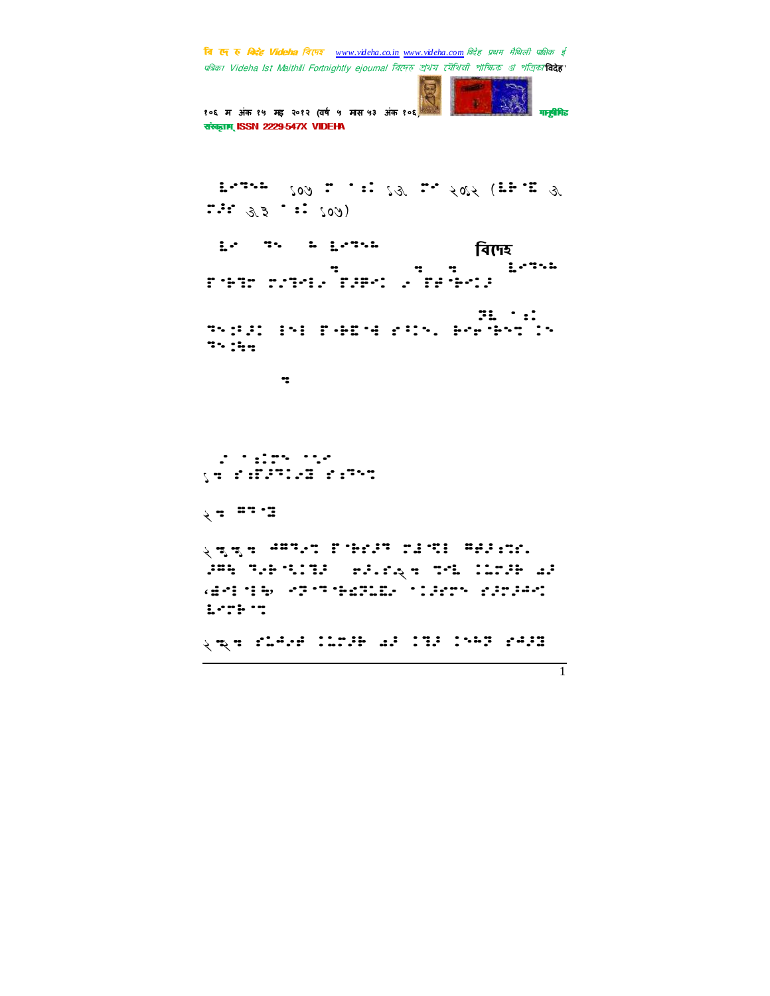वि ए रु क्रिडे Videha विएक www.videha.co.in www.videha.com विदेह प्रथम मैथिली पाक्षिक ई पत्रिका Videha Ist Maithili Fortnightly ejournal রিদেহ প্রথম মৌথিনী পাক্ষিক প্র পত্রিকা**বিदेह**'



१०६ म अंक १५ मइ २०१२ (वर्ष ५ मास ५३ अंक १०६ संस्कृतम् ISSN 2229-547X VIDEHA

 $7.33 : 500$ ga na agama বিদেহ  $\mathbf{L}$  . Then First Company of Company of Company of Company of Company of Company of Company of Company of Company of Compa<br>Program of Company of Company of Company of Company of Company of Company of Company of Company of Company of de 11 (15)<br>21 desembre: Prince Schauer, schweder (16) **The Shire**  $\overline{\phantom{a}}$  $\sqrt{2}$  :  $\frac{1}{2}$  :  $\frac{1}{2}$  :  $\frac{1}{2}$  :  $\frac{1}{2}$  :  $\frac{1}{2}$  $2: 2: 2: 2$ ygga APS:fr:PacPoint Pelco. partents share to una a (20115) 077162222 1222 22222 Esta in

the Terr Corporation and the Sep

 $\overline{1}$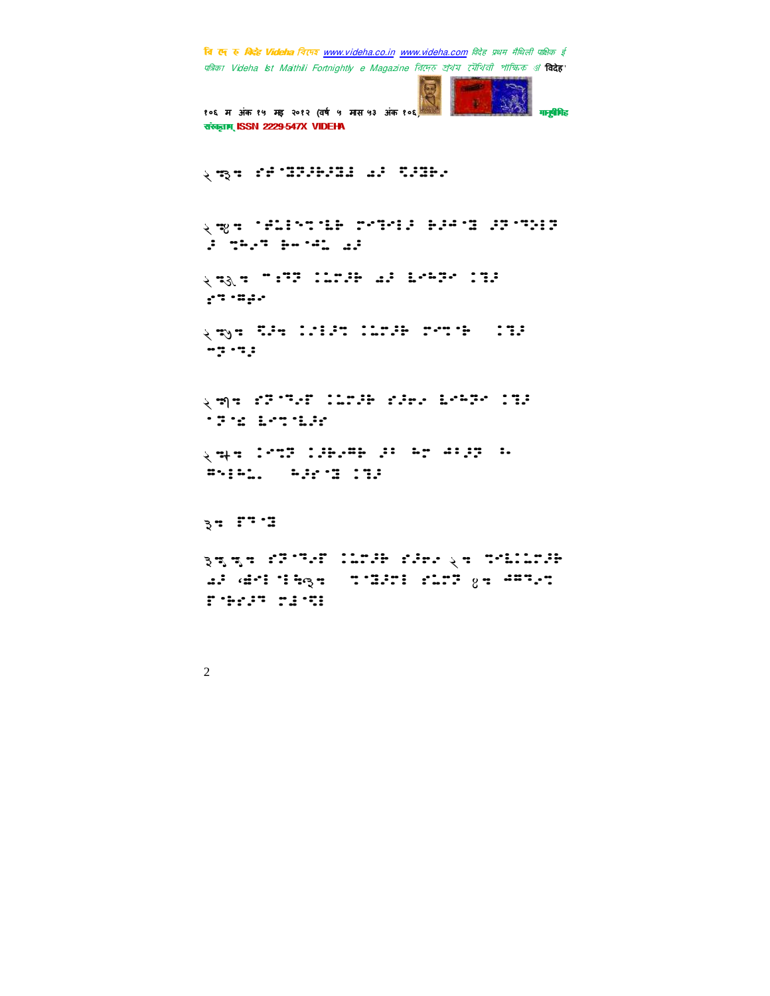चि एक रु मिन्हे Videha विएक www.videha.co.in www.videha.com विदेह प्रथम मैथिली पाक्षिक ई पत्रिका Videha Ist Maithili Fortnightly e Magazine রিদেহ প্রথম মৌথিনী পাক্ষিক রা **বিदेह**' १०६ म अंक १५ मइ २०१२ (वष ५ मास ५३ अंक १०६) मानुषीिमह संस्कृतम् ISSN 2229-547X VIDEHA ⣒⣒!⢾⣝⢽⢼⢷⢼⣝⣜!⣔⢼.⣋⢼⣝⢷⢴! ⣒ ⣒!⢾⣅2⣉⣇⢷.⣙2⢼!⢷⢼⢺⣝!⢼⢽⢹⢵2⢽! ⢼!⣉⢳⢴⢹!⢷⢲⢺⣅!⣔⢼! ⣒⣒!b⣐⢹⢽!⣅⢼⢷!⣔⢼.⣇⢳⢽.⣙⢼. ⢹⢻⢾! ⣒⣒!⣋⢼⣒!12⢼⣉!⣅⢼⢷!⣉⢷.!⣙⢼.!  $\begin{array}{ccc} \mathbf{0} & \mathbf{0} & \mathbf{0} & \mathbf{0} & \mathbf{0} & \mathbf{0} & \mathbf{0} & \mathbf{0} & \mathbf{0} & \mathbf{0} & \mathbf{0} & \mathbf{0} & \mathbf{0} & \mathbf{0} & \mathbf{0} & \mathbf{0} & \mathbf{0} & \mathbf{0} & \mathbf{0} & \mathbf{0} & \mathbf{0} & \mathbf{0} & \mathbf{0} & \mathbf{0} & \mathbf{0} & \mathbf{0} & \mathbf{0} & \mathbf{0} & \mathbf{0} & \mathbf{0} & \mathbf$  $_{\xi}$ g|: :P7:P :1:P :1:P :3: 1-2:P :1: ⢽⣎!⣇⣉⣇⢼! ⣒⣒!⣉⢽!⢼⢷⢴⢻⢷.⢼A!⢳!⢺A⢼⢽!⢸c! ⢻2⢳⣅E.)⢳⢼⣝!⣙⢼\*!  $\overline{3}$  :  $\overline{1}$   $\overline{1}$   $\overline{2}$  $\{$ s $\}$ s $\{$ s $\}$ :  $\{$  $\}$   $\{$  $\}$   $\{$  $\}$   $\{$   $\}$   $\{$   $\}$   $\{$   $\}$   $\{$   $\}$   $\{$   $\}$   $\{$   $\}$   $\{$   $\}$   $\{$   $\}$   $\{$   $\}$   $\{$   $\}$   $\{$   $\}$   $\{$   $\}$   $\{$   $\}$   $\{$   $\}$   $\{$   $\}$   $\{$   $\}$   $\{$   $\}$   $\{$ <mark>ı</mark>. ∉22 z−222 222 22° /⢷⢼⢹!⣜⣋2!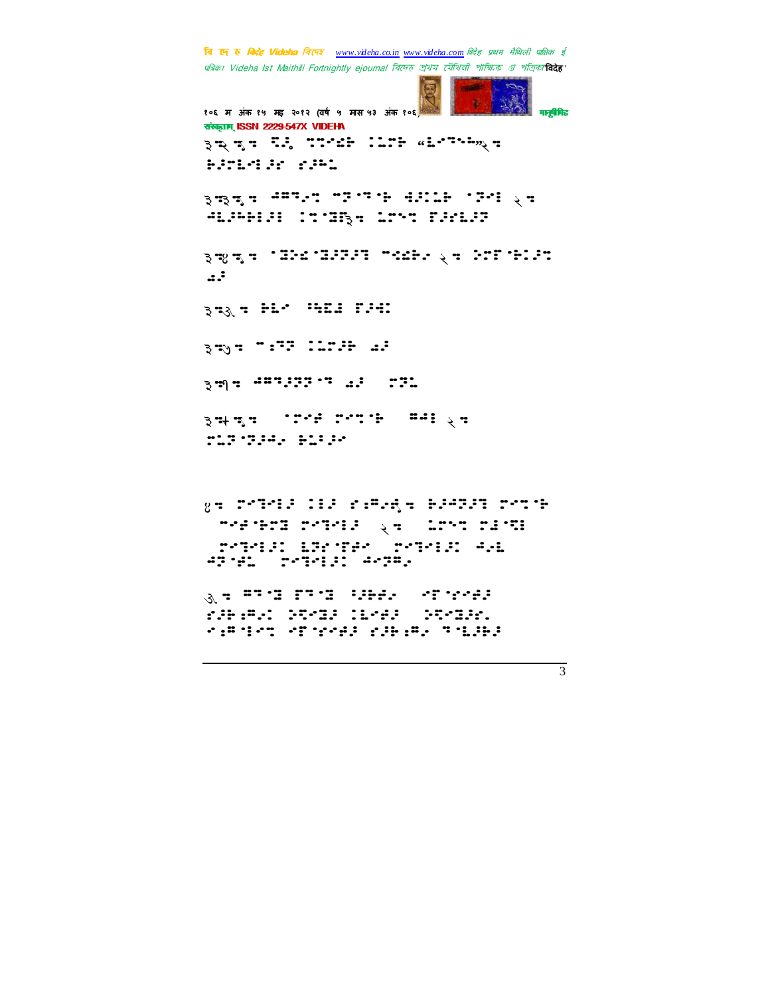**बि एक रु** *बिर्दह Videha विए***नर** www.videha.co.in www.videha.com विदेह प्रथम मैथिली पाक्षिक ई पत्रिका Videha Ist Maithili Fortnightly ejournal রিদেহ প্রথম মৌথিনী পাক্ষিক প্র পত্রিকা**'বিदेह**'

मनुबैमिह १०६ म अंक १५ मइ २०१२ (वर्ष ५ मास ५३ अंक १०६) संस्कृतम् ISSN 2229-547X VIDEHA grants while the arrest state BIMMER SPL ry 1997 ding the trin remove ALGABIN ITTEST LTT TIMLE gege (Brid:BS: "sik, ye GTP BLF:  $\mathbf{a}$ . **geg = FLP PHIL T.PE** 3mys ":"? llr.h a. gene designe si ch  $3 + 3 + 1$ **PLE COMP BLOW**  $y$ s rifi $\Omega$  lif fælg så bjell rifi retri red yr Ser del **PRODUCED SERVICE SERVICE SURFACE SERVICE SERVICE SURFACE SURFACE SURFACE SURFACE SURFACE SURFACE SURFACE SURFA**  $\mathcal{S}$  =  $\blacksquare$  . This compared to the set of the set of  $\mathcal{S}$ rance dere char time

 $\overline{3}$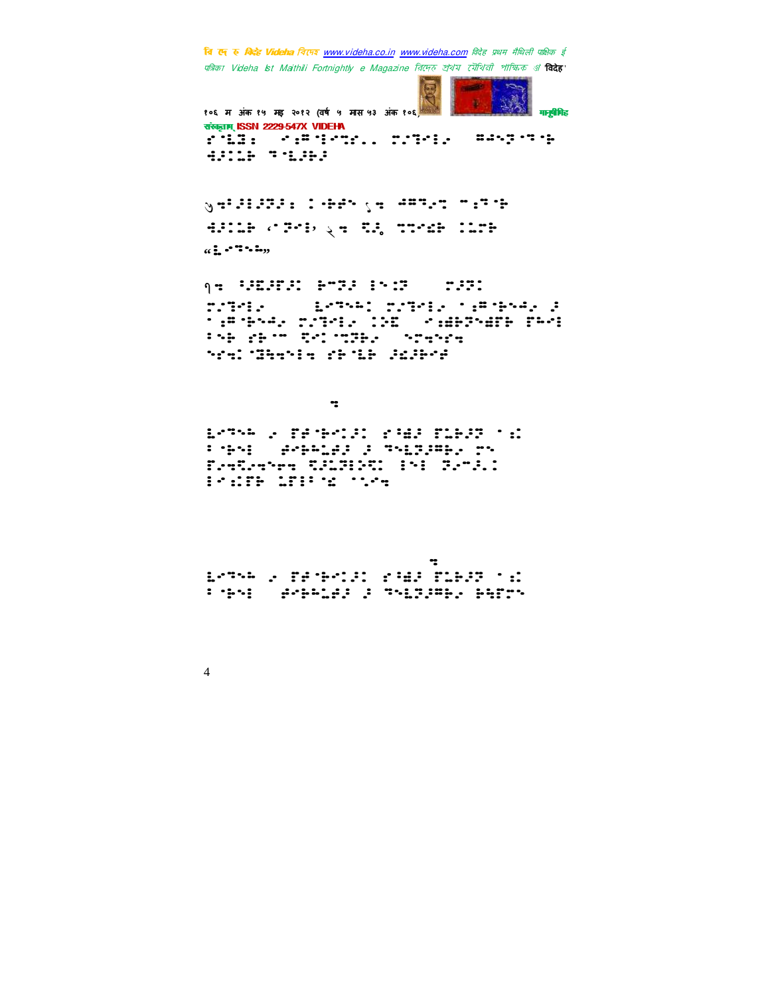चि एक रु मिन्हे Videha विएक www.videha.co.in www.videha.com विदेह प्रथम मैथिली पाक्षिक ई पत्रिका Videha Ist Maithili Fortnightly e Magazine রিদেহ প্রথম মৌথিনী পাক্ষিক রা **বিदेह**'

**START** 

१०६ म अंक १५ मइ २०१२ (वष ५ मास ५३ अंक १०६) मानुषीिमह संस्कृतम् ISSN 2229-547X VIDEHA ⣇⣝⣐-!⣐⢻2⣉EE!1⣙2⢴!!⢻⢺⢽⢹⢷! ⣚⢼⣅⢷!⢹⣇⢼⢷⢼!

 $\mathcal{M}$  as Elitics : Lairy and annual metric ⣚⢼⣅⢷!**'**⢽2**'** ⣒!⣋⢼॰ ⣉⣉⣎⢷!⣅⢷!  $($ ,  $\frac{1}{2}$ ,  $\frac{1}{2}$ ,  $\frac{1}{2}$ ,  $\frac{1}{2}$ ,  $\frac{1}{2}$ ,  $\frac{1}{2}$ ,  $\frac{1}{2}$ ,  $\frac{1}{2}$ ,  $\frac{1}{2}$ ,  $\frac{1}{2}$ ,  $\frac{1}{2}$ ,  $\frac{1}{2}$ ,  $\frac{1}{2}$ ,  $\frac{1}{2}$ ,  $\frac{1}{2}$ ,  $\frac{1}{2}$ ,  $\frac{1}{2}$ ,  $\frac{1}{2}$ ,  $\frac{1}{2}$ ,  $\frac{1}{2$ 

↑; 0.000 0.000 0.000 0.000 0.000 1⣙2⢴^-!\⣇⢹⢳!1⣙2⢴.⣐⢻⢷⢺⢴!⢼! ⣐⢻⢷⢺⢴!1⣙2⢴!⢵⣏!)⣐⣞⢷⢽⣞/⢷!/⢳2! And the second the second terms of the second terms in the second terms of the second terms in the second term ⣒⣝⣓⣒2⣒!⢷⣇⢷!⢼⣎⢼⢷⢾!.Cbtfe!

Ejduje – pobszero za podpornie za podpornie za podpornie za podpornie za podpornie za podpornie za podpornie z<br>Za podpornie za podpornie za podpornie za podpornie za podpornie za podpornie za podpornie za podpornie za pod

⣇⢹⢳!⢴./⢾⢷⢼!⢸⣞⢼!/⣅⢷⢼⢽!⣐!)! A⢷2-!⢾⢷⢳⣅⢾⢼!⢼!⢹⣇⢽⢼⢻⢷⢴!!\*! /⢴⣒⣋⢴⣒⢶⣒!⣋⢼⣅⢽2⢵⣋!22!⢽⢴b⢼E! 2⣐/⢷!⣅/2A⣎!⣁⣒!Bmm!uif!pme!

uif!gpmmpxjoh!mjol⣒!!  $\blacksquare$ A⢷2-!⢾⢷⢳⣅⢾⢼!⢼!⢹⣇⢽⢼⢻⢷⢴!⢷⣓/!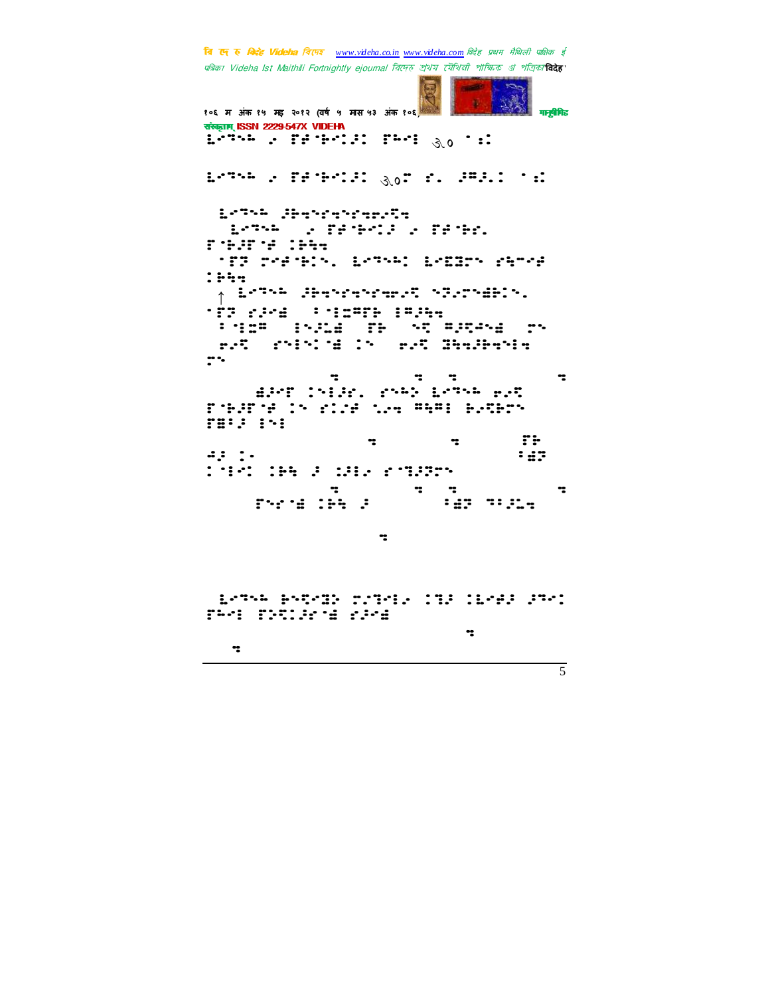**त्रि एन रु क्रिटेह Videha** विएम्ब \_www.videha.co.in\_www.videha.com विदेह प्रथम मैथिली पाक्षिक ई पत्रिका Videha Ist Maithili Fortnightly ejournal রিদেত প্রথম মৌথিলী পাক্ষিক প্র পত্রিকা**'বিदेह**'

१०६ म अंक १५ मइ २०१२ (वष ५ मास ५३ अंक १०६) मानुषीिमह संस्कृतम् ISSN 2229-547X VIDEHA 5 isted a presence para  $\mathbb{R}^2$  .  $\mathbb{R}^2$ 1.771 . PP:PCB ¿0° :. PPA! ': !⣇⢹⢳!⢼⢷⣒⣒⣒⢶⢴⣋⣒! !#⣇⢹⢳#!⢴./⢾⢷⢼!⢴./⢾⢷E! /⢷⢼/⢾!⢷⣓⣒! !/⢽!⢾⢷E!⣇⢹⢳!⣇⣏⣝!⣓b⢾! ⢷⣓⣒! ↑ Lete Jestitimet Sterikly. /⢽!⢼⣞0!A2⣍⢻/⢷!2⢻⢼⣓⣒!! !A2⣍⢻!#2⢼⣅⣞#!/⢷!#⣋!⢻⢼⣋⢺⣞#!! #⢶⢴⣋#!2⣞!!#⢶⢴⣋!⣝⣓⣒⢼⢷⣒2⣒#! **:::**ius in die stelling van die stelling van die stelling van die stelling van die stelling van die stelling van die stelling van die stelling van die stelling van die stelling van die stelling van die stelling van die stellin ynm : Early Chile, and Chile and Chile and Chile and Chile and Chile and Chile and Chile and Chile and Chile and C /⢷⢼/⢾!!1⢾!⣁⢴⣒!⢻⣓⢻2!⢷⢴⣋⢷! *TEMP :* ius de la component de la component de la component de la component de la component de la component de la comp<br>De la component de la component de la component de la component de la component de la component de la componen , and the second structure of the second structure of the second structure of the second structure of the second<br>And the second structure of the second structure of the second structure of the second structure of the seco 2!⢷⣓!⢼!⣈⢼2⢴!⣙⢼⢽! ius in die stelling van die stelling van die stelling van die stelling van die stelling van die stelling van die stelling van die stelling van die stelling van die stelling van die stelling van die stelling van die stellin **ynder in the second second second second second second second second second second second second second second**  $\mathbf{g}$ !⣇⢹⢳!⢷⣋⣝⢵;1⣙2⢴!⣙⢼.⣇⢾⢼!⢼⢹! /⢳2!/⢵⣋⢼⣞!⢼⣞! ius (1983)<br>1980 – Paris Corona, politik antikologisko politik (1983)<br>1980 – Paris Corona, politik antikologisko politik (1983) tta de la construcción de la construcción de la construcción de la construcción de la construcción de la construcción de la construcción de la construcción de la construcción de la construcción de la construcción de la con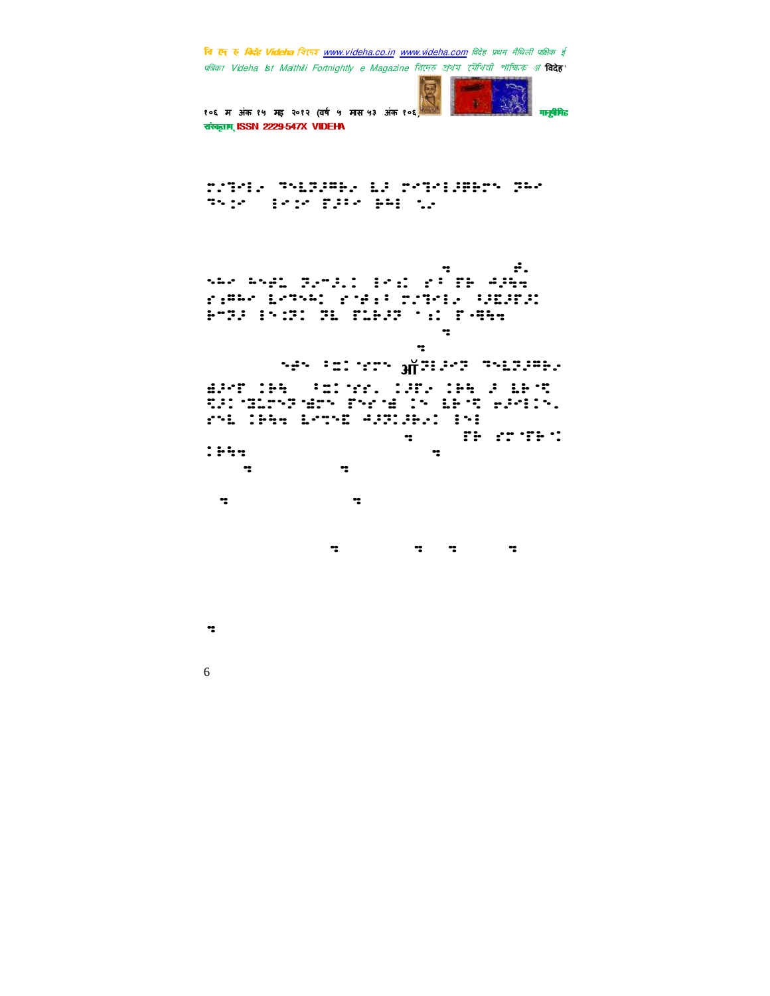चि एक रु मिन्हे Videha विएक www.videha.co.in www.videha.com विदेह प्रथम मैथिली पाक्षिक ई पत्रिका Videha Ist Maithili Fortnightly e Magazine রিদেহ প্রথম মৌথিনী পাক্ষিক রা **বিदेह**'



संस्कृतम् ISSN 2229-547X VIDEHA

## 1⣙2⢴!⢹⣇⢽⢼⢻⢷⢴!⣇⢼!⣙2⢼⢿⢷!⢽⢳! ⢹⣈0!2⣈!/⢼A!⢷⢳2!⣁⢴-!)dboopu!

buthfoesbawjefibetibles between the state of the state of the state of the state of the state of the state of t ⢳!⢳⢾⣅!⢽⢴b⢼E!2⣐!⢸!/⢷!⢺⢼⣓⣒!  $^{\prime}$   $^{\prime}$  . Find  $^{\prime}$  . Find  $^{\prime}$  . Find  $^{\prime}$ ⢷b⢽⢼!2⣈⢽!⢽⣇./⣅⢷⢼⢽!⣐!/B⣛⣓⣒!! ius de la contradiction de la contradiction de la contradiction de la contradiction de la contradiction de la<br>1990 : la contradiction de la contradiction de la contradiction de la contradiction de la contradiction de la

iuuq;00lbvmpomjof⣒dpn0vojobhb

## sion in the state of the state of the state of the state of the state of the state of the state of the state o

⣞⢼/!⢷⣓-!A⣍E!⢼/⢴!⢷⣓!⢼!⣇⢷⣋! ⣋⢼⣝⣅⢽⣞!/⣞!!⣇⢷⣋!⢶⢼2E! ⣇!⢷⣓⣒!⣇⣉⣏!⢺⢼⢽⢼⢷⢴!22! hhbkfoesbAwjefib⣒dpn!/⢷!/⢷! ⢷⣓⣒\*)Vtf!Gjsfgpy!5⣒1!)gspn!  $\begin{smallmatrix}\n 0 & 0 & 0 \\
0 & 0 & 0 \\
0 & 0 & 0\n \end{smallmatrix}$ 

90<br>10 December 10: December 10: December 10: December 10: December 10: December 10: December 10: December 10: De

**g** 

6

ius;00xxxx with the second part of the second part of the second part of the second part of the second part of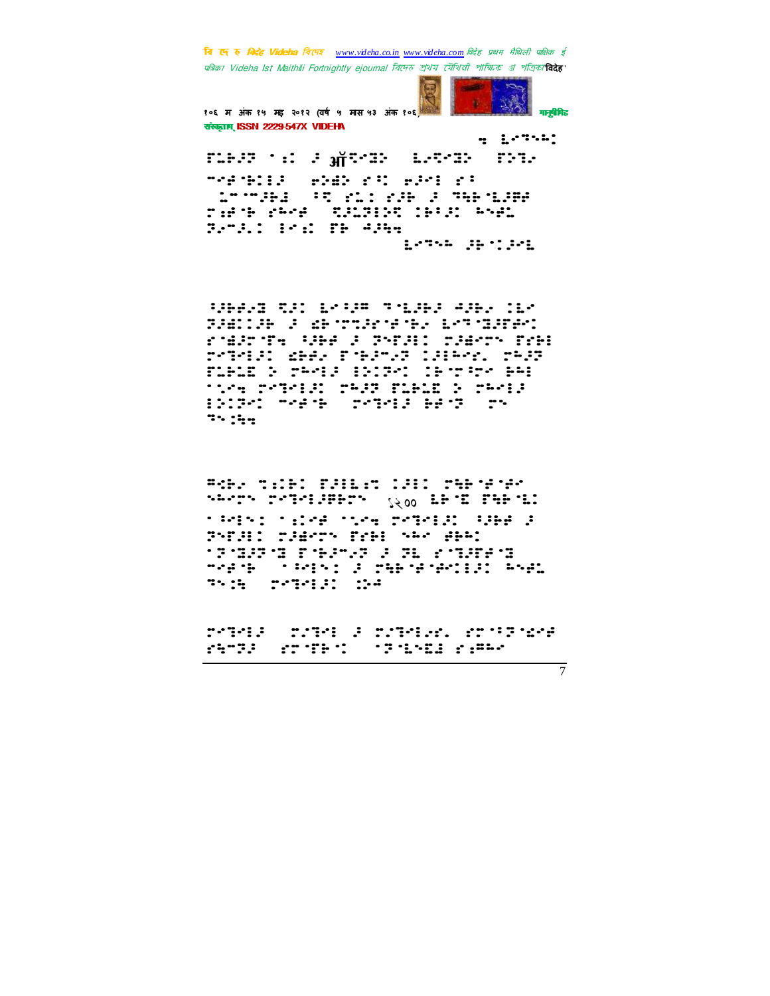**त्रि एन रु क्रिटेह Videha** विएम्ब \_www.videha.co.in\_www.videha.com विदेह प्रथम मैथिली पाक्षिक ई पत्रिका Videha Ist Maithili Fortnightly ejournal রিদেত প্রথম মৌথিলী পাক্ষিক প্র পত্রিকা**'বিदेह**'



संस्कृतम् ISSN 2229-547X VIDEHA

 $p$  is the property

/⣅⢷⢼⢽!⣐!⢼!ऑ⣋⣝⢵0!⣇⢴⣋⣝⢵0!/⢵⣙⢴0! b⢾⢷2⢼0!⢶⢵⣞⢵!⢸!⢶⢼2!⢸! )⣅bb⢼⢷⣜-!A⣋!⣅⣈!⢼⢷!⢼!⢹⣓⢷⣇⢼⢿⢾!  $^{\prime}$  . The star was defined as ⢽⢴b⢼E!2⣐!/⢷!⢺⢼⣓⣒! !WJEFIB!BSDIJWF!⣇⢹⢳!⢼⢷⢼⣇!

⢸⢼⢷⢾⢴⣝!⣋⢼!⣇⢸⢼⢻!⢹⣇⢼⢷⢼!⢺⢼⢷⢴!⣇-! ⢽⢼⣞⢼⢷!⢼!⣎⢷⣉⢼⢾⢷⢴!⣇⢹⣝⢼/⢾! ⣞⢼/⣒!⢸⢼⢷⢾!⢼!⢽/⢼2!⢼⣞!/⢷2!  $\mathcal{D}$ /⣅⢷⣅⣏!⢵!⢳2⢼!2⢵⢽!⢷⢸!⢷⢳2! ↑₩: 2000 PERS 2000 PERS 2⢵⢽!b⢾⢷!(⣙2⢼!⢷⢾⢽(!! ⢹⣈⣓⣒!!

⢻⣊⢷⢴.⣉⣐⢷!/⢼2⣇⣐⣉!⢼2!⣓⢷⢾⢾-! ≻<del>`</del>°\*\*` :\*?\*:JP}?\* {<sub>\\00</sub> i}^E ?`}}^i! ↑₩:N: You You Manus Work ⢽/⢼2!⢼⣞!/⢷2!⢳!⢾⢷⢳! Mrania Eduaria<br> b⢾⢷-!⢸2⣈!⢼!⣓⢷⢾⢾2⢼!⢳⢾⣅! ⢹⣈⣓!(⣙2⢼!⣈⢵⢺(!!

⣙2⢼-!1⣙2!⢼!1⣙2⢴E!A⢽⣎⢾! ⣓b⢽⢼-!/⢷-!⢽⣇⣏⣜!⣐⢻⢳!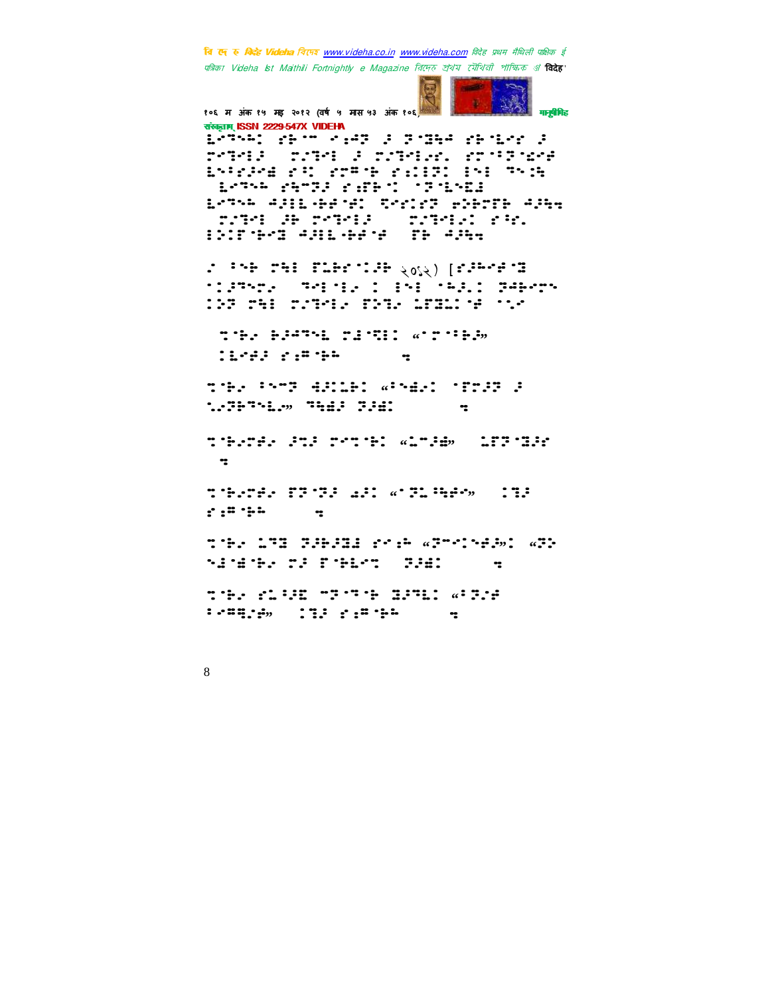चि एक रु मिन्हे Videha विएक www.videha.co.in www.videha.com विदेह प्रथम मैथिली पाक्षिक ई पत्रिका Videha Ist Maithili Fortnightly e Magazine রিদেহ প্রথম মৌথিনী পাক্ষিক রা **বিदेह**'



संस्कृतम् ISSN 2229-547X VIDEHA ⣇⢹⢳!⢷b.⣐⢺⢽!⢼!⢽⣝⣓⢺!⢷⣇!⢼!  $2^2$  and  $2^2$  and  $2^2$  and  $2^2$  and  $2^2$  and  $2^2$  and  $2^2$  and  $2^2$  and  $2^2$  and  $2^2$  and  $2^2$  and  $2^2$  and  $2^2$  and  $2^2$  and  $2^2$  and  $2^2$  and  $2^2$  and  $2^2$  and  $2^2$  and  $2^2$  and  $2^2$  and  $2^2$  and  $2$  $\mathbb{Z}^{n}$  :  $\mathbb{Z}^{n}$  :  $\mathbb{Z}^{n}$  :  $\mathbb{Z}^{n}$  :  $\mathbb{Z}^{n}$  :  $\mathbb{Z}^{n}$  :  $\mathbb{Z}^{n}$  :  $\mathbb{Z}^{n}$  :  $\mathbb{Z}^{n}$  :  $\mathbb{Z}^{n}$  :  $\mathbb{Z}^{n}$  :  $\mathbb{Z}^{n}$  :  $\mathbb{Z}^{n}$  :  $\mathbb{Z}^{n}$  :  $\mathbb{Z}^{n}$  :  $\mathbb{Z}^{n}$  #⣇⢹⢳!⣓b⢽⢼!⣐/⢷!⢽⣇⣏⣜#! ⣇⢹⢳!⢺⢼2⣇B⢷⢾⢾!⣋⢽!⢶⢵⢷/⢷!⢺⢼⣓⣒!  $m$ 201 #102 2021 #102 2021 #102 2021 #102 2021 #102 2021 #102 2021 #102 2021 #102 2021 #102 2021 #102 2021 #10 2⢵/⢷⣝!⢺⢼2⣇B⢷⢾⢾\*!/⢷!⢺⢼⣓⣒!

) inductional state  $\frac{1}{2}$  (  $\frac{1}{2}$  ). The contribution of  $\frac{1}{2}$ ⢼⢹⢴-!⢹22⢴^!22!⢳⢼E!⢽⢺⢷! ⢵⢽!⣓2!1⣙2⢴!/⢵⣙⢴!⣅/⣝⣅⢾!⣁!@!

!⣉⢷⢴!⢷⢼⢺⢹⣇!⣜⣋2!**"**A⢷⢼**"**  $\left( \begin{array}{ccc} 1 & 1 & 2 \\ 2 & 1 & 2 \end{array} \right)$ 

⣉⢷⢴!Ab⢽!⣚⢼⣅⢷!**"**A⣞⢴!/⢼⢽!⢼! ⣁⢴⢽⢷⢹⣇⢴**"**)⢹⣓⣞⢼!⢽⢼⣞\*!!21⣒8:&!!!!!

⣉⢷⢴⢾⢴!⢼⣉⢼!⣉⢷!**"**⣅b⢼⣞**"**!)⣅/⢽⣝⢼\*!!  $\frac{4}{2}$ 

⣉⢷⢴⢾⢴!/⢽⢽⢼!⣔⢼!**"**⢽⣅⢸⣓⢾**"**!)⣙⢼! ⣐⢻⢷⢳\*!!6⣒19&!!!!!

⣉⢷⢴!⣅⢹⣝!⢽⢼⢷⢼⣝⣜!⣐⢳!**"**⢽b⢾⢼**"**!**"**⢽⢵! ⣜⣞⢷⢴;⢼!/⢷⣇⣉!)⢽⢼⣞\*!!7⣒14&!!!!!

⣉⢷⢴!⣅⢸⢼⣏!b⢽⢹⢷!⣝⢼⢹⣇!**"**A⢽1⢾!  $\frac{1}{2}$  .  $\frac{1}{2}$  .  $\frac{1}{2}$  .  $\frac{1}{2}$  .  $\frac{1}{2}$  .  $\frac{1}{2}$  .  $\frac{1}{2}$  .  $\frac{1}{2}$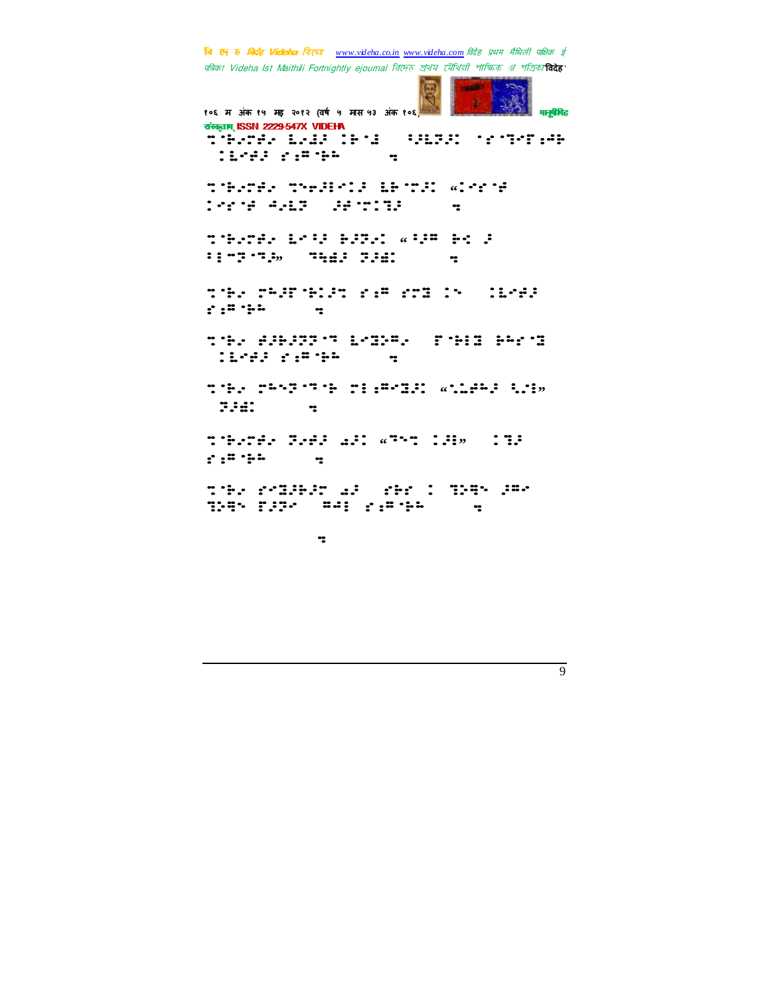वि ए रु क्रिटे Videha विए www.videha.co.in www.videha.com विदेह प्रथम मैथिली पाक्षिक ई पत्रिका Videha Ist Maithili Fortnightly ejournal রিদেহ প্রথম মৌথিনী পাক্ষিক ॳ পত্রিকা**বিदेह**'

× मानुबेमिह १०६ म अंक १५ मइ २०१२ (वर्ष ५ मास ५३ अंक १०६) संस्कृतम् ISSN 2229-547X VIDEHA tire: r.m.ma  $\mathbf{r}$ them them I will grid  $\ddot{\phantom{a}}$ then: 10: HR. WIR H. P **::-:-**:,, **:::: :::**  $\mathbf{e}$ **THE THIRD OF PHONE AND ARRIVE**  $\mathbf{r}^{\mathbf{r}}\cdot\mathbf{m}^{\mathbf{r}}\cdot\mathbf{m}^{\mathbf{r}}$  $\ddot{\phantom{a}}$ **The SIDE IS CONSUMER SHOW AND SHOW AND SHOW AND SHOW AND SHOW AND SHOW AND SHOW AND SHOW AND SHOW AND SHOW AND CEPART SYMPHY**  $\ddot{\phantom{a}}$ the raspers rightly willed the **7.8.**  $\mathbf{r}$ them: Bell an Who 1889 (The  $\mathcal{L}$  ,  $\mathfrak{m}$  ,  $\mathfrak{p}$  ,  $\mathfrak{p}$  $\ddot{\cdot}$ the component of the component **TOP TOP WAI : 2014**  $\ddot{\phantom{a}}$  $\ddot{\bullet}$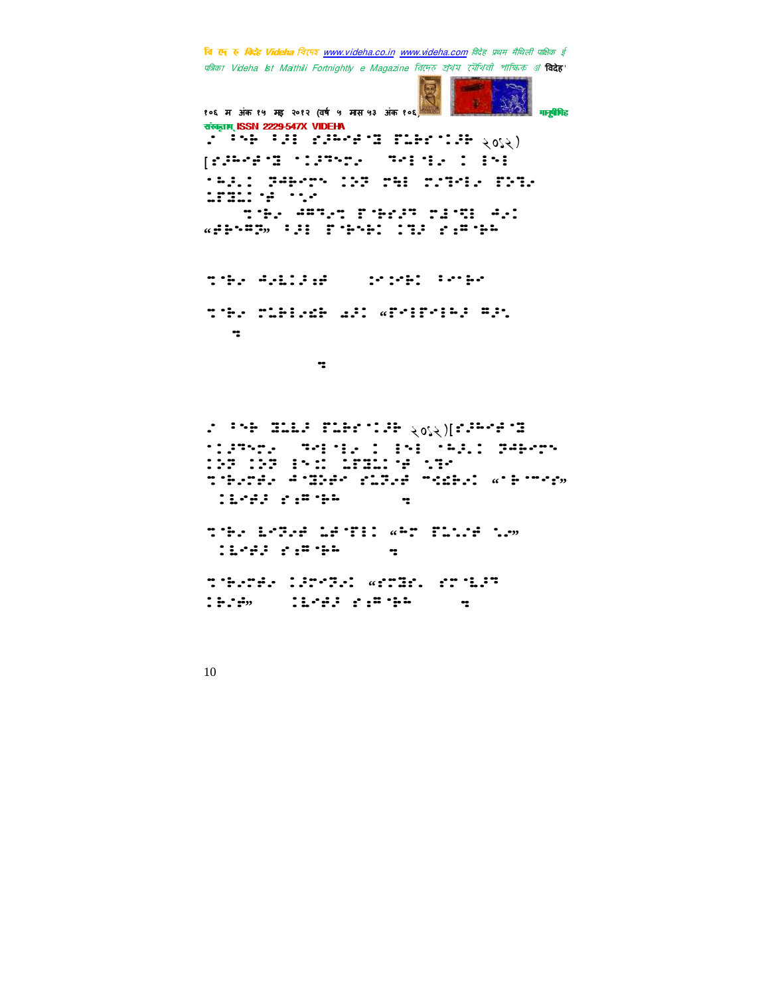चि एक रु मिन्हे Videha विएक www.videha.co.in www.videha.com विदेह प्रथम मैथिली पाक्षिक ई पत्रिका Videha Ist Maithili Fortnightly e Magazine রিদেহ প্রথম মৌথিনী পাক্ষিক রা **বিदेह**'

१०६ म अंक १५ मइ २०१२ (वष ५ मास ५३ अंक १०६) मानुषीिमह संस्कृतम् ISSN 2229-547X VIDEHA  $1$  :ar (2) construct the  $\langle \delta \chi \rangle$ [⢼⢳⢾⣝!⢼⢹⢴-!⢹22⢴^!22! ⢳⢼E!⢽⢺⢷!⢵⢽!⣓2!1⣙2⢴!/⢵⣙⢴! ⣅/⣝⣅⢾!⣁!@! !!!⣉⢷⢴!⢺⢻⢹⢴⣉!/⢷⢼⢹!⣜⣋2!⢺⢴! **"**⢾⢷⢻⢽**"**)A⢼2./⢷⢷!⣙⢼!⣐⢻⢷⢳\*!! ⣉⢷⢴!⢺⢴⣇⢼⣐⢾!.!⣈⣈⢷!A⢷!!36&!!!!! ⣉⢷⢴!⣅⢷2⢴⣎⢷!⣔⢼!**"**/2/2⢳⢼!⢻⢼⣁!!  $\frac{4}{3}$ Puifs: 2008 ) independent in a  $\{0\}\times\mathbb{R}^+$  in a  $\{0\}\times\mathbb{R}^+$  in a  $\mathbb{R}^+$ ⢼⢹⢴-!⢹22⢴^!22!⢳⢼E!⢽⢺⢷! ⢵⢽!⢵⢽!2⣈!⣅/⣝⣅⢾!⣁⣙!@! ⣉⢷⢴⢾⢴!⢺⣝⢵⢾!⣅⢽⢴⢾!b⣊⣎⢷⢴!**"**⢷b**"** )⣇⢾⢼!⣐⢻⢷⢳\*!!34⣒26&!!!!! ⣉⢷⢴!⣇⢽⢴⢾!⣅⢾/2!**"**⢳!/⣅⣁1⢾!⣁⢴**"**  $\frac{1}{2}$ ⣉⢷⢴⢾⢴!⢼⢽⢴!**"**⣝E!⣇⢼⢹! **00,000 100,000 100,000 100,000 100,000 100,000 100,000 100,000 100,000 100,000 100,000 100,000 100,000 100,00**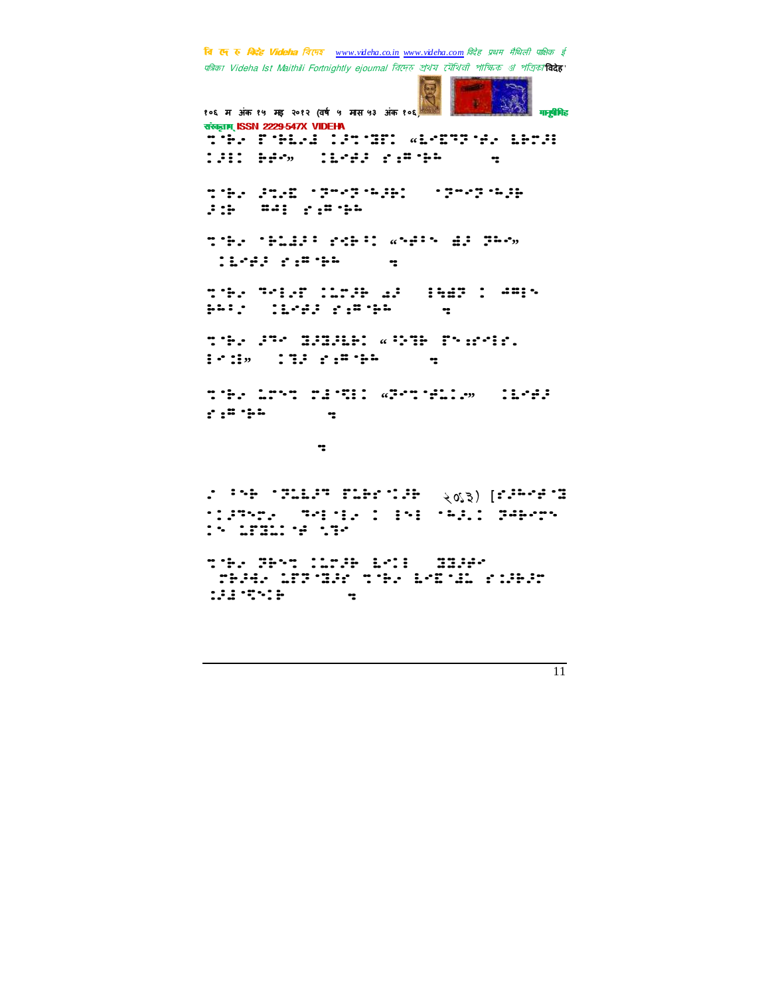**त्रि एन रु क्रिटेह Videha** विएम्ब \_www.videha.co.in\_www.videha.com विदेह प्रथम मैथिली पाक्षिक ई पत्रिका Videha Ist Maithili Fortnightly ejournal রিদেত প্রথম মৌথিলী পাক্ষিক প্র পত্রিকা**'বিदेह**'

१०६ म अंक १५ मइ २०१२ (वष ५ मास ५३ अंक १०६) मानुषीिमह संस्कृतम् ISSN 2229-547X VIDEHA ⣉⢷⢴!/⢷⣇⢴⣜!⢼⣉⣝/!**"**⣇⣏⢹⢽⢾⢴!⣇⢷⢼2! 1.000 ±00, 11000 to 100 to 100 m ⣉⢷⢴!⢼⣉⢴⣏!⢽b⢽⢳⢼⢷!#⢽b⢽⢳⢼⢷! ⢼⣈⢷#)⢻⢺2!⣐⢻⢷⢳\*!!36&!!!!! ⣉⢷⢴!⢷⣅⣜⢼⢸!⣊⢷⢸!**"**⢾A!⣞⢼!⢽⢳**"** )⣇⢾⢼!⣐⢻⢷⢳\*!!7⣒59&!!!!! ⣉⢷⢴!⢹2⢴/!⣅⢼⢷!⣔⢼!#2⣓⣞⢽#!⢺⢻2! ⢷⢳A1!)⣇⢾⢼!⣐⢻⢷⢳\*!!9⣒44&!!!!! ⣉⢷⢴!⢼⢹!⣝⢼⣝⢼⣇⢷!**"**⢸⢵⣙⢷!/⣐2E! 2⣈2**"**!)⣙⢼!⣐⢻⢷⢳\*!!5⣒74&!!!!! ⣉⢷⢴!⣅⣉!⣜⣋2!**"**⢽⣉⢾⣅⢴**"**!)⣇⢾⢼! ⣐⢻⢷⢳\*!!23⣒15&!!!!! Puifs: Puifs: Puifs: Puifs: Puifs: Puifs: Puifs: Puifs: Puifs: Puifs: Puifs: Puifs: Puifs: Puifs: Puifs: Puifs: Puifs: Puifs: Puifs: Puifs: Puifs: Puifs: Puifs: Puifs: Puifs: Puifs: Puifs: Puifs: Puifs: Puifs: Puifs: Puifs  $\mathcal{L}$  (i.e.  $\mathcal{L}$  )  $\mathcal{L}$  (i.e.  $\mathcal{L}$  )  $\mathcal{L}$  (i.e.  $\mathcal{L}$  )  $\mathcal{L}$ ⢼⢹⢴-!⢹22⢴^!22!⢳⢼E!⢽⢺⢷! !⣅/⣝⣅⢾!⣁⣙@! ⣉⢷⢴!⢽⢷⣉!⣅⢼⢷!⣇2!#⣝⣝⢼⢾#! )⢷⢼⣚⢴!⣅/⢽⣝⢼!⣉⢷⢴!⣇⣏⣜⣅!⣈⢼⢷⢼! ⣈⢼⣜⣋⢷\*!!46⣒34&!!!!!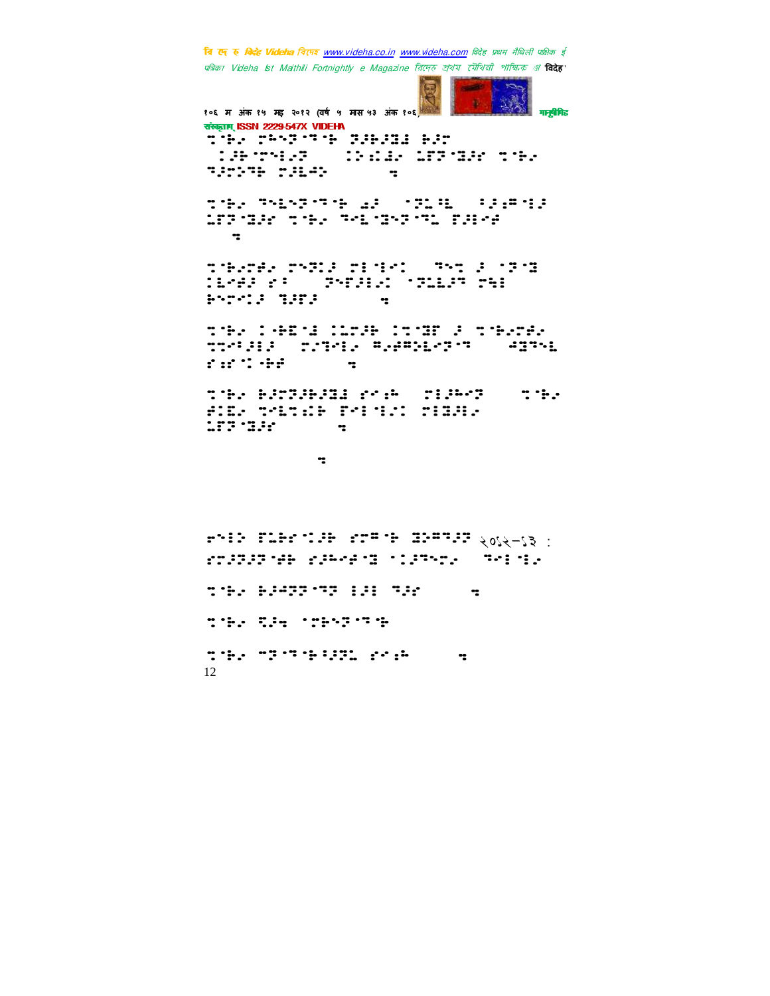चि एक रु मिन्हे Videha विएक www.videha.co.in www.videha.com विदेह प्रथम मैथिली पाक्षिक ई पत्रिका Videha Ist Maithili Fortnightly e Magazine রিদেহ প্রথম মৌথিনী পাক্ষিক রা **বিदेह**'

१०६ म अंक १५ मइ २०१२ (वष ५ मास ५३ अंक १०६) मानुषीिमह संस्कृतम् ISSN 2229-547X VIDEHA ⣉⢷⢴!⢳⢽⢹⢷!⢽⢼⢷⢼⣝⣜!⢷⢼!  $\begin{array}{ccc} \bullet\hspace{10pt} \bullet\hspace{10pt} \bullet\hspace{10pt} \bullet\hspace{10pt} \bullet\hspace{10pt} \bullet\hspace{10pt} \bullet\hspace{10pt} \bullet\hspace{10pt} \bullet\hspace{10pt} \bullet\hspace{10pt} \bullet\hspace{10pt} \bullet\hspace{10pt} \bullet\hspace{10pt} \bullet\hspace{10pt} \bullet\hspace{10pt} \bullet\hspace{10pt} \bullet\hspace{10pt} \bullet\hspace{10pt} \bullet\hspace{10pt} \bullet\hspace{10pt} \bullet\hspace{10pt} \bullet\$ ⢹⢼⢵⢹⢷!⢼⣇⢺⢵\*!!24⣒75&!!!!! ⣉⢷⢴!⢹⣇⢽⢹⢷!⣔⢼!#⢽⣅⢸⣇#)A⢼⣐⢻2⢼! ⣅/⢽⣝⢼!⣉⢷⢴!⢹⣇⣝⢽⢹⣅!/⢼2⢾\*!!  $22 \times 12$  $^{\prime\prime}$  . The state of the state of the state of the state of the state of the state of the state of the state of the state of the state of the state of the state of the state of the state of the state of the state of the  $\overline{1242221}$   $\overline{241221}$   $\overline{24221}$   $\overline{24221}$   $\overline{2422}$ BN:\*:: 185€ | 18 ⣉⢷⢴!B⢷⣏⣜!⣅⢼⢷!⣉⣝/!⢼!⣉⢷⢴⢾⢴! ⣉⣉A⢼2⢼.!1⣙2⢴!⢻⢴⢾⢻⢵⣇⢽⢹!)!⢺⣝⢹⣇! ⣐B⢷⢾\*!!22⣒47&!!!!! ⣉⢷⢴!⢷⢼⢽⢼⢷⢼⣝⣜!⣐⢳!#2⢼⢳⢽#!)⣉⢷⢴! ⢾⣏⢴!⣉⣇⣉⣐⢷!/221!2⣝⢼2⢴!  $\frac{1}{2}$   $\frac{1}{2}$   $\frac{1}{2}$   $\frac{1}{2}$   $\frac{1}{2}$   $\frac{1}{2}$   $\frac{1}{2}$   $\frac{1}{2}$   $\frac{1}{2}$   $\frac{1}{2}$   $\frac{1}{2}$   $\frac{1}{2}$   $\frac{1}{2}$   $\frac{1}{2}$   $\frac{1}{2}$   $\frac{1}{2}$   $\frac{1}{2}$   $\frac{1}{2}$   $\frac{1}{2}$   $\frac{1}{2}$   $\frac{1}{2}$   $\frac{1}{2}$  Puifs: 2002. r∿:} F1P:7.8 (7#78 2P#7.8 ¿0\$/-\$\$ ) ⢼⢽⢼⢽⢾⢷!⢼⢳⢾⣝!⢼⢹⢴-!⢹22⢴! ⣉⢷⢴!⢷⢼⢺⢽⢽⢹⢽!2⢼2!⢹⢼!!63⣒:5&!!!!!  $\mathbf{``\ddot{5}\mathbf{''}\qquad\mathbf{``\ddot{5}\cdots\qquad\mathbf{``\ddot{6}\cdots\ddots\ddots\ddots\ddots\text{''}}$  $\mathbf{r}$  . The property of the property of the property of the property of the property of the property of the property of the property of the property of the property of the property of the property of the property of the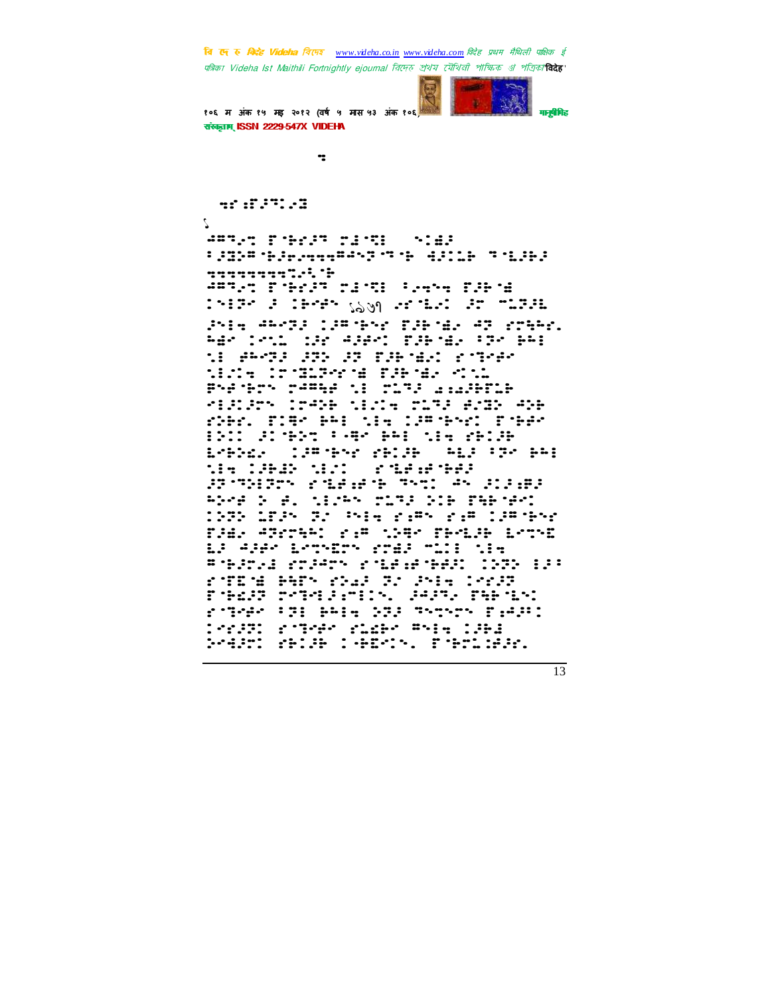वि एक रु क्रिटेड Videha विएम्ब www.videha.co.in www.videha.com विदेह प्रथम मैथिली पाक्षिक ई पत्रिका Videha Ist Maithili Fortnightly ejournal রিদেহ প্রথম মৌথিনী পাক্ষিক প্র পত্রিকা**বিदेह**'



१०६ म अंक १५ मइ २०१२ (वर्ष ५ मास ५३ अंक १०६) संस्कृतम् ISSN 2229-547X VIDEHA

 $\ddot{\cdot}$ 

4: : : : : : : : :  $\mathcal{L}_{\mathcal{L}}$ **ANTI-T POINT PAPEL**  $\ddotsc$ **THEFT FREE STATE** Inder a lenen <sub>1809</sub> vonbal ar mieab **Mig About 1980 Professor Company** We had the what the man was t: Aut: M. S. C. Min. Pres P.2 1201 - 2001 - 2002 - 2003 - 2003 - 200 HART COOR MAN CORRECT SORE TIME HAD SAN COMMENT TOWN ::= ++: :+::+ and the bai ishbar. **START PROFILER TO AN STREET** aper p e, the first pip for the Bibliography filestics. rich Hr chi z Pie Mich res reductiv. Whenes : THE CONSERVERS OF THE SERVERS OF THE SERVER OF THE SERVER OF THE SERVER OF THE SERVER OF THE SERVER OF THE S prest received the pretender.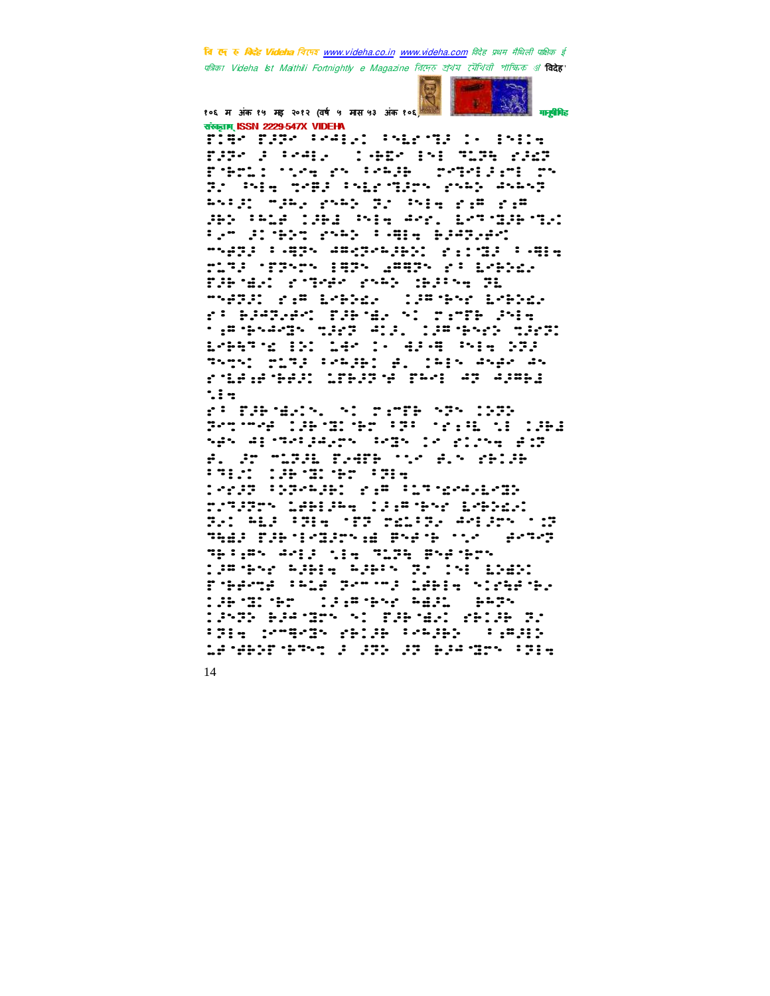बि एक रु क्विहे Videha विरफ्श www.videha.co.in www.videha.com बिरेह प्रथम मैथिली पाक्षिक ई पत्रिका Videha Ist Maithili Fortnightly e Magazine রিদেহ প্রথম মৌথিনী পাক্ষিক প্র' **বিदेह**'



१०६ म अंक १५ मइ २०१२ (वर्ष ५ मास ५३ अंक १०६) संस्कृतम् ISSN 2229-547X VIDEHA

nie nor bekinden is ben rem: ye r www revolution I: He will blanding poly and y WHIP THE PART IS MINTER PAR **2193 18945 1895 2007 2112032** madd fo beng, to her behav ri Bazar Thur y reth Ma 'Paragoth 1919 bears on the conduction of the state of the state of the state of the state of the state of the state of the s Then class cropp di jour andr an  $\ddotsc$ 

r: Margary, yourrents you come Porte Catcher (Professor Catcher se grocer extra consta 2008 - 2008 - 2008 - 2008 - 2008 - 2008 - 2008 - 2008 - 2008 - 2008 - 2008 - 2008 - 2008 - 2008 - 2008 - 2008  $57321$ **COST OSTORIE: SAM OLT MENALEMIE ............................ TAAL RID LATER ARE READY TO BE READY** mach and the mon premo-:Brev Week Werk 3: 15: 1500 rere martene dans vede a partira l <u> 1916 - 1920 - 1920 - 1930 - 1940 - 1940 - 1940 - 1940 - 1940 - 1940 - 1940 - 1940 - 1940 - 1940 - 1940 - 194</u> 1. 1990 - 1990 - 1990 - 1990 - 1990 - 1990 - 1990 - 1990 - 1990 - 1990 - 1990 - 1990 - 1990 - 1990 - 1990 - 1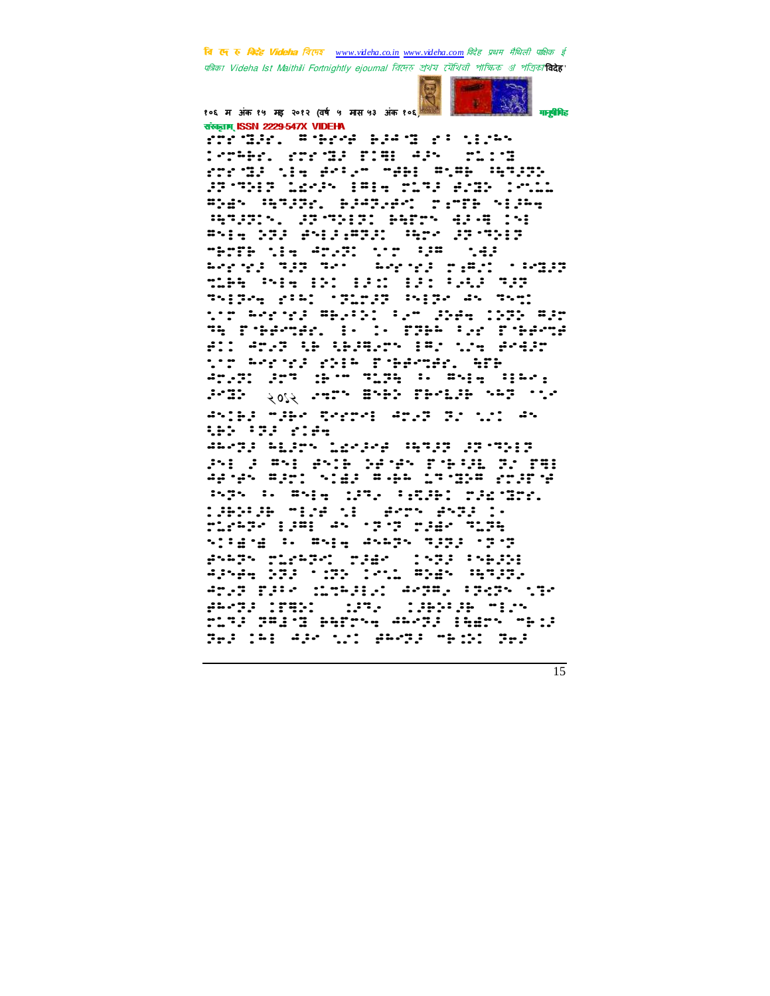बि एक रु *बिरोह Videha चिएक www.videha.co.in www.videha.com विदेह प्रथम मैथिली पाक्षिक ई* पत्रिका Videha Ist Maithili Fortnightly ejournal রিদেহ প্রথম মৌথিনী পাক্ষিক প্র পত্রিকা**বিदेह**'



१०६ म अंक १५ मइ २०१२ (वर्ष ५ मास ५३ अंक १०६) संस्कृतम् ISSN 2229-547X VIDEHA

men sem para n'ir rroll the Anter Mike Avas Anter sygt Griff, player: ring tilbe **89:00 10:00 20:00 20:00 20:00 20:00 20:00 20:00 20:00 20:00 20:00 20:00 20:00 20:00 20:00 20:00 20:00 20:00 20** TETE MA PREN VI PRO NE Week: 33 % Week: 54 Mai: 1923 tik biy il: 1:1 1:1 1:1 0 Third for Thru bird an Thr tre bere: Blitt : : : : : : : : : : : : : : : n regen : : : rp : : rege #:: #::: :& :&:#.r> :#: ::: #\*#: tr brens silb chermed ach 47.7: 27 27 320 320 320 420 3330 PORT ROSE POINT OFFICE THANKS THAT THE angeporter trond anyt to the an **WP :32 :184** and an extra constant and an extra constant of the constant of the constant of the constant of the constant of hij bij hie wyn dew pjeu genes mar: sig: mga 19732 2022 2 CHROB TOF SE (Pros PSP) De **THE READERS CONTROLLER** 

spera a sua suporgo reg Fragr cleage: clar **TARE ENERGY** 455 BBK 124862 44962 (BSB 136 88. The Company of Company of the Company of the Company of the Company of the Company of the Company of the C 70: 14: 4: 10: 80:00 -00: 00: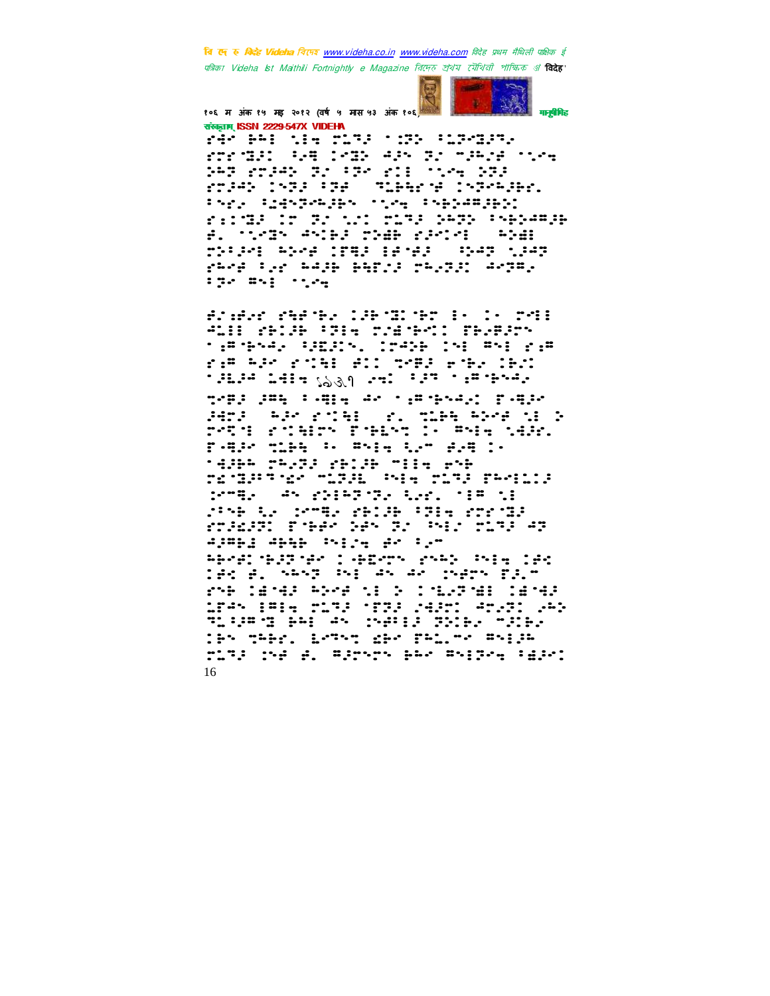बि एक रु क्विहे Videha विरफ्श www.videha.co.in www.videha.com बिरेह प्रथम मैथिली पाक्षिक ई पत्रिका Videha Ist Maithili Fortnightly e Magazine রিদেহ প্রথম মৌথিনী পাক্ষিক প্র' **বিदेह**'



१०६ म अंक १५ मइ २०१२ (वर्ष ५ मास ५३ अंक १०६ म संस्कृतम् ISSN 2229-547X VIDEHA

rrett in Most in 1980 and the South State 185 2210 12 152 222 122 132 :::::::::::::::::::::::::::::: tsp. OpenSchibs the Chapanial recomment to the committee state complete : 173 - 198 - 198 - 199 - 198 **73:30: 82:0 0000 10000 0000 0000** rang the aggs parts ranged angul age map steel

At An the B. 18 20 10 10 10 10 21 2011 2010 2010 - 2010 21 00.000 teres und. com comments ra be rig di ser se di tele lik saan en de terel. the pay copy and present form ana ar rom 'n mmarra'n r<br>Monten Park in mmarken **. .::: ::::: ::::: ::: ::: :::** mission will be made record prog. An electron. Leo rio ni 256 to problement on a ajong ang sela pa ta WHITE ISSUE THE STATE OF iere, spy bij es programming re dre ere d'altere deu <u>1946 (Ale Mini (Ale Giorni Arme Gio</u> **TEST EN 25 STORE TOOL TOOL** The Table Letter die Pallee Artik rit: nd d. Alman bar Anilys (d.):  $16$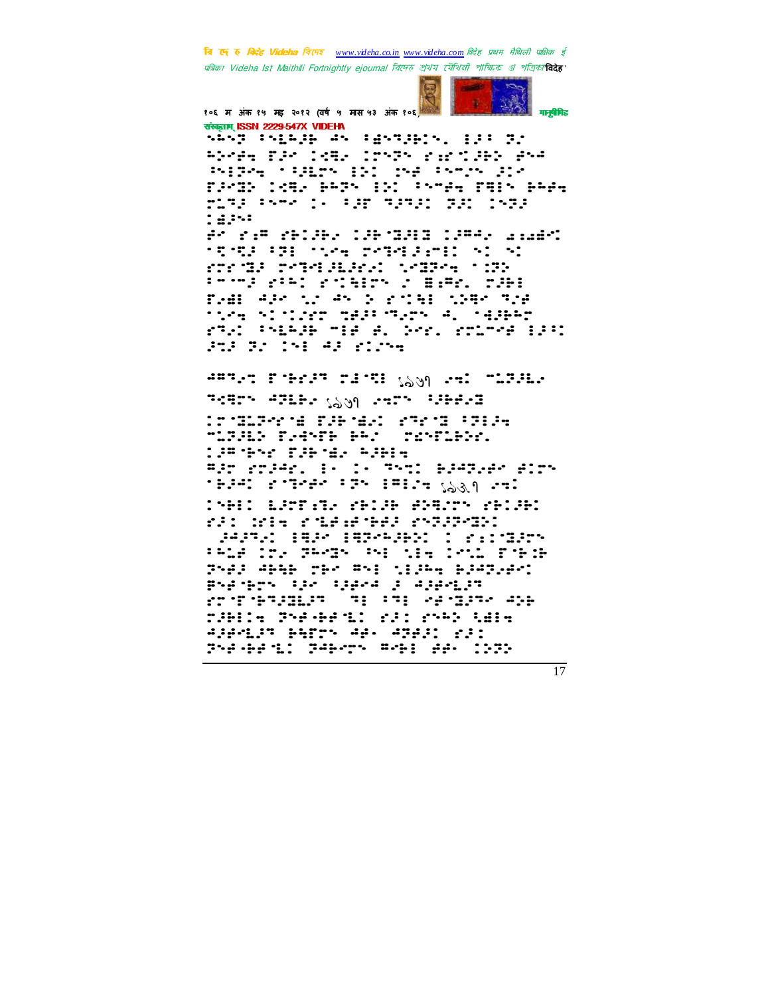वि एक रु क्रिटेड Videha विएम्ब www.videha.co.in www.videha.com विदेह प्रथम मैथिली पाक्षिक ई पत्रिका Videha Ist Maithili Fortnightly ejournal রিদেহ প্রথম মৌথিনী পাক্ষিক প্র পত্রিকা**বিदेह**'



१०६ म अंक १५ मइ २०१२ (वर्ष ५ मास ५३ अंक १०६) संस्कृतम् ISSN 2229-547X VIDEHA

ským polkur ao pasmurno 11: To Website the Control fortificate **Size Chrysler be Strawer** ring the coopy ngngi ng chua : d.:~: 

**STORY OR STAR PORTS ESTIMATES** rret: ret: 111:1 (111-4 111) :---: ::::::::::::::::::::::: De ek van base van de the Moder manifest alongame ST. MAR TRA LOCALIST **POST DE 191 42 2009** 

anter forest candidate contract nder aller Man ren Gebri rentikke. **TOP-B-P TOP-B. ADD:4** ng print : '' "'' binde i'm the response the serve was cel ::: :::: :::::::::::::::::::::: **BUSE ORDER STARRED I PERSONAL BASE OF THIS IN THE CONFIDENT** <u> 200 400 20 20 30 200 000 00</u> Preder Or Opera paperlin **PRODUCED 19 19 2000 22** THIS PESENT ON MAY WHE AGASAN BATTS AP, ATAGO SOO The Bill Depth Still Apple 202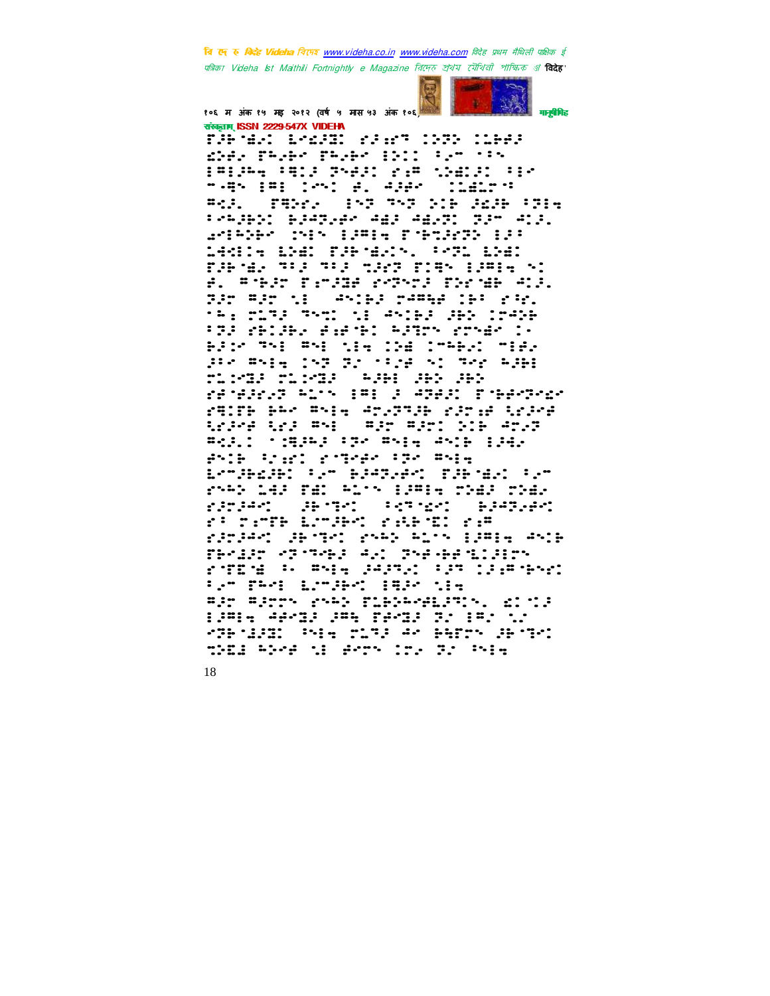बि एक रु क्विहे Videha विएक www.videha.co.in www.videha.com बिरेह प्रथम मैथिली पाक्षिक ई पत्रिका Videha Ist Maithili Fortnightly e Magazine রিদেত প্রথম মৌথিনী পাক্ষিক রা **বিदेह**'



१०६ म अंक १५ मइ २०१२ (वर्ष ५ मास ५३ अंक १०६) संस्कृतम् ISSN 2229-547X VIDEHA

chis Phobe Phobe (200  $\mathbb{R}^n$  and  $\mathbb{R}^n$ **#01. PROCE INT 707 216 1216 1714** :2011: 0021.02 003 00.20 22 0.3. *anthian chine issue in the case of the case of the case of the case of the case of the case of the case of the* 2. #16.00 P.000 C.C. C. C. C. M. C. 3: 8: 12 12 44: 12 7486 12 70. the ping news to getha day traye :3: second earth: Ador sride () 800 TH WH 10 CA COND. THE pro many tanta at the store when rist rist: which he Renambly and a space practice rache est anté drezoie fire trité tried tri #4: #15 #15: 316 #5.3 P:P CuC STPP OP BY: **PAS 100 MM ALIM 2000 PAD 1900 SIMPLE BOOK**  $\mathcal{L} \in \mathcal{L}$  ,  $\mathcal{L} \in \mathcal{L}$ . **. . . . . . . .** :::::Philosophy ::2012.00 SRAS BTC PRY WY URB ROB nein crowe an reading ring a mag pong tradition te part brief Sor the PRESENT MIR TITE AP BATTN SESTRI this word to dern in. To be min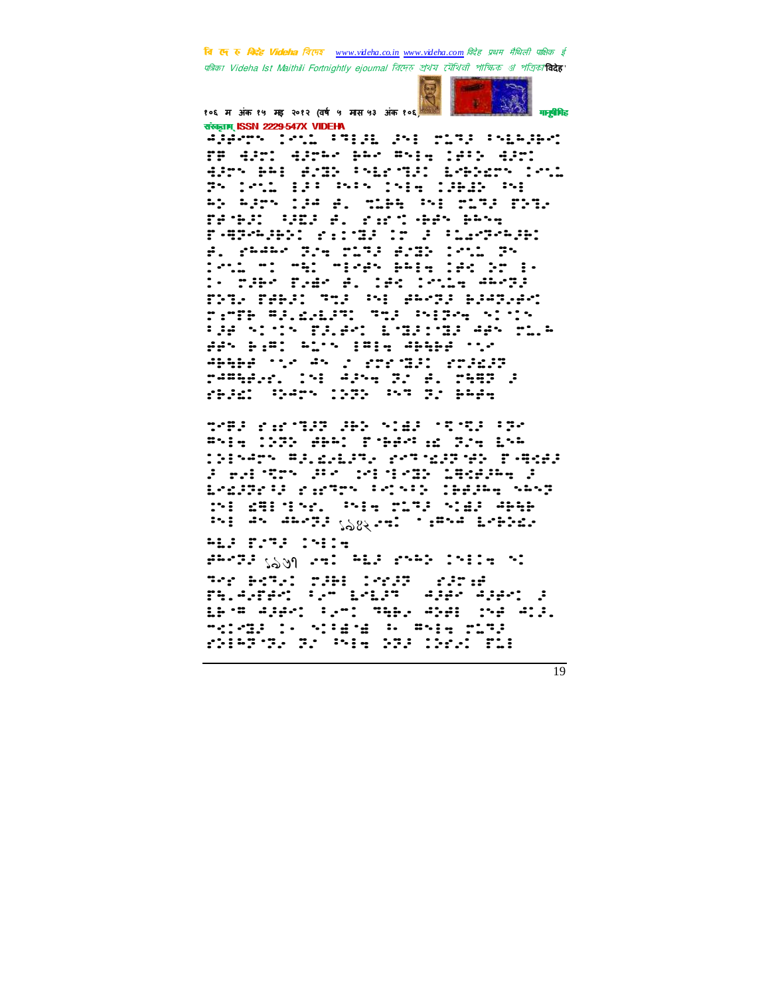वि एक रु क्रिटेड Videha विएम्ब www.videha.co.in www.videha.com विदेह प्रथम मैथिली पाक्षिक ई पत्रिका Videha Ist Maithili Fortnightly ejournal রিদেত প্রথম মৌথিনী পাক্ষিক রা পত্রিকা**'বিदेह**'

१०६ म अंक १५ मइ २०१२ (वर्ष ५ मास ५३ अंक १०६) संस्कृतम् ISSN 2229-547X VIDEHA



ahirn (r.1 :9:31 35: 213: :516,862 4:- 14: 4:5 : 4: 5: 5: 4: 4: 4 Boundary Bacher (Album) 1) 1:50 (200 - 11: 11: 11: 11: 11: 11: 8090 000 0 color: 000 **T.AR.A. (2002)** (2003) (2003) (2003) (2003) (2003) (2003) (2003) (2003) (2003) (2003) (2003) (2003) (2003) (20 2. SAARS 734 TITE 2003 1811 75 **Million Mail Minery Baig 190 Dr I-**reth maleling ng sing sids the side man bonder of the 88 F.M. W.S. 1814 ABBB 72 appe tradition and started r<sup>im</sup>ind. In gry 22 f. 2492 2 :8:20 0200 1272 000 72 8000

**THE CONTROL ON STAR TO THE STAR** ste Mo Ant Stad & Co Bo <u> Distrit Albert De Scholair an Beartai</u> *FastMon Brooklings Second* Brachett rafte (2000-1820-1842 **:: 20: 10: 000 : 2000 : 2000 : 2000** in: an abol: 1986-al (1954 Endire

ALS FINS INDE #F-7:<sub>1809</sub> .ml FLF rhF2 1h:1m hl nuand the body and and : 16' 410' 1.' The CH SA C. ndroga (\* 2014), svetsk pina<br>2014–1922 – Deta (1922–1922), pina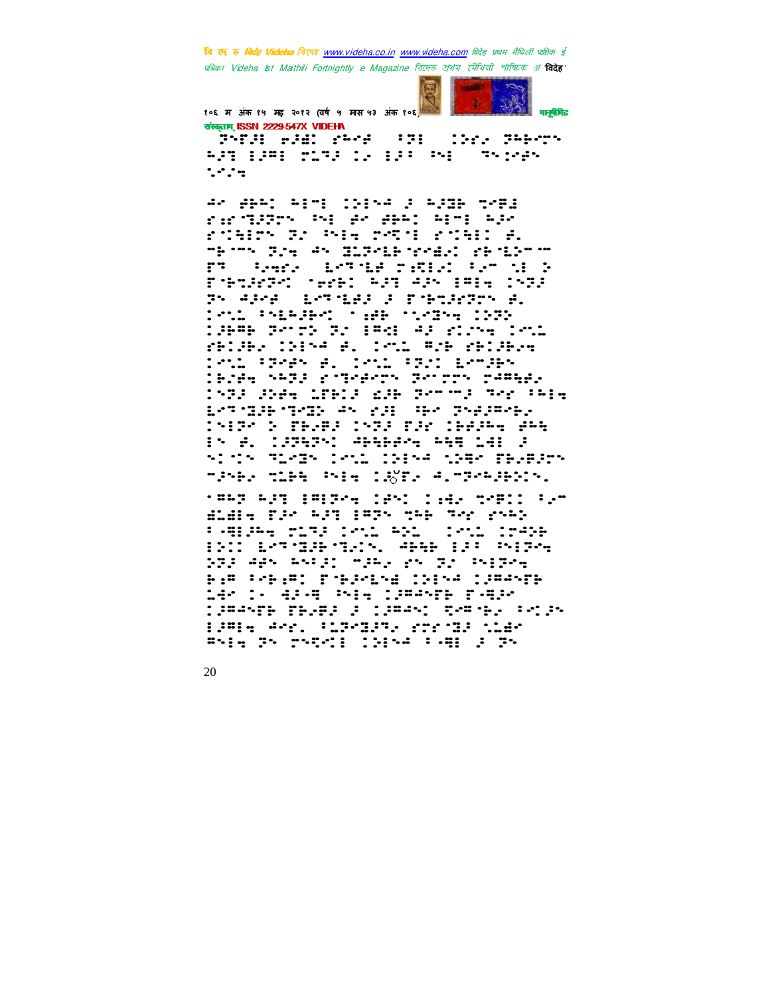बि एक रु क्विहे Videha विरफ्श www.videha.co.in www.videha.com बिरेह प्रथम मैथिली पाक्षिक ई पत्रिका Videha Ist Maithili Fortnightly e Magazine রিদেহ প্রথম মৌথিনী পাক্ষিক প্র' **বিदेह**'



१०६ म अंक १५ मइ २०१२ (वर्ष ५ मास ५३ अंक १०६) संस्कृतम् ISSN 2229-547X VIDEHA

199 1991 2172 12 191 141 74244  $\ddotsc$ 

ar gang nimi (2:54 : 6:16 mrd. formathy by prophet and also rian or ma reti rial d **Production** 1999 - 1999 - 1999 - 1999 - 1999 - 1999 - 1999 - 1999 - 1999 - 1999 - 1999 - 1999 - 1999 - 1999 - 1999 - 1999 rendri ed: 43 43 84, 192 r ge istig frensr g **Solute Constant Constant Constant Constant** 1988 Serb 31 1831 43 2125 1211 :BISB: 10:54 E. 1911 WOR :BISB.H GGe SP: robers pront pools <u> 190 De IBI 19 De 7 e 19 De 1</u> permanent av en de pvense. 7.87. ) The: 193 F.M 16204 24 SINS TROOP INL INDE NORTHLERS "Pris Time Miss We a Training

**: 49:244 2002 1000 1000 1000**  $\ddotsc$ pp ar bug ma, regioning p.m (20.m) populari (3:54 (3maspr **THATE TENT F LIGHT THATE, POINT** : 2014 2011 : 1919 : 1919 : 1919 : 192 **Brig Tr Tritici (2014 F.M. 201**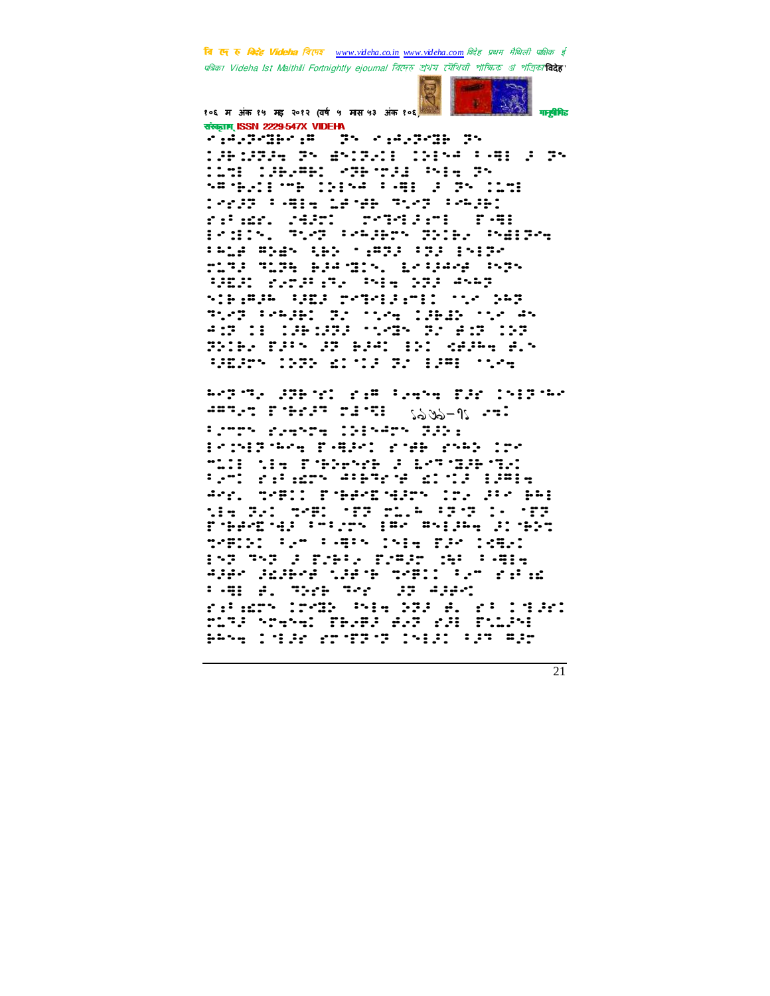वि एक रु क्रिटेड Videha विएम्ब www.videha.co.in www.videha.com विदेह प्रथम मैथिली पाक्षिक ई पत्रिका Videha Ist Maithili Fortnightly ejournal রিদেত প্রথম মৌথিনী পাক্ষিক রা পত্রিকা**'বিदेह**'



१०६ म अंक १५ मइ २०१२ (वर्ष ५ मास ५३ अंक १०६) संस्कृतम् ISSN 2229-547X VIDEHA **Respectively to Providence to** 191 136.861 200711 1414 74

**SACHE CONFIDENTIAL CONTROL** rian dhi ridhi ng Process and choose cooperations **2007 TOR BRANCH, BRANCH ROW BEAT READY TO BEAT 2018 AND** \*:::::::::::::::::::::::::::::: ty: Win to you lill your 70:00 TOON OR BOOM ON SOON BY **FOR THE CONFIDENTIAL CONFIDENCE** 

Word areas for the case of the control anter Porter rache (20-10 et) From catch Diter BB: Profines Fact file centic mill the Pobbergh 2 benomen met **Fund and an analyzing and an analyzing and analyzing and analyzing and analyzing and analyzing and analyzing** der sett federate in in die bat MACRIME MECHANIC HOMES rescent component anguar prepo tend for tank isle no idni 197 797 2 F2P2 T2827 3P F3814 age operatography transferred tare the second sec :800 000 000 000 000 0000 **TIME YOU'RE THING AND IN THE TIME BANG CHID STYPE CHIC FIR RID**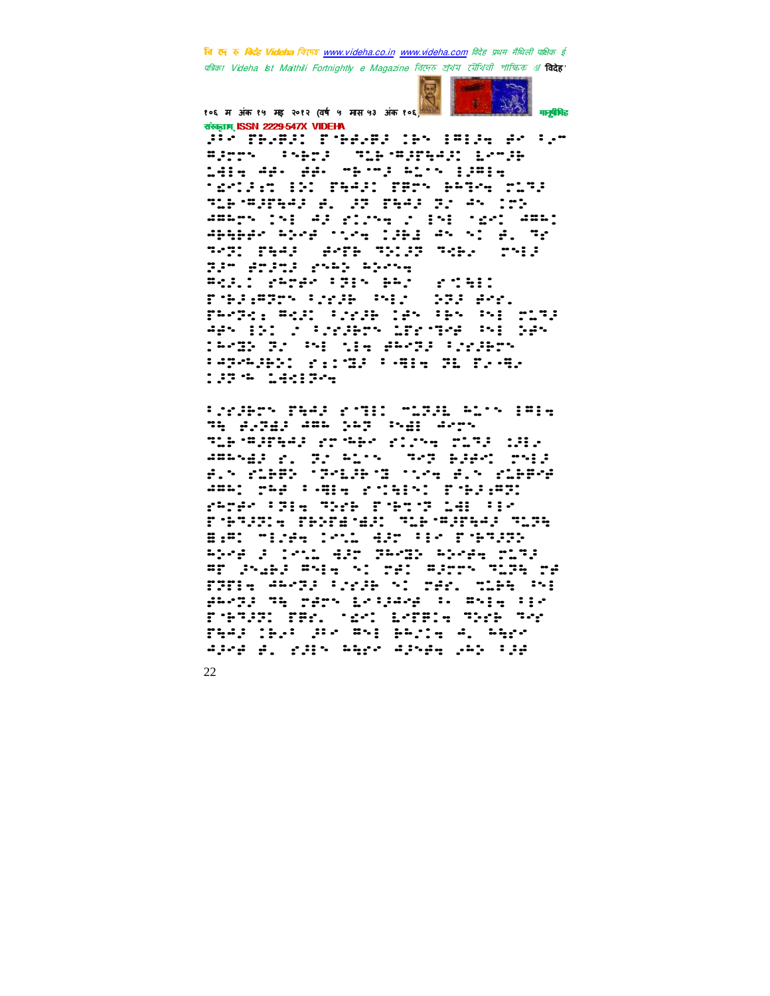बि एक रु क्विहे Videha विरफ्श www.videha.co.in www.videha.com बिरेह प्रथम मैथिली पाक्षिक ई पत्रिका Videha Ist Maithili Fortnightly e Magazine রিদেহ প্রথম মৌথিনী পাক্ষিক প্র' **বিदेह**'



१०६ म अंक १५ मइ २०१२ (वर्ष ५ मास ५३ अंक १०६) संस्कृतम् ISSN 2229-547X VIDEHA

professor fiber in the product **TLE 'ASTRAS' S. S. ST SRAS 3: AN 173** amagn (n: 43 cling 2 (n: 162 clin) apopular operation and constants of the state of the state of the state of the state of the state of the state **Allen** TP ATPS PAR ADPA **Well streetly: Base**  $\mathbf{r}$  :  $\mathbf{r}$ **POSSERS CREW BE** DIS And. proper be considered by the paper er Bl Steer Order bije **IGAR IS WE WAR AGAIN STARTS** 1377 LesiPre

ng papal ana pap ban aapa The Support of the Company of the South of the South of the South State of the South State of the South State **ABANGO 2. TA ALIX (PAT BOAK 2500** and pap : 414 (2015) F921871 range : 3:4 3:4 2 2 2 3 4:4 1:4 B.P. Mich Coll AR AP Pragge word i bel dir Twel word rith #p graff #rig r: net #grnr 9196 ne **PPD: 46.70: 1.010 50 720 700 700 700** post most bible a might That that He Wat baste 4, wher 404 A. MIS Abr Ange Ab (B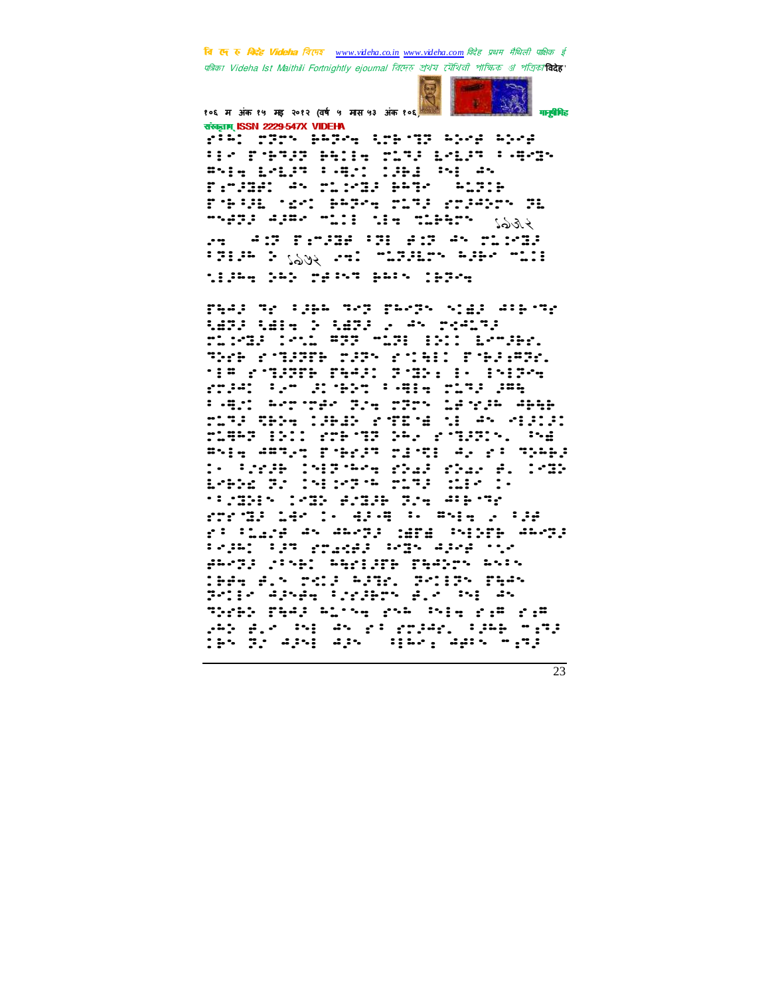वि एक रु क्रिटेड Videha विएम्ब www.videha.co.in www.videha.com विदेह प्रथम मैथिली पाक्षिक ई पत्रिका Videha Ist Maithili Fortnightly ejournal রিদেহ প্রথম মৌথিনী পাক্ষিক প্র পত্রিকা**বিदेह**'



१०६ म अंक १५ मइ २०१२ (वर्ष ५ मास ५३ अंक १०६) संस्कृतम् ISSN 2229-547X VIDEHA rig 1714 balge tibili aleb aleb

He park buil nik bus caer 84: 1020 - 1021 - 111 - 112 - 11 reum de Bare mon court ou FRANCIS SINGLE SERVICE SOF **THIS FIGOR PED TIRETY RIPS TILE** tica, pap recentains term,

pad ne tima nep paeps sjil diasne 187: 1814 : 187: 2 45 24172 .............................. "... ....... .... ... .... ...... **10 21000 PHILET 2000 1-11000** :530 125 2000 13014 5273 386 **: 4: 6: 7: 7: 7: 7: 4: 5: 6: 7: 4:** rin: Min : Min : Tind : Ar (100) stie ante poblet ploi al l'orte l, brith (nichtare fleb fless A. 1981) PRESS DEPT ER ER \*\*\*\*\*\*\*\*\*\*\*\*\*\*\*\*\*\*\*\*\*\*\*\*\*\*\*\*\*\*\*\* rrat de l'algun para l'A pagan persengan pada ang sak part: :: ve: agricor capri as: v :A: A: M: M: M: M: M: M pric Advay Criggy alr (ng Ay THIS MAY WANTER OF THE SERIES OF THE SERIES OF THE SERIES OF THE SERIES OF THE SERIES OF THE SERIES OF THE SERIES OF THE SERIES OF THE SERIES OF THE SERIES OF THE SERIES OF THE SERIES OF THE SERIES OF THE SERIES OF THE SER and a most promotom the iki bi ang ang dinagapanang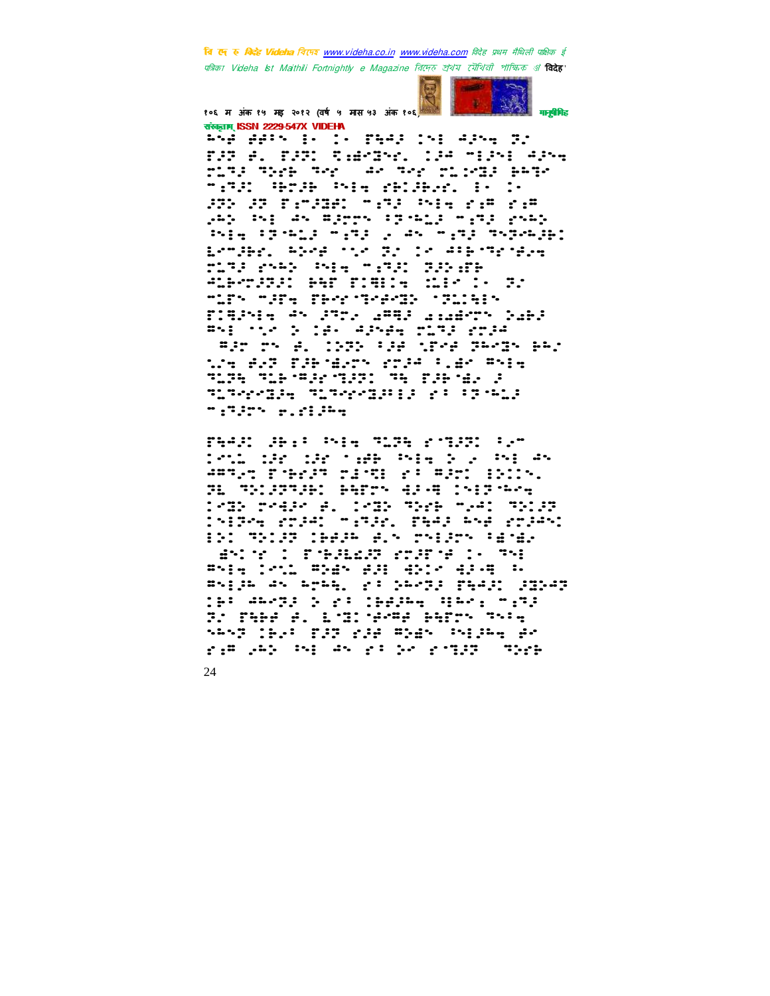बि एक रु क्विहे Videha विरफ्श www.videha.co.in www.videha.com बिरेह प्रथम मैथिली पाक्षिक ई पत्रिका Videha Ist Maithili Fortnightly e Magazine রিদেহ প্রথম মৌথিনী পাক্ষিক প্র' **বিदेह**'



१०६ म अंक १५ मइ २०१२ (वर्ष ५ मास ५३ अंक १०६) संस्कृतम् ISSN 2229-547X VIDEHA

<u> 60 pro : ( : pp: 10 pro :</u> TJP F. TJP: SakInd. 134 MINE 434 .98 958 59.000.000 st s friss mit was seeded an bi e gur greifein an be big crowledge and sproker inthe Abd to I I authoring **2007: 2008: 2014: 2016: 2016: 2016**  $\mathbb{R}^*$ name & Mr. 29: 112 mins til Bind the Solel Advertiser color s: red : ::: :: :: ::: ::: per th AS CRNAM STA Lar By:4 tingeria tingginis proposi ":";"" p.fl;"g

<u> 2000: 2000 : 2000 : 2000 : 2000 : 20</u> risk og de tær big ble big et **ARTIST TO STATE AND ARTISTS ARTISTS.** | 1:50 crist - 21: 250 crist (2011) Stri : Premier contre la tal **Sting Intia Web 221 222 223 22** sygn av byng at poss sand goos 3: PAR 2: 1:3: 202 ART 7:4, sasp jelt pjp fje myes (sijng er re av more reconstant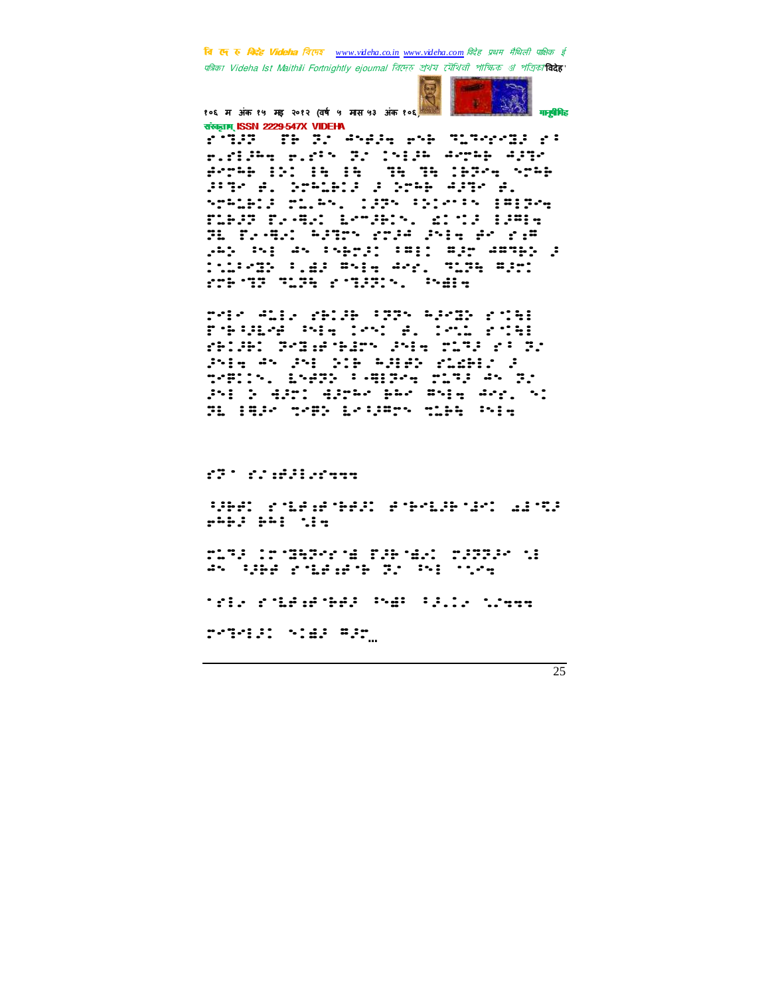वि ए रु क्रिडे Videha विएक www.videha.co.in www.videha.com विदेह प्रथम मैथिली पाक्षिक ई पत्रिका Videha Ist Maithili Fortnightly ejournal রিদেহ শ্রথম মৌথিনী পাক্ষিক প্র পত্রিকা**বিदेह**'



१०६ म अंक १५ मइ २०१२ (वर्ष ५ मास ५३ अंक १०६) संस्कृतम् ISSN 2229-547X VIDEHA

fin na fawig en Torra r.djer r.ds 32 25je egen ejn forth 10: 15 15 75 76 1670s noth<br>JPP6 f. Gottleid J Gott Alpo f. **STAGEDS TO.AS. 1375 FRICTS INITS.** nes not prent dins per n n.e. 185 km kil bis P di pay be as there can agr aange p hird wa Wi wh the Wi 

PAURA MAJON E. COL POW MORD POINTER PH TOUR CO pig an philipp and change of thus but conserved a to Pri 2 Alt: Altho Pho Anig Ang, n: H. HER TARY ESTERN TING INTE

:T' :::AH.:ree *<u>rib: bi: :::</u>* ring trympers fundat funde ti as upprediction to be the **TED PRESENTED PER PRINT TO THE SERVICE PATABLE STAR RID**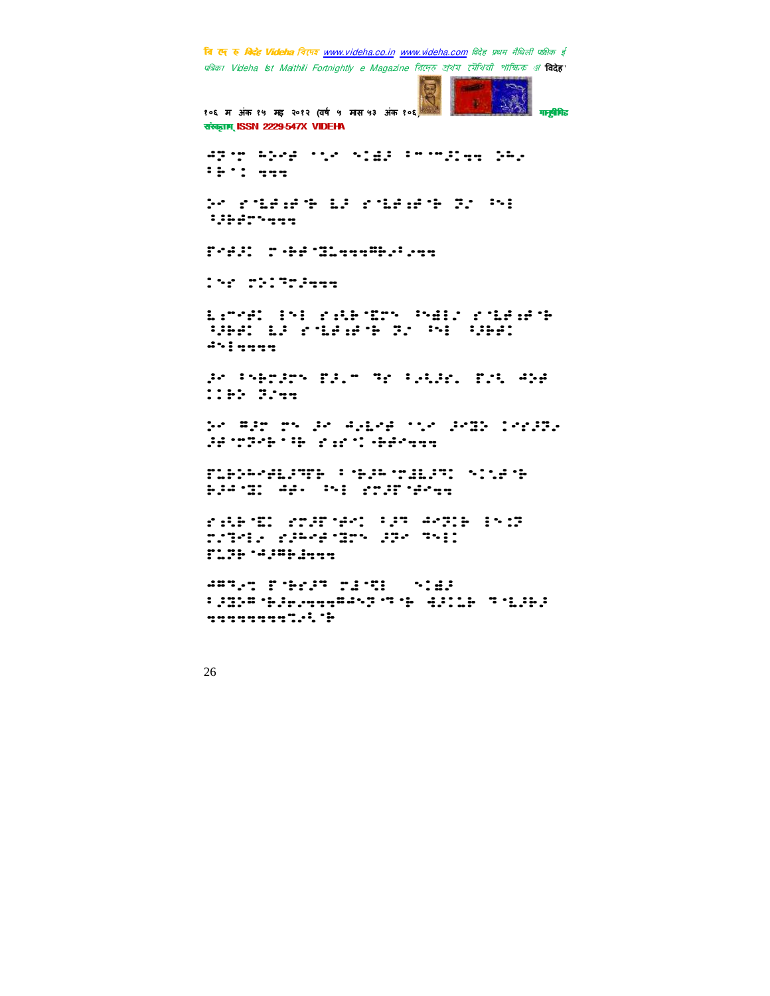चि एक रु मिन्हे Videha विएक www.videha.co.in www.videha.com विदेह प्रथम मैथिली पाक्षिक ई पत्रिका Videha Ist Maithili Fortnightly e Magazine রিদেহ প্রথম মৌথিনী পাক্ষিক রা **বিदेह**' १०६ म अंक १५ मइ २०१२ (वष ५ मास ५३ अंक १०६) मानुषीिमह संस्कृतम् ISSN 2229-547X VIDEHA ⢺⢽!⢳⢵⢾!⣁!⣞⢼!Abb⢼⣒⣒!⢵⢳⢴! A⢷⣈!⣒⣒⣒! ⢵!⣇⢾⣐⢾⢷!⣇⢼!⣇⢾⣐⢾⢷!⢽1!⢸2! ⢸⢼⢷⢾⣒⣒⣒! /⢾⢼!B⢷⢾⣝⣅⣒⣒⣒⢻⢷⢴A⢴⣒⣒! !⢵⢹⢼⣒⣒⣒! ⣇⣐b⢾!22!⣐⣃⢷⣏!⢸⣞21!⣇⢾⣐⢾⢷! ⢸⢼⢷⢾!⣇⢼!⣇⢾⣐⢾⢷!⢽1!⢸2!⢸⢼⢷⢾! ⢺2⣒⣒⣒⣒!  $P$  and  $P$  and  $P$  and  $P$  and  $P$  and  $P$  and  $P$  and  $P$ **∷∷∷ ∷…**  $\blacksquare$ ⢼⢾⢽⢷⢸⢷!⣐B⢷⢾⣒⣒⣒! /⣅⢷⢵⢳⢾⣇⢼⢹/⢷!A⢷⢼⢳⣜⣇⢼⢹!⣁⢾⢷! ⢷⢼⢺⣝!⢺⢾c!⢸2!⢼/⢾⣒⣒! /0.000  $\pm$ 1⣙2⢴!⢼⢳⢾⣝!⢼⢽!⢹2! /⣅⢽⢷⢺⢼⢻⢷⣜⣒⣒⣒! ⢺⢻⢹⢴⣉!/⢷⢼⢹!⣜⣋2.!⣞⢼! A⢼⣝⢵⢻⢷⢼⢶⢴⣒⣒⣒⢻⢺⢽⢹⢷!⣚⢼⣅⢷!⢹⣇⢼⢷⢼! ₩₩₩₩₩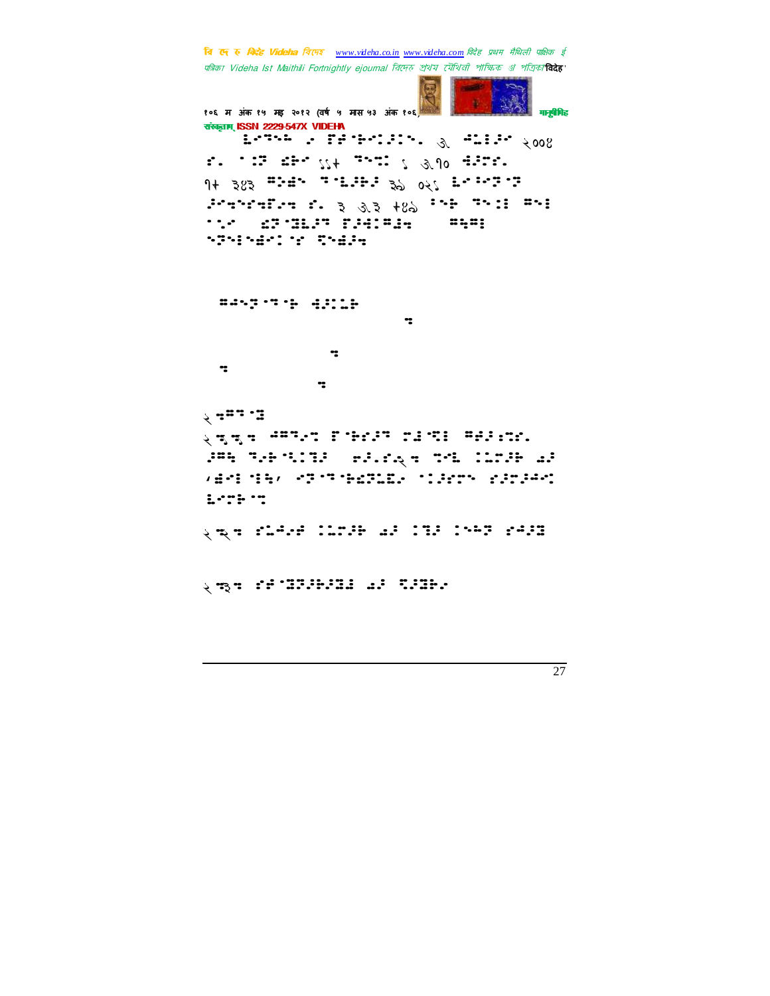**त्रि एन रु क्रिटेह Videha** विएम्ब \_www.videha.co.in\_www.videha.com विदेह प्रथम मैथिली पाक्षिक ई पत्रिका Videha Ist Maithili Fortnightly ejournal রিদেত প্রথম মৌথিলী পাক্ষিক প্র পত্রিকা**'বিदेह**'

१०६ म अंक १५ मइ २०१२ (वष ५ मास ५३ अंक १०६) मानुषीिमह संस्कृतम् ISSN 2229-547X VIDEHA !)!⣇⢹⢳!⢴!/⢾⢷⢼E! ⢺⣅2⢼!--  $\mathbf{f}$ .  $\mathbf{f}$   $\mathbf{f}$   $\mathbf{f}$   $\mathbf{f}$   $\mathbf{f}$   $\mathbf{f}$   $\mathbf{f}$   $\mathbf{f}$   $\mathbf{f}$   $\mathbf{f}$   $\mathbf{f}$   $\mathbf{f}$   $\mathbf{f}$   $\mathbf{f}$   $\mathbf{f}$   $\mathbf{f}$   $\mathbf{f}$   $\mathbf{f}$   $\mathbf{f}$   $\mathbf{f}$   $\mathbf{f}$   $\mathbf{f}$   $\mathbf{f}$   $\mathbf$  ⢻⢵⣞!⢹⣇⢼⢷⢼! - ⣇⢸⢽⢽! ⢼⣒⣒/⢴⣒!E!  A⢷!⢹⣈2!⢻2! ⣁<!⣎⢽⣝⣇⢼⢹!/⢼⣚⢻⣜⣒!.!⢻⣓⢻2! ⢽2⣞!⣋⣞⢼⣒!\*!  $\blacksquare$ hekawiefiburiet bis die besteht datum die besteht die besteht die besteht die besteht die besteht die besteht<br>Awjefiburiet bis die besteht die besteht die besteht die besteht die besteht die besteht die besteht die beste ius in termine and the control of the control of the control of the control of the control of the control of t<br>The control of the control of the control of the control of the control of the control of the control of the c idad ay ah ay ah ay ah ay ah ay ah ay ah ay ah ay ah ay ah ay ah ay ah ay ah ay ah ay ah ay ah ay ah ay ah ay <br>Isaac ah ay ah ay ah ay ah ay ah ay ah ay ah ay ah ay ah ay ah ay ah ay ah ay ah ay ah ay ah ay ah ay ah ay ah quatrum in the second control of the second control of the second control of the second control of the second <br>The second control of the second control of the second control of the second control of the second control of ⣒⢻⢹⣝! ⣒⣒⣒!⢺⢻⢹⢴⣉!/⢷⢼⢹!⣜⣋2.⢻⢾⢼⣐⣉E!  $\overline{H}$  . The still  $\overline{H}$  is the still  $\overline{H}$ **'**⣞22⣓**'**.⢽⢹⢷⣎⢽⣅⣏⢴!⢼!⢼⢼⢺! ⣇⢷⣉! ⣒⣒!⣅⢺⢴⢾!⣅⢼⢷!⣔⢼.⣙⢼.⢳⢽!⢺⢼⣝@! ⣒⣒!⢾⣝⢽⢼⢷⢼⣝⣜!⣔⢼.⣋⢼⣝⢷⢴!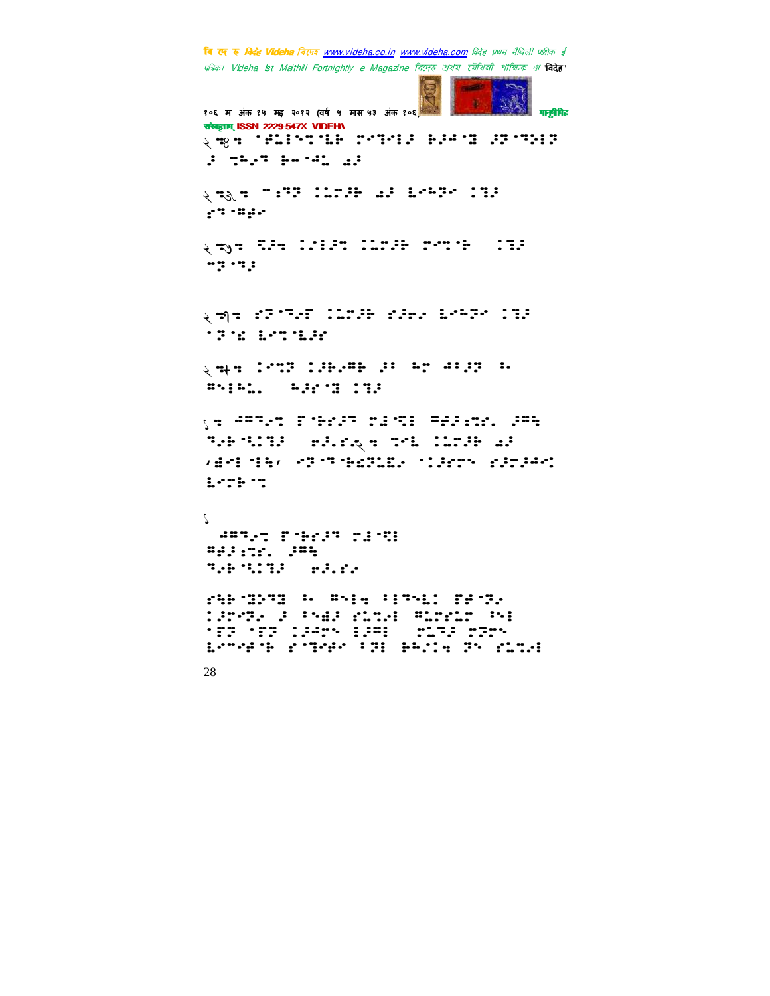चि एक रु मिन्हे Videha विएक www.videha.co.in www.videha.com विदेह प्रथम मैथिली पाक्षिक ई पत्रिका Videha Ist Maithili Fortnightly e Magazine রিদেহ প্রথম মৌথিনী পাক্ষিক রা **বিदेह**' १०६ म अंक १५ मइ २०१२ (वष ५ मास ५३ अंक १०६) मानुषीिमह संस्कृतम् ISSN 2229-547X VIDEHA  $_{\xi}$ gg 'flittik rini ifini 20'til ⢼!⣉⢳⢴⢹!⢷⢲⢺⣅!⣔⢼! ⣒⣒!b⣐⢹⢽!⣅⢼⢷!⣔⢼.⣇⢳⢽.⣙⢼. ⢹⢻⢾!  $_{\xi}$ gy: 53: 113: 112 112 112 112 1 b⢽⢹⢼! ⣒⣒!⢽⢹⢴/!⣅⢼⢷!⢼⢶⢴.⣇⢳⢽!⣙⢼. ⢽⣎!⣇⣉⣇⢼! ⣒⣒!⣉⢽!⢼⢷⢴⢻⢷.⢼A!⢳!⢺A⢼⢽!⢸c!  $x^2$   $x^2$ ⣒!⢺⢻⢹⢴⣉!/⢷⢼⢹!⣜⣋2.⢻⢾⢼⣐⣉E!⢼⢻⣓. ⢹⢴⢷⣃⣙⢼.!⢶⢼E⢴⣒!⣉⣇!⣅⢼⢷!⣔⢼! **'**⣞22⣓**'**.⢽⢹⢷⣎⢽⣅⣏⢴!⢼!⢼⢼⢺! ⣇⢷⣉!  $\mathcal{L}$ !⢺⢻⢹⢴⣉!/⢷⢼⢹!⣜⣋2! ⢻⢾⢼⣐⣉E!⢼⢻⣓!! ⢹⢴⢷⣃⣙⢼.!⢶⢼E⢴!

⣓⢷⣝⢵⢹⣝!⢸c!⢻2⣒!A2⢹⣇!/⢾⢽⢴! ⢼⢽⢴!⢼!A⣞⢼!⣅⣉⢴2!⢻⣅⣅!⢸2! /⢽./⢽!⢼⢺!2⢼⢻2-!⣅⢹⢼!⢽! ⣇b⢾⢷!⣙⢾!A⢽2!⢷⢳1⣒!⢽!⣅⣉⢴2!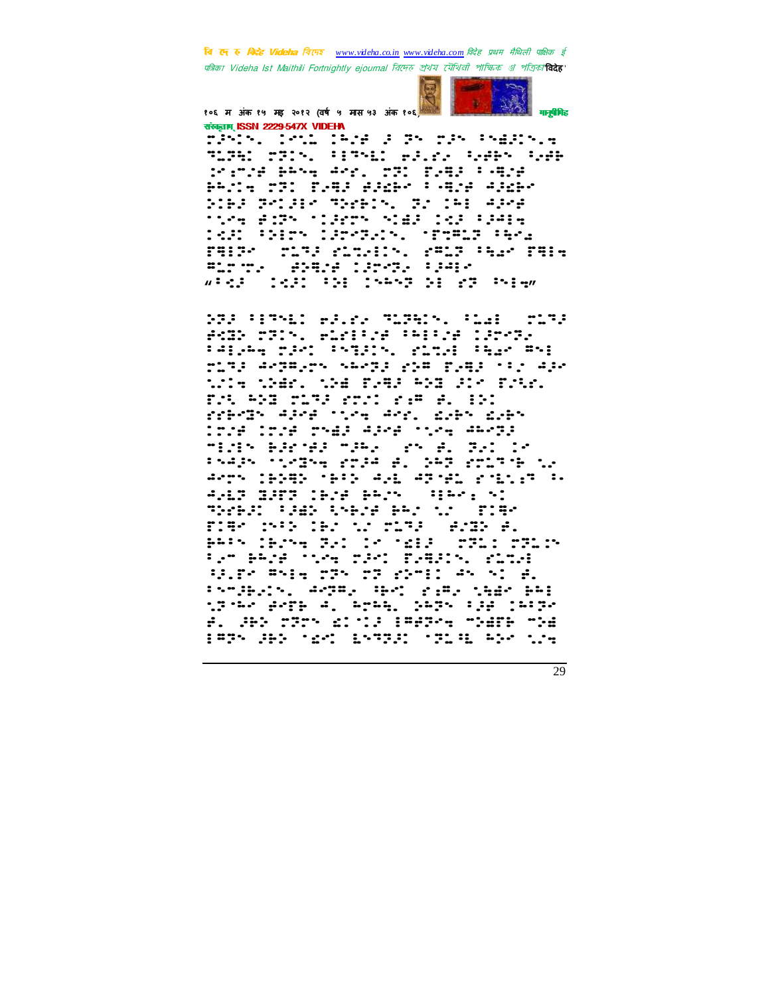बि एक रु मिन्हें Videha विरमर www.videha.co.in www.videha.com विदेह प्रथम मैथिली पाक्षिक ई पत्रिका Videha Ist Maithili Fortnightly ejournal রিদেহ প্রথম মৌথিনী পাক্ষিক প্রা পত্রিকা**'বিदेह**'



१०६ म अंक १५ मइ २०१२ (वर्ष ५ मास ५३ अंक १०६) संस्कृतम् ISSN 2229-547X VIDEHA

rhin. Crim Care a thorach (nearch) T.T. .T. .T. .T. ... ... ... ... **Protection and the control** tre eds tiers sig to bele <u> 100 : 100 : 100 : 100 : 100 : 100 : 100 : 100 : 100 : 100 : 100 : 100 : 100 : 100 : 100 : 100 : 100 : 100 : 1</u> FAIRY STAR STARTS, SALE PER FAIR widd 102 MH 15452 H 22 Miss

**172 ::"\LI el.r. "LTH". :L.1**  $7173$ 800 TD. SANTA DOLLAR Wile, nPC PSIC, Mod Har #51 <u> 1998 - 1999 - 1999 - 1999 - 1999 - 1999 - 1999 - 1999 - 1999 - 1999 - 1999 - 1999 - 1999 - 1999 - 1999 - 199</u> **P.A. 453 2133 221 212 2131** rradik Aled ting Anr. 2.Ax 2.Ax and thid ryd: Aled ties Aberg model and the change of the state  $\cdot$   $\cdot$ 15425 112254 2224 A. 242 222 22316 1. 4000 1928 1912 421 45181 211125 1. AAS BUS GOD BOY HARE'S The West the Proof of Time Pun BATA (194 MBC) PURCH SCHOOL BELEK ANEW 23N 23N COMES AN NO BL Product ago, are resolute pa graders (and the second control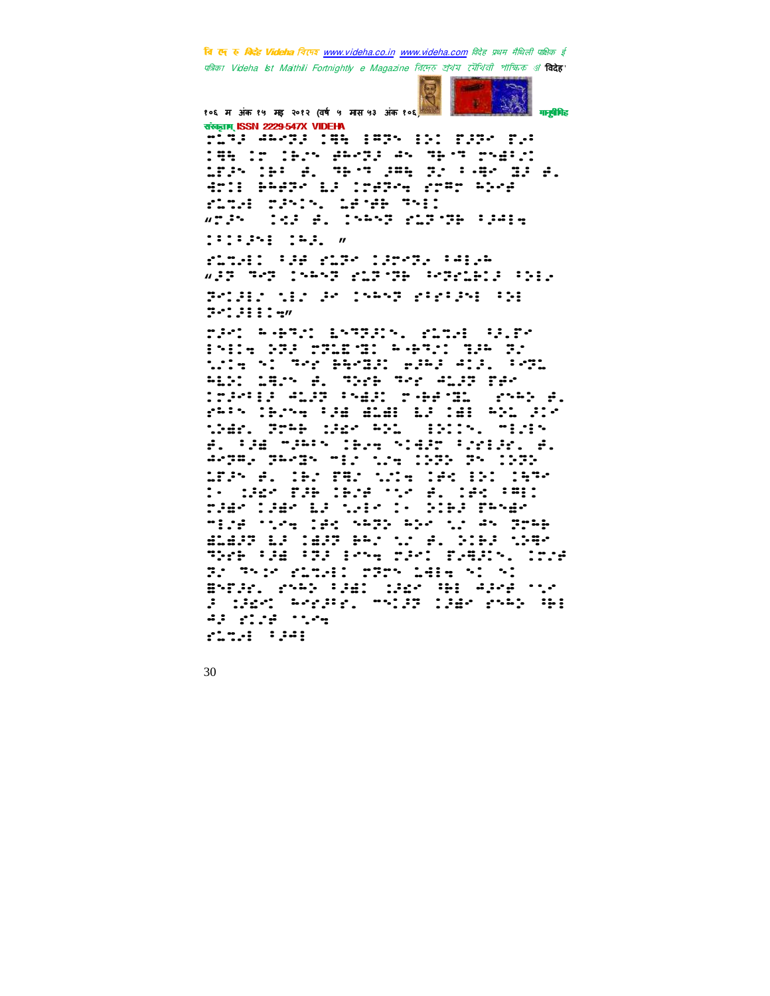बि एक रु क्रिके Videha विरफ्श www.videha.co.in www.videha.com बिरेह प्रथम मैथिली पाक्षिक ई पत्रिका Videha Ist Maithili Fortnightly e Magazine রিদেত প্রথম মৌথিনী পাক্ষিক রা **বিदेह**'



१०६ म अंक १५ मइ २०१२ (वर्ष ५ मास ५३ अंक १०६) संस्कृतम् ISSN 2229-547X VIDEHA

4211 ALAM 11 1220 2220 2220 102 KOR SHIN WAR THI  $\mathbf{W}^{\bullet\bullet}_{\bullet\bullet}(\mathbf{X}^{\bullet\bullet}_{\bullet\bullet},\mathbf{Y}^{\bullet\bullet}_{\bullet\bullet},\mathbf{Y}^{\bullet\bullet}_{\bullet\bullet},\mathbf{Y}^{\bullet\bullet}_{\bullet\bullet},\mathbf{Y}^{\bullet\bullet}_{\bullet\bullet},\mathbf{Y}^{\bullet\bullet}_{\bullet\bullet},\mathbf{Y}^{\bullet\bullet}_{\bullet\bullet},\mathbf{Y}^{\bullet\bullet}_{\bullet\bullet},\mathbf{Y}^{\bullet\bullet}_{\bullet\bullet},\mathbf{Y}^{\bullet\bullet}_{\bullet\bullet},\mathbf{Y}^{\bullet\bullet}_{\bullet\bullet},\mathbf{Y}^{\bullet\bullet}_{\bullet\bullet$ **PERSONAL PRODUCTS** 

:19.00 : 00 :17 :00 :19 : 00 :00 was not them control booking the Tellio the le camar pipilar in  $7:1:1:2$ 

We your ment we have the 1111 - 1211 - 1222 - 1223 - 1224 - 1225 - 1226 - 1227 - 1227 - 1227 - 1227 - 1227 - 1227 - 1227 - 1227 - 1227 **TAGGIO ANDI PARTI PARTIES** .∵∴∹ ÷. :1: :1:5: :1: :1: :1: :1: :1: :1: :1: **124: 3722 122 221 SERIE SERIES** f. Ha maar dee roep boede. F. 822, 2025 - 11 - 11 - 120 - 110 - 110 1996 - 1997 - 1998 - 1999 - 1999 - 1999 - 1999 - 1999 - 1999 - 1999 - 1999 - 1999 - 1999 - 1999 - 1999 - 1999 THE CHECK WIRE CONTROL misi ning lai sagi ain is as grap #1#77 1: 1#77 147 127 128 128 128 THE WEST PRESS TO THE STATE Roman Mid: MM 188 SC S BYT:: :4: :;#: :;#' :#: 4:48 \*.\* J 185 Welk. "TH 186 PWD W 43 SLOB 1505 find West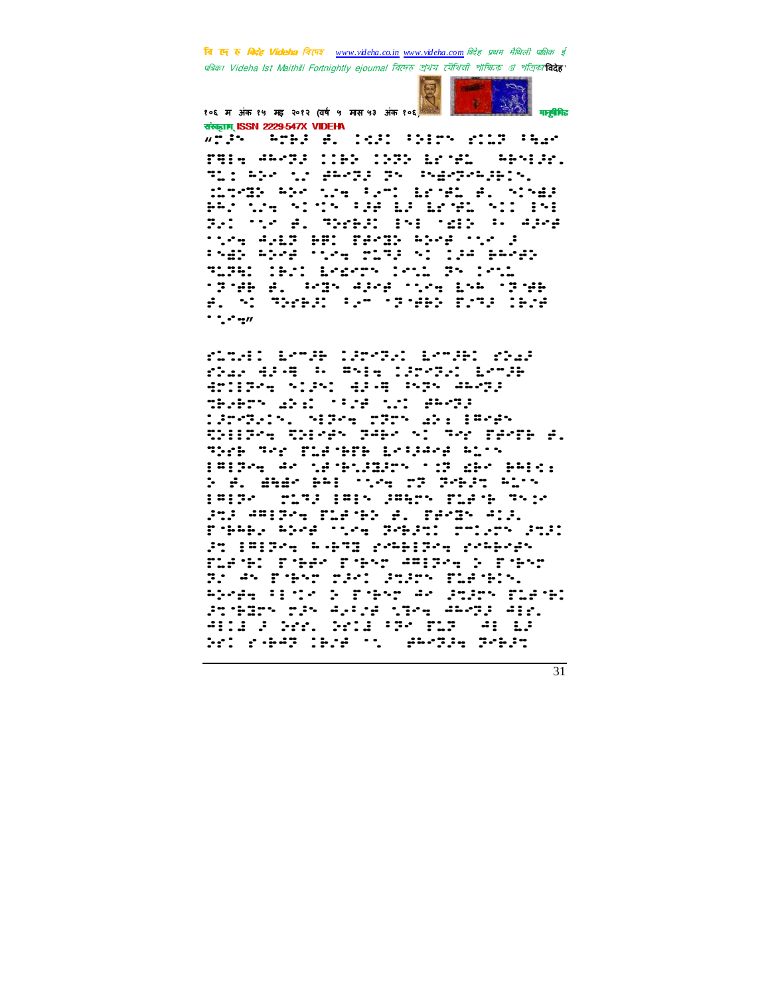वि एक रु क्रिटेड Videha विएम्ब www.videha.co.in www.videha.com विदेह प्रथम मैथिली पाक्षिक ई पत्रिका Videha Ist Maithili Fortnightly ejournal রিদেহ প্রথম মৌথিনী পাক্ষিক প্রা পত্রিকা**'বিदेह**'



१०६ म अंक १५ मइ २०१२ (वर्ष ५ मास ५३ अंक १०६) संस्कृतम् ISSN 2229-547X VIDEHA

Schrauber (1911-1915) (1920)  $\mathbf{v} = \mathbf{v}$ **Sand Service** tic We to Awd: The Martining. down be the bet brow A. Stap BROOK SOME HE LE LOCK SO ISE ti ya Manda iyo wa kati wa .... ... ... ... .... .... ... . **TAR AND YOU TILE AT THE BADY** tite der bert den 35 den 1718 A. RIN 434 114 124 1718 A. M. DARI LA TARRITI DA  $\cdot$  ,  $\cdot$  -  $\cdot$ 

ring: crip (crip; crip; cod) that give a same corror brook 800000 SIN 8000 BOS ALCO their did 'the worldwyp lindist vilde nlng de iAde third the paper to be recreat. The Second Book of Society Side pape, an tengthorn of den bapt. t A dhar bhi 'ire n? ?rbjn bl'y ana Apidem plenes e, peeds Ala.<br>Premes moee noem debant prisps anat st imited bening readined readers nst for the fiber angely to the n e retrand ma mató Week Bitch & Poke Ar Stor Public Prober of Asid the Awde Ald. 4:11 : 100 100 100 100 100 100 100 W: PART ORP 71 APPORTUNE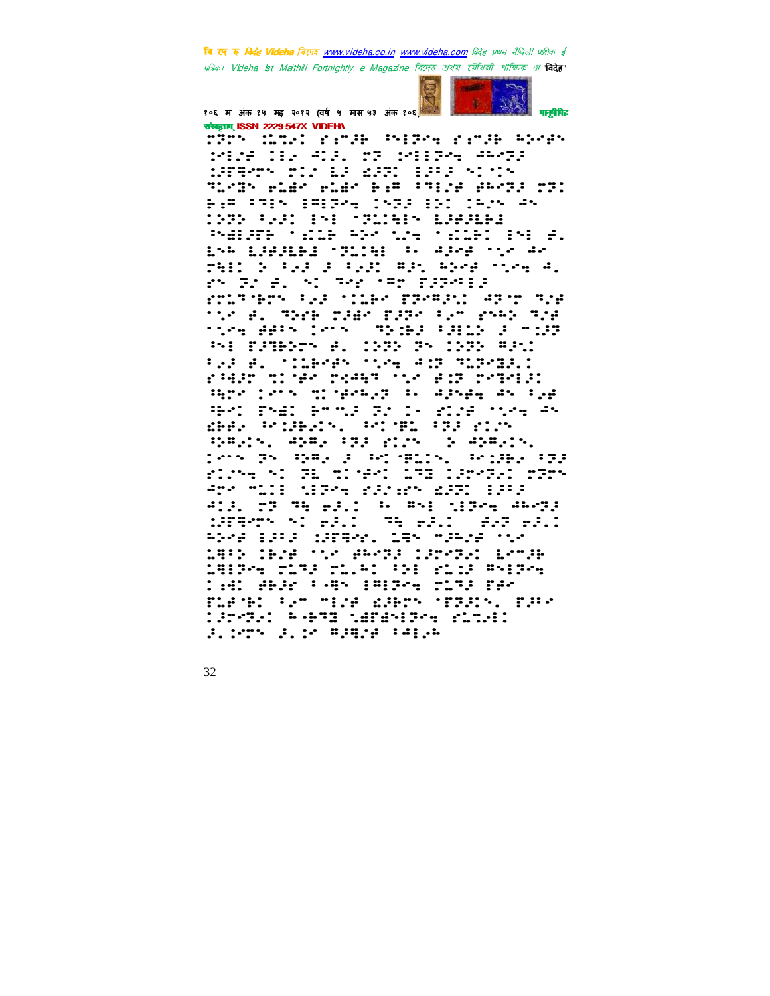बि ए रु बिरेड Videha विएक www.videha.co.in www.videha.com बिरेह प्रथम मैथिली पाक्षिक ई पत्रिका Videha Ist Maithili Fortnightly e Magazine রিদেহ প্রথম মৌথিনী পাক্ষিক র্ণ **বিदेह**'



१०६ म अंक १५ मइ २०१२ (वर्ष ५ मास ५३ अंक १०६) संस्कृतम् ISSN 2229-547X VIDEHA

MA CAR STA MIRA STA WYS **MRT MARKET BRANDER** Tisk plan plan by The Awth 27: B.S :T:\ :H:T\*q :\T: ::: :W\ 4\ 1939 P.A. ISE (312415 LAALA) **SAND CONTRACT CONTRACT STATE** isk isesie (2114) (220-esperant 4)<br>2411 (200-esperant 4), konedator 4. r n e v re er nreik rolader (21 (116 presid each and the August Christian and the the APRILITY The Court Four **B: 829625 2. 100 7. 100 921** <u> 1,100 - 11640 - 1160 - 117 - 117 - 118 - 11</u> rikt olik tekniv is Trikk Apriles the product of Alsage as the and the Front Book did the Ar der Publy, Pot E. 172 dich **1980, 200 101 200 100 100 100 IMA TA GAL PORT MILIN GALLER** 2008 - Ti milion 191 (1921) 2008 470 TILL 100 BOW 20100 ADD 1000 WHATH SI WELL species draw, in the tr 19:5 :Bre the AAPS: 125-321 Lem2B :::::: 1::: :::::::::::::::::: Subma Submagang (Agum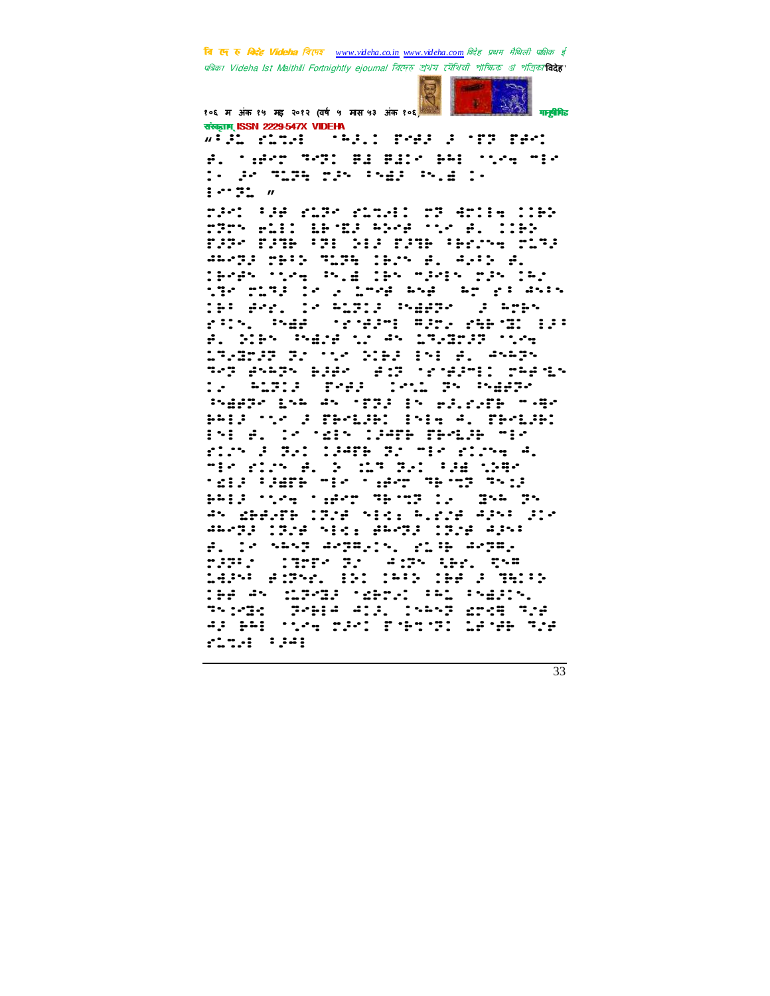बि एक रु मिन्हें Videha विरमर www.videha.co.in www.videha.com विदेह प्रथम मैथिली पाक्षिक ई पत्रिका Videha Ist Maithili Fortnightly ejournal রিদেহ প্রথম মৌথিনী পাক্ষিক প্রা পত্রিকা**'বিदेह**'



१०६ म अंक १५ मइ २०१२ (वर्ष ५ मास ५३ अंक १०६) संस्कृतम् ISSN 2229-547X VIDEHA

w:Sarker (All PAll Province) B. THAT PAI BE BEY BAL TIME TH j. je zgos pju tugi iug j.  $\vdots$   $\cdot$   $\cdot$   $\cdot$   $\cdot$   $\cdot$   $\cdot$ 

TAN AA KIR KITAL TI ANIA DIB and : 2011 2020 1920 2. 2.2. 2. Chran the Sua Chr mark can Chr the play in 2 long and (ap you and te en transportant para e. New media is increased the Reported the side order change . 1991 - 1992 - 1992 - 1993 - 1993<br>1992 - 1993 - 1994 - 1994 - 1995 - 1999 - 1999 sydne is a fill is plent the PHITTY FIRED IN STREET in A. Modroper redge no first Paloiser Roche fire 4 nis rich A. S dit 221 fab dar.<br>Seid fabris nis Sakr distribute 8412 1124 1922 78127 12 354 35 as generalize stra mare gra dis abora 1928 yaka gunda 1928 gaya a te sasp aspects, cine aspe. mare in and the state of the state of the state of the state of the state of the state of the state of the state of th We soul of which four sking: Sheed All. Inghy grap the 42 BA: 'L'e TIP' T'BT'T' 18'HB T.W :17.: : :4: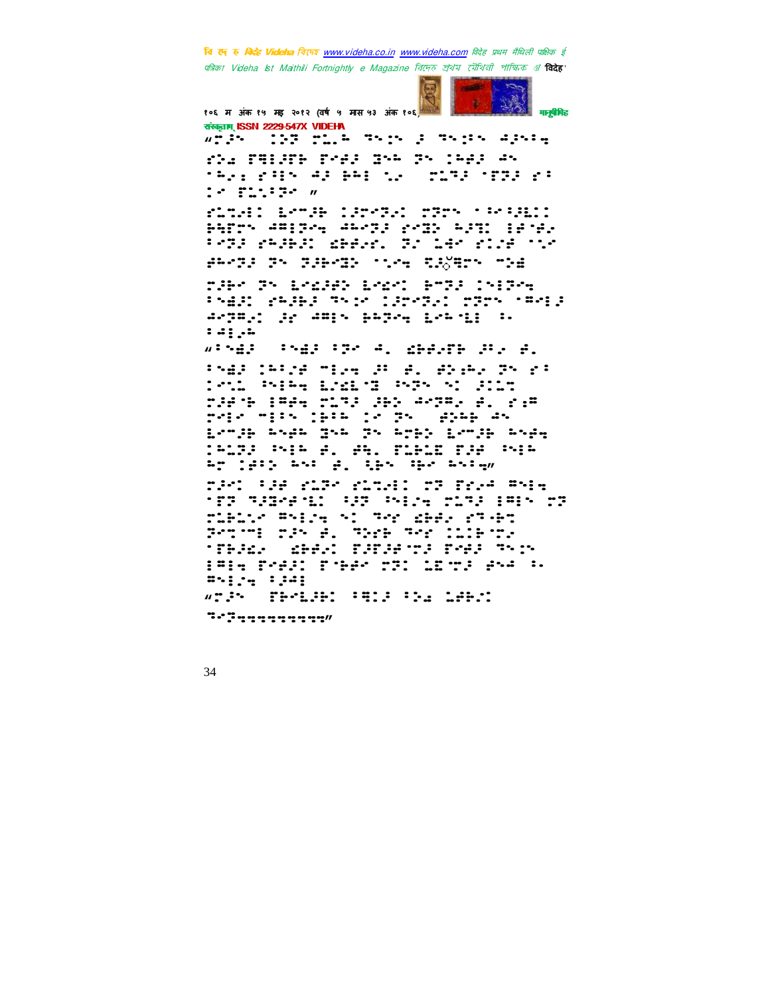बि एक रु क्रिके Videha विरफ्श www.videha.co.in www.videha.com बिरेह प्रथम मैथिली पाक्षिक ई पत्रिका Videha Ist Maithili Fortnightly e Magazine রিদেহ শ্রথম মৌথিনী পাক্ষিক প্র' **বিदेह**'



१०६ म अंक १५ मइ २०१२ (वर्ष ५ मास ५३ अंक १०६) संस्कृतम् ISSN 2229-547X VIDEHA 153 Mile Sync Ports April  $\mathbf{v} = \mathbf{v}$ 

the sure of hosts that the st  $:$   $:$   $:$   $:$   $:$   $:$   $\cdot$   $\cdot$ 

KIND BYR DRYR TRY 'PRUD **HATTS ANDISEN ANOTH STILL AND DESCRI FRIEDE SHAR IN 18 STARTS** 

THE TE LEADER LEAT BTD INDEE **FASI PAGES TATE LONGER TOWN PRESS** arport of any paper branch of 

wind: Ind: IP 4, def.Th H. A. **SARTHING TOWER AL ALAN SYST IMI REAGNEST REACTION THE HIS TILE AND ASSESSED FOR** res mis lies le ro spelas istil by the the things is the bye. g: bi g ye ye esign  $\mathbf{r}$  :

'TP ROBERT OP BOYS TIRE OR TP TING WHILE SI WAY AND STORY chine cha chi shi the coler. EDER THINGS TO THE **TERS W.C. 2004** Hollangenenen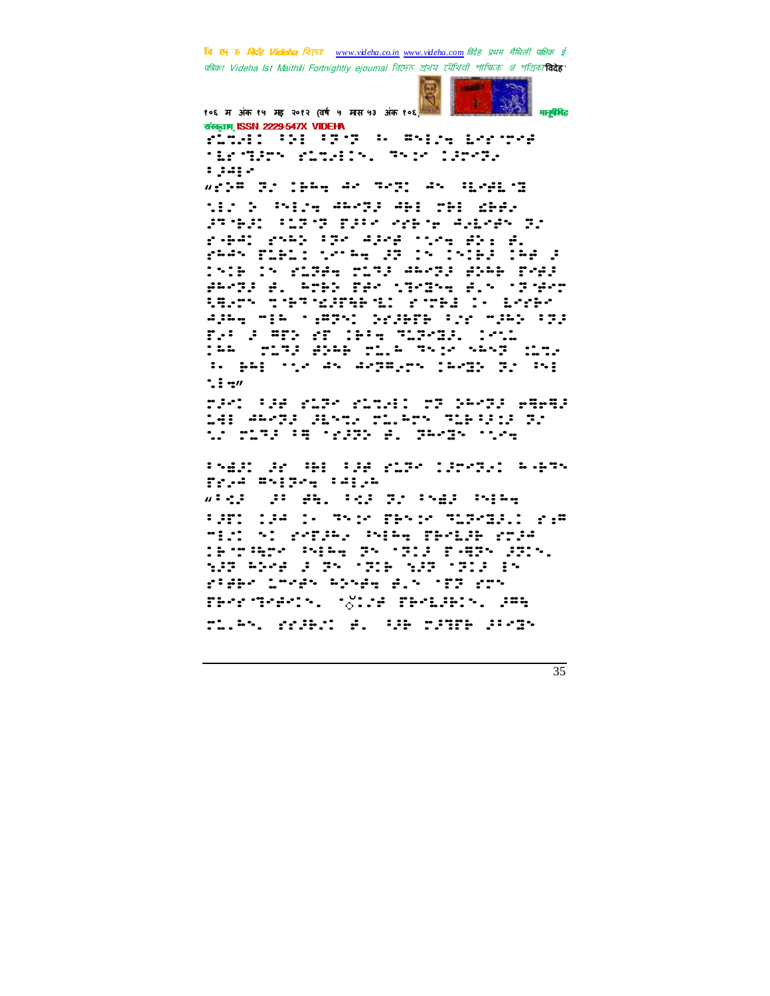वि एक रु क्रिटेड Videha विएम्ब www.videha.co.in www.videha.com विदेह प्रथम मैथिली पाक्षिक ई पत्रिका Videha Ist Maithili Fortnightly ejournal রিদেহ প্রথম মৌথিনী পাক্ষিক প্র পত্রিকা**বিदेह**'



१०६ म अंक १५ मइ २०१२ (वर्ष ५ मास ५३ अंक १०६) संस्कृतम् ISSN 2229-547X VIDEHA rich: Od 955 A Walle berre tionary dimely. Type large  $\mathbf{1}$  , and  $\mathbf{2}$ ster troch means and also m res pay on and the Brid. raan pikin terag de linderke taald **Thie in right right dergy dide redu** protest boby the thorage of the un tenggan pada 1. 4,84 TR 1,8951 100888 TO 185 TO a tit che clea ver est c a pp se de deposa jorg pe de  $\ddot{\cdot}$  :  $\ddot{\cdot}$ 18 APSI APS CLAR TIBRIS S **THEIR AN HE TAN NORTH CANNOT RIGHT** Pris supre capit with  $P = \frac{1}{2}$  ,  $P = \frac{1}{2}$  ,  $P = \frac{1}{2}$  ,  $P = \frac{1}{2}$  ,  $P = \frac{1}{2}$ **1982 198 1- Third Band Tiproses (200** misi ni prijim, injim, firilih (rja Chrano biae posti fancinist 10 50 10 10 10 10 10 10 11 right inter broke f.r (22 cm) **THE THEFT, WE SEE THE SEE THE SEE** ri.W. code: A. MA rathe aver.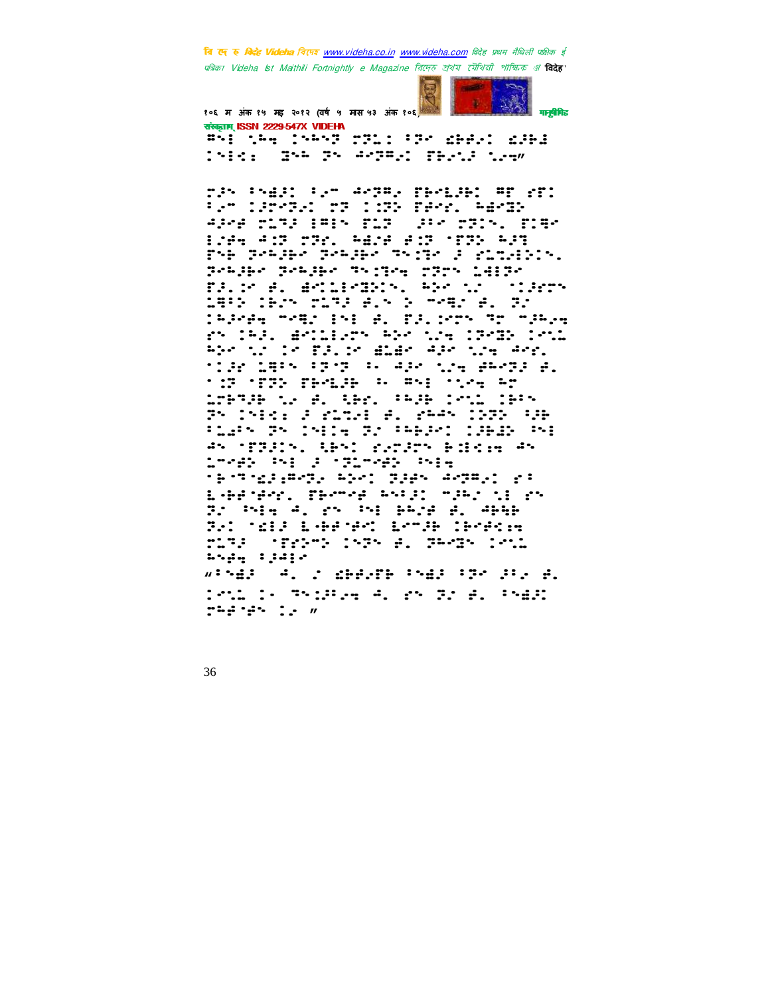बि एक रु क्रिके Videha विरफ्श www.videha.co.in www.videha.com बिरेह प्रथम मैथिली पाक्षिक ई पत्रिका Videha Ist Maithili Fortnightly e Magazine রিদেত প্রথম মৌথিনী পাক্ষিক রা **বিदेह**'



१०६ म अंक १५ मइ २०१२ (वर्ष ५ मास ५३ अंक १०६) संस्कृतम् ISSN 2229-547X VIDEHA milte over milter dell'ano liki i 156 TS Antoni Theid temp

ra ber ar arm nede mode 400 MIC DO SI SA OR MONTH **1:00 AST 200 ABS0 AST 100 AST** re rege rege syre in a citatio. peage peage touge ror 14:pe ng.prje. Anikomeno. Abr (2007):geno GPS ORS MOREAN STREEK DE <u>Indian Medicine in Studio (1994)</u> rt (A), gridert A)r tog (Provincia and the first mode are the age. the 1986 (prp of 410 the AGrical infine to a the sweethern chip 75 1500 D Cond A. 2445 1372 138 nus points prompt choose an trinh this crip bidge an Love: Mi S TIone: Mig tenterando ant pre agant en Lagran, Marra Will right i pr o meas remains and 7.: 12:: 1.0000 1.000 1.000.00 **2008 - 2008 1909 2008 2008 2008 Light (2210**  $\mathbf{w}$ :  $\mathbf{u}$ :  $\mathbf{u}$ :  $\mathbf{u}$ :  $\mathbf{v}$ :  $\mathbf{u}$ :  $\mathbf{u}$ :  $\mathbf{u}$ :  $\mathbf{u}$ :  $\mathbf{u}$ :  $\mathbf{u}$ :  $\mathbf{u}$ :  $\mathbf{u}$ :  $\mathbf{u}$ :  $\mathbf{u}$ :  $\mathbf{u}$ :  $\mathbf{u}$ :  $\mathbf{u}$ :  $\mathbf{u}$ :  $\mathbf{u}$ :  $\mathbf{u}$ :  $\mathbf{u}$ : tri : mike 4 r 3:3. max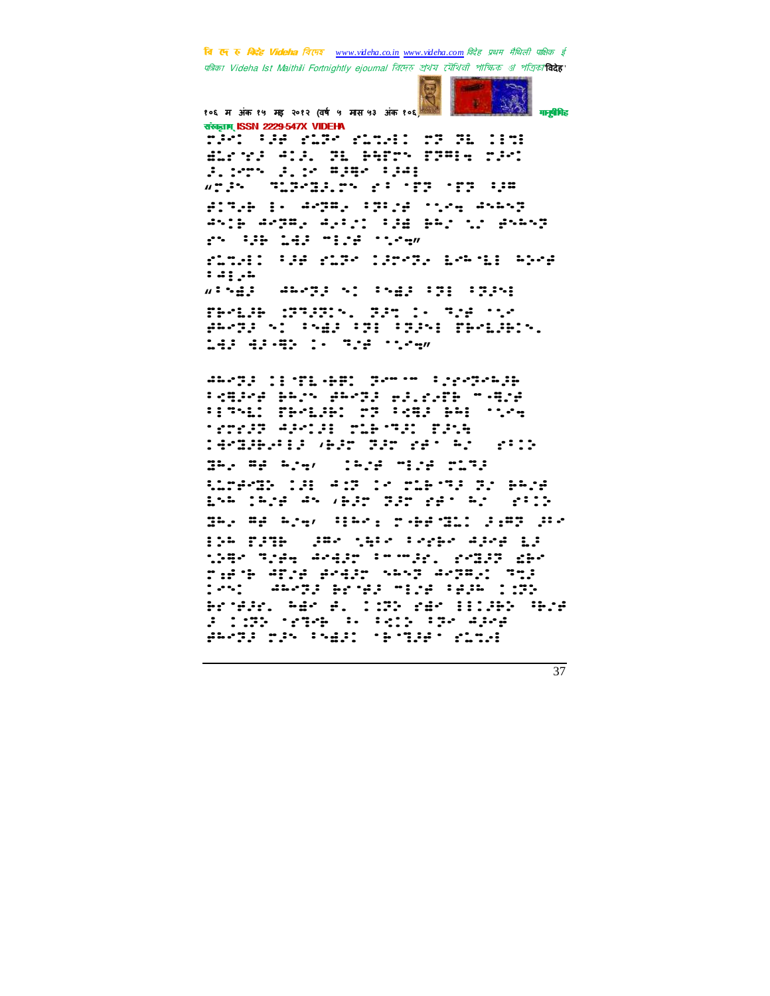

१०६ म अंक १५ मइ २०१२ (वर्ष ५ मास ५३ अंक १०६) संस्कृतम् ISSN 2229-547X VIDEHA .), ::: ::: ::: :::: :: :: :: **S. STR 3. SP #380 :34:** syng : agm, chys tys, asasp **ANIE ANTRE ASSET SIE BAS NS BNANT** rith: We ripe Careti iswii aye  $1.43 - 1.$ **ALATE ST PARK PRE PRESE**  $\mathbf{u}$ :  $\mathbf{u}$ : parts of thes the thing pareless. 

and : Then Personale **Tende by Sony Steel Side - See** IL: ## 12g, [12# 712# 2173 timent (H +d ) ( mi-mi d' Prof be he e de a si de e en p. w th, deriched: 187 pr wa nje pilo roma vin dr rank grof foggr sksp goppol mog<br>1951 - Ghoba krofa midf ffak 1955 Brith, Amr A. (172 mar 111.82 (B.2 3 102 109 P P CO 102 102 404 parts the seasy cardinal first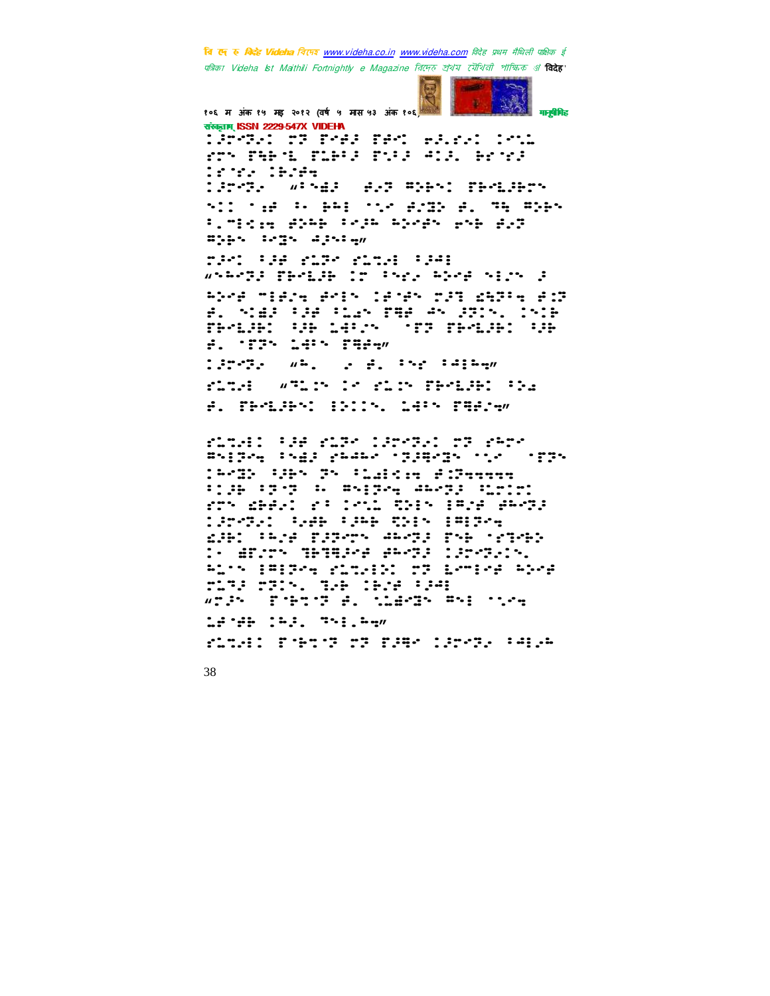

संस्कृतम् ISSN 2229-547X VIDEHA **TOPS STREETED WORKS ISS** lande Chiffe MI '# P PH 'M RID R. R RPP : The SPB coll body py SS mille come agency

wind: Shill In this Whe Side S abel midde eels lenes pj? da?(e en? #. YED 13# ML25 FAR #5 2215. S. TTP 1819 PRPs find which is first fields to the

sype, bus pass responsive repu **TARS ON THE SAIRE STRAGGE TIB TRIP & SYRPH WATE TIMIN** crished at this but ing Away <u> 100 : 100 : 1000 : 1000 : 100 : 1000</u> With IRIGAN FIT.ID: TO LATEAR WIAR work office aloughly my time Length (Al. Thi, Ang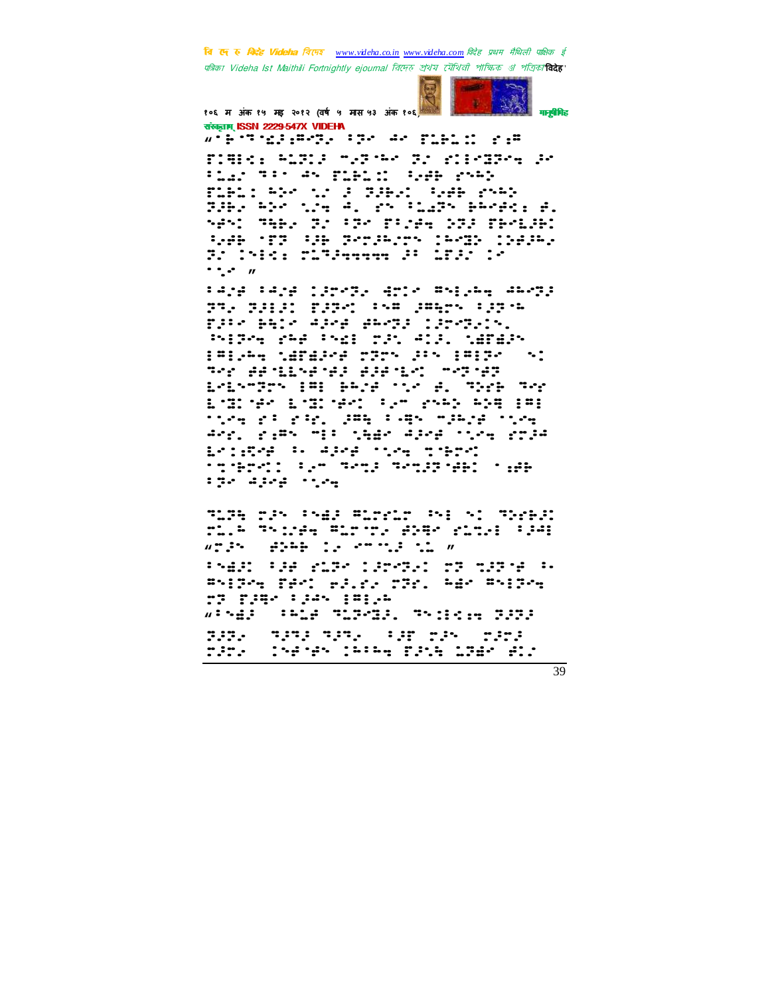

१०६ म अंक १५ मइ २०१२ (वर्ष ५ मास ५३ अंक १०६) संस्कृतम् ISSN 2229-547X VIDEHA wiking: Sep. Ope Ar Plain Sim

rime: Almi mysak mi Kikora je FIRICAN W 2 ZARA (1988–2001)<br>ZAR NN WE 4, 2001 IIID RHARI B. 1.01 The T. T. T. T. M. T. T. T. T. T. 1.00 TO 100 Profess 1972, 2000 <u> 1. 112. milione : Aliae (</u> 

:4:2 :4:2 :3:32 02:3 04:34 46-9: 77. 722. 8.000 1.0 2007. 120 1 para bela gare emapa (apapris) supply pad that the African Caracte nd engined eenst program the propho amoras save the ang part ni daar akna tina pria Bright & And the time **Southerney The Theory Theory (1992)** the died steel

TIME THE MILITARY MODERN nua mode monte dar condidad :42 :32 :32 :32 :43 :43 :5 Britry far: pl.c. TT:, War Britry **.: :::: :::: ::::. TALE TERMS. TV:000 SOON**  $\mathbf{u}$ :  $\mathbf{u}$ :  $\mathbf{u}$ .... ....... ... ... ... ... r.n.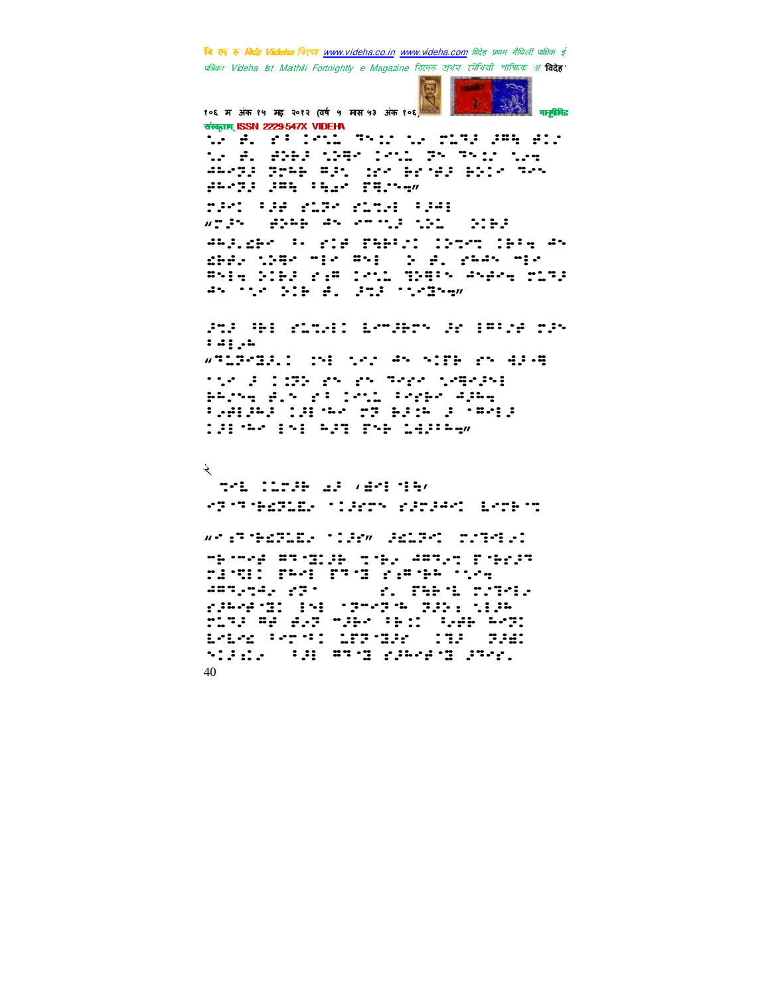

संस्कृतम् ISSN 2229-547X VIDEHA the straw more more made: 1. 2. 2003 1207 1212 121 121 122 abet: The Art of Brook Bile Tex **FRANCISCO CONTROLLER** weder good as emined to:  $\ddotsc$ support to startuping the start conditions are der 195 me sy die, eks me By: SIN 22 Ind They Andre 222 45 52 216 21 222 522540 st was rited arthry or any row  $1.43 - 1.$ Western Mineral Avere praise the FIRE of the Territoria Phone Bun at Cang tages Adam taniki chak shair baha ting the control of the control of the control of the control of the control of the control of the control of the Conde ad various, KTTERL THT HOW LATT 

angeren almenen :2009121 191 1300310 321:1120 Belez (ers) 17732 stady our stringers and 40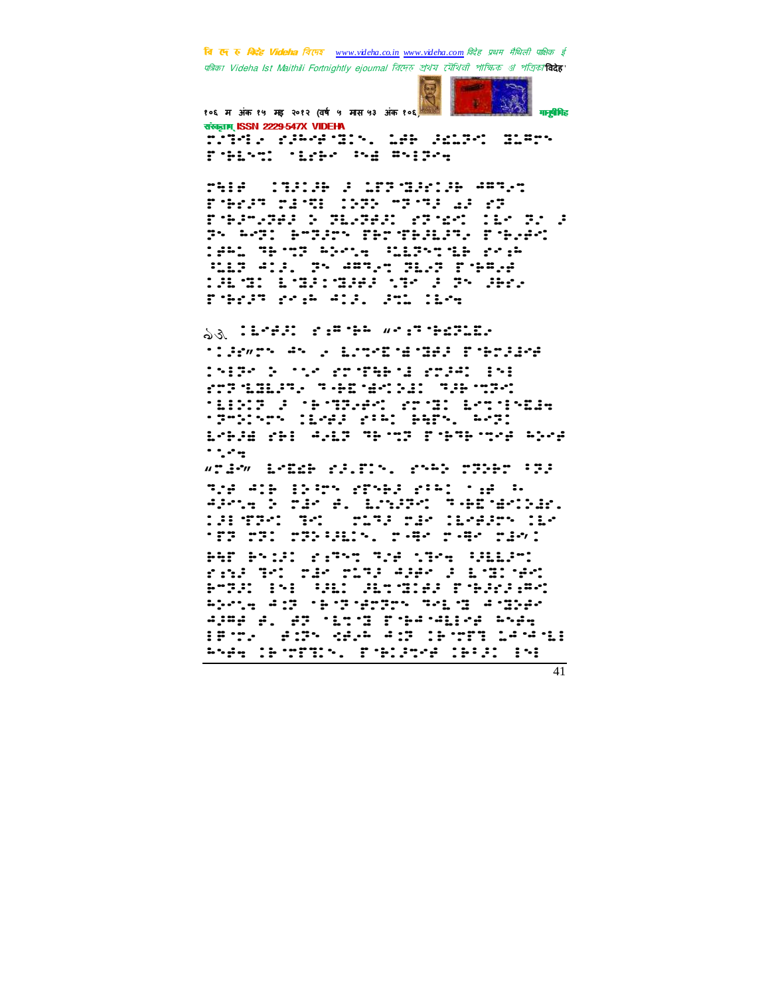

१०६ म अंक १५ मइ २०१२ (वर्ष ५ मास ५३ अंक १०६) संस्कृतम् ISSN 2229-547X VIDEHA Poblach older the Railway

radra digi 1991 - 2011 ili da n ber bette ne then na rade **TAN TERM ALMA CONTRATA CON TER 412, TV 487, TER T THR.E** <u> 10: 10:00: 10:00: 10:00</u> rent regard. Mille

 $\sqrt[3]{3}$  :1000  $\approx$  :2000  $\approx$  :2000  $\approx$   $\approx$   $\approx$   $\approx$   $\approx$ **TORAT AND LOCATE BOOK PRODUCT INSER THE SERVICE SERVICE SERVICE SERVICE SERVICE SERVICE SERVICE SERVICE SERVICE SERVICE SERVICE SERVICE SER** (Polon deelfre ken, eg: 1000 00 400 900 900 000 000  $\mathcal{L}$ 

writh brock flicht from the state of the side ident from find the co Alguna tara bhainn agus an an **13: TP: TH STORY TOM COMPOSITY COM** \*\*\*\*\*\*\*\*\*\*\*\*\*\*\*\*\*\*\*\*\*\*\*\*\*\*\*\*\*\*\*\*\*\*\* **BB Brill (SPr 716 1974 IOLIS)** ref or the top where the control spera and the control design and a constant **WHATHER THING INC IN**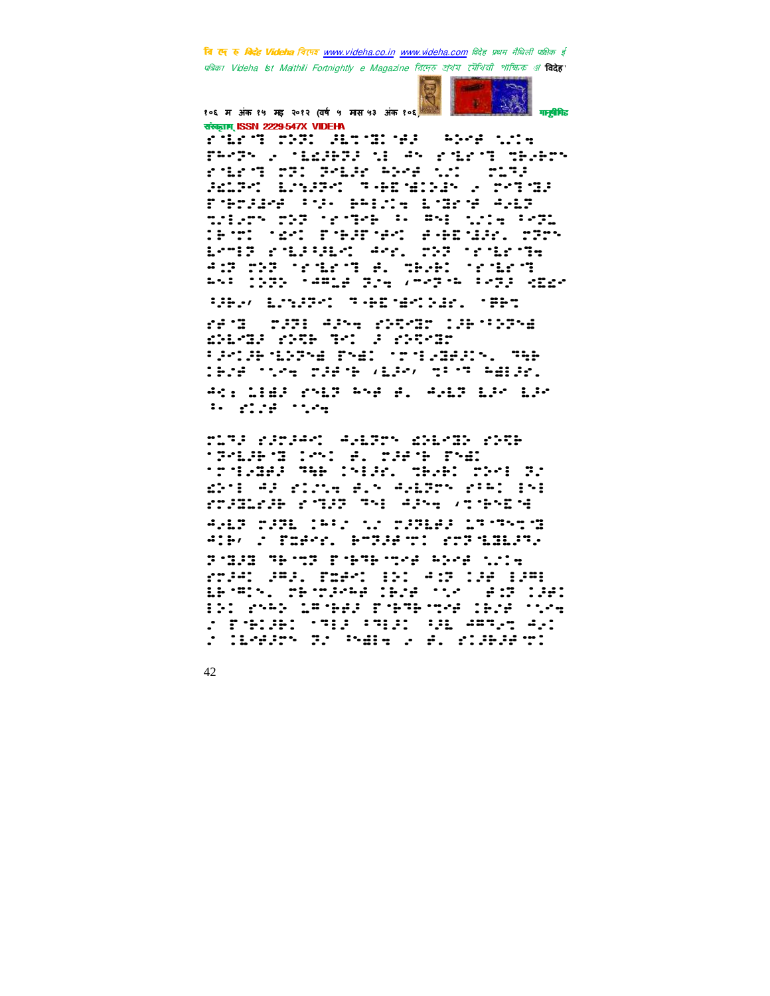

१०६ म अंक १५ मइ २०१२ (वर्ष ५ मास ५३ अंक १०६) संस्कृतम् ISSN 2229-547X VIDEHA

**Sales Sales** rach a thing i a cirt talet rirtht the Gold Work ... renam on point the war the SP repe b my the box **TROOP AND SOLUTION AND LIPE STOP** 43 ST YSS 100 ST 2007 15: 1939 (2012 324 ("23'4 :231 322)

**2008: 200 92 : 200700** ike tre mes (Br, mom weer. Age 1182 2517 Asé at Auil 136 136 a side ning

run: ::::: a.ur. cu.u. cur **TRUBERO CONTRACTO ENCOMENTAL** the control of the control of the control of the control of the control of the control of the control of the c gri 42 slove els 42155 stal isi ARD THE INT OF THEF ITTETS **TOOL TEST FORMOS WAS LIFE** :::: ::: ::::::::::::::::::::: BROWN TROTH-BASE ON SON DIR ::: :%; lage:::#press:::: :: : Prese: '9:3 (9:3) (31 April 4:1 : Coder to have a school?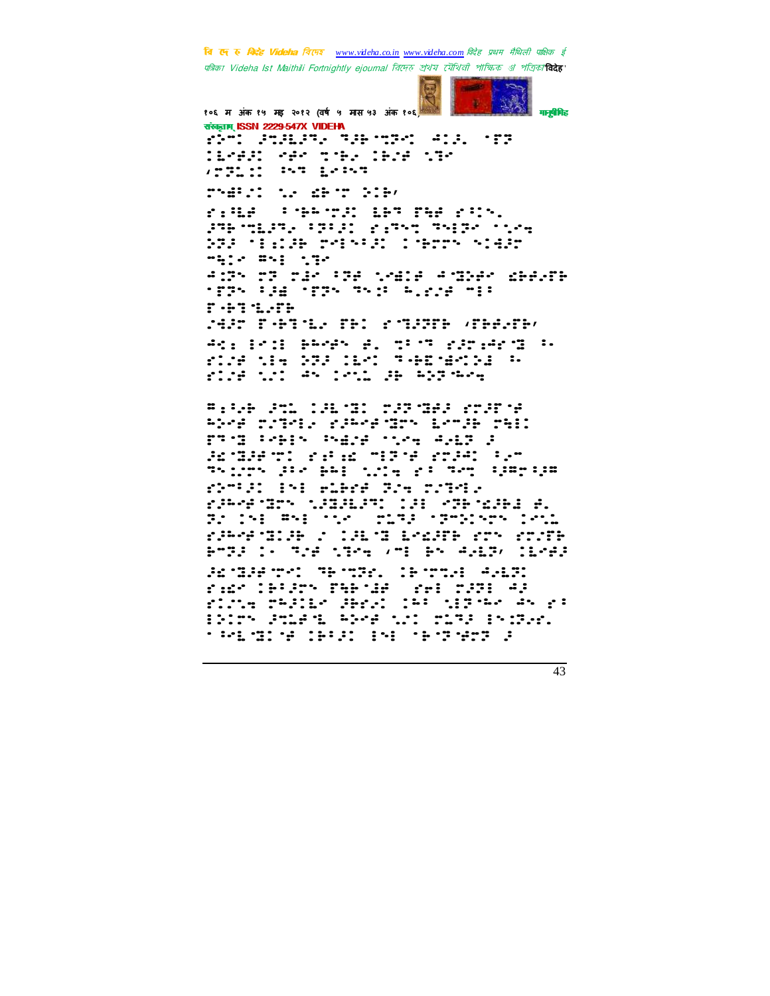१०६ म अंक १५ मइ २०१२ (वर्ष ५ मास ५३ अंक १०६) मानुबेगिह संस्कृतम् ISSN 2229-547X VIDEHA nt hard work all th ligil de tha leis 198 **VIRGIN INT LAINT** mated to definition ring theory in mercy. **PRODUCT: PRESS FIRMS RAIRS STAG 272 'Bill Things I little Sider** mage magings adh dh'an 192 tale agus duidh 1995 122 1995 7510 A.212 711 retter Ago Brook Alman mangkapat B fire the STA (12) 7-April 21 (6) star and an international approach aber prick comestry brook pail programate construction of the state of synch are be: the st set tartic fru: M Eler De cons KAMPER MERIT IN SPRIED A Roche mag the charge options in: ragencer (1850 bronk or orde 2001 : 100 100 (100 100 200) 1100 *rur :*B::r: :G::G: :G: ::: :3 Kongresse Bro de Gree Avr BOY BOAR REACTION INSEL

**TREST CROSS IN THIS PROPERTY**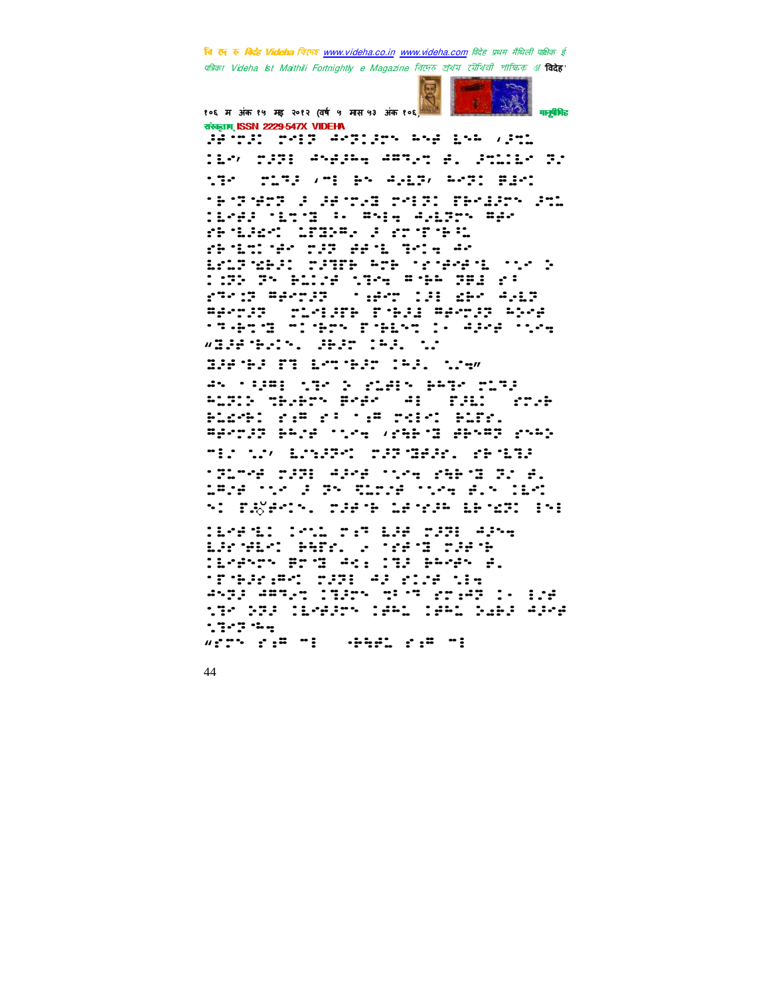

संस्कृतम् ISSN 2229-547X VIDEHA aking rep wenges wake two yen **100 - 2002 (2003) A-100 A-200 Block** \*1:345 : 11:52 : 21:51 : 11:51: **CONSTRUCTS OF SALES SERVICE** stike umbereren rendringen rit gend telle ar **BATH TIMETHIRMS BATH TRATE TIGHT PAINT IN AGAP TIME WEDNERSHIP : 2010 1999 1999 CONSTRUCTS CONSTRUCTS CONSTRUCTS** 24 - 1101 - 110 - 1102 - 1102 - 1102 - 1102 ara da ang sa bagayan sa banyan sa sa sa banya sa sa sa sa sa na sa na sa na sa na sa na sa sa na sa Blank: f:# f: ne relat blank. 131-4 MIR 414 MA SHIT 31 S. ing the PS time the AS 110 t: Billian - Mart Landa Bandt (ti nes com no us no sos inkr ho kill sing 'T'BA:#1 TAR 41 MA'NA 115 893 88925 1925 527 2528 10 112 the STA clearer cami cami bina glea n gegen en g

werken in the sense is the sense of the sense of the sense of the sense of the sense of the sense of the sense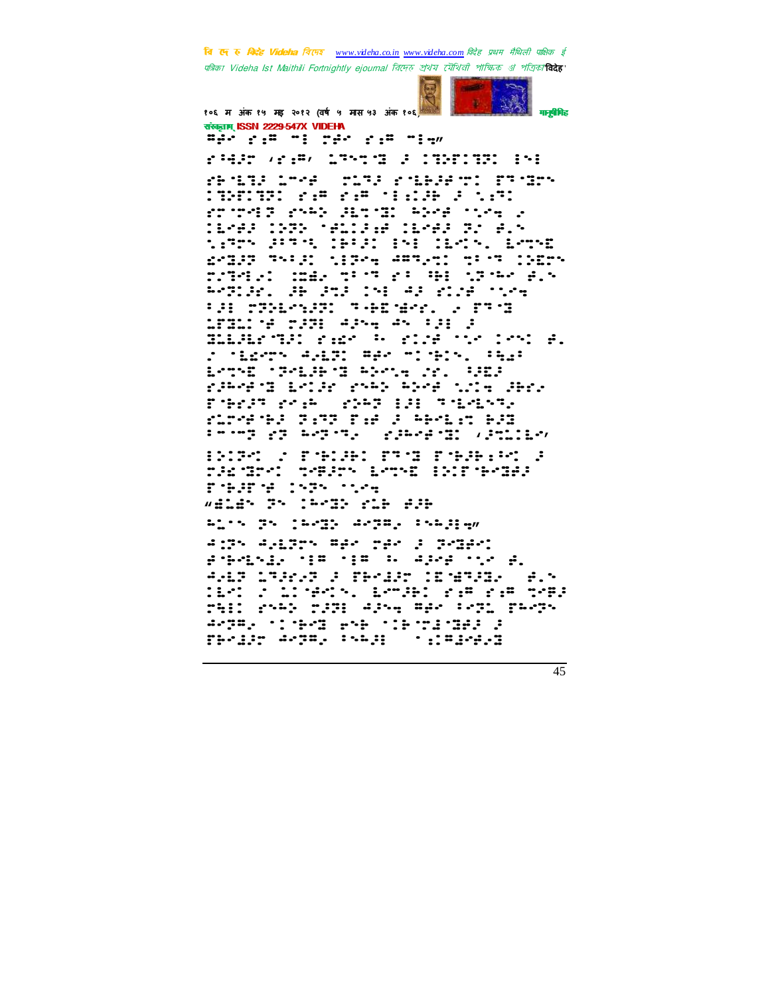

१०६ म अंक १५ मइ २०१२ (वर्ष ५ मास ५३ अंक १०६) संस्कृतम् ISSN 2229-547X VIDEHA #ê: :: "| :: :: :: :: "|

**PRODUCE**, INTER POSITION IN **SEPERE CHARGE STARBE TO STARB** rron: ng dri din **CLARE COOK ARRIVED CLARE TO ALA** 1:57 PRODUCED IN 1101 LET sensy years (1904 Anylon of the 1900) ning massive proprietaris 1910 0 0 0 0 0 0 0 0 0 0 0 0 0 0 0 BLAGETAL FAR A FINANCIAL B. <u>, terr All spring, cal</u> Book (PAUR'S APON 20. HER nada bili ratard wa Bn. ren ee de sur die russe **From ST ASTRA SARROLL WILLS BOOK AND BOOK STORES IN STREET AND ARRAIGNMENT OF A SHOP OF A SHOP OF A SHOP OF A SHOP OF A SHOP OF A SHOP OF THE SET THEIR LOTE INTO HATH PARE 2025 TER** wildt 75 (brill fle f.H als po jadio adpel congreg Adry Agiler Apriler ( Pripri Portrix of the second proposed ist (1925), brok (20 ca 59) nu: rub nji ajne mar bri parin AMPLE CHARGE FOR STRINGER P paring arport change of consensor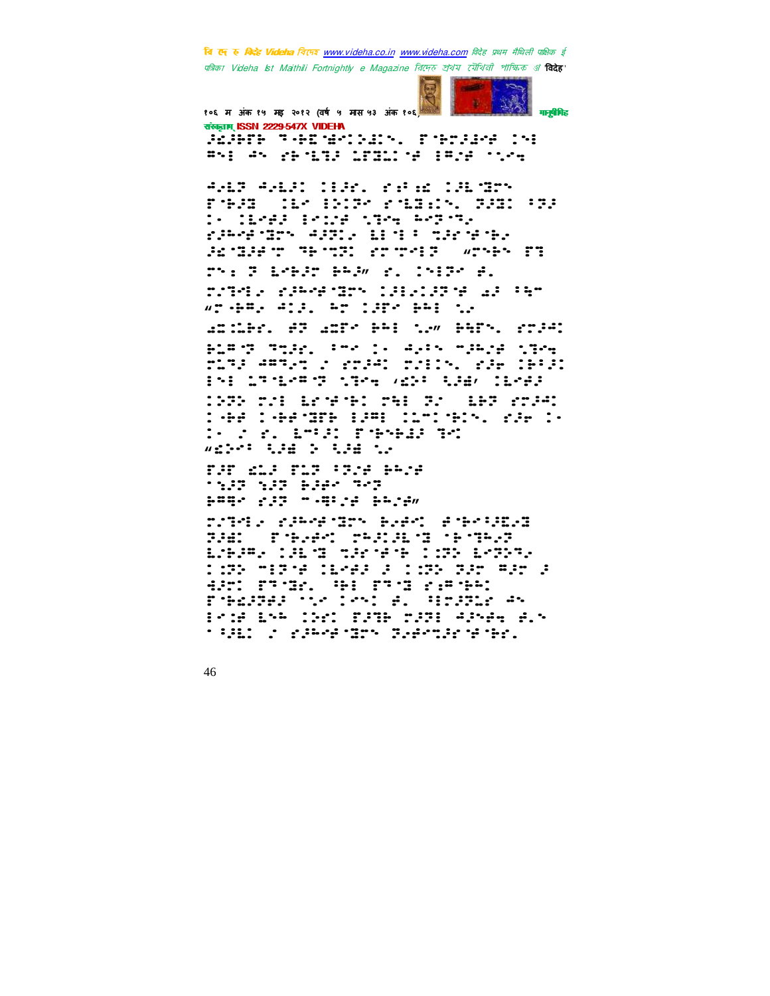

१०६ म अंक १५ मइ २०१२ (वर्ष ५ मास ५३ अंक १०६) संस्कृतम् ISSN 2229-547X VIDEHA AAR TACANA CHIA N **Bill 25 22 12: SILL 2 18:2 11:4** 

F932 110 12130 2012100 2311 123 <u> : lei : di</u> :842 Tr. 881. BISP TRYP. rr: P 1862r A42, f. 15828 A. ronds specially concord at the worker and ar 100 paints an which are any away to any arrow arrow ping the crock with the the 

**INE 1752-07 STAR (120 SIG) IL-82** 

**TANG MANUSIAN DE SA BAGINA PRESENTATION DE SUR PRESENTATION DE SUR PRESENTATION DE SUR PRESENTATION DE SUR PRE** the theory continuous the t I : S : WHI FAMAR RO **WEST LIE : 112 1.** 

**1532 532 6334 742** anne est monte anego

**T.T.C. CO.S.T.T. B.S. STEPHEN P.S.C.** rad runna agus <u> 1919 - 1920 - 1930 - 1940 - 1950 - 1950 - 1950 - 1950 - 1950 - 1950 - 1950 - 1950 - 1950 - 1950 - 1950 - 195</u> **THE PROPERTY OF SEAT** 4.: : : : : : : . race work a ungew **Broad Information Company THE PRESSURE SHOWSHE.**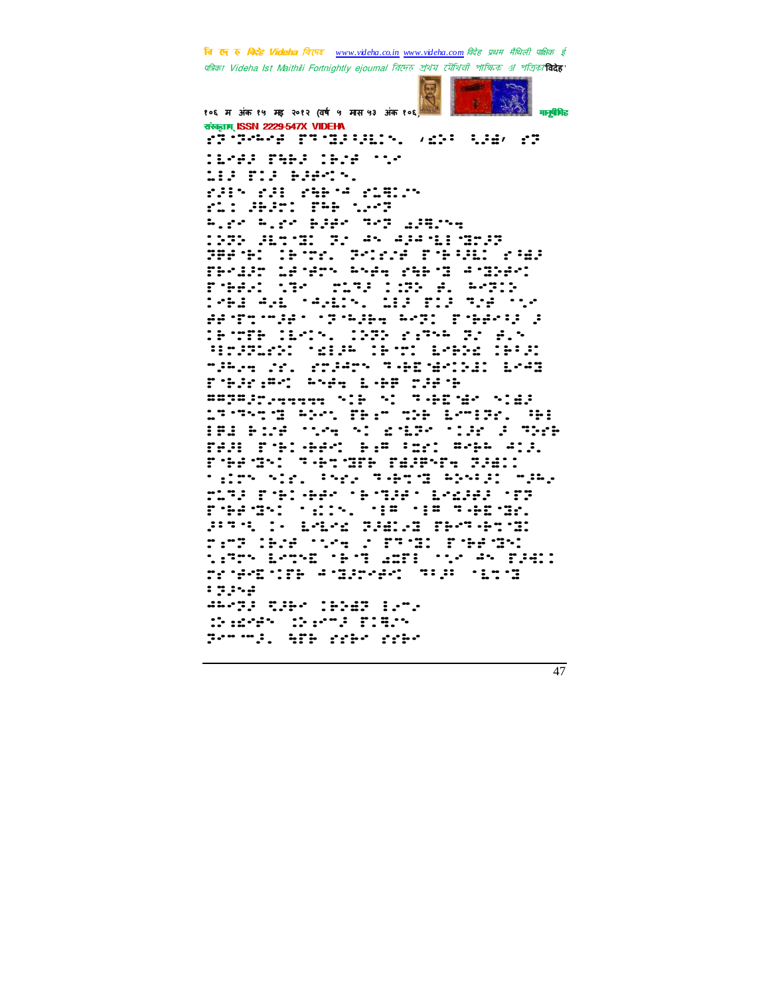

संस्कृतम् ISSN 2229-547X VIDEHA STORE PUBBIN, WHICH ST are me der tr rado radore rigios :1: 80: TWP 1.7 Australier Blendard Williams **THAN GATE, POINT PARK PAR** neur leter bye reto athet red ad radir, in pri merre sproche compa woo praged p **IBTH HAN THE STATE TO AN** HISTURY MUSH IFT LARE IFR "Beste : ender termine : co Pile (2011 Light 1982 - 1982 - 1983 - 1982 - 1982 - 1982 - 1982 - 1982 - 1982 - 1982 - 1982 - 1982 - 1982 - 19 **<u>88,8:00,0000 '.)</u> THIS STAP** HIPS' YA Y ESP YA 2 RA tich vir Pyr Sero Brysl (186 <u> 2008 - 2008 - 2008 - 2008 - 2008 - 2008 - 2008 - 2008 - 2008 - 2008 - 2008 - 2008 - 2008 - 2008 - 2008 - 200</u> regulions, de de sergo  $r<sub>i</sub>$ Wath Brog (Pol 2011 (What Page <u> 11950 : 11 - 11960 11960 11960 1197</u> **STORE** abor: CHP (PDET 1.") Surf Serg Mar permo. And edde edde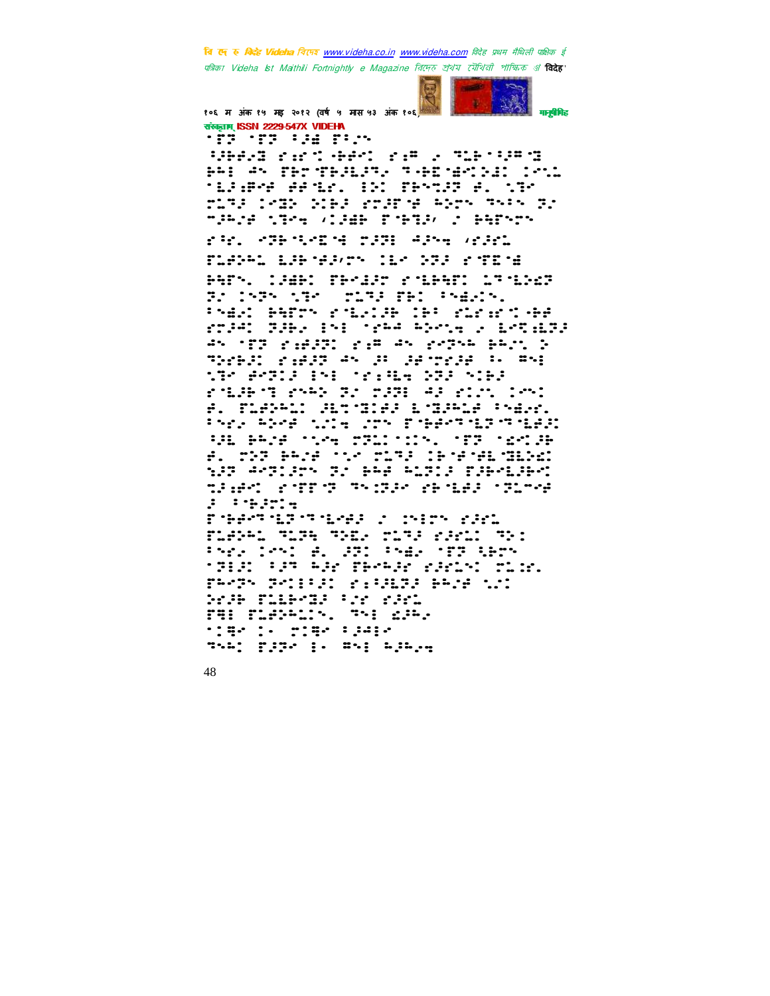

१०६ म अंक १५ मइ २०१२ (वर्ष ५ मास ५३ अंक १०६) संस्कृतम् ISSN 2229-547X VIDEHA **. PE . PP . DE PI."** WHAT YOU HAN YOU , TO MUTH 11:80 ROC 10 ROC 101 **TITE CONDITIONS OF STATE AND THEN TO** tane the clab fordy roberts rin förtett mill ditt (f.). **Britage Ste** and the chair. **MAR BOY POSSE OF REPRODE** roll die by headens also belied as the radio rate as repsalacy : This far a popie a se the Angle in: Spille IS: Nik: rim 1945 7: 200 4: 200 190 **The Abel College on Police 1977 120 BEAR THE THE STATE OF STATE** th antich to be airly reposed the STP pose scale thre  $\mathcal{F}$  : then  $\mathcal{F}$ restrated a served they lond al gri thay off tarn<br>official typitae factor egency rice. **PARTS RESERVED BELLEVERS** m news, weak, **THE LEADER PROPER THE EID : WHI WING**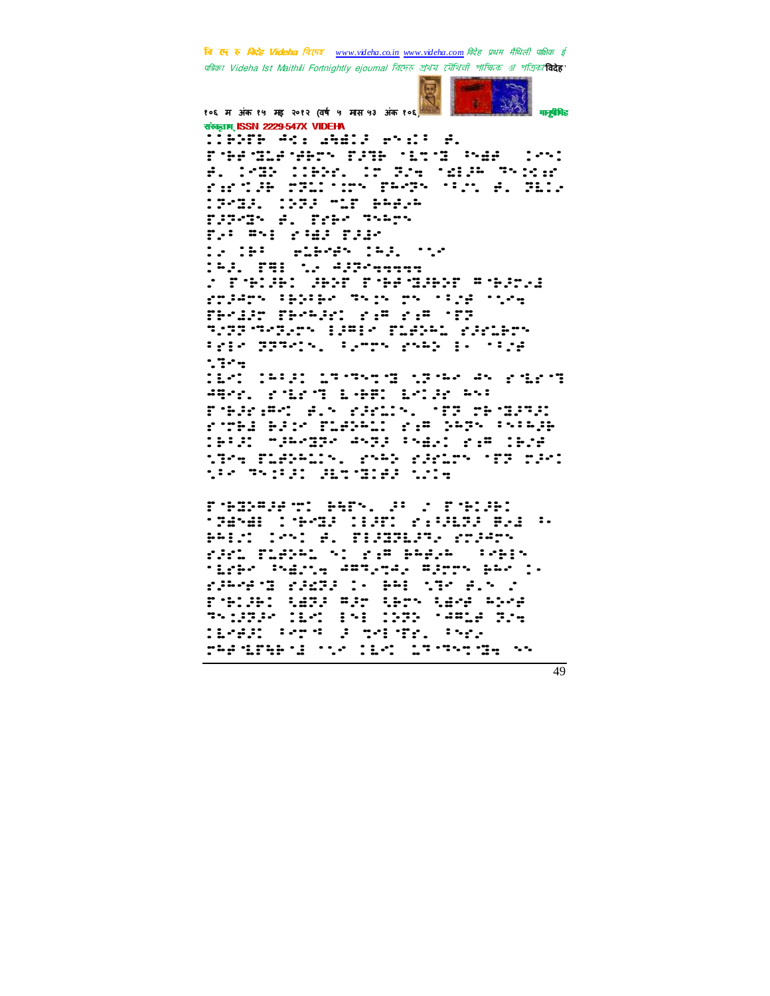

१०६ म अंक १५ मइ २०१२ (वर्ष ५ मास ५३ अंक १०६) संस्कृतम् ISSN 2229-547X VIDEHA  $\mathcal{L}$  and  $\mathcal{L}$ A MORTIN INTE MARKE ..... .... ... .... FURNIN A. Tren Sharn **T.: #4: :42: T.20** : Preces des Prefonds #760.0 mar ababe the residence Hein Held :: : : : : : : <u> 1990 - 1990 - 1990 - 1990 - 1990 - 1990 - 1990 - 1990 - 1990 - 1990 - 1990 - 1990 - 1990 - 1990 - 1990 - 199</u> Prio BRACA, Provincia in Stra tin the sea uk deu room goeke kaan ager rury cap crop as: **TORRET AS CROSS TO THE REPORT** <u>Porti kaz rusku pje jezi sveje</u> 16:00 - 16:00: 45:1 (52: 16:1 16:2 vake piedelin, sned sasisn opa såk: the meetic controlled the 

PRINCIPAL P. TEMPRIMA POPMOA for model of remainder codes tirk (ndrig Approvedint Bar ) romen root : po ne es : WHERE HE IN 1979 TANK TEN tight fort fortific fyr redred to condition the s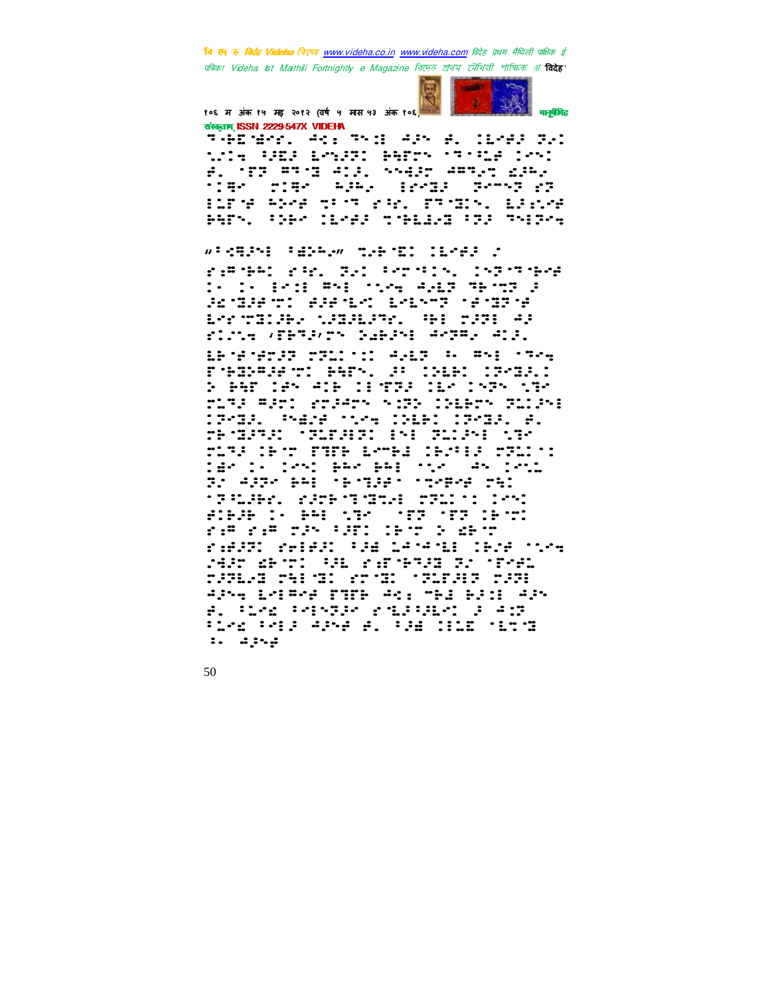

१०६ म अंक १५ मइ २०१२ (वर्ष ५ मास ५३ अंक १०६) संस्कृतम् ISSN 2229-547X VIDEHA

thirder, are that agh a. cleag t.c a. TP #15 41: SSAR #855 286  $\cdot$  ; g  $\cdot$ **rige** 1991 - 1992 - 2002 - 20 Hire was the sen from Line 

widdle: Hebby typic Condity ranger recognized the control of the sea : : : : : : m: 've 4.13 mPr3 : ader eest buy yeghe fine (PPS)ry baking where will

16 S CONTROLL COMMANDED STATES **FARARACH BEN. 20 CHB (SMB)** 3 AU 18 AU 1173 12 12 13 13 13 ring ward eraars some daars miles 1941 MAR YA MAR 1941 A **.... ... ... ... ... .... .... ...** ter to try awr aw: hir (as tric n and ba shine sheed to #1000 : 000 100 100 100 1000 ne ne de Gêr dez Sigiz MAR ARTI MA KATHAN SI TAA **TARA THE TEACHER SERIES TO THE TEACHER** aps bind for an winding are A We WYNG PERMIT PAT time this wind d. the file ninh  $\mathbf{1}$ .  $\mathbf{2}$   $\mathbf{3}$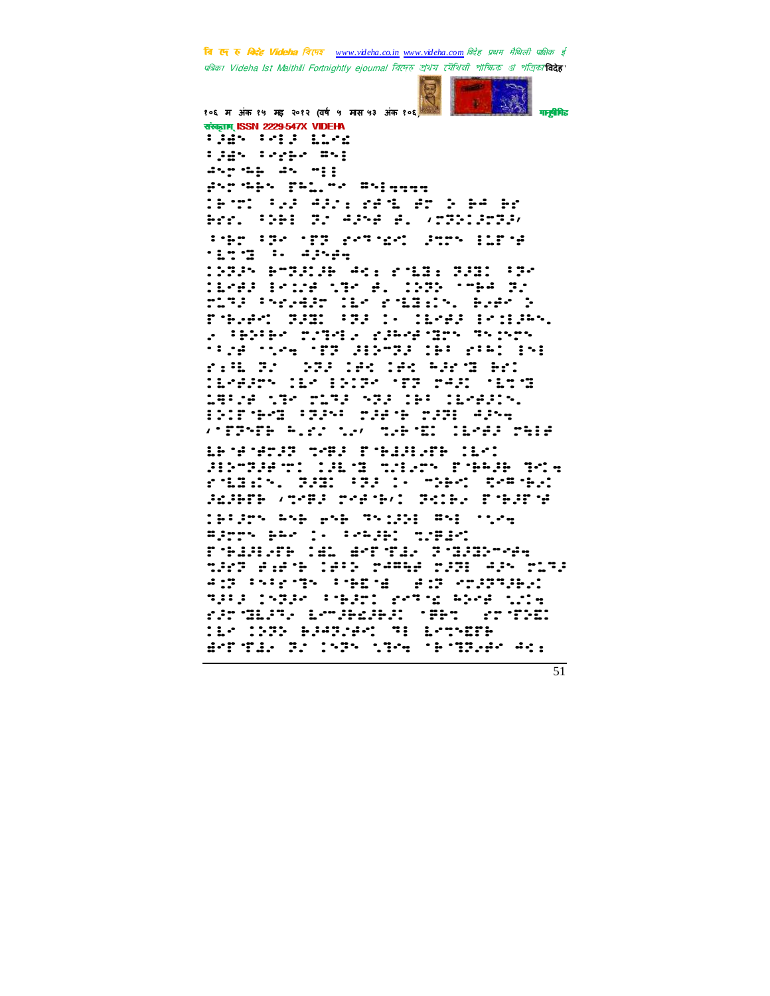

मानुबैमिह १०६ म अंक १५ मइ २०१२ (वर्ष ५ मास ५३ अंक १०६ संस्कृतम् ISSN 2229-547X VIDEHA tidy this blad lján (egye Ang aspeal as mil strakt politik anderer dent bu grieden an de be 2000 : 1000 700 4100 4000 0000 0000 1 **The CREATE SERIES CONTROL** \*1:10 : 4254 1000 FTD.D 401 2011 001 100 DERBIRDE SPORT DER STAG ER ring director to ring to be the read no un colorado con , GROGE MIRL MGARITE TERR 1028 124 155 312153 180 2001 151 rith : Wille chile and ho Gebr de Bur yn 140 yng WARREN TE TEATH SAN DEARER TE **WIPER Recover the ILMAN CHIP** BOSTORY CONSTRUCTS PORCH TO ring, no was the control of the second state of the second state of the second state of the second state of th **RESERVED THERE SEE PROPER** :8:275 ASB eSB TS:22: TS: 150 S **#:::: We :: ::20:0 ::#::** rjaner in artta rjanege 100 Augusti 1915 Manuel Man als Man 43 WWW.WEE 23 WARD this paper components what whe ILA (DID BJARDEA) AL LATARIB antical to thin the cactive age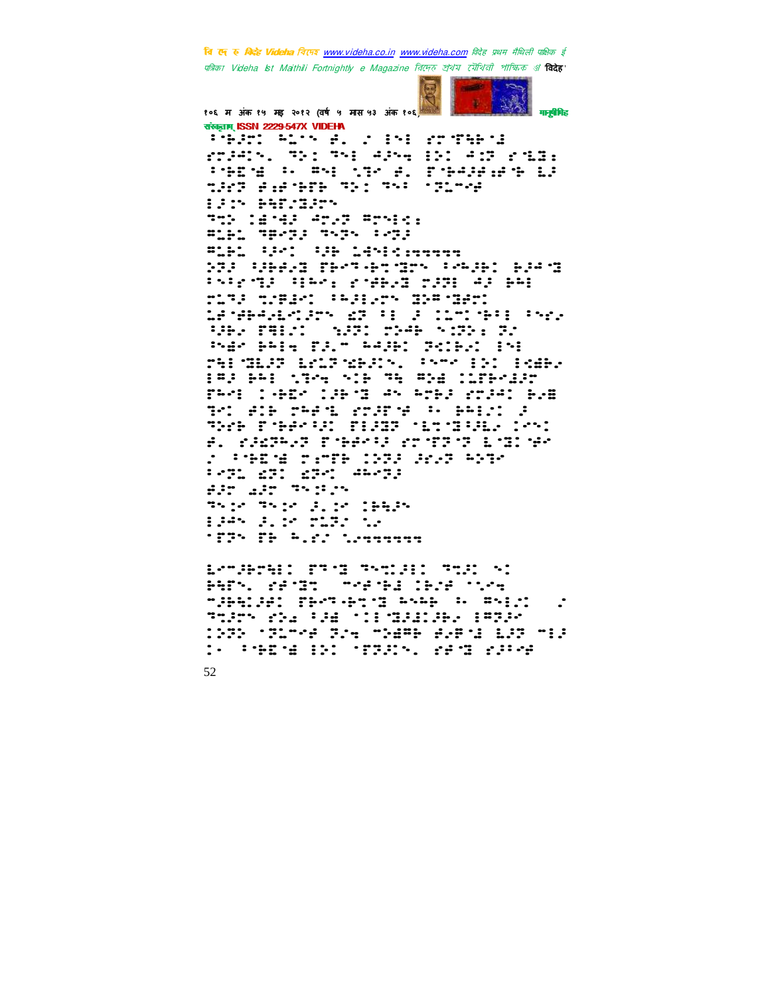

संस्कृतम् ISSN 2229-547X VIDEHA PROTOCOL SIDE STIRE **2008. THE REAL ORDER STATE THE R WE THAN PROPER** the Public State of State **Bity WATERY** TTP CENEP ATVP ATMER: **2172 722221 :02:120 120 1201** GRAACH STOR CONTACTOR **Syde BAIR TO." A43B: TRIBRI INI** <u> 1990 - 1990 - 1990 - 1990 - 1990 - 1990 - 1990 - 1990 - 1990 - 1990 - 1990 - 1990 - 1990 - 1990 - 1990 - 199</u> part the Cord as and crowl bus th alb read crope o being o 900 PARTIE BILD 100000 CAN S. MARATTAAN PROVINSI : PRE 2028 1932 853 9535 **FRIDAY: 2002-01-22** Alm alm Shillin Ber Berger Burg (BASS pas dir morte **TIP IN WARTHAM** 

10022011 2002 0001311 0011 01 ":::::: :: ::":::: ::::: : : :::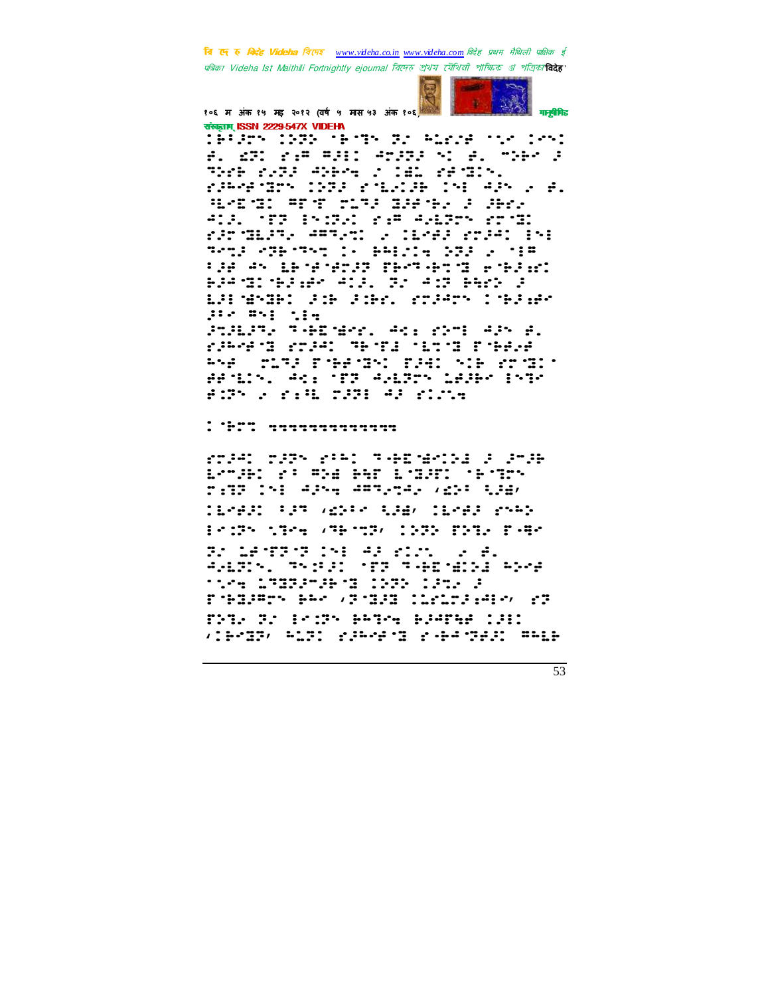

संस्कृतम् ISSN 2229-547X VIDEHA 2000 : 2000 : 2000 : 2000 : 2000 : 2000 : 2000 : 2000 : 2000 : 2000 : 2000 : 2000 : 2000 : 2000 : 2000 : 2000 nd Mariage (10 Mars) :84937 131 :313 8 14 14 48 2 8. and when the model of the **TATE AND THAT IS BREAKED AND A SER** the as inserting provincing which pre med the story worder are served **FORESTOR TO THE SECTION OF SEAR** HANS AN TEAMONING ISP

FOR PERMITS AFFICIE

**T:T: ::: 4:54 487.74. \C: 1:11** 

SO LENTIN DAL AR ELIT. 2,199, 9,910 ,99 9,82,200,000,00 remer program chinaero d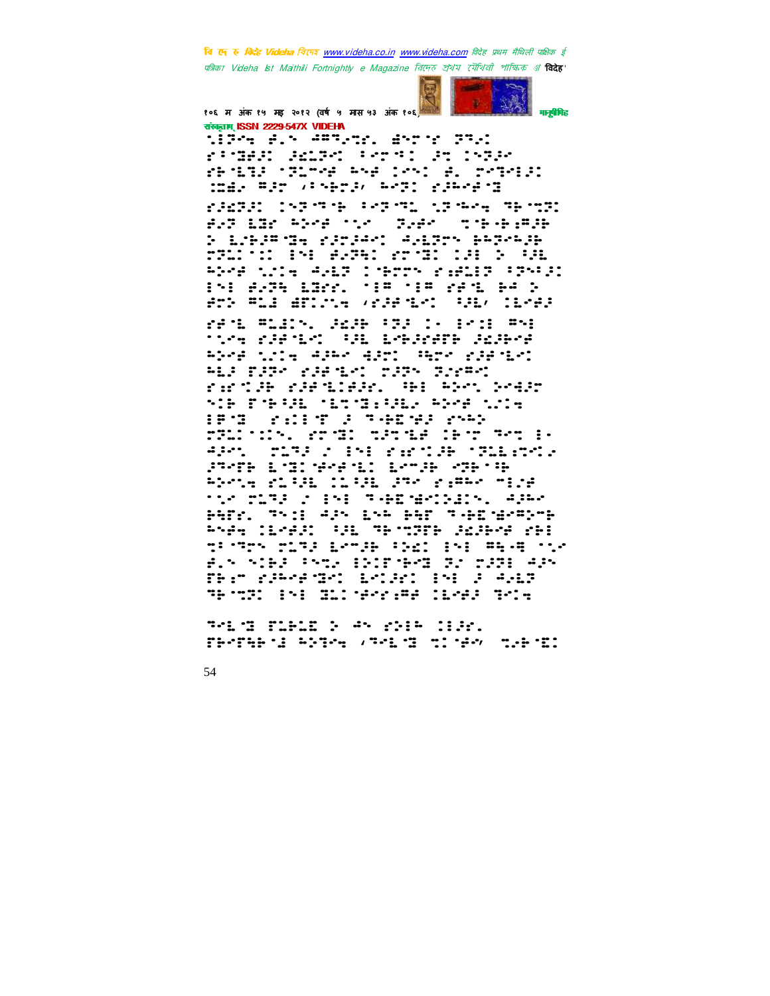

१०६ म अंक १५ मइ २०१२ (वर्ष ५ मास ५३ अंक १०६) संस्कृतम् ISSN 2229-547X VIDEHA

the fraction and the FUBR ROC POST ROCKER rendi time me bot e robest nd. 82 (1962, 632 :2043 **FRID INTERFERING 12504 TEMPE** Automobile and the **CONTROL** ant mus anicta vegenst. **AREA CEPER** ren Aldis, ape na is bro Asp<br>1184 raenbol de bearen apere aper the gas gro are child: We not near too pres **MID PARTS (1973) SIL ANG 1214** ....... .................. the first candeling.  $\mathcal{L}(\mathcal{L},\mathcal{L})$ profile in the sound of the state of the state of the state of the state of the state of the state of the stat Were siddle cidd for same misk ne pro 2 in saportin, age **BOOK THIN 435 156 BOOK TOOLSDEET When Class: WE THATTE WING AND** titte ministerik iki ini mega te es sie bas inter a an er ne prest konfilition 

ner mer i e che dic. pendisym vor the ser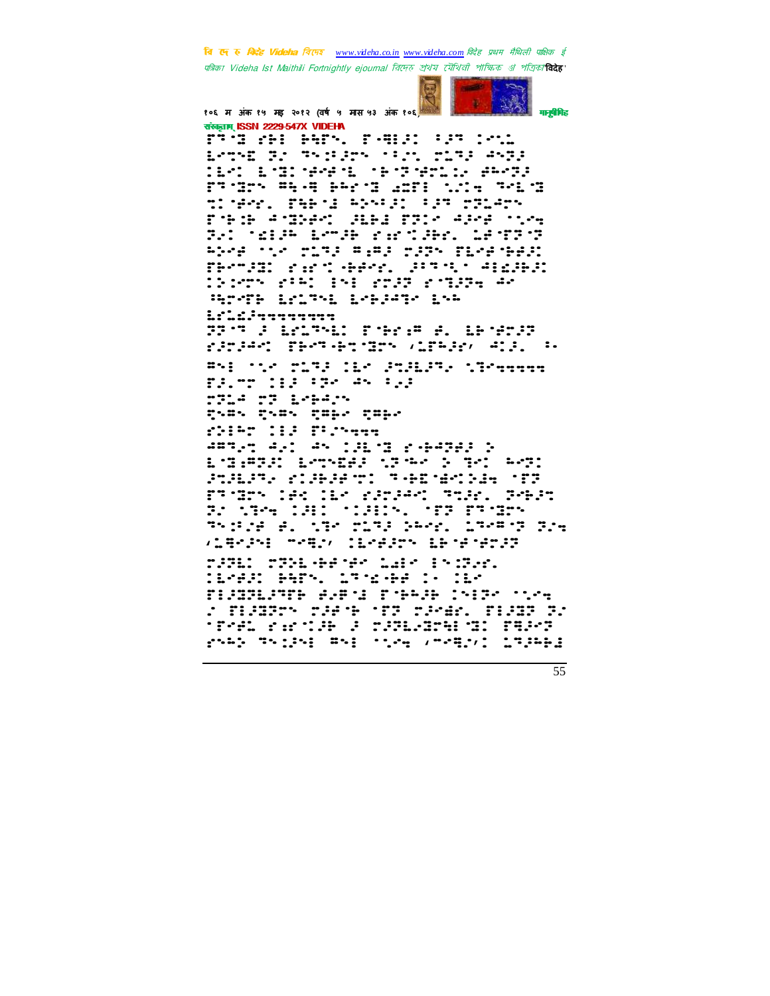

संस्कृतम् ISSN 2229-547X VIDEHA ESTER TO THIRD SECOND INTERFACT **PRISE READERS AND 1999 READER** the This world and the second rich annot del mod and no <u> 1000 - 1000 - 1000 - 1000 - 1000 - 1000 - 1000 - 1000 - 1000 - 1000 - 1000 - 1000 - 1000 - 1000 - 1000 - 100</u> neso detape, provagen: Company in recognized serve broad believe by 77. THE CONTROL OF PRESS OF REAL PROPERTY. :::::: ::::::::::: \.::::/ ::: :. 84: 112 mins : 113 mins : 114444 F. - 11: 19-4-1. **TILE TI LOBETS** rin rin rapi rapi ang ag ay pop raang p ringe the the strike index the se ar the CHI (CHI). Preference This A. The Mile Send Institute **CERTA TRES CERETA ERRETER THIS THE BEST WAY INTER.** bin Ann cream  $\cdot$  . . . . real today and the voor. Indus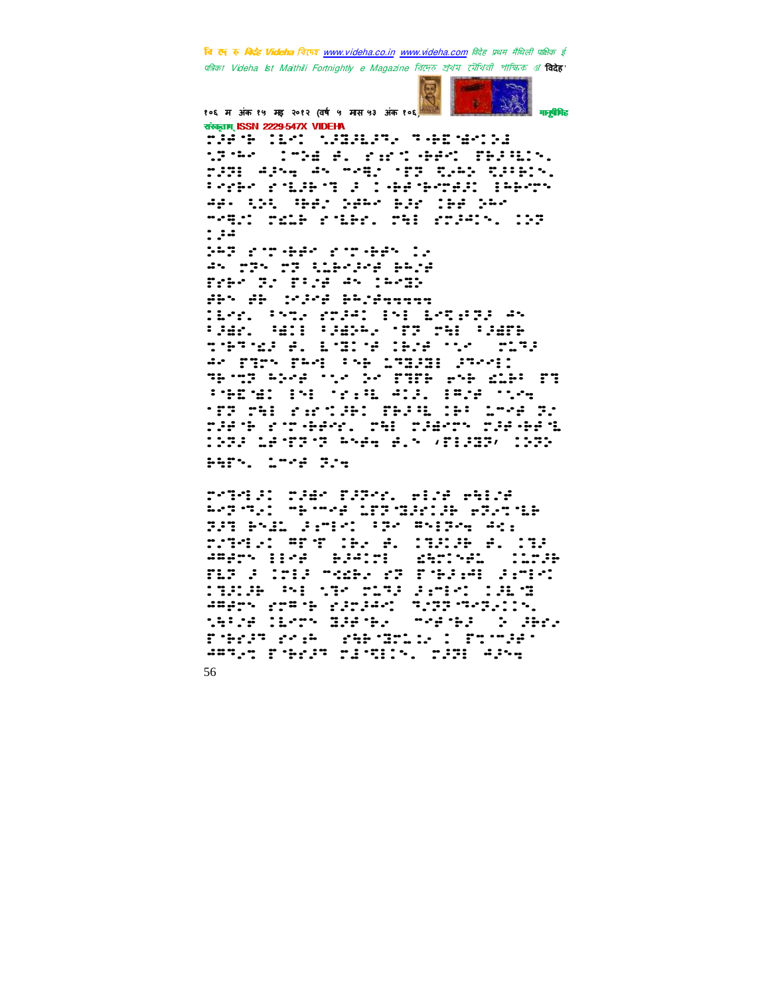

१०६ म अंक १५ मइ २०१२ (वर्ष ५ मास ५३ अंक १०६) संस्कृतम् ISSN 2229-547X VIDEHA

tHe Man which served when the E. Partage Busin. **TIME APAR AN MARY 197 TIME TIMES.** We hims fakefor Ber ap. 191 Apr your ble 160 yor  $\ddot{z}$ par produkt produkt. as yns yn tibeled bayd Trie I: Flie as (Aell Abs Ab 1020A bh:Annan ar (1952) (1965) (1965) (1975) (1986) (1986) (1986) (1986) (1986) (1986) (1986) (1986) (1986) (1986) **:AR. 801 :ARR. 15 :81 :ARR** threads, booking the second 20 220 220 19 220 230 230 230 2 76.77 63.6 73 3 6 6 6 6 6 6 6 6 6 7 6 **Predict and State Add, and State State** 'TT TWO further Thing the 1-4 To nath rochan. The names nacht. **BAPY. 1-4 P.4** 

reth: nee now. widewiid With the components nn bil den Steate ann a **B.PACTE SEPT SE TEST** angry ::/e SOR RESPONSER ENTERTAIN **2020 COURT CONTROLLER** 18:00 11:57 11:58, 500 100 11:58 restra e engola const WHAT IS THE TIME THAT WAS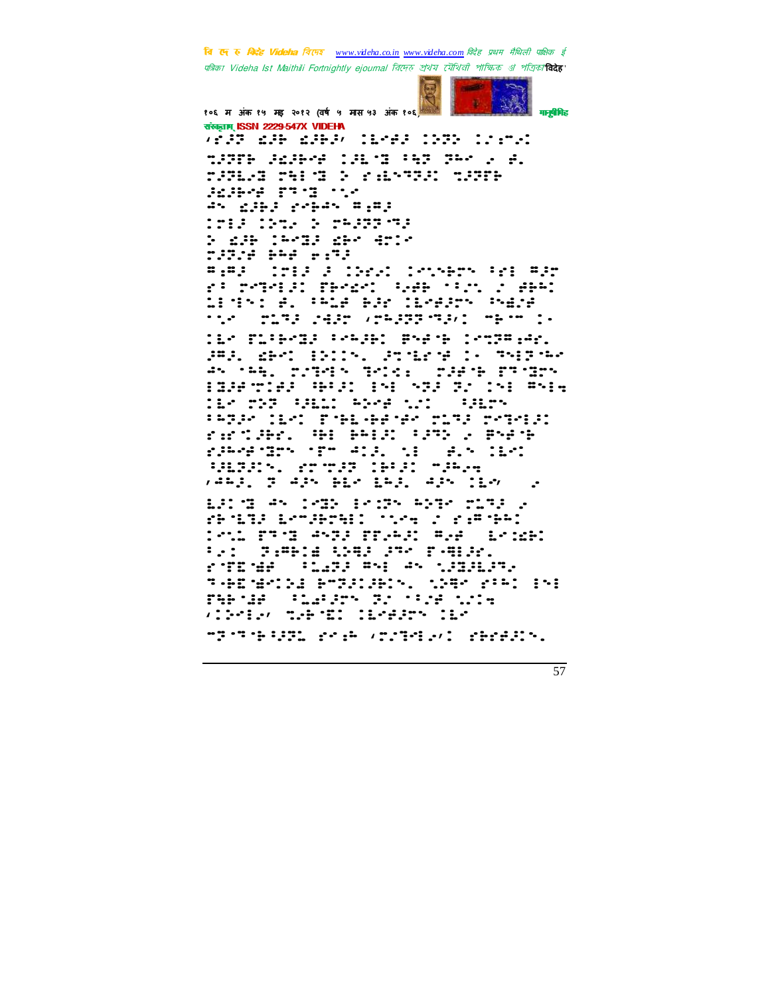

१०६ म अंक १५ मइ २०१२ (वर्ष ५ मास ५३ अंक १०६) संस्कृतम् ISSN 2229-547X VIDEHA **WAS AND AND, MARKET CONDUCTS** .............................. Sides primarie as glb: pobas min: **THIS INN & MAINTS** ) din 'noti dio drio **TICS BAS RITS** ### Chill Chill Chiler Wil #P r: Malo Bar' What we ha dinti A (Ald Bor Cradry Mand  $\cdot$  ,  $\cdot$ tik Tithen: temper Bydem rentwar. an de bin concele con s (m. 1761) 723. 1269 FIGH<br>1869162 AFJ: 191 912 72 191 AVI. SA TIT WILL WIRE TO  $\ddotsc$ :53: 12: Files 20 20 20 20 20 20 rethe moment on spec :84935 TH #11 11 #1 #1 ,AGO, S 435 BL- 163. 435 115, <u> 1938 - 1939 1939 1939 1930</u> :2010: 1002201: 1004 : 100220 <u>Mistri And Madi Ad Leib</u> : .: **:::::::::::::::::::: THEMMINE BMT:TIMEN, 1285 2002 INE WORRENT CONSTRUCTION** man media and the state of the state of the state of the state of the state of the state of the state of the s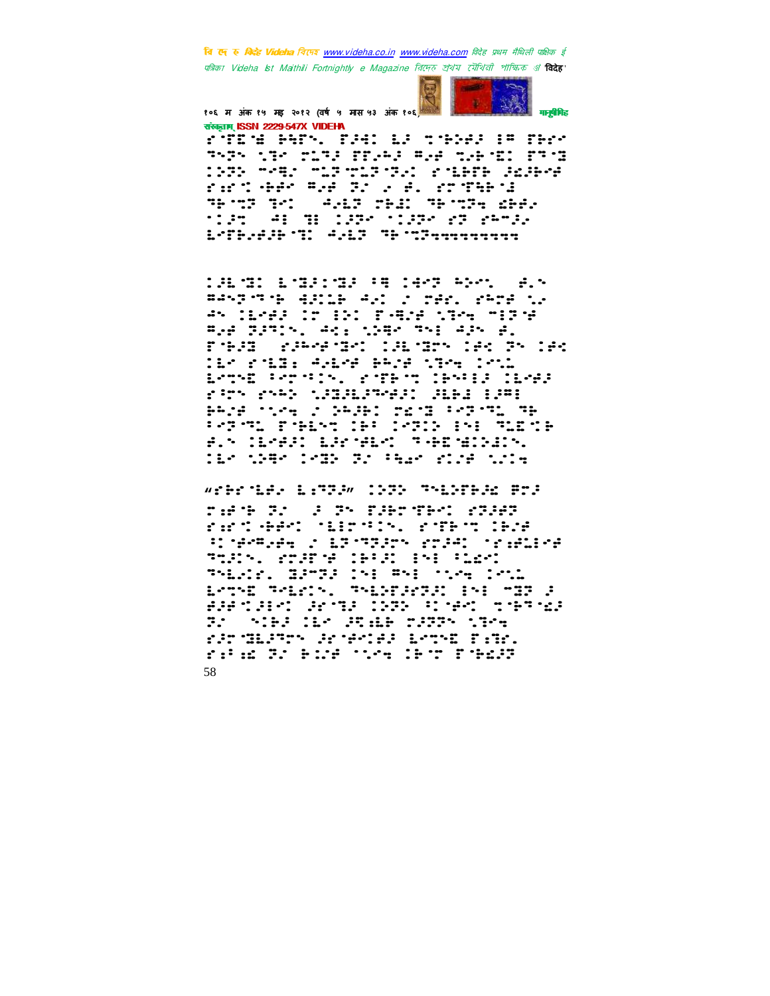

१०६ म अंक १५ मइ २०१२ (वर्ष ५ मास ५३ अंक १०६ म संस्कृतम् ISSN 2229-547X VIDEHA

file Hollow (11 the IP The non to confident eacher of the 1979 THE TIPTIP TALK PIER SERME ruthe mask alongsi 969990 402 962 9699 266 the Alm Cortice of Serie 

**TACH LOUISE OR THORAGE AT** sayng ang aktorna ang ta **35 11:4: 17 12: 5-5:2 17:4 717:2** rth definition to reth tir rudi Agirk betë tërm tru BOYS ROOM, FORCHORNIE NEE BROAD TOAL OO DROAD DE TRACTA DA BROAD<br>PRACHO INTERNACIONAL DROAD DE TRACTA in the control and control

## webstart a straw water thanks by:

rather any narrational retem under reten Howard Control com change THE PHILE OF STREET TALL: BRTF IN THE TIME IM 1095 910, 91191000 151 999 1 ARTAR RTD CONTROL TRIER **SOLUTE CONSTRUCTS**  $\mathbb{R}^{\bullet}$ rialle bushes let fault 58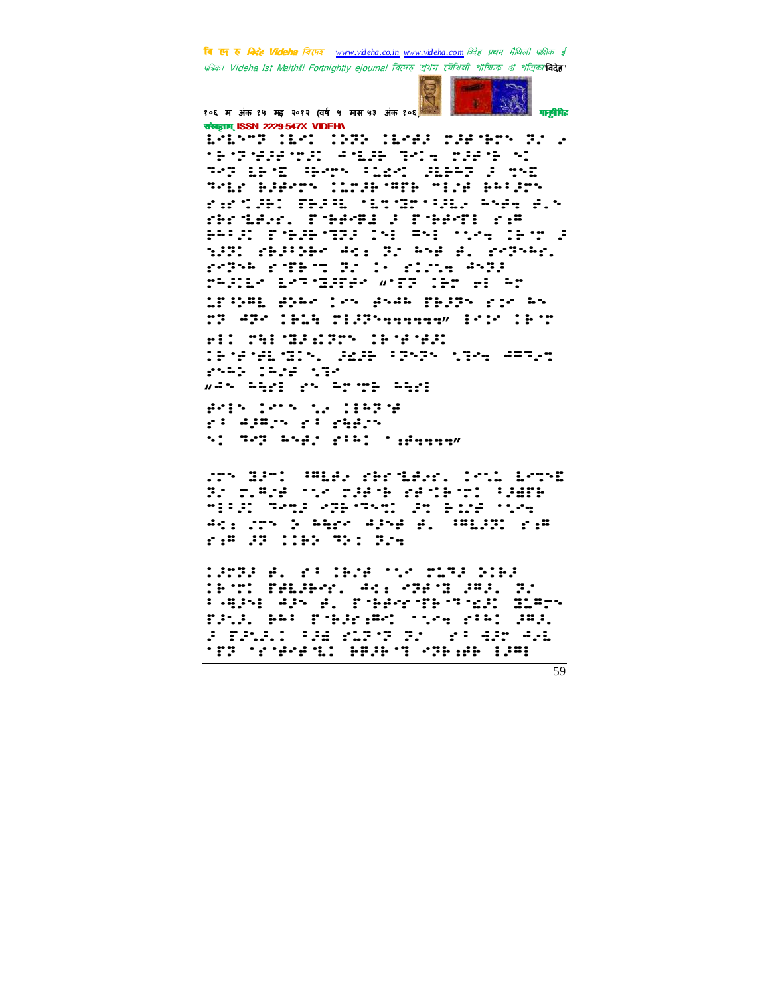

संस्कृतम् ISSN 2229-547X VIDEHA With How was welched as a 'PTHATE PLATE TO TATE S ne de Berg (120 de Baro de 1 ser bleet Cribere sid belle reth: BHB thim the Webst che talle : charga : charga est **BACK FORETH IN AN AND THE SAME S** the strip are no mander screen 899 8999 72 1 2204 891 PARIS LOTORER WITH THE HE AS ITOS CAPIDA PHONIC A ell reconsider desessi ryky 1428 (Tr was ang: gs arge ang:

Bein Cenn to Ciaze r: 43%;n r: rhern **SI SAT ASS: SIA! TERRATU** 

... 1: 11: 11: ... ... ... ... .... To class the class sensor: **SISTE** "BR THI CRYST CORRECTOR 4: 27 FAR ARA A WERT FA **:: :: ::: ::: :: ::** 

**FARM AR E. PORROTESTE! BL#55 CONSTRUCTIONS** (1992) 2011 **THE READS AND THE SECTION CONTROL**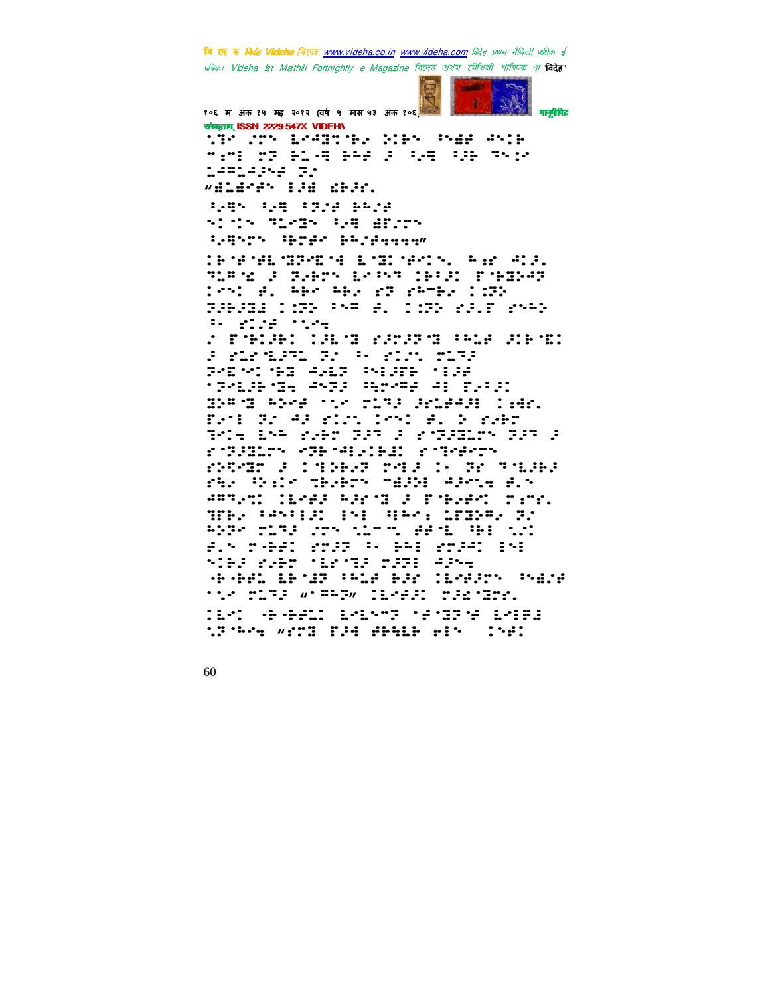**Service** 

۶ १०६ म अंक १५ मइ २०१२ (वर्ष ५ मास ५३ अंक १०६) मानुबेगिह संस्कृतम् ISSN 2229-547X VIDEHA the cry begroot. Way gyad ayou "PORT RESIDENCE IN THE LARLAGHA TO ws.s.s. ha chic 1255 125 1722 2422 **SIMS TEMPS IST BEAMS** non a cher ann ann chan Ind B. Arcaby 20 Samby 120 **THE REAL PROPERTY OF A STATE OF A STATE Beatle** the  $\therefore$  rifing **THE REAL PROPERTY OF STARS . Second State State Service State State** nes bet transporte con Bet Bost Al Sich Concert Booker Big 196 f.Ar 325 2 f.Sailry 325 2 **POINTS CHOILLED POPPY ART FIRM MILL BE TEMP** sta Cale chart main Alma A. 289. T. M. M. M. M. M. M. M. M. M. BR NR NH MH AN HI **A.S THAT CONT B BAI CODA INE MARK MENE TEP GGREET EPERTY PROSPEREDED** tre and the present  $\mathbf{1}$   $\mathbf{2}$   $\mathbf{3}$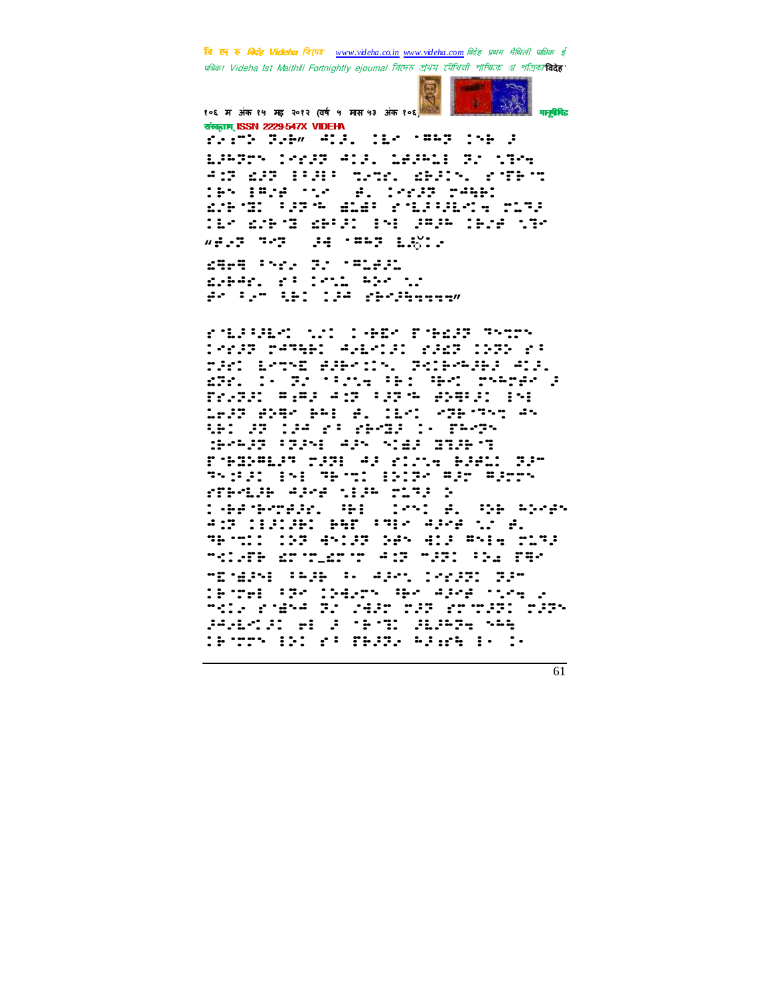

संस्कृतम् ISSN 2229-547X VIDEHA 1827 1925 411 1831 184 43 23 333 530 250 260 260 3 bed bryanistic pro lin chos chil by JAJA leve osn 

ERPROTECT TO TRUPPL *saber :* :::::::::::::::::::: se te thi is shedhaan

riche : Marian Constant nad borg agents. Robeaga gla SOC 1000 The Biller companie lus die bil d'il die sterre de 18: 20 :20 :1 :2021 : : :2025 garag chini ain nigi mua'n approximation of the state ad Hour en grade d'A "W.S. crycry 43 730 15. PP monday cap a day jego pr IPTA IR MARY HA APA 'YA . nd de dra de lagrongo erongo egr *PARADIO E DE L'ESTO DEDEL 201* 19725 131 21 THIS. WESTER 1.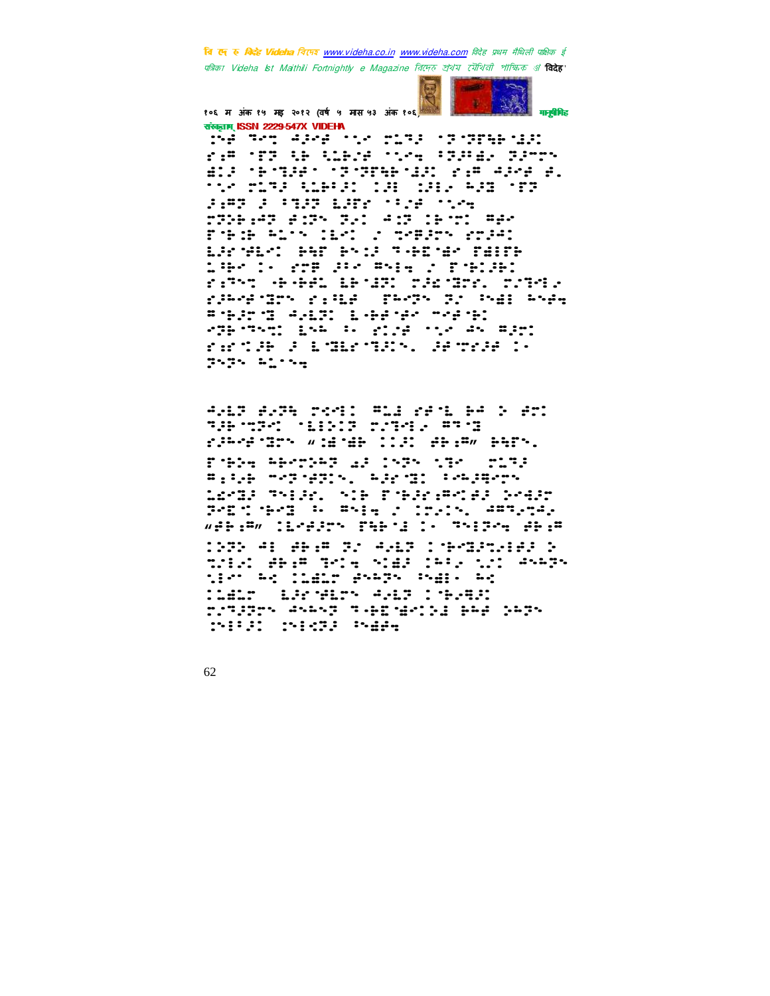

१०६ म अंक १५ मइ २०१२ (वर्ष ५ मास ५३ अंक १०६) संस्कृतम् ISSN 2229-547X VIDEHA

<u>Si so gra sa sila saturan</u> <u> 2000 - 2000 - 2000 - 2000 - 2000 - 2000 - 2000 - 2000 - 2000 - 2000 - 2000 - 2000 - 2000 - 2000 - 2000 - 200</u> ED STORY STORESE FRAGGE. ne mora tibar (A (A) die bai no **F.AT : : 17.17 L.H.: '::: '.'. 1726-07 2:25 721 4:2 lbirl Add** res with this refer come LRYBK AP PYRTAENE TOOP ::"" +::: ::::: "::":: " glanding gills fann yr hel ande **SART AND LATENT TEM** encommunication and the state state reth Pomrho, Hred : papa sina

AND BUCK TOOK WILL NATE BACK AT **THE THE SERIE STREET STREET** #:00 mpropressed additional compares leta tiko ya padangan bada POSTER PRESIDENT WEIGHT websh lifer for I : "Here A.P the special to the consequence of the constant of the control of the constant of the control of the control of<br>Second the control of the control of the control of the control of the control of the control of the control o respectively the gaster part of **::::: :::::: :::::**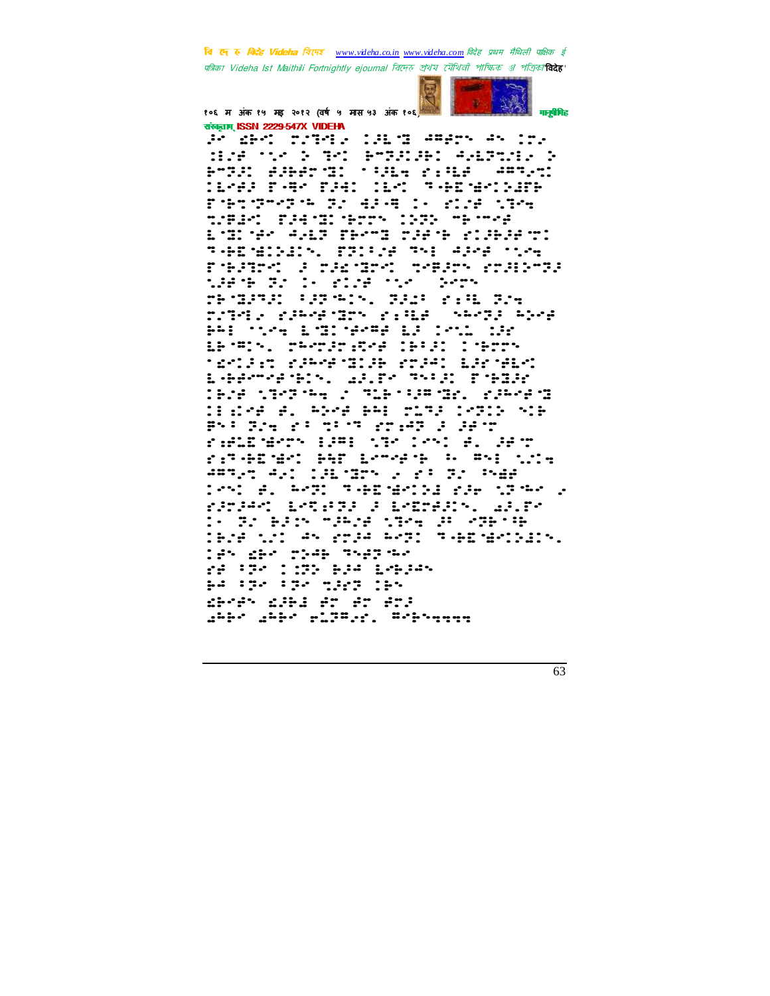१०६ म अंक १५ मइ २०१२ (वर्ष ५ मास ५३ अंक १०६) संस्कृतम् ISSN 2229-547X VIDEHA



P SP THE WORLD HER AND 11:4 \*\*\* 1 \*\*\* 1 \*\*\*:::: ... .17:1. . <u> 1990 1110-00 - 1116 1111 1111 1111</u> **THEMSTER** recover present the con **THE BUILDER STATE THE SINESE STILLE THE AGES TIME** POSTER : 202000 SPRING CORPORATION tare or to stop to a  $\mathcal{L}$  , we set  $\mathcal{L}$ HARD GRAM BE WE BM rath dheatr dig sha ha HI TA LONARA LI NA WA tetlic rængslæ rogt betær Lapresty, B.P. 793 Pale cent through the company powers disk al mod por titl cond vip **P: 2: 2: 2: 2: 2: 2: 2: 2: 2: 2:** raucars por con a arr righter ar break a ma wh **ANTIST AND CONSTRUCTS OF SAMPLE STAR** ten al Antichantica da creo a :::::: 1::::: : :::::::: . .::: a di kina mangangka ya koma n ane this an ende won Sweekenhain. ter der gige siggele files the manufacture pa (pr (pr m): (pr dhih dibi in an an: .up. .up. elta.e. achiever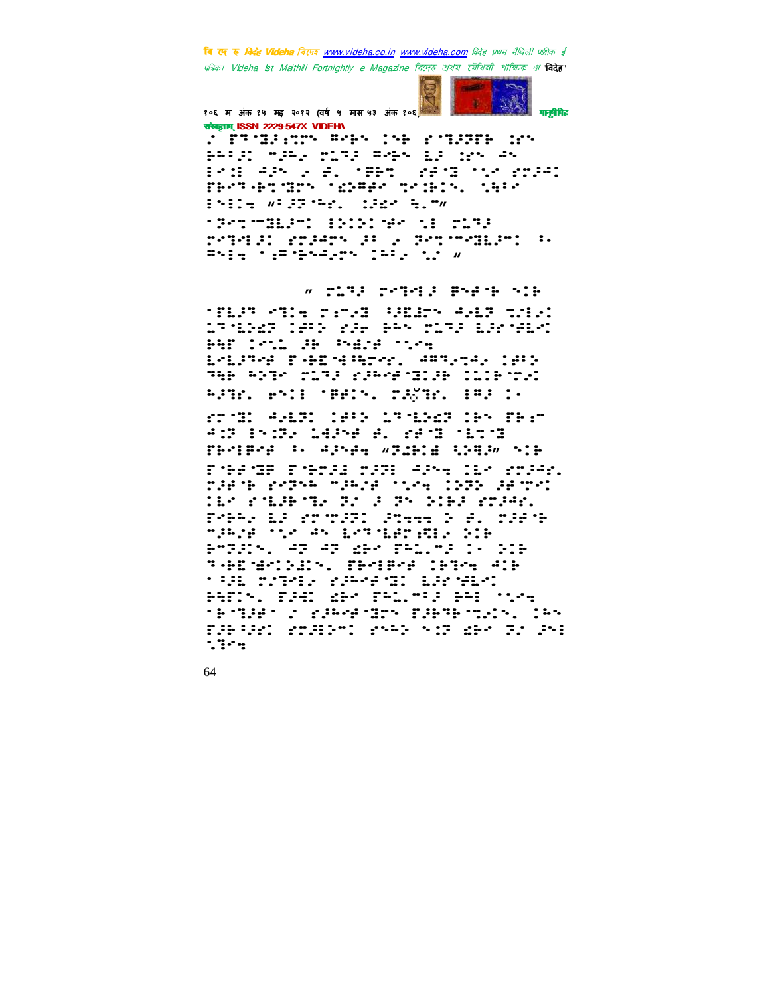

१०६ म अंक १५ मइ २०१२ (वर्ष ५ मास ५३ अंक १०६) संस्कृतम् ISSN 2229-547X VIDEHA

**TIMES WE SEE THE STATE** Brooks and the same through person com constant **India will the clash here . The Hills of States of Second Property** 

reterar aragon an 2 terrengian: A<br>Anix Marinhalen (An2 n2 w

## 

'HIM STORTERS WERE THE TOUR HE COLL & PENFITOR mp byp pin: come mide tile w.t **WERE THE SECOND IN STATE** AN 1500 MORE A SPR 1878 **The:Bed : 4:50 \\T.S.A ::21, +:2 THE SECOND SECOND SECTION THE RIM THANS THE SIN HTM** ur rugher er før blefregger Poble 12 streams atoms to the b mang ny as bendaring the **THEMS:DES TRIPS IFFS AIR . IN THE SECTION OF** HOW THE OR TALMIN HA WAY tender of pakendry papernuck. Car nath: comboilett vo de oc py  $\frac{1}{2} \frac{1}{2} \frac{1}{2} \frac{1}{2} \frac{1}{2} \frac{1}{2} \frac{1}{2} \frac{1}{2} \frac{1}{2} \frac{1}{2} \frac{1}{2} \frac{1}{2} \frac{1}{2} \frac{1}{2} \frac{1}{2} \frac{1}{2} \frac{1}{2} \frac{1}{2} \frac{1}{2} \frac{1}{2} \frac{1}{2} \frac{1}{2} \frac{1}{2} \frac{1}{2} \frac{1}{2} \frac{1}{2} \frac{1}{2} \frac{1}{2} \frac{1}{2} \frac{1}{2} \frac{1}{2} \frac{$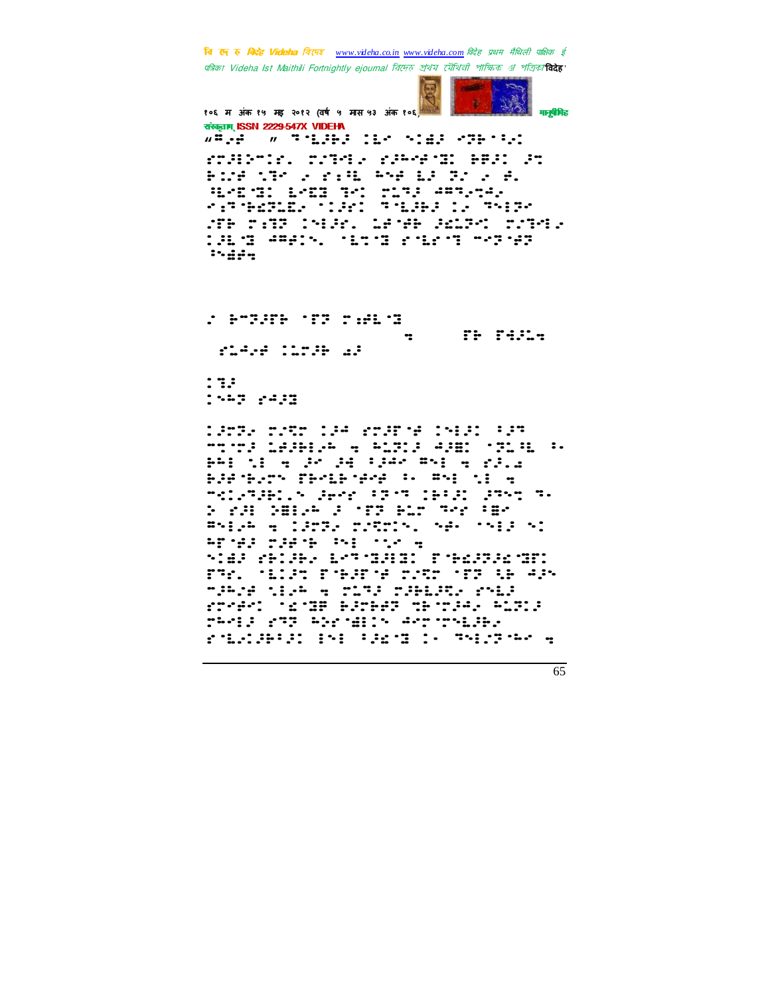

संस्कृतम् ISSN 2229-547X VIDEHA rouselo como rameno eno ar Bind the Social And 13 Those. sieren iere een niet angegag KRANDAR MARK STORE OF THE **Sharp** 

TH TAIL- $\ddot{ }$ rigge firsk as

 $: 3.3$ than east

**THIS WIN OF WHITE INDI**  $\mathbf{z}$  ,  $\mathbf{z}$ BAD ti e de di tak #si e rd.g BRINGS TROBURG & WH SE . monders are determined and th De Solder in Staats #4:24 g 12572 525515. 54- 552 51 Aposa pagos (si otro MAR WARD AND THE POWER TO ric (1990) rich and the control of the second second second second second second second second second second s the dessite while chi rance of an and serves are the same rthomas be sared to merger 4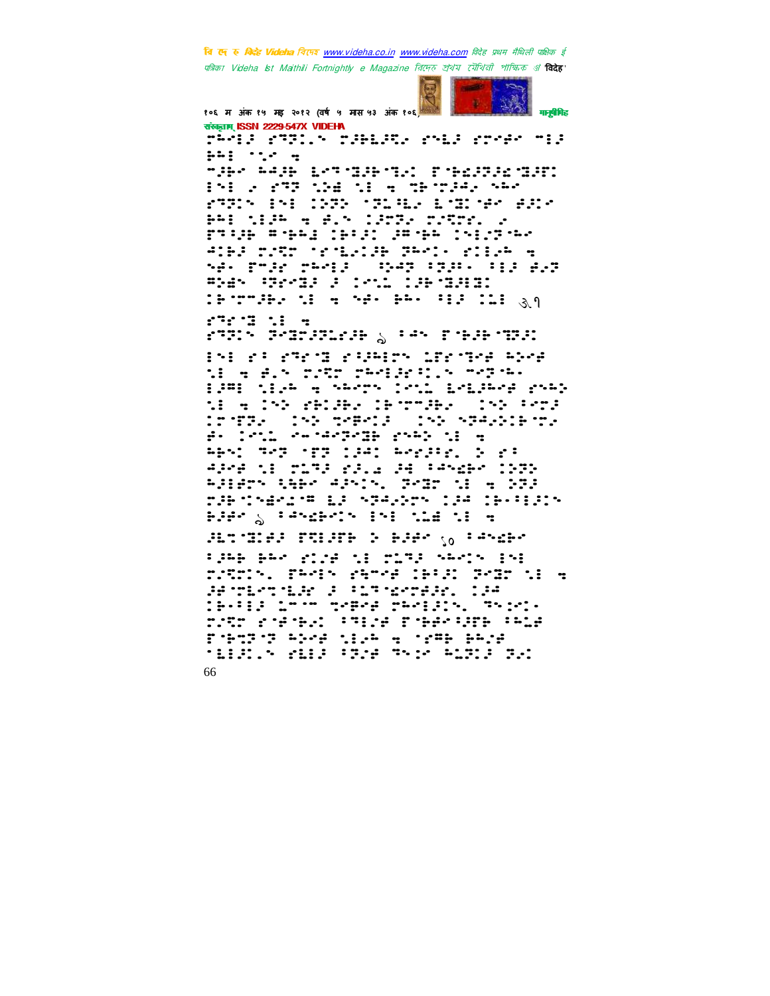

१०६ म अंक १५ मइ २०१२ (वर्ष ५ मास ५३ अंक १०६) मानुबेमिह संस्कृतम् ISSN 2229-547X VIDEHA redia roots component rree mu  $......$ Berger Constant Andrews Constant rth Bello Borne Company and **HAI 1126 4 4 5 1222 2222 2 TT:8 #462 16:00 J#46 14:200** 2012 - 202 - 202 - 202 - 202 - 202 - 202 - 20 se rok redi (nar gun (p. 20 **We Brill Strip Change** Chronik di 4 mës kës filloi <sub>s</sub>h  $f''f''''$  is the set of  $f''f''$ **INFORMATION INTERNATION** de est procheros mene. : Sm: tisk a skers feti islike: rsk the DS PROBY Gerroby (SS Prop ISTRA (1920-1989)2001-1920-242218-112<br>Brojevi ekonomik prezonice West her through weight. So re Wienlieden, Parti (20 racter and a sawer ta teller BOR SPORT IN THE SER Arth: MH: Paler <sub>So</sub> :4526 the eas side to mind sasks ost **T.T.T. Saft Strip IPIC 3720 12 5** aforkorik a fizikoreak (af<br>1691a inor beke bedaan, zepon 

recorder the component '1:2: Well: 17:2 Type Alfil T.C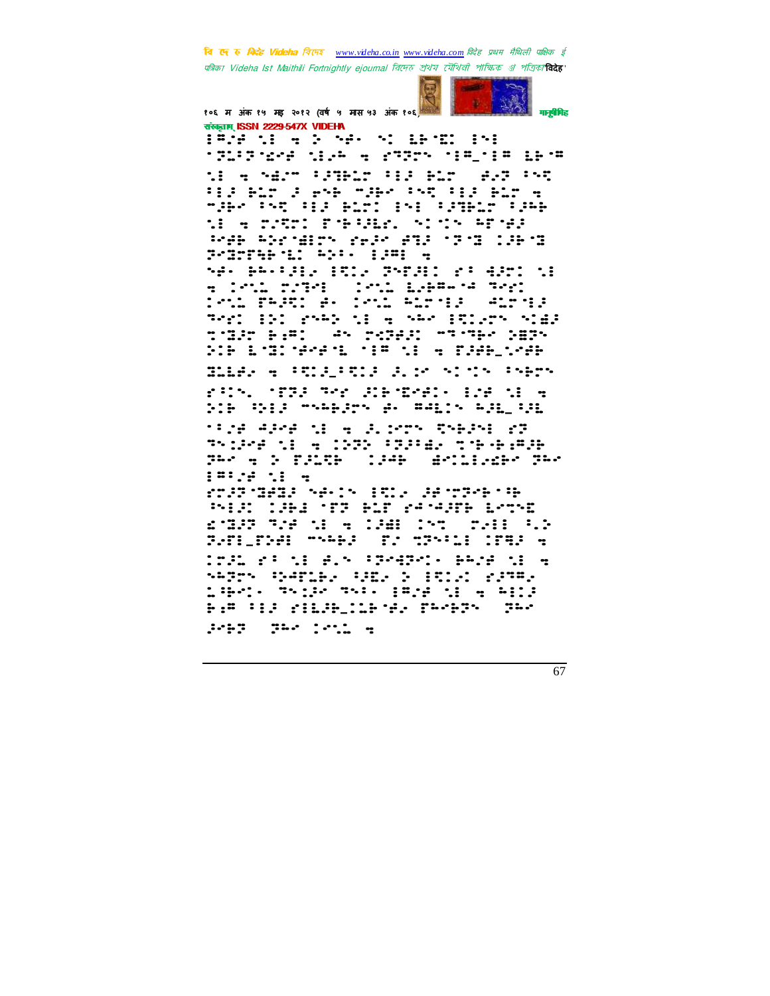

संस्कृतम् ISSN 2229-547X VIDEHA 'Blike' de 4 2955 delle be 18 - 42 HAL HAL HALL AN IS the Books and the computations ti e njoh fjelle, stji erge we brur no se se re con **NAK AARTALA ISI, SYSII 21 ART NI** t Policie (Millease Sep Post (b) comp that one functy of me tile kan as penggunan menganggun 3:8 1:3::PRF1 : IR :1 + 7:28\_1228 INST WARRANTS TO MANUSCRIPT ron yn he dawen de da **The APE 10 A Corry Typing 23** ster d'e conformationnelle 1960 - Personal Personal de Paris (n. 1960)<br>2001 - Personal Paris de Paris (n. 1960)  $1^{\mu}$ :  $\mu$   $\mu$   $\mu$ ::::::::::::::::::::::::::::::::: **MID ORIGINAL REVARE LONE** 2007020141001011111111111 tro radial and argument and the regor (beniel (Poll Boll) 2298.<br>1967: Sriph Sri, 1828 (1) 4-6112 and the child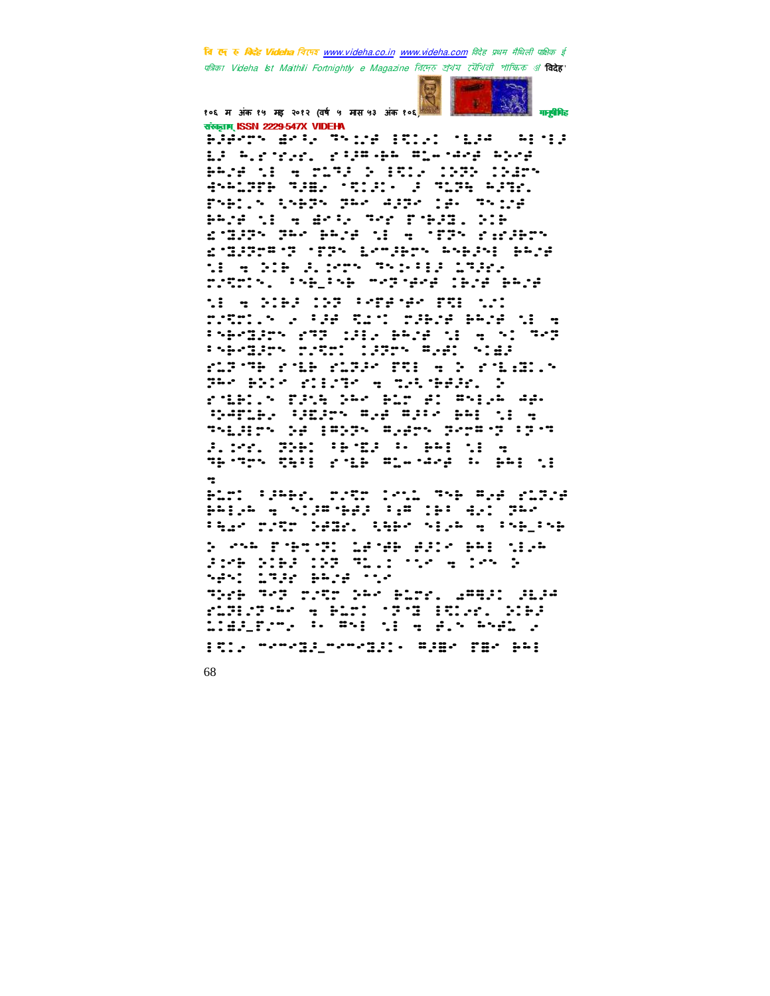

१०६ म अंक १५ मइ २०१२ (वर्ष ५ मास ५३ अंक १०६ म संस्कृतम् ISSN 2229-547X VIDEHA

BRATH BRATHING BRIDGE TO BE SERVED 1: Western plumph Himsel Wind pre di stori città dell'organizzato renje neprodno aprojal rejja PHY SEARCH THAT SIR room as been door the compe compromised and served and the HB Durry System Inde ritrin, Snelse mytheyd Ceca Beca

**TORO & A PAR TIME THIS BASE OF TH President off (SI) and (S) a no from** : 42-10: 1000 1000 1000 1000 1000 components control and chance par blir richt a trichtif.  $\ddot{\phantom{a}}$ rible The SAM Bir Black Ap **194218. 12021. 8.0 8.1. 8.1. 11 4** nikr yf Myn gyfn byfog 197 <u> 2.90 mai 1912 : 201 11 m</u> The The Thile of the Missener is held to

 $\ddot{\phantom{a}}$ <u> Siri (Dier, rith (et 74 per cond</u> HIGH 4 SIPPER BE IB AR JAR **That TITT GOOD, GOOD SIGN 4 TSEISE** S es recon dee and by die die beste beteken die beste beste beste nen. inge byek te 1968 197 - 20 14 198 199 1011 1111 21912948 + B121 (771 B2121 1182 DOUBLEVER AN AND REAL OF HIS WARD OF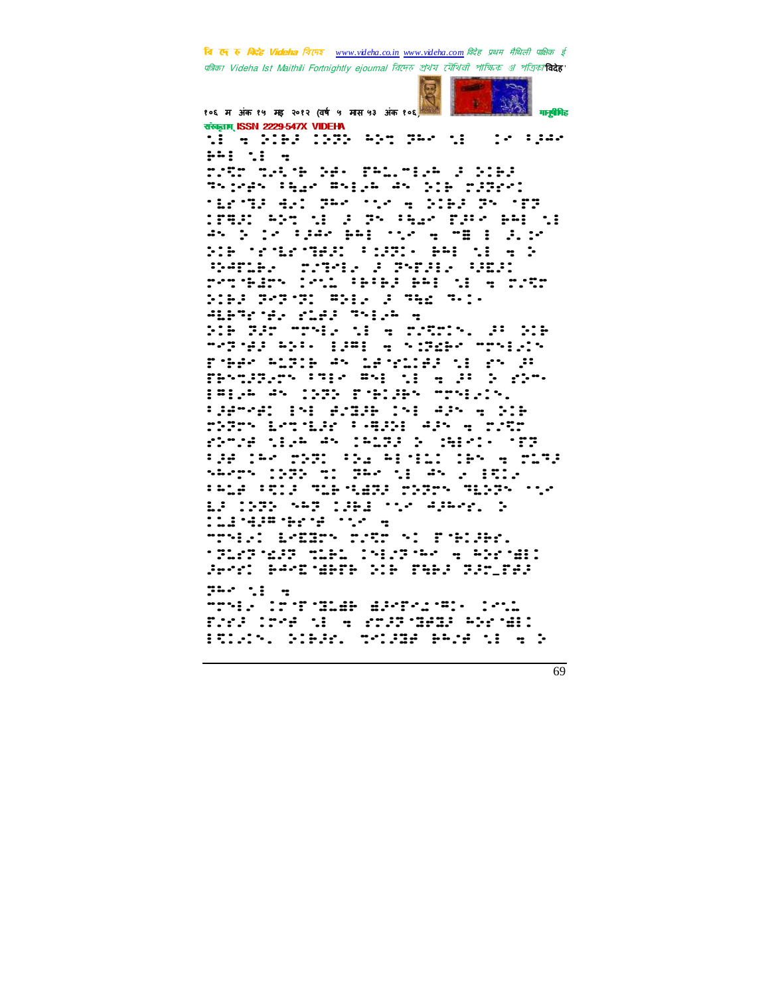

१०६ म अंक १५ मइ २०१२ (वर्ष ५ मास ५३ अंक १०६) संस्कृतम् ISSN 2229-547X VIDEHA 00: 1: 0 .... ...... ... ... ... . ... tropholys mighthropics: 12092 A. TAR 120 4 2282 S. 127 ITED AN N 2 Prober The AW N 45 S 28 FRA BA: 118 H MB : 2.25 **X:A (2012) 1922: 1922: 1932: 1932** rethis is booking and in a still **SIR 2010 BIL : 192 9:1** ALPROAL CAR THING SIB 32 THE SEA COUNT 20 SE **MATHEFAIL EDGE & STEEP TIMESTS** ree wate e drodda drof e Bright Me me i a P S Sr :=: A A ::: F:: A - --: .: . there: in: Arzh in: Adm & Sib rden brith (Andra Advanced rder (1.4 45 1421 d. 1410) (17 HAR TAK MIRI PIG APHILI IAN A MIRI **SAPPS INTE TO TAP 10 AN 2 OTL.** <u>Minimere va </u> **. T. P. P. IT STATE IN POST OF A REPORT** Seed BARD MADE DIE PART DIE PAID  $244.12.4$ **POST OFFICE A POST SHOW AND SET**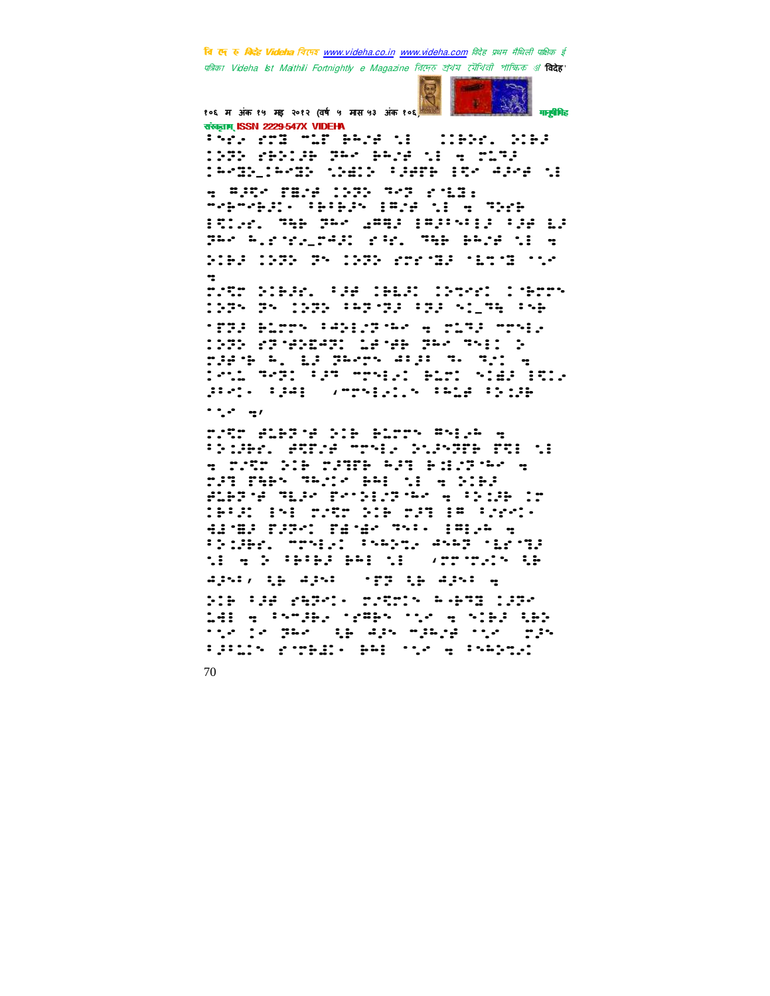

संस्कृतम् ISSN 2229-547X VIDEHA **CONST. 2002 Product Separate Construct Construct** 4 #250 PHIP 1252 #05 FOLD: Membro Opopin (Ald 1) 4 Thir BOWN THE THE 2882 INDICATE IS NOT The birder and the The Book of a **2:83 :232 35 :232 :32 :32 :12 :12 :12** DAT SIERN PROTEEN ISTAN COPTS 1934 S4 1939 (AS-32 (S) 41 S4 (AQ **. 2008 Black CASES (2014) 4 2008 10082 THIS A. 12 TAPPS AT IT TO THE A** press the contribute this true

 $\ddot{ }$  ,  $\ddot{ }$  ,  $\ddot{ }$  ,  $\ddot{ }$ 

.... ........ ... .... .... **THE THE TAGE AND SERVICE** control model control and control to **IPOS IN THE SI DI IP REMIX** agsi, in agsi " the in agsi w 18 e Monde (2005 tra 1918 191 the letter of an engage the con-**FOR STREET BROTH ALLARGE**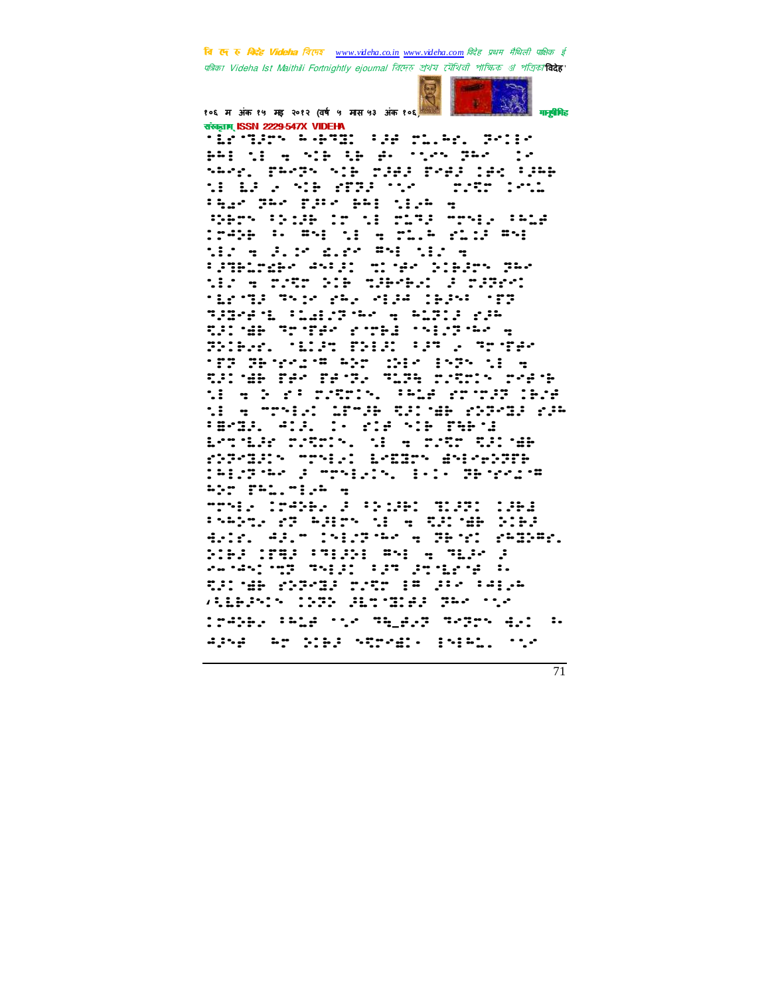

१०६ म अंक १५ मइ २०१२ (वर्ष ५ मास ५३ अंक १०६) संस्कृतम् ISSN 2229-547X VIDEHA

post de sin de partier de la constantin  $\ddot{\cdot}$ **SAPE, TAPTS SIR THE TYPE LAR LIAR** and in That The TILE bhi tich m 11276 11322 12 12 12 12 12 12 13 14 crath a mag that must chun man the business many of the **FIRECARD ANDED TO BE STAIRS TAM** tir a noth til mikilet i njoho this we sure had the this **THE REAL PROPERTY OF ALSO AND STAR** TP Breez' Wr SP 195 M a the began the control 10 - 1 - 1 - 100 - 1410 - 1510 1610 ti a monigi ismge sylvae pograg pye<br>Faragu gigu in pip nie seena Lestin strik (1 . stri til 11 **CONSERVATORIES & CONTRACTOR** capisar a mondadh, brit da bheana ate Palentia e ""::: :::::: : :::::: :::::: **:352** Baby, of whom the thing the ede, els captar e deno radar. **24145112 75121 127 201214 16** the cost conductive sup-(1119), 1991 (1299), 1992 (1299) crathy cand the Miller Medra Avi and an Did Strain indicate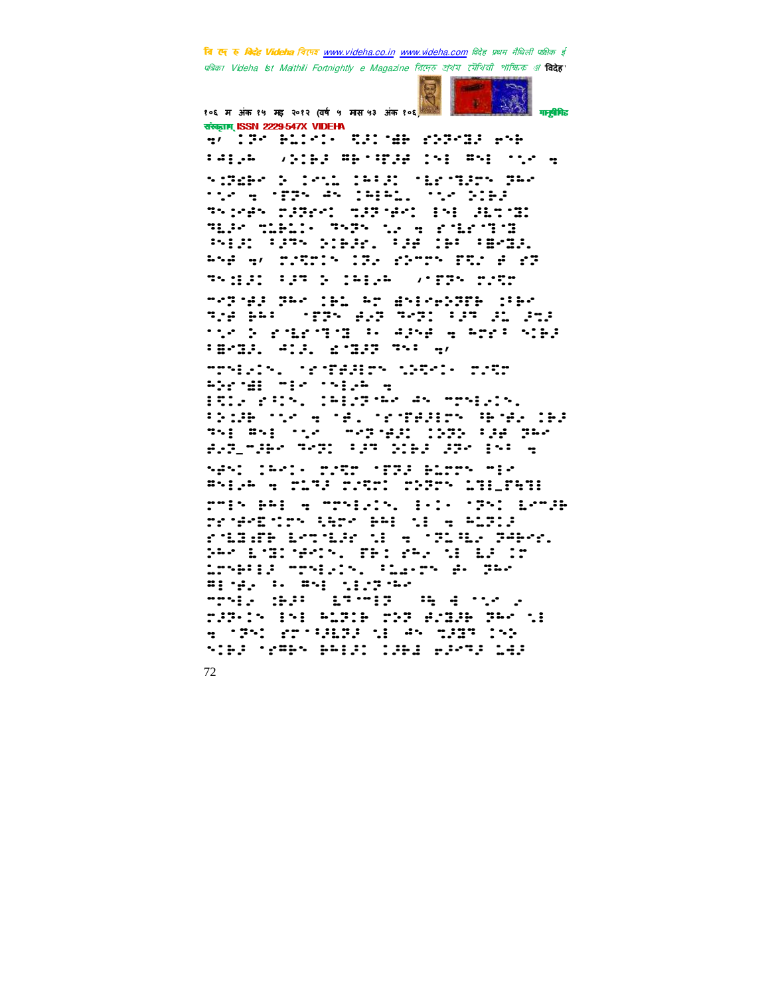

संस्कृतम् ISSN 2229-547X VIDEHA :4:50 \:8: #P\*#I# 15: #5: 110 g STEEM & CRO2 CAPED SEARCHER TAR the active as juici, the bias mos dad days mara nua maur nya waa siste **WER OPS NERRO OR IN SECH.** by griffit Controlled C **THILL LIT & CALLA (TITH TITT** mather than 191 Art drivenport (196 **THE RAY THE RESIDENCE OF STARS IN THE RESIDENT OF A STARS IN THE RESIDENT OF A STARS IN THE RESIDENT OF A STAR Millions Communication** :8033, 413, 20337 75: 4, trisk frihm water the West the state **BOOK STAL INFORMATION TOWERS** thing the 4-tel trophony group. In:<br>Sympathy, "Southerness" (2010) nen (Art och 1992 blod mer 84: 2000 - 2000 - 2000 - 2000 - 2000 - 2000 - 2000 - 2000 - 2000 - 2000 - 2000 - 2000 - 2000 - 2000 - 2000 - 2 rnis emi e nrmigim. Inin 1751 innie **TO WARD TO SALE AND THE REAL PROPERTY.** crypole mrylety. Copyrr dy gar mpsp. : msp there are the SI Strip Refor **THE REAL PROPERTY OF THE REAL PROPERTY OF SERVICE** e 'PSI ST'WARD AD AN THER IND 

 $72.$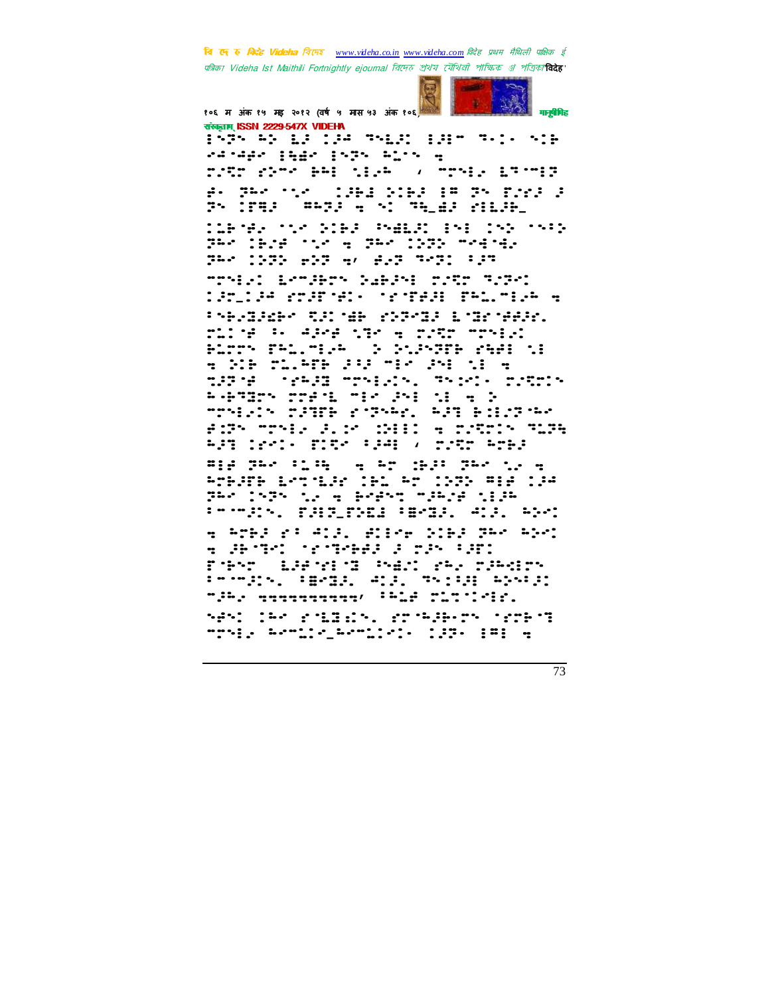वि एक रु क्रिटेड Videha विएम्ब www.videha.co.in www.videha.com विदेह प्रथम मैथिली पाक्षिक ई पत्रिका Videha Ist Maithili Fortnightly ejournal রিদেহ প্রথম মৌথিনী পাক্ষিক প্রা পত্রিকা**'বিदेह**'



संस्कृतम् ISSN 2229-547X VIDEHA :494 AD 12 124 MA121 121- MA14 416 adjar inda into blir e neth cher ba: tisa ( mhais 1979) e pe na thi bha bha a prona a 

mere transported the control of the state of the state of the state of the state of the state of the state of particle transportion mande 91. – 191. – 192. – 192. – 192. – 193. – 193. – 193. – 193. – 193. – 194. – 194. – 194. – 194. – 194. – 194. –

<u> ""list is "in the time to "in the "int</u> rich B dad the crip spile Hirry Children's Constitution of the Constitution of the Constitution of the Constitution of the Constitution o t SIB SLAPP 282 MP 282 SETTE **TEACH TERRITAL TRIPS SECTION** nur e **AGRISHTER TE SE SE SE LES** THE SHIP STAR AN BOSTA adr the condition that the **AST 1001, TITO FSAM ( TITO ATAS** 

BETWEEN THE THE BUSINESS OF particle in a brest threated 

4 AMA 200 AND AND AND AND AND AND A 4 H T : 10 T : 10 H : 1 T : 1 res weers mad surrects yet de ribble cryelery yneg mendis preside president constant a

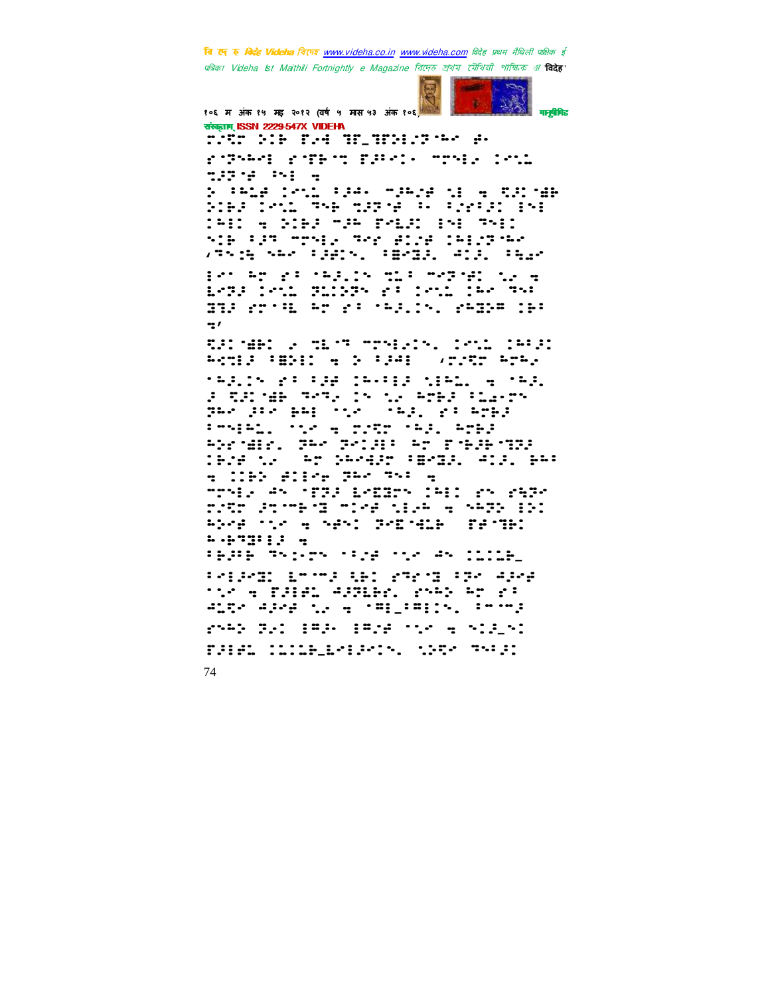

१०६ म अंक १५ मइ २०१२ (वष ५ मास ५३ अंक १०६) मानुषीिमह संस्कृतम् ISSN 2229-547X VIDEHA 1⣋!⢵⢷!/⢴⣚!⣙/**–**⣙/⢵21⢽⢳!⢾c! /700 /78 /2 FRS (201 ⣉⢼⢽⢾!⢸2!⣒!! ⢵!A⢳⣅⢾!⣁⣅!A⢼⢺c!b⢼⢳1⢾!⣁2!⣒!⣋⢼⣞⢷! ⢵⢷⢼!⣁⣅!⢹⢷!⣉⢼⢽⢾!⢸c!A1A⢼!22! ⢳2!⣒!⢵⢷⢼!b⢼⢳!/⣇⢼!22!⢹2-!  $^{\prime}$  . And the parameter  $^{\prime}$ **'**⢹⣈⣓!⢳!A⢼⢾E!A⣟⣝⢼E!⢺⢼E!A⣓⣔! 2!⢳!⢸!⢳⢼E!⣉⣅⢸!b⢽⢾!⣁⢴!⣒! POR INL RIDE STREET ⣝⣙⢼!⢸⣇!⢳!⢸!⢳⢼EE!⢳⣝⢵⢻!⢷A! ⣒**'**!! ⣋⢼⣞⢷!⢴!⣉⣇⢹!b2⢴E!⣁⣅!⢳A⢼! ⢳⣊⣉2⢼!A⣟⢵2!⣒!⢵!A⢼⢺2-!**'**1⣋!⢳⢳⢴!  $'$ ell'a in the tention time and ⢼!⣋⢼⣞⢷!⢹⢹⢴!!⣁⢴!⢳⢷⢼!A⣅⣔c!  $\mathbb{R}$  . All the control  $\mathbb{R}$  $\frac{1}{2}$   $\frac{1}{2}$   $\frac{1}{2}$   $\frac{1}{2}$   $\frac{1}{2}$   $\frac{1}{2}$   $\frac{1}{2}$   $\frac{1}{2}$   $\frac{1}{2}$   $\frac{1}{2}$   $\frac{1}{2}$   $\frac{1}{2}$   $\frac{1}{2}$   $\frac{1}{2}$   $\frac{1}{2}$   $\frac{1}{2}$   $\frac{1}{2}$   $\frac{1}{2}$   $\frac{1}{2}$   $\frac{1}{2}$   $\frac{1}{2}$   $\frac{1}{2}$   $\$ ₩rwer Were Werten (  $\frac{1}{2}$ ⣒!⢷⢵!⢾2⢶!⢽⢳!⢹A!⣒!! b2⢴!⢺!/⢽⢼!⣇⣏⣝!⢳2!!⣓⢽! 1⣋!⢼⣉b⢷⣝!b⢾!⣁2⢴⢳!⣒!⢳⢽⢵!2⢵! ⢳⢵⢾!⣁!⣒!⢾!⢽⣏⣚⣅⢷-!/⢾⣙⢷!  $\blacksquare$ A⢷⢼A⢷!⢹⣈c!A1⢾!⣁!⢺!⣅⣅⢷**–** A2⢼⣝!⣇bb⢼!⣃⢷!⢹⣝!A⢽!⢺⢼⢾! ⣁!⣒!/⢼2⢾⣅!⢺⢼⢽⣇⢷E!⢳⢵!⢳!⢸! ⢺⣅⣋!⢺⢼⢾!⣁⢴!⣒!⢻2**–**A⢻2E!Abb⢼! ⢳⢵!⢽⢴!2⢻⢼c!2⢻1⢾!⣁!⣒!⢼**–**! /⢼2⢾⣅!⣅⣅⢷**–**⣇2⢼E!⣁⢵⣋!⢹A⢼!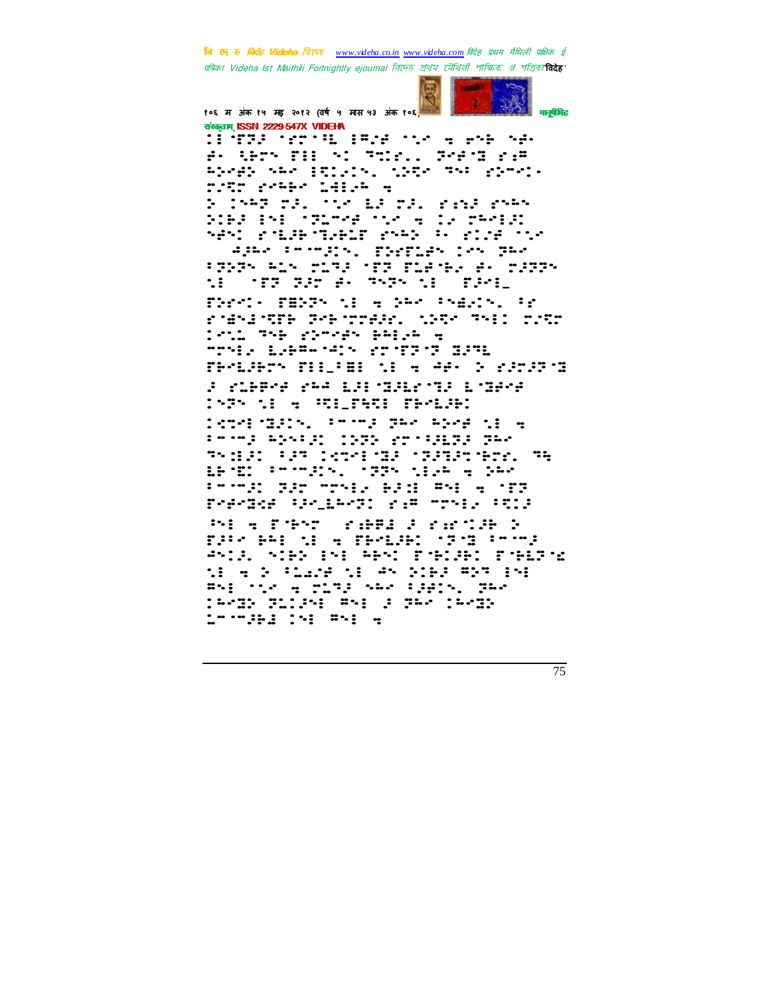वि एक रु क्रिटेड Videha विएम्ब www.videha.co.in www.videha.com विदेह प्रथम मैथिली पाक्षिक ई पत्रिका Videha Ist Maithili Fortnightly ejournal রিদেহ প্রথম মৌথিনী পাক্ষিক প্র পত্রিকা**বিदेह**'



संस्कृतम् ISSN 2229-547X VIDEHA 1: TI: 1251% (A): "12" + 246 MA 8 95 88 7 700 700 700 BRAN SAR BELAIN, 1958 TSA 2007. nith fibe 181.6 g d 1943 til het 12 til reef ryks DIA IN TRONG TO 4 IS OPTER ski robeniki rekor (za nr apa reents nonce pe pa 1955 ADS 203 193 FLATER AS 2035 1: 100 730 8. 7575 1: 0001 richt roman is gebot their in : 21178 700 700 100 100 711 720 **Source Construction 4 ::: :: : ::::::: ::::::::** Condidate, crima dan abie di g **TANKS OF MANUEL AND THE THE THE** 18:10 : - - : 0 : - : : 0 : 10 + 20 + 20 + Prond Thronomia Bid And A (TT reend winds from the Wil mi e rim : :ABI : ::::AB > ANCE NORTH APRIL PORTH PORTH M e S'Oland M es Sied man isi Bri tra e MISI nan Guin, San **TARTE SECOND REVIEW (RESERVE**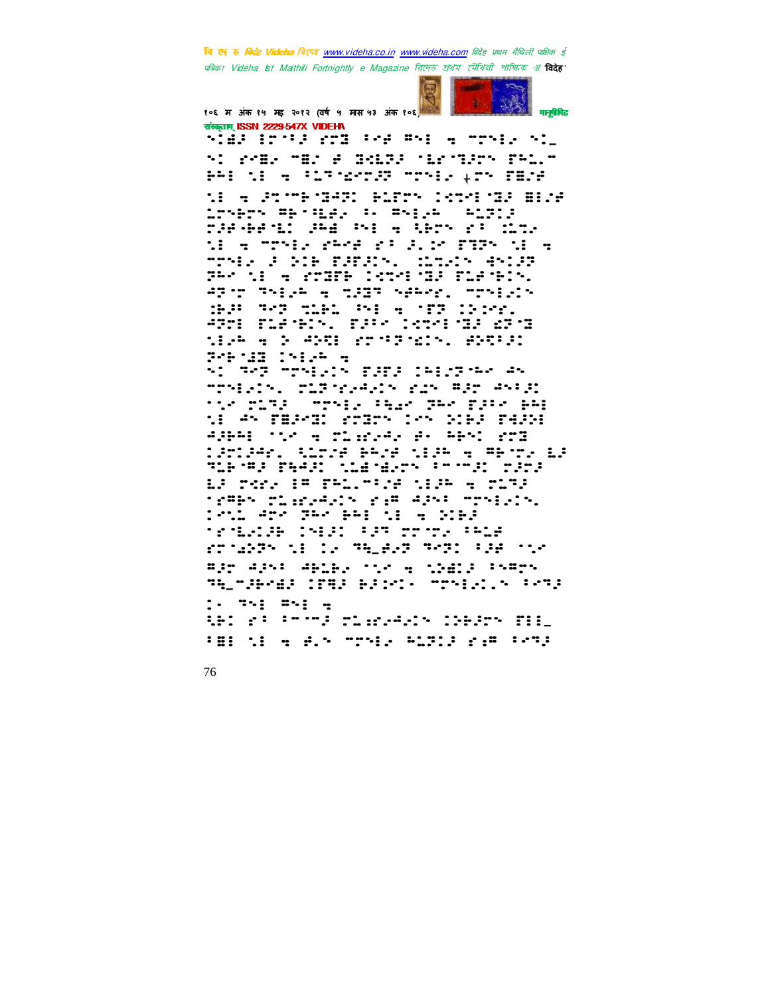

१०६ म अंक १५ मइ २०१२ (वर्ष ५ मास ५३ अंक १०६) संस्कृतम् ISSN 2229-547X VIDEHA

nig brog en op me en med n **SO PORT OF START OF THE PART OF A START OF A START OF A START OF A START OF A START OF A START OF A START OF A** PH : + : : eren mr: (r : : :

199199 Abrild, 1. Aniga algos rægen mind en stre the true skep so ply fire the par di e rroce condita partira. gro misk e djih mkristin BR PT WAL BE 4 MT COPE. 4721 2121911 2011 1011 1111 2112 Portil Color e

**THE TIMES FOR CHICK AN**  $\ddot{\phantom{a}}$ monists, only predicts and with well. the MIRE (STALE GREE DAG DIE AA) the form form to the fond Tib'H: PhA!! (Linier: :---:! 2020 13 radi : PL. Sai 112 a rith trees clared to rae gost mostats. chi gre par ba: n: 4 dib: **TENDED IN STRAIN SECTION** criast of the might motors on the sprach and the state compo RETHAN IRU WISC TOWN 100  $\cdots$   $\cdots$   $\cdots$   $\cdots$ FOR the Alm School Albia ran fact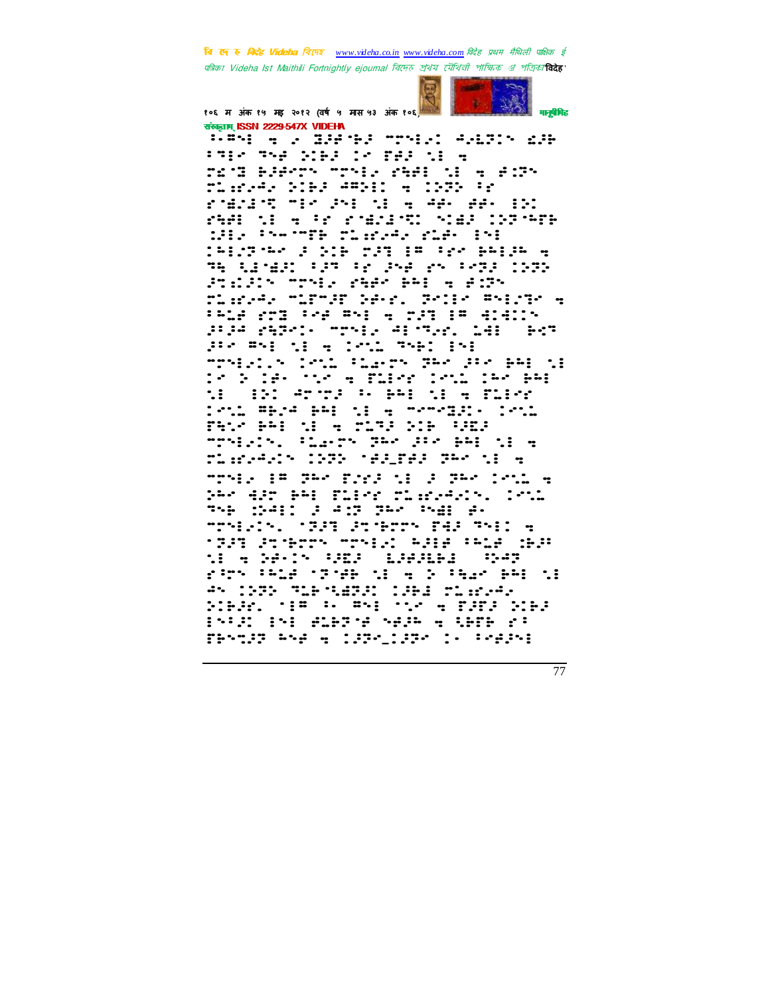बि एक रु *बिरोह Videha चिएक www.videha.co.in www.videha.com विदेह प्रथम मैथिली पाक्षिक ई* पत्रिका Videha Ist Maithili Fortnightly ejournal রিদেহ প্রথম মৌথিনী পাক্ষিক প্র পত্রিকা**বিदेह**'



१०६ म अंक १५ मइ २०१२ (वर्ष ५ मास ५३ अंक १०६) संस्कृतम् ISSN 2229-547X VIDEHA

**The The Side of Boy Mine 223 BOST TOO CHI U B SOO** ruus mesu u egement ne da brouw de comp MORE THAN THE TOWN TO SALE IN :A:::4/ : ::: ::: :: ::/ ::/ :A::A + n uar on e pe s'or con Process the characters and constant mare write ber, bur synt a His contrett and a contrett didire sta ekon sole diski 1877ko presente de les ser ist the same constant of the second control of the second second second second second second second second second e biek ne e filer (eti (Ar AA) chi mendemokratika menderi seba this car proprieting the second second to the conduct de dr bo flie fliesels (el ne par *l'ag* pe halle. models, fill street fallows, a u vedinas centra Be an 1979 Mikindari (263 Milanete)<br>Giber, Sif (6 Fni Sie a 1912 Gibe **: ::: ::: ::::: .::: .::: ::** ness ee e concon : pepe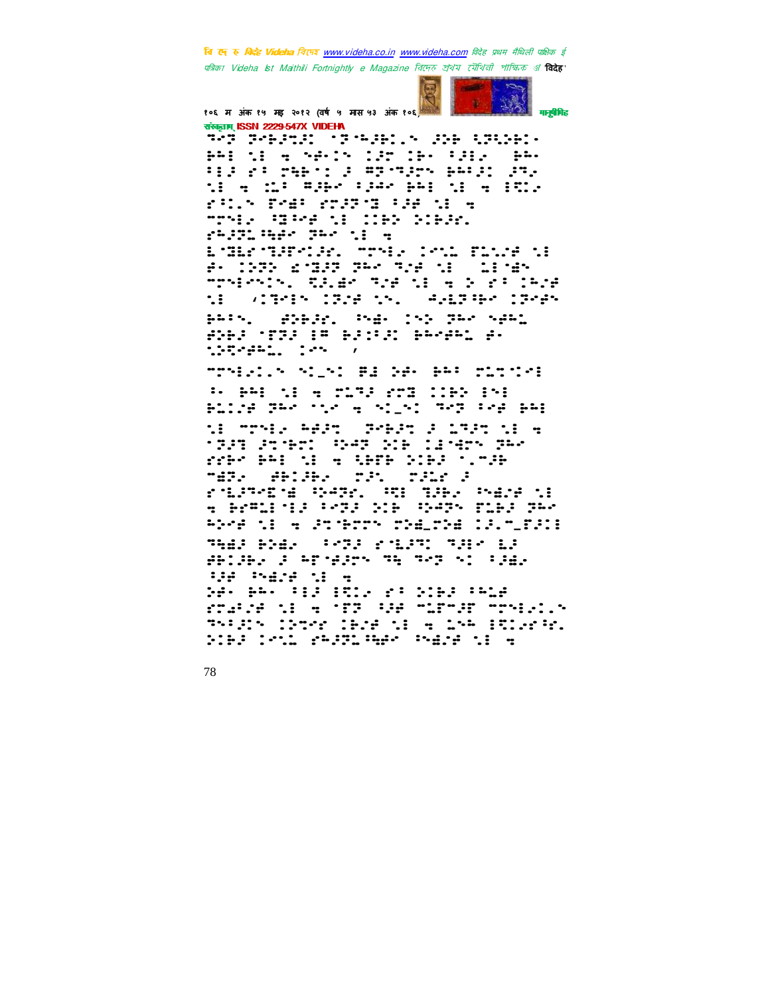

संस्कृतम् ISSN 2229-547X VIDEHA the charge of the control. **BA: \: + \A:\\ !!r !B, !!!; }W. STORY BREE STORY BROOK AS A SASTLANDS TAP 11 m** 8. 1989 2.517 782 7.8 10 1: Mar there we have the control of the control of the control of the control of the control of the control of the co M VIMP ORE S. AWREN CRES part, guede, har it you spai #102 'TTP :# 02:100 00000 0. there is a control

<u> ""li v v v di di li di "li" (</u> Book de the sight of the paper ti this ward that fitted a

**.727 25.62 1247 216 12.456 766** -19. 11:31. -11. -11. : 4 Brazini (2001) 22 Supr 228 Supr 834 1 - 2750, 2250, 236 11 - 201

second a specific me more to the age andre the 10. BA: 113 IT.: 17 1163 IAL8

redig to a though more model to THEY CHE CHE CO + 194 BISER.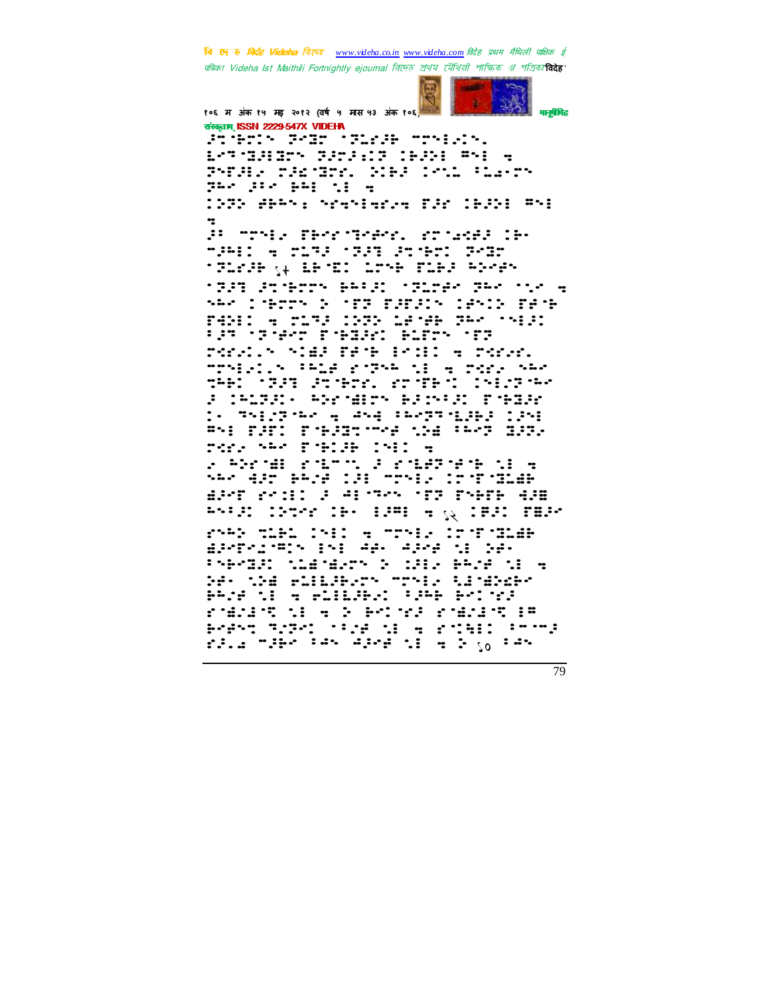वि एक रु क्रिटेड Videha विएम्ब www.videha.co.in www.videha.com विदेह प्रथम मैथिली पाक्षिक ई पत्रिका Videha Ist Maithili Fortnightly ejournal রিদেহ প্রথম মৌথিনী পাক্ষিক প্রা পত্রিকা**'বিदेह**'



१०६ म अंक १५ मइ २०१२ (वर्ष ५ मास ५३ अंक १०६) मानुबैमिह संस्कृतम् ISSN 2229-547X VIDEHA Stirk per terse tright. par pro par tron 1000 Abbr: regrigeer FJc 1631: #ri **B The Borton: Coull B TIME & IS IN 1996 PIRE BOAR** 1939 Stipper BACK (9000-900-100-000 122 | 1222 | 1222 | 1222 | 1222 | 1222 | 1222 | 1222 | 1222 | 1222 | 1222 | 1222 | 1222 | 1222 | 122 **FASE: 4 TEMPE CONTROLLER TAP (SEE)** : Prospect Posed Auto (22 rddir yw na hen byn: 4 todd. this: Said State of Alton Sec th: 1929 251022 251022 1922 42 ge syggere e gyfangolystigg (py By: THI TANST-02 122 1807 2010 rde skriftlæ (sil e , wrain rann i raaneen in WHE INTERNATION OF THE STATE OF THE SERIES OF THE SERIES OF THE SERIES OF THE SERIES OF THE SERIES OF THE SERIES OF THE SERIES OF THE SERIES OF THE SERIES OF THE SERIES OF THE SERIES OF THE SERIES OF THE SERIES OF THE SERI gostorist in ge goe u be Presid waters & die eer doe te the plicerer write trender Post of a allows (PP Polys

rado da Peca rado e Press suprimited to a point from Rala make tas gara na Aliyo ya tas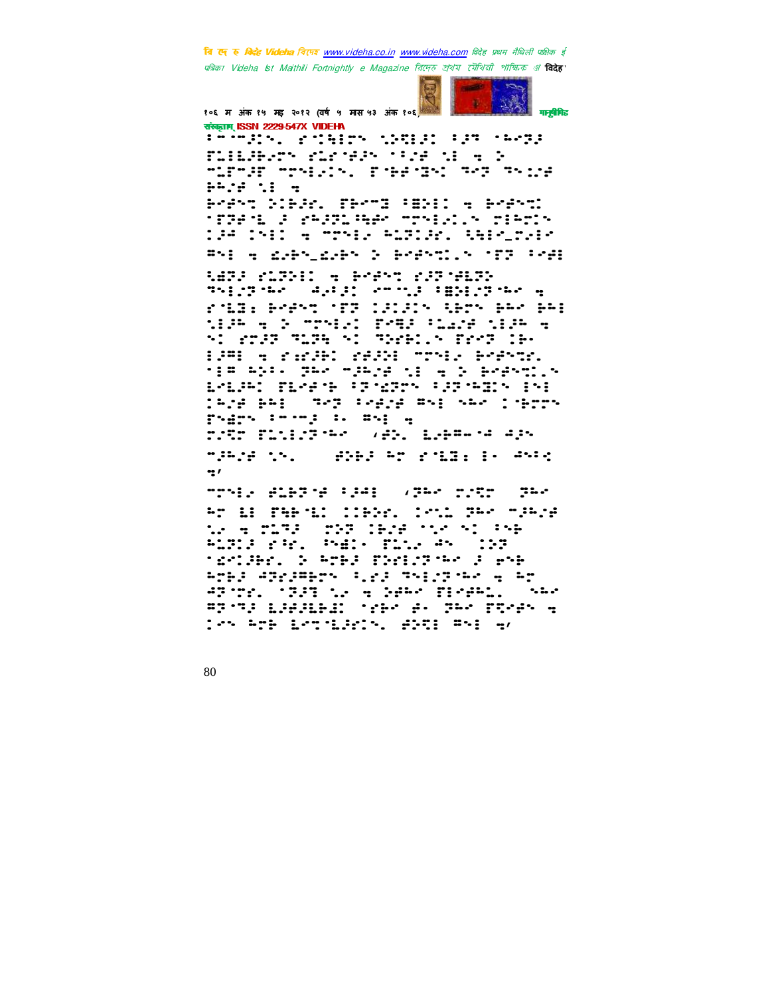

१०६ म अंक १५ मइ २०१२ (वर्ष ५ मास ५३ अंक १०६) संस्कृतम् ISSN 2229-547X VIDEHA

ruum.n crem on a mondern manual de la problème de la proposa de l'angle **FASH 1: 4** 

Brent School Marty (ASC) 4 Brent **The LIP Concern Community of Service** <u> :: Marie Monda Goode dielend</u> By: 4 dibydiby & Braydis (PP (ra)

nigher ago: englosoicher e : 13. britt (20.000 1650 860 861 tify a 2 style: Polk (1229–1124) a<br>Storpe Sign Scotter, Sorre Ch 1.80 m radiki delki srniv bobnor. track personnels en Person 1400 BMP CONT UPBD 19 care ba: "Pro Grene And nar crenor prest control concerned to ndr Elid'es (Al Laesa ad the to Ship and file is and

 $\ddot{ }$ 

pas. <u>World Theody (1992, 1992, Two Single</u> ta a mini (mini 1922) na si Gob and the state **ALTIDE SEC.**  $\ddotsc$ tethe. S West Modelle J pre arad Ancients that substance ar grond this was heart the same 87. T. L. M. M. S. C. C. T. M. M. S. C. <u> 2008: 2010: 2010: 2010: 2011: 2011: 2011: 2011: 2011: 2011: 2011: 2011: 2011: 2011: 2011: 2011: 2011: 2011: 2</u>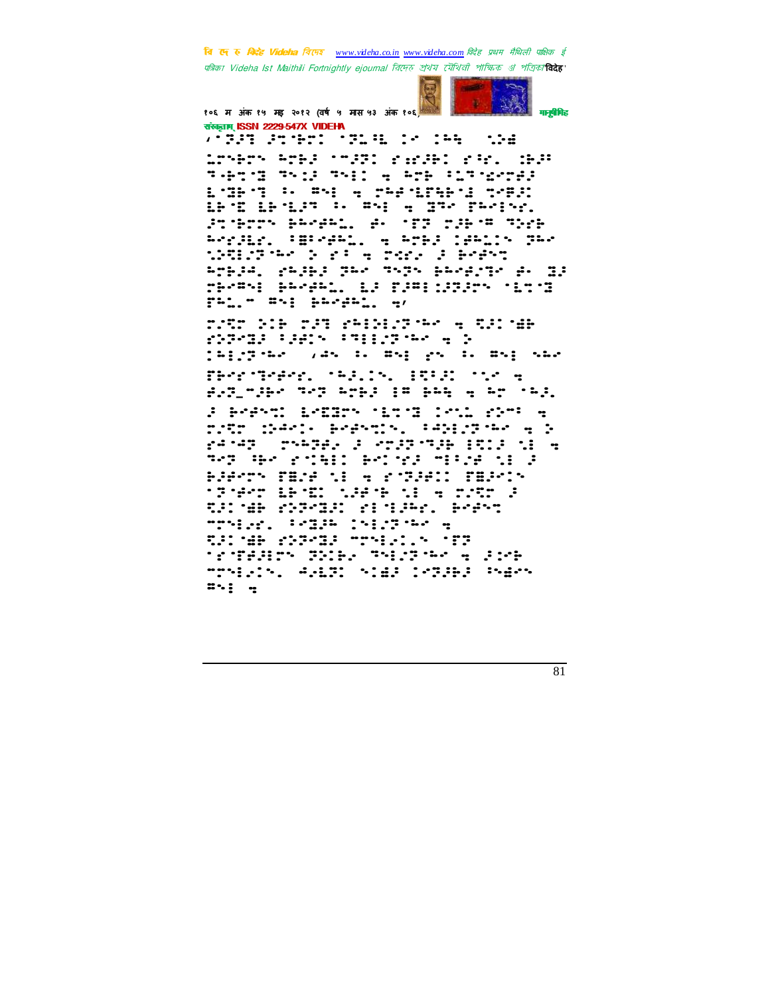वि एक रु क्रिटेड Videha विएम्ब www.videha.co.in www.videha.com विदेह प्रथम मैथिली पाक्षिक ई पत्रिका Videha Ist Maithili Fortnightly ejournal রিদেহ প্রথম মৌথিনী পাক্ষিক প্রা পত্রিকা**'বিदेह**'



१०६ म अंक १५ मइ २०१२ (वर्ष ५ मास ५३ अंक १०६) संस्कृतम् ISSN 2229-547X VIDEHA **WAS STRIPS TO BE IN THE**  $\sim$   $\sim$   $\approx$ uner biel 'tæl fææl føl de. the think the controlled the controlled and controlled and controlled and controlled and controlled and controlled and controlled and controlled and controlled and controlled and controlled and controlled and controlled an <u> 1919 : 84 , 26000 : 200</u> Ben Bens o mi e no noise. Stirr BenBl. B. TS TB'S Thi World, Horawi, 4 World Camir par thought is a company interp World, radio our sysk burgron de 10 rbeze: backal, 1: 2021.0000 -1013 par and bandar en rotr ble rot skibister a toljek :0012 0005 0000000 00 jagyzek (as : ssp ys : ssp sak The Ten. (Ally ITI () **SACTOS THE ATSS IN BAR 4 AT 143.** nn Cele Pern, Willee et rang chappy proprieto 13 MB **Roman Roman Books (1980)** 1000 COM 10 - 2000 COM thing child childed befor monier, Pells (nighter 4) <u> 2000 - 2000 - 2000 - 2000 - 2000 - 2000 - 2000 - 2000 - 2000 - 2000 - 2000 - 2000 - 2000 - 2000 - 2000 - 200</u> triBATS BOB, SHIPSE 4 200  $\mathbf{a} \cdot \mathbf{b} = \mathbf{b}$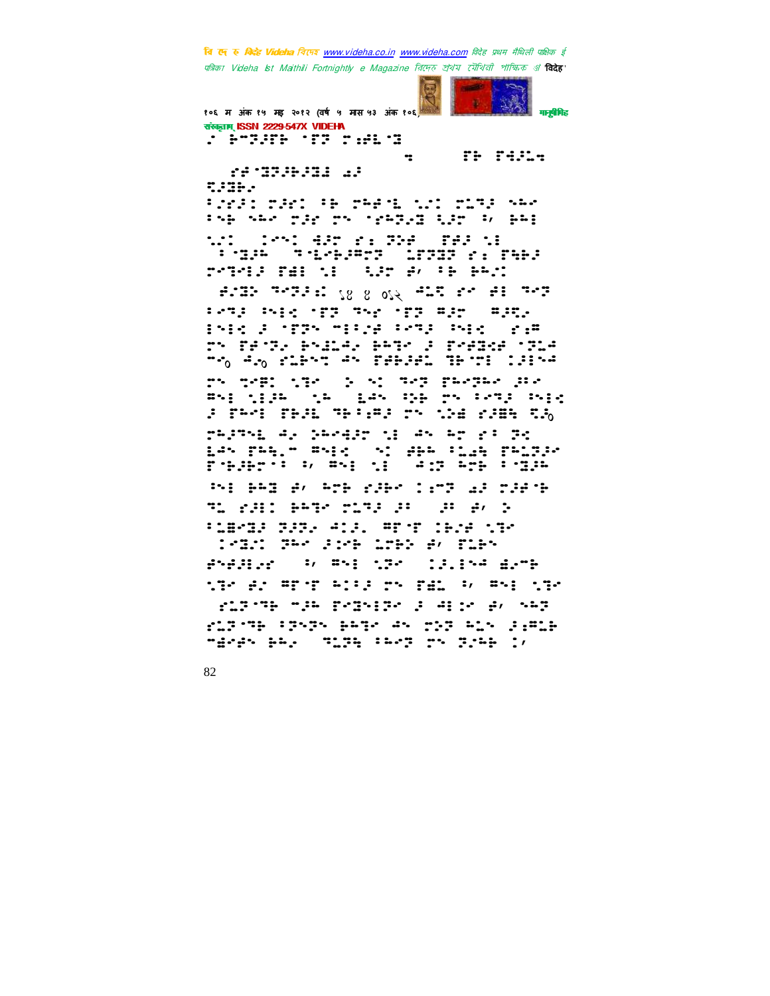

१०६ म अंक १५ मइ २०१२ (वर्ष ५ मास ५३ अंक १०६ मानुबेमिह संस्कृतम् ISSN 2229-547X VIDEHA *:* : :::: ::: :::::: **THE SALE**  $\ddot{\phantom{a}}$ **:::::::::::::::** t.m. the state of the second state and : sp she gir gs (philip : : :, phi liga tyeper crep neg **TOTAL TOO AS AND SUCH AND SALE** FMB PARAGE you out that the first 899 893 12 95 12 82 822  $\mathbf{r}$ : inde d'orre milje para dele c rn fert bnoar bath a fheoraíoca "'o de sikt de reken tkirk (eke re reported to store pagas pre sy ga ta an ga shi wa wa restal en pengin di sa en ri se un pays mur sign cua parro **PORT OF THE REAL PROPERTY OF THE REAL PROPERTY** bi Hi A br dho con a cho **TI 2000 BATH TITLE STATE OF STATE** timent non, and, when name one Dens aw are web e, may PHONE 1, THE 178 12.154 APP We are will model to make the **SOUTH THE PROVING I HOME AND** rings operator as rings and lange mares bay the carp ps prab ./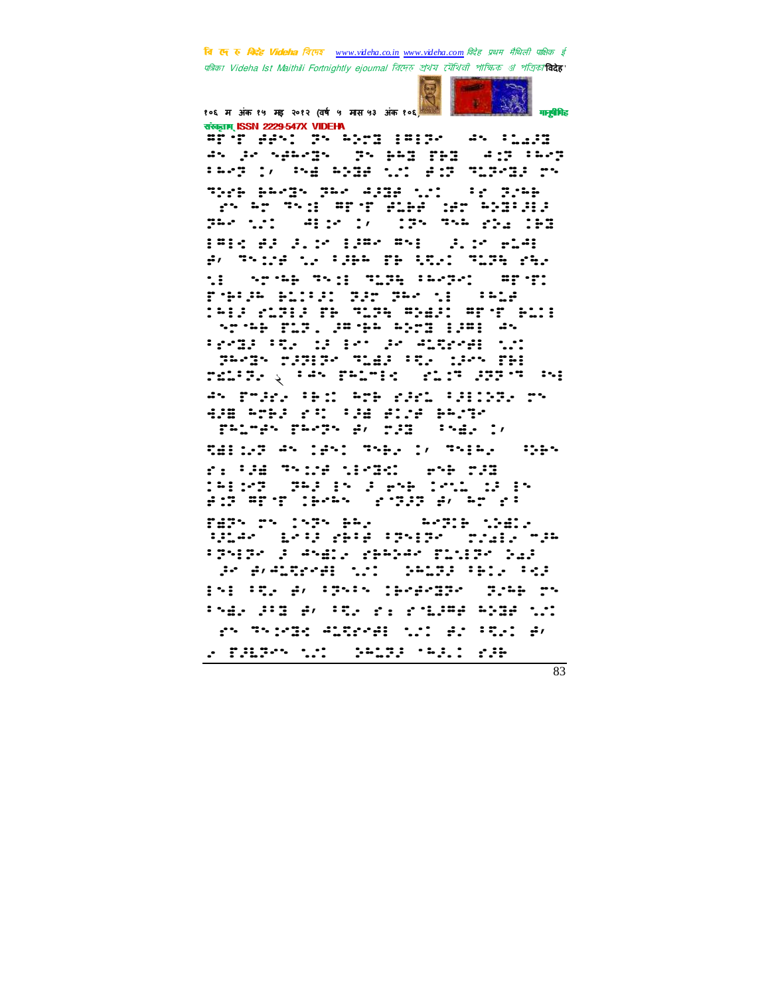वि एक रु क्रिटेड Videha विएम्ब www.videha.co.in www.videha.com विदेह प्रथम मैथिली पाक्षिक ई पत्रिका Videha Ist Maithili Fortnightly ejournal রিদেহ প্রথম মৌথিনী পাক্ষিক প্রা পত্রিকা**'বিदेह**'



संस्कृतम् ISSN 2229-547X VIDEHA as program ( ) par program and carp the book por gus to: (e prop **Production of the Constitution of the Action of the Action of the Action of the Action of the Action 1954 This 1962**  $\mathbb{R}^{n+1}$  .  $\mathbb{R}^{n+1}$  $\mathbb{R}^2$  is the set of  $\mathbb{R}^2$ **Arthur SACE SWORK COMPANY READS**  $\ddot{\cdot}$  :  $\cdots$ reum blied der dar ti sponde por la de al algon (181 as **Trade and the control of the second state** <u> 1960 - 1970 - 1980 - 1980 - 1990 - 1990 - 1990 - 1990 - 1990 - 1990 - 1990 - 1990 - 1990 - 1990 - 1990 - 199</u> ndur, ('s posit lo diffurit sp 45 Polis Gad Ara 202 (001000 PS 400 APRIL 100 100 2110 APRIL raines rachs e, mud (sale ), today and and the control there - ::: :: !!! "\::: :!'!!" **PAR 733 Side as began the country** FOR APPENDANCE PROPERTY AND REA FATH TH CHTH BAS **Artib that:** anger beskieden spale (prijs<sup>te</sup>ng **17410 2 AND: 200140 TIMP 722** an eleccional col :5: 05, 0, 03505 (Beded3e) 3246 25 ry tyrin Altred (11 dr 151 d) . THIM WI **CALTS . 42.1 : 226**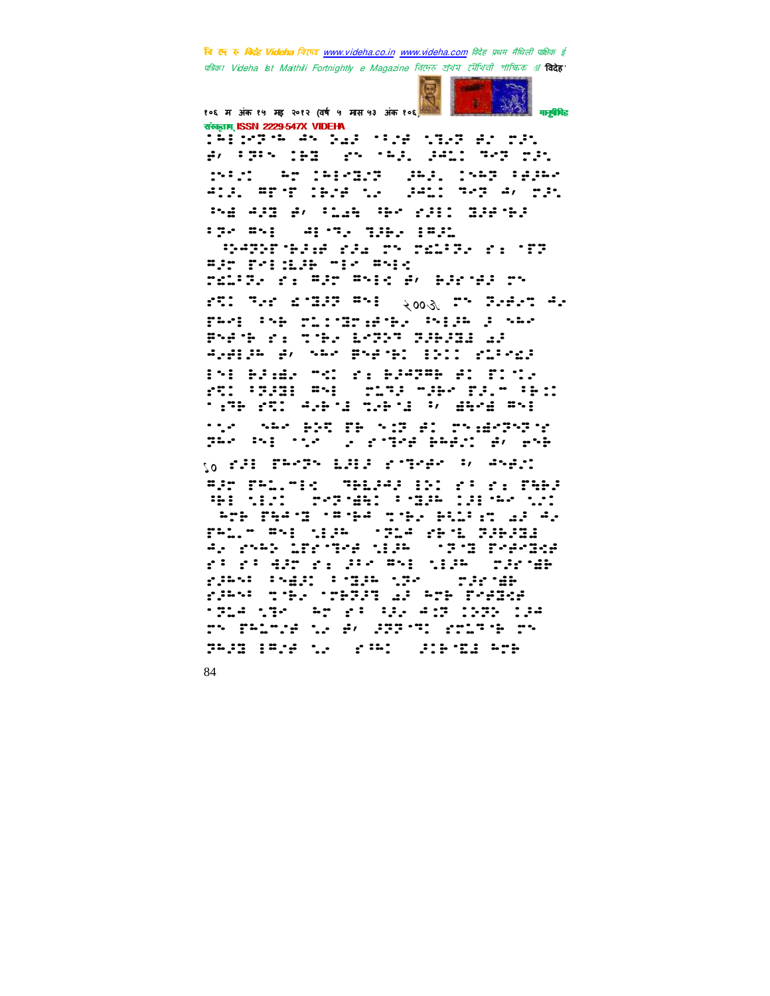

संस्कृतम् ISSN 2229-547X VIDEHA chivag an bua gosa cova do con  $5, 1314, 183$ an biling in the si  $15.522$ an talendi dal tean igua and which had to cann with a sin **STACKS** concrete da recone de tr WE PHILE TR WHE rall?, s. A:r Anix A, B:rd: rn for the graph #5: you in left 4. part the richtraches their pondr PYPE COSTRA LORS SPACE AF Again a, swo psach: in:: sire: *<u>ran : animi ani</u>* **SAR BOOTS SO PORT PRESENT** par bi ne sende bon d, eg  $\sqrt{0}$  sit THATH LILE streams, and  $\sqrt{10}$ BR PLACE BERG IN STYLEND 88 XXX POSSE PRODUCED WAS and the most conduct to the state of the **PAL - By: 1:2 (SLA 2008) 20080222** 4, red in the use of I heman ri ri dh' ne Promis SiP (nemb **AND BEAT PERSONS AND STATE** row the thus a we rence the those rooms and the the pagg pagalgu leong lapang aga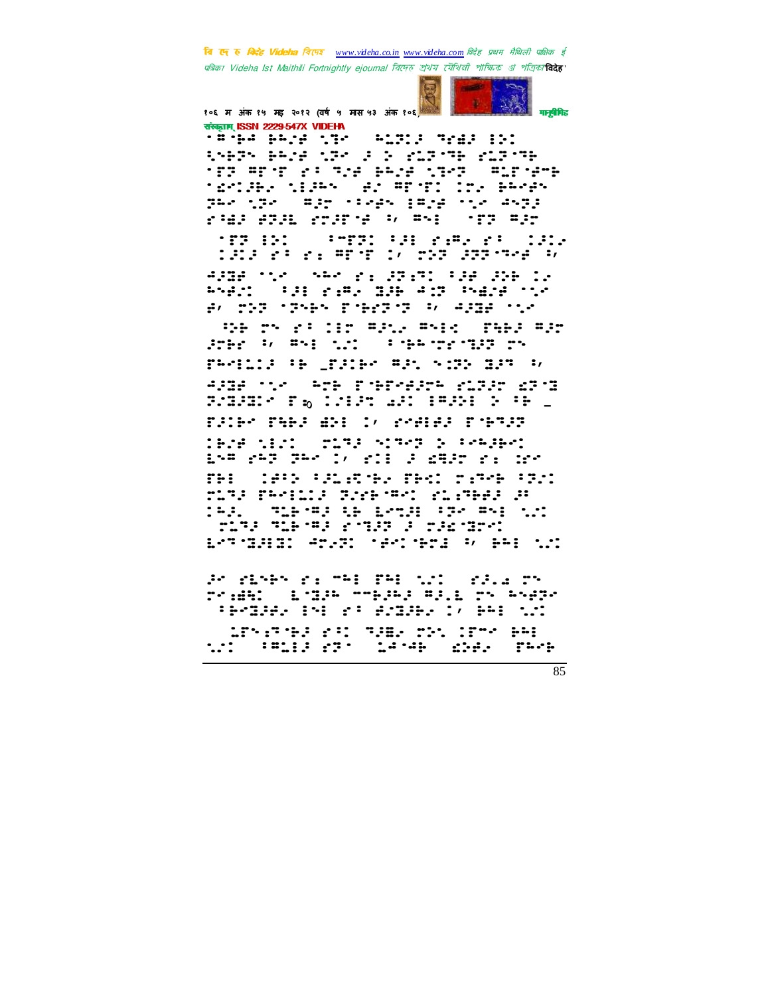**बि एक रु** *बिर्दह Videha विए***नर** www.videha.co.in www.videha.com विदेह प्रथम मैथिली पाक्षिक ई पत्रिका Videha Ist Maithili Fortnightly ejournal রিদেহ প্রথম মৌথিনী পাক্ষিক প্রা পত্রিকা**'বিदेह**'



१०६ म अंक १५ मइ २०१२ (वर्ष ५ मास ५३ अंक १०६) संस्कृतम् ISSN 2229-547X VIDEHA

19879 BRIS 100 1 2 2 2 2 2 2 2 2 2 2 2 2 2 2 the man state besides and whe tethe dime er mont ine brek partige the first physical media **PARAGE COOPER, SAL TO SOME TIP 100** 

:2: e e e men :/ 2: 200 - 200 - 1 200 '2 '22' : 22' : 22' : 22 '22' :

 $2.44 \cdot 10^{-1}$ **THREE SEARCH SEARCH** #, 703 13000 F102313 4.4300 110

ne ry et lir Alve Ayle (nel Alr **Print : #4: 12: : 142 Tri TP: T** ROBER T& WEBS ARE BREEK FOR **TOO THE MODEL OF STREET TO THE STREET OF STREET IS AND IT IS AND IT IS AND IT IS AND IT IS AND IT IS AND IT IS** tere tirt (most somer a chaper 198 247 762 1/ 211 1 2825 21 122 185 Huster Bol 1996 HR1 re: **TAN PRODUCT START CONTROL** <u> 1: Tirtis I isla 19 50 - 1</u>

ESTABLE STORE AND THE SALE OF THE SEC s dynastra: "A: PA: to: dia ry

reak 198 - 198 100 100 :00100 191 :: 010100 1, 001 121 <u> 1989: 1989: 1989: 1989: 1989: 1989: 1989: 1989: 1989: 1989: 1989: 1989: 1989: 1989: 1989: 1989: 1989: 1989: </u>

 $\mathbf{L}$  and  $\mathbf{L}$  and  $\mathbf{L}$ 

85

did. Park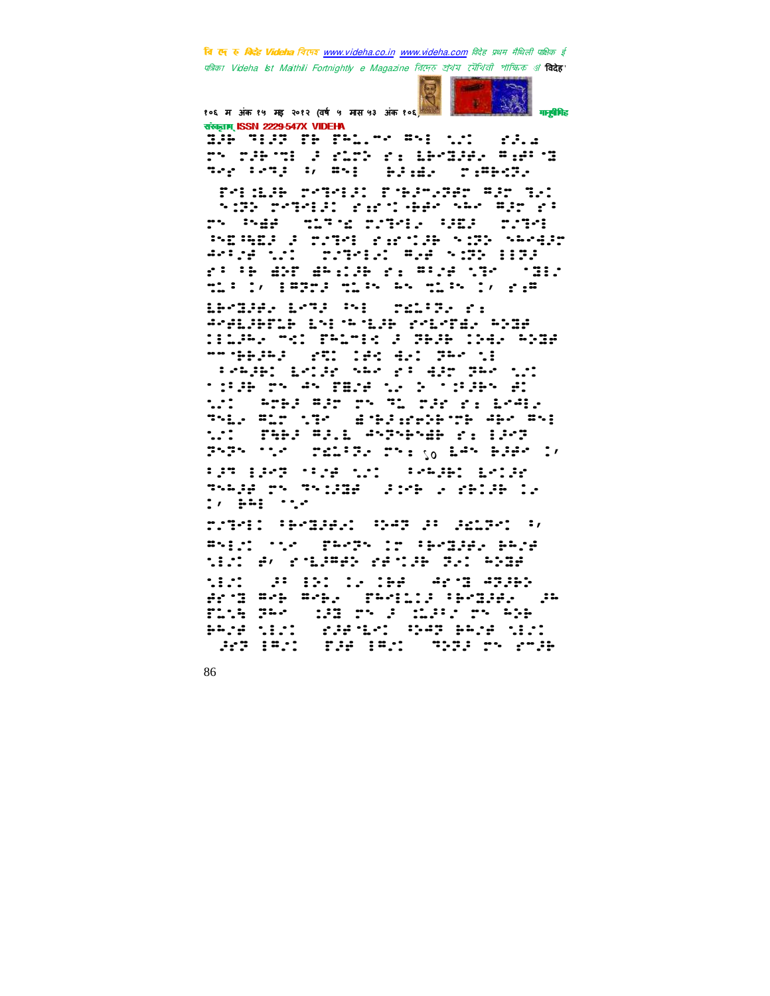

१०६ म अंक १५ मइ २०१२ (वर्ष ५ मास ५३ अंक १०६) संस्कृतम् ISSN 2229-547X VIDEHA

<u> Bir nish pe pal</u>ure sai (si ry nakon a durk di broad. Alguno tag bath b, Bri 8:00 rest:

renne renne rakever grote **NOR TERM PROGRESSION CONTROL** r ha thu the coll. HI this **SEARE FINE PROFESS SPARE** Artif Nil r: 16 mi andle r: "12 13' 131' the constant the second constant of the second second second second second second second second second second s senger borge som et großpom un **TORT A ROUGE TO THE R** 

this work was on the case of the seate the art of shidraphone are and **WE THE MALL ASTANDED AT 1207** PrProject Prise Prigo LAN Baar ()

137 1327 1128 121 124381 12138 the room and the seconds  $\therefore$   $\therefore$   $\therefore$ 

**SMOOT IN THE SECOND RESERVED IN THE SECOND RESIDENT IN THE SECOND RESIDENT IN THE SECOND RESIDENCE IN THE SECOND RE** tist #, rowser recommon mode  $\ddots$ Roller er (Pedica Brigge **...** :::1: 1:: 1:: 1 BASE SEST 80 190 200 200 190 200 200 200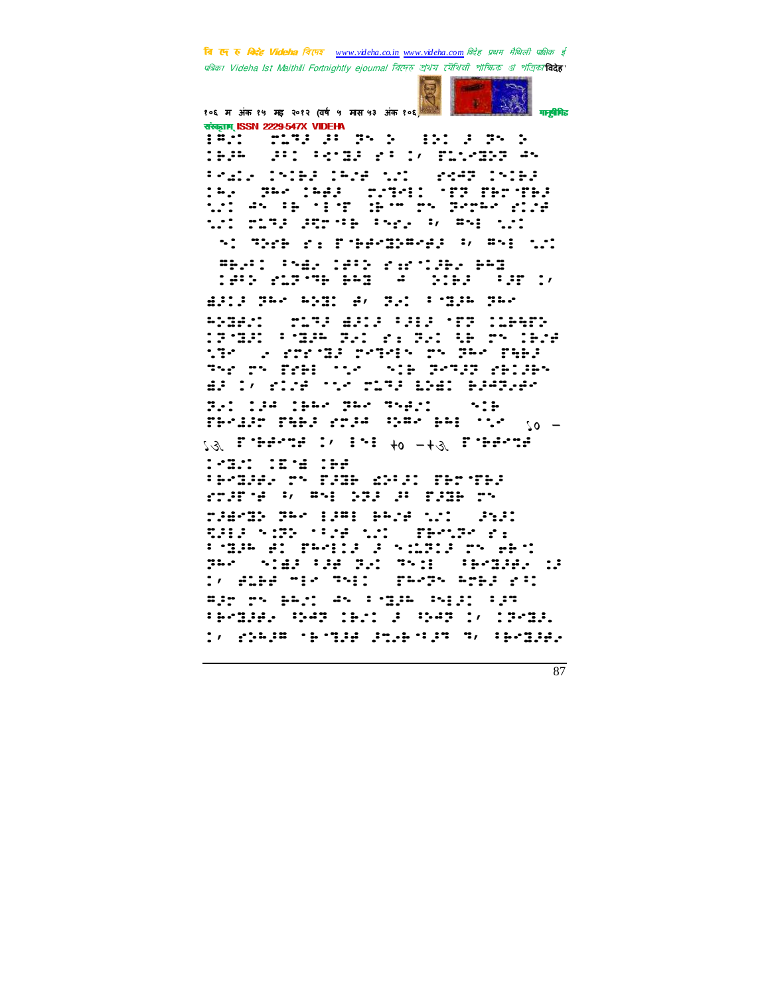वि एक रु क्रिटेड Videha विएम्ब www.videha.co.in www.videha.com विदेह प्रथम मैथिली पाक्षिक ई पत्रिका Videha Ist Maithili Fortnightly ejournal রিদেহ প্রথম মৌথিনী পাক্ষিক প্রা পত্রিকা**বিदेह**'

१०६ म अंक १५ मइ २०१२ (वर्ष ५ मास ५३ अंक १०६) मानुबेमिह संस्कृतम् ISSN 2229-547X VIDEHA **MARSH PRES SERVICE SERVICE**  $: 2: 1$ <u> 1918 - 1918 - 1918 - 1928 - 1928 - 1928 - 1928 - 1928 - 1928 - 1928 - 1928 - 1928 - 1928 - 1928 - 1928 - 19</u> Professional Card Soft  $2247.251$  $\mathbf{a}$  :  $\mathbf{b}$  :  $\mathbf{b}$ de se prove did . . . s: The rifferment weight #PP: PWP IPD KATIBA PPD **COMPASSED** 8212 The A1M S, T.C : 1826 The WORKST 1758 PSP 30 21 30 8 7 808 de l'estimativa de permette The rolling over the rolling encode  $\ddotsc$ Thelix Thelexical Company of  $\frac{1}{20}$  - $^{2/3}$  i.ph.it I' i.e.  $^{40}$  -4 $^{9}$  i.ph.it **: 2000 : 000 : 000 : 000 : 000 : 000 : 000 : 000 : 000 : 000 : 000 : 000 : 000 : 000 : 000 : 000 : 000 : 000 :** : :::: :, ::: ::: :: :::: :: :: right: The 1181 bhid is: **AND 1989** the site of the the The Car St **FROM BOOT PROTOCOL STATEMENT** per sign na pin msi (brone s :/ Alas mix mail (MA-75 Ara) 2: **B:r ry BA:: 44 | 12:6 | 14:2: | 1:7** : p. 2000 : 1000 : 1000 : 1000 : 1000 : 1000 : 1000 : 1000 : 1000 : 1000 : 1000 : 1000 : 1000 : 1000 : 1000 : ://:2008/10/100/2100/2008/10/10/1000000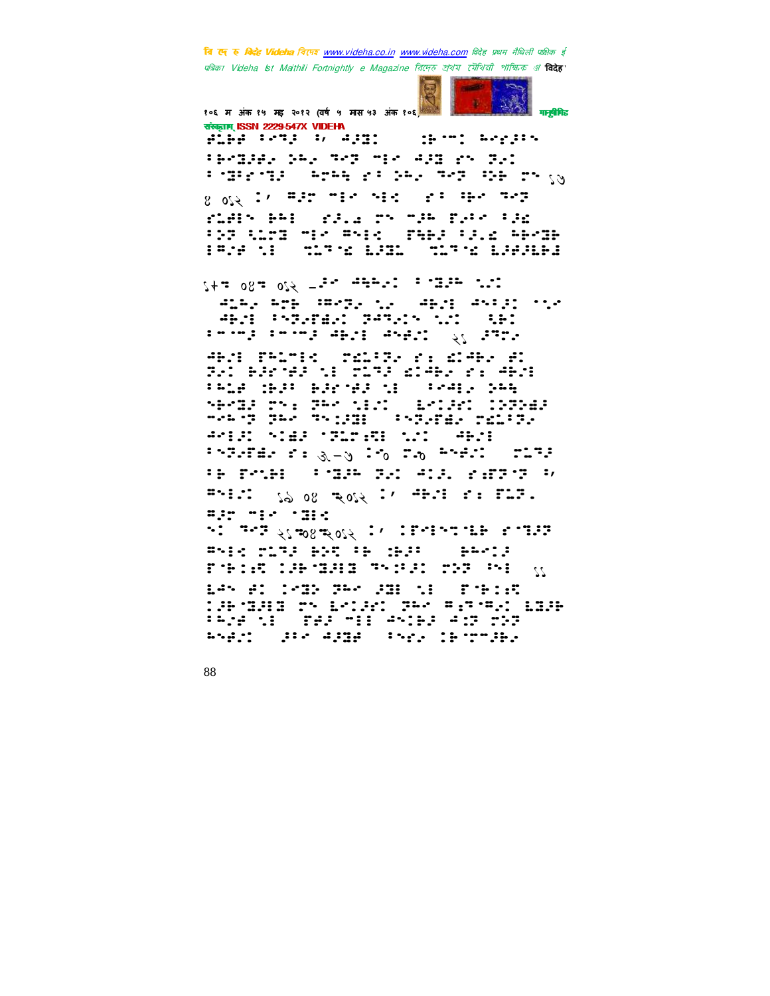**Service** × १०६ म अंक १५ मइ २०१२ (वर्ष ५ मास ५३ अंक १०६) मानुबेगिह संस्कृतम् ISSN 2229-547X VIDEHA  $p^2$ ,  $p^2$  and  $p^2$  and  $p^2$  and  $p^2$  and  $p^2$  and  $p^2$  and  $p^2$  and  $p^2$  and  $p^2$ gent anglis BRIGGED TREAT AND PROSP FORESTS SEARCH SALES SECTION gost in mer men het als men mer content class the new co **137 MAR MER WERE THE COUNTY : ": :: ": ::::: ": :::: ::::::**  $2+1.084$   $0\%$   $-1.444$   $-1.444$   $0.84$   $0.06$ als, and density and asign the 48:1 157.78.1 747.15 1.1 181  $\left\{ \begin{array}{ccc} 0 & 0 & 0 \\ 0 & 0 & 0 \end{array} \right\}$  , where  $\left\{ \begin{array}{ccc} 0 & 0 & 0 \\ 0 & 0 & 0 \end{array} \right\}$  , where ART PAINS TELTS IS ENDS E BR BROB SE COVERA PERSONAL **: Will So Birds (S)** (2011) (201 nenga pro den voz (1919) (2020)<br>Serg den sroag (1929) politik 2000 - 1000 - 1000 - 1000 - 1000 - 1000 - 1000 - 1000 - 1000 - 1000 - 1000 - 1000 - 1000 - 1000 - 1000 - 1000  $\mathbb{R}^n$  . There is a  $\mathbb{R}^n$  , in the set of  $\mathbb{R}^n$  . : POR : 112 7. 411 : 12 7  $= -1.7$   $\frac{1}{2}$   $\frac{1}{2}$   $\frac{1}{2}$   $\frac{1}{2}$   $\frac{1}{2}$   $\frac{1}{2}$   $\frac{1}{2}$   $\frac{1}{2}$   $\frac{1}{2}$   $\frac{1}{2}$   $\frac{1}{2}$   $\frac{1}{2}$   $\frac{1}{2}$   $\frac{1}{2}$   $\frac{1}{2}$   $\frac{1}{2}$   $\frac{1}{2}$   $\frac{1}{2}$   $\frac{1}{2}$   $\frac{1}{2}$   $\frac{1}{2}$   $\frac$ the same is compact of google stars is the Bright Million in 1982  $\ddotsc$  : **POINT INTERNATIONAL PROPERTY**  $22$ Beschoffe mit ander der Se  $\frac{1}{2}$ governo tyredering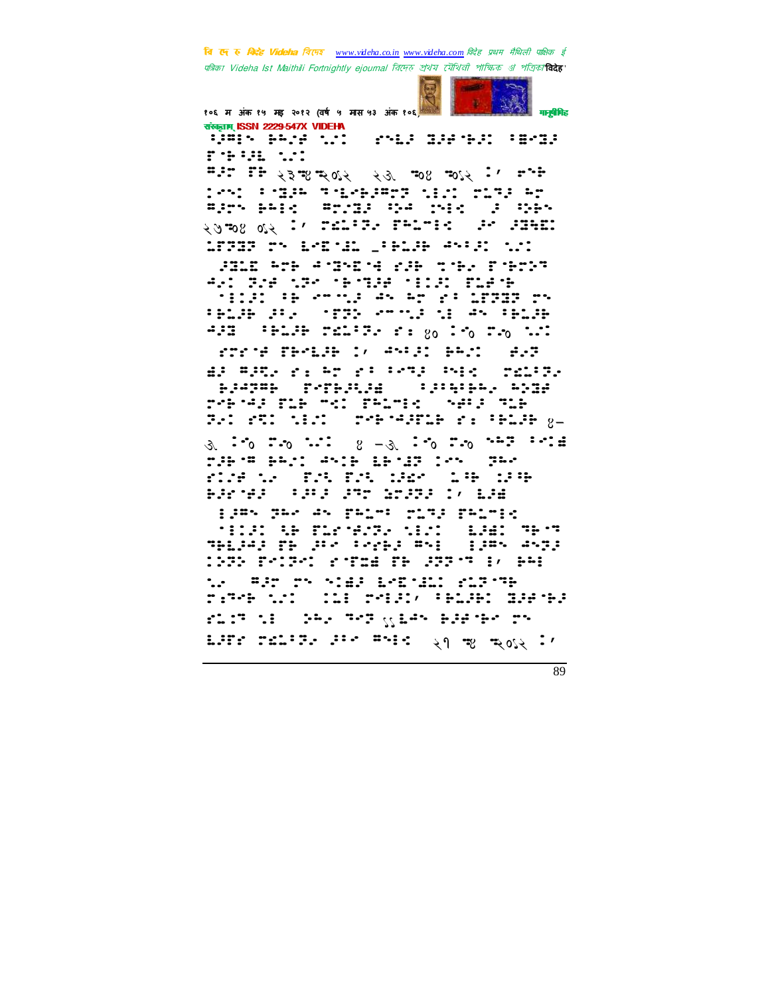वि एक रु क्रिटेड Videha विएम्ब www.videha.co.in www.videha.com विदेह प्रथम मैथिली पाक्षिक ई पत्रिका Videha Ist Maithili Fortnightly ejournal রিদেহ প্রথম মৌথিনী পাক্ষিক প্রা পত্রিকা**'বিदेह**'



१०६ म अंक १५ मइ २०१२ (वर्ष ५ मास ५३ अंक १०६) संस्कृतम् ISSN 2229-547X VIDEHA **SPORT SASS SST** reu w  $f = 12$  . For  $80x - 66$  ,  $6x - 66$  ,  $6x - 65$  ,  $6x - 65$  ,  $7x - 65$ **#;;\* pa:: #::1: ::4 :~:: : :::\* A 200 004 : A PELPER PRIMER OF PERED** STORY - BRIDGE STAR AND WAR A. THREE SPOTS SIDE TO THE **MOOD OF PROVISING TO SECTION**  $-32$   $-351.95$   $-241.33$   $-241.80$   $-20.70$   $-20.70$ mre melle :/ es: per  $\mathbb{R}^2$  .  $\mathbb{R}^2$ BR WARD PE PE PARE PAR **PAGE 32** represente an internet anno 196 Tel STI NECT TEMPHELE S: PELP g- $\mathcal{R} = \mathbb{P}^{\bullet} \mathbb{P}^{\bullet} \mathbb{P}^{\bullet} \mathbb{P}^{\bullet} \mathbb{P}^{\bullet} \mathbb{P}^{\bullet} \mathbb{P}^{\bullet} \mathbb{P}^{\bullet} \mathbb{P}^{\bullet} \mathbb{P}^{\bullet} \mathbb{P}^{\bullet} \mathbb{P}^{\bullet} \mathbb{P}^{\bullet} \mathbb{P}^{\bullet} \mathbb{P}^{\bullet} \mathbb{P}^{\bullet} \mathbb{P}^{\bullet} \mathbb{P}^{\bullet} \mathbb{P}^{\bullet} \mathbb{P}^{\bullet} \mathbb{P}^{\bullet} \mathbb$ the but eur brunden der 19 29 BR:08 (88) 275 25272 1/ 122 plas as as paint cind paints 1990 TR'T thing of the cypicals: ijo sti **1000 Pricht officient different (AD** .. 22 - 11 - 12 - 11 - 11 - 11 - 11  $\begin{minipage}{.4\linewidth} \begin{tabular}{l} \multicolumn{1}{l}{} & \multicolumn{1}{l}{} & \multicolumn{1}{l}{} \\ \multicolumn{1}{l}{\multicolumn{1}{l}{\textbf{r}} & \multicolumn{1}{l}{\textbf{r}} & \multicolumn{1}{l}{\textbf{r}} & \multicolumn{1}{l}{\textbf{r}} & \multicolumn{1}{l}{\textbf{r}} \\ \multicolumn{1}{l}{\textbf{r}} & \multicolumn{1}{l}{\textbf{r}} & \multicolumn{1}{l}{\textbf{r}} & \multicolumn{1}{l}{\textbf{r}} & \multicolumn{1}{l}{\textbf{r$ re server and provided the server  $f \in \mathbb{C}^n$  ,  $f \in \mathbb{C}^n$ LAPP PELAPP AND WHEN  $\chi_0$  may map  $\chi_0$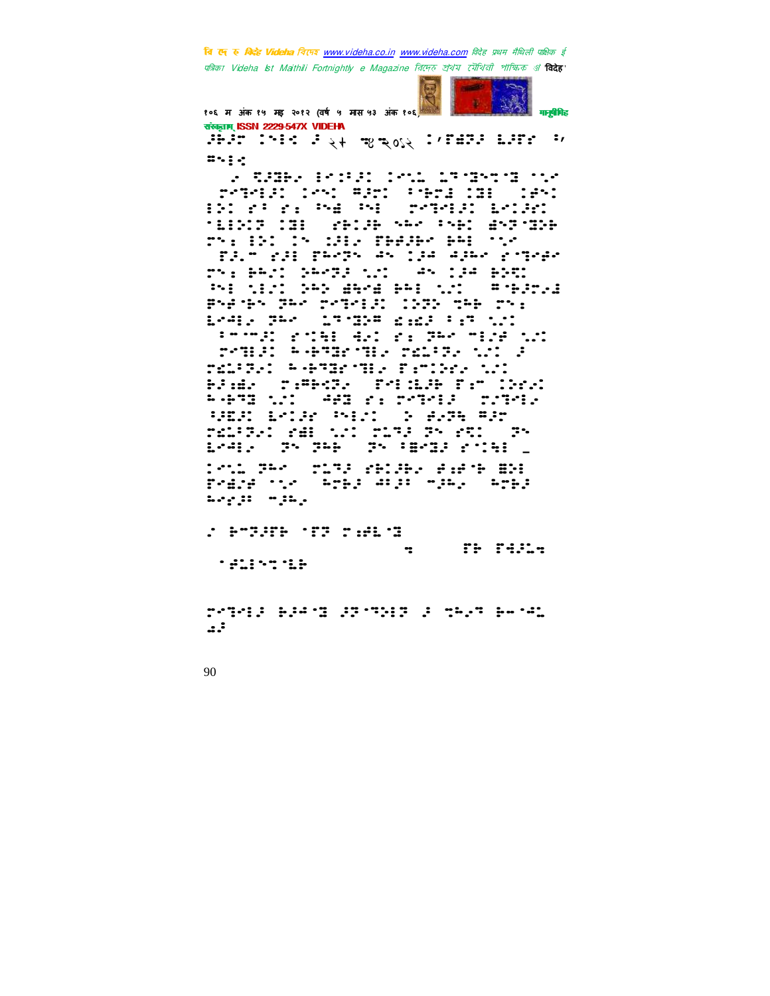

१०६ म अंक १५ मइ २०१२ (वर्ष ५ मास ५३ अंक १०६) संस्कृतम् ISSN 2229-547X VIDEHA

HH INE PART WERE HE INTE  $\ddot{\phantom{0}}$  $\mathbf{m}$ 

rendi (e mr an ani ma an Books and the street book '1823 CB SPOR SPORT BY'SE **The County of Constanting County** The SH Test and ha and soprac re Pel Pers to **AND 1989 1997.** WE WENT DAY BARB AND WORKING Brener der Schrieb (1939 see srie<br>Ergie der "Chrome gige fish vol  $\mathbb{R}^{n\times n}$  . If the set  $\mathbb{R}^{n}$  and  $\mathbb{R}^{n}$  and  $\mathbb{R}^{n}$  and  $\mathbb{R}^{n}$  and  $\mathbb{R}^{n}$ 

............................ blub rumedy foldum for Cend<br>Agent Coll get exterptil typely reduce am thi rough profession  $\ddot{ }$  : 104: 70 74 70 70 823 833 2

isti das <u> 2004 - 2005 - 2006 - 2006 - 2006 - 2006 - 2006 - 2006 - 2006 - 2006 - 2006 - 2006 - 2006 - 2006 - 2006 - 200</u> rend to and who who and  $1.4911 - 11.44$ 

**: : :::: ::: ::: ::: ::** TH PAPL.  $\ddot{\phantom{a}}$ **START START** 

**TORIC BOOT CONSIDERED**  $\ddotsc$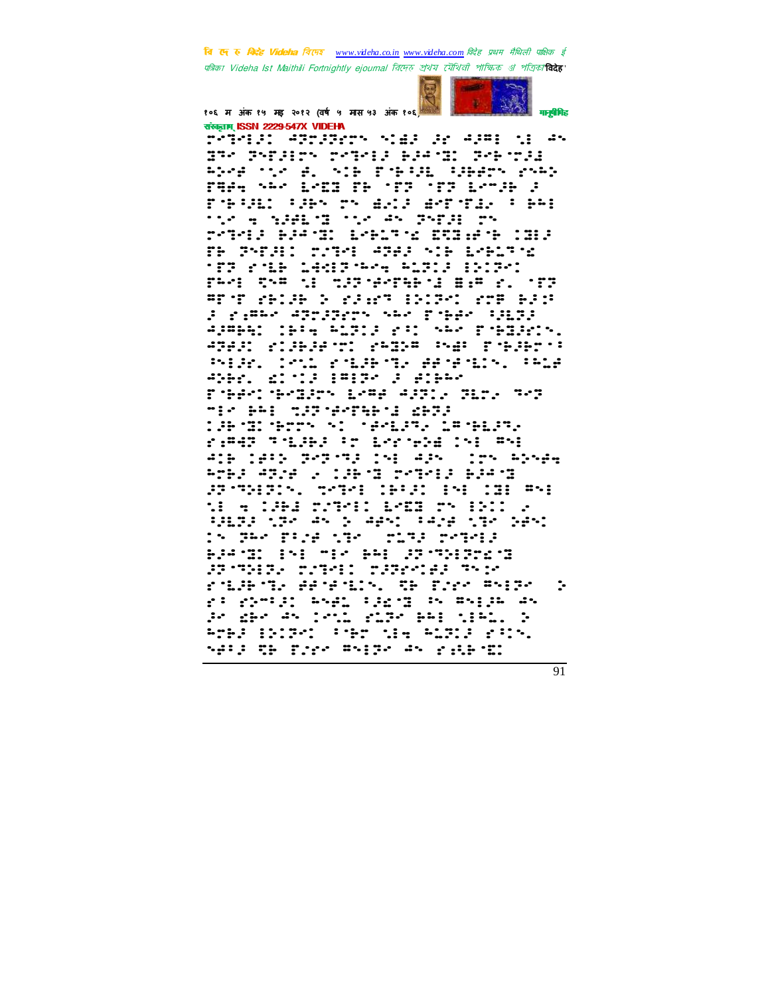बि एक रु *बिरोह Videha चिएक www.videha.co.in www.videha.com विदेह प्रथम मैथिली पाक्षिक ई* पत्रिका Videha Ist Maithili Fortnightly ejournal রিদেহ প্রথম মৌথিনী পাক্ষিক প্র পত্রিকা**বিदेह**'



१०६ म अंक १५ मइ २०१२ (वर्ष ५ मास ५३ अंक १०६) संस्कृतम् ISSN 2229-547X VIDEHA

rend: 89.822 NA: 8 4381 N 45 310 Thillips printing and the practice where the survey freezed spectro comp reum un realisario en the sound the story in phy the disposing pair of the 827 COOL LOCATION CONTROLLED *porto attitut se tino qual* apost the bill of the fiber **SPACE CONDECT** CONFIDENTI indical contract in the second contract of the second second second second second second second second second she chi mus and n: pa: 127 Social Cos: r:#:: Till: :r Lorock [n: #n: 416 1931 202132 156 425 125 41546 ares group of card reters esgon 10 - 101 - 101 102 103 103 10 **In the fight of the second state HAT IN THE HE STILLES** rior error tre pre stor ficht: Wellung Kang Wang Pose 4 181 212 228 841 1841 1 What inited the dig With film. sport the process model in the the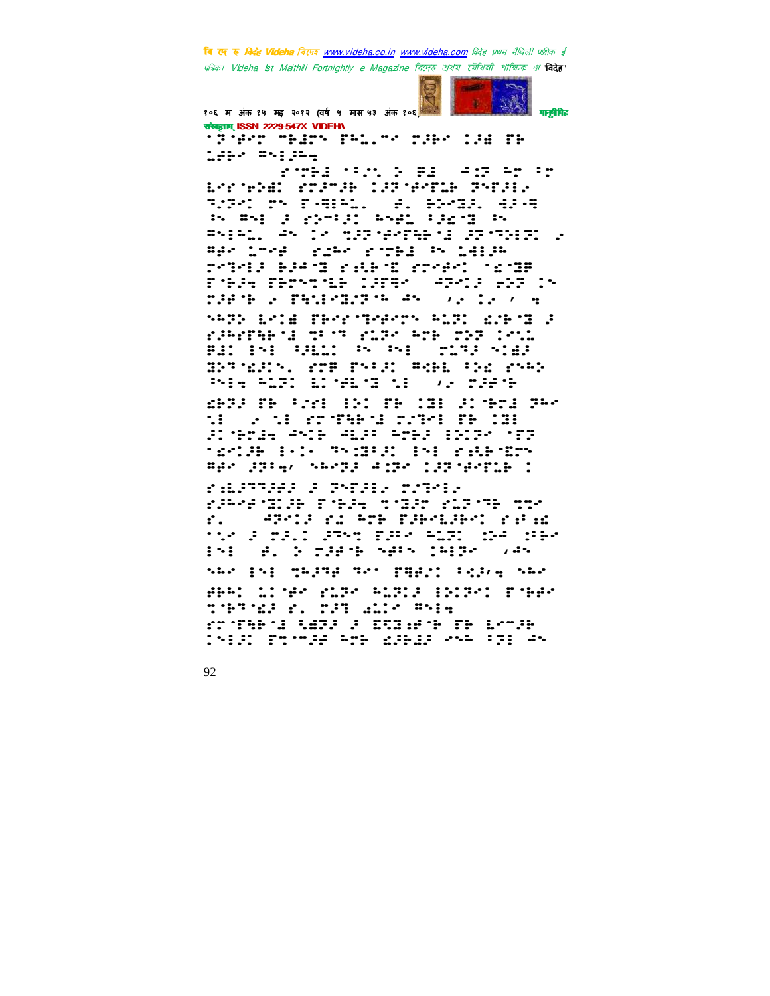

१०६ म अंक १५ मइ २०१२ (वर्ष ५ मास ५३ अंक १०६) संस्कृतम् ISSN 2229-547X VIDEHA fier mar pur che la p

lebe shijby

roma for 2 may 43 molto 1999 - 1999 - 1999 - 1999 - 1999 - 1999 - 1999 - 1999 - 1999 - 1999 - 1999 - 1999 - 1999 - 1999 - 1999 - 1999 non or paper. s mi përgjanë gej n **BA:L: 24 : 7:3 :2010 2 : 37 00:00 :** Bar 1968 (Sim Schill Br 1912) rend bung robin creet ings **TORA TROVER LITE ATAL AND IN** rden e chiedron de  $\cdots$  :  $\cdots$ **SATY LATE TEAM MARY ALT: 2/8/3/2** rakrani pro ruzo kralju pod BOOK IN THE SAME SERVICE Bruns MR MAR WAR MAR **System Records Constants (2001)** 2000 TR POST 100 TR 100 000 000 TRP tene bis model be report mar groep sarge age top-argue t

and the book conduction of the  $\mathbf{f}$ . **MARKET STAR PROVIDED AND SEC**  $\mathbf{1} \cdot \mathbf{1}$ d. Dender har inge van sar (s) gajnë nën popull kuj<sub>t</sub>e sar 2001 - 1990 - 1990 - 1991 - 1990 - 1990 - 1990 **THREE SECTIONS INC. Theory of the second contract and contract and contract and contract and contract and contract and contract an**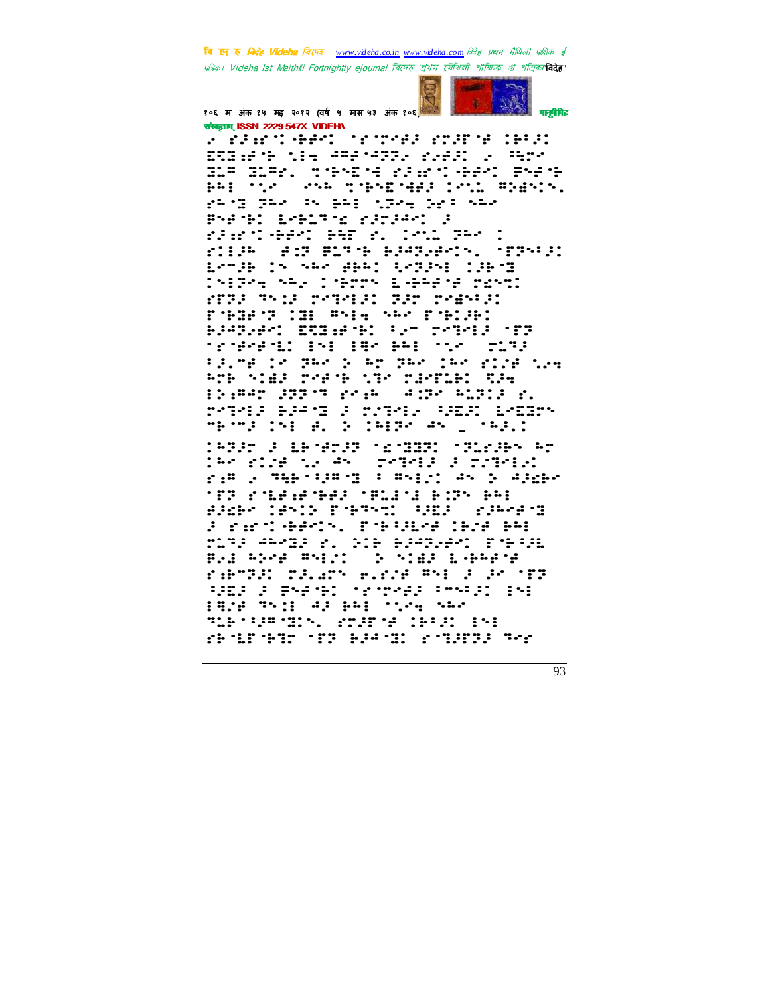बि एक रु *बिरोह Videha चिएक www.videha.co.in www.videha.com विदेह प्रथम मैथिली पाक्षिक ई* पत्रिका Videha Ist Maithili Fortnightly ejournal রিদেহ প্রথম মৌথিনী পাক্ষিক প্র পত্রিকা**বিदेह**'



१०६ म अंक १५ मइ २०१२ (वर्ष ५ मास ५३ अंक १०६) संस्कृतम् ISSN 2229-547X VIDEHA

Starter from professor II II: THIN MARY PAS **AN TENDAR CAL BANK**  $1.11 - 1.1$ gang par in pap (pre bri nar Prenti Lotinoi (2024) Warter Hr. Stipe : 10738 15 SAP 8841 10739 13873 **Indiana and I deny to the first party** 890 THI TANK 10 TA TANK r 1987 : 18 stie tie Pille. treed: In: IRP PA: 120 2232 Palme in The Scher The Ine side the WH SIAP THE WINTER TH :::=: ::::::::: ::: :::::::: 7677111 A D DADY 45 2742. :<del>br ::/d t. dr</del> **SARA SERVICE** ra pomeniana (serior and alier 

2120 100 210 210 100 100 100 2 Frether, reusede e ring akron e. die eggegeri presgo<br>Bel sore msici – d biografikeren ribett elas print mi l'in fot HIP PRESS STORP PRESS IN :5: 7:: 4: 84: 1,04 x10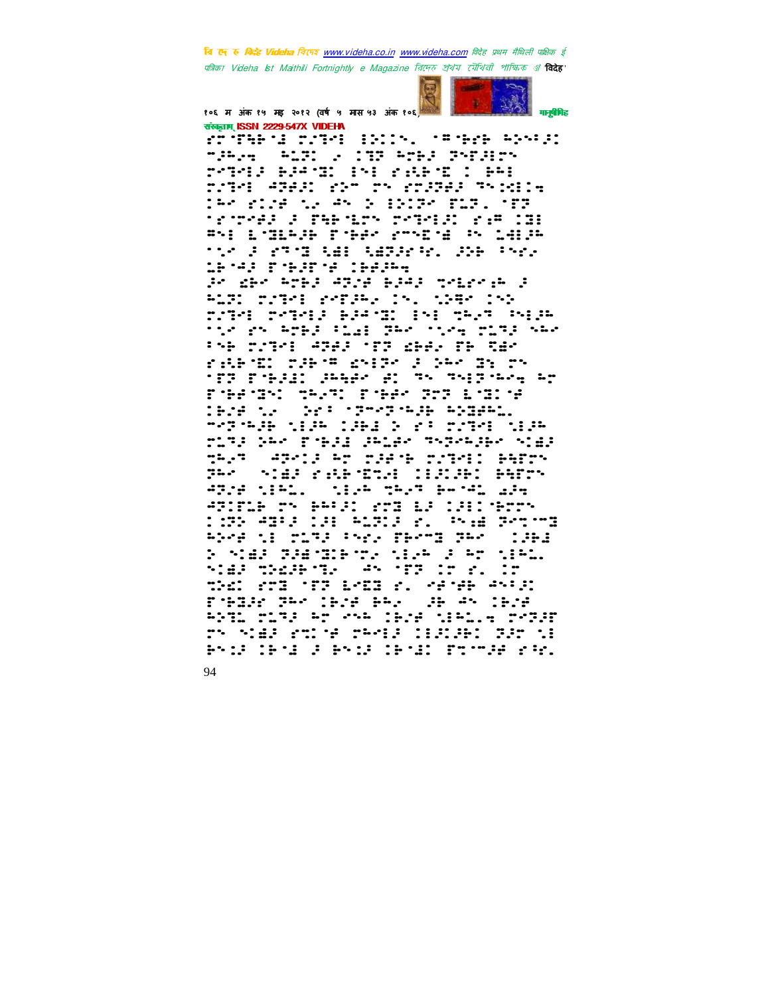

१०६ म अंक १५ मइ २०१२ (वर्ष ५ मास ५३ अंक १०६) संस्कृतम् ISSN 2229-547X VIDEHA

"Be WILL THE WELFIE **TORES BRANCE IN EXECUTIVE** ar ring to group film (23 order Pobos den regionale (B) 16'42 T'BJT'd (BAJA4 ar der Area Azya eaaa rebreik a WIT TIME PERSONAL CREATER **TIME THIS WAY TO BE THE MOVE** tin an Agad (111 Tan ting git) nan : 45 - 1919: 1919: 1919: 1919: 1919: 1920 ribe: nde ribe contro de la po tra reag page g sé sgálel, er restra ten res mi biri ibje ta Self-prepiasa anggan. -2908100 1823 231 2291 182 and a complete constant and control na je na s and this the most beam in 804 1 22 30 30 30 30 30 sign thomp to as the interior apoi ring ar esa dece dell'e retgo r yaken sang perkataan pada t Bros cend a bros cendo frince par.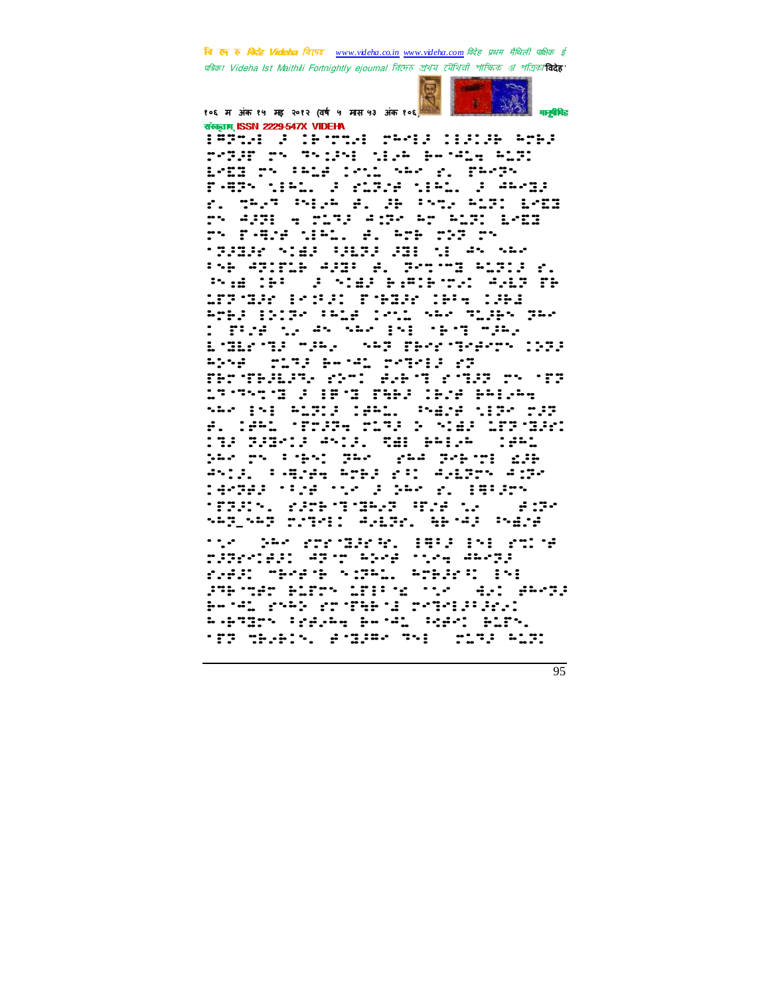वि एक रु क्रिटेड Videha विएम्ब www.videha.co.in www.videha.com विदेह प्रथम मैथिली पाक्षिक ई पत्रिका Videha Ist Maithili Fortnightly ejournal রিদেহ প্রথম মৌথিনী পাক্ষিক প্র পত্রিকা**বিदेह**'



१०६ म अंक १५ मइ २०१२ (वर्ष ५ मास ५३ अंक १०६) संस्कृतम् ISSN 2229-547X VIDEHA

:87:3 : :Browl pAd: :1:10 App: ben graffen fan de graffe r. that bird e di by by bot boo r gu e ngo gres a pro **The Post of the Second Area Times and Bell 120 - 200 - 200 - 200 - 200 - 200 - 200 - 200 - 200 - 200 - 200 - 200 - 200 - 200 - 200 - 200 - 200 - 20 SARA** age: :::: :a: :::: ::: xa: might par a prende an ngore na mangangang mang products the same percontert cond **Alpha (2013 Bendl 2010) 201 SAR ISI AWAY: WALL THERE WIRE AND** 8. 1942 12039 2013 1 103 103 103 103 **THE READED AND READED TO READED A CAR** par profesor par 4500 : 4000 AMB (1000 4000 4000 CAMBER 1928 1531 E 243 22 IBREAM **ASSES** sagisag pindin alandi aliyan dalid tre de considerada por cons freien angale ole alge

**PROSECTION OFFICE OF ALL PROPE** parat prate profits to reference **LATTS WEDER BERG WEDER** 

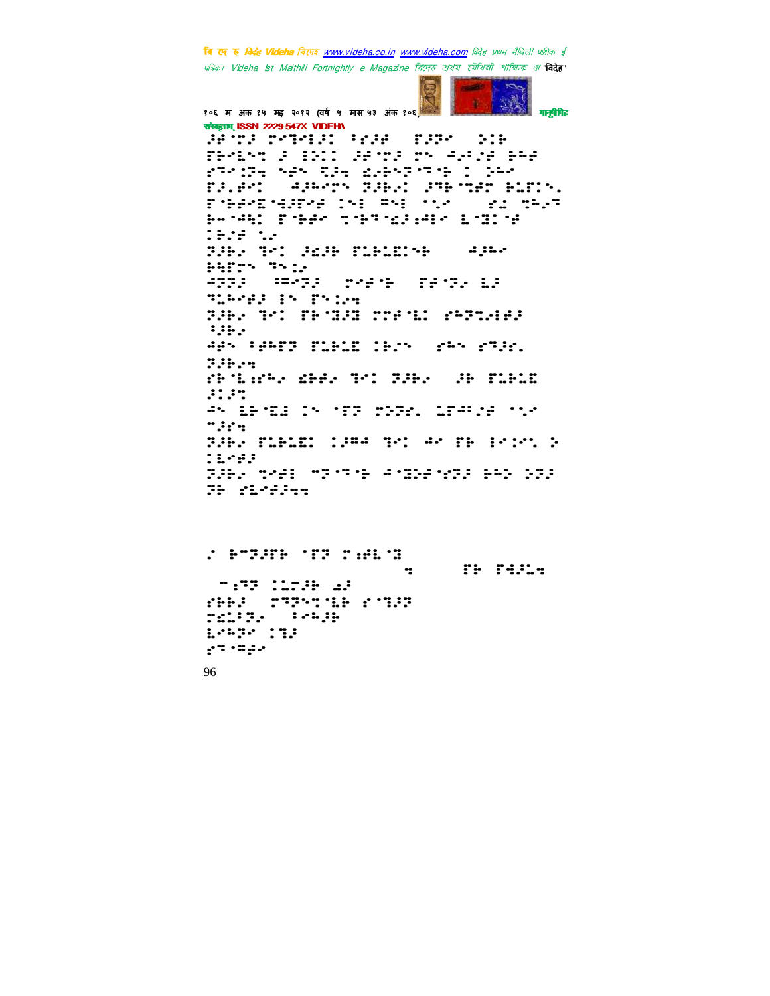मानुबेमिह १०६ म अंक १५ मइ २०१२ (वर्ष ५ मास ५३ अंक १०६)

संस्कृतम् ISSN 2229-547X VIDEHA nunt : Million : Million automal rech yn ch dinser i de 4800 782 7800 7800 FJ.PC reporting to my the side. **H-98 F98 THREES AND LOOP** : ::: :: **BATTS TRIP** .... ..... .... ... .... TINGER IN THIS  $\ddotsc$ ap compressed to the root **P.B.H**  $3137$ as despite the news crate to mare. ara a **T.O. 7:00 7776 4720 100 000 000** The Sisting

```
: 2-7.00 .00 -.01.00
                       TH PAPLe
                  \bulletPRIMARY 120 200222
rdda a
..... ....
1-47-173
grander
```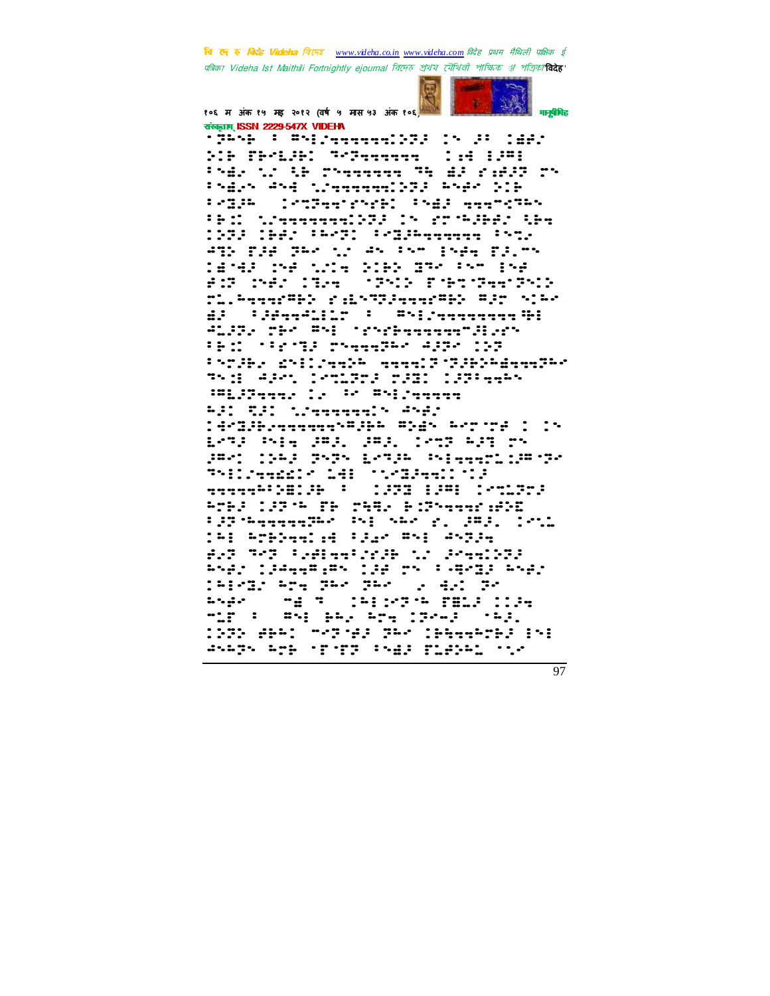बि एक रु *बिरोह Videha चिएक www.videha.co.in www.videha.com विदेह प्रथम मैथिली पाक्षिक ई* पत्रिका Videha Ist Maithili Fortnightly ejournal রিদেত প্রথম মৌথিনী পাক্ষিক রা পত্রিকা**'বিदेह**'

मानुबैमिह १०६ म अंक १५ मइ २०१२ (वर्ष ५ मास ५३ अंक १०६)

संस्कृतम् ISSN 2229-547X VIDEHA :940 : #4:nooc33: 15 20 182 : :4 :*:*=: **The to be removed by all calls re**  $\mathbf{1} \cdot \mathbf{3}$ **Controlstock: Crac Agency**s Hi Maaaaal22 In gridd da 1932 (BE) (Reg) (ellhaannan (Ste an ne ma ya as be heefiles 18782 158 122 212 332 355 156 AS MAY CAN STORE THINGS Wille the And ornehementalern th: 40% lemin: 121 l21 qqbh 109: 04: 28: 28: 109 A21 24 part that papa brown agenciency <u> 1980 - 1991 - 1992 - 1993 - 1993 - 1994 - 1995 - 1996 - 1997 - 1998 - 1999 - 1999 - 1999 - 1999 - 1999 - 199</u> SPS<sub>trin</sub>ger bische plaat in a: Wilson di Clar By: Angla 8.7 % : :.#!##!/::: .: .: ...... **What Camerican Cap to Figure What CARAGE ATA SARA SA A A A SA SA Louis** t: We had the Company of **:::: #ba: "\*::: !& !&\* :bhqqb:b: !\*!** asaps are thing is an indicated the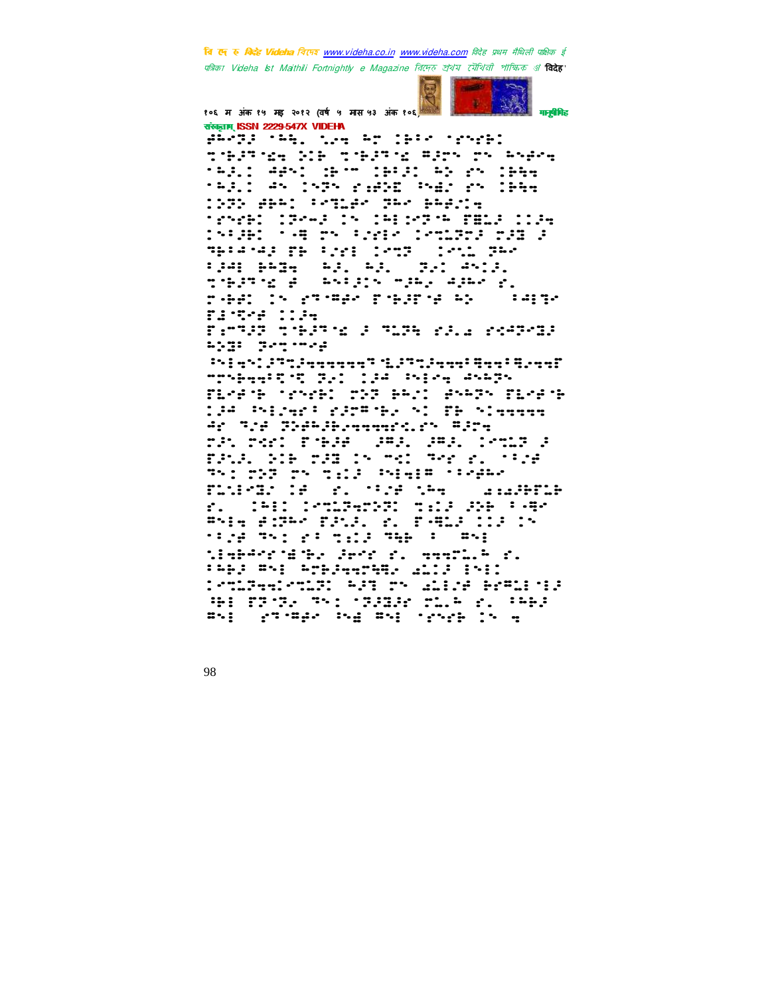

संस्कृतम् ISSN 2229-547X VIDEHA *phi*c: 14. 1., 45 IP: 1214 1212 this de lib this d'airs ra anane 'All'Africh' (AC) Ab 25 (Abe tell a 155 rubl<sup>i</sup>me in 160 .... App: :/g.e. gu/ php.t. Trych (Prof.) (1939–1925 IBL) (125<br>(1936) 199 ry (2212 IPL323 233 3 **THE SECOND SECOND SECOND SERVICE** : 201 1020 122 122 122 122 122 123 three a work the does. rge: : /rge/fge: 0  $\ldots$  : 4:30 **TIME COM AND SPRING TERRITE EN LA RIA ANGE** neer ordt nr en egen neer :24 :s:ref: r2p#j&c s: PB slaagaa a, m.a nightip.google.ch #: ". new die nach mit meist.  $1.14$ Thi MI Th Till Main Stephe Suich is the Side the . . . . . . . . . .  $\mathbf{r}$  , where  $\mathbf{r}$ ng meringan na sa tightering into the grant. We su sti prospe ng sti problem p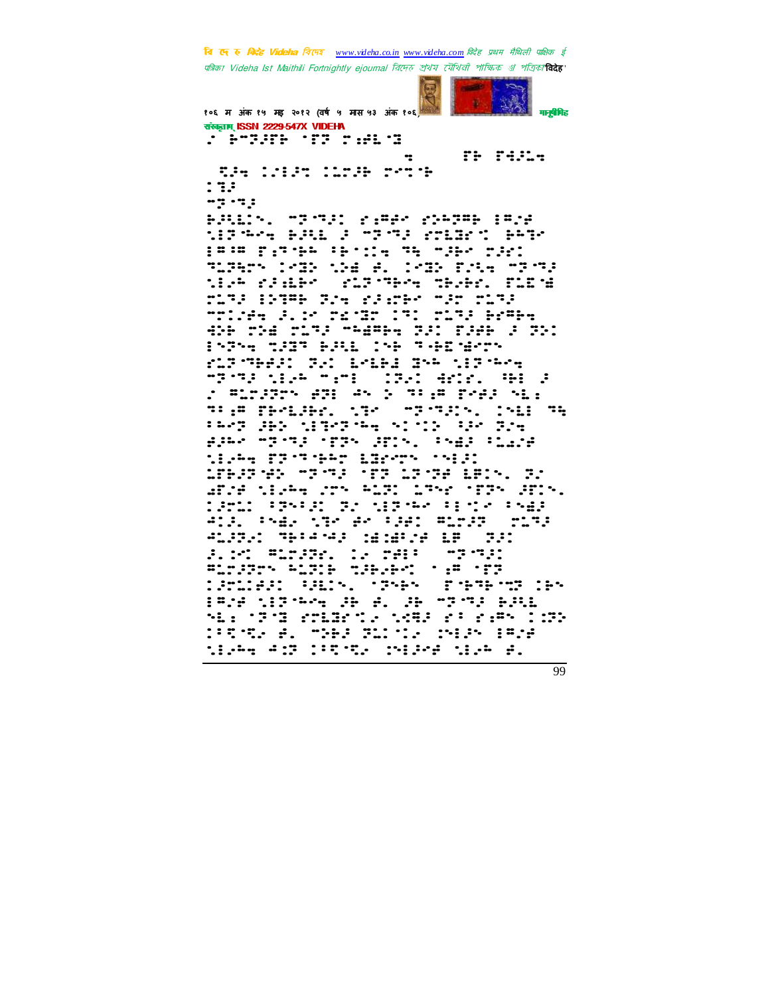बि एक रु मिन्हें Videha विरमर www.videha.co.in www.videha.com विदेह प्रथम मैथिली पाक्षिक ई पत्रिका Videha Ist Maithili Fortnightly ejournal রিদেহ প্রথম মৌথিনী পাক্ষিক প্রা পত্রিকা**'বিदेह**'

मानुबेमिह १०६ म अंक १५ मइ २०१२ (वर्ष ५ मास ५३ अंक १०६) संस्कृतम् ISSN 2229-547X VIDEHA : \$ ???? '?? : .?! ? TH PASLA <u> 21. 11.20 11.21. est.</u>  $: 3.3$  $-2 - 2$ til se bill i stil frill list pos pre unua sente de the Rear of Second Construction ... ... ... ... ..... ... . ... . ... **: 1714 722 8312 11: 11: 742 2001** KITTERI TALLARE IN SITAN TROLLATE CROSS. BER sig peller troopstrik ters :405 HB 12505744 NOCEN HP 304 2000 - 2010 - 2010 - 2010 - 2010 - 2010 - 2010 - 2010 - 2010 - 2010 - 2010 - 2010 - 2010 - 2010 - 20 use pree wer col <u> 1919: 1919: 1919: 1919: 1919: 1919: 1919: 1919: 1919: 1919: 1919: 1919: 1919: 1919: 1919: 1919: 1919: 1919: 1</u> and dues on ear and the specific. **1201 12012 22 12040 12000 1022** sil bekom er bet mod och a bi minatha ta ndi "pria Window Wind there' '# 'P No the store will sell be conpromote the middle office inge the 43 DRY: SOME OFF.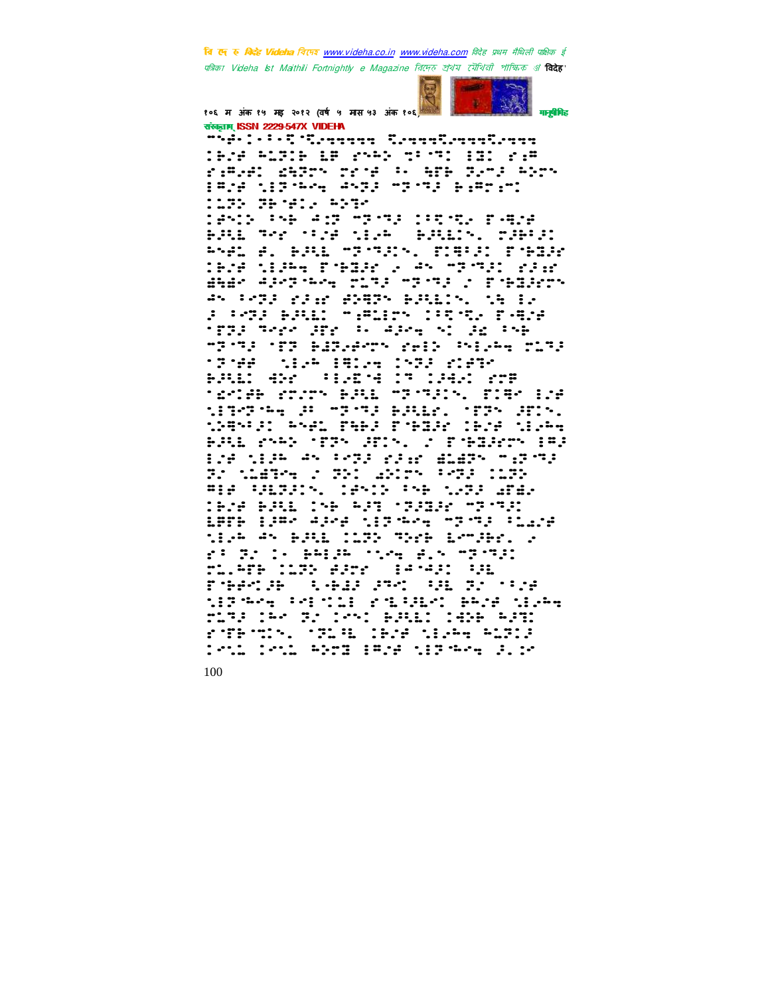

१०६ म अंक १५ मइ २०१२ (वर्ष ५ मास ५३ अंक १०६) संस्कृतम् ISSN 2229-547X VIDEHA

r. 2.2 200 - 201 - 201 2. 2. 2. 

<u> 1911 - 1928 - 1928 - 1929 - 1929 - 1929 - 1929 - 1929 - 1929 - 1929 - 1929 - 1929 - 1929 - 1929 - 1929 - 192</u> 1920 2. 2010 7.700 2. 2.9100 **T** think **18:8 1004 FYOR: 200 MTMIN 2007** Bur angsan pin grot pompan as ben die Ants Andr. Sein the weaking would be well -3-1: 10 BR.A. (AI) 0.1.4. 201 ..... ... .... ... ... .... **.esua cropy add -thrown components** there a string ball. The ans. 1999: Welfard Fall 1918 1104 <u> 1911 - 1912 - 1912 - 1912 - 1913 - 1914 - 1915 - 1916 - 1916 - 1916 - 1916 - 1916 - 1916 - 1916 - 1916 - 191</u> ist visk an 1932 bled electronical<br>32 vietne o 351 a512n 1932 1135 8:0 :00:00 :00:00 :00 :00:00:00 1876 1380 4306 139604 9393 11.06 us a but un ne trie. . :: 3: 10 PHIP 700 200 72731 **FLATE CONTACTS** (494) 18 rekog tegan no uprovin 1894 MILL PEORT BOB SPA nn : Still Bur : St rthtn: Till Christian Alfo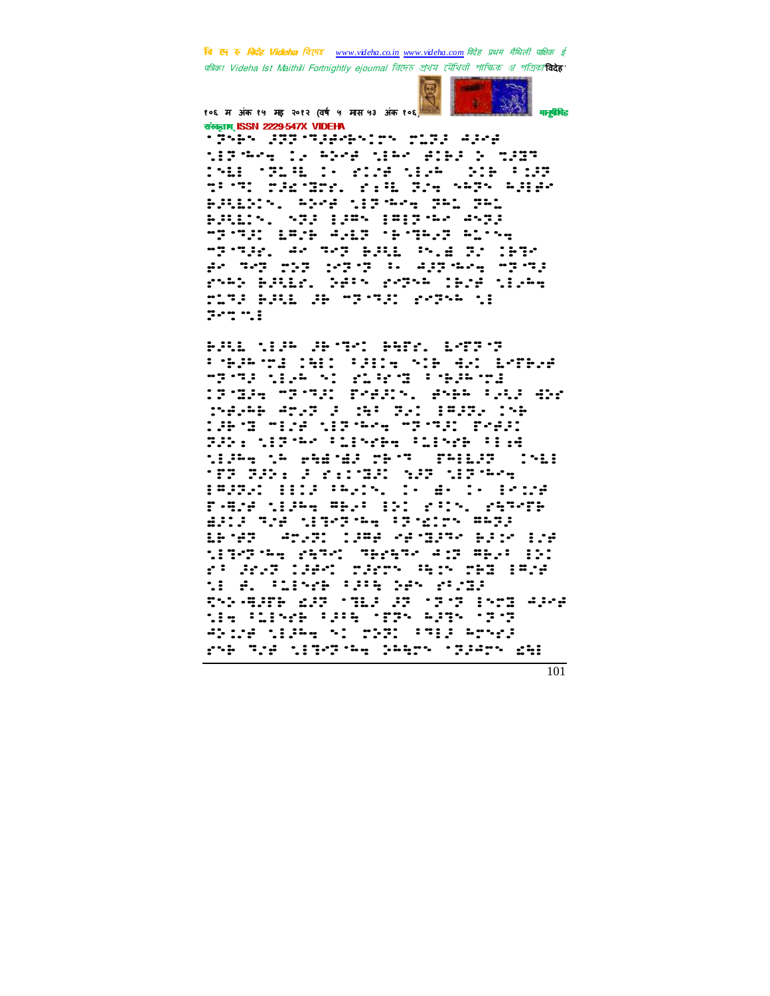वि एक रु क्रिटेड Videha विएम्ब www.videha.co.in www.videha.com विदेह प्रथम मैथिली पाक्षिक ई पत्रिका Videha Ist Maithili Fortnightly ejournal রিদেহ প্রথম মৌথিনী পাক্ষিক প্র পত্রিকা**বিदेह**'



१०६ म अंक १५ मइ २०१२ (वर्ष ५ मास ५३ अंक १०६) संस्कृतम् ISSN 2229-547X VIDEHA

1945 STO TOP-101 TIC 404 **MOST READERS AND READERS** the first film of the served **BOOKS: BOOK 1024-4 202 202** BRIDGE STATISH 1817-62 457 -9.92 18.0 0.19 10.70.70 10.10 THE 40 TH BAL B.E R. IBP e sa na rad shekara ryng bolls. Gott retty leie tiene **TITE BOOK ON THE STORY OF** per na

: 1922 - 1922 - 1923 - 1924 - 1925 - 1927 - 1928 - 1929 - 1929 - 1929 - 1929 - 1929 - 1929 - 1929 - 1929 - 192 **THILLEY CONTROL** :5.1. -1.1. -1.1. -1.1. -1.1. -1.1 TO STORY CONTROLLING CON MLI **100 BB: Fr:100 AC AC AP-40** A::: 72 1000 1000 10000 2000 BRYAR (ATVIL 1984 PATISHR BJY 128 1974, 200 920 43 920 121 18 A. (11526-1316 225 21713 <u> 2000 : 2000 : 2000 : 2000 : 2000 : 2000 : 2000 : 2000 : 2000 : 2000 : 2000 : 2000 : 2000 : 2000 : 2000 : 200</u> :A :184 :34 :35 A35 '25 While them at this final moved ry ne diffing bar the co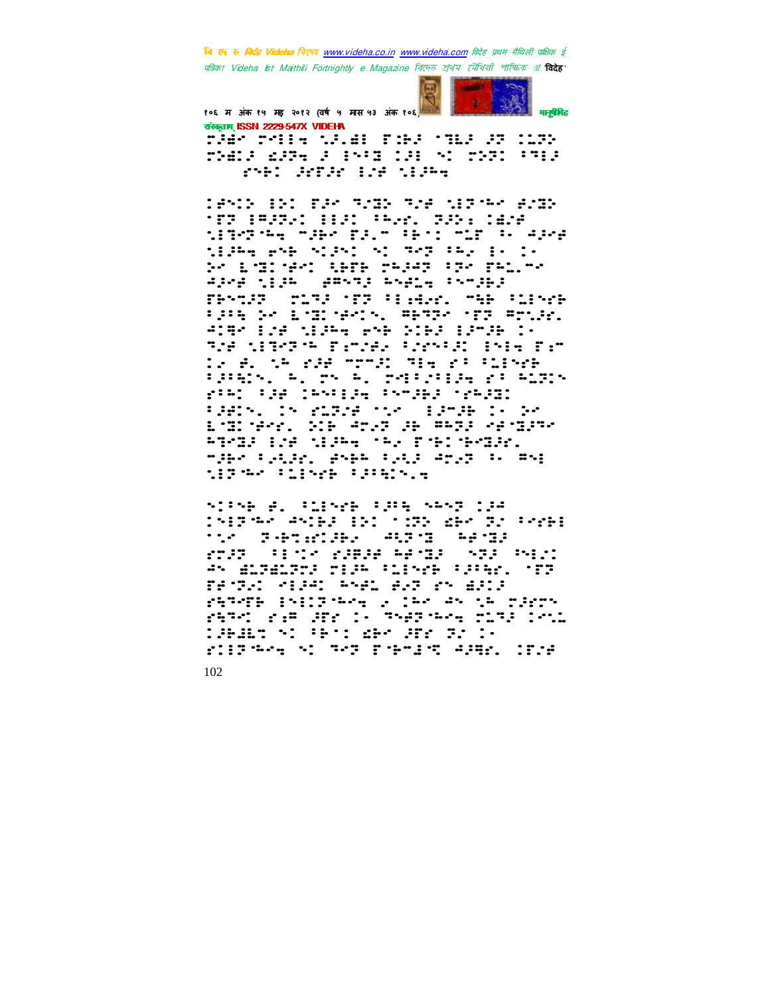

१०६ म अंक १५ मइ २०१२ (वर्ष ५ मास ५३ अंक १०६) संस्कृतम् ISSN 2229-547X VIDEHA

**SARE SETS 122 1124** 

**IPOS OS TO TEN TE SITAR AST** \*T: 1827.: 1121 :4.21 :00: 1822 unghy ne distance most cape the exports of the cap port or booker were read the relier aper (); a government comput TESSUR SING STRAGGER (SE SIGNE the titete ferne frekil isla fe la f. 16 p.H. mm.K. Ala pi flingk<br>Fjern, A. pr A. pafijelja pj Algir red on tending conductribute PARTNE IN RIGHT TO BATCH IN DA **L'OCTARY, COD ATLY ON HATLE RETORN** WORD DE GUAR TAS DON GROOM the Cano persons from the the control control

**STORE COMPOSE CONSIST** ting and started the second control of the second second second second second second second second second seco **MA PATALAR AST WAS** 8929 Hotel Spring Andrew March **35 ALTALT: MIN :LIST :PRE : 77** nender man man er en ant SAMP DOSTAGE FOR AN 18 THT ste se as l'earges difficil thart your choing the sta KORSEN STRIPS PROGRESSION  $102$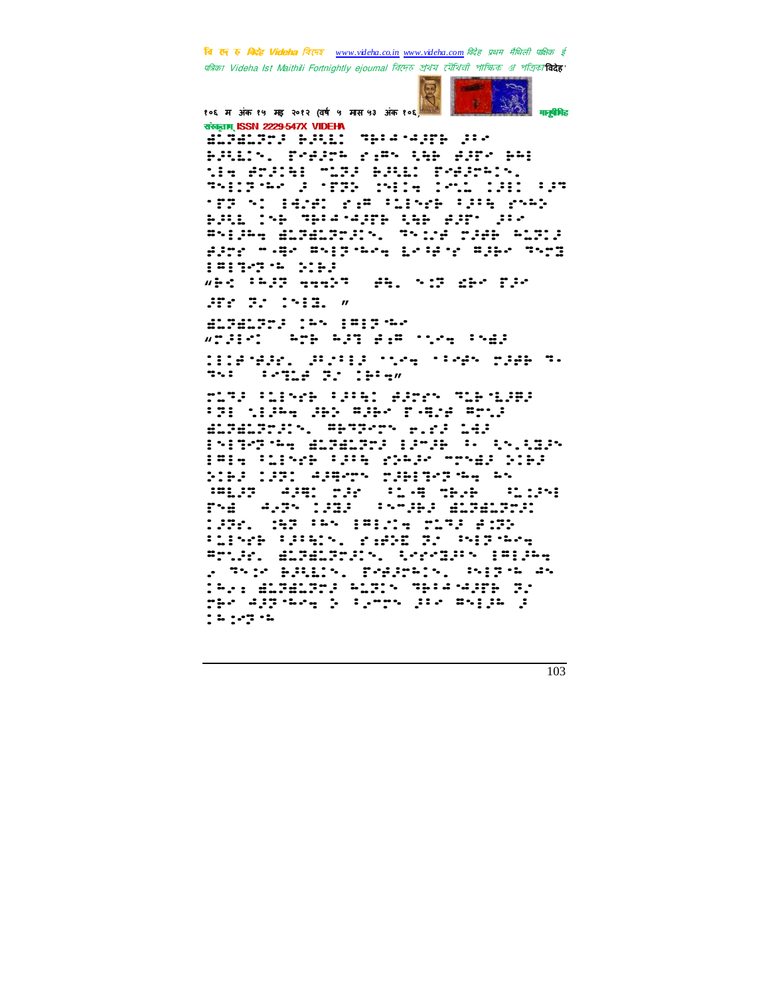वि एक रु क्रिटेड Videha विएम्ब www.videha.co.in www.videha.com विदेह प्रथम मैथिली पाक्षिक ई पत्रिका Videha Ist Maithili Fortnightly ejournal রিদেহ প্রথম মৌথিনী পাক্ষিক প্র পত্রিকা**বিदेह**'



१०६ म अंक १५ मइ २०१२ (वर्ष ५ मास ५३ अंक १०६) मानुबैमिह संस्कृतम् ISSN 2229-547X VIDEHA dinge: 6011 9614918 00 :: 20:11: 019: 1:11: 20:20:11: **THILE A FILE IN A CALL IN THE SEAL OF A SEAL IN THE SEAL IN THE SEAL IN THE SEAL IN THE SEAL IN THE SEAL IN TH**  $\ddotsc$ 'TT \! BAYAT YAR (11946 (100 YAG) 1991 - 1992 - 1993 - 1994 - 1994 - 1994 - 1994 - 1994 - 1994 - 1994 - 1994 - 1994 - 1994 - 1994 - 1994 - 1994 and the minutes beach maps that **: ": ": ": ": ": :: :** was tags goods, and side and saw **SEP 32 15:32 #** wooded are arrived the star **INFRANCIPALE TRACTARY TABLES** The crime is then **TANG BAGGAGE BERGE ADDER TO A SALES** <u> A MARTIN ANTINI DI ALI</u> :\:?:?\%\ ##?##?:: :?"?P :\ :\.:#!\ : ": : : : : : : : : : : : : """: : : : : :  $\mathbb{R}^2$  :  $\mathbb{R}^2$  : **:1940 :2007, 2008 72 00204** . The Books, People, Supra Ay the Appeara is tymps ine weight i

 $14:2:14$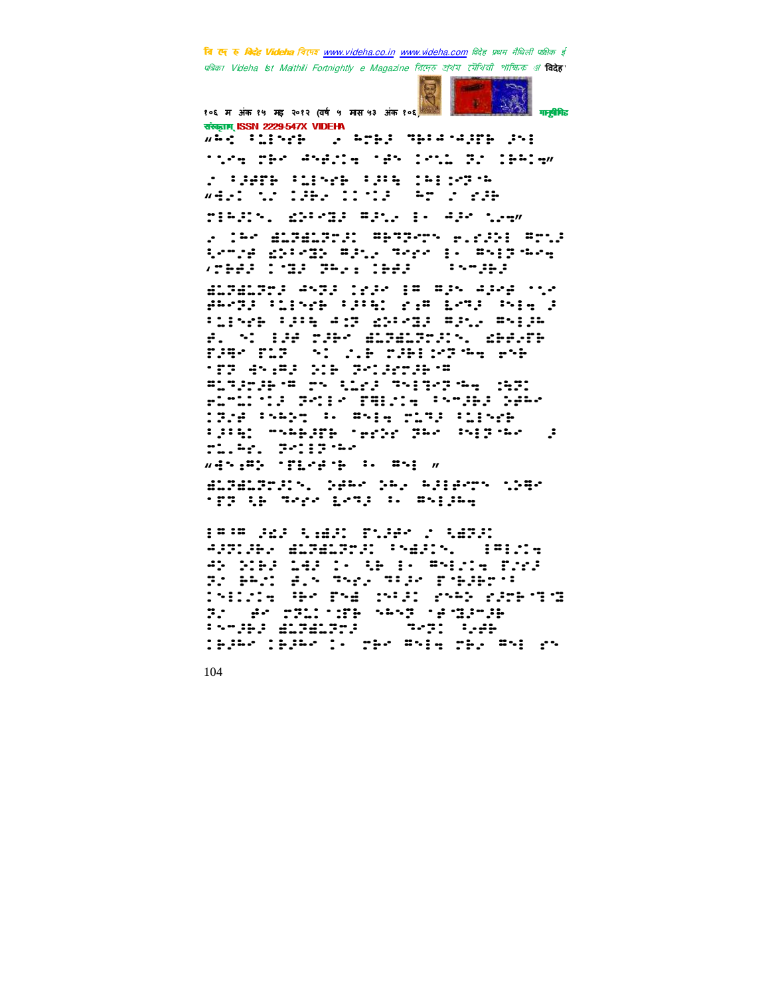

१०६ म अंक १५ मइ २०१२ (वर्ष ५ मास ५३ अंक १०६) संस्कृतम् ISSN 2229-547X VIDEHA was tired a and modern is **The The Andels of Contract Charge** *r* (BB ORS) OR 201202 west to 1960 11:12 April 296 rights, dredd grys is gir tew trif chico she she is supsey  $\mathbf{1} \cdot \mathbf{2} \cdot \mathbf{3}$ parts times took remarts meet **TIME ORGAN AND INVITE AND ANGLA** THE TIP OS WE THERPAY FR **. 22 45.22 222 2012012012 SISTEM TO MAIN THIS SEA** alministration policy conduction **TTA PART BOOKSETIVE SINGE** ting maging terr man niptar j ri.hr. Briinea  $\mathbf{w}$  in the second contribution of  $\mathbf{w}$ try in the irth 1. Stille

4) XIA 142 1- 16 1- 84214 E22<br>32 AAN 225 Bar, Blac Edgard **INDICA AP TNE SAUL SND SUPPOR** : ..... .........<br>: .... ........ **SANTI**  $\ddotsc$ 1934–1934–10 chr Anig chr Ani rh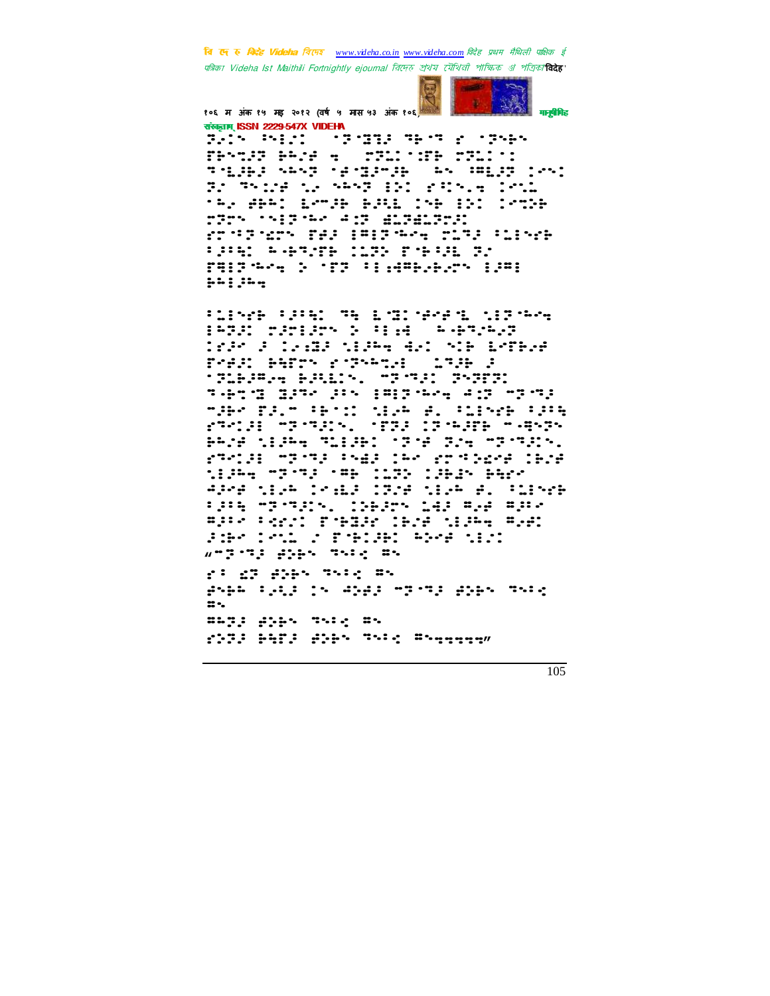वि एक रु मिन्हे Videha विएक www.videha.co.in www.videha.com विदेह प्रथम मैथिली पाक्षिक ई पत्रिका Videha Ist Maithili Fortnightly ejournal রিদেহ প্রথম মৌথিনী পাক্ষিক প্র পত্রিকা**বিदेह**'



१०६ म अंक १५ मइ २०१२ (वर्ष ५ मास ५३ अंक १०६) संस्कृतम् ISSN 2229-547X VIDEHA

FAR WEST **STORY TO THE STORY OF STATES** PROVINCIA PROVINCIO thing was rendered as which issi BOWER GOWS BI PROFINI 'Wy ABW: 1003B BJW1 15B 101 1003B ::::::::::::::::::::::::::::::::::: **PRIP-WAY : TP : WAYNAMAY :20:** pappag

**Clima CHI RESTANCE SPAN 1:30 : 1:31:11:4.4.1 :11:11:4 POST WHIT STATE ITH F** rang pro po popolo ag nyng maar palm (end (dag) al (dag) (a) ( frille the Williesh Co **BASE SIDE TIDES (TSE TO TESTION** rtia tri bas de rribre des and the component means of the 1914 - Provinci (1992) 191 - Age Agust diko (oni 2 poklak) kyofnili<br>wodod edko svij mo

ri di Alby Syle Ay public (Signary September 2007)  $\mathbb{Z}$  . say: gyak this sk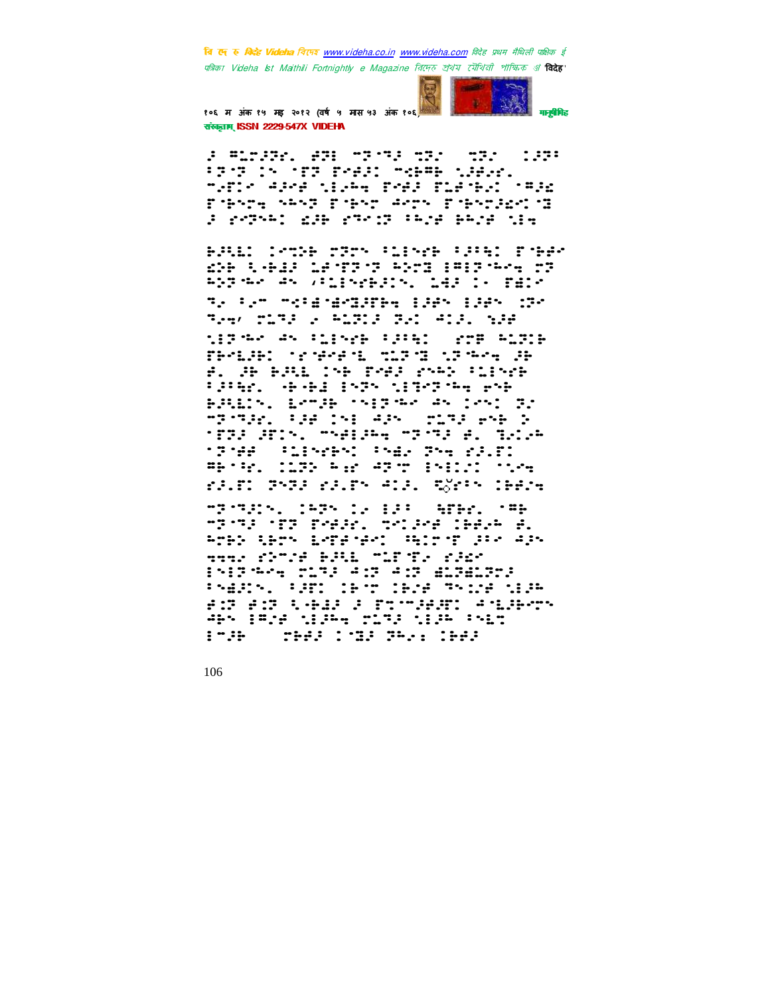

१०६ म अंक १५ मइ २०१२ (वर्ष ५ मास ५३ अंक १०६) संस्कृतम् ISSN 2229-547X VIDEHA

 $: 17:$ 1373 15 12 2321 - 200 1362. the abelian fill fifty the Pobse sky Pobs Ann Pobschedor *l'estal dib encontre base de* 

<u> 1911 : 2011 070 : 1190 : 1191 7010</u> approved (Classical Leboor Bile The sign note that the second contract of the state of the second second second the second second second second **T.H. 2001 : AND D. 2001 122 STP ALTID** tiper av tilvek tillet nema vezen nro da p S. S. HUL MA PAR MAN CINN BREEN, ESTA SARROW AN ISNI RI **131922. POB 151 425 1132 656 2** 1396 MINNA MARTIN MART BHOR. 1155 Auf 43cm inited the 

"T"I TT PAGE "SIDE DAA A WHO GAM DEPART ANYTHE AP tte Stiff BAL tinde skr **FARM ORD INT INS THIS NIS** FS FS VAD FINARD FLARY Abs : modeling completed that  $: -: -$ **THE PRESS PRODUCT**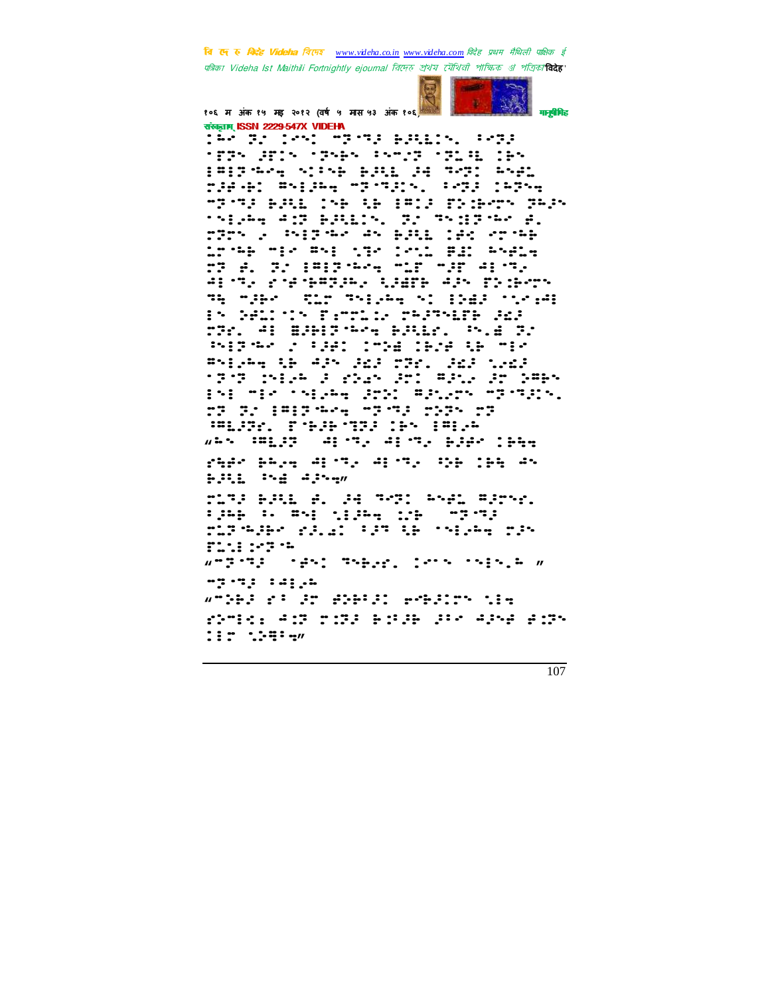वि एक रु क्रिटेड Videha विएम्ब www.videha.co.in www.videha.com विदेह प्रथम मैथिली पाक्षिक ई पत्रिका Videha Ist Maithili Fortnightly ejournal রিদেহ প্রথম মৌথিনী পাক্ষিক প্র পত্রিকা**বিदेह**'



१०६ म अंक १५ मइ २०१२ (वर्ष ५ मास ५३ अंक १०६) संस्कृतम् ISSN 2229-547X VIDEHA Af de crye moral balley, smo **THE SENSY SERVICES THE SHIPS TO BE SEEN** ngum ed bain, an morme e. TT a milea a politic a crep **23 A. 20 : 20:30-00 P.E. P.E. 4: 72. IN GENERAL PRODUCT CONTRACT** the A Bakings kale. A.B.R.<br>Thirme of the crediter theory syles that he see the hel the

1313 (nich ) 222 (22) APIC 22"(ABN)<br>151 Min 1512Au (22) APICPY MP(MP) ra an imigene, east class ra  $\mathbf{w}^{\mathbf{1},\mathbf{2},\mathbf{3}}\cdot\mathbf{1}^{\mathbf{1},\mathbf{2},\mathbf{3}}\cdot\mathbf{1}^{\mathbf{1},\mathbf{1}}\cdot\mathbf{1}^{\mathbf{2},\mathbf{3}}\cdot\mathbf{1}^{\mathbf{3},\mathbf{1}}\cdot\mathbf{1}^{\mathbf{3},\mathbf{1}}\cdot\mathbf{1}^{\mathbf{3},\mathbf{1}}\cdot\mathbf{1}^{\mathbf{4},\mathbf{1}}\cdot\mathbf{1}^{\mathbf{5},\mathbf{1}}\cdot\mathbf{1}^{\mathbf{6},\mathbf{1}}$ 

sher base group group, opening as pli be appear

: ;;;; :. #\; ::;;, ::: "?"; **MISHER SILL IS SEE SEE THE TIME** Find the re- $\mathbf{w}^*$  , where  $\mathbf{w}^*$  , we have the set of  $\mathbf{w}$ **HEATS CALLS** while a show which die :201: 43 TSI BSB 30 424 635  $\mathbf{1}$ :  $\mathbf{1}$   $\mathbf{1}$   $\mathbf{1}$   $\mathbf{2}$   $\mathbf{3}$   $\mathbf{3}$   $\mathbf{4}$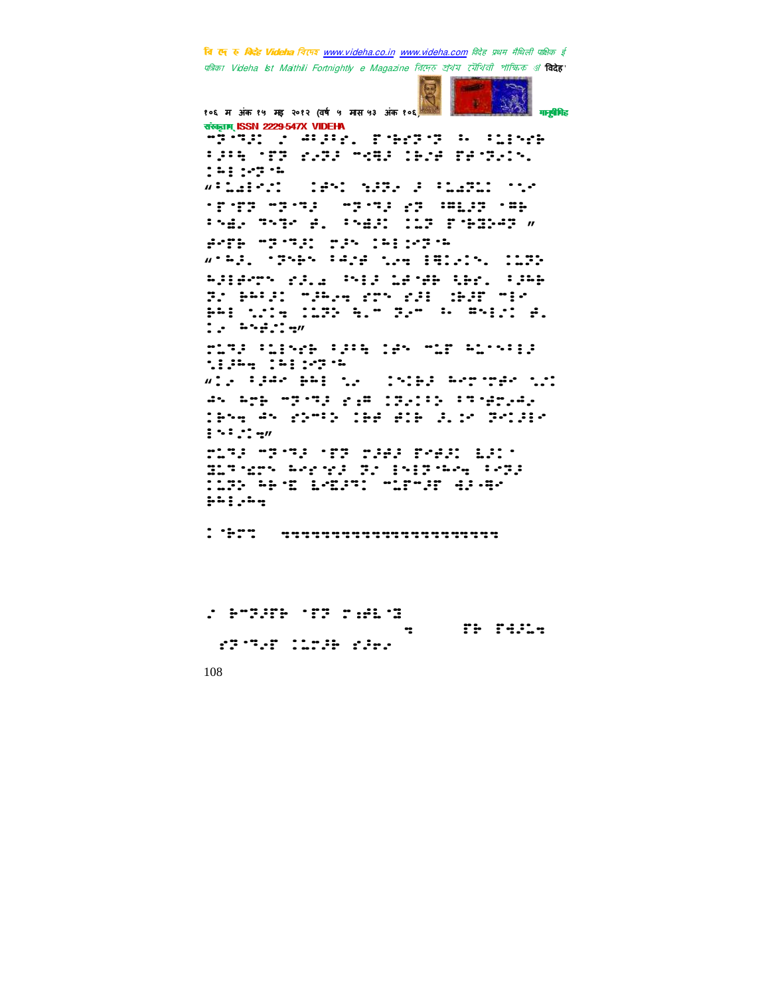१०६ म अंक १५ मइ २०१२ (वष ५ मास ५३ अंक १०६) मानुषीिमह संस्कृतम् ISSN 2229-547X VIDEHA b⢽⢹⢼!1!⢺A⢼AE!/⢷⢽⢽!⢸c!A⣅2⢷! A⢼A⣓!/⢽!⢴⢽⢼!b⣊⣛⢼!⢷1⢾!/⢾⢽⢴E!  $\frac{1}{2}$ **"**A⣅⣔21-!⢾!⣑⢼⢽⢴!⢼!A⣅⣔⢽⣅!⣁! //⢽!b⢽⢹⢼@!b⢽⢹⢼!⢽!⢸⢻⣇⢼⢽!⢻⢷! A⣞⢴!⢹⣙!⢾E!A⣞⢼!⣅⢽!/⢷⣝⢵⢺⢽@**"** ⢾/⢷!b⢽⢹⢼!⢼!⢳2⣈⢽⢳.! **"**⢳⢼E!⢽⢷!A⢺1⢾!⣁⢴⣒!2⣛⢴E!⣅⢽⢵!  $\blacksquare$ ⢽1!⢷⢳A⢼!b⢼⢳⢴⣒!.⢼2!⣈⢷⢼/!b2! **BU: 1:1 : 1:2 E. P. 2. B BV::1 :.** ⢴!⢳⢾1⣒**"** ⣅⢹⢼!A⣅2⢷!A⢼A⣓!⢾!b⣅/!⢳⣅A2⢼! ⣁2⢼⢳⣒!⢳2⣈⢽⢳.! **"**⢴!A⢼⢺!⢷⢳2!⣁⢴@!⢷⢼!⢳⢾!⣁1! △· ↓? HP ?? 2012 2012 2012 ⢷⣒!⢺!⢵bA⢵!⢷⢾!⢾⢷!⢼E⣈!⢽⢼2!  $2.22 \div 2.4n$ ⣅⢹⢼!b⢽⢹⢼!/⢽!⢼⢾⢼./⢾⢼!⣇⢼. ⣝⣅⢹⣎!⢳⢼!⢽1!22⢽⢳⣒!A⢽⢼! ⣅⢽⢵!⢳⢷⣏.⣇⣏⢼⢹!b⣅/b⢼/!⣚⢼B⣛! ⢷⢳2⢴⢳⣒!  $^{\circ}$ ,  $^{\circ}$ ;  $^{\circ}$ ;  $^{\circ}$ ;  $^{\circ}$ ;  $^{\circ}$ ;  $^{\circ}$ ;  $^{\circ}$ ;  $^{\circ}$ ;  $^{\circ}$ ;  $^{\circ}$ ;  $^{\circ}$ ;  $^{\circ}$ ;  $^{\circ}$ ;  $^{\circ}$ ;  $^{\circ}$ ;  $^{\circ}$ ;  $^{\circ}$ ;  $^{\circ}$ ;  $^{\circ}$ ;  $^{\circ}$ ;  $^{\circ}$ ;  $^{\circ}$ ;  $^{\circ}$ ;  $^{\circ}$ ;  $^{\circ}$ ;  $^{\circ}$ ;  $^{\circ}$ 1!⢷b⢽⢼/⢷!/⢽!⣐⢾⣇⣝! hhbkfoesbAwjefib⣒dpn!/⢷!/⣚⢼⣅⣒!! !⢽⢹⢴/!⣅⢼⢷!⢼⢶⢴!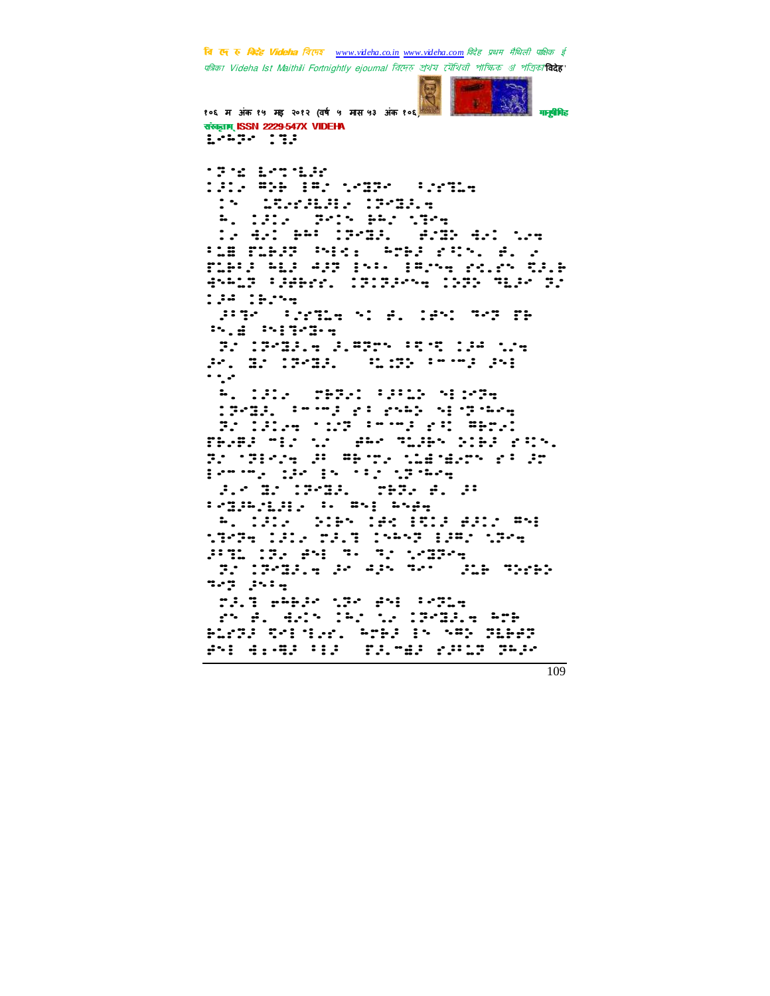

संस्कृतम् ISSN 2229-547X VIDEHA **LAND 118** ⢽⣎!⣇⣉⣇⢼!  $\vdots$  . The property of  $\vdots$ .-!⣅⣋⢴⢼⣇⢼2⢴!⢽⣝⢼E⣒! .⢳E!⢼⢴-!⢽!⢷⢳1!⣁⣙⣒! .⢴!⣚⢴!⢷⢳A!⢽⣝⢼E-!⢾1⣝⢵!⣚⢴!⣁⢴⣒! A. 200 . 200 . 200 . 200 . 200 . 200 . 200 . 200 . 200 . 200 . 200 . 200 . 200 . 200 . 200 . 200 . 200 . 200 . /⣅⢷A⢼!⢳⣇⢼!⢺⢼⢽!2Ac!2⢻1⣒!⣊E!⣋⢼E⢷! ⣚⢳⣅⢽!A⢼⢾⢷E!⢽⢽⢼⣒!⢵⢽⢵!⢹⣇⢼!⢽1! ∷<sup>1</sup> .⢼A⣙-!A1⣙⣅⣒!!⢾E!⢾!⢹⢽!/⢷!  $P$ . .<br>.r. 1: 1741. Alchardthe.r ⢼E!⣝1!⢽⣝⢼E-!⢸⣅⣈⢽⢵!Abb⢼!⢼2!  $\ddotsc$ .⢳E!⢼⢴-!⢷⢽⢴!A⢼A⣅⢵!2⣈⢽⣒!! .⢽⣝⢼E!Abb⢼!⢸!⢳⢵!2⢽⢳⣒! .⢽1!⢼⢴⣒!⣈1⢽!Abb⢼!⢸!⢻⢷⢴! /⢷⢴⢿⢼!b21!⣁1-!⢾⢳!⢹⣅⢼⢷!⢵⢷⢼!⢸E!  $\mathbb R$  : The algebra  $\mathbb R$  is the  $\mathbb R$ 2bb⢴!⣈⢼!2!A1!⣁⢽⢳⣒! .⢼E!⣝1!⢽⣝⢼E-!⢷⢽⢴!⢾E!⢼A!  $1$ .  $2$  .  $2$  :  $2$  :  $2$  :  $2$  :  $2$  :  $2$  :  $2$  :  $2$  :  $2$  :  $2$  :  $2$  :  $2$  :  $2$  :  $2$  :  $2$  :  $2$  :  $2$  :  $2$  :  $2$  :  $2$  :  $2$  :  $2$  :  $2$  :  $2$  :  $2$  :  $2$  :  $2$  :  $2$  :  $2$  :  $2$  :  $2$  :  $2$  :  $2$  :  $2$  :  $2$  : .⢳E!⢼⢴-!⢵⢷!⢾⣊!2⣋⢼!⢾⢼1!⢻2! ⣁⣙⢽⣒!⢼⢴!⢼E⣙!⢳⢽!2⢼⢻1!⣁⢽⣒!  $\cdots$  $T$ . 1941. Property the state  $T$ ⢹⢽!⢼A⣒! .⢼E⣙!⢶⢳⢷⢼!⣁⢽!⢾2!A⢽⣅⣒! .!⢾E!⣚⢴!⢳1!⣁⢴!⢽⣝⢼E⣒!⢳⢷! ⊢LAZE CHILAZ<br>FNI 41092 PI2 TZJNAZ APLZ ZAZM ⢾2!⣚⣐B⣛⢼!A2⢼-!/⢼Eb⣞⢼!⢼A⣅⢽!⢽⢳⢼!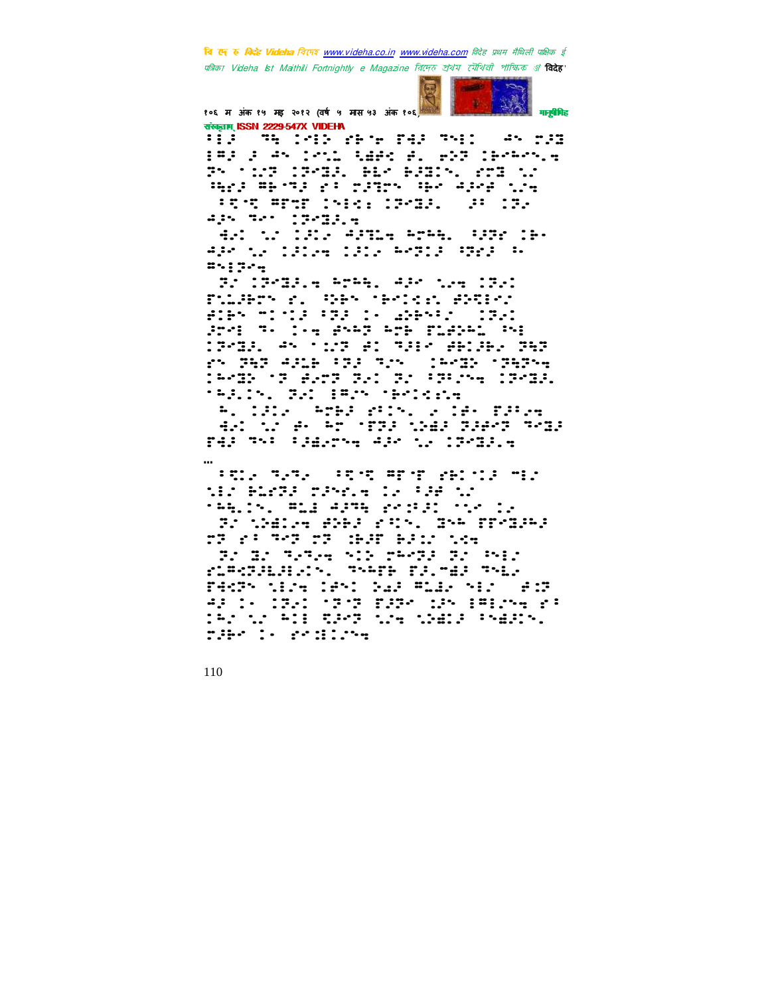

१०६ म अंक १५ मइ २०१२ (वर्ष ५ मास ५३ अंक १०६) संस्कृतम् ISSN 2229-547X VIDEHA

<u> ::: 4 ::: :: :: :: 4 :: 1 : ::</u> Prost CPSC Hr HSCh rold ned menter form he addening **:57 Fri 1980 12020 20 122** ags mas (pell.g

4.1 1.1 ... .... .... ... .... ... approve the children's district  $\mathbf{B}$  with  $\mathbf{B}$  and  $\mathbf{B}$ 

PURPY K. PRY MATER PRIME 8165 - TO TE STE IN ANNIUS (1920) Br: 9. D. P. P. ST ST REPAL P: 1941 - 10 10 10 10 10 10 10 GMB 17 AST TS TO PRIME CRIA **SALLS, T.C. HERM SHOCKS.** A. 1812 AMBA MIN. 2 IAN EAGA 

<u> 2008 - 2008 - 2009 - 2008 - 2008 - 2008 - 2008 - 2008 - 2008 - 2008 - 2008 - 2008 - 2008 - 2008 - 2008 - 200</u>

any many are men energy was the Button Chile of Children tagga, minagrapag pedag terleta Bo wells shall controlled program **22 23 322 23 1000 0000 0000** Roll the SI MAGE Roll romana mendana mu 7007 100 101 202 510 511 617 42 1. 1221 1212 222 125 181254 2: Grish War the Sand Mark. ræ leder af 1125.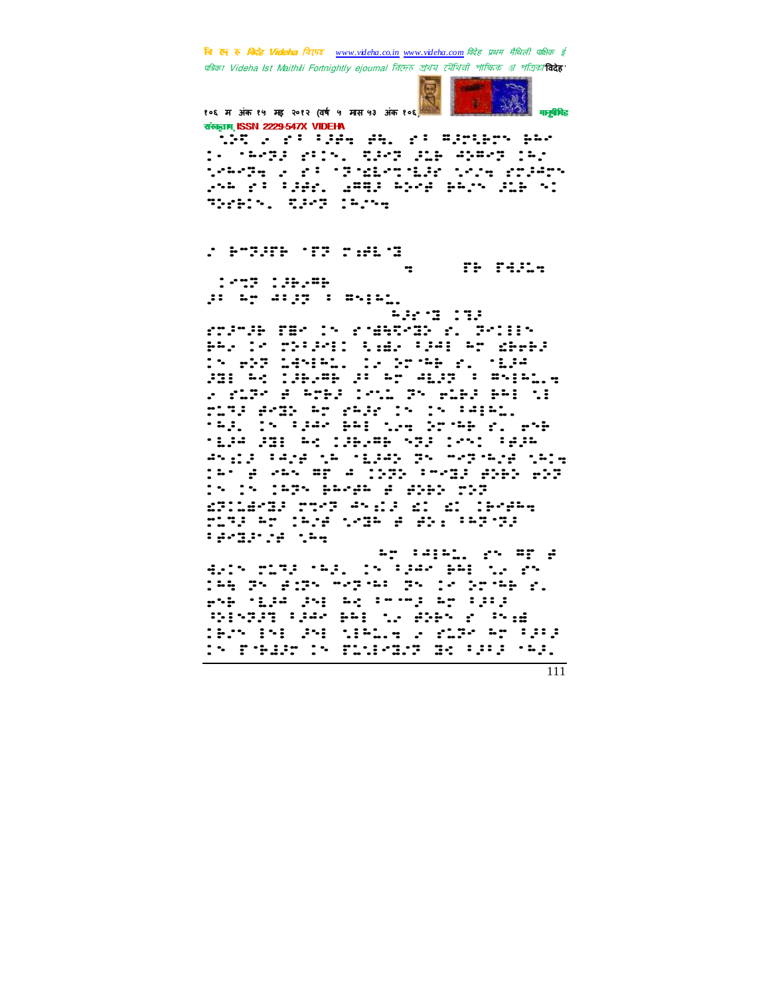

संस्कृतम् ISSN 2229-547X VIDEHA trenta y po otograficontan tria priére<br>2002: Codel Geno etre dele Sid Si Theats, Tier Carse

. 2001: 100 0.01 0 TH PAPLA  $\mathbf{R}$ 

Cent Classe *prompt argged and argum* 

 $4.33 \times 10^{-1}$ 80. T. 2000: 1.8. 1.8. AT 88.8. In 2008 LENEWIG IS DOCKE 2. TEAM BOOK CHAR BOOK ALS PORT *A COMP & WILL COND TH WILL BAL NE* ning and an easy in in capal. TAG, INTEGRATING 1991 STORE 2009 \*100 CO W. 1000 YO 101 1000 asporane na nijen za svzhane nan **TAK A 245 AP 4 1992 PRODUCED AND** :\* :\* :A?\* BAP#A # #100 :1: **TOP REVIEW THE REAL PROPERTY PERSONAL SER** 

**Le capial en mp d** ANIN TITE TAS, IN FEAR AND THE ST ing to aity mother to is brong s. president de la companyación surfit use by the spectral TRON ENE ONE SEALLS & SLOW AT POPS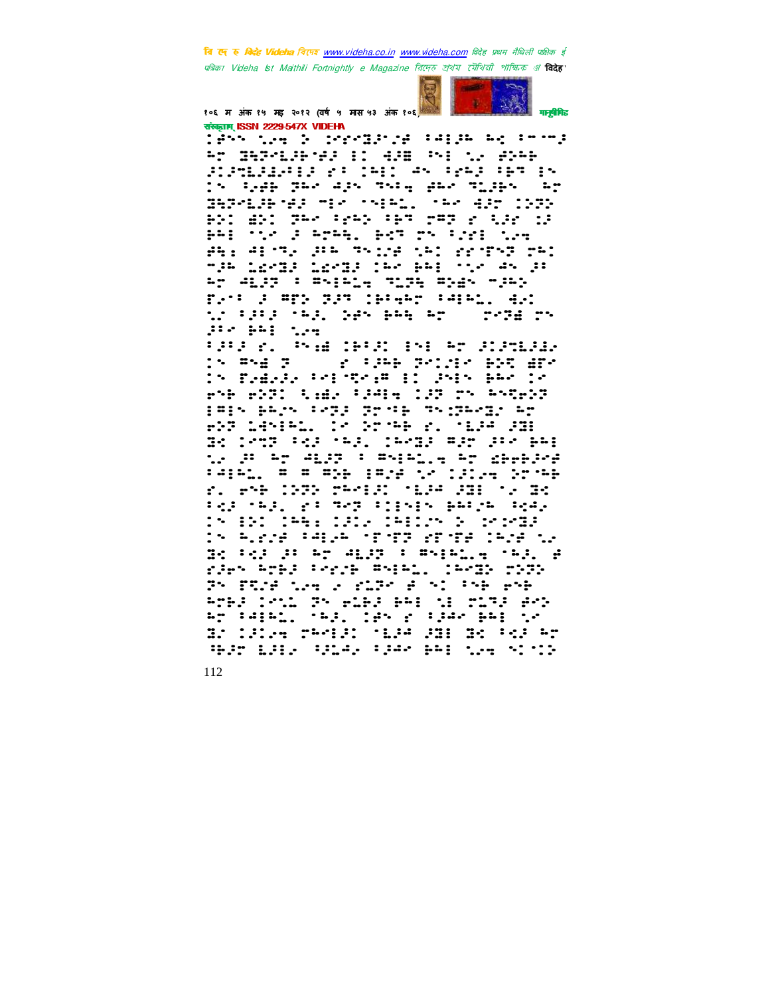

१०६ म अंक १५ मइ २०१२ (वर्ष ५ मास ५३ अंक १०६) संस्कृतम् ISSN 2229-547X VIDEHA

tes the Societie Gapp and cronp ROCKERS STORE 45 GRD OF B : where the also the part tills to ar BREAKTH THREE THREE CO B: B: TW Yeb OF 252 2 UP O pa: 110 2 apag. pdf pr 110: 120 A: 417, PR SYN 141 RTS TW nde landd aangedigen begin hyn yn yn **WHIP FAMILY TITE THE TILE** transported the back of arena re *PER BAL 1.05* 

**Sound State And Are** in Ang S S Bable Withe Books Beste AND LANDAL. Mithe K. M.P. 20 Boots we we cannot me pay w p e gro de provincia e defere Papel é pôpel pre le court drome r. et 199 parts (18 de 19 parts PRIORI PROPERTING BRIDE RAY <u> 19 A.E.A (A.A (Populator 1418 1.</u> ne bed at an angel blassange sage g ries ands berro main. Tacht nich The State and South Andrews State and **WHITE IS TO MEET BEEN TO THE BAS** Rosanni (R) (A) car ann an Se -124 PH BR 802 Ar IS CROSS TRADES 822 1812 1914, 1947 241 124 1000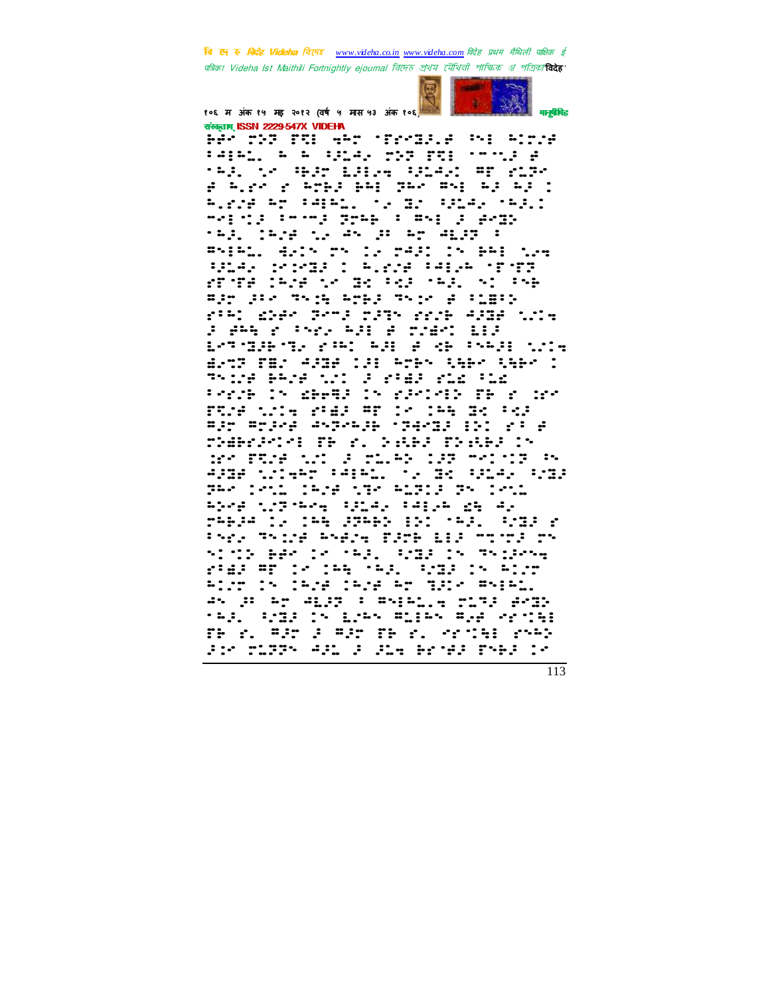१०६ म अंक १५ मइ २०१२ (वर्ष ५ मास ५३ अंक १०६) मानुबेमिह

संस्कृतम् ISSN 2229-547X VIDEHA 80 TH TO 80 TRIE 3 5 5 5 :4:1: 1 1 ::: , , , , , , , , , , , , e bje e brei por do mor bi bi d <u> Leop Ar (Alba, 1962 (Plas 1922</u> rnende (martinene formelene formel the check and money of **SAIL GAIN TN 1. TAIL IN BAI 1.0** 824, 2021 | W.22 8414 9777 **STORE CROWD OR RESOURCE SECTION** sproke synchronic films r:4: 250 Trm: 237 2210 4310 1214 *FALL COMPASS AND A TIME AND* E-T-180-10 2001 AS 2002 1903 1214 Borg Bug this self and the Process and constructed that the FRIE WIE PART OF IN BETHE spranke exped fariling fle **THERMAN TE POSSESS TRIBE IN** re music a musica meter s 4:52 \:\dr :4:41 \ . 0. 50 :51. 1.52 partirum card throwing process apeg tiltare tilgt talja 26 dj. They thing Angle Eart Way would be **NOCKER IS MAD, ROBERT TROPHS** rid: #p :0 :44 (42, 1/12 :5 4:20 ble the chef before the model. as program : separation demo tag origins iras milas musikritas ne : mar a mar ne : srite rege Britan Ab Biberal Maltr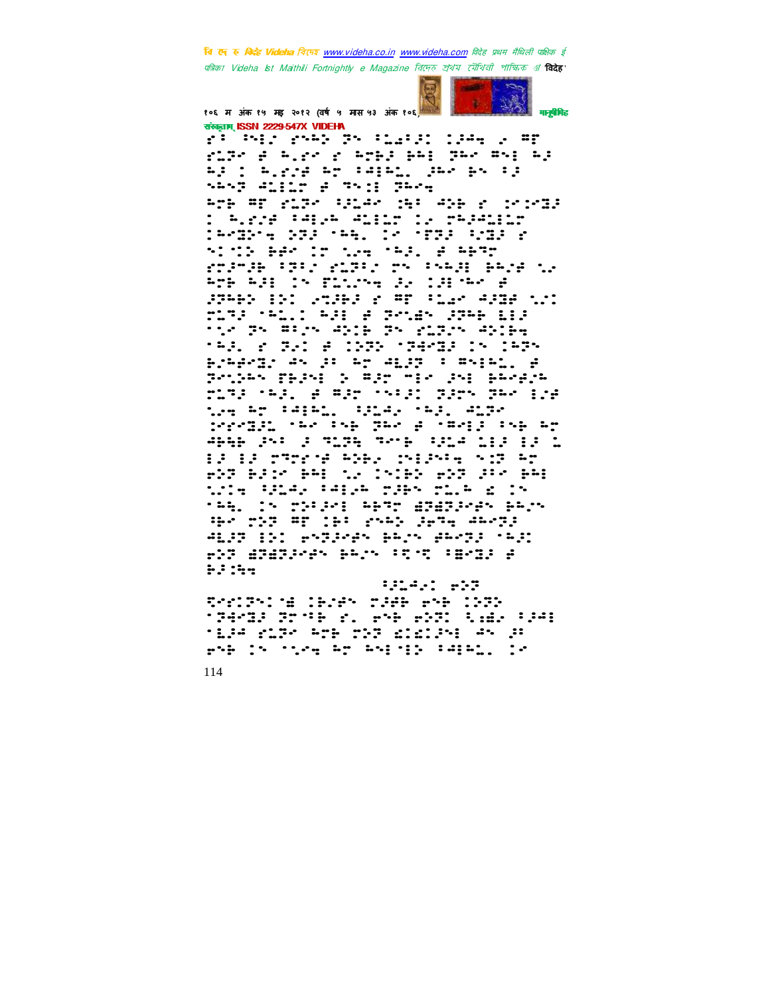

१०६ म अंक १५ मइ २०१२ (वर्ष ५ मास ५३ अंक १०६) संस्कृतम् ISSN 2229-547X VIDEHA find for the conditions of for each ranger parameter We compared the company of the second company of the second second second second second second second second s sky alle fosi pes who are side colored decomposition and second S Robert type young to regeonir<br>Separa 200 teg, in thos that r **STORY OF THE THE STORY 201000 1912 20012 25 15600 1622 22** <u> Syd Add (\* 21.74 : ) ()</u> **STARR BROOK AND STARR WAS SERVED AND SERVED AND SERVED AND SERVED AND SERVED AND SERVED AND SERVED AND SERVED** 

the Brown All Dr Cliff Alle **142 8 TAL # 1972 178-12 15 1475** pjergj en j: er egj? : #n:eg, e Brien man i groot an enge ring the a more theory part and are the Ar Papai, Gila, SAD, Alph Productor before the product of the st BE BE TTY'S AGE, SHEWA SI AT **AND BENT BALL (AND AND BALL BALL** with Wiley Capya Mike Mila in the Institute have dropped brew ne sta or in set is se angi and Moreles How Arth (A) en ananger park on'n omen a **FJ:55** 

**ASLAS: 800** This will but the se the 13412 3776 2. PH 2031 1.4. 1241 tips ripe are rip ririge: st pr and the strap de dhistiy fuiding, the 114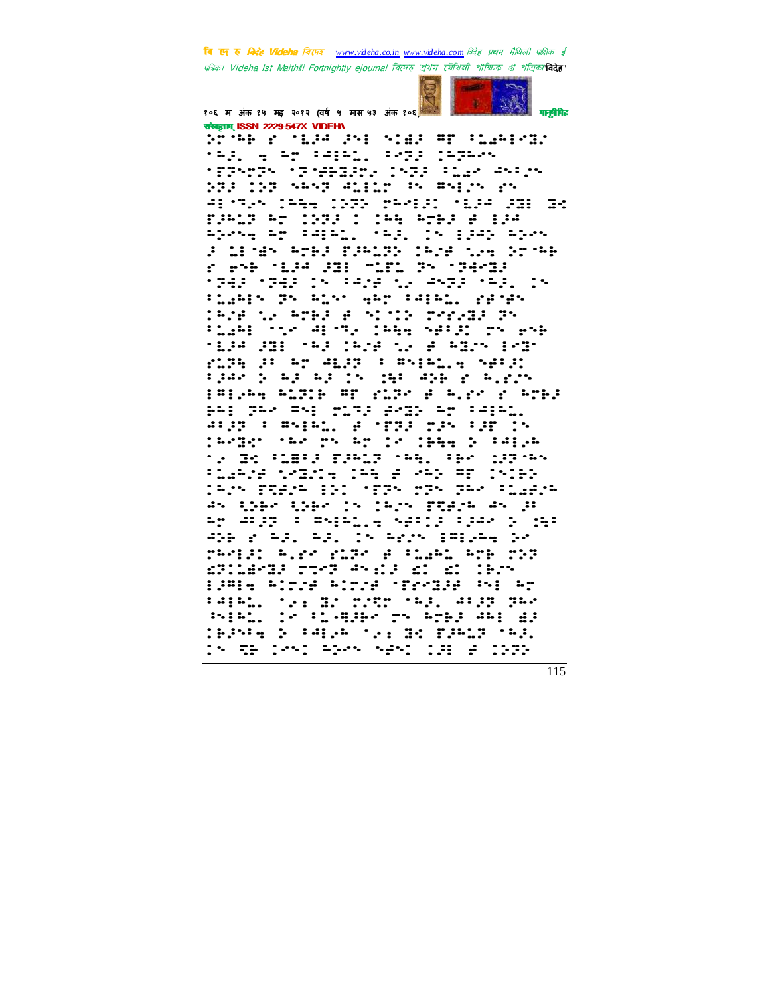मानुबैमिह १०६ म अंक १५ मइ २०१२ (वर्ष ५ मास ५३ अंक १०६)

संस्कृतम् ISSN 2229-547X VIDEHA SPAR K MIN SA STAR AR ALABAR the a browned, beganings. 18308 199838.193 122 4912 SS: CSP SAST WILLY IS ASENS 25 4:50 CHA COO SWOOD COM SO DO r<sup>ie</sup>ls en 1932 : 194 ener e 124<br>Abene en Falel, 192, 1n 1240 eden Fire WHATACR CASE to Row : en tid 31 mai 70 meta: idilidi sübe vada se Higher Trunder And Papel Sandr care to area e scrib reroga ps tis an the chief of his con **AND ON A SEARCH AND A PARTIES** ijanj aj alis de ga razrs PHOTO THE CITY PAIN ROOM HIRD.<br>WELFT I THERE POINT PIN FIRE IN ledr (en ry Ar (n 1854 ) (Al)A **MARKET RESEARCH SERVICE** Himse worde dans en en deler an the the 1n 142n field an pr 496 2 43. 43. 25 4225 19124 30 randed also suprise clual are rob 1996 ACC2 ACC2 (Produk ag Ar **SAPA : TEACHER TS ATEP AND AP** 19204 2 14124 121 BX 22415 1421 15 % 1851 APPS 5851 186 8 1972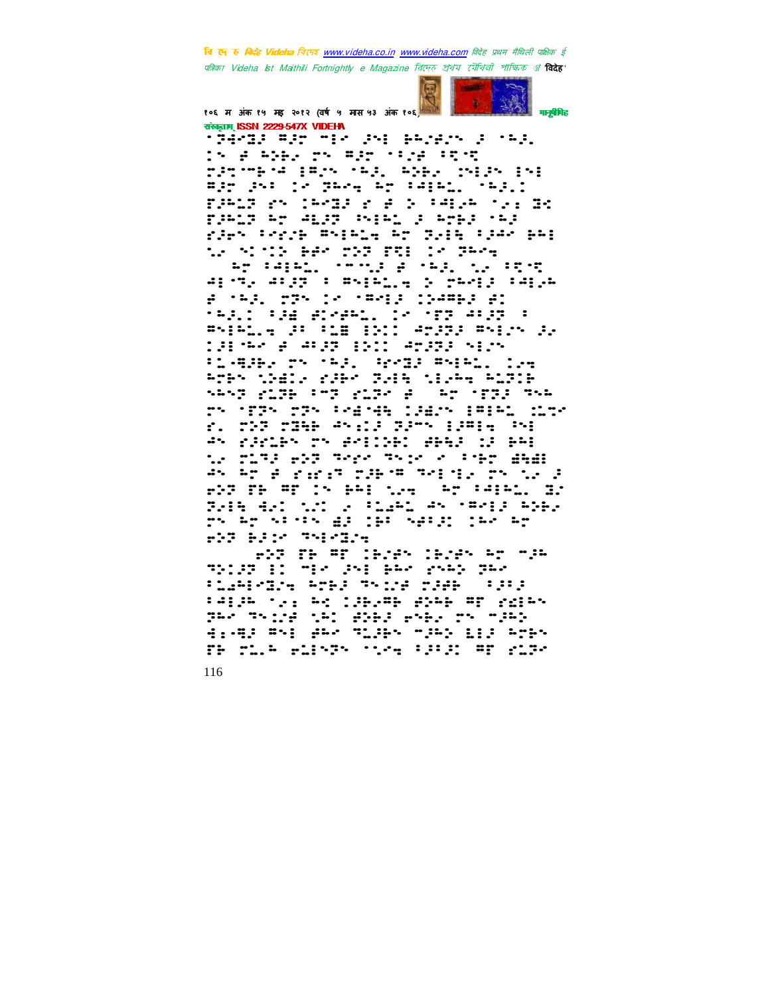

१०६ म अंक १५ मइ २०१२ (वर्ष ५ मास ५३ अंक १०६) संस्कृतम् ISSN 2229-547X VIDEHA

the state of the second to the **15 2 ANALY MARK STARTS** rather and a search and a search and We had the World Wall Said **TOWER AND SEARCH IN APRIL 182** rden breit Welthe troch ble bte W MONTH THREE IN THE **Ap PAINL (MOVIE PAIL 12) PD15** 4:7, 4:2: : #4:4., : : :4:1: :4:.4 By:L., ;: :LE :S:: 4:3: By:r :. 13:56 # #13: 15:1 #23: 51:5  $\ddotsc$ WHY WED WHY RAN WORK WITH sasp ripp for ripp at article make **75 TIM 736 PREMIS COEM (ALL COM** 25 : 2016 - 2016 2016 - 2016 - 2016 w no wrong the state of the star as an e reconomiento de la parte 820 8 9 7 8 9 10 10 10 10 11 Balk And this claw an employ what rs ar stots di cat setic cas ar **AND BENY THEFILM** 

str ne me terst terst ar mua This in the sympath real par Highesty Area Thing rage (1913) HIP YE RESPECTED TERM par nous un sus energy man epony may gav nijes mjar iji ames n na mawa wa uni mana 116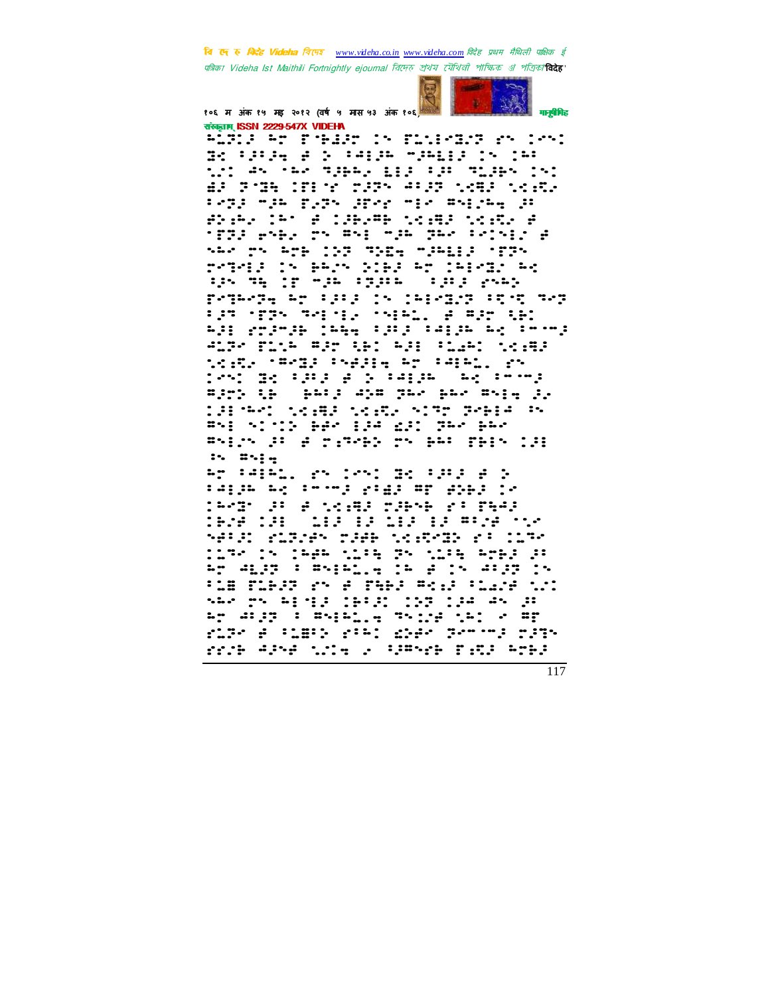

१०६ म अंक १५ मइ २०१२ (वर्ष ५ मास ५३ अंक १०६) संस्कृतम् ISSN 2229-547X VIDEHA

and an present futions of the 10 : 111 : 10 : 14111 - 11111 : 10 : 11 **WORK TO THE SERVICE SERVICE SERVICE** B PS ORY NR AR YS YR tegg mga gign gger mir mnijag go frika (ko f. 1962) (kifil (kifil f.<br>1892 enez an Andrage gez (z.nd. f **SAR TS ATE 100 TODE TOWER 1975** retend in Warn bik: Ar IAPen Ad na mga pangina ng As Polene ar Chia in Ialogus Croc sos 19 TR 74 1. 192. 2 TR 12 WO STIMUL DAY FALL PAIN WS POOR 1000 TROOP PASSA AT PASAL 25 <u>Ministralian Ster</u> spring parp and partier signed 13041 templer. Sir pepa s Bi shiff Website Ser By: W Profes r PP BB (S)  $\mathbf{B}$ **WORLD STIPS BIRDER** sagga ag crong gogg Ap gyag (p :602 : 2 : 1.8: 7.84 : 2 : 84: **SEP 13:** 113 13 113 13 August

NARRO 2002-2014 NARROW 28 CON ting is twee side in side word at ar abor : magable da e da aigr da skrigs Aldia (PCA) (22.124.45.2)<br>Apienant Psikil, Social (Al 2.45 ring a simple root and demonstrate no presidente a queno por esta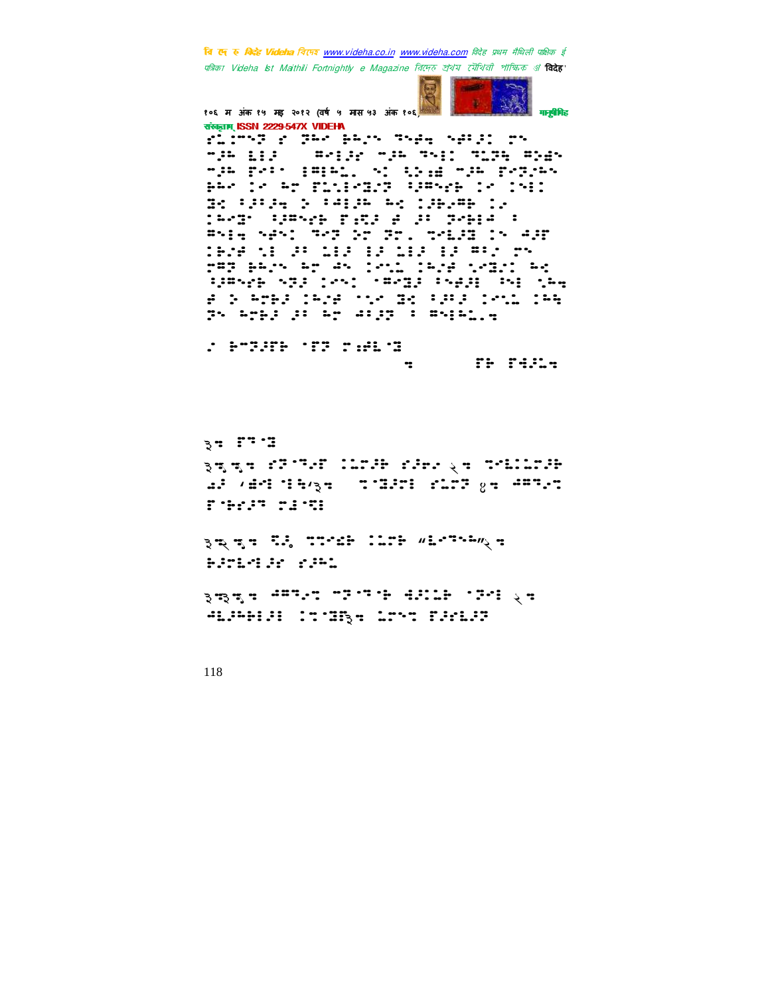

संस्कृतम् ISSN 2229-547X VIDEHA ⣅⣈b⢽!!⢽⢳!⢷⢳1!⢹⢾⣒!⢾A⢼!! b⢼⢳!⣇2⢼!3!⢻2⢼!b⢼⢳!⢹2!⢹⣅⢽⣓!⢻⢵⣞! b⢼⢳!/A!2⢻2⢳⣅E!!⣃⢵⣐⣞!b⢼⢳!/⢽1⢳!  $\frac{1}{2}$  . The state of  $\frac{1}{2}$  is the state of  $\frac{1}{2}$  $\mathbb{R}$   $\mathbb{R}$   $\mathbb{R}$   $\mathbb{R}$   $\mathbb{R}$   $\mathbb{R}$   $\mathbb{R}$   $\mathbb{R}$   $\mathbb{R}$   $\mathbb{R}$   $\mathbb{R}$   $\mathbb{R}$   $\mathbb{R}$   $\mathbb{R}$   $\mathbb{R}$   $\mathbb{R}$   $\mathbb{R}$   $\mathbb{R}$   $\mathbb{R}$   $\mathbb{R}$   $\mathbb{R}$   $\mathbb{R}$   $\mathbb{R}$   $\mathbb{R}$   $\mathbb{R$ ⢳⣝!⢸⢼⢻⢷!/⣐⣋⢼!⢾!⢼A!⢽⢷2⢺!⢸! ⢻2⣒!⢾!⢹⢽!⢵!⢽⣀!⣉⣇⢼⣝!!⢺⢼/! ⢷1⢾!⣁2!⢼A!⣅2⢼!2⢼!⣅2⢼!2⢼!⢻A1!! ⢻⢽!⢷⢳1!⢳!⢺!⣁⣅!⢳1⢾!⣁⣝1!⢳⣊! ⢸⢼⢻⢷!⢽⢼!!⢻⣝⢼!A⢾⢼2!⢸2!⣁⢳⣒!  $\#$  } While the transferred two  $\#$  $T^*$  and  $T^*$  are an  $T^*$  and  $T^*$  are  $T^*$ 

1!⢷b⢽⢼/⢷!/⢽!⣐⢾⣇⣝! hhbkfoesbAwjefib⣒dpn!!/⢷!/⣚⢼⣅⣒!!

 $3: "$   $"$   $"$ ⣒⣒⣒!⢽⢹⢴/!⣅⢼⢷!⢼⢶⢴!⣒!⣉⣇⣅⢼⢷! ⣔⢼!**'**⣞22⣓**'**⣒!!⣉⣝⢼2!⣅⢽! ⣒!⢺⢻⢹⢴⣉! /⢷⢼⢹!⣜⣋2! ⣒⣒⣒!⣋⢼॰ ⣉⣉⣎⢷!⣅⢷!**"**⣇⢹⢳**"**⣒!

⢷⢼⣇2⢼!⢼⢳⣅!!! ⣒⣒⣒!⢺⢻⢹⢴⣉!b⢽⢹⢷!⣚⢼⣅⢷!⢽2!⣒! ⢺⣇⢼⢳⢷2⢼2!⣉⣝/⣒!⣅⣉!/⢼⣇⢼⢽!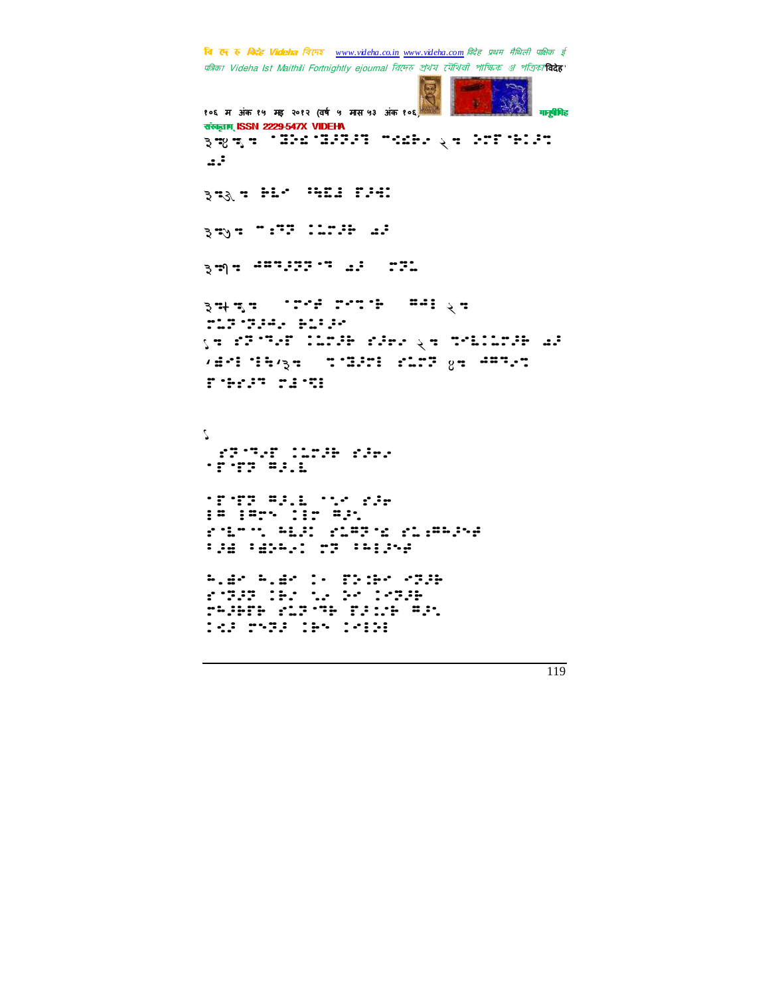१०६ म अंक १५ मइ २०१२ (वष ५ मास ५३ अंक १०६) मानुषीिमह संस्कृतम् ISSN 2229-547X VIDEHA  $\frac{1}{3}$ ws (  $\frac{1}{3}$  )  $\frac{1}{3}$  $\ddot{a}$ .  $>$   $\sim$   $\sim$   $\sim$   $\sim$   $\sim$ ⣒⣒!b⣐⢹⢽!⣅⢼⢷!⣔⢼! </del> ⣒⣒⣒!!⢾!⣉⢷.!⢻⢺2!⣒! ⣅⢽⢽⢼⢺⢴.⢷⣅A⢼!  $\sqrt{$ q 275.8 (1.12.8  $\sqrt{2}$  )  $\sqrt{2}$ \d:1900<br>} /⢷⢼⢹!⣜⣋2!  $\mathcal{L}_{\mathcal{L}}$ !⢽⢹⢴/!⣅⢼⢷!⢼⢶⢴! //⢽!⢻⢼E⣇! //⢽!⢻⢼E⣇!⣁!⢼⢶! 2⢻.2⢻!2!⢻⢼⣁!  $f$  in the second star in the second star in the second star in the second star in the second star in the second star in the second star in the second star in the second star in the second star in the second star in the se  $\frac{1}{2}$ <u>L.e L.e III e EI</u>  $\blacksquare$  $^{\circ}$  =  $^{\circ}$  :  $^{\circ}$  :  $^{\circ}$  :  $^{\circ}$  :  $^{\circ}$  :  $^{\circ}$  :  $^{\circ}$  :  $^{\circ}$  :  $^{\circ}$  :  $^{\circ}$  :  $^{\circ}$  :  $^{\circ}$  :  $^{\circ}$  :  $^{\circ}$  :  $^{\circ}$  :  $^{\circ}$  :  $^{\circ}$  :  $^{\circ}$  :  $^{\circ}$  :  $^{\circ}$  :  $^{\circ}$  :  $^{\circ}$  :  $^{\circ}$  :  $^{\circ}$ ⣊⢼!⢽⢼!⢷!2⢵2!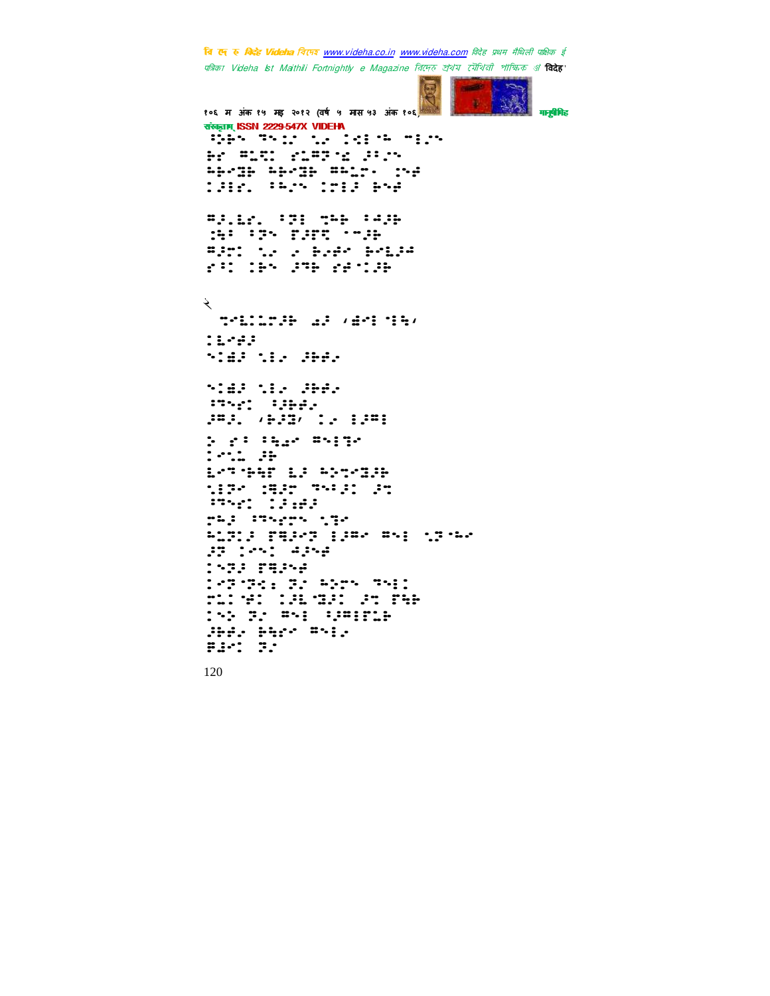**Country** १०६ म अंक १५ मइ २०१२ (वष ५ मास ५३ अंक १०६) मानुषीिमह संस्कृतम् ISSN 2229-547X VIDEHA ⢸⢵⢷!⢹⣈1!⣁⢴!⣊2⢳!b21! ⢷.⢻⣅⣋!⣅⢻⢽⣎!⢼A1! ⢳⢷⣝⢷.⢳⢷⣝⢷!⢻⢳⣅c!⣈⢾! ⢼2E!A⢳1!2⢼!⢷⢾! ⢻⢼E⣇E!A⢽2!⣉⢳⢷!A⢺⢼⢷! ⣈⣓A!A⢽!/⢼/⣋!b⢼⢷! ⢻⢼!⣁⢴!⢴!⢷⢴⢾.⢷⣇⢼⢺!  $^{\circ}$  :  $^{\circ}$  :  $^{\circ}$  :  $^{\circ}$  :  $^{\circ}$  :  $^{\circ}$  :  $^{\circ}$  :  $^{\circ}$  :  $^{\circ}$  :  $^{\circ}$  :  $^{\circ}$  :  $^{\circ}$  :  $^{\circ}$  :  $^{\circ}$  :  $^{\circ}$  :  $^{\circ}$  :  $^{\circ}$  :  $^{\circ}$  :  $^{\circ}$  :  $^{\circ}$  :  $^{\circ}$  :  $^{\circ}$  :  $^{\circ}$  :  $^{\circ}$  :  $^{\circ}$  $\lambda$ !⣉⣇⣅⢼⢷!⣔⢼!**'**⣞22⣓**'** ⣇⢾⢼.! ⣞⢼!⣁2⢴!⢼⢷⢾⢴!  $^{\sim}$  201  $^{\sim}$  201  $^{\sim}$  201  $^{\sim}$ ⢸⢹!⢸⢼⢷⢾⢴! ⢼⢻⢼E!**'**⢷⢼⣝**'**!⢴!2⢼⢻2! ⢵!⢸!A⣓⣔!⢻2⣙! ⣁⣅!⢼⢷! ⣇⢹⢷⣓/!⣇⢼!⢳⢵⣉⣝⢼⢷! ⣁2⢽!⣈⣛⢼!⢹A⢼!⢼⣉! ⢸⢹!⢼⣐⢾⢼! ⢳⢼!⢸⢹!⣁⣙.! ⢳⣅⢽⢼!/⣛⢼⢽!2⢼⢻!⢻2!⣁⢽⢳!  $\vdots$   $\vdots$   $\vdots$ **∶·∷: :::…** ⢽⢽⣊⣐!⢽1!⢳⢵!⢹2! ⣅⢾!⢼⣇⣝⢼!⢼⣉!/⣓⢷!  $\frac{1}{2}$   $\frac{1}{2}$   $\frac{1}{2}$   $\frac{1}{2}$   $\frac{1}{2}$   $\frac{1}{2}$   $\frac{1}{2}$   $\frac{1}{2}$   $\frac{1}{2}$   $\frac{1}{2}$   $\frac{1}{2}$   $\frac{1}{2}$   $\frac{1}{2}$   $\frac{1}{2}$   $\frac{1}{2}$   $\frac{1}{2}$   $\frac{1}{2}$   $\frac{1}{2}$   $\frac{1}{2}$   $\frac{1}{2}$   $\frac{1}{2}$   $\frac{1}{2}$   $\$ ⢼⢷⢾⢴!⢷⣓!⢻2⢴! F.W. 7.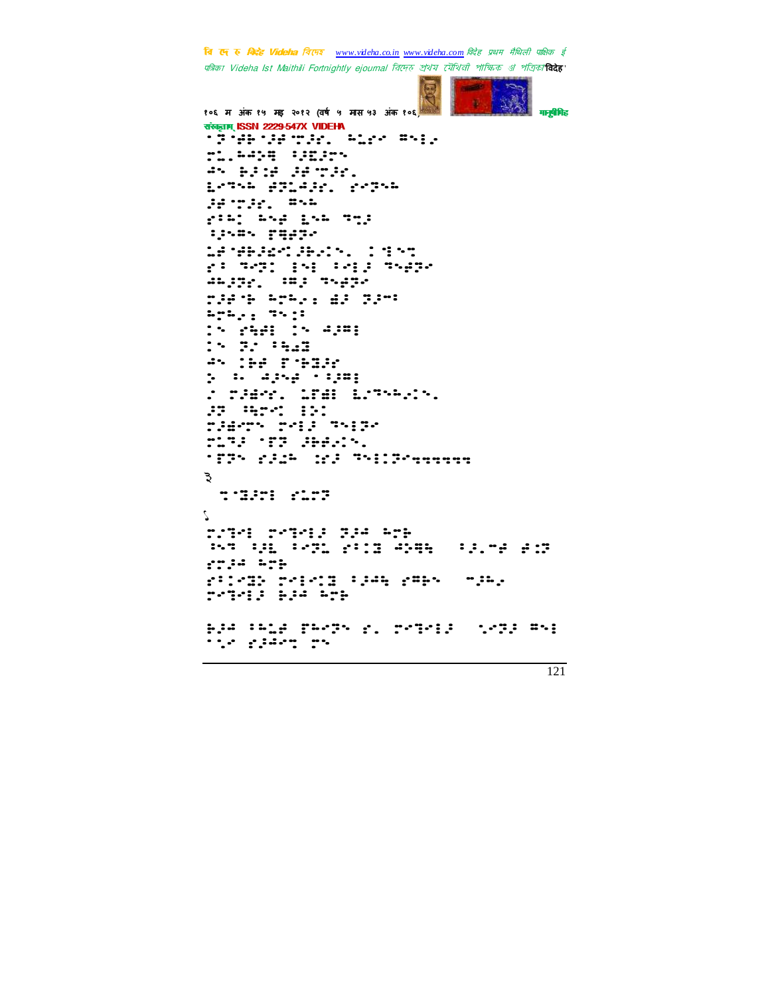**Separate** १०६ म अंक १५ मइ २०१२ (वष ५ मास ५३ अंक १०६) मानुषीिमह संस्कृतम् ISSN 2229-547X VIDEHA ⢽⢾⢷⢼⢾⢼E!⢳⣅!⢻2⢴! ⣅E⢳⢺⢵⣛!⢸⢼⣏⢼!  $\blacksquare$ ⣇⢹⢳.⢾⢽⣅⢺⢼E!⢽⢳! ⢼⢾⢼E!⢻⢳! A⢳!⢳⢾!⣇⢳!⢹⣉⢼! ⢸⢼⢻!/⣛⢾⢽! ⣅⢾⢾⢷⢼⣎⢼⢷⢴E!2⣉! ⢸!⢹⢽!22!A2⢼!⢹⢾⢽! ⊞. ⢼⢾⢷!⢳⢳⢴⣐!⣞⢼!⢽⢼bA!  $L$ !⣓⢾2!!⢺⢼⢻2! **!: ?: :4.2**  $\blacksquare$ ⢵!⢸c!⢺⢼⢾!⢸⢼⢻2! 1!⢼⣞E!⣅/⣞2!⣇1⢹⢳⢴E!  $\frac{1}{2}$   $\frac{1}{2}$   $\frac{1}{2}$   $\frac{1}{2}$   $\frac{1}{2}$   $\frac{1}{2}$   $\frac{1}{2}$   $\frac{1}{2}$   $\frac{1}{2}$   $\frac{1}{2}$   $\frac{1}{2}$   $\frac{1}{2}$   $\frac{1}{2}$   $\frac{1}{2}$   $\frac{1}{2}$   $\frac{1}{2}$   $\frac{1}{2}$   $\frac{1}{2}$   $\frac{1}{2}$   $\frac{1}{2}$   $\frac{1}{2}$   $\frac{1}{2}$ **THET THIS** ⣅⢹⢼!/⢽!⢼⢷⢾⢴E! /⢽!⢼⣌⢳!⣈⢼!⢹2⢽⣒⣒⣒⣒⣒⣒! ঽ !⣉⣝⢼2!⣅⢽!  $\mathcal{L}$ 1⣙2!⣙2⢼!⢽⢼⢺!⢳⢷! ⢸⢹!⢸⢼⣇!A⢽⣅!A⣝!⢺⢵⣛⣓-!A⢼Eb⢾!⢾⣈⢽! ⢼⢺!⢳⢷!  $A$  $P$ B*O* IND PRYSIS 2019 PRI  $\vdots$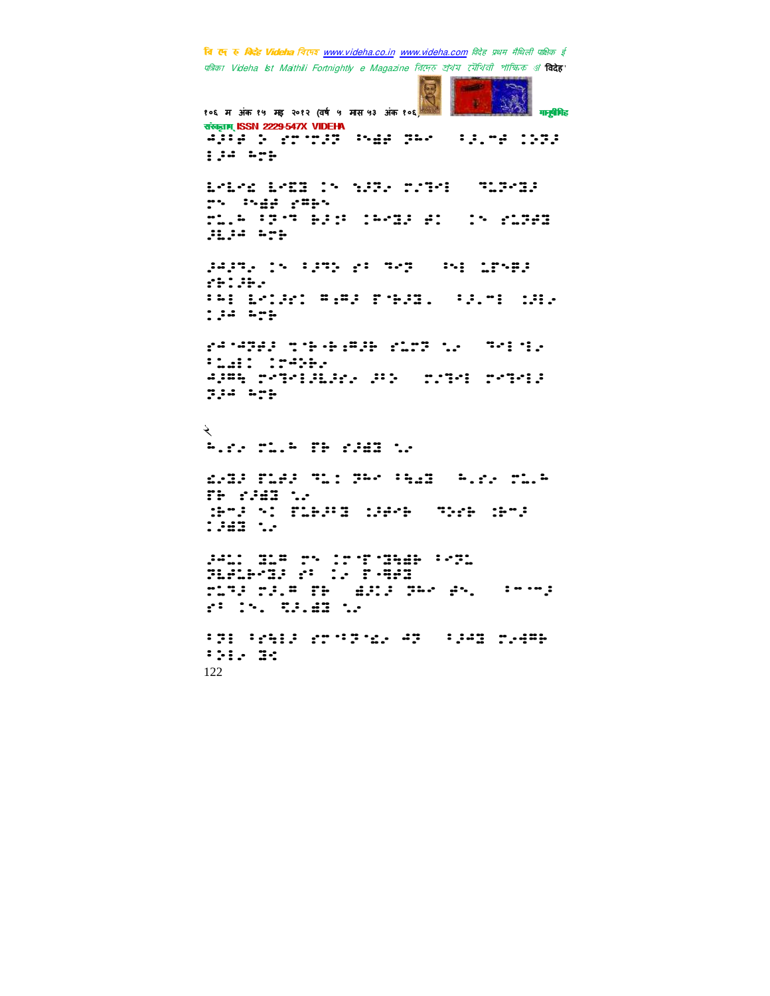**START** १०६ म अंक १५ मइ २०१२ (वष ५ मास ५३ अंक १०६) मानुषीिमह संस्कृतम् ISSN 2229-547X VIDEHA  $\overline{4}$   $\overline{2}$   $\overline{4}$   $\overline{2}$   $\overline{2}$   $\overline{2}$   $\overline{2}$   $\overline{2}$   $\overline{2}$   $\overline{2}$   $\overline{2}$   $\overline{2}$   $\overline{2}$   $\overline{2}$   $\overline{2}$   $\overline{2}$   $\overline{2}$   $\overline{2}$   $\overline{2}$   $\overline{2}$   $\overline{2}$   $\overline{2}$   $\overline{2}$   $\overline{2}$   $\overline{2$ 2⢼⢺!⢳⢷! ⣇⣇⣎!⣇⣏⣝!!⣑⢼⢽⢴!1⣙2-!⢹⣅⢽⣝⢼! !⢸⣞⢾!⢻⢷!!! ⣅E⢳!A⢽⢹!⢷⢼⣈A!⢳⣝⢼!⢾-!!⣅⢽⢾⣝! ⢼⣇⢼⢺!⢳⢷! ⢼⢺⢼⢹⢴!!A⢼⢹⢵!A!⢹⢽-!⢸2!⣅/⢿⢼! ⢷⢼⢷⢴!  $\frac{1}{2}$ ⢼⢺!⢳⢷! ⢺⢺⢽⢾⢼!⣉⢷B⢷⣐⢻⢼⢷!⣅⢽!⣁⢴-!⢹22⢴! ALI COND. ⢺⢼⢻⣓!⣙2⢼⣇⢼⢴!⢼A⢵-!1⣙2!⣙2⢼! ⢽⢼⢺!⢳⢷!  $\star$ ⢳E⢴!⣅E⢳!/⢷!⢼⣞⣝!⣁⢴! ⣎⢴⣝⢼./⣅⢾⢼!⢹⣅⣈!⢽⢳!A⣓⣔⣝-!⢳E⢴!⣅E⢳! *The stall to the second second* ⣈⢷b⢼!!/⣅⢷⢼A⣝!⣈⢼⢾⢷-!⢹⢵⢷!⣈⢷b⢼! ;;;; ;; ⢼⢺⣅!⣝⣅⢻!!/⣝⣓⣞⢷!A⢽⣅-! ⢽⣇⢾⣅⢷⣝⢼!A!⢴!/B⣛⢾⣝!  $^{\prime}$  . The second  $^{\prime}$  and  $^{\prime}$  are  $^{\prime}$  . Then  $A$  $\frac{1}{2}$ Alis de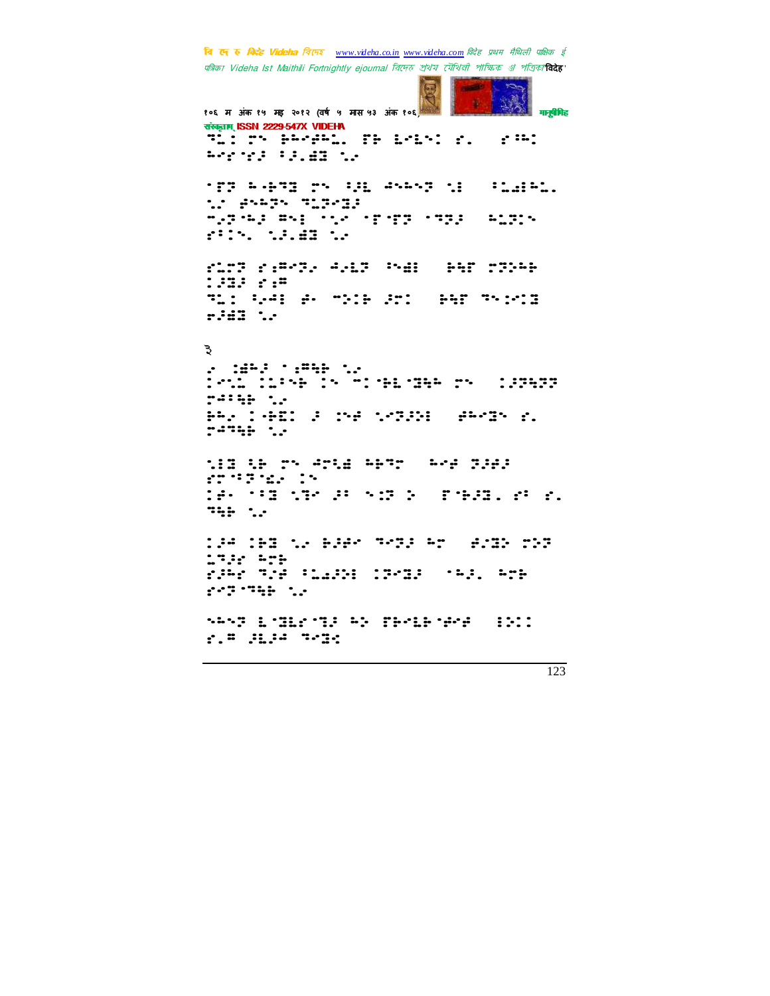्री म**नुवेगि**ह १०६ म अंक १५ मइ २०१२ (वर्ष ५ मास ५३ अंक १०६) संस्कृतम् ISSN 2229-547X VIDEHA tilty parpail op brist ris (\*a) Werel Widdels  $\ddots$ tr annsn middell musika mang satu ting sang satu  $2277.7$ run, talen tr an dia 1996. rjdl .. ঽ  $\therefore$   $\mathbb{R}^2$   $\therefore$   $\mathbb{R}^2$   $\therefore$ **Production of the conduct of the conduct of the conduct of the conduct of the conduct of the conduct of the co** rathe to BRIGHT PORTSMORE BRIDG. range to **100 10 - 100 200 100 100 100 100** criteral in 16 MB 19 A SH 2 THAL 8 C nas no :24 162 to 626, 7072 AT (612) 707 List Arb :20: 7:2 :1.20: 12:3: 10:1. 072 **SAN THE SA** sport in the state of the state of the state of the state of the state of the state of the state of the state : **: : :::: : :::**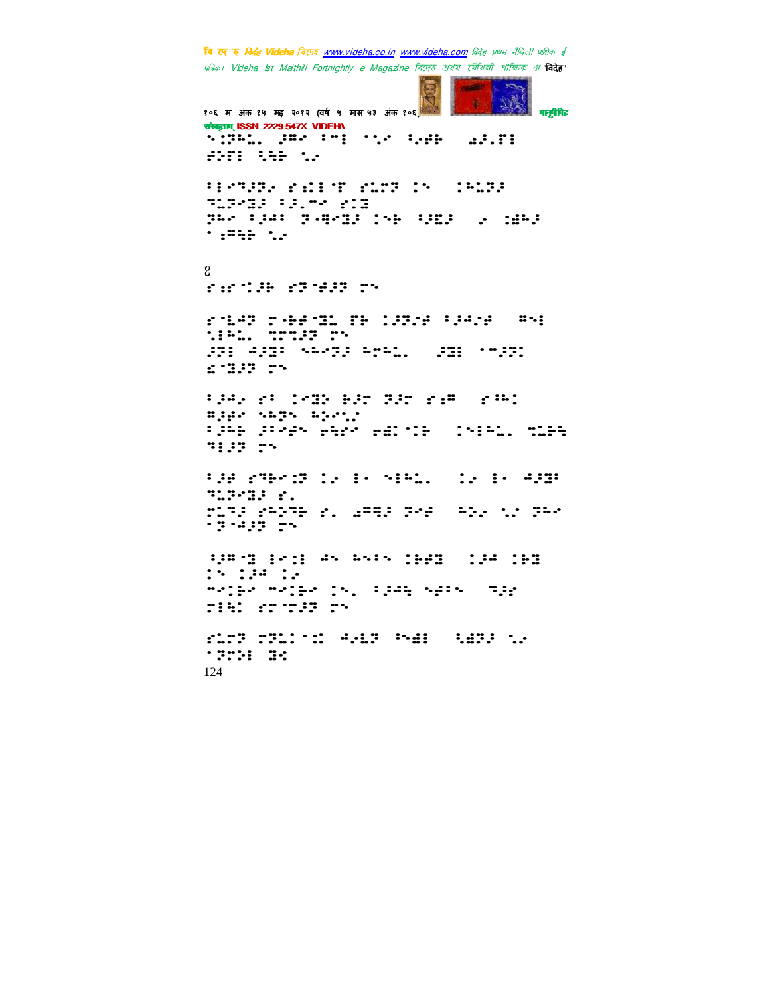चि एक रु मिन्हे Videha विएक www.videha.co.in www.videha.com विदेह प्रथम मैथिली पाक्षिक ई पत्रिका Videha Ist Maithili Fortnightly e Magazine রিদেহ প্রথম মৌথিনী পাক্ষিক রা **বিदेह**' **Separate** १०६ म अंक १५ मइ २०१२ (वष ५ मास ५३ अंक १०६) मानुषीिमह संस्कृतम् ISSN 2229-547X VIDEHA ⣈⢽⢳⣅E!⢼⢻!Ab2!⣁!⢸⢴⢾⢷-!⣔⢼E/2! ⢾⢵/2!⣃⣓⢷!⣁⢴!  $\frac{2}{2}$ ⢹⣅⢽⣝⢼!A⢼Eb!⣝!!!  $\mathbb{R}$  . All  $\mathbb{R}$  . All  $\mathbb{R}$  . All  $\mathbb{R}$ ⣐⢻⣓⢷!⣁⢴! 8 ⣐⢼⢷!⢽⢾⢼⢽!!  $\cdot$  1.47 . Be the state of the state of the state of the state of the state of the state of the state of the s ⣁2⢳⣅E!⣉⣉⢼⢽!! ⢼⢽2!⢺⢼⣝A!⢳⢽⢼!⢳⢳⣅E-!⢼⣝2!b⢼⢽! ⣎⣝⢼⢽!! A⢼⢺⢴!A!⣝⢵!⢷⢼!⢽⢼!⣐⢻-!⢸⢳! ⢻⢼⢾!⢳⢽!⢳⢵⣁1! A⢼⢳⢷!⢼A⢾!⢶⣓!⢶⣞⢷-!2⢳⣅E!⣉⣅⢷⣓! ⢹2⢼⢽!! A⢼⢾!⢹⢷⣈⢽!⢴!2c!2⢳⣅E-!⢴!2c!⢺⢼⣝A! ⢹⣅⢽⣝⢼!E!  $\overline{C}$ ⢽⢺⢼⢽!! ⢸⢼⢻⣝!2⣈2!⢺!⢳A!⢷⢾⣝-!⢼⢺!⢷⣝! !⢼⢺!⢴! b⢷!b⢷!E!A⢼⢺⣓!⢾A-!⢹⢼! **2012: 2012: 2012: 2012: 2013: 2014** ⣅⢽!⢽⣅⣈!⢺⢴⣇⢽!⢸⣞2-!⣃⣞⢽⢼!⣁⢴! ⢽⢵2!⣝⣊!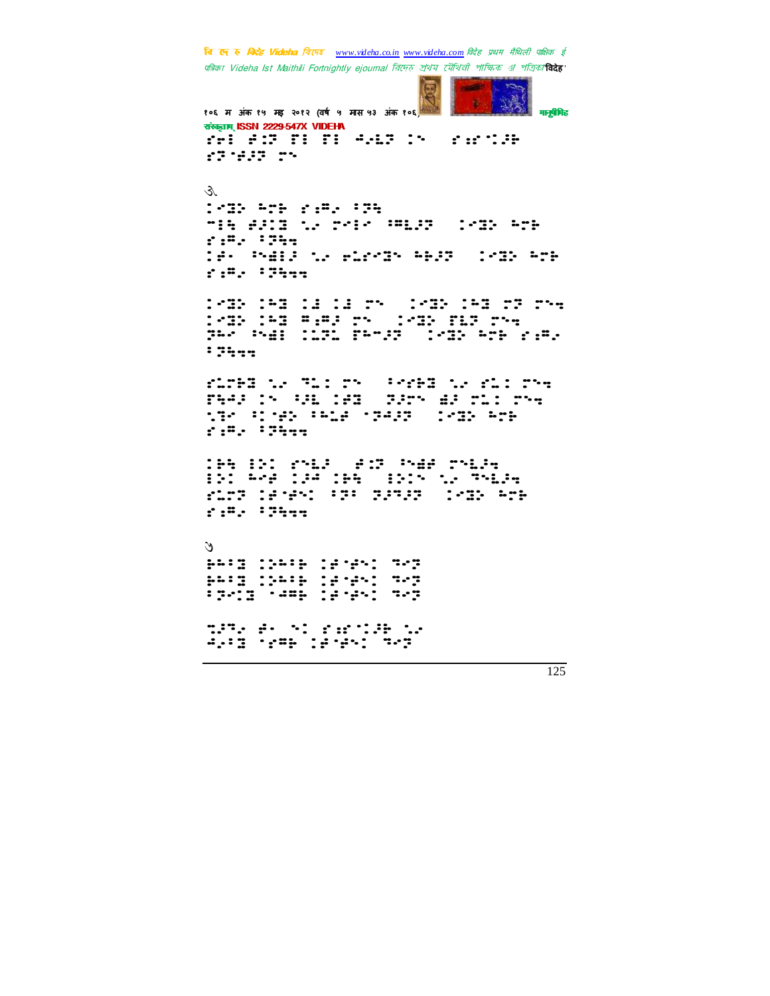**Service**  $\mathcal{G}$ १०६ म अंक १५ मइ २०१२ (वर्ष ५ मास ५३ अंक १०६) मानुबेगिह संस्कृतम् ISSN 2229-547X VIDEHA AN PORTH AND IN YACOR **STAR TH** 3 **1:20 AMA P.A. 174**  $: "$ :8 PAID : 220 SAM AND : 20 AM f:", :?" **MODE CONTROLLER** par bel com part (romana rep **STARS** rent : Tier : Willie : Miller FAR IN HE CAR SAM ER MIC MA **1920 - 1920 - 1920 - 1920 - 1930 - 1930 - 1930 - 1930 - 1930 - 1930 - 1930 - 1930 - 1930 - 1930 - 1930 - 1930** rime Chan IBN 101 2513 - 822 3548 25134<br>101 468 134 184 - 1015 126 35134 fi<sup>n</sup>: When  $\mathfrak{C}$ **BAIR PROFILE SPORT TO B BAID COAID CONSTRUCT** the Bootlands to 4,01 1206 181851 707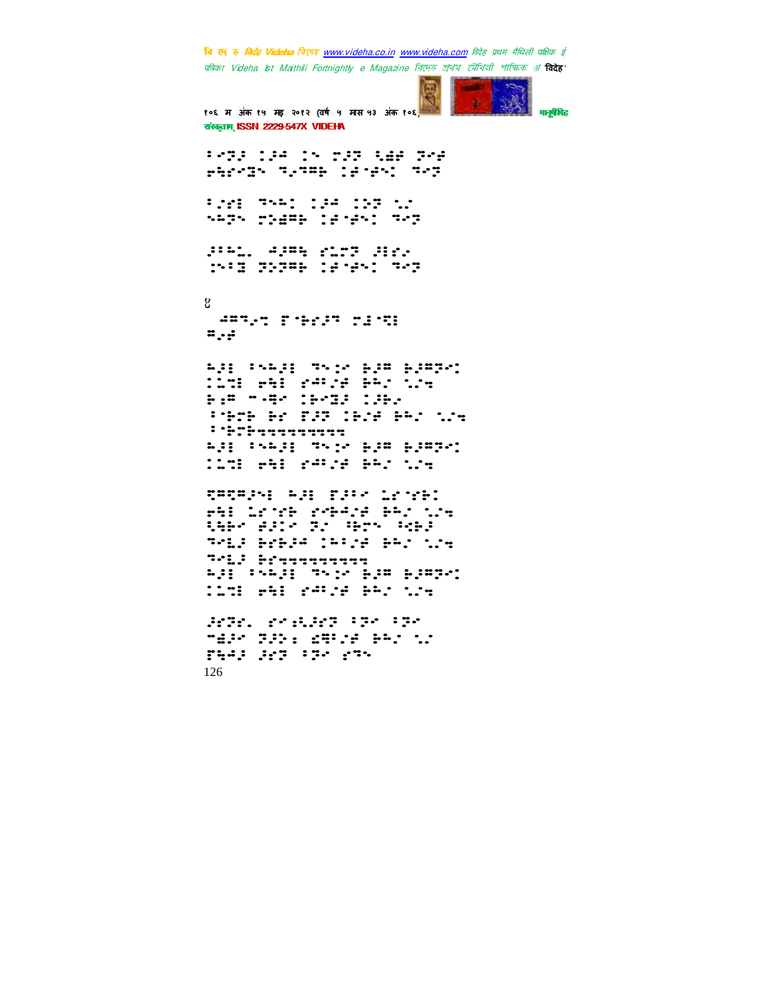**START** १०६ म अंक १५ मइ २०१२ (वष ५ मास ५३ अंक १०६) मानुषीिमह संस्कृतम् ISSN 2229-547X VIDEHA A⢽⢼!⢼⢺!!⢼⢽!⣃⣞⢾!⢽⢾! ⢶⣓⣝!⢹⢴⢹⢻⢷!⢾⢾!⢹⢽! A12!⢹⢳!⢼⢺!⢵⢽!⣁1! ⢳⢽!⢵⣞⢻⢷!⢾⢾!⢹⢽! ,::: . .::: .:: .::: .::: .::. ⣈A⣝!⢽⢵⢽⢻⢷!⢾⢾!⢹⢽!! 8 !⢺⢻⢹⢴⣉!/⢷⢼⢹!⣜⣋2!  $\ddot{a} \ddot{b}$ . ⢳⢼2.A⢳⢼2!⢹⣈!⢷⢼⢻.⢷⢼⢻⢽! 102 12: 101 12: 101 12: 101 12: **b: p -40 : 0001 : 0001** ⢸⢷⢷!⢷!/⢼⢽!⢷1⢾!⢷⢳1!⣁1⣒! ⢸⢷⢷⣒⣒⣒⣒⣒⣒⣒⣒⣒! ⢳⢼2.A⢳⢼2!⢹⣈!⢷⢼⢻.⢷⢼⢻⢽! ⣅⣉2!⢶⣓2!⢺A1⢾!⢷⢳1!⣁1⣒! ⣋⢻⣋⢻⢼2!⢳⢼2!/⢼A!⣅⢷! . The control of the control of the control of the control of the control of the control of the control of the control of the control of the control of the control of the control of the control of the control of the con ⣃⣓⢷!⢾⢼!⢽1!⢸⢷!⢸⣊⢷⢼!  $"$ ⢹⣇⢼!⢷⣒⣒⣒⣒⣒⣒⣒⣒⣒!  $\blacksquare$ ∷…2 em: 20120 ph: ...  $H$ E:  $H$  E  $H$ b⣞⢼!⢽⢼⢵⣐!⣎⣛A1⢾!⢷⢳1!⣁1!

126

/⣓⢺⢼!⢼⢽!A⢽!⢹!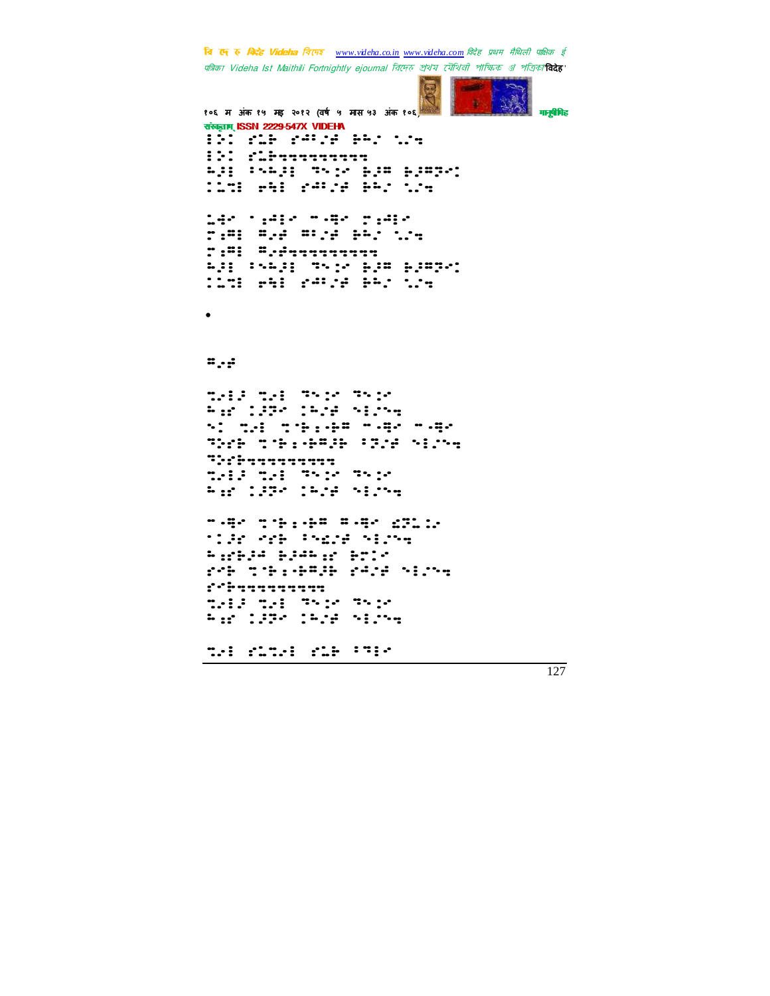१०६ म अंक १५ मइ २०१२ (वष ५ मास ५३ अंक १०६) मानुषीिमह संस्कृतम् ISSN 2229-547X VIDEHA 20: 20: 24: 24: 22: 2⢵!⣅⢷⣒⣒⣒⣒⣒⣒⣒⣒⣒!  $\overline{2}$ ⣅⣉2!⢶⣓2!⢺A1⢾!⢷⢳1!⣁1⣒! Wer 'es: "Per rege ⣐⢻2!⢻⢴⢾!⢻A1⢾!⢷⢳1!⣁1⣒! ⣐⢻2!⢻⢴⢾⣒⣒⣒⣒⣒⣒⣒⣒⣒! ⢳⢼2.A⢳⢼2!⢹⣈!⢷⢼⢻.⢷⢼⢻⢽! ⣅⣉2!⢶⣓2!⢺A1⢾!⢷⢳1!⣁1⣒! **•**!! ⢻⢴⢾.!! ⣉⢴2⢼!⣉⢴2!⢹⣈.⢹⣈! ₩er 1910 1910 1910 !⣉⢴2!⣉⢷⣐B⢷⢻!bB⣛.bB⣛! ⢹⢵⢷!⣉⢷⣐B⢷⢻⢼⢷!A⢽1⢾!21⣒! ⢹⢵⢷⣒⣒⣒⣒⣒⣒⣒⣒⣒! ⣉⢴2⢼!⣉⢴2!⢹⣈.⢹⣈! **L**e !!! !!!! ' **b**  $\frac{1}{2}$ ,  $\frac{1}{2}$ ,  $\frac{1}{2}$ ,  $\frac{1}{2}$ ,  $\frac{1}{2}$ ,  $\frac{1}{2}$ ,  $\frac{1}{2}$ ,  $\frac{1}{2}$ ,  $\frac{1}{2}$ ,  $\frac{1}{2}$ ,  $\frac{1}{2}$ ,  $\frac{1}{2}$ ,  $\frac{1}{2}$ ,  $\frac{1}{2}$ ,  $\frac{1}{2}$ ,  $\frac{1}{2}$ ,  $\frac{1}{2}$ ,  $\frac{1}{2}$ ,  $\frac{1}{2}$ ,  $\frac{1}{2}$ ⢼!⢷!A⣎1⢾!21⣒! ⢳⣐⢷⢼⢺!⢷⢼⢺⢳⣐!⢷! ⢷!⣉⢷⣐B⢷⢻⢼⢷!⢺1⢾!21⣒! ⢷⣒⣒⣒⣒⣒⣒⣒⣒⣒! ⣉⢴2⢼!⣉⢴2!⢹⣈.⢹⣈! ≞n 1220 land sire  $T$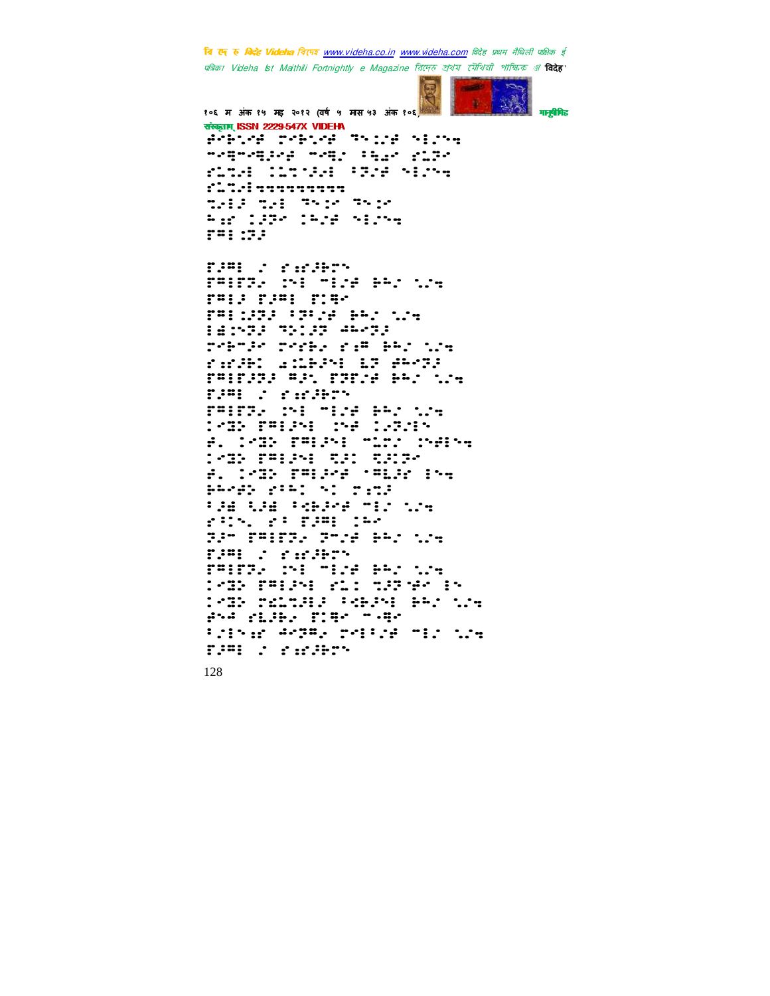

```
१०६ म अंक १५ मइ २०१२ (वष ५ मास ५३ अंक १०६) मानुषीिमह 
संस्कृतम् ISSN 2229-547X VIDEHA
⢾⢷⣁⢾.⢷⣁⢾!⢹⣈1⢾!21⣒!
b⣛b⣛⢼⢾!b⣛1!A⣓⣔!⣅⢽!
⣅⣉⢴2.⣅⣉⢼⢴2!A⢽1⢾!21⣒!
⣅⣉⢴2⣒⣒⣒⣒⣒⣒⣒⣒⣒!
⣉⢴2⢼!⣉⢴2!⢹⣈.⢹⣈!
≞n :32 land sire
/⢻2⣈⢽⢼!
```
/⢼⢻2!1!⣐⢼⢷! /⢻2/⢽⢴!⣈2!b21⢾!⢷⢳1!⣁1⣒! /⢻2⢼!/⢼⢻2!/⣛! /⢻2⣈⢼⢽⢼!A⢽A1⢾!⢷⢳1!⣁1⣒! 2⣞⣈⢽⢼!⢹⢵⢼⢽!⢺⢳⢽⢼! ⢷b⢼.⢷⢴!⣐⢻!⢷⢳1!⣁1⣒! ⣐⢼⢷!⣔⣈⣅⢷⢼2!⣇⢽!⢾⢳⢽⢼! /⢻2/⢼⢽⢼!⢻⢼⣁!/⢽/1⢾!⢷⢳1!⣁1⣒! /⢼⢻2!1!⣐⢼⢷! /⢻2/⢽⢴!⣈2!b21⢾!⢷⢳1!⣁1⣒!  $\overline{?}$  /2:  $\overline{?}$   $\overline{?}$   $\overline{?}$   $\overline{?}$   $\overline{?}$   $\overline{?}$   $\overline{?}$   $\overline{?}$   $\overline{?}$   $\overline{?}$   $\overline{?}$   $\overline{?}$   $\overline{?}$   $\overline{?}$   $\overline{?}$   $\overline{?}$   $\overline{?}$   $\overline{?}$   $\overline{?}$   $\overline{?}$   $\overline{?}$   $\overline{?}$   $\overline{?}$   $\$  $E$ ,  $\frac{1}{2}$ ,  $\frac{1}{2}$ ,  $\frac{1}{2}$ ,  $\frac{1}{2}$ ,  $\frac{1}{2}$ ,  $\frac{1}{2}$ ,  $\frac{1}{2}$ ,  $\frac{1}{2}$ ,  $\frac{1}{2}$ ,  $\frac{1}{2}$ ,  $\frac{1}{2}$ ,  $\frac{1}{2}$ ,  $\frac{1}{2}$ ,  $\frac{1}{2}$ ,  $\frac{1}{2}$ ,  $\frac{1}{2}$ ,  $\frac{1}{2}$ ,  $\frac{1}{2}$ ,  $\frac{1}{2}$ ,  $\frac{1}{2}$ ⣝⢵!/⢻2⢼2!⣋⢼.⣋⢼⢽! ⢾E!⣝⢵!/⢻2⢼⢾!⢻⣇⢼!2⣒! ⢷⢳⢾⢵!A⢳!!⣐⣉⢼!  $\blacksquare$  $F$ ⢽⢼b!/⢻2/⢽⢴!⢽b1⢾!⢷⢳1!⣁1⣒! /⢼⢻2!1!⣐⢼⢷! 78:TS: 14: 7:20 PAI 120 ⣝⢵!/⢻2⢼2!⣅⣈.⣉⢼⢽⢾!2! ⣝⢵!⣎⣅⣉⢼2⢼!A⣊⢷⢼2!⢷⢳1!⣁1⣒! ⢾⢺!⣇⢼⢷⢴!/⣛!bB⣛! A120 and the second state of the second second second second second second second second second second second /⢼⢻2!1!⣐⢼⢷!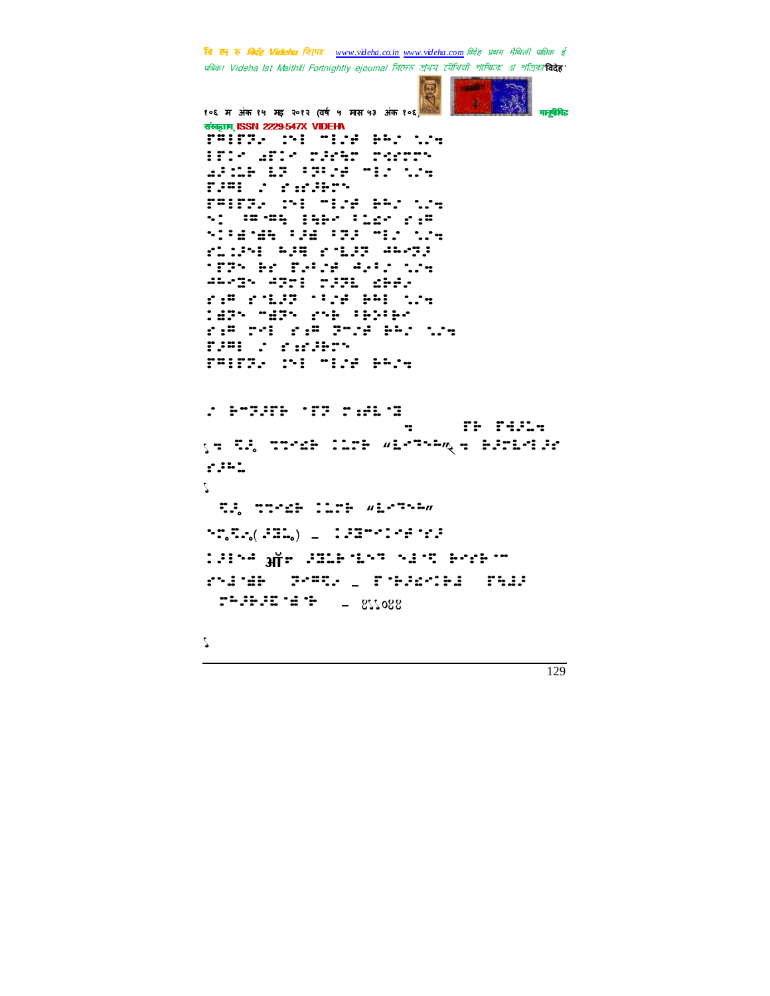

```
संस्कृतम् ISSN 2229-547X VIDEHA
/⢻2/⢽⢴!⣈2!b21⢾!⢷⢳1!⣁1⣒!
2/.⣔/!⢼⣓!⣊!
⣔⢼⣈⣅⢷!⣇⢽!A⢽A1⢾!b21!⣁1⣒!
/⢼⢻2!1!⣐⢼⢷!
/⢻2/⢽⢴!⣈2!b21⢾!⢷⢳1!⣁1⣒!
.⢸⢻⢻⣓!2⣓⢷.A⣅⣎!⣐⢻!
A⣞⣞⣓!A⢼⣞!A⢽⢼!b21!⣁1⣒!
⣅⣈⢼2!⢳⢼⣛!⣇⢼⢽!⢺⢳⢽⢼!
/⢽!⢷!/⢴A1⢾!⢺⢴A1!⣁1⣒!
⢺⢳⣝!⢺⢽2!⢼⢽⣇!⣎⢷⢾⢴!
\cdot ." \cdot 1.1 \cdot 1.1 \cdot 1.1 \cdot 1.1 \cdot 1.1 \cdot 1.1 \cdot 1.1 \cdot 1.1 \cdot 1.1 \cdot 1.1 \cdot 1.1 \cdot 1.1 \cdot 1.1 \cdot 1.1 \cdot 1.1 \cdot 1.1 \cdot 1.1 \cdot 1.1 \cdot 1.1 \cdot 1.1 \cdot 1.1 \cdot 1.1 \cdot 1.1 \cdot 1.
⣞⢽.b⣞⢽!⢷!A⢷⢵A⢷!
⣐⢻!2!⣐⢻!⢽b1⢾!⢷⢳1!⣁1⣒!
/⢼⢻2!1!⣐⢼⢷!
/⢻2/⢽⢴!⣈2!b21⢾!⢷⢳1⣒!
1!⢷b⢽⢼/⢷!/⢽!⣐⢾⣇⣝!
                                         hhbkfoesbAwjefib⣒dpn!/⢷!/⣚⢼⣅⣒!!
```
⣒!⣋⢼॰ ⣉⣉⣎⢷!⣅⢷!**"**⣇⢹⢳**"**⣒!⢷⢼⣇2⢼!  $f : L$  $\mathcal{L}$ !⣋⢼॰ ⣉⣉⣎⢷!⣅⢷!**"**⣇⢹⢳**"**!!!!!!!!!!!!!!!!!!!!!!!!!!!!!!!!! ॰⣋⢴॰(⢼⣝⣅॰) **–**!⢼⣝b⢾⢼!!!!!!!!!!!!!!!!!!!!!!!!!!!!!!!!!!!!

⢼2⢺!ऑ⢶!⢼⣝⣅⢷⣇⢹!⣜⣋!⢷⢷b! ⣜⣞⢷-!⢽⢻⣋⢴!**–**!/⢷⢼⣎⢷⣜-!/⣓⣜⢼! )⢳⢼⢷⢼⣏⣞⢷\*!**–** -

 $\mathcal{L}_{\mathcal{L}}$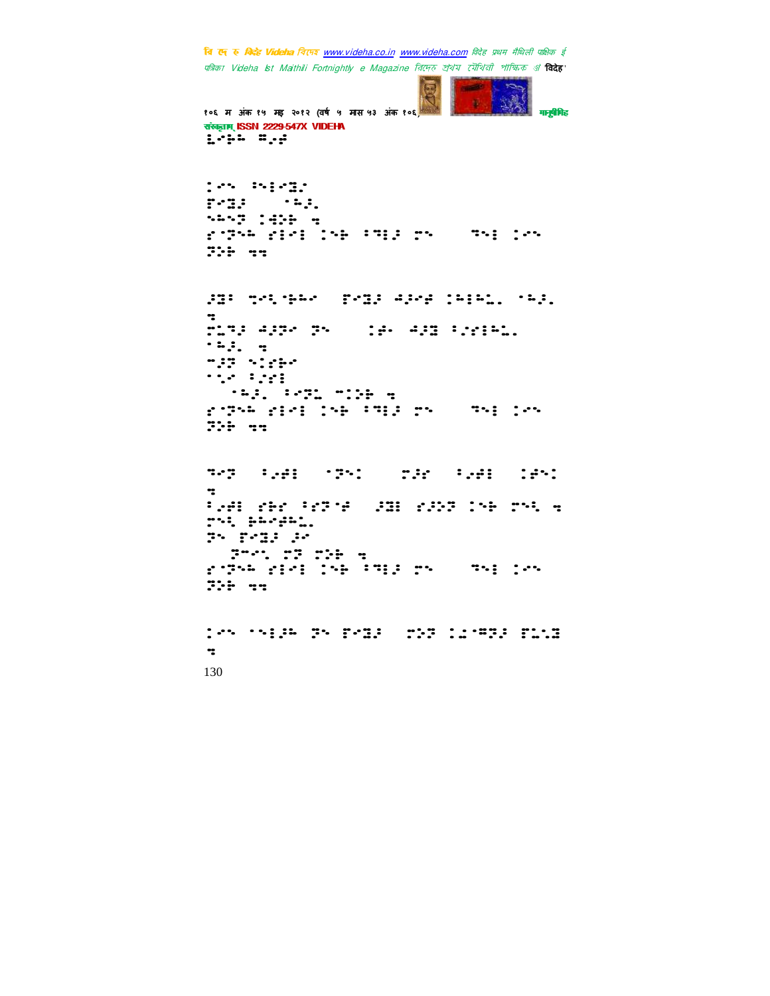```
१०६ म अंक १५ मइ २०१२ (वष ५ मास ५३ अंक १०६) मानुषीिमह 
संस्कृतम् ISSN 2229-547X VIDEHA
⣇⢷⢳!⢻⢴⢾!
```
**Separate** 

```
!⢸2⣝1-!
/⣝⢼!"!⢳⢼E!
⢳⢽!⣚⢵⢷!⣒!
⢽⢳!22!⢷!A⢹2⢼!-!!⢹2!!
⢽⢵⢷!⣒⣒!
```

```
 \overline{121} \overline{22} \overline{23} \overline{24} \overline{25} \overline{26} \overline{21} \overline{22} \overline{23} \overline{24} \overline{25} \overline{26} \overline{27} \overline{28} \overline{29} \overline{21} \overline{22} \overline{23} \overline{24} \overline{25} \overline{26} \overline{28}\ddot{\phantom{1}}⣅⢹⢼!⢺⢼⢽!⢽-!!⢾c!⢺⢼⣝!A12⢳⣅E!
\cdot Eq. ( ) \cdotb⢼⢽!⢷!
\ddots!!⢳⢼E!A⢽⣅!b⢵⢷!⣒!
⢽⢳!22!⢷!A⢹2⢼!-!!⢹2!!
⢽⢵⢷!⣒⣒!
```

```
9, :.8 19, 19, 19, 19, 19,
\ddot{\phantom{1}}A⢴⢾2!⢷!A⢽⢾-!⢼⣝2!⢼⢵⢽!⢷!⣃!⣒!
[]P ::1/ P!! ?<br>.<br>.
⢽⢳!22!⢷!A⢹2⢼!-!!⢹2!!
⢽⢵⢷!⣒⣒!
```

```
130
!2⢼⢳!⢽!/⣝⢼-!⢵⢽!⣌⢻⢽⢼!/⣅⣁⣝!
\ddot{\phantom{1}}
```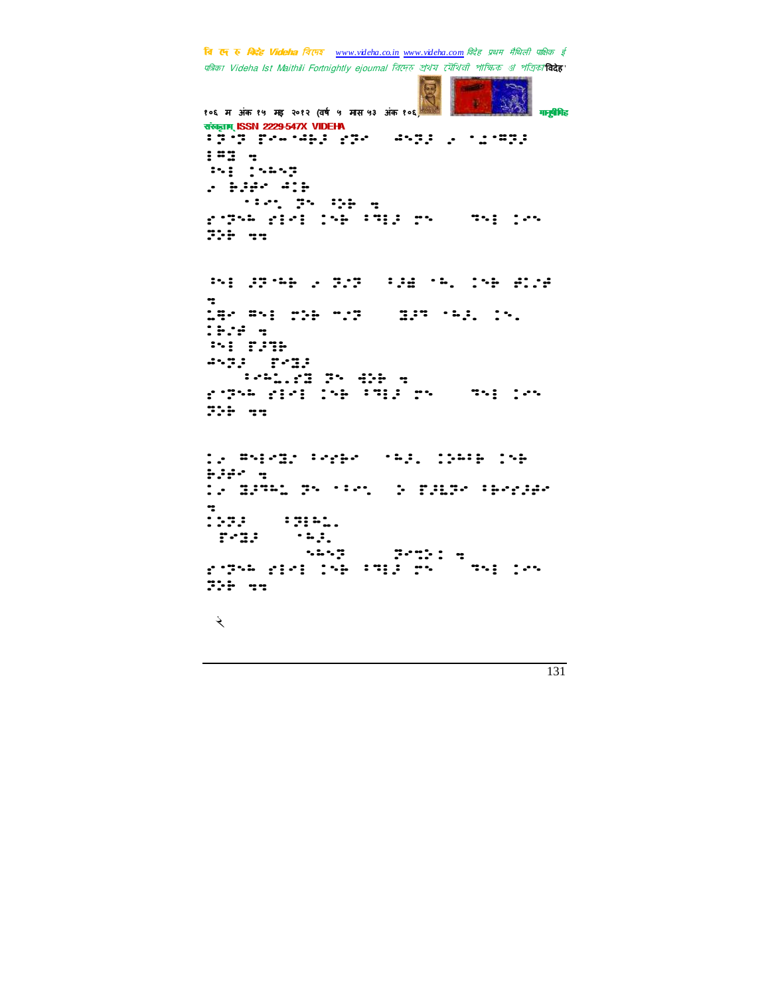**Service** 

有 १०६ म अंक १५ मइ २०१२ (वष ५ मास ५३ अंक १०६) मानुषीिमह संस्कृतम् ISSN 2229-547X VIDEHA A⢽⢽!/⢲⢺⢷⢼!⢽-!⢺⢽⢼!⢴!⣌⢻⢽⢼!  $:$   $:$   $:$   $:$   $:$  $\frac{1}{2}$   $\frac{1}{2}$   $\frac{1}{2}$ . **WEST .** !!!A⣁!⢽!⢸⢵⢷!⣒! ⢽⢳!22!⢷!A⢹2⢼!-!!⢹2!! ⢽⢵⢷!⣒⣒! ⢸2!⢼⢽⢳⢷!⢴!⢽1⢽-!A⢼⣞!⢳E!⢷!⢾1⢾!

 $\ddot{\phantom{a}}$ ⣅⣛!⢻2!⢵⢷!b1⢽-!!⣝⢼⢹!⢳⢼E!E! **∶**⊧.∵: →  $:::::$ ⢺⢽⢼-!/⣝⢼!"! !:L!! P 400 + ⢽⢳!22!⢷!A⢹2⢼!-!!⢹2!! ⢽⢵⢷!⣒⣒!

 $\mathcal{L}$  = 2010  $\mathcal{L}$  : 2011  $\mathcal{L}$ ⢷⢼⢾!⣒! ⢴!⣝⢼⢹⢳⣅!⢽!A⣁-!⢵!/⢼⣇⢽!A⢷⢼⢾! ;<br>∷::: ⢵⢽⢼!!!A⢽2⢳⣅E! !!!<br>!!!!<br>!!!! !!!!!<br>! ?` \*\*! ?^` ⢽⢳!22!⢷!A⢹2⢼!-!!⢹2!! ⢽⢵⢷!⣒⣒!

 $\lambda$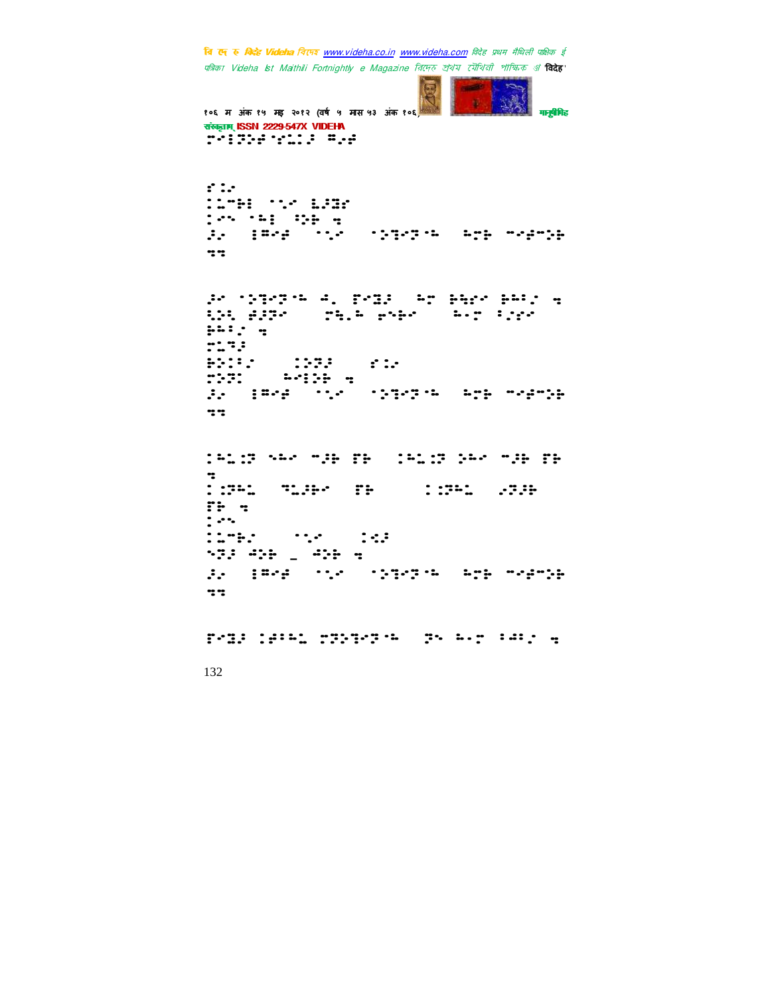**Service** 

6 १०६ म अंक १५ मइ २०१२ (वष ५ मास ५३ अंक १०६) मानुषीिमह  $\mathcal{G}$ संस्कृतम् ISSN 2229-547X VIDEHA 2⢽⢵⢾⣅⢼!⢻⢴⢾!  $\mathbf{f}$  : ⣅b⢷2!⣁!⣇⢼⣝-! !⢳2!⢸⢵⢷!⣒! ⢼⢴!!2⢻⢾!!⣁!!⢵⣙⢽⢳!!⢳⢷!b⢾b⢵⢷!  $\mathcal{L}$ De trieze A. Pelf an Bare Batz a<br>Shi Alze ( zala pebe ) ach free ⣃⢵⣃!⢾⢼⢽-!!⣓E⢳!⢶⢷-!!⢳c!A1! ⢷⢳A1!⣒! ⣅⢹⢼-!  $\blacksquare$ ZXXI | PRIXE |<br>22 | IPre | 112 ⢼⢴!!2⢻⢾!!⣁!!⢵⣙⢽⢳!!⢳⢷!b⢾b⢵⢷!  $\mathbf{H}$ ⢳⣅⣈⢽!⢳!b⢼⢷!/⢷-!⢳⣅⣈⢽!⢵⢳!b⢼⢷!/⢷! ⣒! ⣈⢽⢳⣅!!⢹⣅⢼⢷!!/⢷-!!!⣈⢽⢳⣅!!⢴⢽⢼⢷!! *Fig.* !!<br>!!"B*!* b 12.1 12.1 ⢽⢼!⢺⢵⢷!**–**!⢺⢵⢷!⣒!  $\vdots$   $\vdots$   $\vdots$   $\vdots$   $\vdots$   $\vdots$   $\vdots$   $\vdots$   $\vdots$   $\vdots$   $\vdots$   $\vdots$   $\vdots$   $\vdots$   $\vdots$   $\vdots$   $\vdots$   $\vdots$  $\mathbf{H}$ /⣝⢼!⢾A⢳⣅!⢽⢵⣙⢽⢳-!⢽!⢳c!A⢺A1!⣒!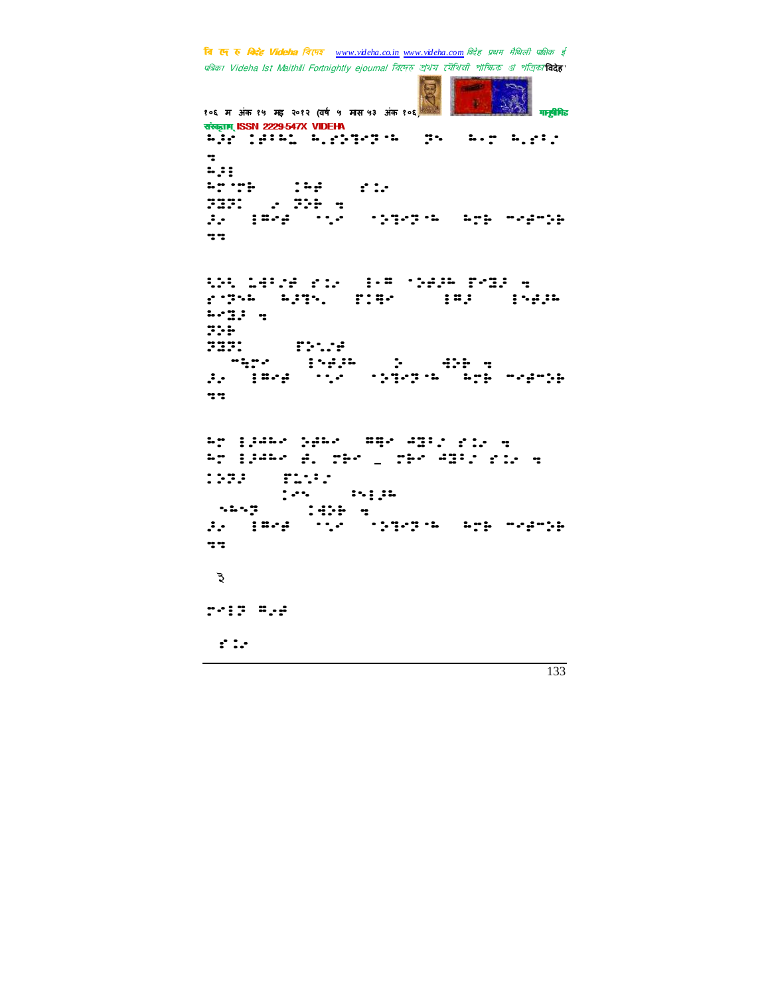6 **County** १०६ म अंक १५ मइ २०१२ (वष ५ मास ५३ अंक १०६) मानुषीिमह संस्कृतम् ISSN 2229-547X VIDEHA WE CHAN ALL AND THE SERIES  $\ddot{\phantom{1}}$  $\ddot{2}$  $\frac{1}{2}$ ⢽⣝⢽!!⢴!⢽⢵⢷!⣒! ⢼⢴!!2⢻⢾!!⣁!!⢵⣙⢽⢳!!⢳⢷!b⢾b⢵⢷! ⣒⣒! **WEIGHT IN THE PROPERTY OF AN INC.** ⢽⢳!!⢳⢼⣙E!!/⣛-!!!2⢻⢼!!!2⢾⢼⢳!!! ⢳⣝⢼!⣒! ⢽⢵⢷! ⢽⣝⢽!!!!/⢵⣁1⢾-! !!b⣓!!!2⢾⢼⢳!!!⢵!!!⣚⢵⢷!⣒! ⢼⢴!!2⢻⢾!!⣁!!⢵⣙⢽⢳!!⢳⢷!b⢾b⢵⢷! ⣒⣒!  $\frac{1}{2}$  :200  $\frac{1}{2}$  :200  $\frac{1}{2}$  :200  $\frac{1}{2}$  :200  $\frac{1}{2}$  :200  $\frac{1}{2}$  :200  $\frac{1}{2}$ <u>Ar 1944 e. reg inegasciria</u><br>1993 - Elva ∏∷<br>:^ Wi  $\bullet$  .  $\bullet$  .  $\bullet$  .  $\bullet$  .  $\bullet$  .  $\bullet$  .  $\bullet$  .  $\bullet$  .  $\bullet$  .  $\bullet$  .  $\bullet$  .  $\bullet$  .  $\bullet$  .  $\bullet$  .  $\bullet$  .  $\bullet$  .  $\bullet$  .  $\bullet$  .  $\bullet$  .  $\bullet$  .  $\bullet$  .  $\bullet$  .  $\bullet$  .  $\bullet$  .  $\bullet$  .  $\bullet$  .  $\bullet$  .  $\bullet$  .  $\bullet$  .  $\bullet$  .  $\bullet$  .  $\bullet$ !⢳⢽!!!!⣚⢵⢷!⣒! ⢼⢴!!2⢻⢾!!⣁!!⢵⣙⢽⢳!!⢳⢷!b⢾b⢵⢷! ⣒⣒! ঽ  $2^{\circ}$  :  $2^{\circ}$  :  $2^{\circ}$  :  $2^{\circ}$  $:$ :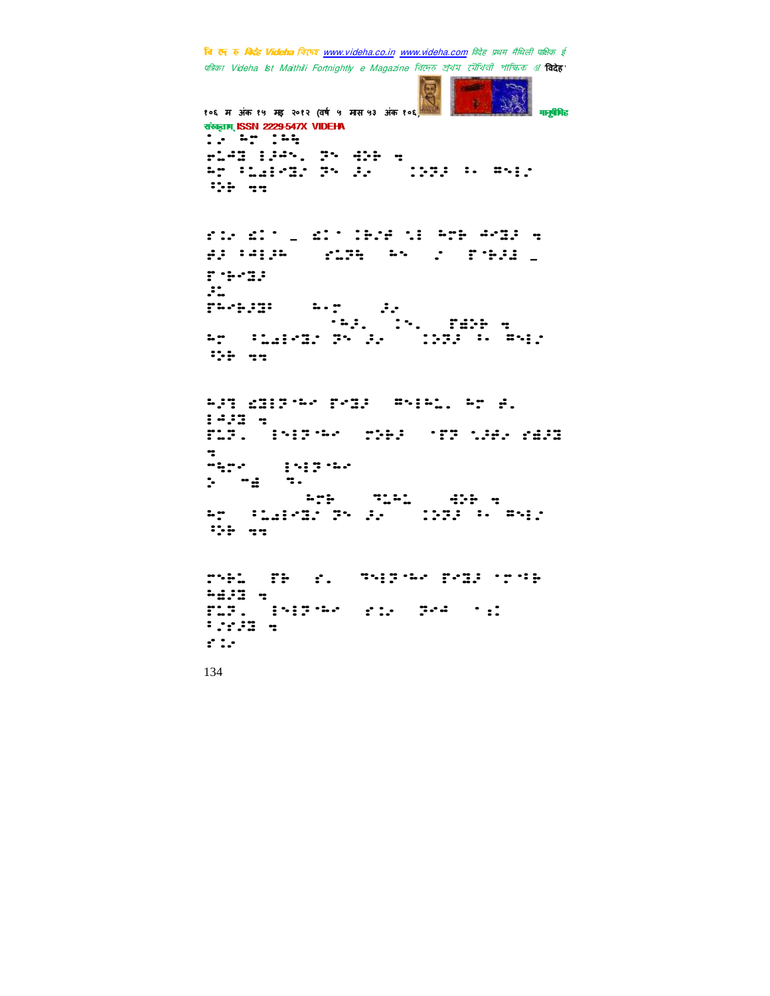```
Separate
१०६ म अंक १५ मइ २०१२ (वष ५ मास ५३ अंक १०६) मानुषीिमह 
संख्याम् ISSN 2229-547X VIDEHA
∷. * * :**
⢶⣅⢺⣝!2⢼⢺E!⢽!⣚⢵⢷!⣒!
₩, 1112, 2010, 2011, 2012, 2012, 2012, 2012, 2012, 2012, 2012, 2012, 2012, 2012, 2012, 2012, 2012, 2012, 2012, 
⢸⢵⢷!⣒⣒!
⣈⢴!⣎!–!⣎!⢷1⢾!⣁2!⢳⢷!⢺⣝⢼!⣒!
⢾⢼!A⢺2⢼⢳-!!⣅⢽⣓!!⢳!!1!!/⢷⢼⣜!–
/⢷⣝⢼!"!
\ddot{\cdot} .
/⢳⢷⢼⣝A!!!⢳c!!!⢼⢴-!
\blacksquare\mathbb{R}^2 : \mathbb{R}^2 : \mathbb{R}^2 : \mathbb{R}^2 : \mathbb{R}^2 : \mathbb{R}^2 : \mathbb{R}^2 : \mathbb{R}^2⢸⢵⢷!⣒⣒!
₩. 2002 100 2002 100 2002 100 2002 100 2002 100 2002 100 2002 100 2002 100 2002 100 200
2⢺⢼⣝!⣒!
/⣅⢽⣀!!22⢽⢳!!⢵⢷⢼-!/⢽!⣁⢼⢾⢴!⣞⢼⣝!
\ddot{\cdot}best parameters in the second second second second second second second second second second second second second second second second second second second second second second second second second second second second sec
\vdots \vdots!!!! !!!! !!!!!
\blacksquare⢸⢵⢷!⣒⣒!
\ldots⢳⣞⢼⣝!⣒!
/⣅⢽⣀!!22⢽⢳!!⣈⢴-!⢽⢺!!⣐!!
4: 1: 1: 1:\mathbf{f} :
```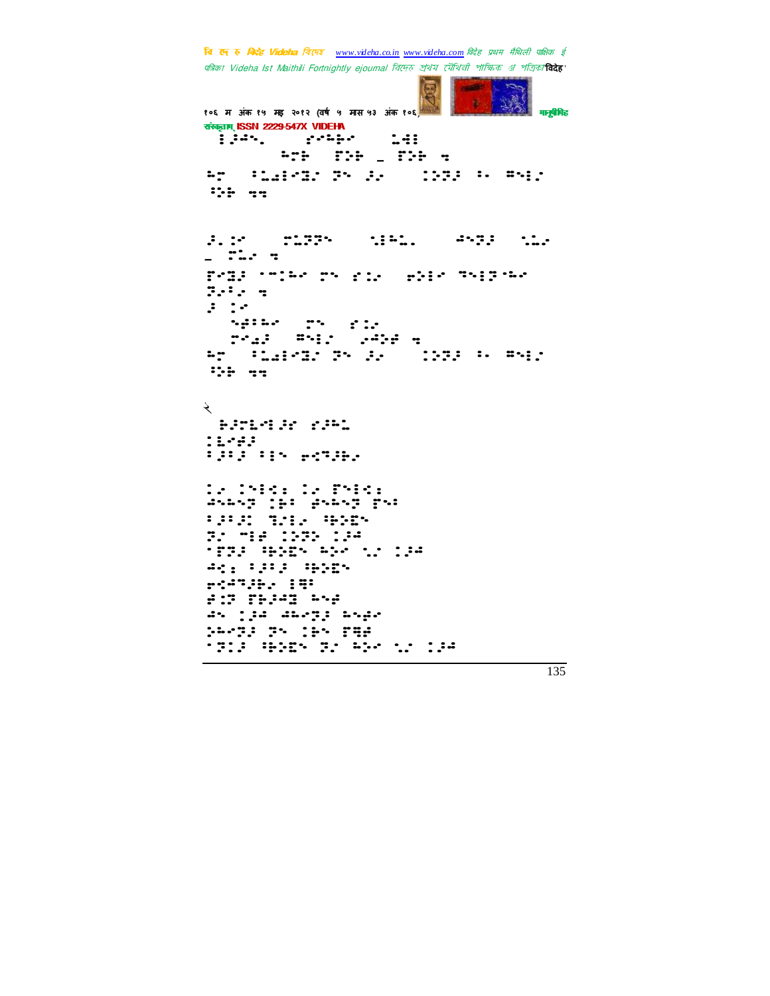```
१०६ म अंक १५ मइ २०१२ (वष ५ मास ५३ अंक १०६) मानुषीिमह 
संस्कृतम् ISSN 2229-547X VIDEHA
         !<br>!!<mark>!</mark>
        !!!! !!!! <u>!</u>
\frac{1}{2} . The state \frac{1}{2} is the state \frac{1}{2}⢸⢵⢷!⣒⣒!
⢼E⣈!!!⣅⢽⢽!!!⣁2⢳⣅E-!!⢺⢽⢼!!⣁⣅⢴!
–!⣅⢴!⣒!
/⣝⢼!b⢳!!⣈⢴-!⢶⢵2!⢹2⢽⢳!
⢽⢴A⢴!⣒!
\vdots\blacksquare!!⣔⢼!!⢻21!!⢴⢺⢵⢾!⣒!
⢳!!A⣅⣔2⣝1!⢽!⢼⢴-!!⢵⢽⢼!⢸c!⢻21!
⢸⢵⢷!⣒⣒!
\lambda!⢷⢼⣇2⢼!⢼⢳⣅!!
⣇⢾⢼.!
A⢼A⢼!A2!⢶⣊⢹⢼⢷⢴!
\mathbb{R}^2 : This is the state of \mathbb{R}^2\frac{1}{2}\frac{1}{2}⢽1!b2⢾!⢵⢽⢵!⢼⢺!
/⢽⢼!⢸⢷⢵⣏!⢳⢵!⣁1!⢼⢺!
\frac{2}{4}⢶⣊⢺⢹⢼⢷⢴!2⣛A!
⢾⣈⢽!/⢷⢼⢺⣝!⢳⢾!
an ja amega mege
⢵⢳⢽⢼!⢽!⢷!/⣛⢾!
⢽⢼!⢸⢷⢵⣏!⢽1!⢳⢵!⣁1!⢼⢺!
```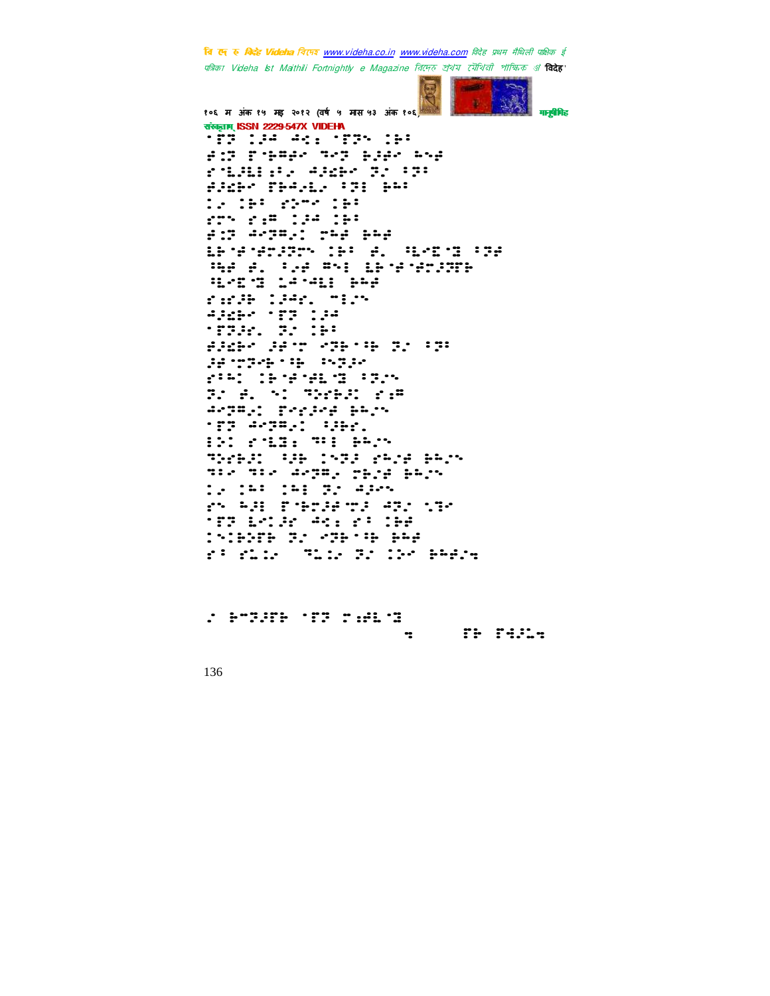

१०६ म अंक १५ मइ २०१२ (वष ५ मास ५३ अंक १०६) मानुषीिमह संस्कृतम् ISSN 2229-547X VIDEHA /⢽!⢼⢺!⢺⣊⣐!/⢽!⢷A! ⢾⣈⢽!/⢷⢻⢾!⢹⢽.⢷⢼⢾!⢳⢾! ⣇⢼⣇2⣐A⢴!⢺⢼⣎⢷!⢽1!A⢽A!! ⢾⢼⣎⢷!/⢷⢺⢴⣇⢴!A⢽2!⢷⢳A! ⢴!⢷A!⢵b!⢷A! !⣐⢻!⢼⢺!⢷A! ⢾⣈⢽!⢺⢽⢻⢴!⢳⢾!⢷⢳⢾! ⣇⢷⢾⢾⢼⢽!⢷A!⢾E!⢸⣇⣏⣝!A⢽⢾! ⊞e e. We ⊞nd Wederver ⢸⣇⣏⣝!⣅⢺⢺⣇2!⢷⢳⢾! red Co ⢺⢼⣎⢷!/⢽!⢼⢺! /⢽⢼E!⢽1!⢷A! ⢾⢼⣎⢷!⢼⢾!⢽⢷⢸⢷!⢽1!A⢽A! ⢼⢾⢽⢷⢸⢷!⢸⢽⢼! A⢳!⢷⢾⢾⣇⣝!A⢽1!  $T: E. Y: T:E. T: E.$ Website Service /⢽!⢺⢽⢻⢴!⢸⢼⢷E! 2⢵!⣇⣝⣐!⢹A2!⢷⢳1! ⢹⢵⢷⢼!⢸⢼⢷!⢽⢼!⢳1⢾!⢷⢳1! ⢹A.⢹A!⢺⢽⢻⢴!⢷1⢾!⢷⢳1! ⢴!⢳A!⢳2!⢽1!⢺⢼! !⢳⢼2!/⢷⢼⢾⢼!⢺⢽1!⣁⣙! /⢽!⣇⢼!⢺⣊⣐!⢸!⢷⢾! ⢷⢵/⢷!⢽1!⢽⢷⢸⢷!⢷⢳⢾! ⢸!⣅⣈⢴-!⢹⣅⣈⢴!⢽1!⢵!⢷⢳⢾1⣒!

1!⢷b⢽⢼/⢷!/⢽!⣐⢾⣇⣝! hhbkfoesbAwjefib⣒dpn!/⢷!/⣚⢼⣅⣒!!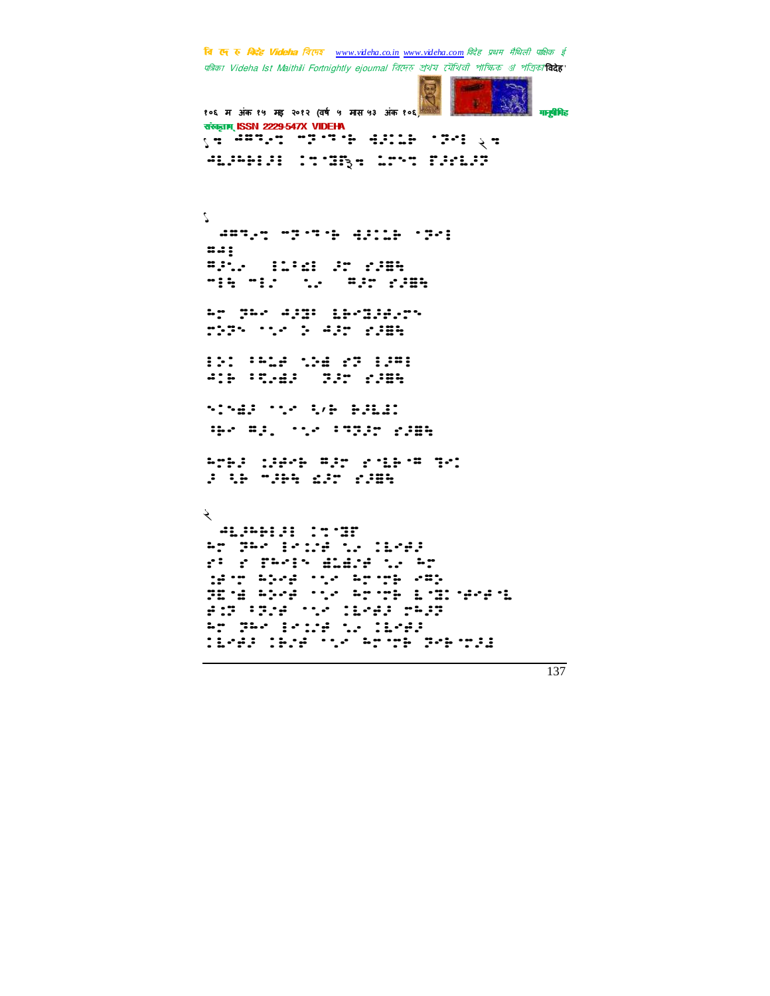मानुबैमिह १०६ म अंक १५ मइ २०१२ (वर्ष ५ मास ५३ अंक १०६) संस्कृतम् ISSN 2229-547X VIDEHA  $\mathcal{L}_{\mathcal{L}}$  , and the set of  $\mathcal{L}_{\mathcal{L}}$ ALAHIN ITER: LTM FRER  $\mathcal{L}$ **ANTI-T - TO THE ACTION CONSTRUCT**  $\ldots$ When ISBN 27-2006 **"B": " : " " : " : : : : : : : Le par dide derniere.** it was the st pro **Be #:, 'the Proce come** Anda wasa gun ang mga pa **SAR THE ST STOR**  $\star$ **ALIANISE 1990** ar par brită tribută: rt r Prin Wike tr Ar Horabel the Arone emp no a bre se brob londer. FOR PROP TO CEMPER CREEK ar par bring th lings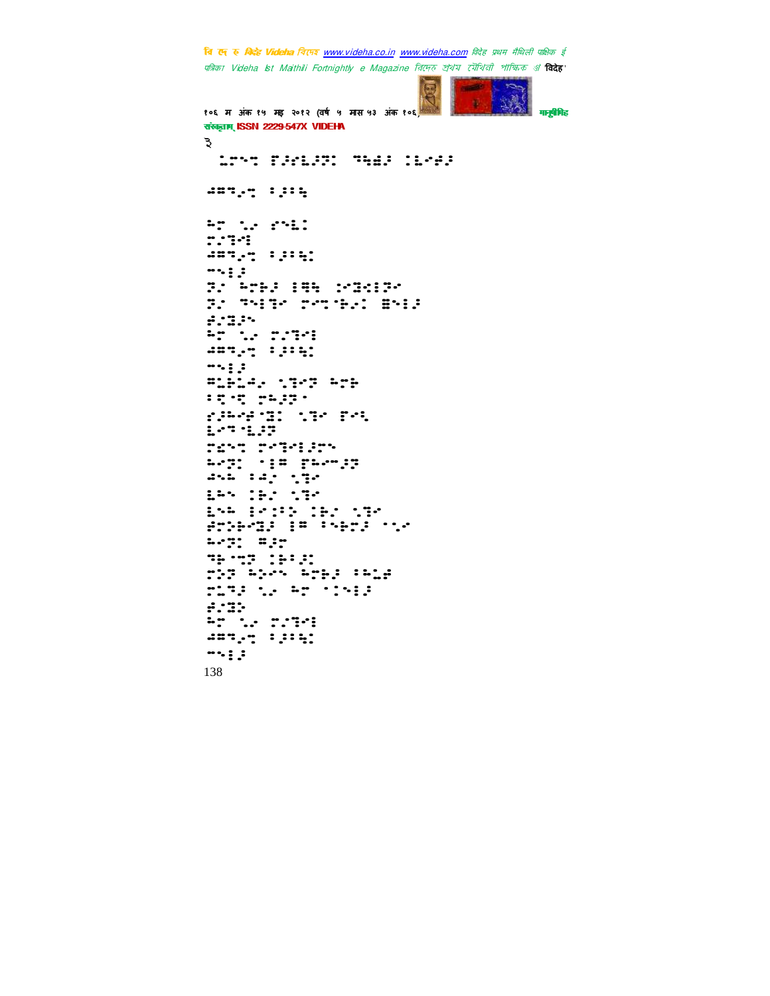चि एक रु मिन्हे Videha विएक www.videha.co.in www.videha.com विदेह प्रथम मैथिली पाक्षिक ई पत्रिका Videha Ist Maithili Fortnightly e Magazine রিদেহ প্রথম মৌথিনী পাক্ষিক রা **বিदेह**' **Separate**  $\mathcal{G}$ १०६ म अंक १५ मइ २०१२ (वष ५ मास ५३ अंक १०६) मानुषीिमह संस्कृतम् ISSN 2229-547X VIDEHA  $\mathcal{F}$ !⣅⣉!/⢼⣇⢼⢽!⢹⣓⣞⢼!⣇⢾⢼! ⢺⢻⢹⢴⣉!A⢼A⣓! ⢳!⣁⢴!⣇! **1:14** ⢺⢻⢹⢴⣉!A⢼A⣓!  $\cdots$  $T$ . While  $T$  $T$  " ⢾1⣝⢼! **WEIGHT IN STREET** ⢺⢻⢹⢴⣉!A⢼A⣓!  $\cdots$ ⢻⣅⢷⣅⢺⢴!⣁⣙⢽!⢳⢷!  $\frac{1}{2}$   $\vdots$   $\vdots$ ⣇⢹⣇⢼⢽! ⣎⣉!⣙2⢼! **LAN 12 200012** AN 141 141 11: 11: 11:  $\blacksquare$ ⢾⢵⢷⣝⢼!2⢻!A⢷⢼!⣁! **LATE SIM** ⢹⢷⣉⢽!⢷A⢼! ⢵⢽!⢳⢵!⢳⢷⢼!A⢳⣅⢾! ⣅⢹⢼!⣁⢴!⢳!2⢼! ⢾1⣝⢵! **WEIGHT IN THE STATE** ⢺⢻⢹⢴⣉!A⢼A⣓! base of the set 138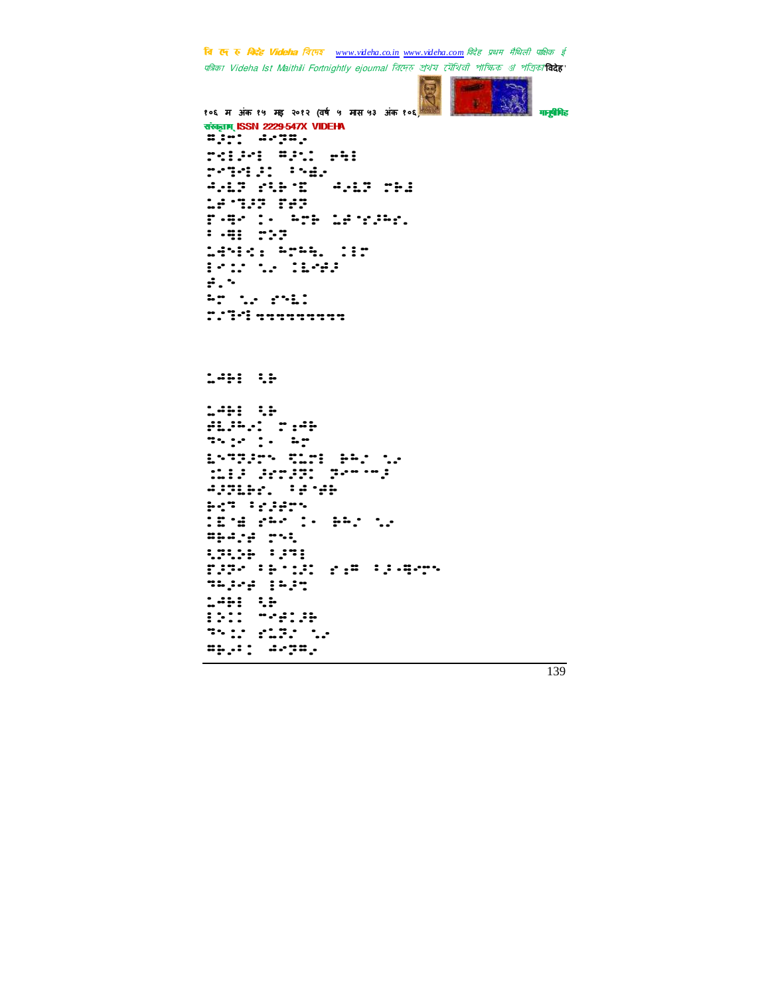१०६ म अंक १५ मइ २०१२ (वष ५ मास ५३ अंक १०६) मानुषीिमह संस्कृतम् ISSN 2229-547X VIDEHA  $\mathbf{z}$ ⣊2⢼2!⢻⢼⣁!⢶⣓2! ⣙2⢼!A⣞⢴! ⢺⢴⣇⢽.⣃⢷⣏-!⢺⢴⣇⢽.⢷⣜! ⣅⢾⣙⢼⢽./⢾⢽! /B⣛!c!⢳⢷!⣅⢾⢼⢳E! **A**  $\frac{1}{2}$ 1992: 1992: 1992. 10:10:10:10:20 ⢾E! When the state 1⣙2⣒⣒⣒⣒⣒⣒⣒⣒⣒! ⣅⢺⢷2!⣃⢷! ⣅⢺⢷2!⣃⢷! ⢾⣇⢼⢳⢴!⣐⢺⢷! ⢹⣈!c!⢳! ∷∵º???; ?∷: ?:: ?: ⣈⣅2⢼!⢼⢼⢽!⢽bb⢼! ⢺⢼⢽⣇⢷E!A⢾⢾⢷! ⢷⣊⢹.A⢼⢾! ⣏⣞!⢳!c!⢷⢳1!⣁⢴! ⢻⢷⢺1⢾!⣃! ⣃⢽⣃⢵⢷!A⢼⢹2! /⢼⢽.A⢷⣈⢼!⣐⢻!A⢼B⣛! ⢹⢳⢼⢾!2⢳⢼⣉! ⣅⢺⢷2!⣃⢷! 1000 - 0000 - 00000 **THIS SIDE 1.8** ⢻⢷⢴A!⢺⢽⢻⢴!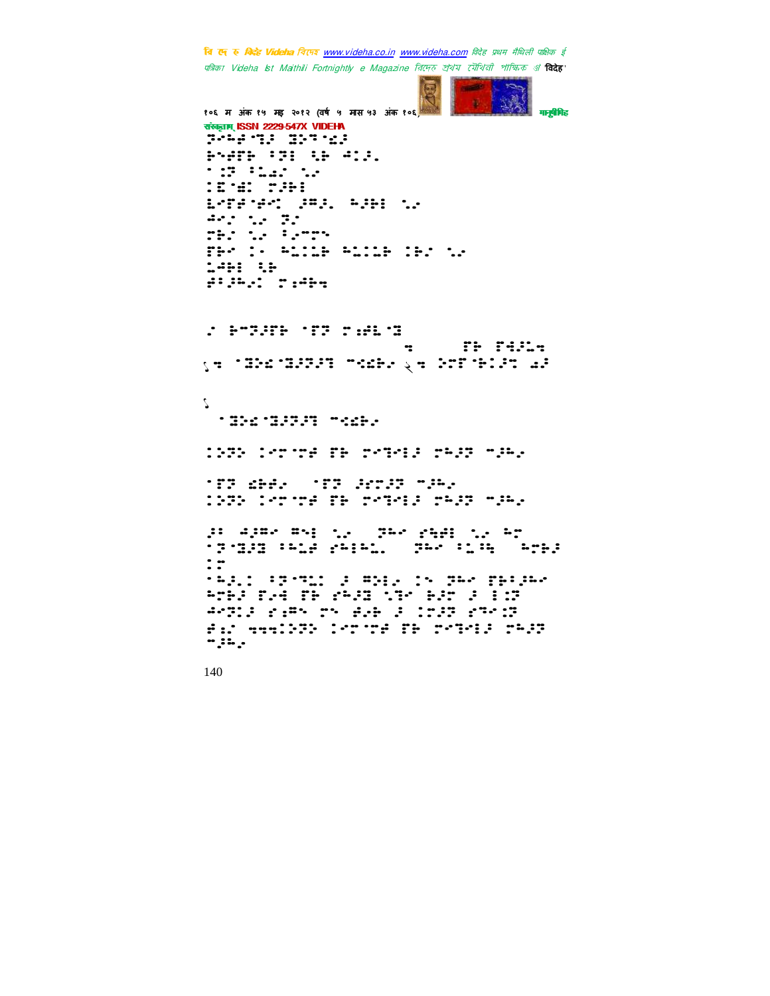१०६ म अंक १५ मइ २०१२ (वष ५ मास ५३ अंक १०६) मानुषीिमह संस्कृतम् ISSN 2229-547X VIDEHA ⢽⢳⢾⣙⢼!⣝⢵⢹⣎⢼! ⢷⢾/⢷!A⢽2!⣃⢷!⢺⢼E! ⣈⢽!A⣅⣔1!⣁⢴! ⣏⣞!⢼⢷2!  $\frac{1}{2}$ 401 ‰1 II **THI 1. PIPE** /⢷!c!⢳⣅⣅⢷.⢳⣅⣅⢷!⢷1!⣁⢴! ⣅⢺⢷2!⣃⢷! ⢾A⢼⢳⢴!⣐⢺⢷⣒!

1!⢷b⢽⢼/⢷!/⢽!⣐⢾⣇⣝! he beste beste beste beste beste beste beste beste beste beste beste beste beste beste beste beste beste beste<br>De beste beste beste beste beste beste beste beste beste beste beste beste beste beste beste beste beste beste  $\sqrt{2}$   $\cdot$   $\frac{1}{2}$   $\cdot$   $\frac{1}{2}$   $\cdot$   $\frac{1}{2}$   $\cdot$   $\frac{1}{2}$   $\cdot$   $\frac{1}{2}$   $\cdot$   $\frac{1}{2}$   $\cdot$   $\frac{1}{2}$   $\cdot$   $\frac{1}{2}$   $\cdot$   $\frac{1}{2}$   $\cdot$   $\frac{1}{2}$   $\cdot$   $\frac{1}{2}$   $\cdot$   $\frac{1}{2}$   $\cdot$   $\frac{1}{2}$   $\cdot$   $\frac{1}{2}$   $\cdot$ 

 $\mathcal{L}_{\mathcal{L}}$ !⣝⢵⣎⣝⢼⢽⢼⣙!b⣊⣎⢷⢴! ⢵⢽⢵!⢾!/⢷!⣙2⢼!⢳⢼⢽!b⢼⢳⢴! /⢽!⣎⢷⢾⢴-!/⢽!⢼⢼⢽!b⢼⢳⢴! ⢵⢽⢵!⢾!/⢷!⣙2⢼!⢳⢼⢽!b⢼⢳⢴!  $\cdots$  and the  $\cdots$   $\cdots$ ⢽⣝⢼⣝!A⢳⣅⢾!⢳2⢳⣅E!-⢽⢳!A⣅⢸⣓n!⢳⢷⢼! :: ⢳⢼E!A⢽⢹⣅!⢼!⢻⢵2⢴!!⢽⢳!/⢷A⢼⢳!!  $\frac{1}{2}$ ⢺⢽⢼!⣐⢻!!⢾⢴⢷!⢼!⢼⢽!⢹⣈⢽!! ⢾⣐1!⣒⣒⣒⢵⢽⢵!⢾!/⢷!⣙2⢼!⢳⢼⢽! b⢼⢳⢴!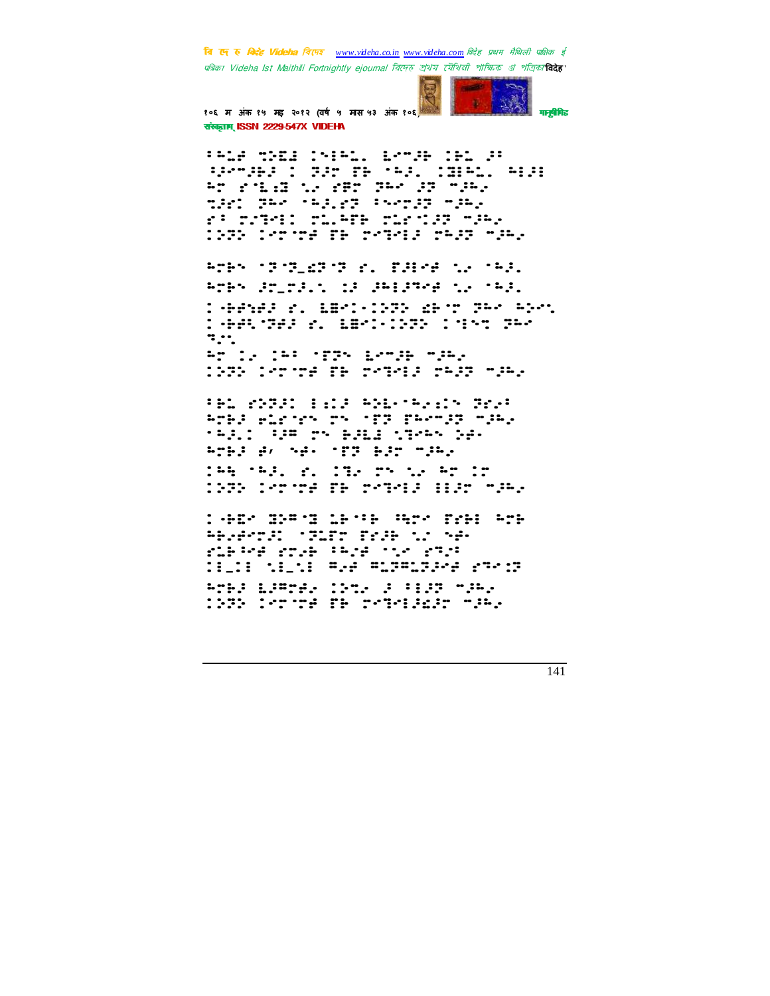

१०६ म अंक १५ मइ २०१२ (वर्ष ५ मास ५३ अंक १०६) संस्कृतम् ISSN 2229-547X VIDEHA

**BAS THE INEL BOW HOME** SPORFILER TROPAL CORN. MAR thi has saled then what r: port: plane plrougher <u> 1950 : Anima de Madeira Mego mier</u>

ATES STORIES TO THE SEARCHE. Andra Shindish (S. SAESTAR 12, 1922) : APRIL : 1800 COR APT 760 GOV.  $\ddotsc$ BE IS INTO THE ACTIVE TIME **1030 100000 39 003010 0903 0000** 

He ford hid welcomen rea WHO SENSY TO THE PROSE SHE  $.4.1$ **The 22 Fill Clark St.** WHO B, NB, 197 BR 786 the ship at the result brite 

Western Thr hen with fire corrector con **CONFIDENTIAL CONSUMING CONTINUES** the test of repositor the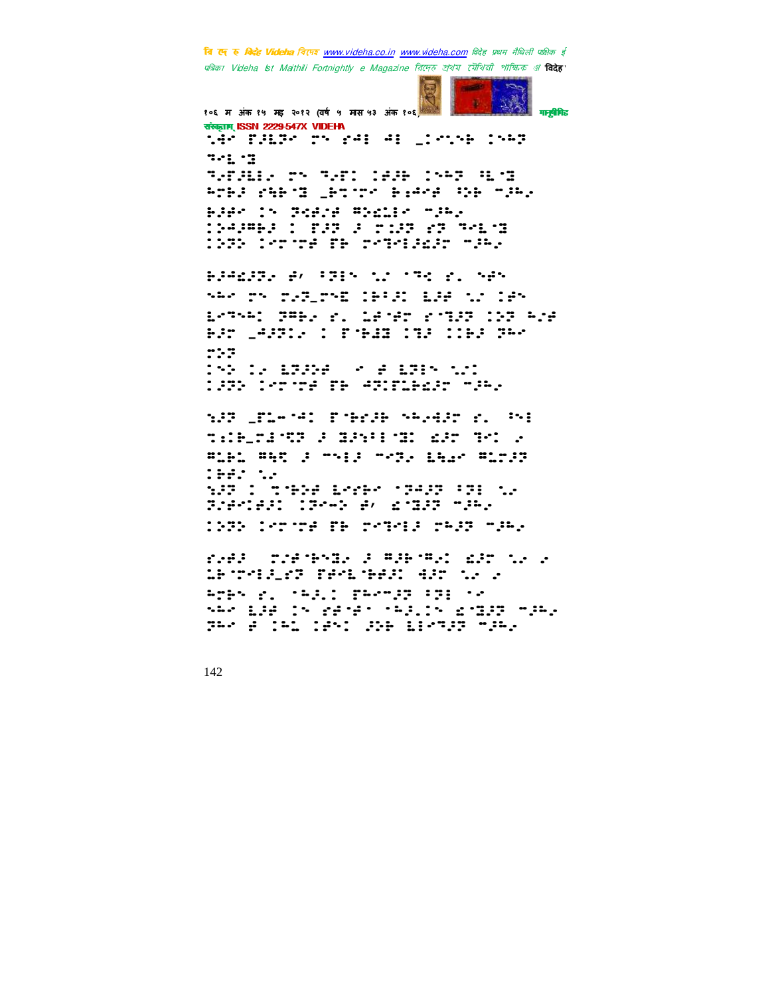

tër para ny kapiap jetha tyap  $7 - 1 - 2$ T.S.E. T. T.S. 188 148 H.T ATHE SHETE BYTTE REAGE THE TIME HAR IN THEM SHELLY TANK **The formal partnerships will** 

संस्कृतम् ISSN 2229-547X VIDEHA

BOODS B, MRS 12 170 2. 505 nar en els ens dadde de la lan 1000 000 0 000 000 000 000 1990 - 1990 - 1991 - 1992 - 1993 - 1994 - 1994 - 1994 - 1995 - 1996 - 1997 - 1998 - 1999 - 1999 - 1999 - 1999<br>1999 - 1999 - 1999 - 1999 - 1999 - 1999 - 1999 - 1999 - 1999 - 1999 - 1999 - 1999 - 1999 - 1999 - 1999 - 1999  $727$ **1920: 1920: Professor** 

100 21-70 2000 5000 5000 1 tilition a married and the Ther th 10 : 198 198 198 199 19 **THORE INDEED STREET The Croops Day State Tags Side** 

in the second contract of the second contract of the second contract of the second contract of the second contr Apps el ragio parmigolgi rr service is reserved in rooms with par 2 jai jest pa lirng tia.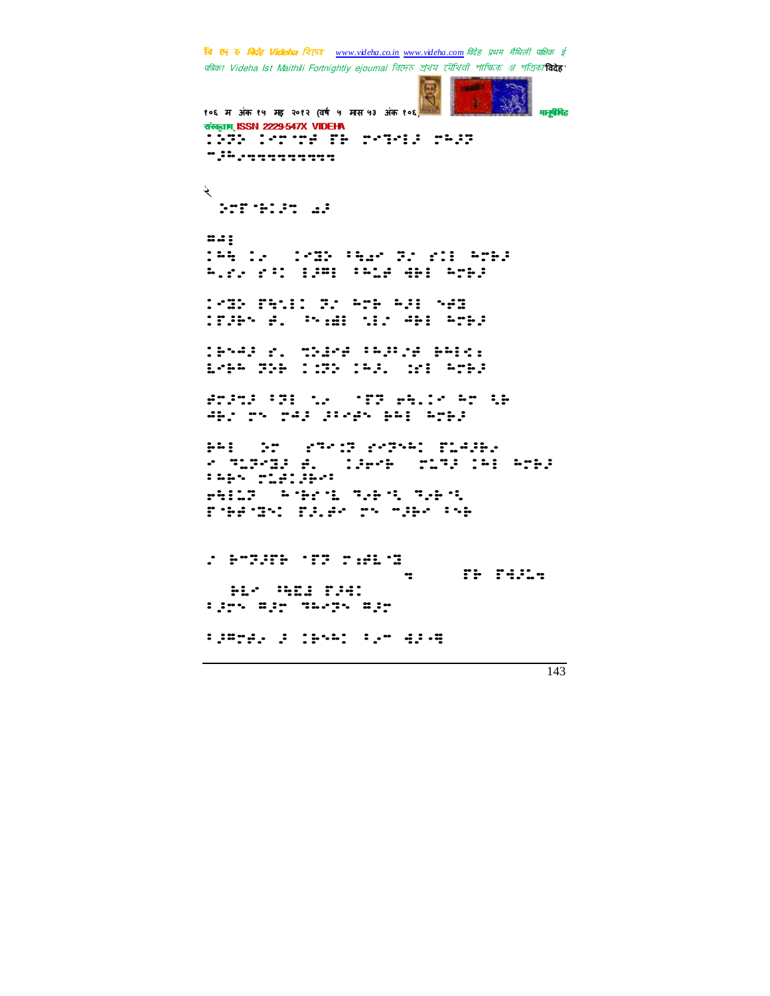१०६ म अंक १५ मइ २०१२ (वष ५ मास ५३ अंक १०६) मानुषीिमह संस्कृतम् ISSN 2229-547X VIDEHA ⢵⢽⢵!⢾!/⢷!⣙2⢼!⢳⢼⢽! b⢼⢳⢴⣒⣒⣒⣒⣒⣒⣒⣒⣒!!  $\lambda$  $?$ ⢻⢺2! ⢳⣓!⢴-!⣝⢵!A⣓⣔!⢽1!2!⢳⢷⢼! ⢳E⢴!⢸!2⢼⢻2!A⢳⣅⢾!⣚⢷2!⢳⢷⢼! ⣝⢵!/⣓⣁2!⢽1!⢳⢷!⢳⢼2!⢾⣝! /⢼⢷!⢾E!⢸⣐⣞2!⣁21!⢺⢷2!⢳⢷⢼! ⢷⢺⢼!E!⣉⢵⣜⢾!A⢳⢼A1⢾!⢷⢳2⣊⣐! ⣇⢷⢳.⢽⢵⢷!⣈⢽⢵!⢳⢼E!⣈2!⢳⢷⢼! ⢾⢼⣉⢼!A⢽2!⣁⢴-!/⢽!⢶⣓E!⢳!⣃⢷!  $#$ ⢷⢳2!#⢵#!⢹⣈⢽!⢽⢳!/⣅⢺⢼⢷⢴! !⢹⣅⢽⣝⢼!⢾E!(⢼⢶⢷(!⣅⢹⢼!⢳2!⢳⢷⢼!  $\blacksquare$ ⢶⣓2⣅⢽!)⢳⢷⣇.⢹⢴⢷⣃.⢹⢴⢷⣃\*!.! /⢷⢾⣝!/⢼E⢾!!b⢼⢷!A⢷! 1!⢷b⢽⢼/⢷!/⢽!⣐⢾⣇⣝! hhbkfoesbAwjefib⣒dpn!/⢷!/⣚⢼⣅⣒!! !!⢷⣇!⢸⣓⣏⣜!/⢼⣚! A SHE SHE SHE SHE  $\frac{1}{2}$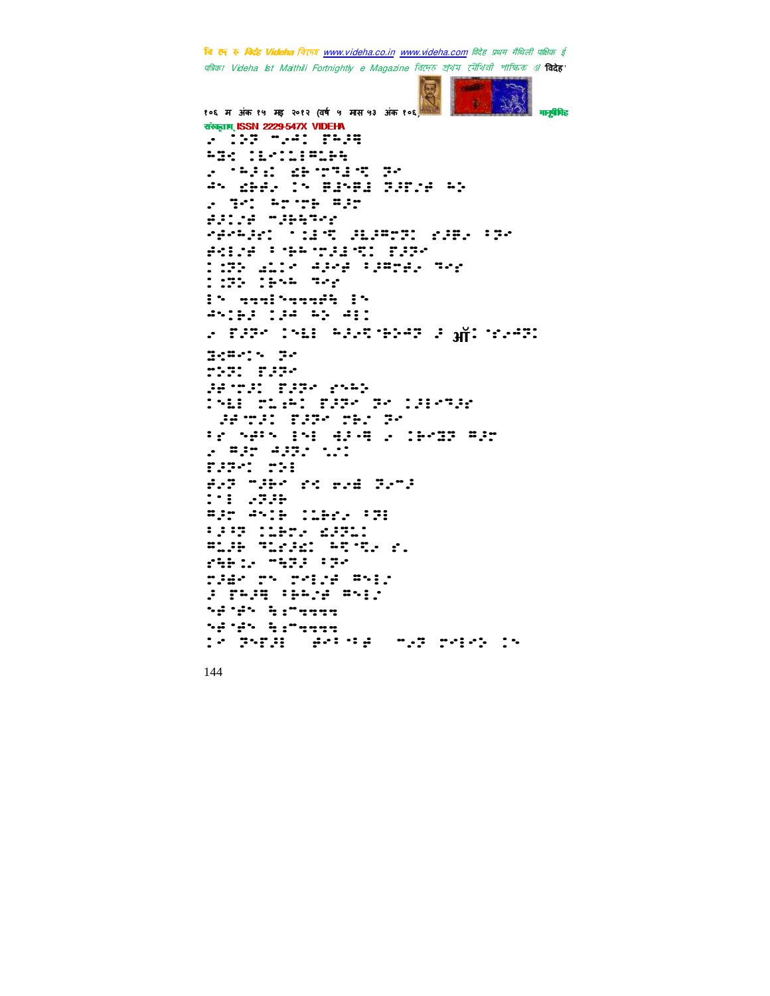

संस्कृतम् ISSN 2229-547X VIDEHA  $\cdot$  ::: -.:: :::: ⢳⣝⣊!⣇⣅2⢻⣅⢷⣓!! ⢴!⢳⢼⣐!⣎⢷⢹⣜⣋!⢽!  $\blacksquare$ ⢴!⣙!⢳⢷!⢻⢼! ⢾⢼1⢾!b⢼⢷⣓⢹! ⢾⢳⢼!⣈⣜⣋!⢼⣇⢼⢻⢽!⢼⢿⢴!A⢽! ⢾⣊21⢾!A⢷⢳⢼⣜⣋!/⢼⢽! ⣈⢽⢵!⣔⣅!⢺⢼⢾!A⢼⢻⢾⢴!⢹! ⣈⢽⢵!⢷⢳!⢹! 2!⣒⣒⣒2⣒⣒⣒⢾⣓!2! △·::: :: :: :: :: .:: .:: ⢴!/⢼⢽!⣇2!⢳⢼⢴⣋⢷⢵⢺⢽!⢼!ऑ⢴⢺⢽! ⣝⣊⢻!⢽! ⢵⢽!/⢼⢽! ⢼⢾⢼!/⢼⢽!⢳⢵! ⣇2!⣅⣐⢳!/⢼⢽!⢽!⢼2⢹⢼! !⢼⢾⢼!/⢼⢽!⢷1!⢽!  $\mathbb{R}$  and  $\mathbb{R}$  and  $\mathbb{R}$  and  $\mathbb{R}$ . W: 422 ... F.P. 201 ⢾⢴⢽.b⢼⢷!⣊!⢶⢴⣞!⢽⢴b⢼! 2!⢴⢽⢼⢷! ⢻⢼!⢺⢷!⣅⢷⢴!A⢽2!! A⢼⢸⢽-⣅⢷⢴-⣎⢼⢽⣅! ⢻⣅⢼⢷!⢹⣅⢼⣎!⢳⣋⣋⢴!E! ⣓⢷⣈⢴!b⣓⢽⢼!A⢽! **THE THING!** ⢼!/⢳⢼⣛!A⢷⢳1⢾!⢻21! ⢾⢾!⣓⣐b⣒⣒⣒⣒! ⢾⢾!⣓⣐b⣒⣒⣒⣒! !⢽/⢼2!-⢾AA⢾!-b⢴⢽!2⢵!!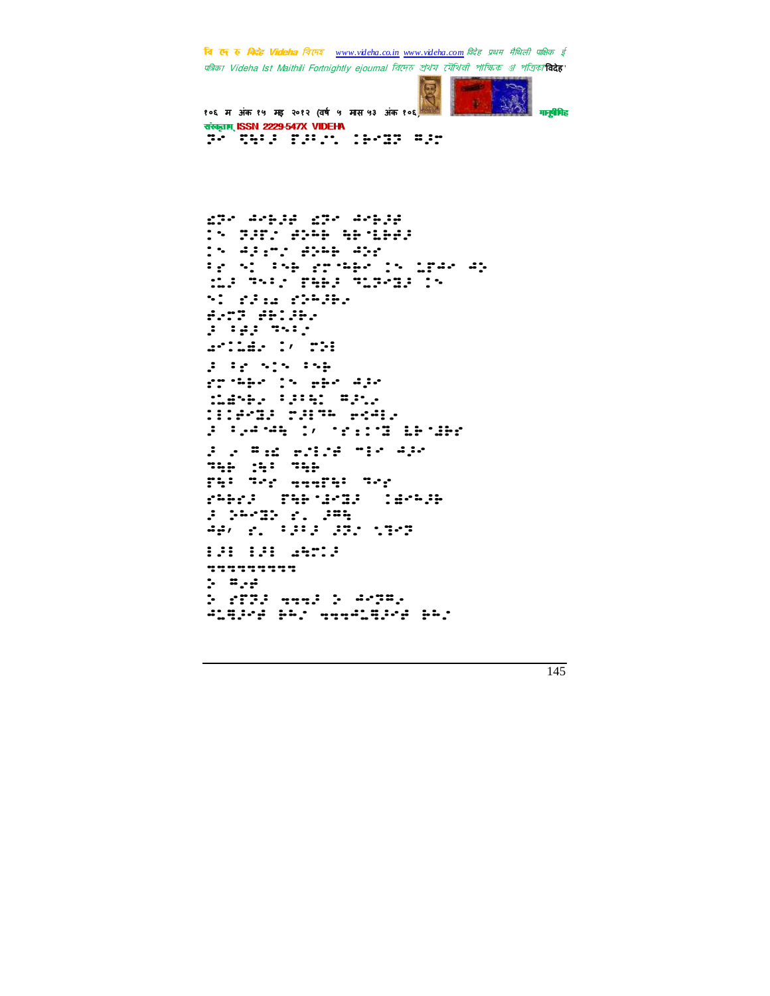$$
\mathbb{R} \left[ \begin{array}{c} \mathbb{R} \\ \mathbb{R} \end{array} \right]_{\text{max}}
$$

१०६ म अंक १५ मइ २०१२ (वर्ष ५ मास ५३ अंक १०६) संस्कृतम् ISSN 2229-547X VIDEHA  $\ddot{\textbf{r}}$  ,  $\ddot{\textbf{r}}$ 

```
\mathbf{G}^{\bullet} . A shown \mathbf{G}^{\bullet}!⢽⢼/1!⢾⢵⢳⢷!⣓⢷⣇⢷⢾⢼!
!⢺⢼⣐b1!⢾⢵⢳⢷!⢺⢵!
A: A: PAB : MABA : A 1548 42
⣈⣅⢼!⢹A1!/⣓⢷⢼!⢹⣅⢽⣝⢼!!
!⢼⣐⣔!⢵⢳⢼⢷⢴!
⢾⢴⢽!⢾⢷⢼⢷⢴!
⢼!A⢾⢼!⢹A1!
⣔⣅⣞⢴!'!⢵2!
\mathcal{F} is a set of the set of the set of the set of the set of the set of the set of the set of the set of the set of the set of the set of the set of the set of the set of the set of the set of the set of the set of the
Mandale li per dje
⣈⣅⣞⢷⢴!A⢼A⣓!⢻⢼⣁⢴!
2⢾⣝⢼!⢼2⢹⢳!⢶⣊⢺2⢴!
⢼!A⢴⢺⢺⣓!'!⣐⣈⣝!⣇⢷⣜⢷!
\vdots . The still the species
⢹⣓⢷!⣈⣓A!⢹⣓⢷!!
\vec{r} \vec{r} \vec{r} \vec{r} \vec{r} \vec{r} \vec{r} \vec{r} \vec{r} \vec{r} \vec{r} \vec{r} \vec{r} \vec{r} \vec{r} \vec{r} \vec{r} \vec{r} \vec{r} \vec{r} \vec{r} \vec{r} \vec{r} \vec{r} \vec{r} \vec{r} \vec{r} \vec{r}⢳⢷⢼!-/⣓⢷⣜⣝⢼!-⣞⢳⢼⢷!
\ddotsc \ddotsc \ddotsc \ddotsc⢺⢾'!E!A⢼A⢼!⢼⢽1!⣁⣙⢽!
2⢼2.2⢼2!⣔⣓⢼!!
⣒⣒⣒⣒⣒⣒⣒⣒⣒!
```
⢵!⢻⢴⢾!! ▝▁▗▆▅▝▝▁<sub>▜▜</sub>▖▘▚▘▚▝▞▓▆ ⢺⣅⣛⢼⢾!⢷⢳1!⣒⣒⣒⢺⣅⣛⢼⢾!⢷⢳1!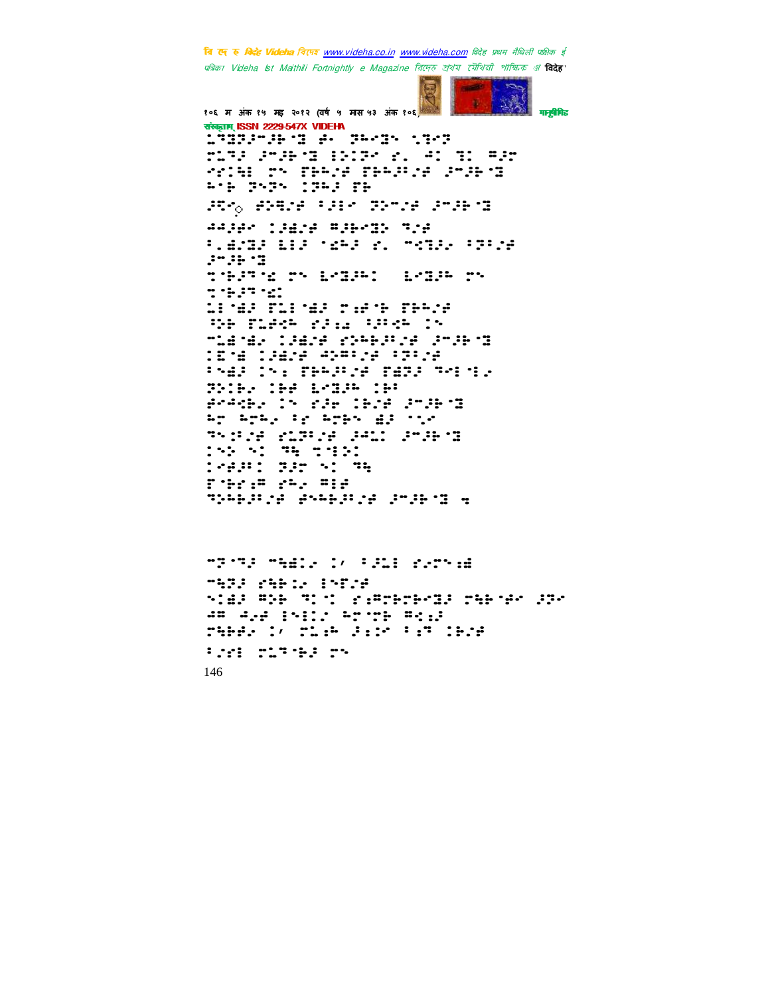

१०६ म अंक १५ मइ २०१२ (वष ५ मास ५३ अंक १०६) मानुषीिमह संस्कृतम् ISSN 2229-547X VIDEHA ⣅⢹⣝⢽⢼b⢼⢷⣝!⢾c!⢽⢳⣝!⣁⣙⢽! ⣅⢹⢼!⢼b⢼⢷⣝!2⢵⢽!E!⢺.⣙!⢻⢼! ⣓2!!/⢷⢳1⢾!/⢷⢳⢼A1⢾!⢼b⢼⢷⣝!  $\frac{1}{2}$   $\frac{1}{2}$   $\frac{1}{2}$   $\frac{1}{2}$   $\frac{1}{2}$   $\frac{1}{2}$   $\frac{1}{2}$   $\frac{1}{2}$   $\frac{1}{2}$   $\frac{1}{2}$  $, T^{\bullet}$  and  $, T^{\bullet}$  are  $, T^{\bullet}$ ⢺⢺⢼⢾!⢼⣞1⢾!⢻⢼⢷⣝⢵!⢹1⢾! AE ELECTRIC PERSON  $\mathcal{L}^\bullet$ ⣉⢷⢼⢹⣎!!⣇⣝⢼⢳!-⣇⣝⢼⢳!! ⣉⢷⢼⢹⣎!  $\square$ ⢸⢵⢷!/⣅⢾⣊⢳!⢼⣐⣔!⢸⢼A⣊⢳!!! b⣅⣞⣞⢴!⢼⣞1⢾!⢵⢳⢷⢼A1⢾!⢼b⢼⢷⣝! ⣏⣞!⢼⣞1⢾!⢺⢵⢻A1⢾!A⢽A1⢾!  $\blacksquare$ ⢽⢵⢷⢴!⢷⢾!⣇⣝⢼⢳!⢷A! ⢾⢺⣊⢷⢴!!⢼⢶!⢷1⢾!⢼b⢼⢷⣝!  $\frac{1}{2}$   $\frac{1}{2}$   $\frac{1}{2}$   $\frac{1}{2}$   $\frac{1}{2}$   $\frac{1}{2}$   $\frac{1}{2}$   $\frac{1}{2}$   $\frac{1}{2}$   $\frac{1}{2}$   $\frac{1}{2}$   $\frac{1}{2}$   $\frac{1}{2}$   $\frac{1}{2}$   $\frac{1}{2}$   $\frac{1}{2}$   $\frac{1}{2}$   $\frac{1}{2}$   $\frac{1}{2}$   $\frac{1}{2}$   $\frac{1}{2}$   $\frac{1}{2}$   $\$ ⢹⣈A1⢾!⣅⢽A1⢾!⢼⢺⣅!⢼b⢼⢷⣝!!  $\frac{1}{2}$ .  $\frac{1}{2}$  .  $\frac{1}{2}$  .  $\frac{1}{2}$  .  $\frac{1}{2}$  $\frac{1}{2}$ /⢷⣐⢻!⢳⢴!⢻2⢾! ⢹⢵⢳⢷⢼A1⢾!⢾⢳⢷⢼A1⢾!⢼b⢼⢷⣝!⣒!

```
146
b⢽⢹⢼!b⣓⣞⢴!'!A⢼⣅2!⢴⣐⣞!
b⣓⢽⢼!⣓⢷⣈⢴!2/1⢾!
⣞⢼!⢻⢵⢷!⢹!⣐⢻⢷⢷⣝⢼!⣓⢷⢾!⢼⢽!
⢺⢻!⢺⢴⢾!221!⢳⢷!⢻⣊⣐⢼!
⣓⢷⢾⢴!'!⣅⣐⢳-⢼⣐⣈!A⣐⢹!⢷1⢾!
Ani: rither ry
```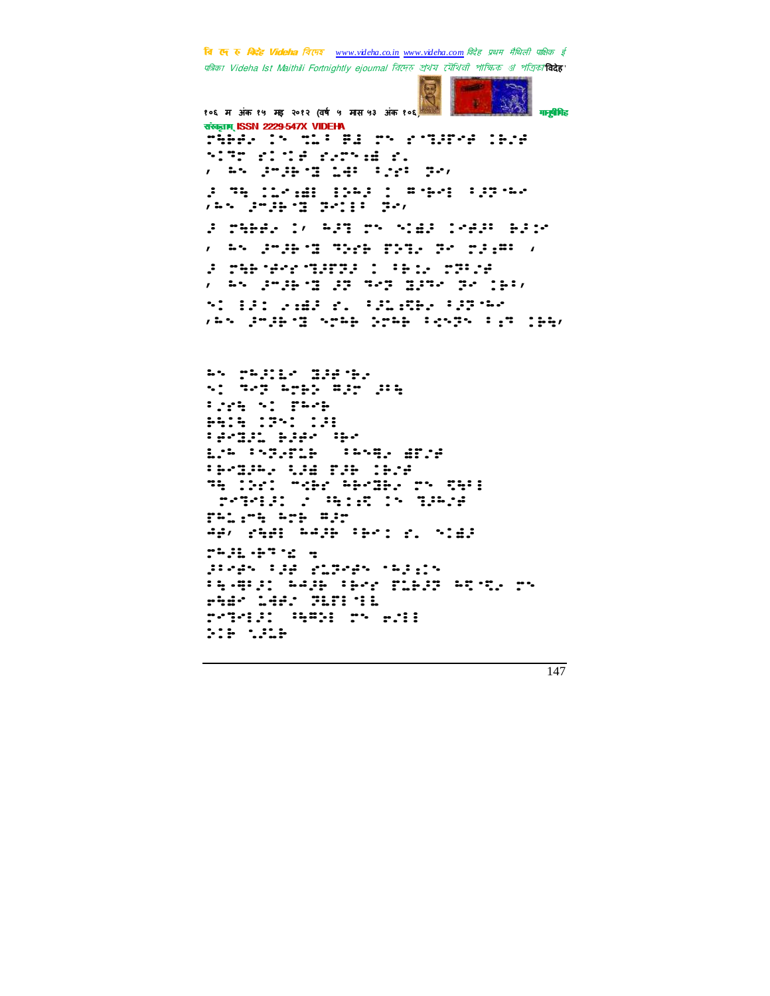

संस्कृतम् ISSN 2229-547X VIDEHA rêbe. In til Bi rn entirke lete nor dote conserva , as ground ide that pr, a me condo dina comune a conserva  $F^*$  in  $F^*$  is the set of  $F^*$ Frank Comparent Marchard Bro , an ingenz the fit. The right ( , 65 25853 22 322 3232 32 160, **MORE SERVICE CONSTRUCTS** an ang ng noong poon (phono in 1952)

an pagige distin s: men were min ing 1224 51 PROF **FRIR (25) (28) FRANCIS ROBA BRA WE OUR THAT APPEAR TO THE** rendi radio nad 49, 250 WARR (621 S. 510)  $\begin{minipage}{.4\linewidth} \begin{tabular}{l} \multicolumn{1}{l}{} & \multicolumn{1}{l}{} & \multicolumn{1}{l}{} \\ \multicolumn{1}{l}{} & \multicolumn{1}{l}{} & \multicolumn{1}{l}{} \\ \multicolumn{1}{l}{} & \multicolumn{1}{l}{} & \multicolumn{1}{l}{} \\ \multicolumn{1}{l}{} & \multicolumn{1}{l}{} & \multicolumn{1}{l}{} \\ \multicolumn{1}{l}{} & \multicolumn{1}{l}{} & \multicolumn{1}{l}{} \\ \multicolumn{1}{l}{} & \multicolumn{1}{l}{} & \multicolumn{1}{l}{} \\ \mult$ greph the ripegn talent **:4.8::: 14:1 :1.4: :1.1:: 4:7: 7.** PHP 14P. SIN 41 **SIB WELE**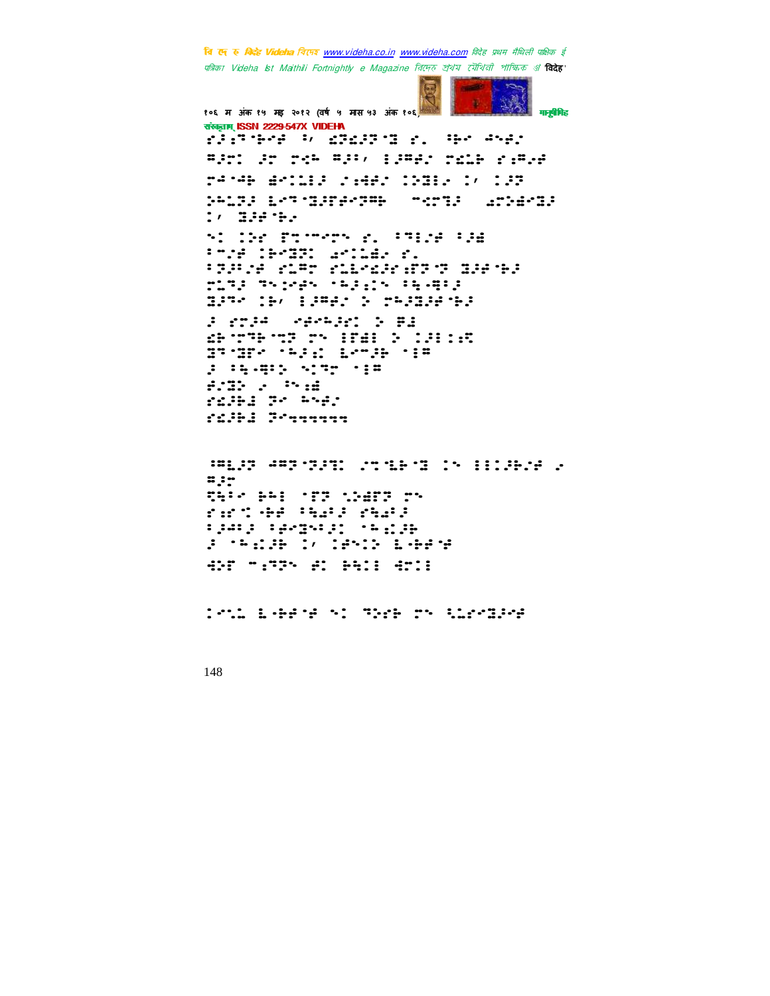

संस्कृतम् ISSN 2229-547X VIDEHA  $\overline{H}$   $\overline{H}$   $\overline{H}$   $\overline{H}$   $\overline{H}$   $\overline{H}$   $\overline{H}$   $\overline{H}$   $\overline{H}$   $\overline{H}$   $\overline{H}$   $\overline{H}$   $\overline{H}$   $\overline{H}$   $\overline{H}$   $\overline{H}$   $\overline{H}$   $\overline{H}$   $\overline{H}$   $\overline{H}$   $\overline{H}$   $\overline{H}$   $\overline{H}$   $\overline{H}$   $\overline{H$ ⢻⢼!⢼!⣊⢳!⢻⢼A**'**!2⢼⢻⢾1!⣎⣅⢷!⣐⢻⢴⢾! <mark>:</mark>4'4⊬ @PIGE*3 :0*002.12312 :/ 123<br>2⊕122 129°132802996 = 90232 = ar2@P32 ⢵⢳⣅⢽⢼!⣇⢹⣝⢼/⢾⢽⢻⢷!-b⣊⣙⢼!-⣔⢵⣞⣝⢼! **'**!⣝⢼⢾⢷⢴! !⢵!/⣉b!E!A⢹21⢾!A⢼⣞! Ab1⢾!⢷⣝⢽!⣔⣅⣞⢴!E! A⢽⢼A1⢾!⣅⢻!⣅⣇⣎⢼⣐/⢽⢽!⣝⢼⢾⢷⢼! ⣅⢹⢼!⢹⣈⢾!⢳⢼⣐!A⣓B⣛A⢼!! ⣝⢼⢹!⢷**'**!2⢼⢻⢾1!⢵!⢳⢼⣝⢼⢾⢷⢼! ⢼!⢼⢺!-⢾⢳⢼!⢵!⢿⣜! ⣎⢷⢹⢷⣉⢽!!2/⣞2!⢵!⢼2⣈⣐⣋! ⣝⢹⣝/!⢳⢼⣐!⣇b⢼⢷!2⢻! ⢼!A⣓B⣛A⢵!⢹!2⢻! ⢾1⣝⢵!⢴!⢸⣐⣞! ⣎⢼⢷⣜!⢽!⢳⢾1! ⣎⢼⢷⣜!⢽⣒⣒⣒⣒⣒⣒!

⢸⢻⣇⢼⢽!⢺⢻⢽⢽⢼⣙!1⣉⣇⢷⣝!!22⢼⢷1⢾!⢴!  $\mathbb{Z}$ .  $\frac{1}{2}$  $\mathbf{S}$ A⢼⢺A⢼!A⢾⣝A⢼!⢳⣐⢼⢷! ⢼!⢳⣐⢼⢷!**'**!⢾⢵!⣇B⢷⢾⢾! ⣚⢵/!b⣐⢹⢽!⢾!⢷⣓2!⣚2!!

 $\cdot$  . The property of the property of the property of the property of the property of the property of the property of the property of the property of the property of the property of the property of the property of the pro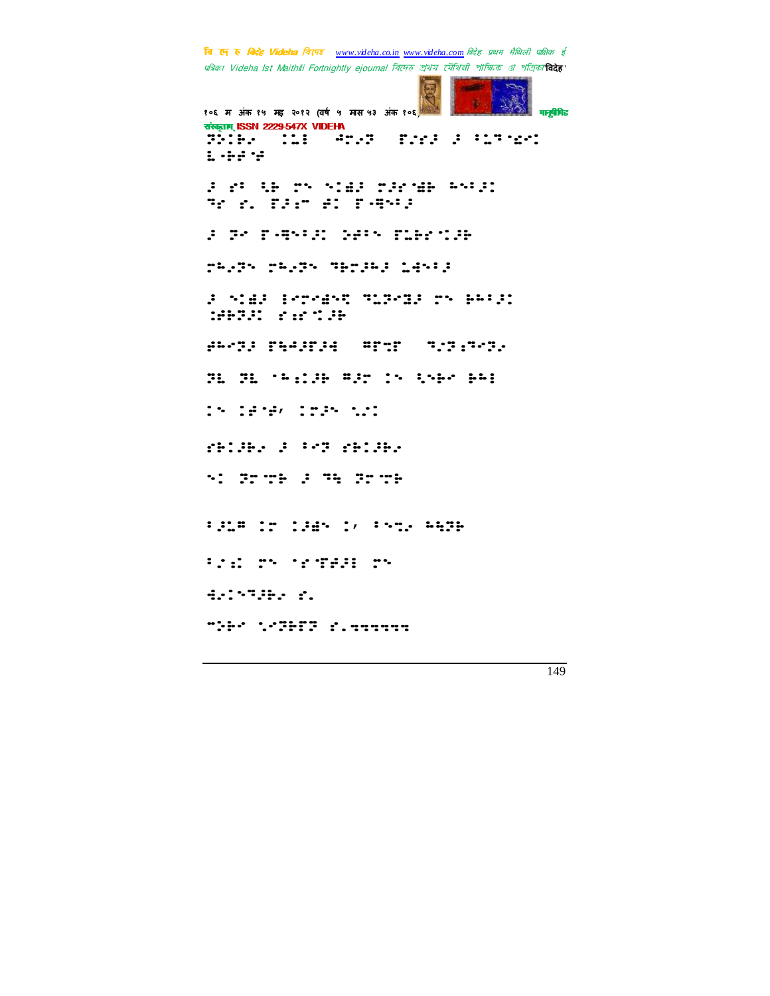१०६ म अंक १५ मइ २०१२ (वष ५ मास ५३ अंक १०६) मानुषीिमह  $\frac{1}{2}$   $\frac{1}{2}$   $\frac{1}{2}$   $\frac{1}{2}$   $\frac{1}{2}$   $\frac{1}{2}$   $\frac{1}{2}$   $\frac{1}{2}$   $\frac{1}{2}$   $\frac{1}{2}$   $\frac{1}{2}$   $\frac{1}{2}$   $\frac{1}{2}$   $\frac{1}{2}$   $\frac{1}{2}$   $\frac{1}{2}$   $\frac{1}{2}$   $\frac{1}{2}$   $\frac{1}{2}$   $\frac{1}{2}$   $\frac{1}{2}$   $\frac{1}{2}$  ⢽⢵⢷⢴!-⣅2!-⢺⢴⢽!-/1⢼!⢼!A⣅⢹⣎!  $L$   $\div$   $\div$ ⢼!A!⣃⢷!!⣞⢼!⢼⣞⢷!⢳A⢼!  $T$ : :.  $T$ : :. :.  $T$ ⢼!⢽!/B⣛A⢼!⢵⢾A!/⣅⢷⢼⢷!! ⢳⢴⢽!⢳⢴⢽!⢹⢷⢼⢳⢼!⣅⣚A⢼!! ⢼!⣞⢼!2⣞⣋!⢹⣅⢽⣝⢼!!⢷⢳A⢼! ⣈⢾⢷⢽⢼!⣐⢼⢷!! ⢾⢳⢽⢼!/⣓⢺⢼/⢼⣚!-⢻/⣉/!-⢹1⢽⣐⢹⢽⢴!! ⢽⣇.⢽⣇!⢳⣐⢼⢷!⢻⢼!!⣃⢷!⢷⢳2!! !⢾⢾**'**!⢼!⣁1!! ⢷⢼⢷⢴!⢼!A⢽!⢷⢼⢷⢴!! **. ?: :: : :: ?: ?: ::** A⢼⣅⢻!!⢼⣞!**'**!A⣉⢴!⢳⣓⢽⢷!! And the control of ⣚⢴⢹⢼⢷⢴!E!! b⢵⢷!⣁⢽⢷/⢽!E⣒⣒⣒⣒⣒⣒!!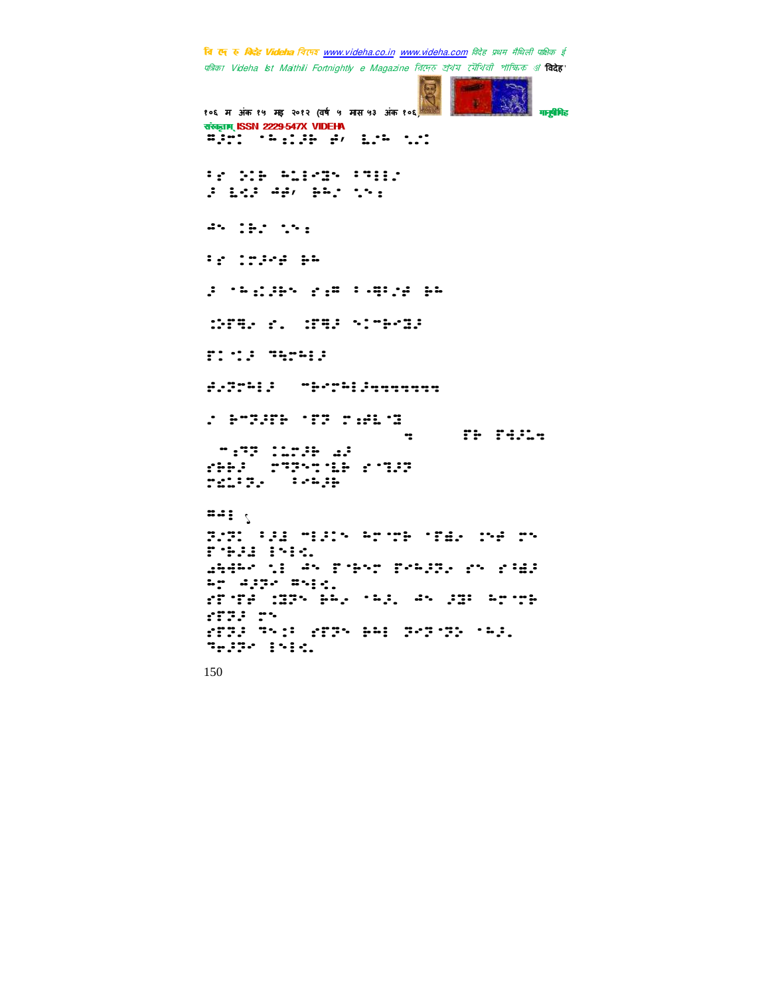१०६ म अंक १५ मइ २०१२ (वष ५ मास ५३ अंक १०६) मानुषीिमह संस्कृतम् ISSN 2229-547X VIDEHA ⢻⢼!⢳⣐⢼⢷!⢾**'**!⣇1⢳!⣁1!!  $\mathbb{R}$  . The anisotropic state ⢼!⣇⣊⢼!⢺⢾**'**!⢷⢳1!⣁⣐!! **AN INT TO 1998** A: :rad: Pr ⢼!⢳⣐⢼⢷!⣐⢻!AB⣛A1⢾!⢷⢳!! ⣈⢵/⣛⢴!E!⣈/⣛⢼!b⢷⣝⢼!! /⢼!⢹⣓⢳2⢼!! ⢾⢴⢽⢳2⢼!-b⢷⢳2⢼⣒⣒⣒⣒⣒⣒⣒! 1!⢷b⢽⢼/⢷!/⢽!⣐⢾⣇⣝! hhbkfoesbAwjefib⣒dpn!/⢷!/⣚⢼⣅⣒!! " **:": :::::: ::** ⢷⢷⢼-!⢹⢽⣉⣇⢷!⣙⢼⢽! ⣎⣅A⢽⢴-!A⢳⢼⢷!  $\ldots$  $\ddot{1}$ /⢷⢼⣜!22⣊E! ⣔⣓⣚⢳!⣁2!⢺!/⢷./⢳⢼⢽⢴!!⢸⣞⢼! **We also sale.** //⢾!⣈⣝⢽!⢷⢳⢴!⢳⢼E!⢺!⢼⣝A!⢳⢷! /⢽⢼!! /⢽⢼!⢹⣈A!/⢽!⢷⢳2!⢽⢽⢽⢵!⢳⢼E! ⢹⢶⢼⢽!22⣊E!!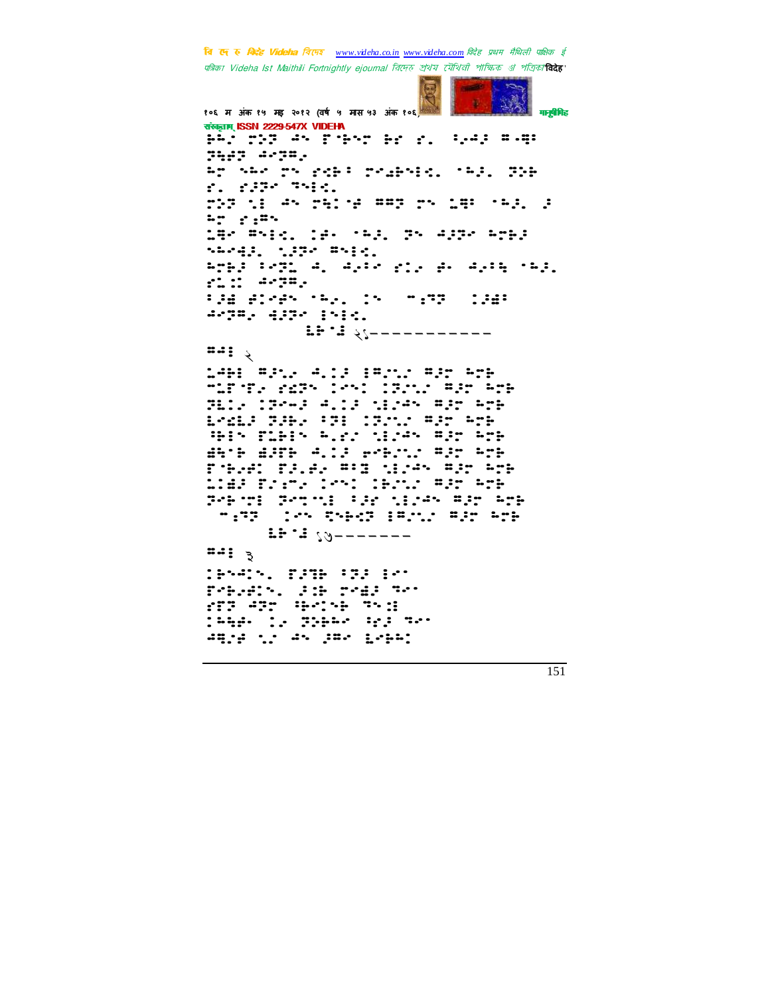```
१०६ म अंक १५ मइ २०१२ (वर्ष ५ मास ५३ अंक १०६)
                                  मानुबेगिह
संस्कृतम् ISSN 2229-547X VIDEHA
Which a per k n yapog
Pher arre.
an san na real nagaig. Tal 200
f. fir<sup>t</sup> wit.
2007 1: 45 29:12 889 25 18:18:12
\mathbb{R}^n : \mathbb{R}^nin mid in the Stage And
sargj, tj?r msit.
ATES EXTL 4, 4,000 SI, A. 4,00 MASS.
fill Arpsy
Arpo. 4:pr :~::.
          L + L \sqrt{2} \sqrt{2}\cdots148 80. 80. 90. 80. 80. 90
minder control control and any
BOOK CRAFT ALLE SINA RUN RUN
Brews Supplies (Supplies) Are
mar com a constant and
89: 88: 40: 89: 89: 89
<u> 100 F.P. 101 101 101 200 000 </u>
Seben Seren (Britan Arab Arb
 meth (an theor count of and
      1.5.75 2.9 - - - - - - -\ldots195425, SING 172 EST
Present de rregiser<br>2003: Primeira Sta
This : Stille is: 90
Agjeric As (Mar 1966)
```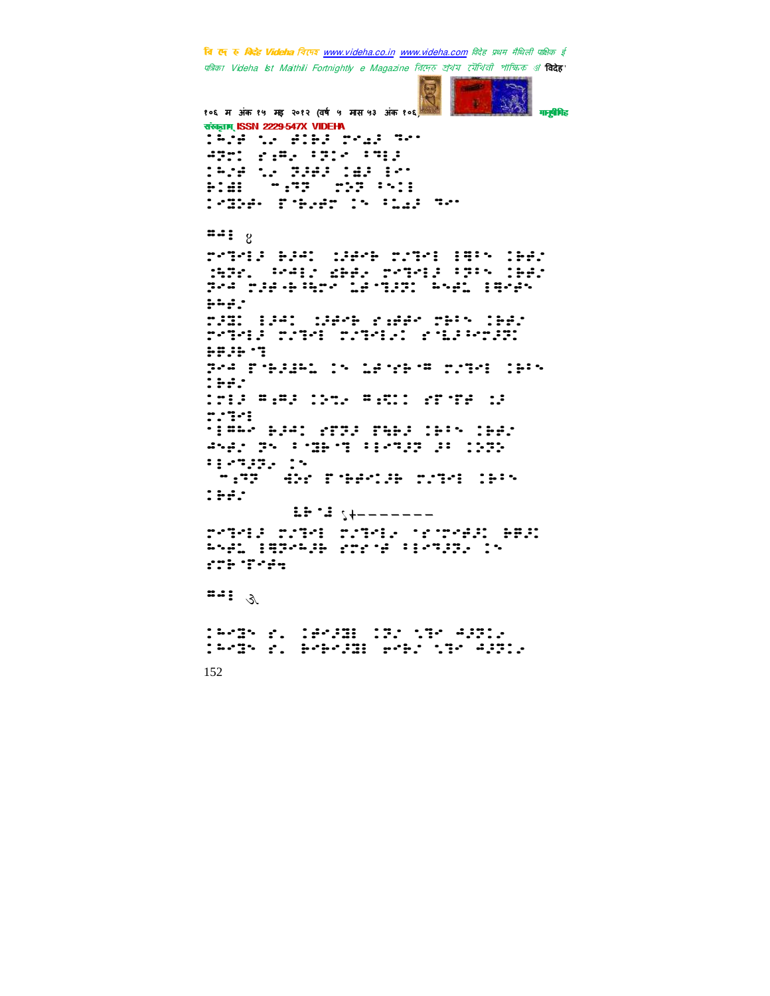**Separate** 

१०६ म अंक १५ मइ २०१२ (वष ५ मास ५३ अंक १०६) मानुषीिमह संस्कृतम् ISSN 2229-547X VIDEHA 152 ;i; : :::: r... \* ⢺⢽!⣐⢻⢴!A⢽!A⢹2⢼! 1₽*:*# w 32#2 1#2 1\*1<br>B:#1 '°:72 1%2 1%1 ⢷⣞2!#b⣐⢹⢽#!⢵⢽!A2! ⣝⢵⢾c!/⢷⢴⢾!!A⣅⣔⢼!⢹!!  $\ldots$ ⣙2⢼!⢷⢼⢺!⣈⢼⢾⢷!1⣙2!2⣛A!⢷⢾1! ⣈⣓⢽E!⢸⢺21!⣎⢷⢾⢴!⣙2⢼!A⢽A!⢷⢾1!! ⢽⢺!⢼⢾B⢷⢸⣓!⣅⢾⣙⢼⢽!⢳⢾⣅!2⣛⢾! ⢷⢳⢾1! ⢼⣝!2⢼⢺!⣈⢼⢾⢷!⣐⢾⢾!⢷A!⢷⢾1!! ⣙2⢼.1⣙2.1⣙2⢴!⣇⢼⢸⢼⢽! ⢷⢿⢼⢷⣙! ⢽⢺!/⢷⢼⣜⢳⣅!!⣅⢾⢷⢻!1⣙2!⢷A! ∷÷. 2⢼.⢻⣐⢻⢼.⢵⣉⢴.⢻⣐⣋!//⢾!⣈⢼(!  $r : T$ 2⢻⢳!⢷⢼⢺!/⢽⢼!/⣓⢷⢼!⢷A!⢷⢾1!  $\overline{1}$  $\frac{2}{7}$ #b: THE:B 2221 16:5  $:$   $:$   $:$ .......⣇⢷⣜.-------  $T$  $\frac{1}{2}$ ⢷/⢾⣒!  $\ddot{z}$ ⢳⣝!E!⢾⢼⣝2!⢽1!⣁⣙!⢺⢼⢽⢴! ⢳⣝!E!⢷⢷⢼⣝2!⢶⢷1!⣁⣙!⢺⢼⢽⢴!!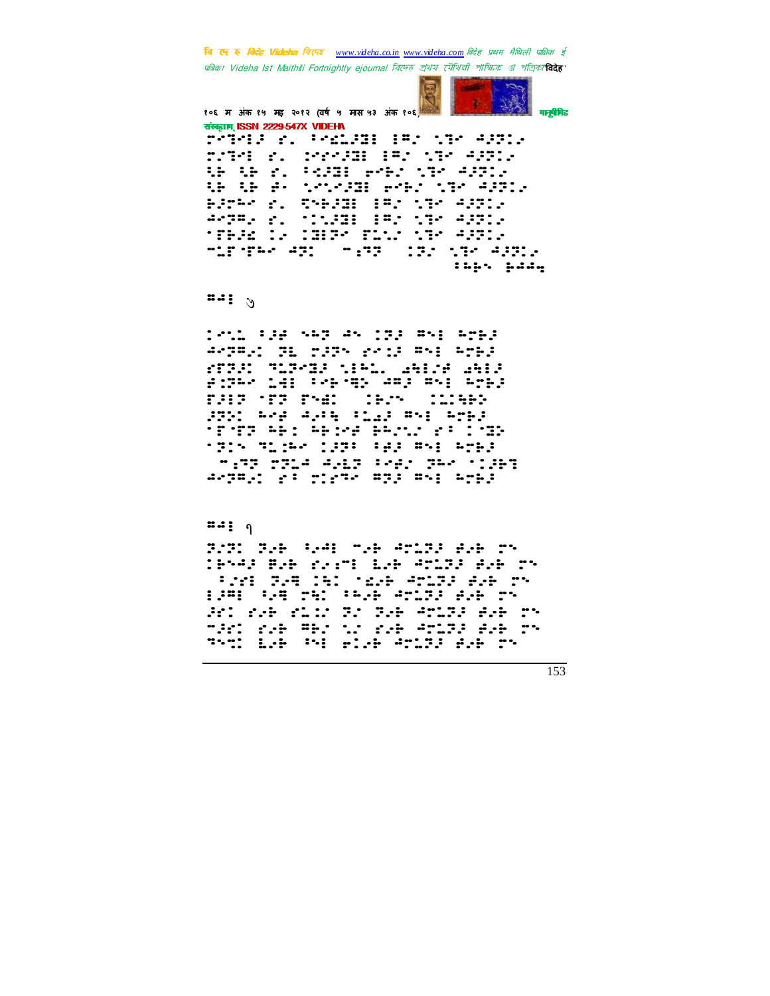

संस्कृतम् ISSN 2229-547X VIDEHA rètens ri Gericon par tor ancie 16 16 20 101210 2010 101 101 1 475. : 1138 B: 15 481. <u> - 1999 - 1999 - 1999 - 1999 - 1999 - 1999 - 1999 - 1999 - 1999 - 1999 - 1999 - 1999 - 1999 - 1999 - 1999 - 1</u> **132 MP 4331.** This hadde

## $\mathfrak{g}$  :  $\mathfrak{g}$

1011 112 547 45 171 851 6721 **APROVIS THE SENSE REPORTS FORE 10: 000 THE 200 AND 1000**  $: 1: 2: 3$ ::: : : : : **PASS 199 PMD 222: Ard Apia Claimer: Arad** 'T'TT AB: AB:rd BAJW 23 1'OB 1305 Miller (231-182 MS) Appl - 22 232 4.12 1.2. 200 1.12 argonizat plroma oga osa srea

 $\mathbf{z} = \mathbf{z} \cdot \mathbf{q}$ 

1911 - 1912 - 1913 - 1914 - 1915 - 1916 - 1917<br>1918 - 1918 - 1919 - 1919 - 1919 - 1919 - 1919 - 1919 - 1919 - 1919 - 1919 - 1919 - 1919 - 1919 - 1919 - 1919 **The Separator Collection and The Separator** : .... : ... ... : ... ... ... ... ... del education de son della compo ndel ear Arc is ear Anigo Aar ny<br>gwnoliar (wr acar Anigo Aar ny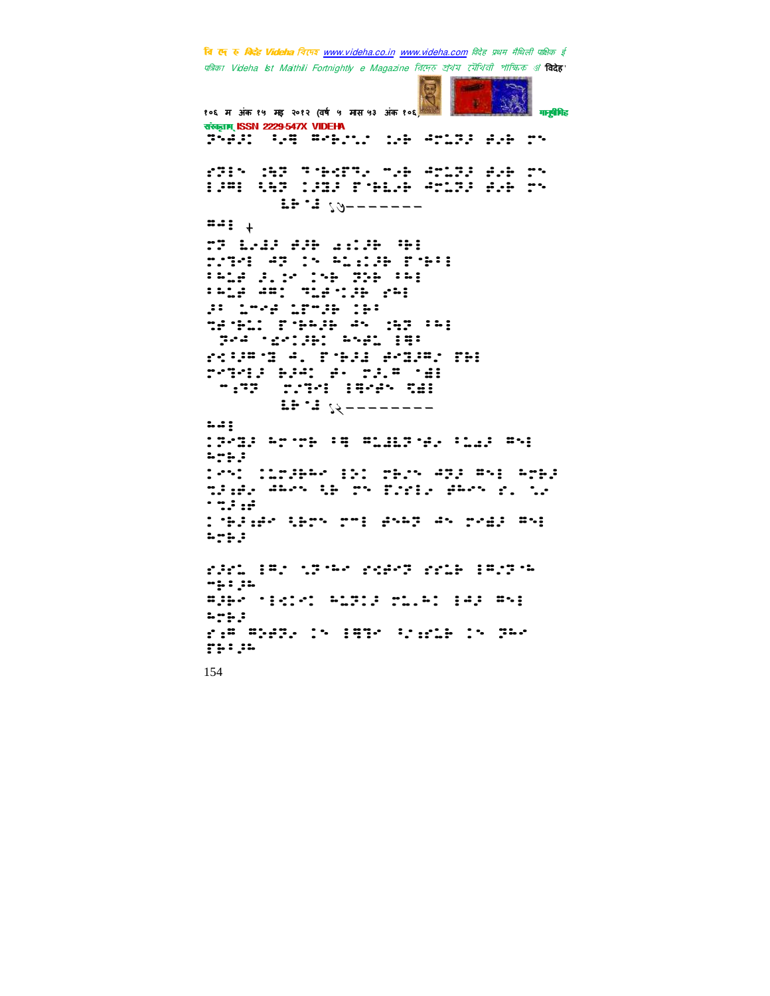**Separate** × १०६ म अंक १५ मइ २०१२ (वर्ष ५ मास ५३ अंक १०६) मानुबेगिह संस्कृतम् ISSN 2229-547X VIDEHA ric: we model when consider to  $L = -1 - -\sqrt{2}$  $= -2$ **77 LAIR ASH 21138 SH TOP STATES SECTIONS** :412 2.10 752 752 :41 96908 PH  $\begin{picture}(20,20) \put(0,0){\vector(1,0){10}} \put(15,0){\vector(1,0){10}} \put(15,0){\vector(1,0){10}} \put(15,0){\vector(1,0){10}} \put(15,0){\vector(1,0){10}} \put(15,0){\vector(1,0){10}} \put(15,0){\vector(1,0){10}} \put(15,0){\vector(1,0){10}} \put(15,0){\vector(1,0){10}} \put(15,0){\vector(1,0){10}} \put(15,0){\vector(1,0){10}} \put(15,0){\vector(1$ 3: 1-4: 1P-38 18: **WHITERS & HI WE P.A. .201301 A.M. 191** ROUND 4. PAUL POUR TH rang pada taun **-:33 ::34: :900 58:**  $1.71 \times 10^{-10}$  $1.11$ **TAGE AND THE BLOCK OF BUILDING Arbi Constant Constant And Arab** the Art & ty Dide Art & th  $1.73 \times 10^{-4}$ **Theam Gry rme and an real dne Arba** ran :=: uzdan readz reim :=:zda  $-112.71$ **A:B+ +:::: ALT:: rL.B: :4: 84: Arbit** re man : S don bail : S par :::: 154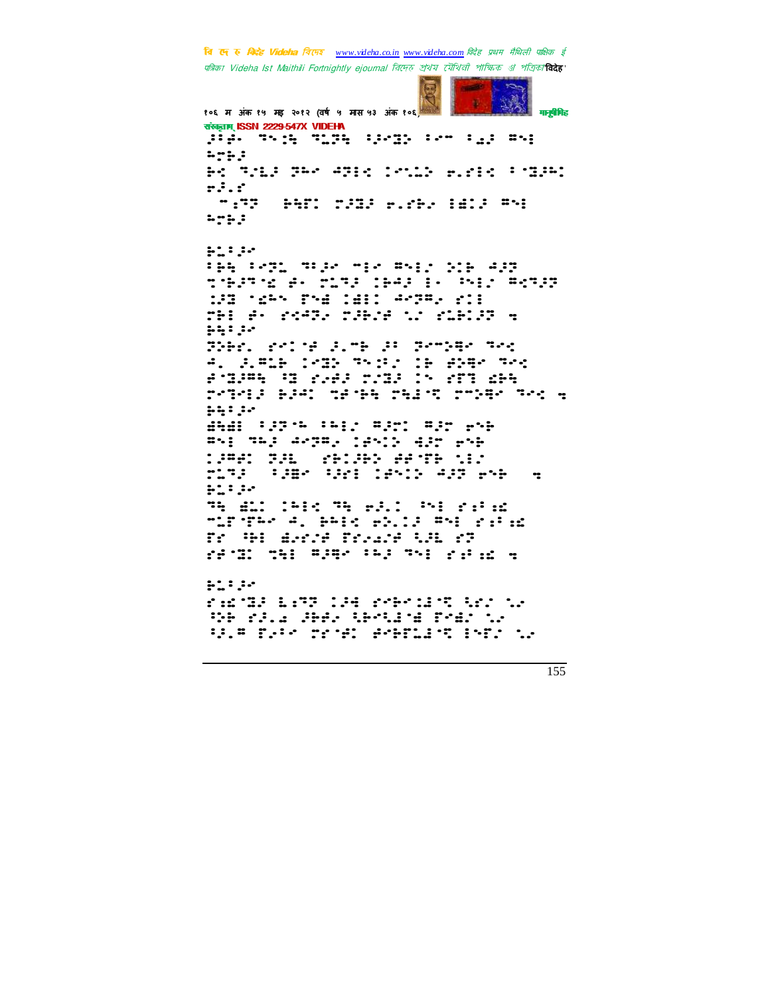$\mathcal{G}$ १०६ म अंक १५ मइ २०१२ (वर्ष ५ मास ५३ अंक १०६) मानुबेगिह संस्कृतम् ISSN 2229-547X VIDEHA jië, skie sijn likin (kr (g) man **Arbj** 80 T.L. TWO ATEN INSIDE BIR POINT  $\mathbf{r}$ .  $\mathbf{r}$  $-22$ **ANTI TIDE WORK THIS WAY ATHA BLOCK 195 1-72 High Mir Haid Cop 432** tipre posso das lo min moss **BACK** The stellen in percenter 2009 0 :4: 000 : 00 :5 rendi bio den richt rolle noch partie. 888 : 00 8 : 00 : 00 80 80 80 **WARE SEE TITE : :::: :::: ::::: :::: :::: :::** . Bille <u> 11 de julio 11 de julio 11 de julio </u> "STYR'S, BASE ALL: "MORE CO. n Aland Mud W d reno na mpo de na relación  $P: P: P$ r. 1911 - 1911 - 1922 - 1922 - 1922 - 1922 - 1922 - 1922 - 1922 - 1922 - 1922 - 1922 - 1922 - 1922 - 1922 - 19 th dia Herthing Ports **BEATHER STATES IN THE SECTION OF A SECTION OF A SECTION OF A SECTION OF A SECTION OF A SECTION OF A SECTION OF**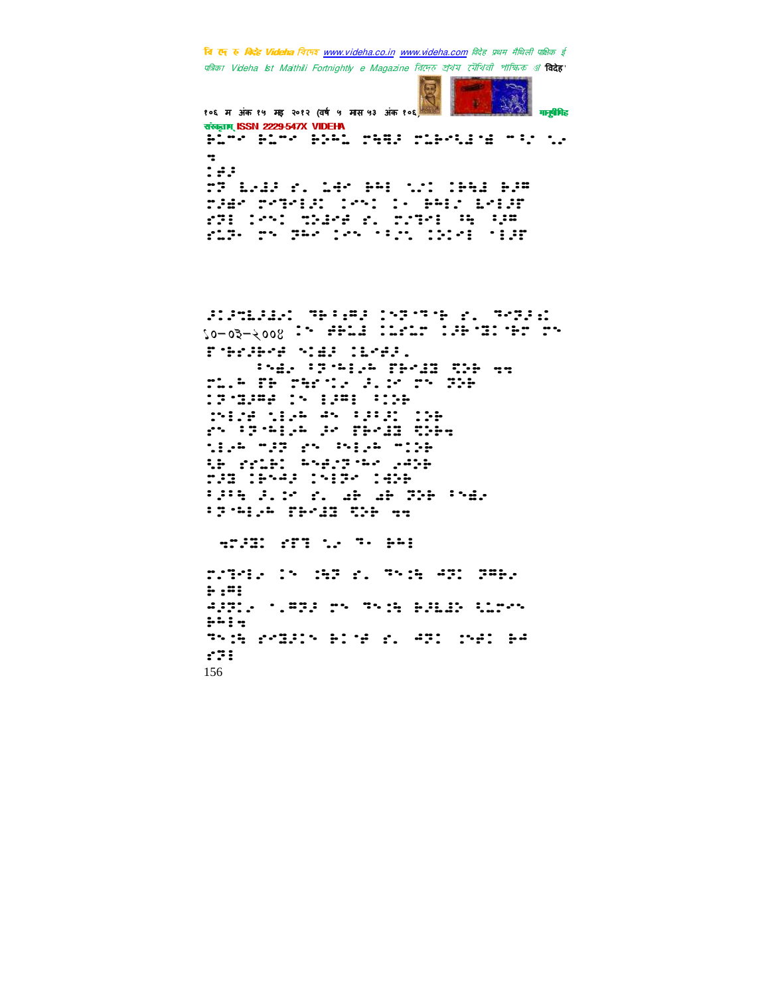

संस्कृतम् ISSN 2229-547X VIDEHA ⢷⣅b.⢷⣅b!⢷⢵⢳⣅!⣓⣛⢼!⣅⢷⣃⣜⣞!b⢸1!⣁⢴!  $\ddot{\bullet}$ ⢾⢼.2! ⢽!⣇⢴⣜⢼!E!⣅⣚!⢷⢳2!⣁1!⢷⣓⣜!⢷⢼⢻!  $T.H.$   $T.H.$   $T.H.$   $T.H.$   $T.H.$   $T.H.$   $T.H.$   $T.H.$   $T.H.$   $T.H.$   $T.H.$ ⢽2!!⣉⢵⣜⢾!E!1⣙2!⢸⣓.⢸⢼⢻!!  $^{\prime}$   $^{\prime}$   $^{\prime}$   $^{\prime}$   $^{\prime}$   $^{\prime}$   $^{\prime}$   $^{\prime}$   $^{\prime}$   $^{\prime}$   $^{\prime}$   $^{\prime}$   $^{\prime}$   $^{\prime}$   $^{\prime}$   $^{\prime}$   $^{\prime}$   $^{\prime}$   $^{\prime}$   $^{\prime}$   $^{\prime}$   $^{\prime}$   $^{\prime}$   $^{\prime}$   $^{\prime}$   $^{\prime}$   $^{\prime}$   $^{\prime}$   $^{\prime}$   $^{\prime}$   $^{\prime}$   $^{\prime}$ 

## ⢼⢼⣉⣇⢼⣜⢴!⢹⢷⢸⣐⢻⢼!⢽⢹⢷!E!⢹⢽⢼⣐! ------ !⢾⢷⣅⣜.⣅⣅!⢼⢷⣝⢷!! /⢷⢼⢷⢾!⣞⢼!⣇⢾⢼⣀.! )2\*!A⣞⢴!A⢽⢳2⢴⢳!/⢷⣜⣝!⣋⢵⢷!⣒⣒! ⣅E⢳!/⢷!⣓⢴!⢼E⣈!!⢽⢵⢷! ⢽⣝⢼⢻⢾!!2⢼⢻2!A⢵⢷! ⣈21⢾!⣁2⢴⢳!⢺!A⢼A⢼!⢵⢷! !A⢽⢳2⢴⢳!⢼!/⢷⣜⣝!⣋⢵⢷⣒!! ⣁2⢴⢳!b⢼⢽!!⢸2⢴⢳!b⢵⢷! ⣃⢷!⣅⢷!⢳⢾1⢽⢳!⢴⢺⢵⢷! ⢼⣝!⢷⢺⢼!2⢽!⣚⢵⢷! A HE SHE AN A A REAL A⢽⢳2⢴⢳!/⢷⣜⣝!⣋⢵⢷!⣒⣒!

3⣒⢼⣝!/⣙!⣁⢴!⢹c!⢷⢳2!!

156 1⣙2⢴!!⣈⣓⢽!E!⢹⣈⣓!⢺⢽!⢽⢻⢷⢴! ⢷⣐⢻2! ⢺⢼⢽⢴!E⢻⢽⢼!!⢹⣈⣓!⢷⢼⣇⣜⢵!⣃⣅! **E** ⢹⣈⣓!⣝⢼!⢷⢾!E!⢺⢽.⣈⢾!⢷⢺! ⢽2!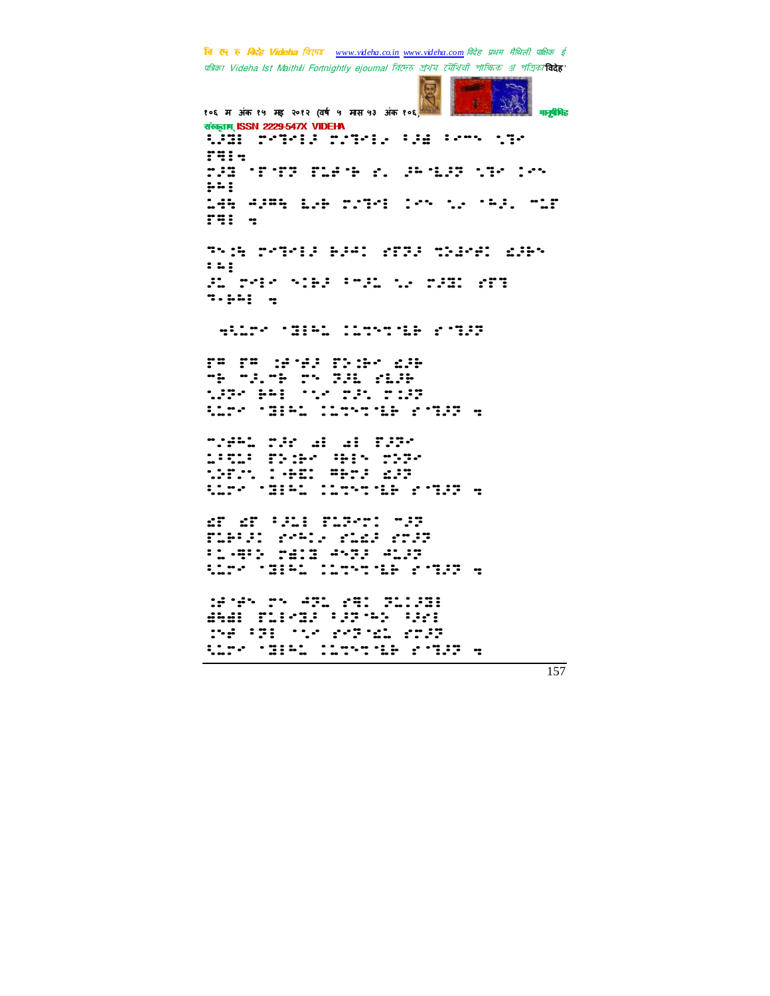$\mathcal{G}$ १०६ म अंक १५ मइ २०१२ (वष ५ मास ५३ अंक १०६) मानुषीिमह संस्कृतम् ISSN 2229-547X VIDEHA ⣃⢼⣝2!⣙2⢼!1⣙2⢴!A⢼⣞!Ab!⣁⣙! /⣛2⣒! ⢼⣝!//⢽!/⣅⢾⢷!E!⢼⢳⣇⢼⢽!⣁⣙!!  $, 2$ ⣅⣚⣓!⢺⢼⢻⣓!⣇⢴⢷!1⣙2!!⣁⢴!⢳⢼E!b⣅/! /⣛2!⣒! ⢹⣈⣓!⣙2⢼!⢷⢼⢺!/⢽⢼!⣉⢵⣜⢾!⣎⢼⢷!  $2.2$ ⢼⣅!2!⢷⢼!Ab⢼⣅!⣁⢴!⢼⣝!/⣙! ⢹c⢷⢳2!⣒! 4⣒⣃⣅!⣝2⢳⣅!⣅⣉⣉⣇⢷.⣙⢼⢽!! /⢻./⢻!⣈⢾⢾⢼!/⢵⣈⢷!⣎⢼⢷! th this possible can ⣁⢼⢽!⢷⢳2!⣁!⢼⣁.⣈⢼⢽! We can consider the construction of the construction of the construction of the construction of the construction of the set of the set of the set of the set of the set of the set of the set of the set of the set of the set of the s ⣅A⣋⣅A!/⢵⣈⢷!⢸⢷2!⢵⢽! ⣁⢵/1⣁!B⢷⣏!⢻⢷⢼!⣎⢼⢽! ⣃⣅!⣝2⢳⣅!⣅⣉⣉⣇⢷.⣙⢼⢽!⣒! ⣎/.⣎/!A⢼⣅2!/⣅⢽!b⢼⢽! /⣅⢷A⢼!⢳⢴!⣅⣎⢼!⢼⢽! A⣅B⣛A⢵!⣞⣝!⢺⢽⢼!⢺⣅⢼⢽! ⣃⣅!⣝2⢳⣅!⣅⣉⣉⣇⢷.⣙⢼⢽!⣒! ⣈⢾⢾!!⢺⢽⣅!⣛!⢽⣅⢼⣝2! ⣞⣓⣞2!/⣅2⣝⢼!A⢼⢽⢳⢵!⢸⢼2! ⣈⢾!A⢽2!⣁!⢽⣎⣅!⢼⢽! ⣃⣅!⣝2⢳⣅!⣅⣉⣉⣇⢷.⣙⢼⢽!⣒!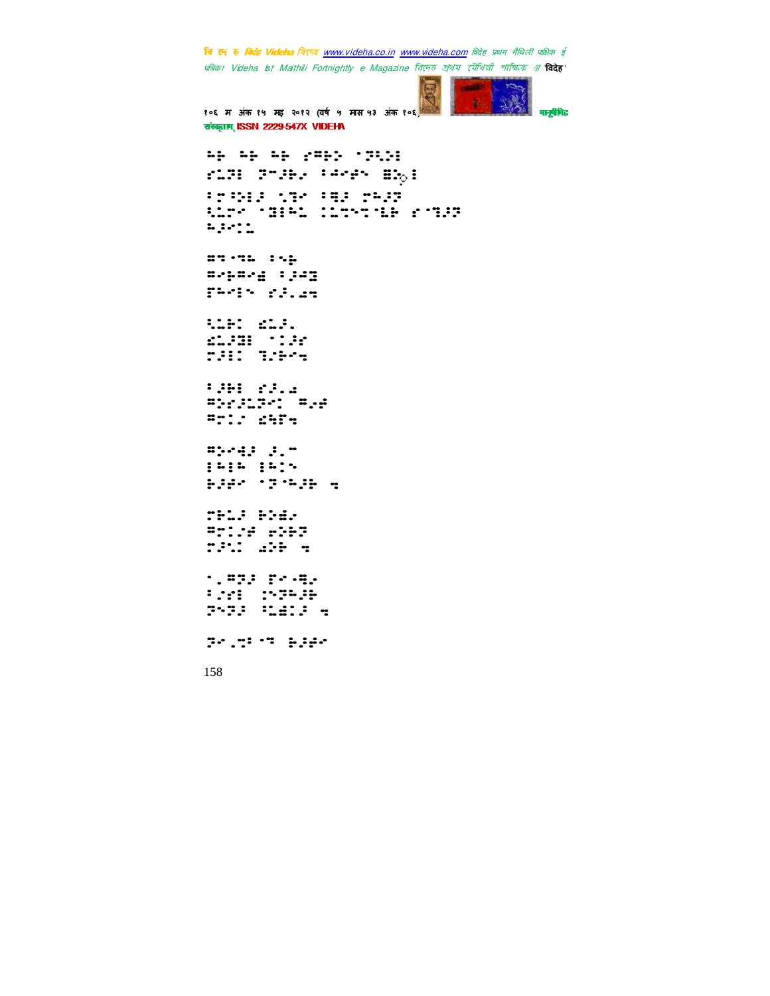चि एक रु मिन्हे Videha विएक www.videha.co.in www.videha.com विदेह प्रथम मैथिली पाक्षिक ई पत्रिका Videha Ist Maithili Fortnightly e Magazine রিদেহ প্রথম মৌথিনী পাক্ষিক রা **বিदेह**' १०६ म अंक १५ मइ २०१२ (वष ५ मास ५३ अंक १०६) मानुषीिमह संस्कृतम् ISSN 2229-547X VIDEHA 158 ⢳⢷.⢳⢷.⢳⢷!⢻⢷⢵!⢽⣃⢵2! ⣅⢽2!⢽b⢼⢷⢴!A⢺⢾!⣟⢵◌़2! A⢸⢵2⢼!⣁⣙!A⣛⢼!⢳⢼⢽! **U.P. 1200 1200 1200 1200 1200 1200**  $\ddot{a}$  $\blacksquare$ ⢻⢷⢻⣞!A⢼⢺⣝! /⢳2!⢼E⣔⣒!! **WESTERN STREET** ⣎⣅⢼⣝2!⢼!  $T$ .  $T$ :  $T$ AH SAL **WEIGHT:** ⢻1!⣎⣓/⣒! ⢻⢵⣚⢼!⢼Eb! 2⢳2⢳!2⢳! ⢷⢼⢾!⢽⢳⢼⢷!⣒!  $T$ ⢻1⢾!⢶⢵⢷⢽! ;;;; .;;; .; E⢻⢽⢼!/B⣛⢴! A12!⣈⢽⢳⢼⢷! ⢽⢽⢼!⢸⣅⣞⢼!⣒! ⢽⣀⣉A⢹!⢷⢼⢾!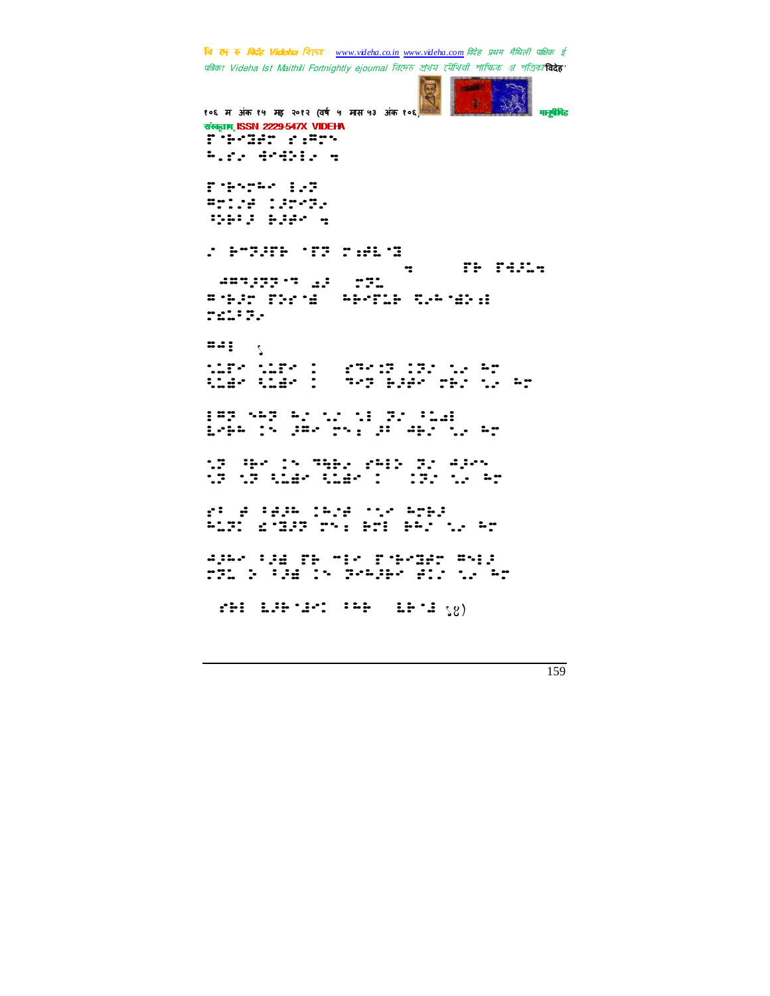१०६ म अंक १५ मइ २०१२ (वष ५ मास ५३ अंक १०६) मानुषीिमह संस्कृतम् ISSN 2229-547X VIDEHA /⢷⣝⢾!⣐⢻!  $E$ . $E$ . 4.000. /⢷⢳!2⢴⢽! #1102 12007. ⢸⢵⢷A⢼!⢷⢼⢾!⣒! 1!⢷b⢽⢼/⢷!/⢽!⣐⢾⣇⣝! hhbkfoesbAwjefib⣒dpn!/⢷!/⣚⢼⣅⣒!! !⢺⢻⢹⢼⢽⢽⢹!⣔⢼!(⢽⣅(!! ⢻⢷⢼!/⢵⣞.!⢳⢷/⣅⢷!⣋⢴⢳⣞⢵⣐2-!  $T$  $\cdots$ ⣁⣅/.⣁⣅/!(!⢹⣈⢽!⢽1!⣁⢴!⢳!! ⣃⣅⣞.⣃⣅⣞!(!⢹⢽!⢷⢼⢾!⢷1!⣁⢴!⢳!! 2⢻⢽!⢳⢽!⢳1!⣁1!⣁2!⢽1!A⣅⣔2!!! ⣇⢷⢳!!⢼⢻!⣐!⢼A!⢺⢷1!⣁⢴!⢳!! ⣁⢽!⢸⢷!!⢹⣓⢷⢴!⢳2⢵!⢽1!⢺⢼! ⣁⢽.⣁⢽!⣃⣅⣞.⣃⣅⣞!(!⢽1!⣁⢴!⢳!! A! A !A!A !A!A !A!A !A P ⢳⣅⢽!⣎⣝⢼⢽!⣐!⢷2!⢷⢳1!⣁⢴!⢳!! ⢺⢼⢳!A⢼⣞!/⢷!b2!/⢷⣝⢾!⢻2⢼!! ⢽⣅!⢵!A⢼⣞!!⢽⢳⢼⢷!⢾1!⣁⢴!⢳!! )⢷2!⣇⢼⢷⣜!A⢳⢷-!⣇⢷⣜. )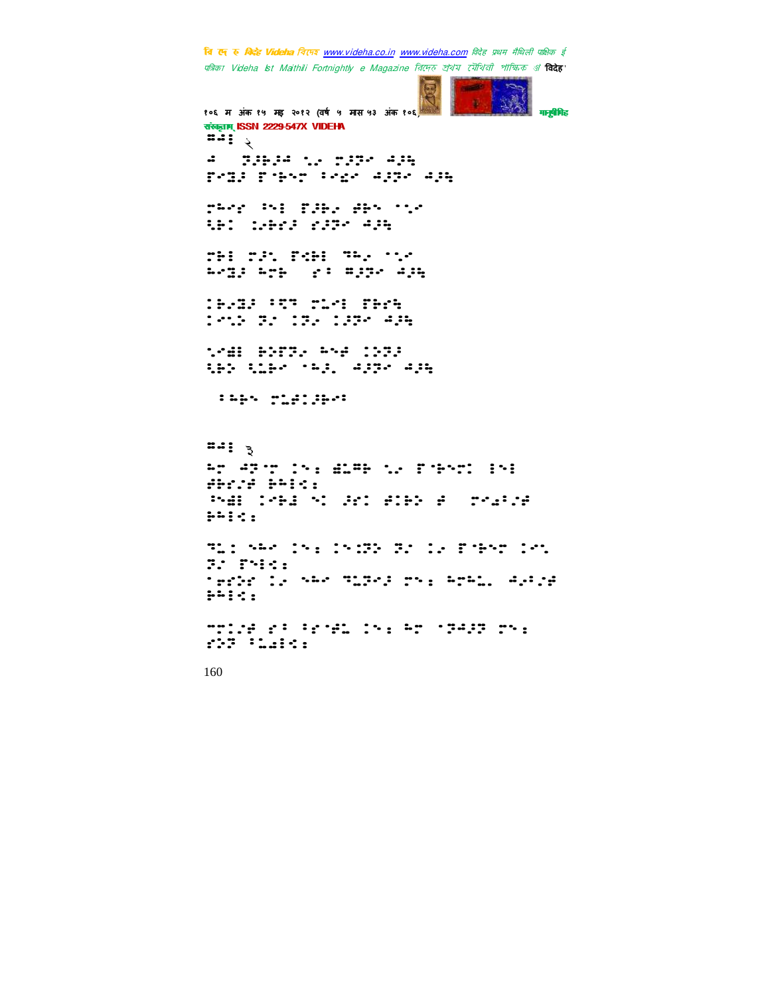१०६ म अंक १५ मइ २०१२ (वष ५ मास ५३ अंक १०६) मानुषीिमह संस्कृतम् ISSN 2229-547X VIDEHA 160 ⢻⢺2. ⢺(!⢽⢼⢷⢼⢺!⣁⢴!⢼⢽!⢺⢼⣓! /⣝⢼!/⢷!A⣎!⢺⢼⢽!⢺⢼⣓!!  $T^2$   $T^2$   $T^2$   $T^2$   $T^2$   $T^2$   $T^2$   $T^2$   $T^2$   $T^2$  $'$  :  $'$  :  $'$  :  $'$  :  $'$  :  $'$  :  $'$  :  $'$  :  $'$  :  $'$  :  $'$  :  $'$  :  $'$  :  $'$  :  $'$  :  $'$  :  $'$  :  $'$  :  $'$  :  $'$  :  $'$  :  $'$  :  $'$  :  $'$  :  $'$  :  $'$  :  $'$  :  $'$  :  $'$  :  $'$  :  $'$  :  $'$  :  $'$  :  $'$  :  $'$  :  $'$  :  $'$  : ⢷2!⢼⣁!/⣊⢷2!⢹⢳⢴!⣁!! **LAN: UP: 200** ⢷⢴⣝⢼!A⣋⢹!⣅2!/⢷⣓! ⣁⢵!⢽1!⢽⢴!⢼⢽!⢺⢼⣓!! ⣁⣞2!⢷⢵/⢽⢴!⢳⢾!⢵⢽⢼!! ⣃⢷⢵!⣃⣅⢷!⢳⢼E!⢺⢼⢽!⢺⢼⣓!! )A⢳⢷.⣅⢾⢼⢷A-!233!.233.233\*!  $\ldots$  $\frac{1}{2}$  . The state of the state  $\frac{1}{2}$ ⢾⢷1⢾!⢷⢳2⣊⣐! **Ball (02) State and State** ⢷⢳2⣊⣐!  $\mathcal{T}$  is the control of  $\mathcal{T}$  . The control of  $\mathcal{T}$ ED PHESE ⢶⢵!⢴!⢳!⢹⣅⢽⢼!⣐!⢳⢳⣅E!⢺⢴A1⢾! ⢷⢳2⣊⣐! bili da katifa tana kata tana a ⢵⢽!A⣅⣔2⣊⣐!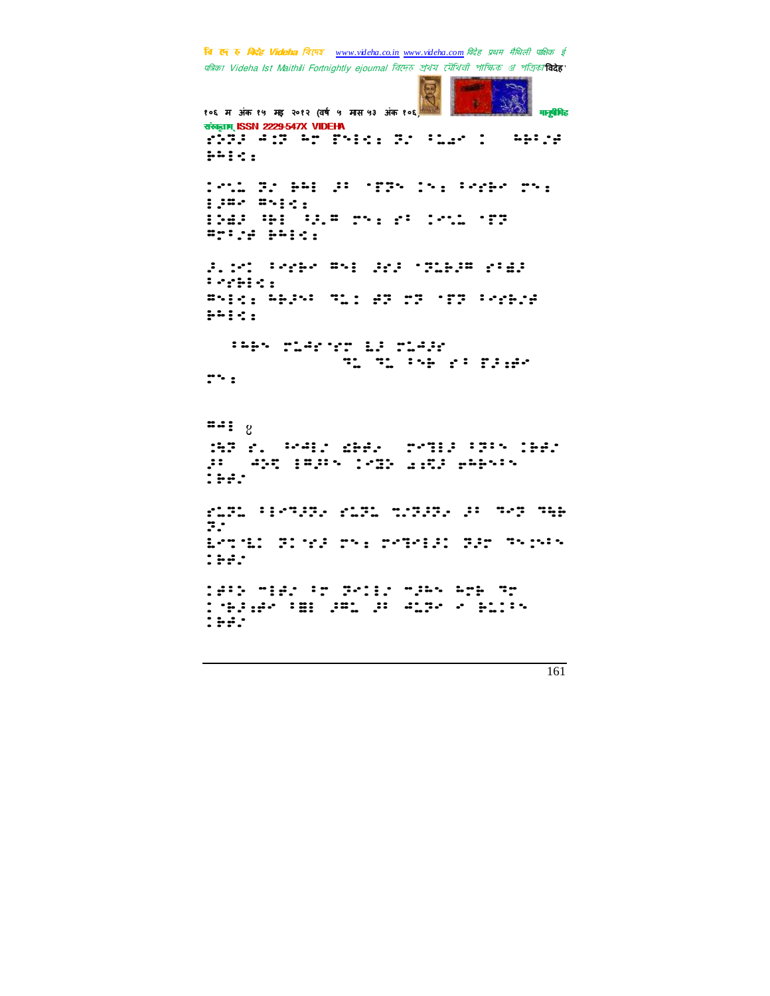१०६ म अंक १५ मइ २०१२ (वष ५ मास ५३ अंक १०६) मानुषीिमह संस्कृतम् ISSN 2229-547X VIDEHA  $\overline{1}$   $\overline{2}$   $\overline{3}$   $\overline{4}$   $\overline{2}$   $\overline{1}$   $\overline{2}$   $\overline{2}$   $\overline{2}$   $\overline{2}$   $\overline{2}$   $\overline{2}$   $\overline{2}$   $\overline{2}$   $\overline{2}$   $\overline{2}$   $\overline{2}$   $\overline{2}$   $\overline{2}$   $\overline{2}$   $\overline{2}$   $\overline{2}$   $\overline{2}$   $\overline{2}$   $\over$ ⢷⢳2⣊⣐! ⣁⣅!⢽1!⢷⢳2!⢼A!/⢽!⣐!A⢷!⣐! 2⢼⢻!⢻2⣊⣐! 2⢵⣞⢼!⢸⢷2!⢸⢼E⢻!⣐!A!⣁⣅!/⢽! ESSING PRINTS  $E$  . The state of the state  $\mathcal{L}$ A⢷2⣊⣐! ⢻2⣊⣐!⢳⢷⢼A!⢹⣅⣈!⢾⢽.⢽!/⢽!A⢷1⢾! ⢷⢳2⣊⣐! )!A⢳⢷!⣅⢺!⣇⢼!⣅⢺⢼! 3323.3233-!⢹⣅.⢹⣅!A⢷!⢸!/⢼⣐⢾!  $\mathbb{R}^n$  :  $z = \frac{1}{2}$  $'$  :  $'$  :  $''$  :  $''$  :  $''$  :  $''$  :  $''$  :  $''$  :  $''$  :  $''$  :  $''$  :  $''$  :  $''$  :  $''$  :  $''$  :  $''$  :  $''$  :  $''$  :  $''$  :  $''$  :  $''$  :  $''$  :  $''$  :  $''$  :  $''$  :  $''$  :  $''$  :  $''$  :  $''$  :  $''$  :  $''$  :  $''$  :  $''$  :  $''$  :  $''$  :  $''$  :  $''$  :  $\blacksquare$ ⢷⢾1! ⣅⢽⣅!A2⢹⢼⢽⢴!⣅⢽⣅!⣉1⢽⢼⢽⢴!⢼A!⢹⢽!⢹⣓⢷!  $\ddot{.}$ L'INS DE LA PROVINCIA DE LA PROVINCIA DE L'ARCHETA ⢷⢾1!  $\mathbf{H}$ ⢷⢼⣐⢾!A⣟2!⢼⢻⣅!⢼A!⢺⣅⢽!!⢷⣅A! ⢷⢾1!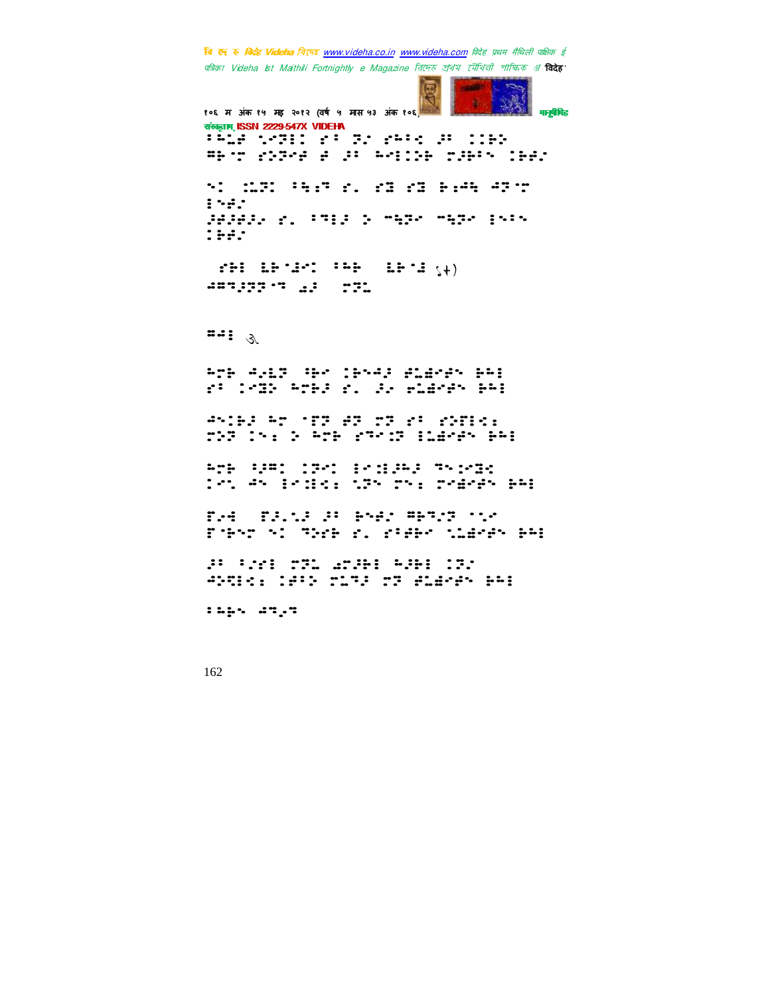१०६ म अंक १५ मइ २०१२ (वष ५ मास ५३ अंक १०६) मानुषीिमह संस्कृतम् ISSN 2229-547X VIDEHA A⢳⣅⢾!⣁⢽2!⢸!⢽1!⢳A⣊!⢼A!⢷⢵!! ⢻⢷!⢵⢽⢾!⢾!⢼A!⢳2⢵⢷!⢼⢷A!⢷⢾1! !⣈⣅⢽!A⣓⣐⢹!E!⣝.⣝!⢷⣐⢺⣓!⢺⢽!  $2 \cdot 2$ ⢼⢾⢼⢾⢼⢴!E!A⢹2⢼!⢵!b⣓⢽.b⣓⢽!2A! ∷÷.  $\mathbf{r}$  :  $\mathbf{r}$   $\mathbf{r}$   $\mathbf{r}$   $\mathbf{r}$   $\mathbf{r}$   $\mathbf{r}$   $\mathbf{r}$   $\mathbf{r}$   $\mathbf{r}$   $\mathbf{r}$   $\mathbf{r}$   $\mathbf{r}$   $\mathbf{r}$   $\mathbf{r}$   $\mathbf{r}$   $\mathbf{r}$   $\mathbf{r}$   $\mathbf{r}$   $\mathbf{r}$   $\mathbf{r}$   $\mathbf{r}$   $\mathbf{r}$   $\mathbf{r}$   $\math$ ⢺⢻⢹⢼⢽⢽⢹!⣔⢼!(⢽⣅(!  $\blacksquare$  $^{\circ}$  . The state state  $^{\circ}$ A!⣝⢵!⢳⢷⢼!E!⢼⢴!⢶⣅⣞⢾!⢷⢳2!! ⢺⢷⢼!⢳!/⢽!⢾⢽!⢽!A!⢵/2⣊⣐!  $T$  :  $T$  :  $T$  :  $T$  :  $T$  :  $T$  :  $T$  :  $T$  :  $T$  :  $T$  :  $T$  :  $T$  :  $T$  :  $T$ ₩. 1992 Press Press Press Press Press Press Press Press Press Press Press Press P ⣁!⢺!2⣈2⣊⣐!⣁⢽!⣐!⣞⢾!⢷⢳2!! /⢴⣚!!/⢼E⣁⢼!⢼A!⢷⢾1!⢻⢷⢹1⢽!⣁!! /⢷!!⢹⢵⢷!E!A⢾⢷!⣁⣅⣞⢾!⢷⢳2!! ⢼A!A12!⢽⣅!⣔⢼⢷2!⢳⢼⢷2!⢽1! ⢺⢵⣋2⣊⣐!⢾A⢵!⣅⢹⢼!⢽!⢾⣅⣞⢾!⢷⢳2!! A⢳⢷!⢺⢹⢴⢹!.3233.3233.3323!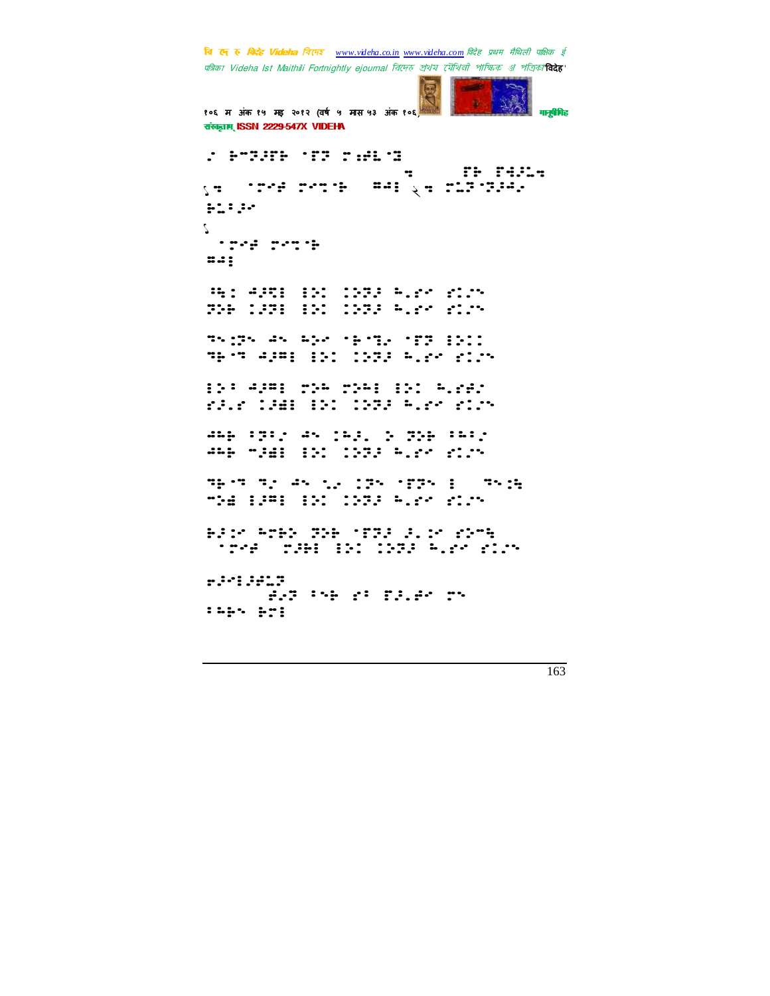१०६ म अंक १५ मइ २०१२ (वष ५ मास ५३ अंक १०६) मानुषीिमह संख्याम् ISSN 2229-547X VIDEHA 1!⢷b⢽⢼/⢷!/⢽!⣐⢾⣇⣝! he control to be a second to be a second to  $\frac{1}{2}$  , and  $\frac{1}{2}$  , and  $\frac{1}{2}$  , and  $\frac{1}{2}$  , and  $\frac{1}{2}$  , and  $\frac{1}{2}$  , and  $\frac{1}{2}$  , and  $\frac{1}{2}$  , and  $\frac{1}{2}$  , and  $\frac{1}{2}$  , and  $\frac{1}{2}$  , and ⣒!!⢾!⣉⢷.!⢻⢺2!⣒!⣅⢽⢽⢼⢺⢴. ⢷⣅A⢼!  $\mathcal{L}$ !⢾!⣉⢷! ⢻⢺2! ⢸⣓⣈!⢺⢼⣋2!2⢵!⢵⢽⢼!⢳E!1!  $\mathbf{222}$   $\mathbf{233}$   $\mathbf{224}$   $\mathbf{234}$   $\mathbf{242}$   $\mathbf{253}$ ⢹⣈⢽!⢺!⢳⢵!⢷⣙⢴!/⢽!2⢵! ⢹⢷⢹!⢺⢼⢻2!2⢵!⢵⢽⢼!⢳E!1! 2⢵⢸!⢺⢼⢻2!⢵⢳!⢵⢳2!2⢵!⢳E⢾1! ⢼E!⢼⣞2!2⢵!⢵⢽⢼!⢳E!1! **ALE : 7: A : 12: 2: 7: 2: 2: 12: 2** ⊕P THE BUILD 222 F.P CD ⢹⢷⢹!⢹1!⢺!⣁⢴!⢽!/⢽!2(!⢹⣈⣓! b⢵⣞!2⢼⢻2!2⢵!⢵⢽⢼!⢳E!1! ⢷⢼⣈!⢳⢷⢵!⢽⢵⢷!/⢽⢼!⢼E⣈!⢵b⣓! #⢾#!⢼⢷2!2⢵!⢵⢽⢼!⢳E!1! ⢶⢼2⢼⢾⣅⢽! 3233!⢾⢴⢽!A⢷!A!/⢼E⢾!! A⢳⢷.⢷2!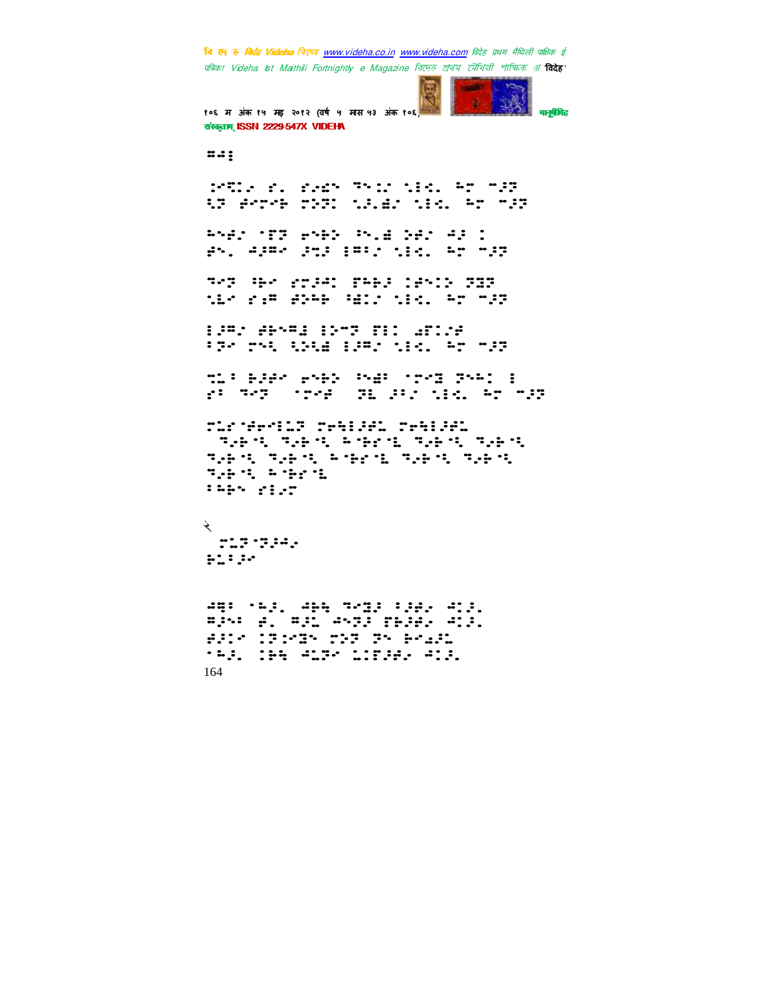

१०६ म अंक १५ मइ २०१२ (वष ५ मास ५३ अंक १०६) मानुषीिमह संस्कृतम् ISSN 2229-547X VIDEHA

⢻⢺2!

⣈⣋⢴!E!⢴⣎!⢹⣈1!⣁2⣊E!⢳!b⢼⢽! ⣃⢽!⢾⢷!⢵⢽!⣁⢼E⣞1!⣁2⣊E!⢳!b⢼⢽!

₩#!!TWO HER WALL  $E$ . 400  $E$ 

 $"$ ⣁⣇!⣐⢻!⢾⢵⢳⢷!⢸⣞1!⣁2⣊E!⢳!b⢼⢽!

2⢼⢻1!⢾⢷⢻⣜!2⢵b⢽!/2!⣔/1⢾! A⢽!⣃!⣃⢵⣃⣞!2⢼⢻1!⣁2⣊E!⢳!b⢼⢽!

⣉⣅⢸!⢷⢼⢾!⢶⢷⢵!⢸⣞A!⣝!⢽⢳!2(! A!⢹⢽!#⢾#!⢽⣇!⢼A1!⣁2⣊E!⢳!b⢼⢽!

⣅⢾⢶2⣅⢽.⢶⣓2⢼⢾⣅.⢶⣓2⢼⢾⣅! |⢹⢴⢷⣃.⢹⢴⢷⣃.⢳⢷⣇.⢹⢴⢷⣃.⢹⢴⢷⣃. ⢹⢴⢷⣃.⢹⢴⢷⣃.⢳⢷⣇.⢹⢴⢷⣃.⢹⢴⢷⣃. ⢹⢴⢷⣃.⢳⢷⣇~! A⢳⢷.2⢴!

₹ !⣅⢽⢽⢼⢺⢴! ⢷⣅A⢼!

164  $\blacksquare$ ⢻⢼A!⢾E!⢻⢼⣅!⢺⢽⢼!/⢷⢼⢾⢴!⢺⢼E! ⢾⢼!⢽⣈⣝!⢵⢽!⢽!⢷⣔⢼⣅! ⢳⢼E!⢷⣓!⢺⣅⢽!⣅/⢼⢾⢴!⢺⢼E!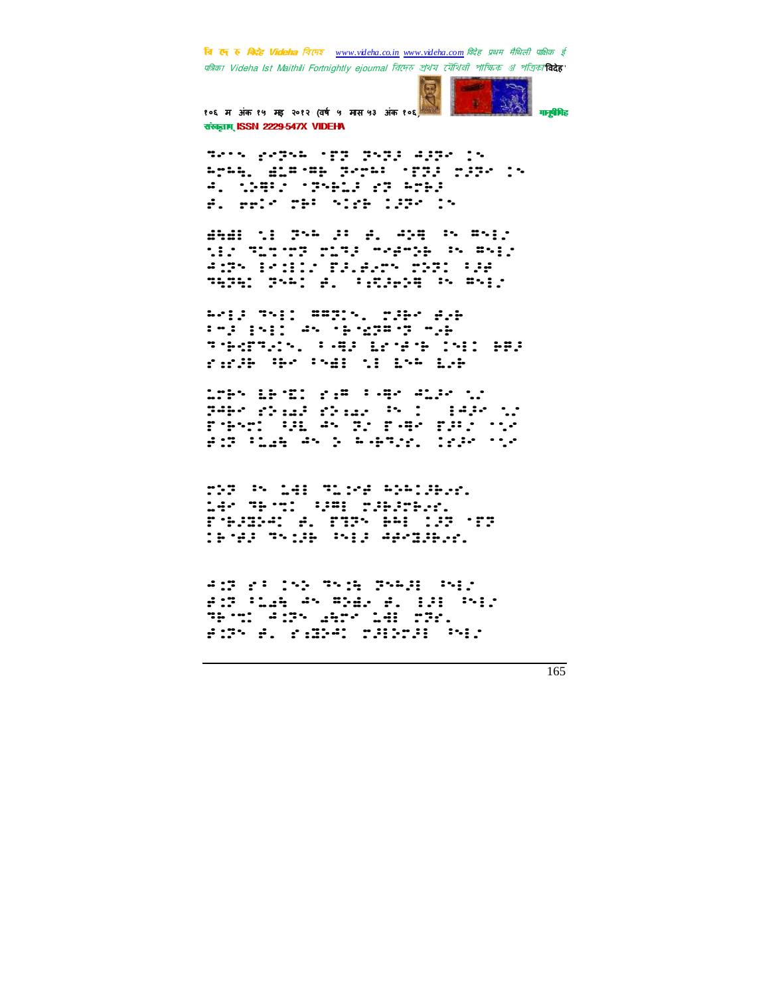

१०६ म अंक १५ मइ २०१२ (वष ५ मास ५३ अंक १०६) मानुषीिमह संस्कृतम् ISSN 2229-547X VIDEHA

 $"$ ⢳⢳⣓E!⣞⣅⢻⢻⢷!⢽⢳A!/⢽⢼!⢼⢽!! ⢺E!⣁⢵⣛A1!⢽⢷⣅⢼!⢽!⢳⢷⢼! €, eele th: side 1820 is

⣞⣓⣞2!⣁2!⢽⢳!⢼A!⢾E!⢺⢵⣛!⢸!⢻21! ⣁21!⢹⣅⣉⢽!⣅⢹⢼!b⢾b⢵⢷!⢸!⢻21!  $\frac{2}{2}$ ⢹⣓⢽⣓!⢽⢳!⢾E!⢸⣐⣋⢼⢶⢵⣛!⢸!⢻21!

 $L$  . The set  $L$ Ab⢼!22!⢺!⢷⣎⢽⢻⢽!b⢴⢷! ⢹⢷⣊/⢹⢴E!AB⣛⢼!⣇⢾⢷!2!⢷⢿⢼! ⣐⢼⢷!⢸⢷!A⣞2!⣁2!⣇⢳!⣇⢴⢷!

⣅⢷!⣇⢷⣏!⣐⢻!AB⣛!⢺⣅⢼!⣁1! ⢽⢺⢷!⢵⣐⣔⢼.⢵⣐⣔⢴!⢸!(!2⢺⢼!⣁1! /⢷!⢸⢼⣇!⢺!⢽1!/B⣛!/⢼A1!⣁!  $\vdots$   $\vdots$   $\vdots$   $\vdots$   $\vdots$   $\vdots$   $\vdots$   $\vdots$ 

⢵⢽!⢸!⣅⣚2!⢹⣅⣈⢾!⢳⢵⢳⢼⢷⢴E! ⣅⣚!⢹⢷⣉!⢸⢼⢻2!⢼⢷⢼⢷⢴E! /⢷⢼⣝⢵⢺!⢾E!/⣙⢽!⢷⢳2!⢼⢽!/⢽! ⢷⢾⢼!⢹⣈⢼⢷!⢸2⢼!⢺⢾⣝⢼⢷⢴E!

 $^{\prime}$  . The mass of the state  $^{\prime}$ ⢾⣈⢽!A⣅⣔⣓!⢺!⢻⢵⣞⢴!⢾E!2⢼2!⢸21! ⢹⢷⣉!⢺⣈⢽!⣔⣓!⣅⣚2!⢽E!  $\vdots$   $\vdots$   $\vdots$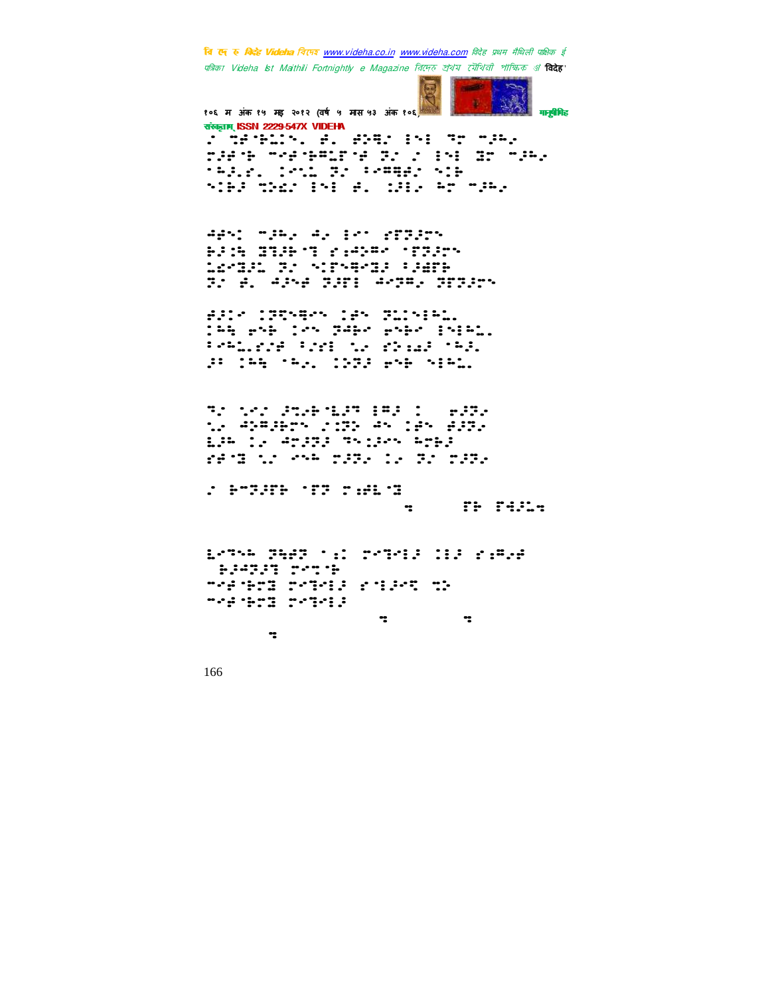

संस्कृतम् ISSN 2229-547X VIDEHA 1!⣉⢾⢷⣅E!⢾E!⢾⢵⣛1!22!⢹!b⢼⢳⢴!  $^{\prime\prime}$  . The properties of  $^{\prime\prime}$  . The properties of  $^{\prime\prime}$ ⢳⢼EE!⣁⣅!⢽1!A⢻⣛⢾1!⢷! ⢷⢼!⣉⢵⣎1!22!⢾E!⣈⢼2⢴!⢳!b⢼⢳⢴!

₩, 1992, 1992, 1992, 1992, 1992, 1992, 1992, 1992, 1992, 1992, 1992, 1992, 1992, 1992, 1992, 1992, 1992, 1992, 1 ⢷⢼⣈⣓!⣝⣙⢼⢷⣙!⣐⢺⢵⢻!/⢽⢼! ⣅⣎⣝⢼⣅!⢽1!/⣛⣝⢼!A⢼⣞/⢷! ⢽1!⢾E!⢺⢼⢾!⢽⢼/2!⢺⢽⢻⢴!⢽/⢽⢼!

⢾⢼!⢽⣋⣛!⢾!⢽⣅2⢳⣅E! ;∺L es ;: :s ;: ;: ;: esp ;: ANNES EN ENGINEER ⢼A!⢳⣓!⢳⢴E!⢵⢽⢼!⢶⢷!2⢳⣅E!

 $T$  :  $T$ ⣁⢴!⢺⢵⢻⢼⢷!1⣈⢽⢵!⢺!⢾!⢾⢼⢽⢴! ⣇⢼⢳!⢴!⢺⢼⢽⢼!⢹⣈⢼!⢳⢷⢼! ⢾⣝!⣁1!⢳!⢼⢽⢴!⢴!⢽1!⢼⢽⢴!

1!⢷b⢽⢼/⢷!/⢽!⣐⢾⣇⣝! hhbkfoesbAwjefib⣒dpn!/⢷!/⣚⢼⣅⣒!!

⣇⢹⢳!⢽⣓⢾⢽!⣐!⣙2⢼!2⢼!⣐⢻⢴⢾! !⢷⢼⢺⢽⢼⣙!⣉⢷! b⢾⢷⣝!⣙2⢼!2⢼⣋!⣉⢵! b⢾⢷⣝!⣙2⢼!  $\mathbf{r}$ jefib.dependente de la postala de la postala de la postala de la postala de la postala de la postala de la pos<br>De la postala de la postala de la postala de la postala de la postala de la postala de la postala de la postal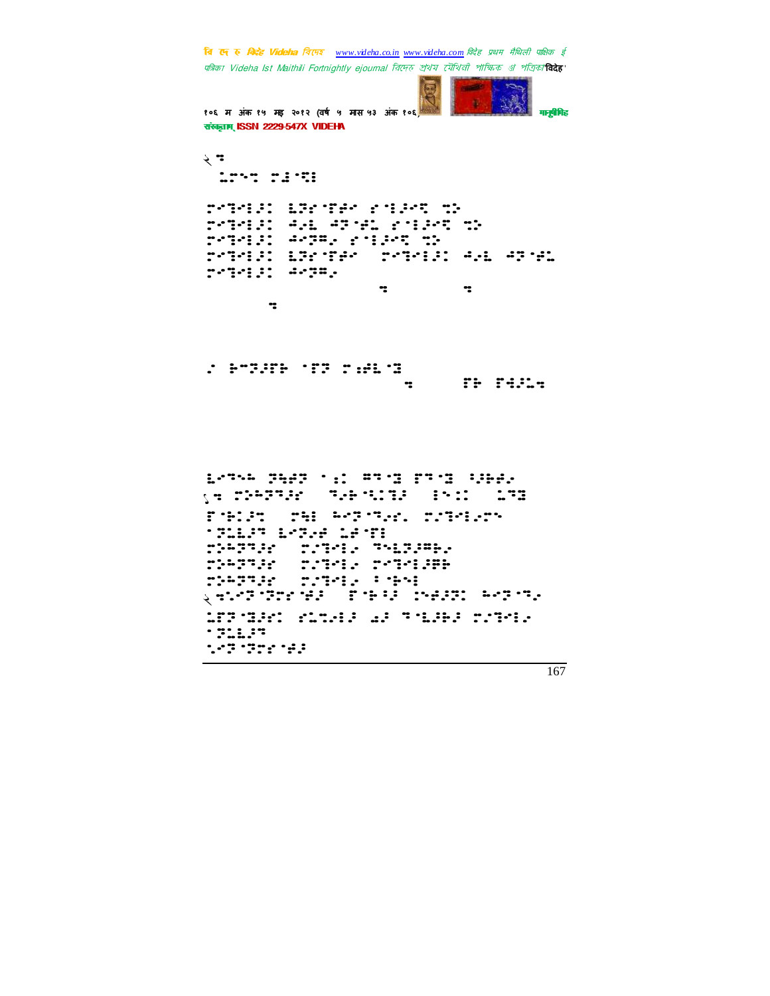$\zeta$  .

१०६ म अंक १५ मइ २०१२ (वष ५ मास ५३ अंक १०६) मानुषीिमह संस्कृतम् ISSN 2229-547X VIDEHA **1:00 22022**  $P$  $T$ ⣙2⢼!⢺⢽⢻⢴!2⢼⣋!⣉⢵! ⣙2⢼!⣇⢽/⢾0!⣙2⢼!⢺⢴⣇!⢺⢽⢾⣅0!  $T$ )iuuqt;00tjuft<mark>ion</mark><br>100tjuftion (100tjuftion 100tjuftion 100tjuftion 100tjuftion 100tjuftion 100tjuftion 100tjuftion 100tjuftion 10 jefib.qbj.dpn0wjefib.qbj.dpn0wjefib.qbj.dpn0wjefib.qbj.dpn0wjefib.qbj.dpn0wjefib.qbj.dpn0wjefib.qbj.dpn0wjefib 1!⢷b⢽⢼/⢷!/⢽!⣐⢾⣇⣝! he beste beste beste beste beste beste beste beste beste beste beste beste beste beste beste beste beste beste<br>De beste beste beste beste beste beste beste beste beste beste beste beste beste beste beste beste beste beste

⣇⢹⢳!⢽⣓⢾⢽!⣐!⢻⢹⣝./⢹⣝!⢸⢼⢷⢾⢴! ⣒!⢵⢳⢽⢹⢼!)⢹⢴⢷⣃⣙⢼\*;2⣈;!⣅⢹⣝! /⢷⢼⣉!)⣓2!⢳⢽⢹⢴E!1⣙2⢴! ⢽⣅⣇⢼⢹!⣇⢽⢴⢾!⣅⢾/2\*! ⢵⢳⢽⢹⢼!)1⣙2⢴.⢹⣇⢽⢼⢻⢷⢴\*! ⢵⢳⢽⢹⢼!)1⣙2⢴.⣙2⢼⢿⢷\*! ⢵⢳⢽⢹⢼!)1⣙2⢴.A⢷2\*!  $_{\odot}$ svromer 4. Popis index ⣅/⢽⣝⢼!⣅⣉⢴2⢼!⣔⢼!⢹⣇⢼⢷⢼!1⣙2⢴! ⢽⣅⣇⢼⢹!! ⣁⢽⢽⢾⢼!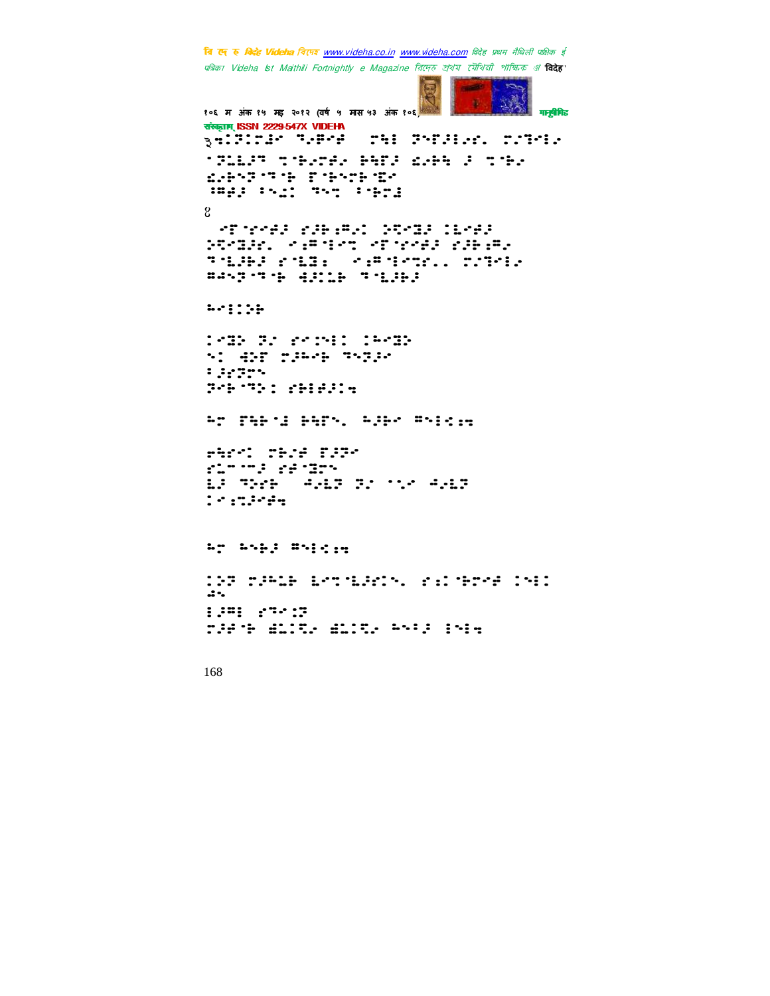**Separate** × मानुबैमिह १०६ म अंक १५ मइ २०१२ (वर्ष ५ मास ५३ अंक १०६) संस्कृतम् ISSN 2229-547X VIDEHA gelació alegra del antico, coado **. T.L.T. T. C. . 22. 2201 2020 2020** SAMPTE ESMETH<br>PRESS THE PRESS 8 areak dhaw. Man dian STORY PRINT STYPE SHIP. rim de cine de tre. rette *<u><b>RANCY'S & BILLE TILLED</u> PAR SE PRINCIPALE* **SI GOT TIME TYTE Farant** Personal release <u> : Miller, and sure</u> Phrtl Thid Mille almend adetas <u>:: 91.16 d.10 :: 1.10 d.10</u> **Constant** ar angs mnices **107 MAGA LATTLACT, S.C.NMAG INEI**  $2 -$ **:::: ::: ::**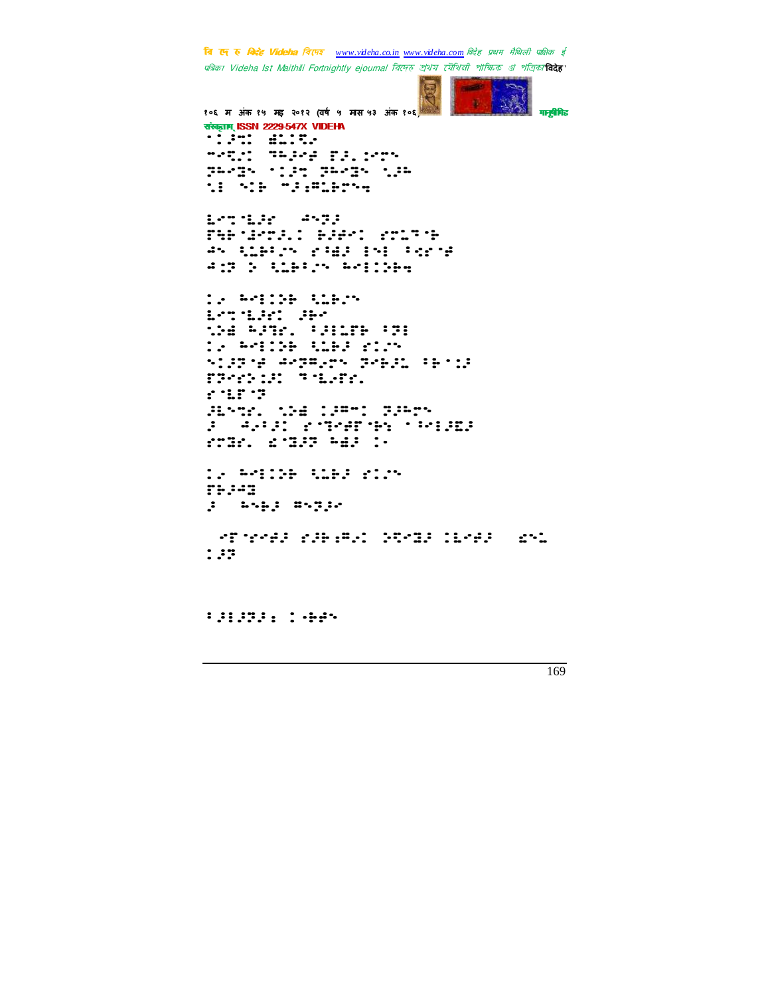१०६ म अंक १५ मइ २०१२ (वष ५ मास ५३ अंक १०६) मानुषीिमह संस्कृतम् ISSN 2229-547X VIDEHA ·∷∷ a…… b⣋1!⢹⢳⢼⢾!/⢼E⣈<! ⢽⢳⣝!⢼⣉!⢽⢳⣝!⣁⢼⢳! ⣁2!⢷!b⢼⣐⢻⣅⢷⣒! ⣇⣉⣇⢼-!⢺⢽⢼! /⣓⢷⣜⢼E!⢷⢼⢾!⣅⢹⢷!!  $\blacksquare$  $\overline{a}$  :  $\overline{a}$  :  $\overline{a}$  :  $\overline{a}$  :  $\overline{a}$  :  $\overline{a}$  :  $\overline{a}$  :  $\overline{a}$  :  $\overline{a}$  :  $\overline{a}$  :  $\overline{a}$  :  $\overline{a}$  :  $\overline{a}$  :  $\overline{a}$  :  $\overline{a}$  :  $\overline{a}$  :  $\overline{a}$  :  $\overline{a}$  :  $\overline{a}$  :  $\overline{a}$  :  $\$ ⢴!⢳2⢵⢷!⣃⣅⢷1! ⣇⣉⣇⢼!⢼⢷! ⣁⢵⣞!⢳⢼⣙E!A⢼2⣅/⢷!A⢽2@! ⢴!⢳2⢵⢷!⣃⣅⢷⢼!1! ⢼⢽⢾!⢺⢽⢻⢴!⢽⢷⢼⣅!A⢷⣈⢼@! /⢽⢵⣈⢼!⢹⣇⢴/E! ⣇/⢽!  $\blacksquare$ ⢼-!⢺⢴A⢼!⣙⢾/⢷⣑!⢸2⢼⣏⢼!  $\blacksquare$ ⢴!⢳2⢵⢷!⣃⣅⢷⢼!1.! /⢷⢼⢺⣝@! ⢼-!⢳⢷⢼!⢻⢽⢼@! )/⢾⢼!⢼⢷⣐⢻⢴!⢵⣋⣝⢼!⣇⢾⢼!#⣎⣅!  $\ddot{z}$ 

 $P$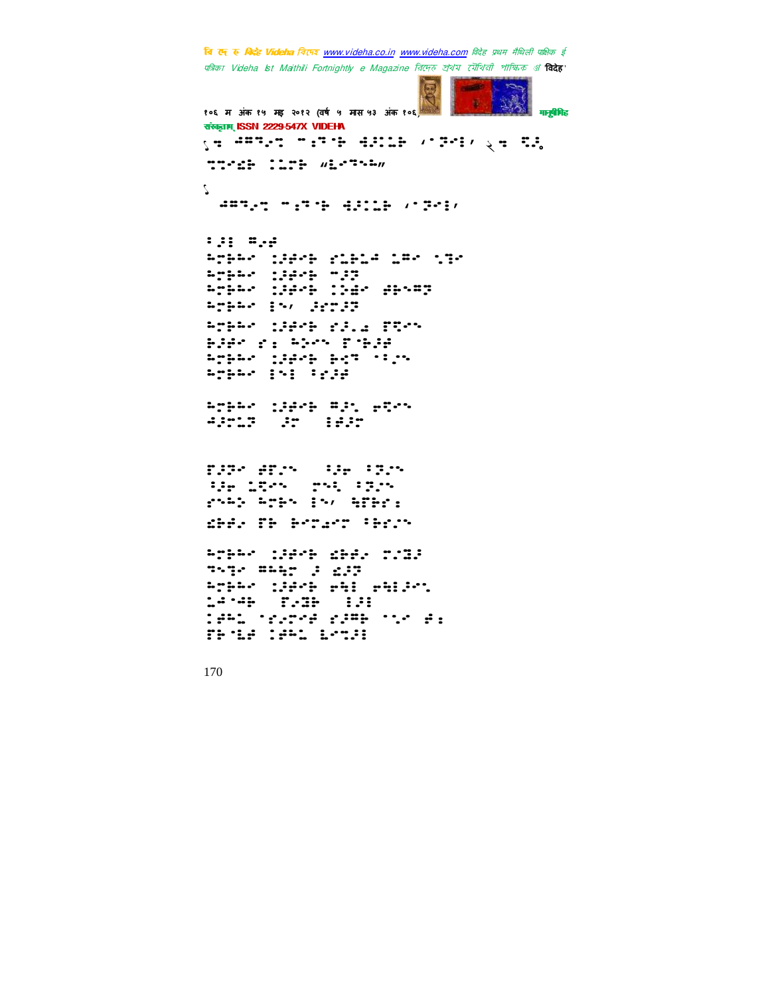```
County
                          ×
                                मानुबैमिह
१०६ म अंक १५ मइ २०१२ (वर्ष ५ मास ५३ अंक १०६)
संस्कृतम् ISSN 2229-547X VIDEHA
\mathbf{y} and the sum \mathbf{y} and \mathbf{y}TOOL CATE WARTER
\mathcal{L}: : : : : :Apple (Spep -33
Apple 11000 1100 00007
Apple in, Brook
Apples (Spel 22.2 TTex
BOR 2: 450 FBOR
Apple (Spep bot stre
Apple in: 1238
ATEAS (SESP #21 8555
AITLI IT 1825
SAME SEARCH READS
He Man (201) 1720
ril and is, and:
dhis Th brown them
Apple (Sper che, p.2)
nthe many coder
ATAL: :2010 phi philip:
24 - 48:.:: !!!
ten tre com te di
```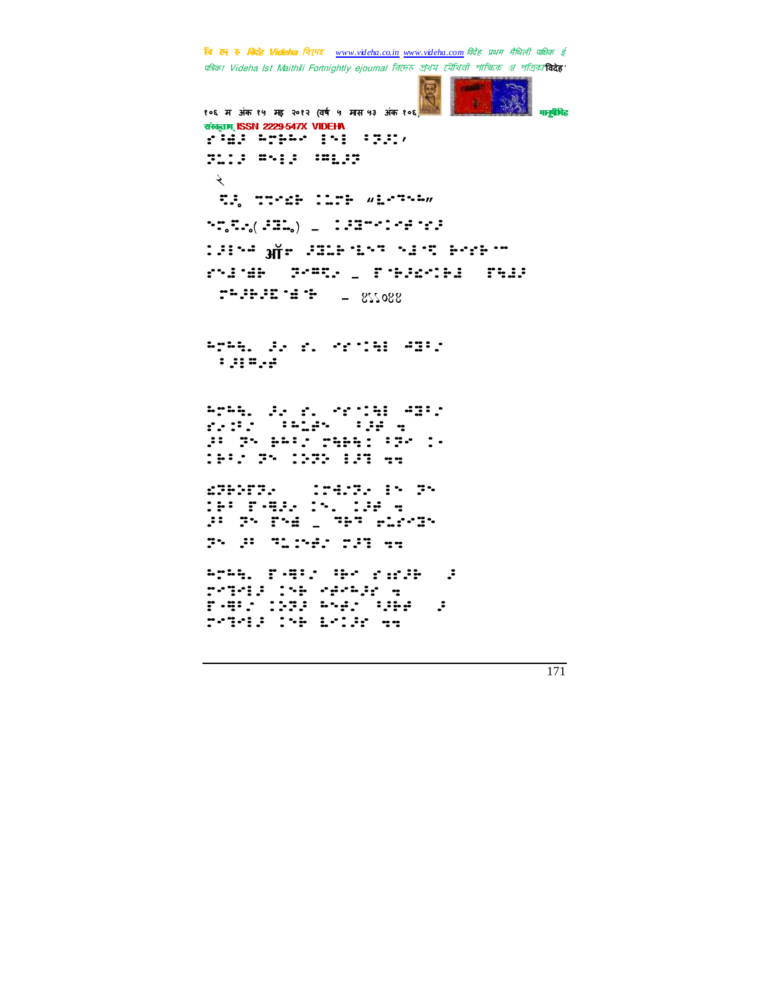१०६ म अंक १५ मइ २०१२ (वष ५ मास ५३ अंक १०६) मानुषीिमह संस्कृतम् ISSN 2229-547X VIDEHA ⢸⣞⢼!⢳⢷⢳!22!A⢽⢼**'** ⢽⣅⢼!⢻2⢼!⢸⢻⣇⢼⢽!}!  $\lambda$ !⣋⢼॰ ⣉⣉⣎⢷!⣅⢷!**"**⣇⢹⢳**"**!!!!!!!!!!!!!!!!!!!!!!!!!!!!!!! ॰⣋⢴॰(⢼⣝⣅॰) **–**!⢼⣝b⢾⢼!!!!!!!!!!!!!!!!!!!!!!!!!!!!!!!!!!!! 1999 YESHI WA SELECTION OF THE PRESS ⣜⣞⢷-!⢽⢻⣋⢴!**–**!/⢷⢼⣎⢷⣜-!/⣓⣜⢼! )⢳⢼⢷⢼⣏⣞⢷\*!**–** -  $\mathbf{r}^{\prime}$ ⢳⢳⣓E!⢼⢴!E!⣓2!⢺⣝A1!  $\blacksquare$ brbb. J. r. rr∵H: 43:1 ⢴⣈A1!!A⢳⣅⢾!!A⢼⢾!⣒!  $\vdots$   $\vdots$   $\vdots$   $\vdots$ ⢷A1!⢽!⢵⢽⢵!2⢼⣙!⣒⣒! ⣎⢽⢷⢵/⢽⢴!.!⣚1⢽⢴!2!⢽-! ⢷A!/B⣛⢼⢴!E!⢼⢾!⣒!  $\overline{H}$   $\overline{H}$   $\overline{H}$   $\overline{H}$   $\overline{H}$   $\overline{H}$   $\overline{H}$   $\overline{H}$   $\overline{H}$   $\overline{H}$   $\overline{H}$   $\overline{H}$   $\overline{H}$   $\overline{H}$   $\overline{H}$   $\overline{H}$   $\overline{H}$   $\overline{H}$   $\overline{H}$   $\overline{H}$   $\overline{H}$   $\overline{H}$   $\overline{H}$   $\overline{H}$   $\overline{H$  $T^2$   $T^2$   $T^2$   $T^2$   $T^2$   $T^2$   $T^2$  $\frac{1}{2}$  $P$ /B⣛A1!⢵⢽⢼!⢳⢾1!⢸⢼⢷⢾-!⢼! ⣙2⢼!⢷!⣇⢼!⣒⣒!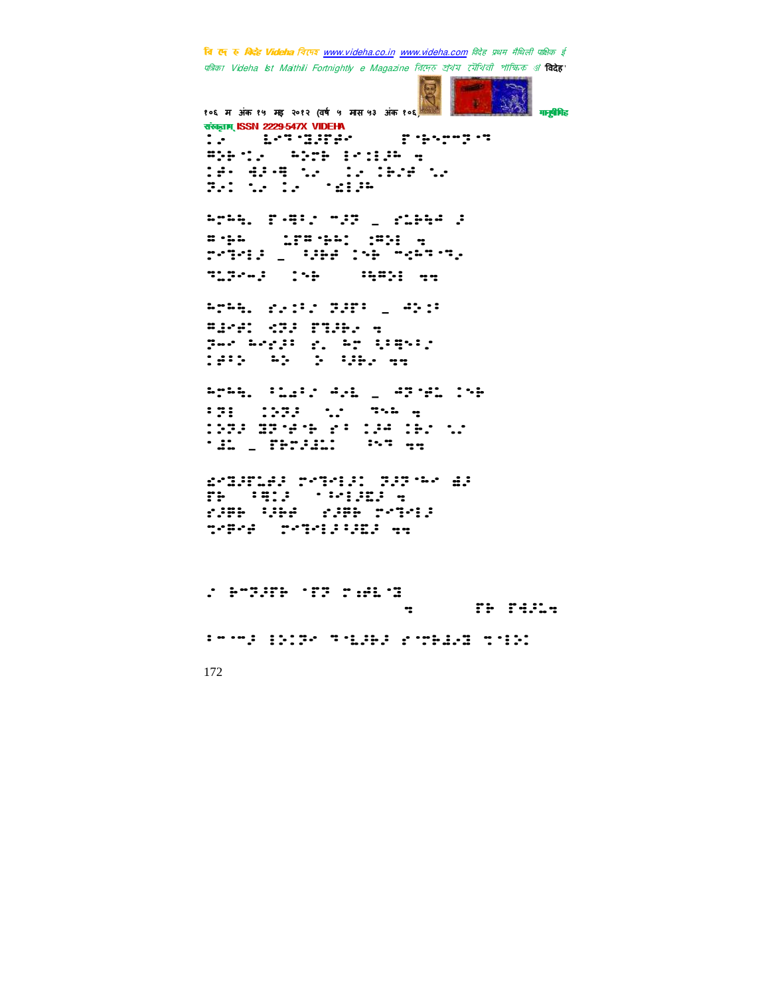**County** १०६ म अंक १५ मइ २०१२ (वष ५ मास ५३ अंक १०६) मानुषीिमह संस्कृतम् ISSN 2229-547X VIDEHA  $\ddotsc$  . The contract of the contract of  $\ddotsc$ ⢻⢵⢷⢴-!⢳⢵⢷!2⣈2⢼⢳!⣒! ⢾c!⣚⢼B⣛!⣁⢴-!⢴!⢷1⢾!⣁⢴-! ⢽⢴!⣁⢴!⢴-!⣎2⢼⢳!@@! ⢳⢳⣓E!/B⣛A1!b⢼⢽!**–**!⣅⢷⣓⢺!⢼! ⢻⢷⢳!.!⣅/⢻⢷⢳!⣈⢻⢵2!⣒! ⣙2⢼!**–**!⢸⢼⢷⢾!⢷!b⣊⢳⢹⢹⢴-! ⢹⣅⢽⢲⢼!!⢷!!!⢸⣓⢻⢵2!⣒⣒! ⢳⢳⣓E!⢴⣈A1!⢽⢼/A!**–**!⢺⢵⣈A-! ⢻⣜⢾!⣊⢽⢼!/⣙⢼⢷⢴!⣒! ⢽⢲!⢳⢼A!E!⢳!⣃A⣛A1-! ⢾A⢵!!⢳⢵!!⢵!⢸⢼⢷⢴!⣒⣒! ⢳⢳⣓E!A⣅⣔A1!⢺⢴⣇!**–**!⢺⢽⢾⣅!⢷-!  $\frac{1}{2}$   $\frac{1}{2}$   $\frac{1}{2}$   $\frac{1}{2}$   $\frac{1}{2}$   $\frac{1}{2}$   $\frac{1}{2}$   $\frac{1}{2}$   $\frac{1}{2}$   $\frac{1}{2}$   $\frac{1}{2}$   $\frac{1}{2}$   $\frac{1}{2}$   $\frac{1}{2}$   $\frac{1}{2}$   $\frac{1}{2}$   $\frac{1}{2}$   $\frac{1}{2}$   $\frac{1}{2}$   $\frac{1}{2}$   $\frac{1}{2}$   $\frac{1}{2}$   $\$ ⢵⢽⢼!⣝⢽⢾⢷!⢸!⢼⢺!⢷1!⣁1-!  $\frac{1}{2}$  **–**  $\frac{1}{2}$  **–**  $\frac{1}{2}$  **–**  $\frac{1}{2}$   $\frac{1}{2}$   $\frac{1}{2}$   $\frac{1}{2}$   $\frac{1}{2}$   $\frac{1}{2}$   $\frac{1}{2}$   $\frac{1}{2}$   $\frac{1}{2}$   $\frac{1}{2}$   $\frac{1}{2}$   $\frac{1}{2}$   $\frac{1}{2}$   $\frac{1}{2}$   $\frac{1}{2}$   $\frac{1}{2}$   $\frac{1}{2}$   $\frac{1}{2}$  ⣎⣝⢼/⣅⢾⢼!⣙2⢼!⢽⢼⢽⢳!⣞⢼-! /⢷!!A⣛⢼!!⢸2⢼⣏⢼!⣒! ⢼⢿⢷!⢸⢼⢷⢾-!⢼⢿⢷!⣙2⢼-! ⣉⢿⢾!!⣙2⢼⢸⢼⣏⢼!⣒⣒! 1!⢷b⢽⢼/⢷!/⢽!⣐⢾⣇⣝! hekhoesbawjefiberik bekende die bekende ook die bekende ook die bekende ook die bekende ook die bekende ook di<br>Die bekende ook die bekende ook die bekende ook die bekende ook die bekende ook die bekende ook die bekende oo Abb⢼!2⢵⢽!⢹⣇⢼⢷⢼!⢷⣜⢴⣝!⣉2⢵!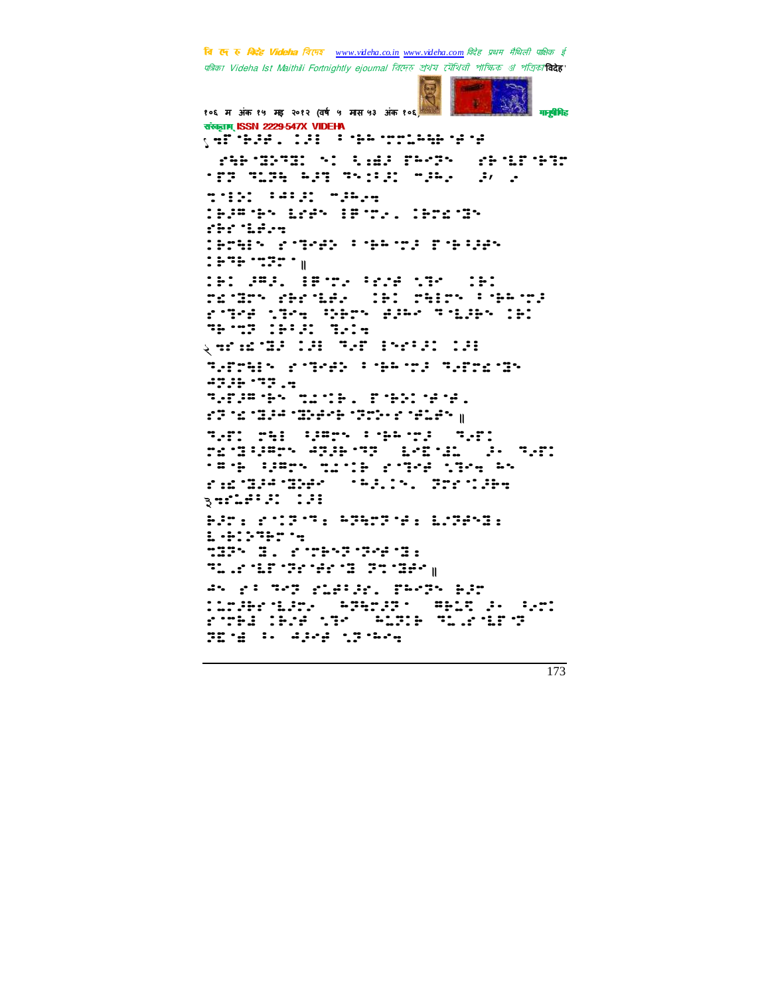१०६ म अंक १५ मइ २०१२ (वर्ष ५ मास ५३ अंक १०६) मनुषेभिह संस्कृतम् ISSN 2229-547X VIDEHA **(\* 1914 - 1915 - 1916 - 1916 - 1917 THE TIME AST TYSES THE SAME THIS BALE THIS** <u> 1980's 1990 : 1990 - 1990's</u> fr: Lee Caraby roman (Santa Populay  $\begin{array}{c} \begin{array}{c} \text{\textbf{1}} & \text{\textbf{2}} & \text{\textbf{3}} & \text{\textbf{2}} & \text{\textbf{3}} & \text{\textbf{4}} \\ \text{\textbf{5}} & \text{\textbf{6}} & \text{\textbf{6}} & \text{\textbf{6}} & \text{\textbf{7}} & \text{\textbf{8}} \\ \text{\textbf{1}} & \text{\textbf{2}} & \text{\textbf{3}} & \text{\textbf{1}} & \text{\textbf{1}} \\ \end{array} \end{array}$ IN PROTECTATION  $\mathbf{1}$  : randriker ist ist rusen insamt ring the Cor Act Tich Co **BMS OFFICERS** THREE POSS PERMIT THROW  $47.35 - 77.4$ en ander merkende en en p redivers grapher lebul lo syn **TREE GROSS SACRA SERVICE DESCRIPTION** 3::1:3: 12: **TOURNEYS SENSE STIGHT** as young gaong, pags pr roma dele tor supre pulciaro pre a apertra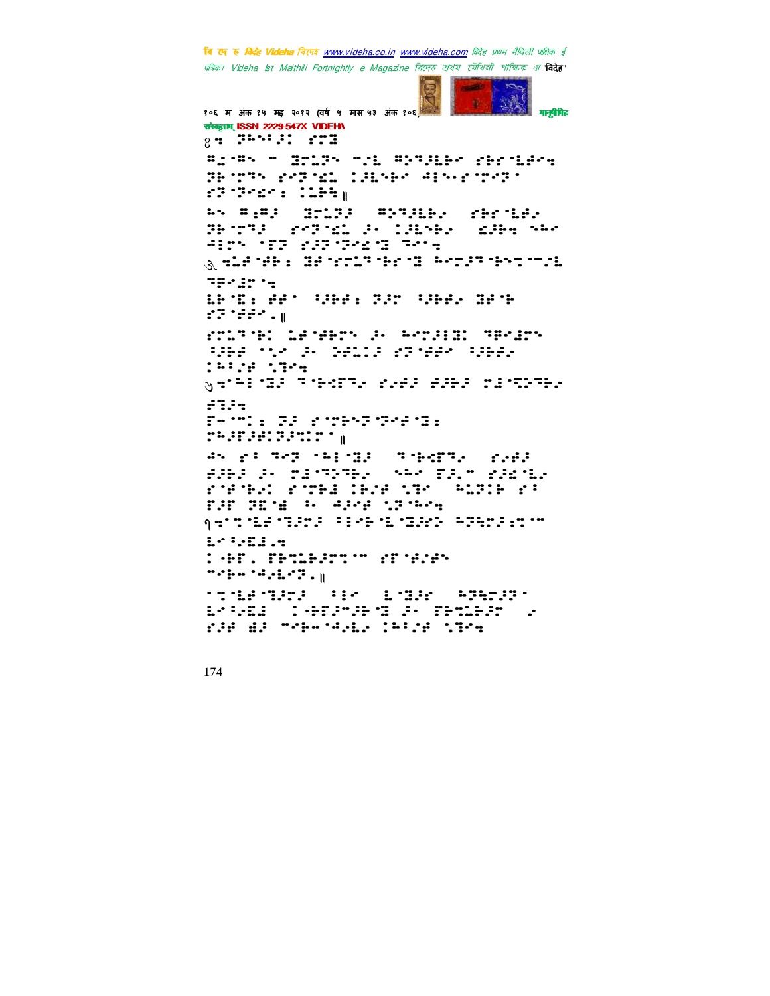१०६ म अंक १५ मइ २०१२ (वर्ष ५ मास ५३ अंक १०६ मानुबेमिह संस्कृतम् ISSN 2229-547X VIDEHA  $8 - 74 + 31 + 172$ sins - South - Co spring - Artish, Brens establikuses Alserents rijere : Clean TROTTE SOTTED IN LIGHT CORPORAT Alphorth 20070222 Serg gelanak dan menghasilkan kendal ngegreg  $\mathcal{L}^{\mathbf{m}}$  , where  $\mathcal{L}_{\parallel}$ **CAPINE STAR** geth di thet. And And titul. **flit** rent: n: chronicement: as young source there you He had a specified **NetterBrookstrack Schrieder**  $L^*$  :  $L^*$  .  $\sim$  $-25 - 225 - 7$ **........................** 1990 - 1990 - 1991  $\ddot{\phantom{0}}$ fil di sebesagia (Alja (Tra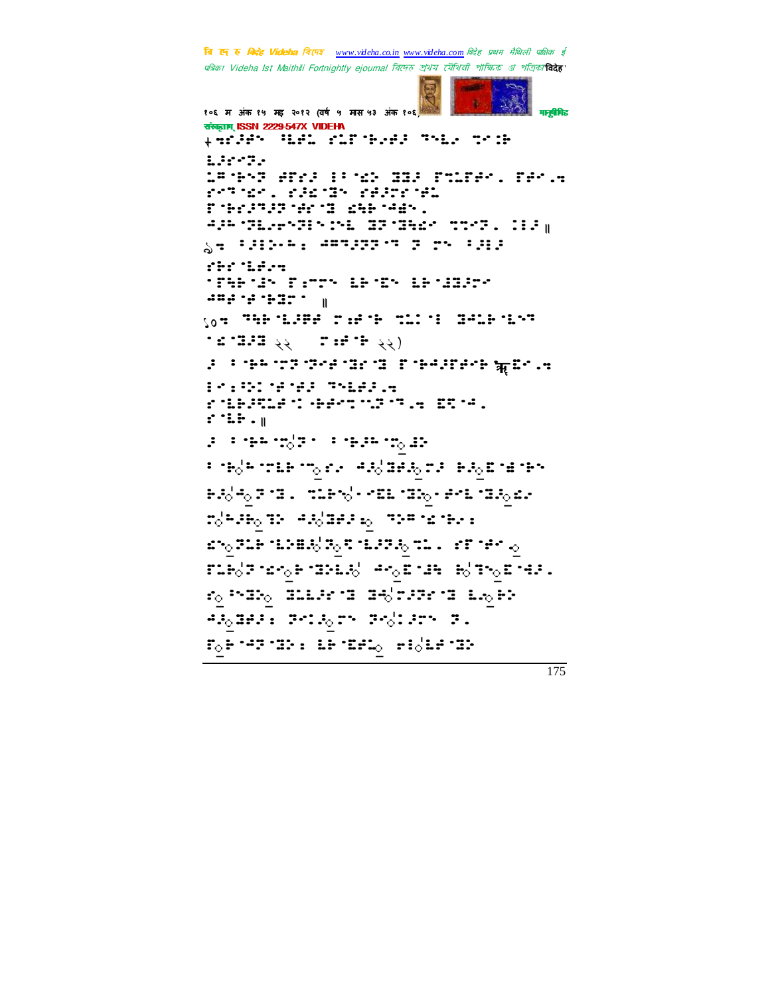१०६ म अंक १५ मइ २०१२ (वर्ष ५ मास ५३ अंक १०६) मानुबैमिह संस्कृतम् ISSN 2229-547X VIDEHA person and roman source that Edentis 18949 2011 11:10 2012 2012 2013 11:10 rether close calcerat renten en alle -Producerne relationship of  $\mathbb{R}^n$  . In  $\mathbb{R}^n$ **So :2:5-6: 4#9:99-9-9-0-0-1:1:** fir Liew **. The Component Component Component Component Component Component Component Component Component Component Component THE SEARCH .**  $\mathbf{I}$  $\mathcal{S}_{0}$ s (TAB 11288) rafith (1121) 18416/185  $\mathbf{1} \in \mathbb{R}^{n+1}$  :  $\mathbb{R}^{n+1} \in \mathbb{R}^{n+1}$ a chempretara prespergon  $\mathbf{f}$  : i.e., a chemia conempar a dele cose con la seglo a seglo da rec  $\mathbb{H} \mathbb{P}^1_0 \mathbb{P}^1_0 \mathbb{P}^1 \mathbb{E} \; , \quad \forall \mathbb{L} \mathbb{H}^1_0 \vdash \forall \mathbb{E} \mathbb{L}^1 \mathbb{E} \mathbb{P}_0 \vdash \mathbb{H}^2 \mathbb{L}^1 \mathbb{E} \mathbb{P}_0 \, \mathbb{E} \times$ rdesed to esdags of the motor  $\mathfrak{C}_0$  and the system is a set of the  $\phi$  $\mathbb{E}\mathbb{L}\mathbb{H}_{0}^{1}\mathbb{P}\left(\mathbb{E}\mathbb{P}_{0}\right)\mathbb{P}\left(\mathbb{E}\mathbb{H}\mathbb{H}_{0}\right)^{-1}\mathbb{P}_{0}\mathbb{E}\left(\mathbb{H}\mathbb{H}\right)\mathbb{H}_{0}^{1}\mathbb{P}_{0}\mathbb{E}\left(\mathbb{H}\mathbb{P}\right),$ nother masses reduced and ease: Piar Poler B.  $\mathbf{r}_0$ e de de la de la segue de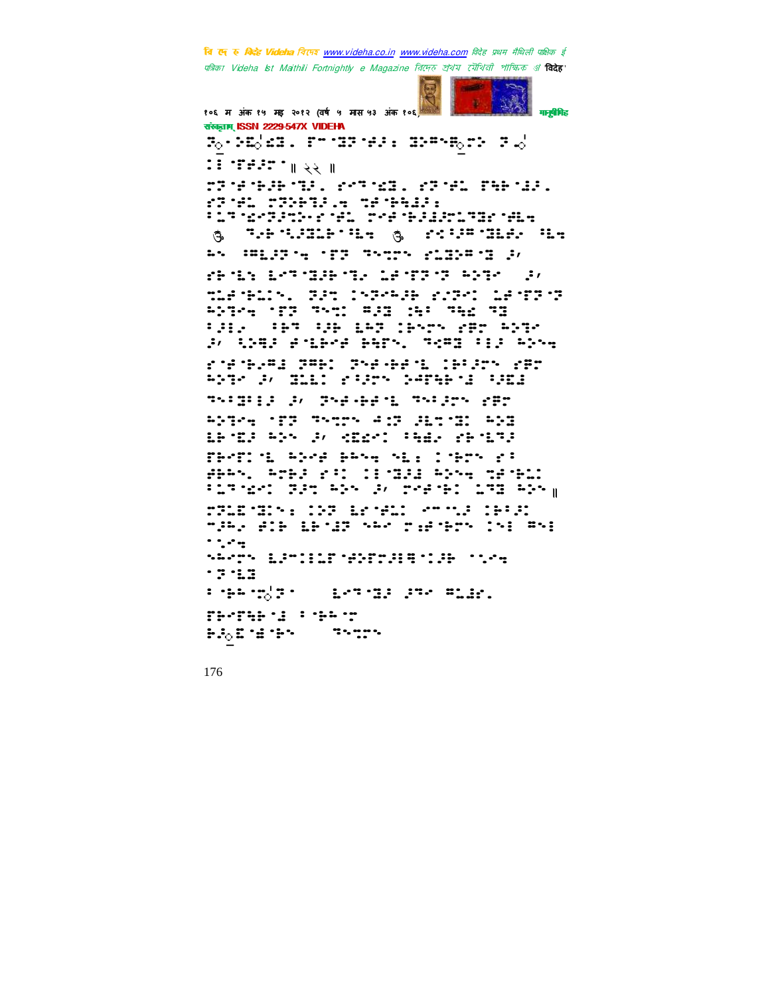१०६ म अंक १५ मइ २०१२ (वर्ष ५ मास ५३ अंक १०६) मानुबैमिह

संस्कृतम् ISSN 2229-547X VIDEHA Bo:Wodd.fryBreak.BPPBoP.fo  $\|\cdot\|_{\mathcal{H}}$   $\|\cdot\|_{\mathcal{H}}$ THERM . PTM . TH THAL rustinistis (1, 1119) is not the  $\widehat{G}$ 1. 181,000 - 100 9.00. 100.000 1 from the man the crime of the state of the state of the state of the state of the state of the state of the state of the state of the state of the state of the state of the state of the state of the state of the state of t turbus, tristanischer Little \*\*\*\*\* \*\*\* \*\*\* \*\*\* \*\* \*\*\* \*\* : He was the bar dance you also **THILL: A THERE THIT ST** <u> 1994 - 22 Sept 4:2 11-31 103</u> 18.12 Webs 3, KD201 PAA, KB-173 ment we we wanter APP, PTD 2: CONDIDATE TANK man ad dang se ranger (s ms  $\ddotsc$ **SAPPS CONSTRUCTIONS OF STAR**  $.7.12$  $\frac{1}{2}$  . The second  $\frac{1}{2}$  ,  $\frac{1}{2}$ mente d'estre **FASINE NET** 그래 얼굴이 있다.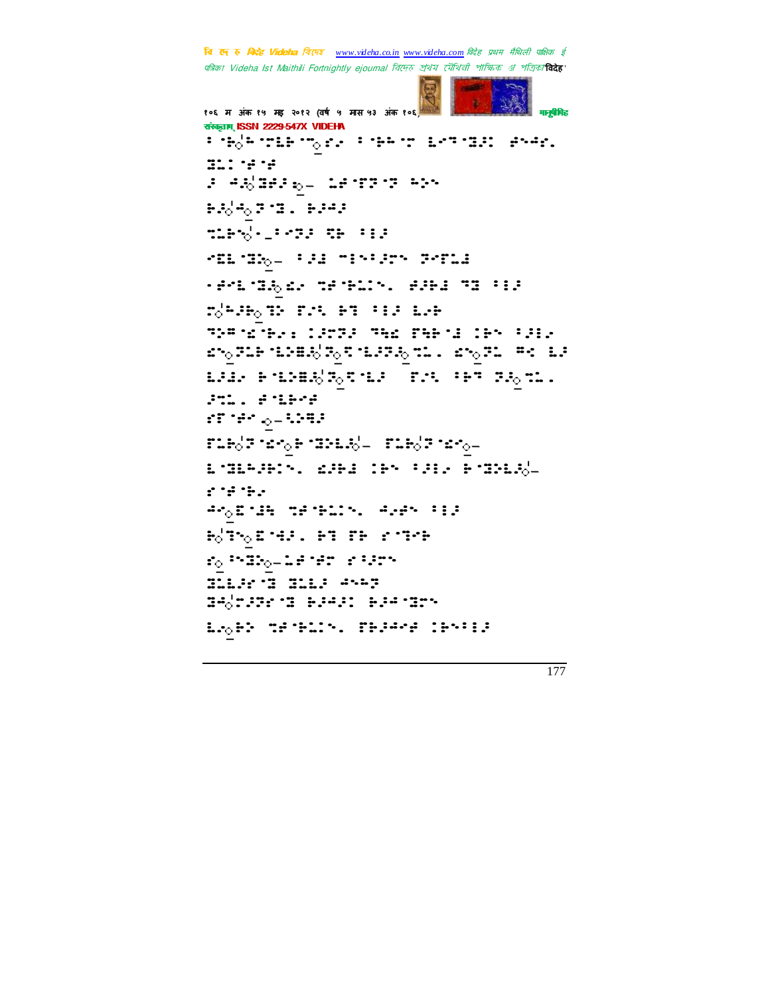१०६ म अंक १५ मइ २०१२ (वर्ष ५ मास ५३ अंक १०६) मानुबेमिह संस्कृतम् ISSN 2229-547X VIDEHA **Pompeted that the construction of the construction of the construction of the construction of the construction**  $21.1 \div 1$ a AWSAago Lentant Abr 850571.8243 the criterial emany- the mother rend Herodayn defects. Adel no fid r<sub>o</sub>waren en er ur ur mark: MM mb med 194 100 any FLP disputy for disputy for the first strain and first signal strain strain LAR FARESWORTH TA PF PS T. File Poles  $\sigma$  and  $\sigma$  -  $\sim$  $\mathbb{E}\mathbb{L}\mathbb{H}_{0}^{1}\mathbb{P}^{+}\mathbb{E}\mathbb{P}_{0}\mathbb{H}^{+}\mathbb{E}\mathbb{P}\mathbb{L}\mathbb{H}_{0}^{1}\mathbb{L}^{+}\mathbb{E}\mathbb{L}\mathbb{H}_{0}^{2}\mathbb{L}^{+}\mathbb{E}\mathbb{P}_{0}\mathbb{L}^{+}$ range, and hydrography  $\mathbf{f}$  ,  $\mathbf{f}$  ,  $\mathbf{f}$  ,  $\mathbf{f}$ Porth tends, easily Hondrey, and the conce  $\epsilon_0$  indigate is a sum of  $12\pi$ **SECTION SECTION** LyPP TETRIN, TRAPE IBSOLP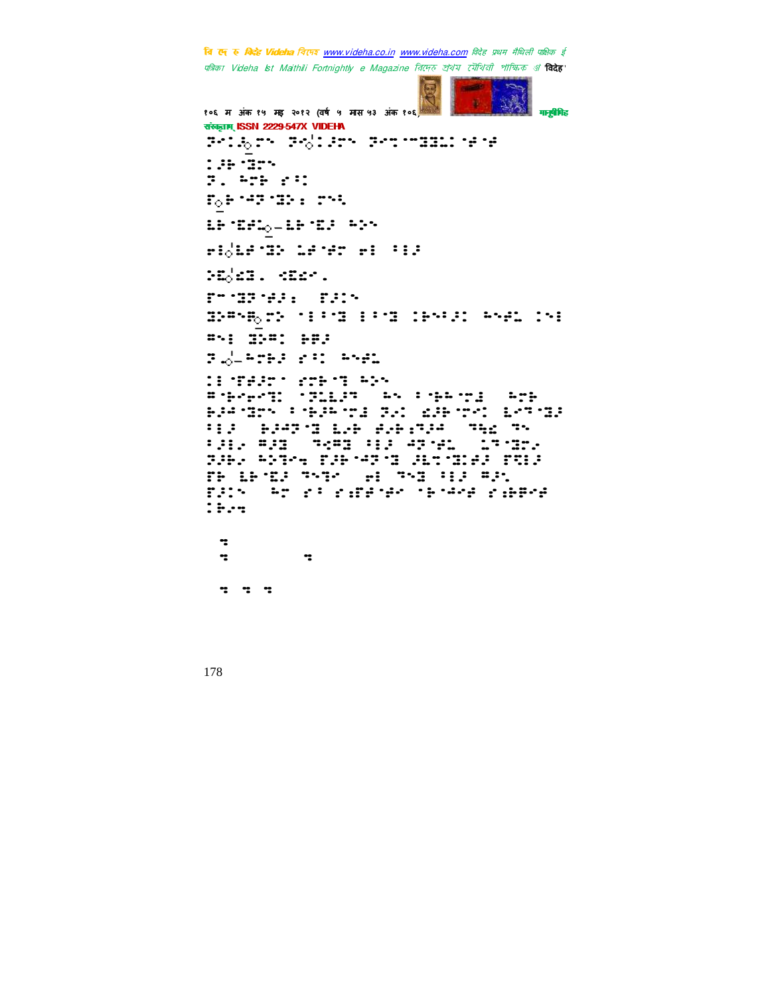**Separate** 

१०६ म अंक १५ मइ २०१२ (वष ५ मास ५३ अंक १०६) मानुषीिमह संस्कृतम् ISSN 2229-547X VIDEHA  $\mathbb P$  :  $\mathbb S$   $\mathbb P$   $\mathbb P$   $\mathbb P$   $\mathbb P$   $\mathbb P$   $\mathbb P$   $\mathbb P$   $\mathbb P$   $\mathbb P$   $\mathbb P$   $\mathbb P$   $\mathbb P$   $\mathbb P$   $\mathbb P$   $\mathbb P$   $\mathbb P$   $\mathbb P$   $\mathbb P$   $\mathbb P$   $\mathbb P$   $\mathbb P$   $\mathbb P$   $\mathbb P$   $\mathbb P$   $\mathbb P$   $\mathbb P$   $\mathbb P$   $\mathbb P$   $\mathbb P$   $\math$ ⢼⢷⣝! ⢽⣀.⢳⢷!⢸!  $\mathbb{F}_0$  }  $^*$  =  $^*$   $\mathbb{F}_2$   $\mathbb{F}_2$   $\mathbb{F}_3$   $\mathbb{F}_4$   $\mathbb{F}_5$   $\mathbb{F}_6$   $\mathbb{F}_7$   $\mathbb{F}_8$   $\mathbb{F}_9$   $\mathbb{F}_9$   $\mathbb{F}_9$   $\mathbb{F}_9$   $\mathbb{F}_9$   $\mathbb{F}_9$   $\mathbb{F}_9$   $\mathbb{F}_9$   $\mathbb{F}_9$   $\mathbb{F}_9$   $\mathbb{F}_9$   $\mathbb{F}_9$ ⣇⢷⣏⢾⣅◌॒-⣇⢷⣏⢼!⢳⢵! ⢶2◌॑⣇⢾⣝⢵.⣅⢾⢾!⢶2!A2⢼! ⢵⣏◌॑⣎⣝⣀.⣊⣏⣎⣀! /b⣝⢽⢾⢼⣐.!/⢼! ⣝⢵⢻⢿◌॒⢵.2⢸⣝!2⢸⣝!⢷A⢼!⢳⢾⣅!2! ⢻2!⣝⢵⢻!⢷⢿⢼! ⢽⣀◌॑-⢳⢷⢼!⢸!⢳⢾⣅! 2/⢾⢼.⢷⣙!⢳⢵! ⢻⢷⢶⣙!⢽⣅⣇⢼⢹.!⢳!A⢷⢳⣜-!⢳⢷! ⢷⢼⢺⣝!A⢷⢼⢳⣜!⢽⢴!⣎⢼⢷!⣇⢹⣝⢼! A2⢼-!⢷⢼⢺⢽⣝.⣇⢴⢷-⢾⢴⢷⣐⢹⢼⢺-!⢹⣓⣎!⢹! A⢼2⢴!⢻⢼⣝-!⢹⣊⢻⣝!A2⢼!⢺⢽⢾⣅-!⣅⢹⣝⢴! ⢽⢼⢷⢴!⢳⢵⣙⣒!/⢼⢷⢺⢽⣝!⢼⣇⣉⣝⢾⢼!/⣋2⢼! /⢷!⣇⢷⣏⢼!⢹⣙-!⢶2!⢹⣝!A2⢼!⢻⢼⣁! /⢼-!⢳!⢸!⣐/⢾⢾!⢷⢺⢾0⣐⢷⢿⢾!  $:$   $:$   $:$   $:$ 9. WJEFIBIBI GEORGE STATISTIKE STATISTIKE STATISTIKE STATISTIKE STATISTIKE STATISTIKE STATISTIKE STATISTIKE ST 9 and the second second second second second second second second second second second second second second se  $9:2:2$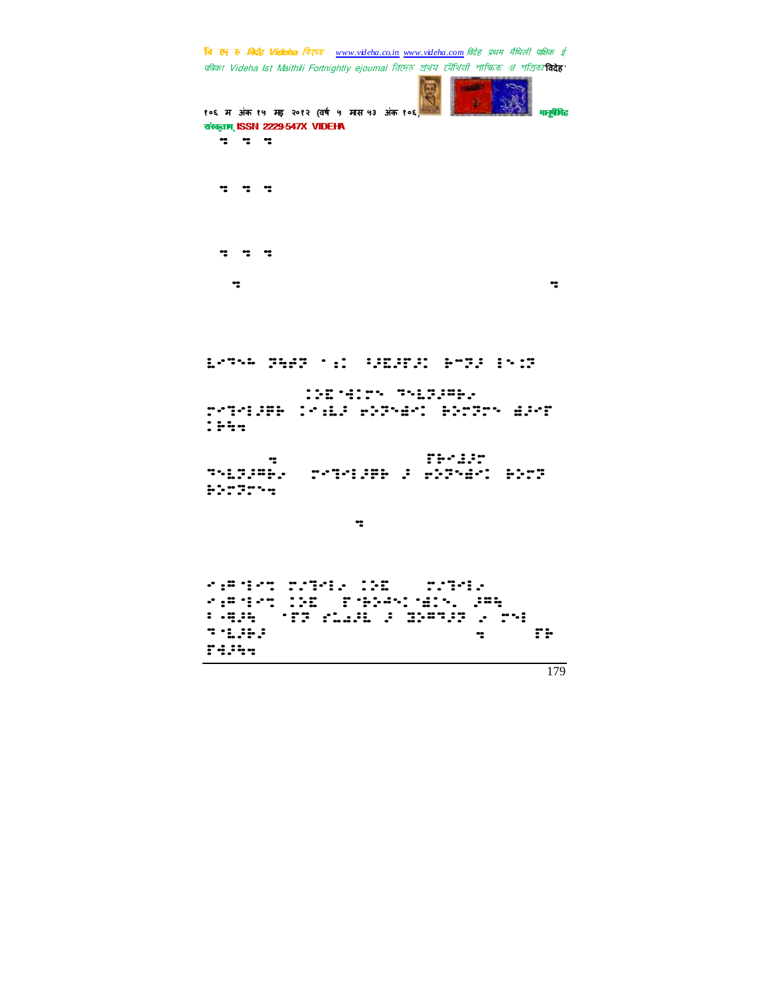चि एक रु *विदेह Videha चिए*न्छ <u>www.videha.co.in www.videha.com</u> विदेह प्रथम मैथिली पाक्षिक ई पत्रिका Videha Ist Maithili Fortnightly ejournal রিদেত প্রথম মৌথিলী পাক্ষিক প্র পত্রিকা**'বিदेह**' १०६ म अंक १५ मइ २०१२ (वष ५ मास ५३ अंक १०६) मानुषीिमह संस्कृतम् ISSN 2229-547X VIDEHA  $9:2:2$ 9⣒2⣒4⣒Po`uif`ejdf. 9⣒2⣒5⣒OBBHQIBOT!)JO!FOHMJTI\*.! es<br>Esimene estimene estimene estimene estimene estimene estimene estimene estimene estimene estimene estimene es<br>Es  $\blacksquare$ Joqvu;!)⢵⣏⣚!⢹⣇⢽⢼⢻⢷⢴-! ⣙2⢼⢿⢷!⣐⣇⢼!⢶⢵⢽⣞.⢷⢵⢽!⣞⢼/! ⢷⣓⣒!Joqvu!jo!Efwbobhbsj-! Spring<br>Spring \*:Pring \*:Pring \*:Pring \*:Pring \*:Pring \*:Pring \*:Pring \*:Pring \*:P ⢹⣇⢽⢼⢻⢷⢴-!⣙2⢼⢿⢷!⢼!⢶⢵⢽⣞.⢷⢵⢽0! ⢷⢵⢽⣒!Sftvmu!jo!Efwbobhbsj-! Spinbook (Spnbook) (Spnbook) (Spnbook) (Spnbook) (Spnbook) (Spnbook) (Spnbook) (Spnbook) (Spnbook) (Spnbook) (Spnbook) (Spnbook) (Spnbook) (Spnbook) (Spnbook) (Spnbook) (Spnbook) (Spnbook) (Spnbook) (Spnbook) (Spnbook) (Sp  $^{\prime}$  . 2010 : 1010 : 1010 : 1010 : 1010 : 1010 : 1010 : 1010 : 1010 : 1010 : 1010 : 1010 : 1010 : 1010 : 1010 : 1010 : 1010 : 1010 : 1010 : 1010 : 1010 : 1010 : 1010 : 1010 : 1010 : 1010 : 1010 : 1010 : 1010 : 1010 : 101 ⣐⢻2⣉.⢵⣏!!/⢷⢵⢺⣞E!⢼⢻⣓! AB⣛⢼⣓-!/⢽!⣅⣔⢼⣇!⢼!⣝⢵⢻⢹⢼⢽!⢴.2! ⢹⣇⢼⢷⢼!hhbkfoesbAwjefib⣒dpn!/⢷! /⣚⢼⣓⣒!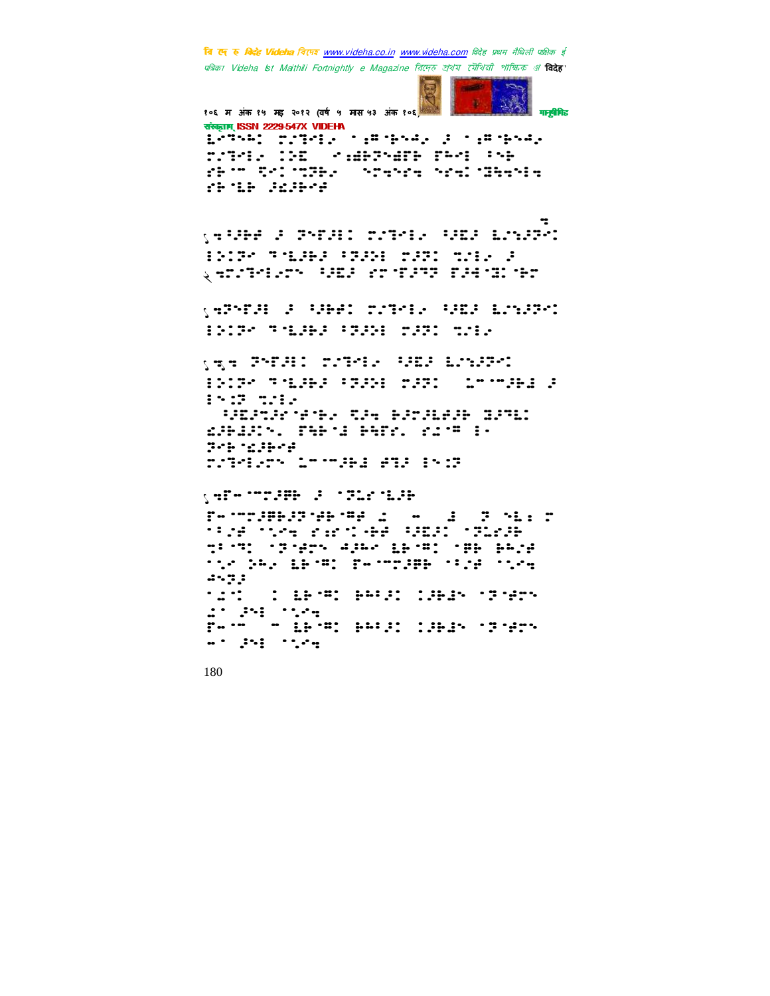

संस्कृतम् ISSN 2229-547X VIDEHA ⣇⢹⢳!1⣙2⢴.⣐⢻⢷⢺⢴!⢼!⣐⢻⢷⢺⢴! 1⣙2⢴!⢵⣏!)⣐⣞⢷⢽⣞/⢷!/⢳2!A⢷!  $\mathbf{f}: \mathbf{f}: \mathbf{f}: \mathbf{f}: \mathbf{f}: \mathbf{f}: \mathbf{f}: \mathbf{f}: \mathbf{f}: \mathbf{f}: \mathbf{f}: \mathbf{f}: \mathbf{f}: \mathbf{f}: \mathbf{f}: \mathbf{f}: \mathbf{f}: \mathbf{f}: \mathbf{f}: \mathbf{f}: \mathbf{f}: \mathbf{f}: \mathbf{f}: \mathbf{f}: \mathbf{f}: \mathbf{f}: \mathbf{f}: \mathbf{f}: \mathbf{f}: \mathbf{f}: \mathbf{f}: \mathbf{f}: \mathbf{f}: \mathbf{f}: \mathbf{f}: \mathbf{f}: \mathbf{f$ ⢷⣇⢷!⢼⣎⢼⢷⢾!.Cbtfe!po!nt.trm!

Fohmjeti.<br>Nbjurijmje i pobsada pobsada na pobsada pobsada pobsada na pobsada pobsada na pobsada pobsada pobsada pobsada ⣒⢸⢼⢷⢾!⢼!⢽/⢼2!1⣙2⢴!⢸⢼⣏⢼.⣇1⣑⢼⢽! 2⢵⢽!⢹⣇⢼⢷⢼!A⢽⢼⢵2!⢼⢽!⣉12⢴!⢼! ⣒1⣙2⢴!⢸⢼⣏⢼!/⢼⢹⢽!/⢼⣚⣝⢷!

⣒⢽/⢼2!⢼!⢸⢼⢷⢾!1⣙2⢴!⢸⢼⣏⢼.⣇1⣑⢼⢽! 2⢵⢽!⢹⣇⢼⢷⢼!A⢽⢼⢵2!⢼⢽!⣉12⢴!

⣒⣒!⢽/⢼2!1⣙2⢴!⢸⢼⣏⢼!⣇1⣑⢼⢽! 2⢵⢽!⢹⣇⢼⢷⢼!A⢽⢼⢵2!⢼⢽!!⣅bb⢼⢷⣜!⢼! 2⣈⢽!⣉12⢴! )⢸⢼⣏⢼⣉⢼⢾⢷⢴!⣋⢼⣒!⢷⢼⢼⣇⢾⢼⢷!⣝⢼⢹⣇! ⣎⢼⢷⣜⢼E!/⣓⢷⣜!⢷⣓/E!⣌⢻!2c! ⢽⢷⣎⢼⢷⢾\*!! 1⣙2⢴!⣅bb⢼⢷⣜!⢾⣙⢼!2⣈⢽!

⣒/⢲b⢼⢿⢷!⢼!⢽⣅⣇⢼⢷;! /⢲b⢼⢿⢷⢼⢽⢾⢷⢻⢾!⣌-!⢲-!⣜-!⢽!⣇⣐!! A1⢾!⣁⣒!⣐B⢷⢾!⢸⢼⣏⢼!⢽⣅⢼⢷! ⣉A⢹!⢽⢾!⢺⢼⢳!⣇⢷⢻!⢿⢷!⢷⢳1⢾! ⣁!⢵⢳⢴!⣇⢷⢻!/⢲b⢼⢿⢷!A1⢾!⣁⣒! ⢺⢽⢼.!! ⣌!)!⣇⢷⢻!⢷⢳A⢼!⢼⢷⣜!⢽⢾!  $\begin{bmatrix} 1 & 1 & 1 \\ 2 & 1 & 1 \end{bmatrix} \begin{bmatrix} 1 & 1 & 1 \\ 1 & 1 & 1 \end{bmatrix} \begin{bmatrix} 1 & 1 & 1 \\ 1 & 1 & 1 \end{bmatrix}$ /⢲b!)b!⣇⢷⢻!⢷⢳A⢼!⢼⢷⣜!⢽⢾!  $\mathbf{u} \cdot \mathbf{v}$  is the finite set of the finite set of the finite set of the finite set of the finite set of the finite set of the finite set of the finite set of the finite set of the finite set of the finite set of the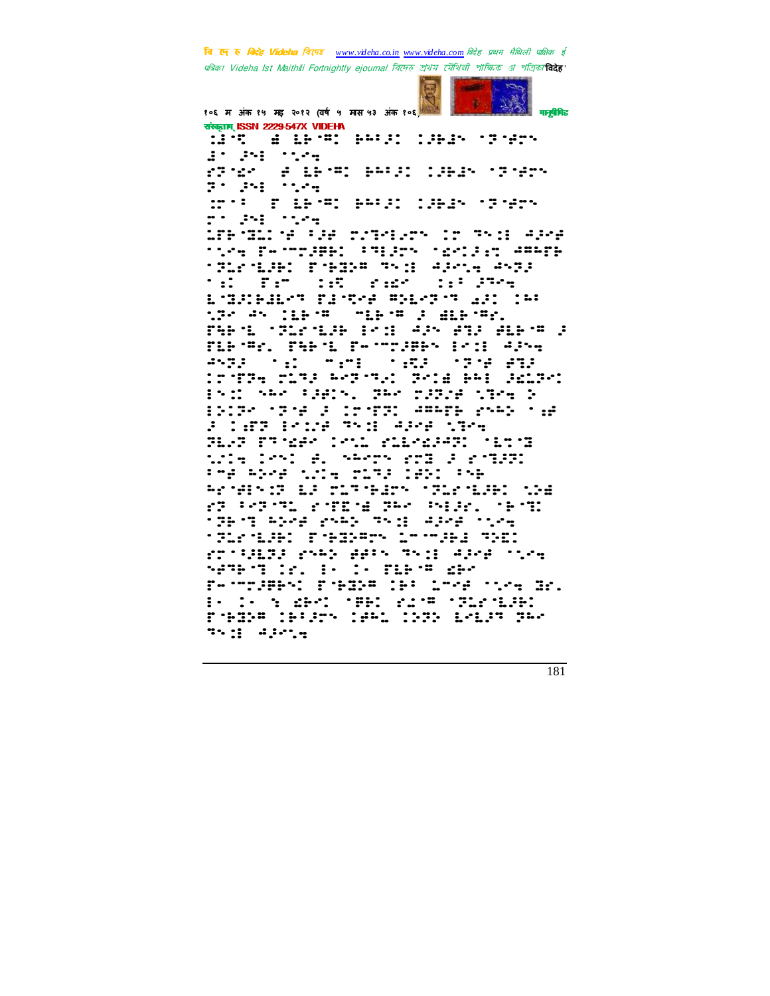

१०६ म अंक १५ मइ २०१२ (वर्ष ५ मास ५३ अंक १०६) संस्कृतम् ISSN 2229-547X VIDEHA 89 200 200 200 100 700 an an chine ste fik<br>Disk va met fire and the crew n di na **TERMIN PROGRESS AND AND** ti fr 15 februari 194 the associated state and the control of the state of the state of the state of the state of the state of the s ned tribut en stande **WEATHER WEATHER IN SERVICE** 852 - 200 - 200 - 200 - 200 - 200 - 200 cine du Procipce pi adv Brook and additional completed and complete the completed of Film but hillor in. wie bri e swrs ro d'rioc : 4 brd 10 mars 10 mars 11 <u> Benites II Marian (Den Barnet 198</u> 89 8895 8906 960 8828 9830 'Bri Wre rwn Tri Abra 'vre **TECH PRESS FORESTS** rothing real gate ten ageg tieg sentic le la capitale **T-""!!!:: : :::: :: :: ::: ::: : ::** in lich der Stel Kost (Zorige)<br>Poeze (ever 1861-1920 brost 266 This agene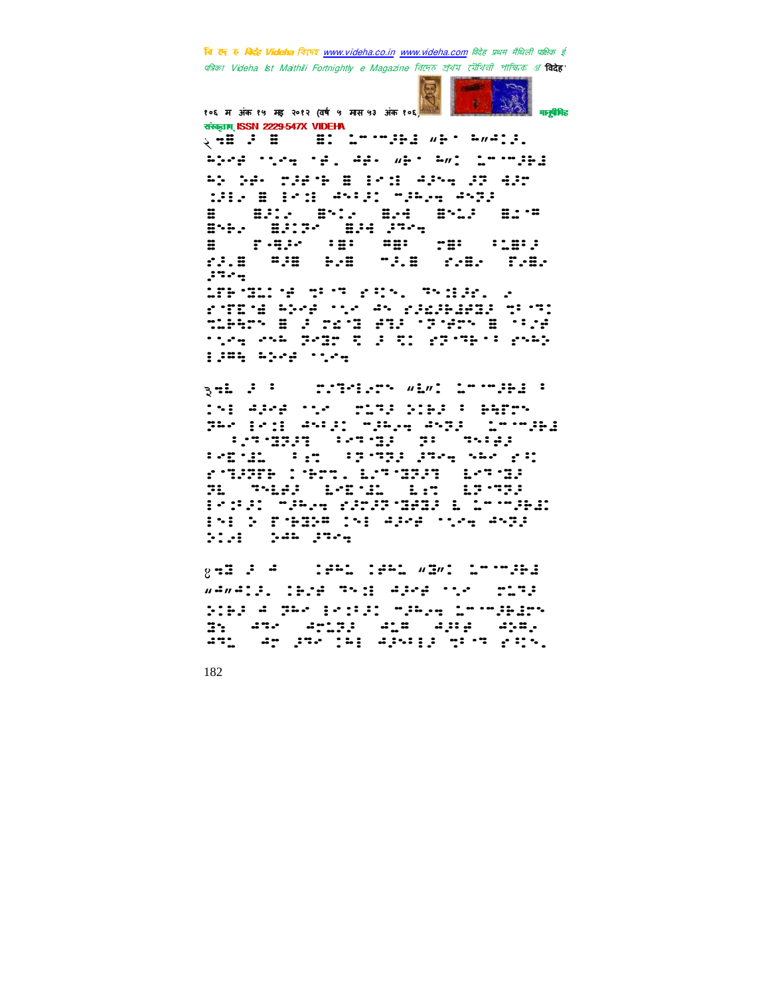

१०६ म अंक १५ मइ २०१२ (वर्ष ५ मास ५३ अंक १०६) संस्कृतम् ISSN 2229-547X VIDEHA E: 1""Hi wh' b,d:!.  $\mathbf{R}$  :  $\mathbf{R}$ aper the tri are who ami interna <u> Se ses Bird Sea Stadt</u> **1000 B D (1000 4500)** - 1000 A 1000  $E^*L^2 = E^*L^*$  $\mathbf{H}$ 第二回 ra.m pam ban tan ran nan and a INGENSION STATES rting ave mr av rigidigi tim tint E : til Pil and the E fil the es por to concern cap **1,000 Al-10 Ti-10** 

 $3 - 1$   $\frac{1}{2}$ **[\*] 424 \*\*\* Till: 182 \*\*\*** par brib 45:31 min.4 45:31 (  $\mathbb{Z}^{\frac{1}{2}}$  and  $\mathbb{Z}^{\frac{1}{2}}$ **PARTICE PRODUCTS SECTIONS PROBLEM STORY STATE SEARCH** : 10000 : 1000 : 100000 : 10000 **ALTERNATION POST TRACESS SEP L'OURS IND 2008 IN 400 100 490** 2021 246 250g

 $g = 2$  ,  $\bullet$ **TANG TANG WARD CONFIDENT** waya:: : : :: = = : : a;:: .: : : : : : : : : bie: 4 par britis minge imcmining and ar process aposa room stro.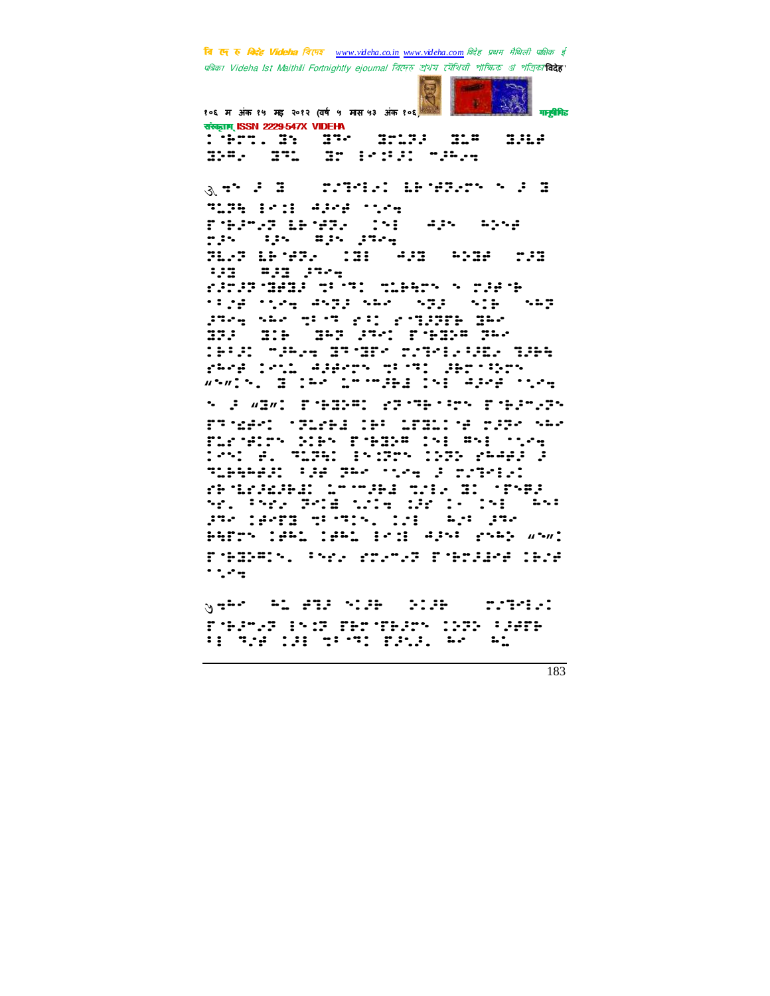१०६ म अंक १५ मइ २०१२ (वर्ष ५ मास ५३ अंक १०६) मानुबेमिह संस्कृतम् ISSN 2229-547X VIDEHA **BALE** : 10:1. In  $\mathbb{R}^{1, \mathbb{R}}$ . ITL IM HOURS THAT  $\lambda$  : : : : TIME BOOK APPROXIMATION nderste bedryf (de fort feder)<br>1950 fed fan Frys  $\sim$   $\sim$   $\sim$   $\sim$ 100 = 0.00 000 chindrin d'or diffés s'hist the transferred the side **SALE** greg ske gref gri genommene Dês tea ror confus de rand Industrial State of the Services  $\mathbf{w}^{\bullet} \mathbf{w}^{\bullet} \mathbf{w}^{\bullet} \mathbf{w}^{\bullet} \mathbf{w}^{\bullet} \mathbf{w}^{\bullet} \mathbf{w}^{\bullet} \mathbf{w}^{\bullet} \mathbf{w}^{\bullet} \mathbf{w}^{\bullet} \mathbf{w}^{\bullet} \mathbf{w}^{\bullet} \mathbf{w}^{\bullet} \mathbf{w}^{\bullet} \mathbf{w}^{\bullet} \mathbf{w}^{\bullet} \mathbf{w}^{\bullet} \mathbf{w}^{\bullet} \mathbf{w}^{\bullet} \mathbf{w}^{\bullet} \mathbf{w}^{\bullet} \mathbf{w}^{\bullet}$ **SEARCH THE SEARCH STORES IN THE SEARCH** rien Tebele e crois no se Tirther bias roads is see the 89 : TIT SYT 191 242 : **TLEADED TO THE STATE OF THE STATE** :POCHO CHANG THE THE ne, they Brig will definitely  $\sim$   $\sim$  : and tedam manufacture and and 2027 102 102 201 201 420 200 NV. POSSED CONTROLS POSSED INT  $\mathcal{L}$  , and  $\mathcal{L}$ yeks al end side (side ) moneta: 

**:: 5:2 :3: 5: 5: 5:1:. 40 41**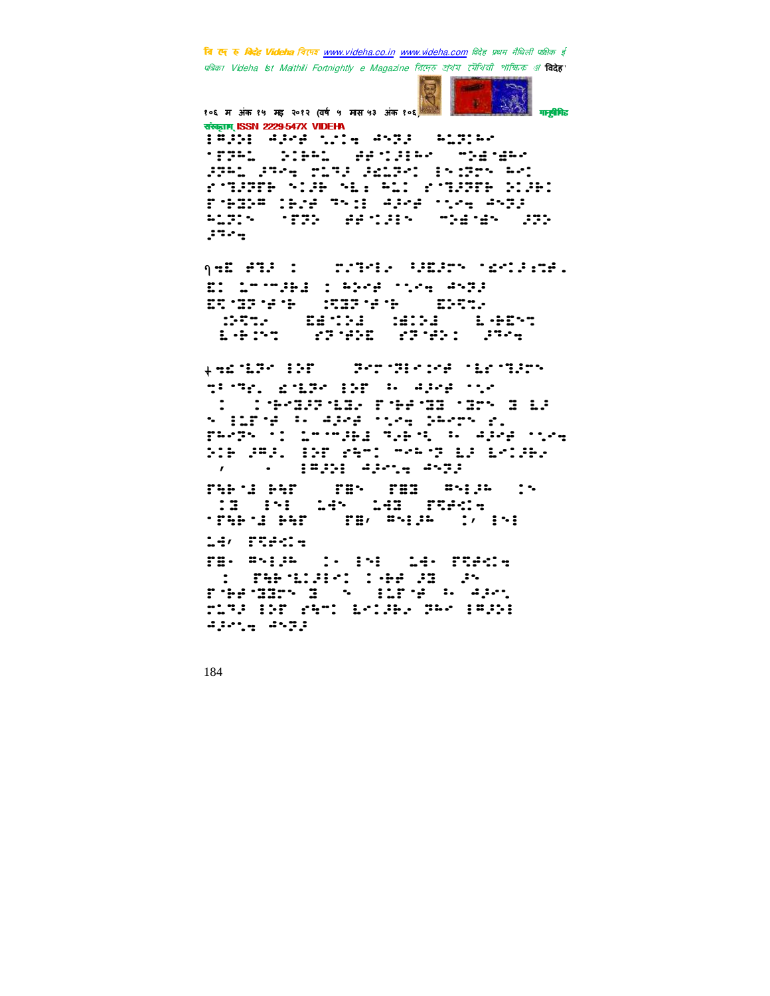

संस्कृतम् ISSN 2229-547X VIDEHA 'TPL DIAL WESTER THENRY **STAL STAR WITH SELFY BYSTY ART** PARTE SIE SLIED PARTE SIE PARE GREATE ARE the ASP WINN THE BENSIN THEM SHE  $\mathcal{L}^{\text{max}}$ 

 $9 = 22$   $\pm 7.2$   $\pm 1$ E Condu : We te AST  $\mathbb{R}^{n}$ 1. September 1983 - State State

personal concert section the cure of a speaker s difficult grantes parts al parts of Loopied theory as added the He WAL IST SAM TOWN 13 LOCAL  $\overline{1}$  ,  $\overline{1}$  ,  $\overline{1}$  ,  $\overline{2}$  ,  $\overline{1}$  ,  $\overline{2}$  ,  $\overline{2}$  ,  $\overline{2}$  ,  $\overline{2}$  ,  $\overline{2}$  ,  $\overline{2}$  ,  $\overline{2}$ **TAB-1 BAT 13 IM 14 143 FEAR** TB, #4:4 1, 14 **.rub.i bur** 14, Milia of THEOLIPS CHEVIOR<br>Pohenics I so tipue 6 gra **TORE OF PHONE CONFIDENT** agena angg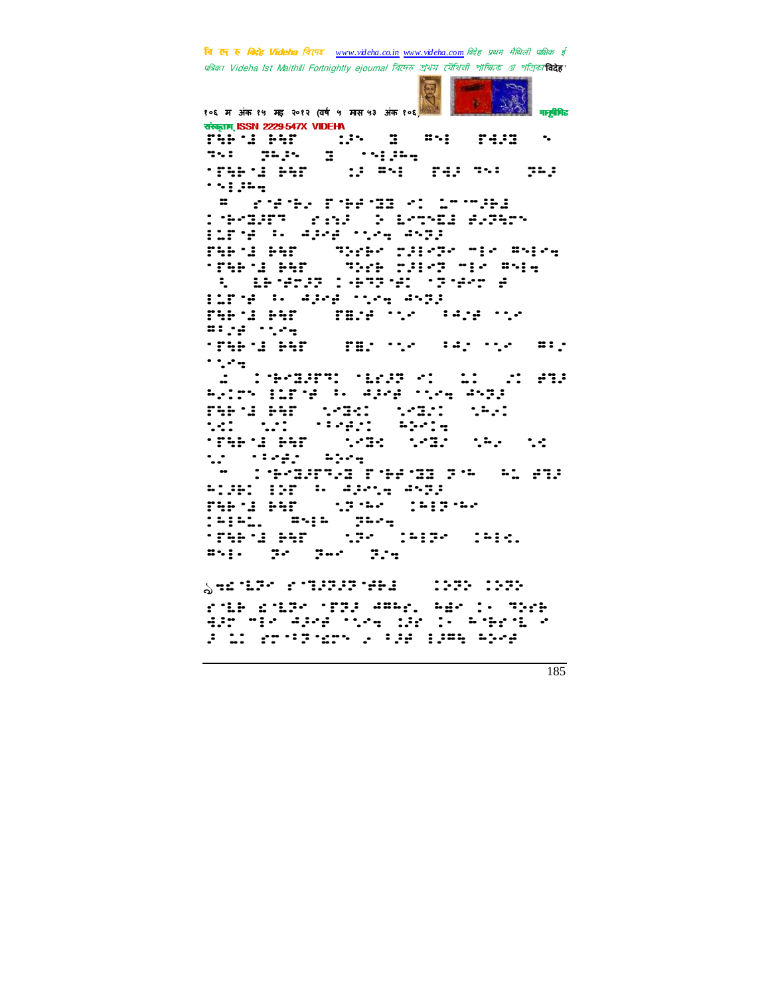**Separate**  $\mathcal{G}$ १०६ म अंक १५ मइ २०१२ (वर्ष ५ मास ५३ अंक १०६) मनुवैमिह संस्कृतम् ISSN 2229-547X VIDEHA  $\mathbb{R}^2$  . The  $\mathbb{R}^2$ **THE 12 PHT**  $\cdots$   $\cdots$  $\bullet_\bullet$ **THE SEP I SHIPS TERNE BAS :: =-: ::: =-: =-:**  $\cdots$  :  $\cdots$ CHART PAR D'ESTRE AZAT port and the state of the state of the state of the state of the state of the state of the state of the state o **THE 1 HIT This rich time and a This raish may make** t gres ceser ser s :1:4 : 400 mm 450 TOG YA GANA YA **TAR'S BAT**  $\mathbf{m}$  .  $\mathbf{r}$  ,  $\mathbf{r}$  ,  $\mathbf{r}$  ,  $\mathbf{r}$  ,  $\mathbf{r}$ the does one the sacre and ning<br>"Good (Herberro Sibelpoed) (11 - 21 - 212 Went dire wake the ASI neder vad<br>Volume (1982)  $\sim$   $\sim$   $\sim$   $\sim$   $\sim$  $\ddotsc$  $\frac{1}{2}$ **THE 1 HI**  $\begin{minipage}{.4\linewidth} \begin{tabular}{l} \multicolumn{1}{l}{} & \multicolumn{1}{l}{} & \multicolumn{1}{l}{} \\ \multicolumn{1}{l}{\multicolumn{1}{l}{} & \multicolumn{1}{l}{\multicolumn{1}{l}{} \\ \multicolumn{1}{l}{\multicolumn{1}{l}{\multicolumn{1}{l}{\multicolumn{1}{l}{\multicolumn{1}{l}{\multicolumn{1}{l}{\multicolumn{1}{l}{\multicolumn{1}{l}{\multicolumn{1}{l}{\multicolumn{1}{l}{\multicolumn{1}{l}{\text{}}}}}}}} \end{tabular} \end{minipage} \begin{minipage}{.$ **Simple Service** u Sep Aye <u>The conformation and some constant</u> **A:::: ::: :. 4:::: 4:7: PH: 1 HP**  $\frac{1}{2}$  ,  $\frac{1}{2}$  ,  $\frac{1}{2}$  ,  $\frac{1}{2}$  $\frac{1}{2}$  is a set of the set of  $\frac{1}{2}$ anno anno gare 30 1912 1914. **THE LETT** Bill St Set Sid gerner romeener is de dee er me are not de l'estre e

**FIRST CONTROLLERS**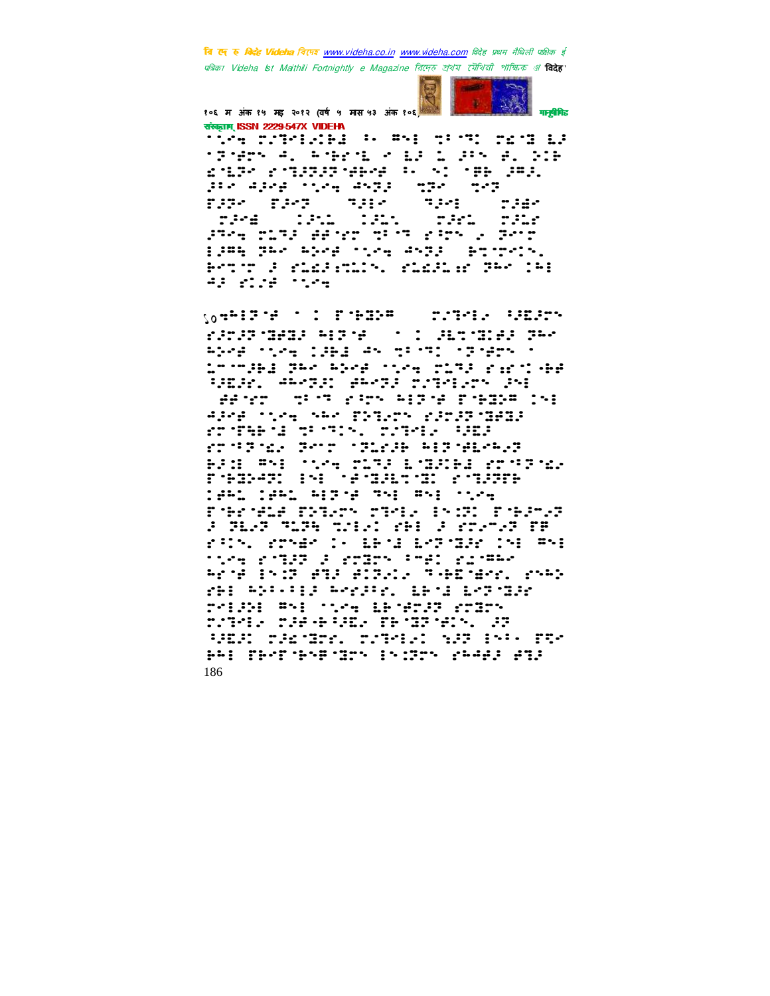

संस्कृतम् ISSN 2229-547X VIDEHA **THE STREET BE SHOW THAT ER 1345 4. Adent Kill Dura Sil** KONSTANTISTISCHEM (F. 1930)<br>1971 Alfred Murk (Ansle och 1992) FJP FJ-T  $\mathcal{L}$  , and  $\mathcal{L}$ **RASHE** mage nidi (iti **THE**  $\blacksquare$ and and state of the state of the state of the state of the state of the state of the state of the state of th ang pina Afric non ang 2 por :20, 70 AM 2010 1910 2022 | Princip. 2000 : 2010 : 2010 : 2010 : 2010 : 201 Al Side tide

 $\frac{1}{20}$  , and  $\frac{1}{2}$  ,  $\frac{1}{2}$  ,  $\frac{1}{2}$  ,  $\frac{1}{2}$  ,  $\frac{1}{2}$  ,  $\frac{1}{2}$  ,  $\frac{1}{2}$  ,  $\frac{1}{2}$ arat in the second second and second the second second second second second second second second second second aber nom 1961 av dring ignære i ringer på aven ver popp for tel WER ARTE ART TIMET PH serr groeps word press.  $\ddotsc$ apertide skilles constant completed and control completed and control completed and control completed and control completed and control completed and control completed and control completed and control complete and control complete and control cont FARAR IN 18181818 PARTE Phengue paper cher (rich Pheng ron ree : burgerour on sy **The Post Constant Constant** Wird is: Sir Sir Sir September 2563 :8: 8:00: 8:00: 8:00 BM 8:00: 8:00 **PAIDI BY: 1124 121222 2007** WER SECRE START WE IN TR pa: TheTobeRolles :sclere paddl dtl 186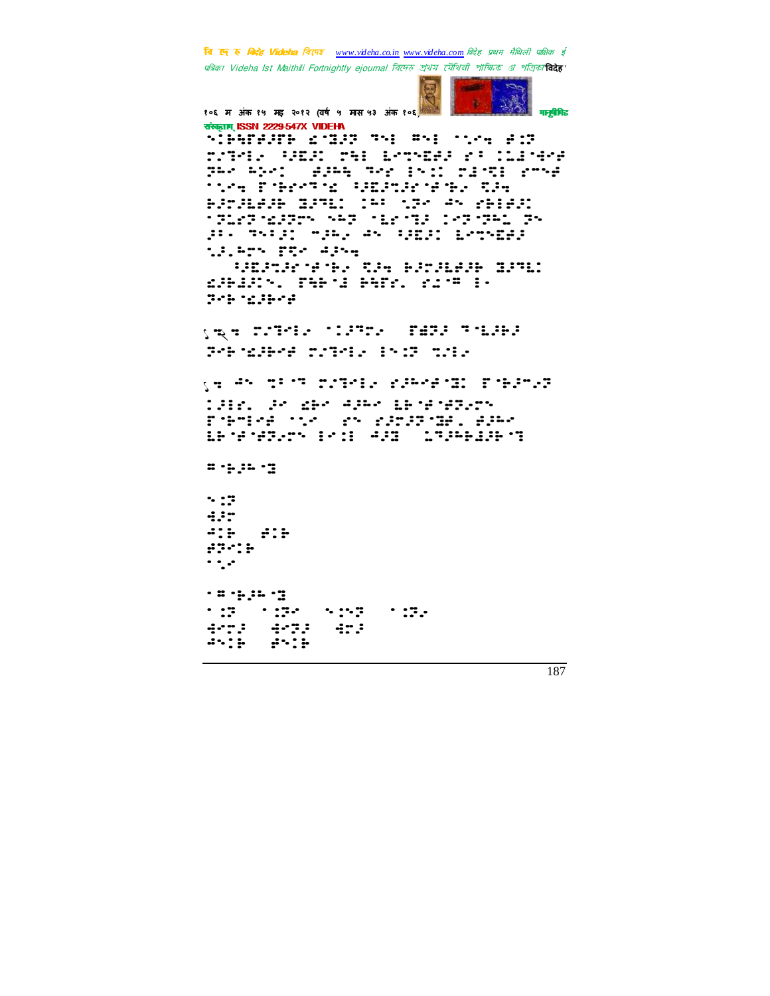

१०६ म अंक १५ मइ २०१२ (वर्ष ५ मास ५३ अंक १०६) संस्कृतम् ISSN 2229-547X VIDEHA SIARARE COOR THE THE SIGHTS **T.T.C. CODE TO BILLET CO. 100 ST.** partners and writers restaurant **The Pierre Willenstein In 1722712375 547 12213 1271342 75 ::. 75::: ":L. JS ::::: L'TS!!!** there free died ESPOINT THE BATE COMMISSION The material **VRA DJRKA (1992) TERR SALAR** SSYSHE WIND BYS WIP **(\* 2011 1202)** : 1992, 1992, 1992, 1992 Dir. P de 48e begyne rement of concrete and  $\frac{1}{2}$   $\frac{1}{2}$   $\frac{1}{2}$   $\frac{1}{2}$   $\frac{1}{2}$  $\sim$  :  $\approx$ 4.35  $\mathbf{a}$  : is  $\mathbf{b}$  $\mathbf{f}$ : **ATALE**  $\ddotsc$  $12.4312$  $\ddotsc$   $\ddotsc$  $\ddotsc$ 4: 4: 4: 4: 4  $4516 - 4516$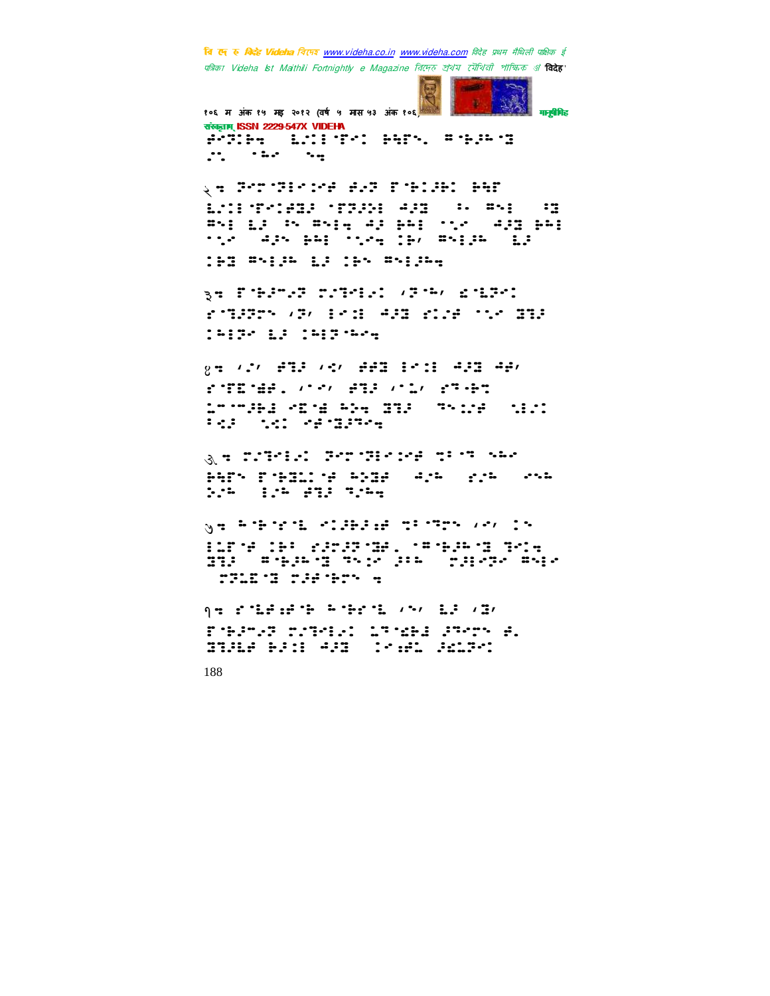

१०६ म अंक १५ मइ २०१२ (वर्ष ५ मास ५३ अंक १०६ म संस्कृतम् ISSN 2229-547X VIDEHA PTH WITH HP. "BR'S  $\mathbf{r}$  , where  $\mathbf{r}$  $\mathcal{L}$ 

sni il nosnig di bbi stro dil bbi<br>stro din bbi stra lb, snije oli **100 Bill 11 10 Billy** 

ge Presned Medical (Dra, 2110) ricos (1919) en 42 con se oc pagga ga pagpiasa

 $g = \sqrt{7}$ ,  $f^2H^2/\sqrt{7}$ ,  $f^2H^2/\sqrt{7}$ ,  $f^2H^2/\sqrt{7}$ ,  $f^2H^2/\sqrt{7}$ roman and the common control of the common and common control of the common and common common and common and c <u> Legendra Crandica Constantino de la constantino de la constantino de la constantino de la constantino de la c</u> **Part and September 1980** 

at Didi Schiller the sa 880 POSS S 828 AN CA 25 1: :: :: :: "."

ga Robord Kilbia dicer vez ir **CONTROLLER CONTROLLER SERVICE SERVICE SERVICE SERVICE SERVICE SERVICE SERVICE SERVICE SERVICE SERVICE SERVICE** ni seksnave pre pre pier sek 

**At side the Finance (S) 12 (1)** PAPAR COMMA CREE SPORTS. 8998 BOOK 422 SOURCES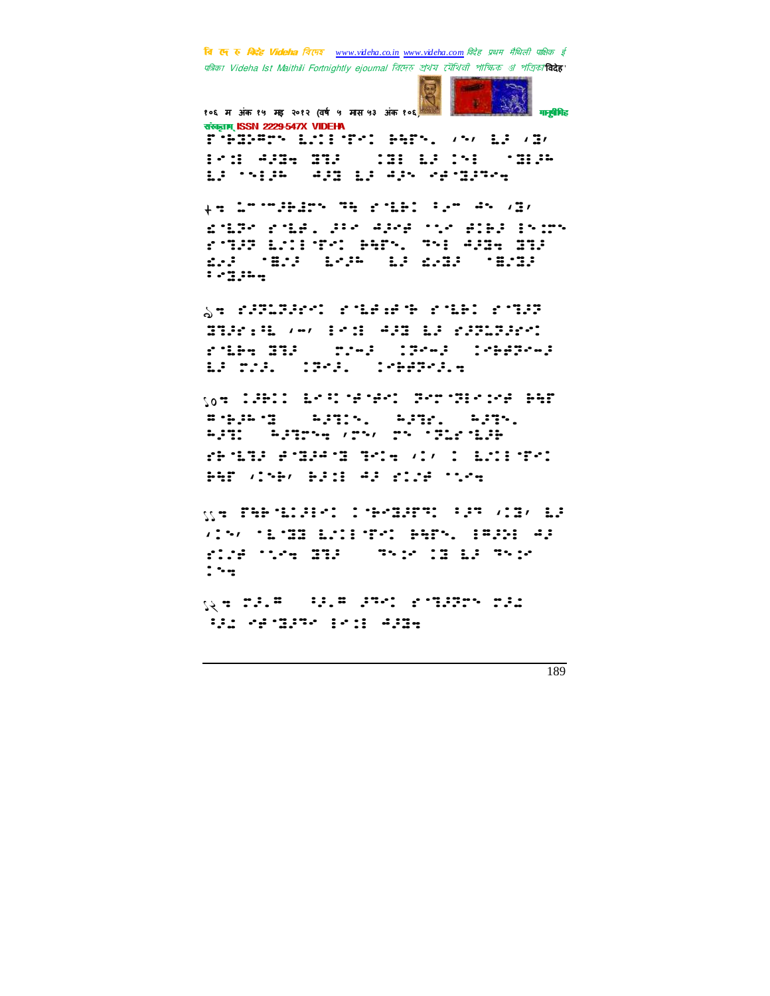

संस्कृतम् ISSN 2229-547X VIDEHA Fig. 8. 1999 S. 1999 S. 1999 S. 1999 **BOOK AND THE SENSE SEEMS ARE SERVED AND SERVED ASSESSED.** 

ve in maaars ma enaat gen ws (o) car radio and the conditions **POST LOCAL PRODUCTS THE ANNUAL BRA**  $1.2214$ 

*se conduct ruest rue route* 

<sub>Vo</sub>m 1981 bringer ar var var ber WHO WHEN WE SAME THE **SERIE STRATE ROOM AND LOCATES** HE COB, BED 42 SIZE TON

 $\frac{1}{2}$  ,  $\frac{1}{2}$  ,  $\frac{1}{2}$  ,  $\frac{1}{2}$  ,  $\frac{1}{2}$  ,  $\frac{1}{2}$  ,  $\frac{1}{2}$  ,  $\frac{1}{2}$  ,  $\frac{1}{2}$  ,  $\frac{1}{2}$  ,  $\frac{1}{2}$  ,  $\frac{1}{2}$  ,  $\frac{1}{2}$  ,  $\frac{1}{2}$  ,  $\frac{1}{2}$  ,  $\frac{1}{2}$  ,  $\frac{1}{2}$  ,  $\frac{1}{2}$  ,  $\frac{1$ **WAY 1200 121:00 PM PHP, 1931 43** fire the BBC (Sync 18 bP Sync  $\mathbf{C}$  in the  $\mathbf{C}$ 

 $\omega$  . The change  $\omega$  is the control of  $\omega$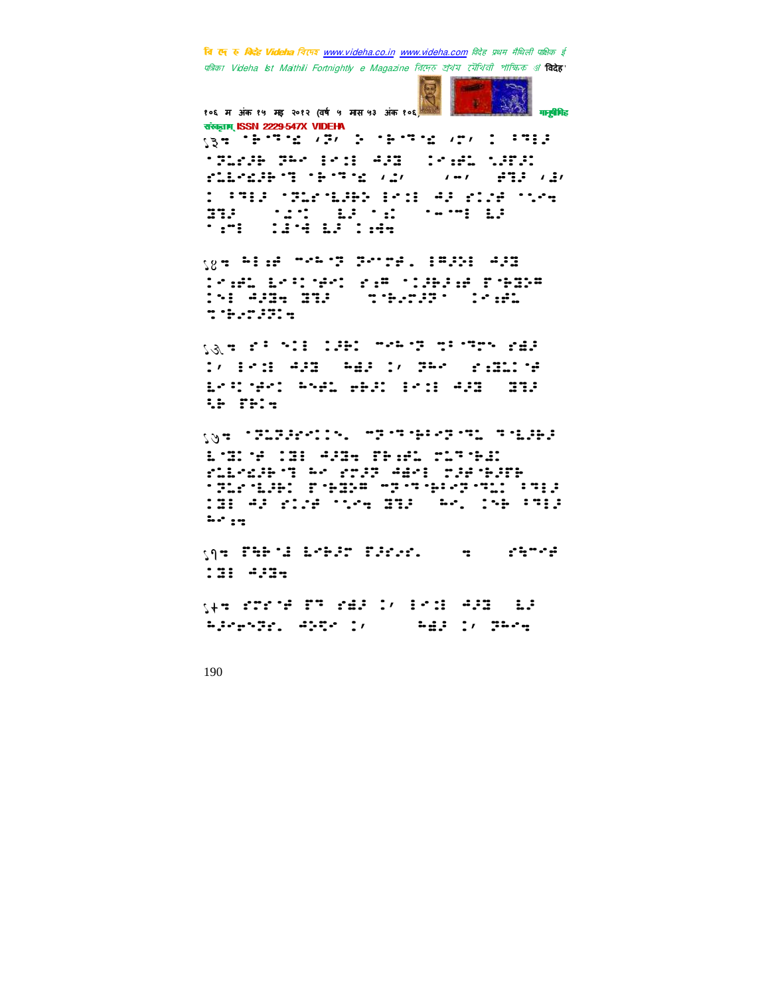

संस्कृतम् ISSN 2229-547X VIDEHA **SEPRONE CONSTRUCTS START OF THE START OF A START OF START OF START OF START OF START OF START OF START OF START OF START OF START**  $\mathbf{v}$  ,  $\mathbf{r}$  ,  $\mathbf{r}$  ,  $\mathbf{r}$ I PRESTRATED PORT PERSONAL **III**  $\cdot$  . . .  $\mathbf{L}^2$   $\mathbf{L}^2$  $\cdots$  :  $\cdots$ **1274 12 1944**  $\cdot$  .  $\cdot$  :

ye Wid res Seri. BRN 48 **Principal Communication** n : benefice

Water the Start Start of the Start th This

We TERROOM TRIPPING TERR rirent word we can **TERMINE THE THREE THE SERVICE IN THE SERVICE OF SERVICE IN THE SERVICE IN THE SERVICE IN THE SERVICE IN THE SE 1918: 2002: 2008: 2008: 2008: 2008: 2008: 2008: 2008: 2008: 2008: 2008: 2008: 2008: 2008: 2008: 2008: 2008: 20**  $2.22$ 

gge Pirti brr.r P.r.e. - et - chref **13: 4334** 

 $\mathcal{N}$  . The state is the state of  $\mathcal{N}$ Adventy, Adventy (1982), Save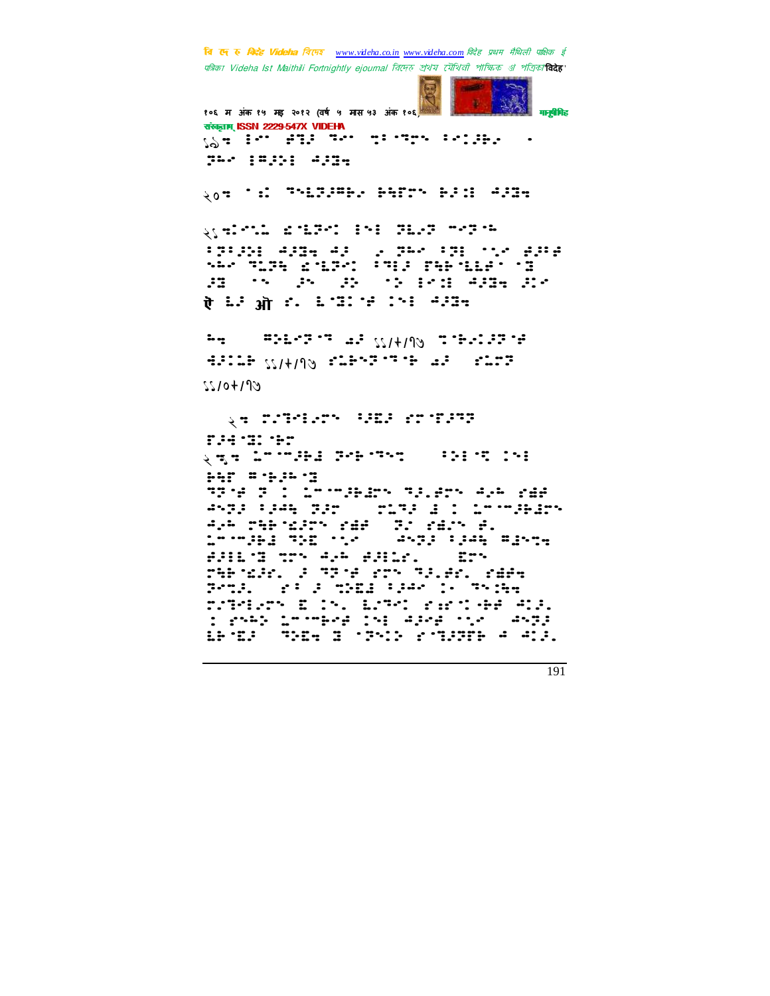१०६ म अंक १५ मइ २०१२ (वर्ष ५ मास ५३ अंक १०६) मानुबैमिह संस्कृतम् ISSN 2229-547X VIDEHA Weiler als The discrete inteles **The CHICS ACTS**  $\frac{1}{20}$  . The state of  $\frac{1}{20}$  $\frac{1}{2}$  , and a find it is the start :p:p: 4pm 4p , par :p: ry ep: **NAP ROBERT CONTROLLER SERVICE SERVICE SERVICE SERVICE SERVICE SERVICE SERVICE SERVICE SERVICE SERVICE SERVICE** s s p p p p p ents art stille is fa to be set  $\mathbb{H}^{\bullet} \quad \quad \mathbb{H}^{\bullet} \mathbb{H}^{\bullet} \mathbb{H}^{\bullet} \quad \mathbb{H}^{\bullet} \quad \mathbb{H}^{\bullet} \quad \mathbb{H}^{\bullet} \quad \mathbb{H}^{\bullet} \quad \mathbb{H}^{\bullet} \quad \mathbb{H}^{\bullet} \quad \mathbb{H}^{\bullet} \quad \mathbb{H}^{\bullet} \quad \mathbb{H}^{\bullet} \quad \mathbb{H}^{\bullet} \quad \mathbb{H}^{\bullet} \quad \mathbb{H}^{\bullet} \quad \mathbb{H}^{\bullet} \quad \mathbb{H}^{\bullet} \quad \mathbb{H}$ STORY SAMPLETERS WANTER SETTE  $2210 + 199$  $\sqrt{2}$  comes una const *TIM'II'HT* yge 15 mæd prestyr i 191 store **HIP = 10.11 .2** The District Company of the Constitution of the Constitution of the Constitution of the Constitution of the Co 299: 1100 910 - 2000 2 1 1000 0000 A.A THREE SAN TO SERVE 1-722 TH 12 453 824 SP10 ANL'I THANA ANIS. **Er THE WILL I TO HE STAR TIGHT SHIP** 3000 : : : : 000 : :: : : 000 : 000 MMHAR E D. EMM PATAR AS. : pas crowe Tal Ape (pr. 49) 1971: THE 2 7712 COURS & ALL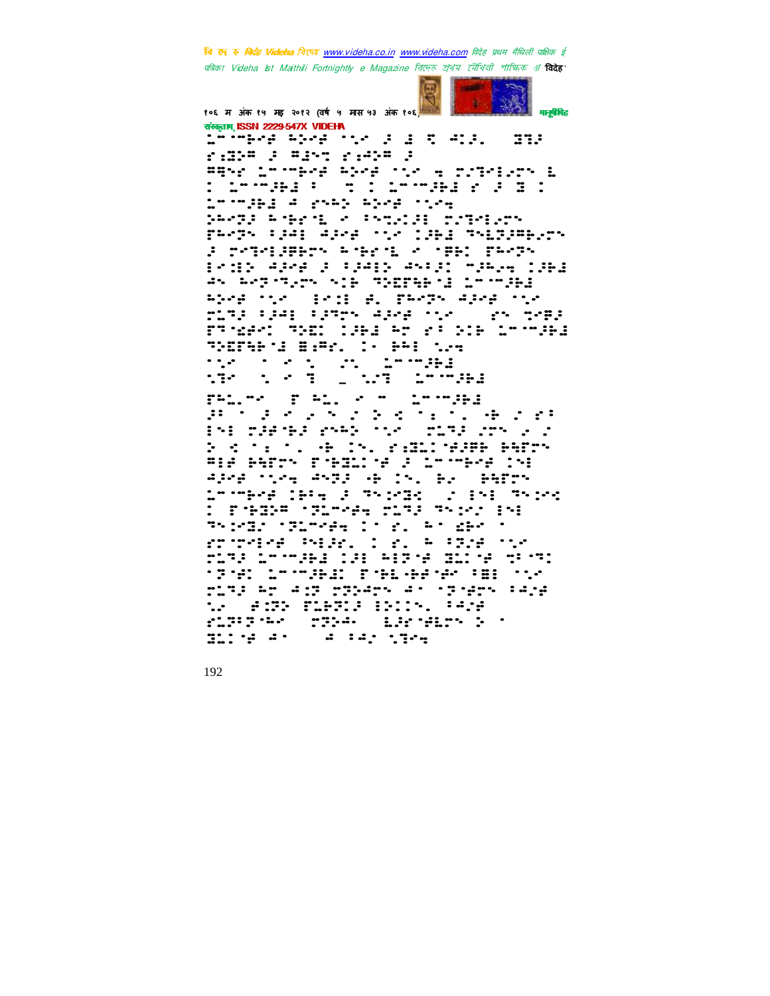

संस्कृतम् ISSN 2229-547X VIDEHA <u> Songay Ayak ny didi Rigor.</u> 333 When increase about the accordance is <u>Shealthain Shealthai</u> 1971 - 1971 - 1982 I STR.S parts (pd) and the code third as From Open Sterle (SP) page :2011 4228 2 12412 45121 72624 1261 as beginges sie modifiend in Hill ayer to ded e pags age to ning that they are the concern **THREE CONFIDENTIAL CONFIDENTIAL CONFIDENTIAL CONFIDENTIAL CONFIDENTIAL CONFIDENTIAL CONFIDENTIAL CONFIDENTIAL**  $\label{eq:2} \mathcal{L}(\mathcal{L}_{\mathcal{C}}) = \mathcal{L}(\mathcal{L}_{\mathcal{C}}) \mathcal{L}(\mathcal{L}_{\mathcal{C}})$ in christia<br>I component paller plains a tachibi  $B_1 \wedge B_2 \wedge B_3 \wedge B_4 \wedge B_5 \wedge B_6 \wedge B_7 \wedge B_8 \wedge B_9$ Berghard and the government String At Charge Home ÁDA BÁRS PÁBOLSA JOLSÁGA (S)<br>Agra sing Asgova (s) Bir Bárcs lmonda ika 2 martin (1913 mark Third: Timres (1932 An 285) rrone mar. I r. Ware the **MAR 1-181 18 WAR 10 WAR 10 WAR THE LOCAL PROPERTY OF STATE** ring ar aun rhart a' 'night fare roman com chiques Elijar (d. 1419)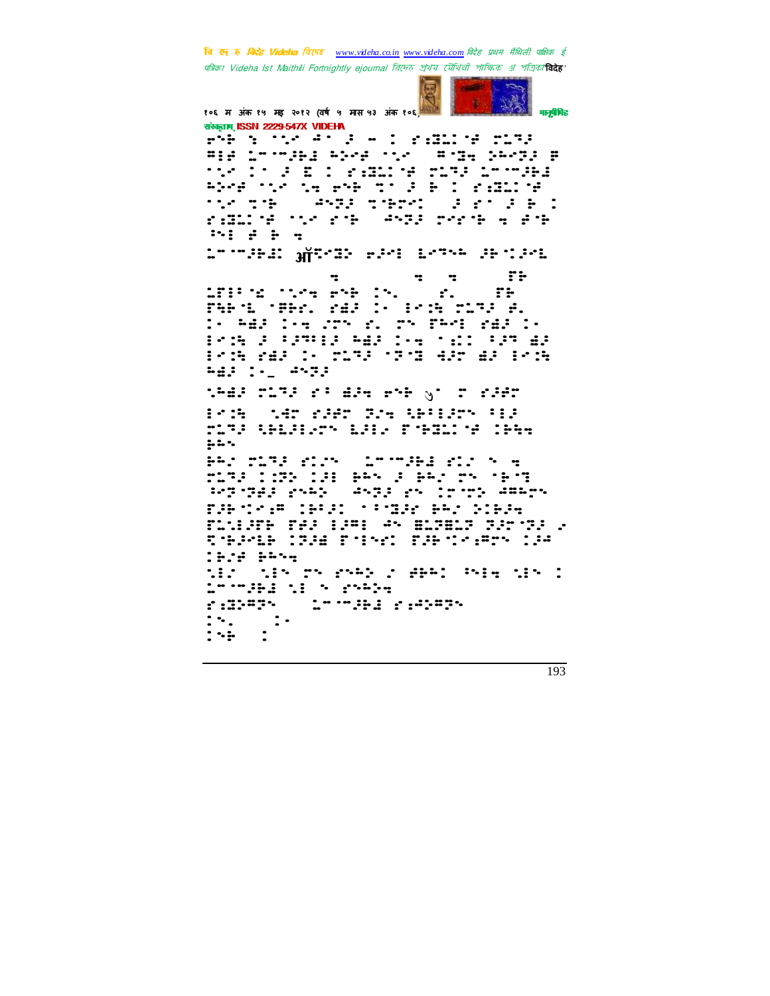

संस्कृतम् ISSN 2229-547X VIDEHA APROVEMENT CARDY NOT me crook: web the worders p di Tra Baramanga nga mga abeline felek til billig som r **ASSEMS SECTIFI** nde mins following the start profession n: : : .

in makal gjördir earb inner aktari

 $\ddot{\phantom{a}}$  $\mathbf{r}$  ,  $\mathbf{r}$ Tŀ **LESPE MONEYE CA.**  $\mathbb{R}^n$  $\mathcal{L}$ **TED: TED: 22: 1. 1. 1. 1. 1. 1. 1.** : WAS DER 22 S. 25 PART 28: 1. **WED :-\_ #57:** thes class at ele end your aldr

**TAN: 18201.75 BACK CONDUCT**  $\mathbf{L}$  .

BAS DIRE SICHT IMMARI SICTS H **MARION CONSUMERS AND ANGELES TORONTO THE POINT CONTROL** IBSE BROW ur un mann am chaidh a  $\mathcal{L}$  :  $\mathbb{Z}$  :  $\mathbb{Z}$  :  $\mathbb{Z}$  :  $\mathbb{Z}$  : **South Constitution**  $\ddot{\cdot}$  $\mathbb{R}^n$  .  $\mathbb{R}^2$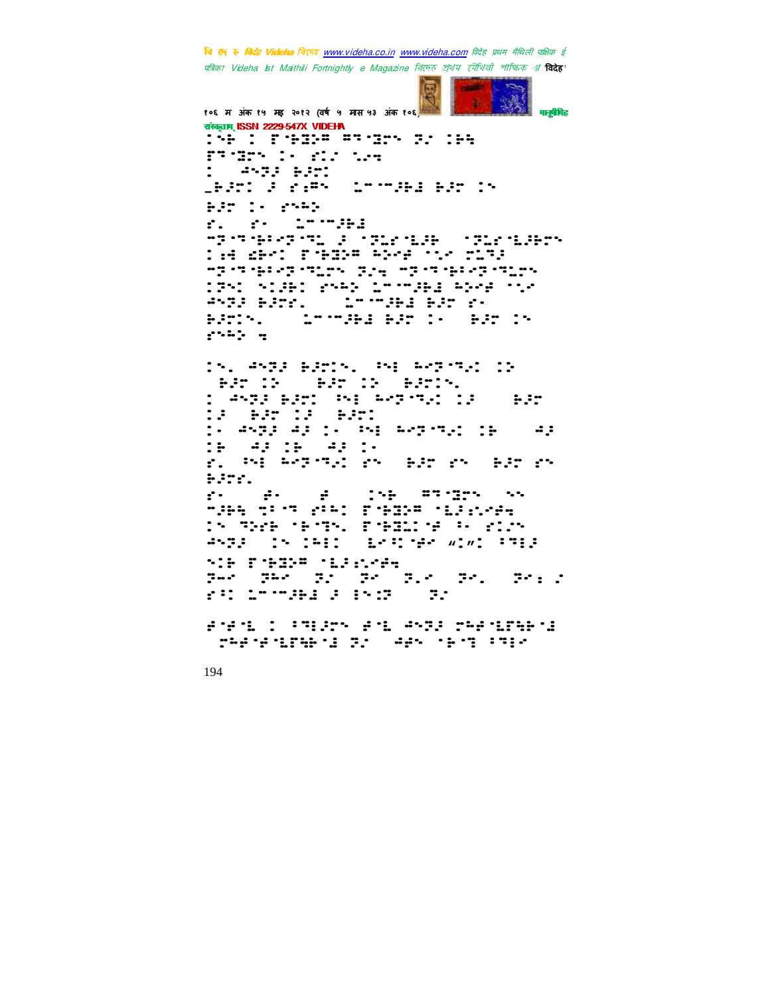**CONTRACTOR**  $\mathbf{g}_i$ १०६ म अंक १५ मइ २०१२ (वर्ष ५ मास ५३ अंक १०६) मानुबेमिह संस्कृतम् ISSN 2229-547X VIDEHA FROM 16 MIL 124 : 4572 BJC **Secrets: 2:0 ::** \_BJTI : 2 2:85 Bir : Pap s. credi  $\mathbf{r}$ . Herberia Fiarak (araba **THREE THIS WAY TO SEE** IBO SIGO 255 COMBE 554 OS and: Barr. ( 1888-1911) Barren **Constant and Constant Constant Constant Constant Constant**  $P: T: Y$ grade a in, Angu Burin, Shi Ang'gun il (Barola) (Barola) Barin.<br>Compa Bario mi Amponal ia (CBar 1. ANTE 43 1. SNE ANTITEE 13 - 43 **:: :: :: :: ::** e. Bi Premi in alt om alt om Butte.  $\ddot{r}$  . i de antigre  $\mathbf{r}_\mathbf{a}$  ,  $\mathbf{r}_\mathbf{a}$  $\mathbf{r}$  . The set of  $\mathbf{r}$  $\mathbf{r}$ the tronder film incen **IN THE SECRET ESTIMAL RESERVE**  $\begin{array}{ccc} 25.72 & 15 & 15 & 15 \\ 0 & 0 & 0 & 0 \\ 0 & 0 & 0 & 0 \\ 0 & 0 & 0 & 0 \\ 0 & 0 & 0 & 0 \\ 0 & 0 & 0 & 0 \\ 0 & 0 & 0 & 0 \\ 0 & 0 & 0 & 0 \\ 0 & 0 & 0 & 0 \\ 0 & 0 & 0 & 0 \\ 0 & 0 & 0 & 0 & 0 \\ 0 & 0 & 0 & 0 & 0 \\ 0 & 0 & 0 & 0 & 0 \\ 0 & 0 & 0 & 0 & 0 & 0 \\ 0 & 0 & 0 & 0 & 0 & 0 \\ 0 & 0$  $\mathbf{L} \cdot \mathbf{H} \cdot \mathbf{H} \cdot \mathbf{W} \cdot \mathbf{H} \cdot \mathbf{H}$ **MID POSS MIDSTER** par par pr pr pr - $P: P: P$ ro credio a bez  $\mathbb{R}^n$ Frit : MM P1 PV PRI MPHIM represented to an engine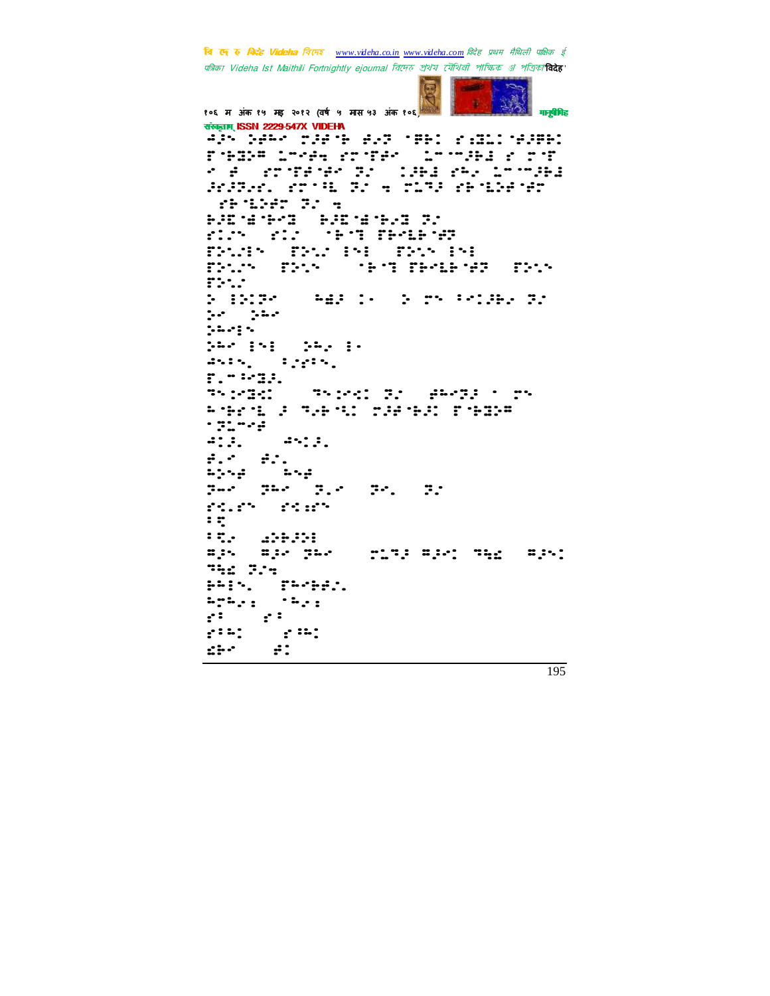G **Separate** १०६ म अंक १५ मइ २०१२ (वष ५ मास ५३ अंक १०६) मानुषीिमह संस्कृतम् ISSN 2229-547X VIDEHA % WHERE YOU HAVE THE STREET /⢷⣝⢵⢻!⣅b⢾⣒!/⢾.!⣅bb⢼⢷⣜!!/! !⢾!)/⢾⢾!⢽1.!⢼⢷⣜!⢳⢴!⣅bb⢼⢷⣜! ⢼⢼⢽⢴E!⢸⣇!⢽1\*⣒!⣅⢹⢼!⢷⣇⢵⢾⢾! )⢷⣇⢵⢾!⢽1\*⣒! ⢷⢼⣏⣞⢷⣝!)⢷⢼⣏⣞⢷⢴⣝!⢽1\*! 10!1!)⢷⣙!/⢷⣇⢷⢾⢽\*! /pulled / pulled / pulled / pulled / pulled / pulled / pulled / pulled / pulled / pulled / pulled / pulled / p /⢵⣁10!/⢵⣁0!)⢷⣙!/⢷⣇⢷⢾⢽\*!/⢵⣁0!  $T:$  $\ddot{2}$   $\ddot{2}$   $\ddot{2}$   $\ddot{2}$   $\ddot{2}$   $\ddot{2}$   $\ddot{2}$   $\ddot{2}$   $\ddot{2}$   $\ddot{2}$   $\ddot{2}$   $\ddot{2}$   $\ddot{2}$   $\ddot{2}$   $\ddot{2}$   $\ddot{2}$   $\ddot{2}$   $\ddot{2}$   $\ddot{2}$   $\ddot{2}$   $\ddot{2}$   $\ddot{2}$   $\ddot{2}$   $\ddot{2}$   $\ddot{2$ ⢵0!⢵⢳!  $\mathbb{R}^{2n+1}$  $?$   $...$   $?$   $?$   $?$   $?$   $?$   $?$   $?$   $?$ AND, PARTY r.<br>Berg: ⢹⣈⣝⣊0!)⢹⣈⣊!⢽1.!⢾⢳⢽⢼!!! ⢳⢷⣇!⢼!⢹⢴⢷⣃!⢼⢾⢷⢼!/⢷⣝⢵⢻! ⢽⣅b⢾\*!  $\blacksquare$  $H$ .  $H$  $\frac{1}{2}$ **T…, T…, T…** ⣊E0!⣊⣐!  $\mathbf{E}$ 

 $\mathbf{B}_t$  )<br> $\mathbf{B}_t$  (  $\mathbf{B}_t$  )  $\mathbf{B}_t$ ⢻⢼!)⢻⢼!⢽⢳\*-!⣅⢹⢼!⢻⢼!⢹⣓⣎!)⢻⢼! **Thi 3.4 UP: 2E00PH** ⢳⢳⢴⣐0!⢳⢴⣐!  $\begin{array}{ll} \mathcal{E}^1 & \mathcal{E}^1 \ \mathcal{E}^1 & \mathcal{E}^1 \end{array}$  $\cdot$  :

:: : ::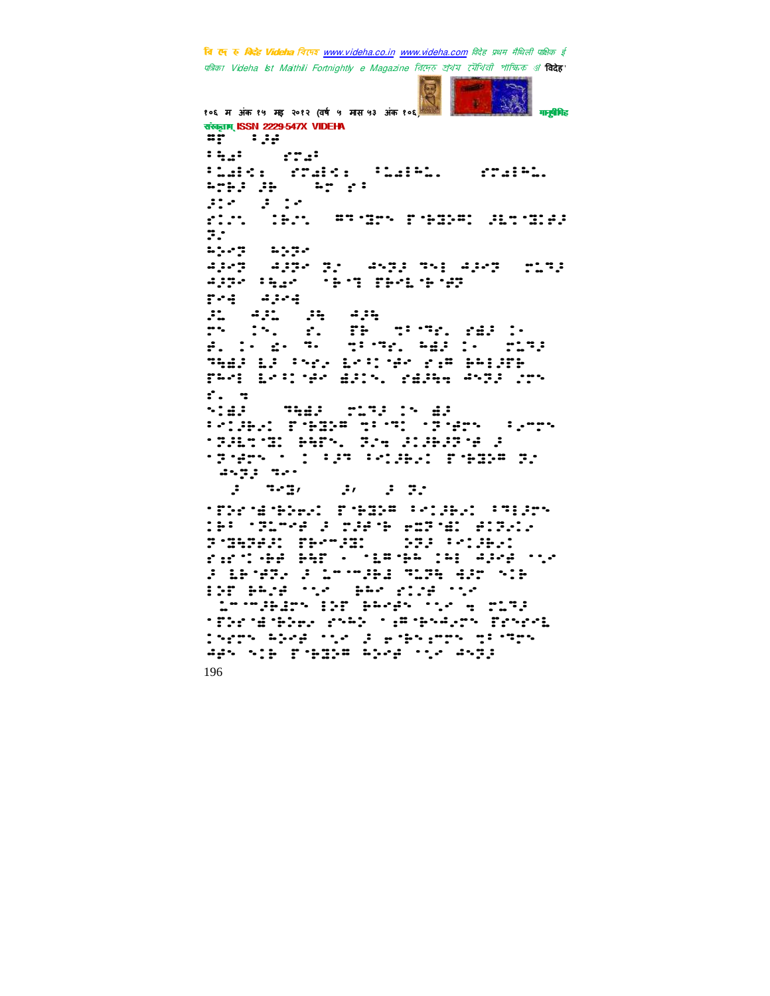**Separate** १०६ म अंक १५ मइ २०१२ (वर्ष ५ मास ५३ अंक १०६) मानुबेमिह संस्कृतम् ISSN 2229-547X VIDEHA  $\mathbf{r}$   $\mathbf{r}$   $\mathbf{r}$   $\mathbf{r}$  $\begin{array}{c} \vdots & \vdots \\ \vdots & \vdots \end{array}$ an din salah sahiji désa di salah salah salah salah salah salah dalam dalam dalam dalam dalam dalam dalam dala<br>Salah pada atau dalam kalimatan dalam dalam dalam dalam dalam dalam dalam dalam dalam dalam dalam dalam dalam Plakt: frakt: Plak<sup>t</sup>l. and and a string of the set of the set of the set of the set of the set of the set of the set of the set of th<br>Set of the set of the set of the set of the set of the set of the set of the set of the set of the set of the s **ATH: 28**  $\frac{1}{2}$   $\frac{1}{2}$   $\frac{1}{2}$   $\frac{1}{2}$   $\frac{1}{2}$   $\frac{1}{2}$  $\mathbb{R}^2 \times \mathbb{R} \times \mathbb{R}$  $f: P$  $\ddot{c}$ . **Advertision Alana**  $\begin{array}{cc} 2.144 & 2.000 & 0.000 & 0.000 & 0.000 & 0.000 & 0.000 & 0.000 & 0.000 & 0.000 & 0.000 & 0.000 & 0.000 & 0.000 & 0.000 & 0.000 & 0.000 & 0.000 & 0.000 & 0.000 & 0.000 & 0.000 & 0.000 & 0.000 & 0.000 & 0.000 & 0.000 & 0.000 & 0.000 & 0.000 & 0.$ 400 T. 491 TH 400 T.T. AND CASE THING THE STATE re and : :: :: ::  $\mathcal{L}$  ,  $\mathcal{L}$  $\mathbf{r}$ THE SUSPENDIES OF r in a  $\mathbf{r}$ . **SIMPLE AND IN STREET** TAN AS INGLESS AN SALES pad bethe dit. Mike and cr  $\mathbf{f}$ .  $\mathbf{f}$  $\sim$  : d.f. WHAT PROFILE YEAR 197  $\begin{minipage}{.4\linewidth} \begin{tabular}{l} \multicolumn{2}{c}{\textbf{0.4.5.5.5}} \end{tabular} \end{minipage} \begin{minipage}{.4\linewidth} \begin{tabular}{l} \multicolumn{2}{c}{\textbf{0.4.5.5}} \end{tabular} \end{minipage} \begin{minipage}{.4\linewidth} \end{minipage} \begin{minipage}{.4\linewidth} \begin{tabular}{l} \multicolumn{2}{c}{\textbf{0.4.5.5}} \end{tabular} \end{minipage} \begin{minipage}{.4\linewidth} \end{minipage} \begin{minipage}{.4\linewidth} \end{minipage$  $\mathbb{R}^2 = \mathbb{R}^2 \mathbb{Z}$  $\therefore$   $\therefore$   $\therefore$ <u> 1980 - Marth Barbart (m. 1980)</u><br>1980 - Marth Barbart, amerikan <u>PARTIE HE CALENDO IN APP 15</u> ide brie over brendice over<br>Signifikant identrare over 2009 The difference in the ferror freed

larta barkotza leherrea diguta.<br>Arabitzeko barko barkotza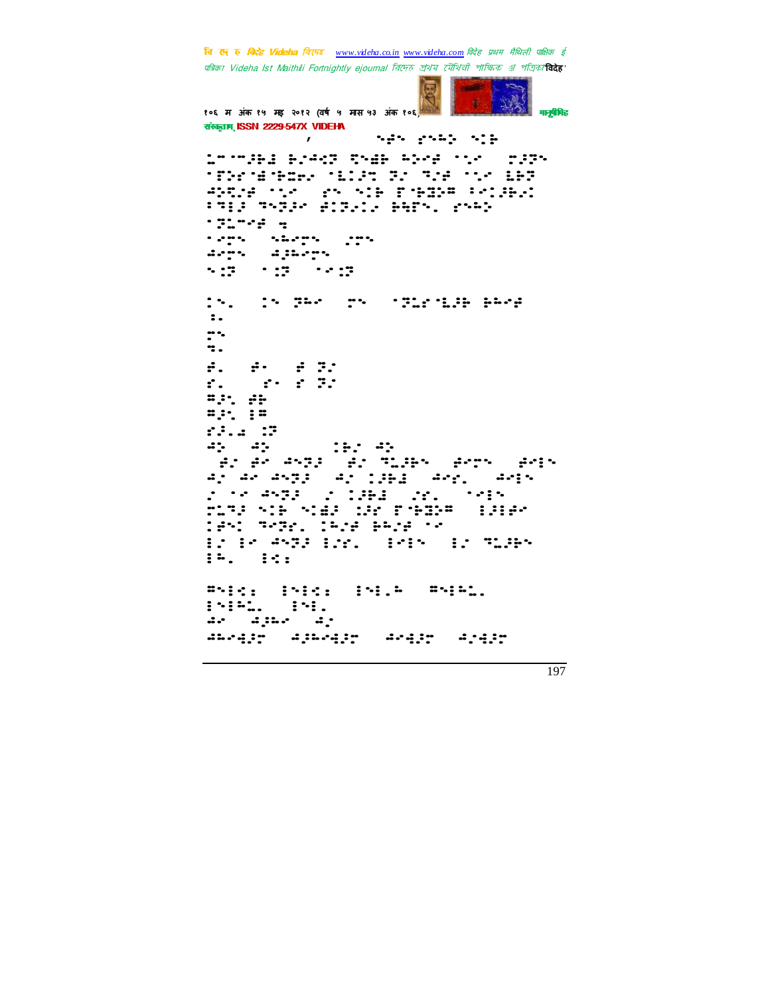有 **Service** १०६ म अंक १५ मइ २०१२ (वष ५ मास ५३ अंक १०६) मानुषीिमह संस्कृतम् ISSN 2229-547X VIDEHA sbjtpo!e**'**fusf!⢾!⢳⢵!⢷!  $\square$ /⢵⣞⢷⣍⢶⢴!⣇⢼⣉!⢽1!⢹1⢾!⣁!⣇⢷⢽! ⢺⢵⣋1⢾!⣁-!!⢷!/⢷⣝⢵⢻!A⢼⢷⢴! ASE SHE SHE SHE SHE SHE SHE ⢽⣅b⢾\*⣒! - en la concentración de la concentración de la concentración de la concentración de la concentración de la co<br>En la concentración de la concentración de la concentración de la concentración de la concentración de la conc ders diaers. ⣈⢽0!⣈⢽0!⣈⢽! E!)!⢽⢳\*!!)⢽⣅⣇⢼⢷!⢷⢳⢾\*!!  $\ddot{\phantom{a}}$ . **::::**  $\ddot{\cdot}$  . ₿. ₿. ₿ ?? f. f.f.2 ⢻⢼⣁!⢾⢷!  $\mathbb{Z}$  :  $\mathbb{Z}$  :  $\mathbb{Z}$ fig∶<br>g} g} ⢺⢵!)⢺⢵!hp-!⢷1!⢺⢵!ep\*! !⢾10⢾!⢺⢽⢼.!⢾1!⢹⣅⢼⢷0!⢾0!⢾2! 0, 00 000 0, 100 000 000 10!⢺⢽⢼.!1!⢼⢷⣜0!1E0!20! ⣅⢹⢼!⢷!⣞⢼!⣈⢼!/⢷⣝⢵⢻.!2⢼2⢾! 1001 THIN 1012 THIN 1215 PRESS RESOURCE  $2^E$ .  $2^E$ ⢻2⣊⣐0!22⣊⣐0!22E⢳0!⢻2⢳⣅E0! 12: 22 END de djae dj ⢺⢳⣚⢼0!⢺⢼⢳⣚⢼0!⢺⣚⢼0!⢺1⣚⢼!!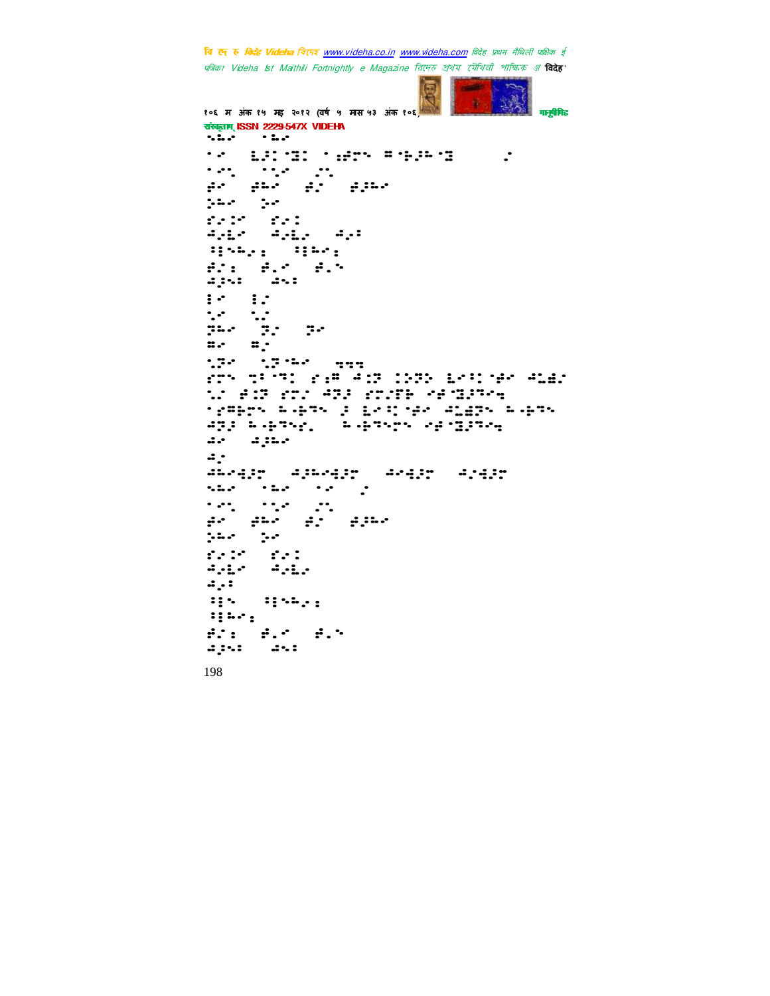**CONTRACTOR** 

```
0
१०६ म अंक १५ मइ २०१२ (वष ५ मास ५३ अंक १०६) मानुषीिमह 
संस्कृतम् ISSN 2229-547X VIDEHA
∿i.)<br>;,
        !)⣇⢼⣝!⣐⢾!⢻⢷⢼⢳⣝*!0!1!!
⊙one de la construction de la construction de la construction de la construction de la construction de la const<br>De la construction de la construction de la construction de la construction de la construction de la construc
⢾0!⢾⢳0!⢾10!⢾⢼⢳!!
⢵⢳0!⢵!!
⢴⣈0!⢴⣈!!
⢺⢴⣇0!⢺⢴⣇⢴0!⢺⢴A!!!
⢸2⢳⢴⣐0!⢸2⢳⣐!!!
∄C: f.f f.r
agus aus
29.22\mathcal{L}^{\bullet} , \mathcal{L}^{\bullet}P. 99 P.
\mathbf{B} \cdot \mathbf{B}⣁⢽0!⣁⢽⢳!!⣒⣒⣒!!
\dot{H}A\dot{H} \dot{H} \dot{H} \dot{H} \dot{H} \dot{H} \dot{H} \dot{H} \dot{H} \dot{H} \dot{H} \dot{H} \dot{H} \dot{H} \dot{H} \dot{H} \dot{H} \dot{H} \dot{H} \dot{H} \dot{H} \dot{H} \dot{H} \dot{H} \dot{H} \dot{H} \dot{H}⣁1!⢾⣈⢽!1!⢺⢽⢼!1/⢷!⢾⣝⢼⢹⣒!
⢻⢷!⢳B⢷⢹!⢼!⣇⢸⢾!⢺⣅⣞⢽!⢳B⢷⢹!
⢺⢽⢼!⢳B⢷⢹E-!⢳B⢷⢹!⢾⣝⢼⢹⣒!!!!
de diale
\ddot{a}.
⢺⢳⣚⢼0!⢺⢼⢳⣚⢼0!⢺⣚⢼0!⢺1⣚⢼!
ndan (saan)<br>Sing (saan)
ng ng 2.<br>Broak Broak
        ⢾0!⢾⢳0!⢾10!⢾⢼⢳!
⢵⢳0!⢵!
⢴⣈0!⢴⣈!
⢺⢴⣇0!⢺⢴⣇⢴0!!
\mathbf{L} \mathbf{L}∷20 : :: 1:10:20
2:2:2∄: f.n f.n<br>gjur gu:
\mathcal{L}198
```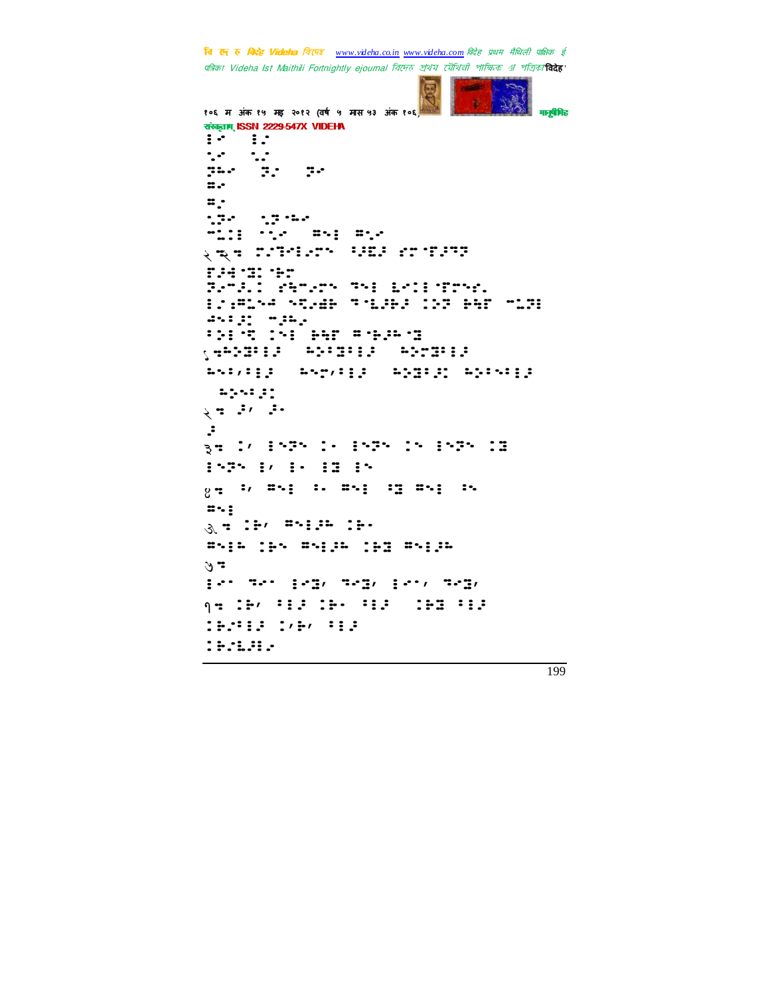```
१०६ म अंक १५ मइ २०१२ (वष ५ मास ५३ अंक १०६) मानुषीिमह 
संस्कृतम् ISSN 2229-547X VIDEHA
20 22∵. ∵<br>;… ;
       ⢽⢳0!⢽10!⢽!
\mathfrak{m}.
\mathbf{H} \mathbf{H}⣁⢽0!⣁⢽⢳!
b⣅2!⣁0!⢻2!⢻⣁!
\frac{1}{2}g: 1790.12 : 121 : 121 : 121
/⢼⣚⣝⢷!!
⢽⢴b⢼E!⣓b⢴!⢹2!⣇2/E!
21⣐⢻⣅⢺!⣋⢴⣞⢷!⢹⣇⢼⢷⢼!⢵⢽!⢷⣓/!b⣅⢽2!
A \cup B \cup C; in an angle of
\frac{1}{2}⣒⢳⢵⣝A2⢼0!⢳⢵A⣝A2⢼0!⢳⢵⣝A2⢼0!
\text{A}0.54431\frac{1}{2} : \frac{1}{2} : \frac{1}{2} : \frac{1}{2} : \frac{1}{2} : \frac{1}{2} : \frac{1}{2} : \frac{1}{2} : \frac{1}{2} : \frac{1}{2} : \frac{1}{2} : \frac{1}{2} : \frac{1}{2} : \frac{1}{2} : \frac{1}{2} : \frac{1}{2} :
\ddot{\cdot}⣒!'!2⢽0c!2⢽0!2⢽0⣝!
2⢽02'02c02⣝02!!
0<mark>ʻ; :, =∼: :. =∼: :</mark>: =∼: :∼
2.2⣒!⢷'!⢻2⢼⢳0⢷c!
x\mathcal{L}20⢹!2⣝'-⢹⣝'-2'-⢹⣝'0!!
9 = 147 112 113 112 113⢷1A2⢼0'⢷'!A2⢼!0!
⢷1⣇⢼2⢴!!
```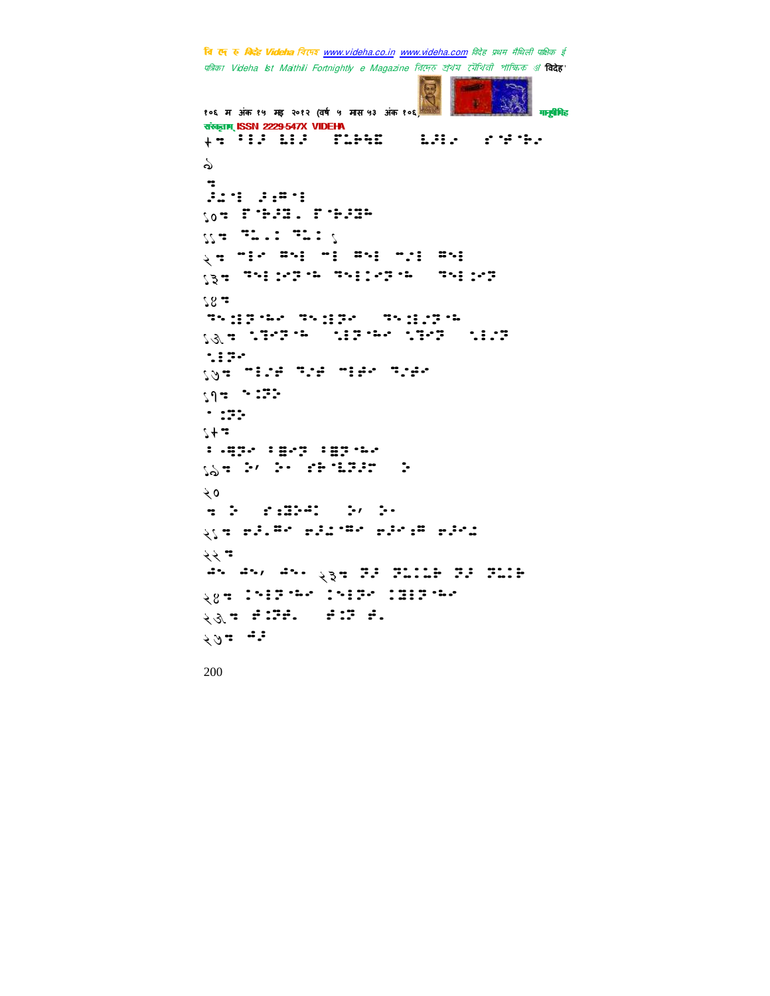```
१०६ म अंक १५ मइ २०१२ (वष ५ मास ५३ अंक १०६) मानुषीिमह 
R = \frac{1}{2} and R = \frac{1}{2} and R = \frac{1}{2} and R = \frac{1}{2} and R = \frac{1}{2} and R = \frac{1}{2} and R = \frac{1}{2} and R = \frac{1}{2} and R = \frac{1}{2} and R = \frac{1}{2} and R = \frac{1}{2} and R = \frac{1}{2} and R = \frac{1}{2} and R = \frac{1}{2} a
\frac{1}{2} : \frac{1}{2} : \frac{1}{2} : \frac{1}{2} : \frac{1}{2} : \frac{1}{2}\mathbf{\hat{c}}\ddot{\phantom{1}}⢼⣌2!⢼⣐⢻2!!
 \zeta_0g P'DJI. P'DJID
\mathcal{U} = \mathcal{U}\frac{1}{2}g "p2 #5: "p 200 = 20 #5: "p 20 #5: "
⣒!⢹2⣈⢽⢳!⢹2⢽⢳-!⢹2⣈⢽!!
 28 - 32⢹⣈2⢽⢳!⢹⣈2⢽0!⢹⣈21⢽⢳!!
We 192 - 1920 - 1920 - 1920 - 1920 - 1920 - 1920 - 1920 - 1920 - 1920 - 1920 - 1920 - 1920 - 1920 - 1920 - 192<br>Profiles and the USD - 1920 - 1920 - 1920 - 1920 - 1920 - 1920 - 1920 - 1920 - 1920 - 1920 - 1920 - 1920 - 192
\ddot{\phantom{0}}\sqrt{2} the signal signal state \sqrt{2}\gamma\gamma \sim :32-
^{\circ} :33
2 + zA ABS AND A
∫৯፡ ১/১· ১৮፡133: ১
\delta\pm 2 \pm 0.000 \pm\mathcal{M}s el.<sup>o.</sup> el.o. el.o. el.o.
\leftrightarrow\vdash \vdash \vdash \vdash \vdash \vdash \vdash \vdash \vdash \vdash \vdash \vdash \vdash \vdash \vdash \vdash \vdash \vdash \vdash \vdash \vdash \vdash \vdash \vdash \vdash \vdash \vdash \vdash \vdash \vdash \vdash \vdash \vdash \vdash \vdash \vdash \vdash 
 مال 1992 - 1992 - 1992 - 199<sub>3</sub> - 199<sub>2</sub> - 199<sub>2</sub>
√√. PO PO
\frac{1}{2} \frac{1}{2}
```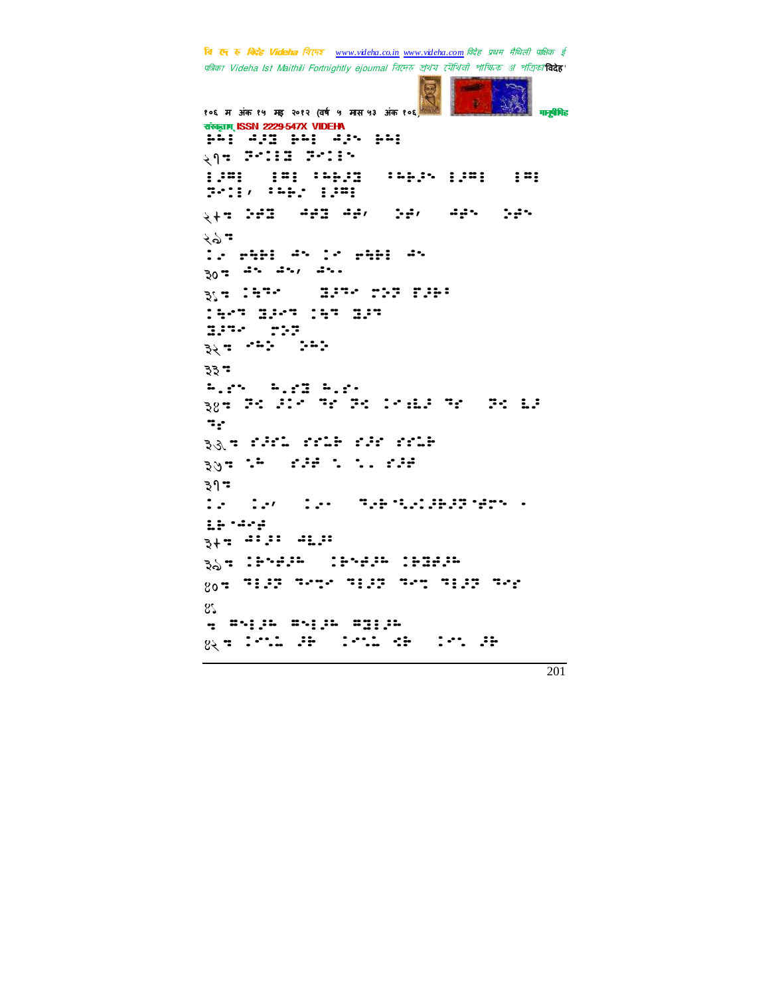१०६ म अंक १५ मइ २०१२ (वष ५ मास ५३ अंक १०६) मानुषीिमह संस्कृतम् ISSN 2229-547X VIDEHA ⢷⢳20⢺⢼⣝!⢷⢳20⢺⢼!⢷⢳2!!  $\frac{1}{2}$   $\frac{1}{2}$   $\frac{1}{2}$   $\frac{1}{2}$   $\frac{1}{2}$   $\frac{1}{2}$   $\frac{1}{2}$   $\frac{1}{2}$   $\frac{1}{2}$   $\frac{1}{2}$   $\frac{1}{2}$   $\frac{1}{2}$   $\frac{1}{2}$   $\frac{1}{2}$   $\frac{1}{2}$   $\frac{1}{2}$   $\frac{1}{2}$   $\frac{1}{2}$   $\frac{1}{2}$   $\frac{1}{2}$   $\frac{1}{2}$   $\frac{1}{2}$  2⢼⢻20!2⢻2!A⢳⢷⢼⣝0!A⢳⢷⢼!2⢼⢻20!2⢻2! ⢽2**'**0A⢳⢷1!2⢼⢻2!! ⣒!⢵⢾⣝0!⢺⢾⣝!⢺⢾**'**0!⢵⢾**'**0!⢺⢾0!⢵⢾!!  $\zeta_0$  :  $\ddotsc$  . .... and are the state  $\ddotsc$ <sub>⋛0</sub>•: ∸•े ∽•े, ∸•े∙  $\frac{3}{4}$ : 1470  $\frac{1}{4}$ ⣓⢹0⣝⢼⢹0⣓⢹0⣝⢼⢹0!! ⣝⢼⢹!)⢵⢽\*!!  $\frac{1}{2}$  $33$   $\approx$ **W**EN THE WELFIGHT  $^{36}$ 4 is to the second control in the second control in the second control in the second control in the second control in the second control in the second control in the second control in the second control in the second  $\ddot{ }$ :  $\mathbb{R}^3$  : Mil sil sil sil ya le ciencia  $39 \ddots$   $\ddots$   $\ddots$   $\ddots$   $\ddots$ ⣇⢷⢺⢾\*!! ⣒!⢺A⢼A!⢺⣇⢼A!! გგ≈ :Pre: :Pre: :Pre:P  $_{0}$ 9 $_{0}$ g 7:33 702 702 7:33 702  $\,$  $29$ ⣒!⢻2⢼⢳!⢻2⢼⢳0⢻⣝2⢼⢳!! ⣒!⣁⣅!⢼⢷0!⣁⣅!⣊⢷0!⣁!⢼⢷!!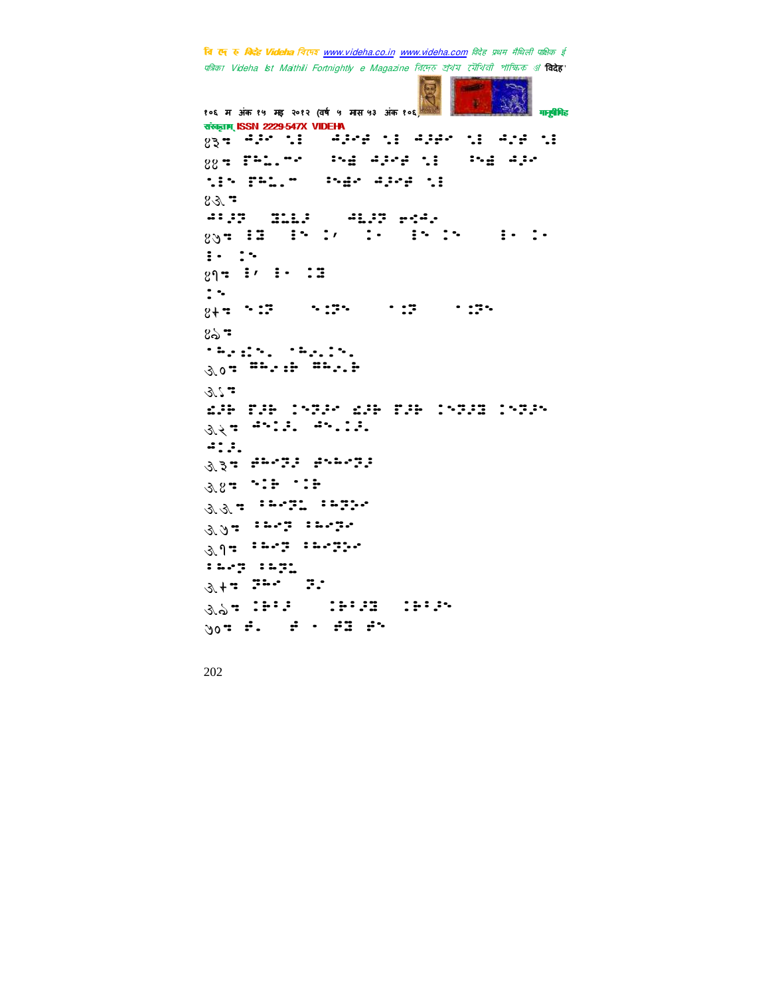**Separate** 

१०६ म अंक १५ मइ २०१२ (वष ५ मास ५३ अंक १०६) मानुषीिमह संस्कृतम् ISSN 2229-547X VIDEHA  $83 - -11 - 11$ ⣒!⢺⢼!⣁20!⢺⢼⢾!⣁2!⢺⢼⢾!⣁20⢺1⢾!⣁2!! 00**: Lr:'.. ∴° c?: q?:** ⣁2!/⢳⣅Eb0!⢸⣞!⢺⢼⢾!⣁2!!  $\frac{2}{3}$   $\frac{2}{3}$ ⢺A⢼⢽!)⣝⣅⣇⢼\*0!⢺⣇⢼⢽)⢶⣊⢺⢴\*!! ⣒!2⣝0!2!**'**0!c0!2!!0!2c!c0!  $2 \cdot 2$  $_{8}$ ባቱ ፤, ፤• :፤  $\ddot{\cdot}$  : ⣒!⣈⢽!0!⣈⢽!0!⣈⢽!0!⣈⢽!!  $8\textcolor{red}{\bm{\mathsf{\hat{\textsf{a}}}}}$  . ⢳⢴⣐E!⢳⢴EE!! -⣒!⢻⢳⢴⣐⢷!⢻⢳⢴E⢷!!  $3/5$ ⣎⢼⢷!/⢼⢷!⢽⢼!⣎⢼⢷!/⢼⢷!⢽⢼⣝0⢽⢼!!  $\mathcal{A}$  $\mathbf{L}$ : ⣒!⢾⢳⢽⢼!⢾⢳⢽⢼!! <sub>े १</sub>४: °ांः °ाः  $\mathcal{A} \mathcal{A}$  :  $\mathbf{H}$  :  $\mathbf{H}$  :  $\mathcal{A}$  $\mathscr{S}$  and  $\mathscr{S}$  $\mathcal{A}$  $\mathcal{A}$  $\cdots$  $\delta$ +:  $\ddot{P}$   $\dddot{P}$   $\dddot{P}$ ⣒!⢷A⢼!0!⢷A⢼⣝0!⢷A⢼!! -⣒!⢾E0!⢾!c!⢾⣝0⢾!!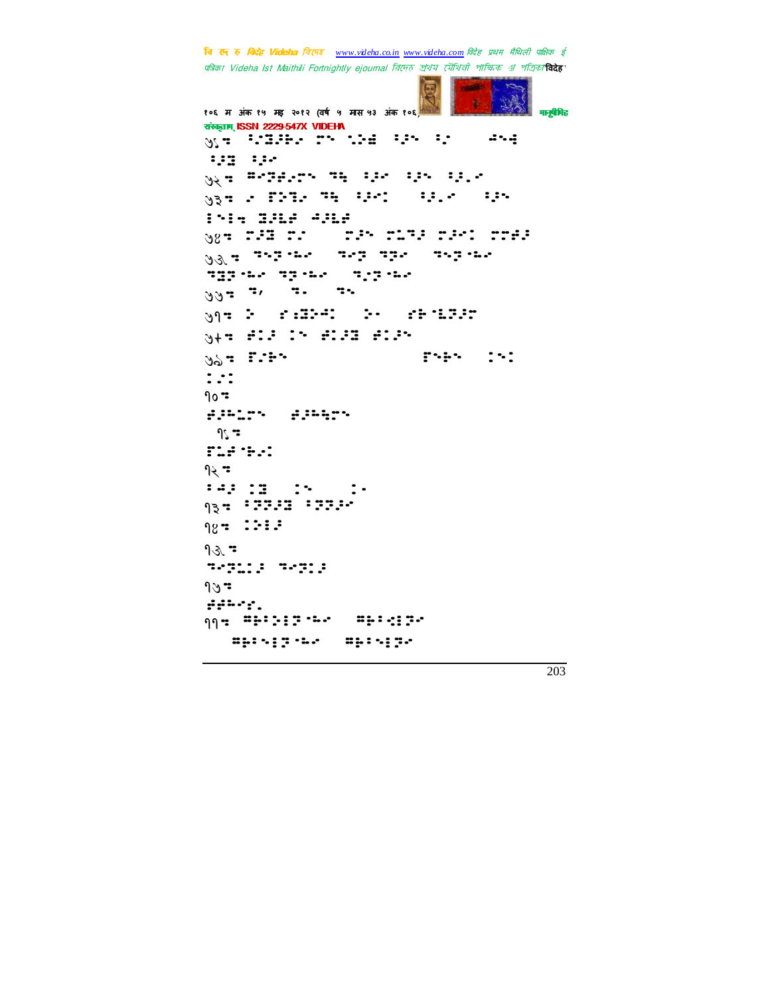```
१०६ म अंक १५ मइ २०१२ (वष ५ मास ५३ अंक १०६) मानुषीिमह 
संस्कृतम् ISSN 2229-547X VIDEHA
⣒!⢸1⣝⢼⢷⢴!!⣁⢵⣞.⢸⢼0⢸10-!⢺⣚.
⢸⢼⣝0⢸⢼-!!
\frac{1}{2}\frac{1}{2} , \frac{1}{2} , \frac{1}{2} , \frac{1}{2} , \frac{1}{2} , \frac{1}{2} , \frac{1}{2}22⣒!⣝⢼⣇⢾!⢺⢼⣇⢾!!
\mathcal{P}(\mathcal{G}^{\mathsf{u}}) = \mathcal{I}(\mathcal{G}^{\mathsf{u}}) = \mathcal{I}(\mathcal{G}^{\mathsf{u}}) = \mathcal{I}(\mathcal{G}^{\mathsf{u}})\partial^2 is the control of the control of \partial^2⢹⣝⢽⢳!⢹⢽⢳0!⢹1⢽⢳!!
\sqrt[3]{3} \frac{1}{2}, \frac{1}{2}, \frac{1}{2}, \frac{1}{2}, \frac{1}{2}, \frac{1}{2}, \frac{1}{2}, \frac{1}{2}, \frac{1}{2}, \frac{1}{2}, \frac{1}{2}, \frac{1}{2}, \frac{1}{2}, \frac{1}{2}, \frac{1}{2}, \frac{1}{2}, \frac{1}{2}, \frac{1}{2}, \frac{1}{2}, \yq≈ → stell+1 → stell+1
₩ : € 200 E 200 E 200 E 200 E
y_0 = f(f) f(f) f(f) f(f) f(f) f(f) f(f):::
າo =
⢾⢼⢳⣅0!⢾⢼⢳⣓!!
 \etaູ =
/⣅⢾⢷⢴!!
\eta\frac{1}{2} . 0
⣒!A⢽⢽⢼⣝0A⢽⢽⢼!!
ባ8። :፦:፦
93. \approx⢹⢽⣅⢼!⢹⢽⢼!!
9.9 =
⢾⢾⢳E!!
\etaq·BEPER'IN
    "BRINGS" BRINGS"
```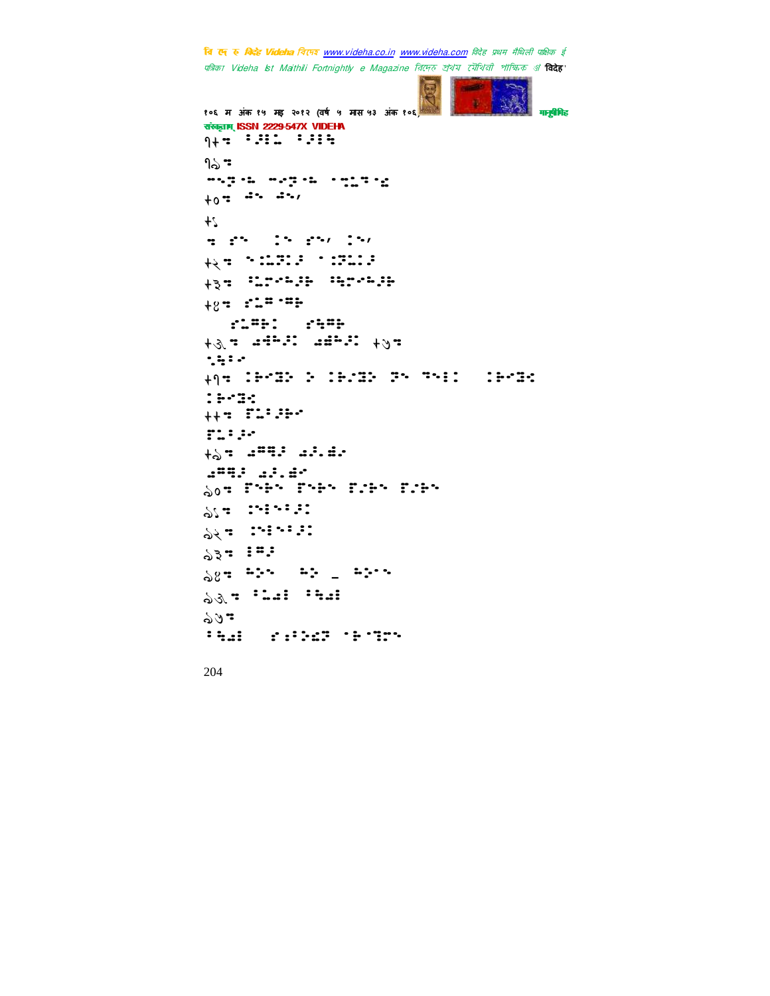```
१०६ म अंक १५ मइ २०१२ (वष ५ मास ५३ अंक १०६) मानुषीिमह 
संस्कृतम् ISSN 2229-547X VIDEHA
9+2 : 1:2 : 1:29ລີ
b⢽⢳!b⢽⢳)⣉⣅⢹⣎*!!
<del>↓</del>0: ÷∙ ÷∙ →
+2⣒!0!!'0'!!
⣒!⣈⣅⢽⢼!⣈⢽⣅⢼!!
+3. Constantino in Europe
√8∴ :∵≈.…
   ::::: ::::
+3 = 1.45\ddot{\phantom{0}}↓↑≈ :00ºID 2 :00:ID 20 20 20:10 20:20
⢷⣝⣊!!
++ : : : : :/⣅A⢼!!
⣒!⣔⢻⣛⢼.⣔⢼E⣞⢴!
⣔⢻⣛⢼.⣔⢼E⣞!!
\zeta_0g Pren Pren Psen Psen
\delta: \mathbb{R} : \mathbb{R} : \mathbb{R} : \mathbb{R} :
\sqrt{2} \div \div \div \div \div\sqrt{3} : \cdots
⣒!⢳⢵.!⢳⢵!–!⢳⢵!!
\delta\delta: \vdots : : : :
\sim 0 \sigmaA LL PRODUCT PRODUCT
```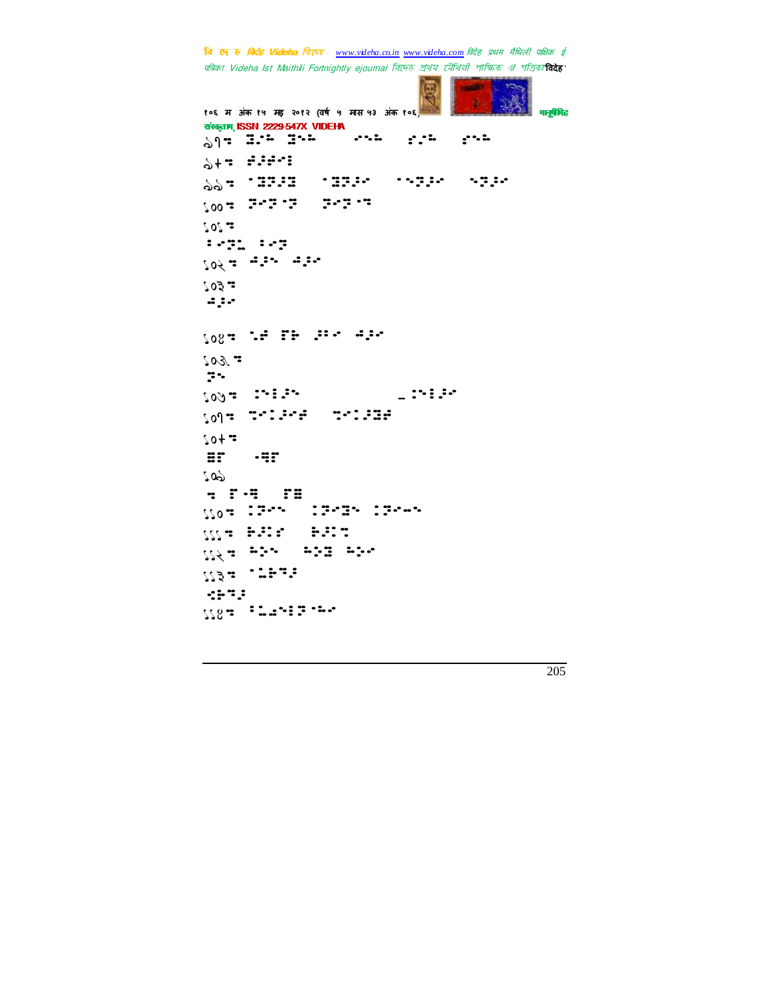१०६ म अंक १५ मइ २०१२ (वष ५ मास ५३ अंक १०६) मानुषीिमह  $R = \frac{1}{2}$  and  $R = \frac{1}{2}$  and  $R = \frac{1}{2}$  and  $R = \frac{1}{2}$  and  $R = \frac{1}{2}$  and  $R = \frac{1}{2}$  and  $R = \frac{1}{2}$  and  $R = \frac{1}{2}$  and  $R = \frac{1}{2}$  and  $R = \frac{1}{2}$  and  $R = \frac{1}{2}$  and  $R = \frac{1}{2}$  and  $R = \frac{1}{2}$  and  $R = \frac{1}{2}$  a ⣒!⣝1⢳!⣝⢳!0!⢳0!1⢳0!⢳!!  $\frac{1}{2}$   $+$   $\frac{1}{2}$   $\frac{1}{2}$   $\frac{1}{2}$   $\frac{1}{2}$   $\frac{1}{2}$   $\frac{1}{2}$   $\frac{1}{2}$   $\frac{1}{2}$   $\frac{1}{2}$   $\frac{1}{2}$   $\frac{1}{2}$   $\frac{1}{2}$   $\frac{1}{2}$   $\frac{1}{2}$   $\frac{1}{2}$   $\frac{1}{2}$   $\frac{1}{2}$   $\frac{1}{2}$   $\frac{1}{2}$   $\frac{1}{2}$   $\frac{1}{2$ ⣒!⣝⢽⢼⣝.!⣝⢽⢼0!⢽⢼0!⢽⢼!!  $\frac{1002.5}{102.2}$  .  $\frac{1}{202.4}$  $202$  = **A** Ang (1891)  $\frac{10}{5}$  .  $\frac{1}{5}$  .  $\frac{1}{5}$  .  $\frac{1}{5}$  $203$  =  $\mathbf{a}$  ,  $\mathbf{b}$  ,  $\mathbf{b}$  ,  $\mathbf{b}$  ,  $\mathbf{b}$  ,  $\mathbf{b}$  ,  $\mathbf{b}$  ,  $\mathbf{b}$  ,  $\mathbf{b}$  ,  $\mathbf{b}$  ,  $\mathbf{b}$  ,  $\mathbf{b}$  ,  $\mathbf{b}$  ,  $\mathbf{b}$  ,  $\mathbf{b}$  ,  $\mathbf{b}$  ,  $\mathbf{b}$  ,  $\mathbf{b}$  ,  $\mathbf{b}$  ,  $\mathbf{b}$  , ∑08**÷ .÷ :⊢ ;:- ÷:-** $203 - 2$  $\ddot{\cdot}$  $\frac{100 \text{ A}}{2}$  **2**  $\frac{1}{2}$  **2**  $\frac{1}{2}$  **2**  $\frac{1}{2}$  **2**  $\frac{1}{2}$  **2**  $\frac{1}{2}$  **2**  $\frac{1}{2}$  **2**  $\frac{1}{2}$  **2**  $\frac{1}{2}$ \09**= =-::-: = =-::II:**  $20 + 2$  $\mathbf{H}^{\bullet}$  . నం, ⣒!/B⣛.!/⣟!! %\% -IS-> -IS-I> 1S--> W: HH: HH:  $^{11/4}$  .  $^{11/4}$  .  $^{11/4}$  $^{113}$  .  $^{111}$  $\cdot$  $^{278}$ e : propose de la propose de la proposa de la proposa de la proposa de la proposa de la proposa de la proposa de la proposa de la proposa de la proposa de la proposa de la proposa de la proposa de la proposa de la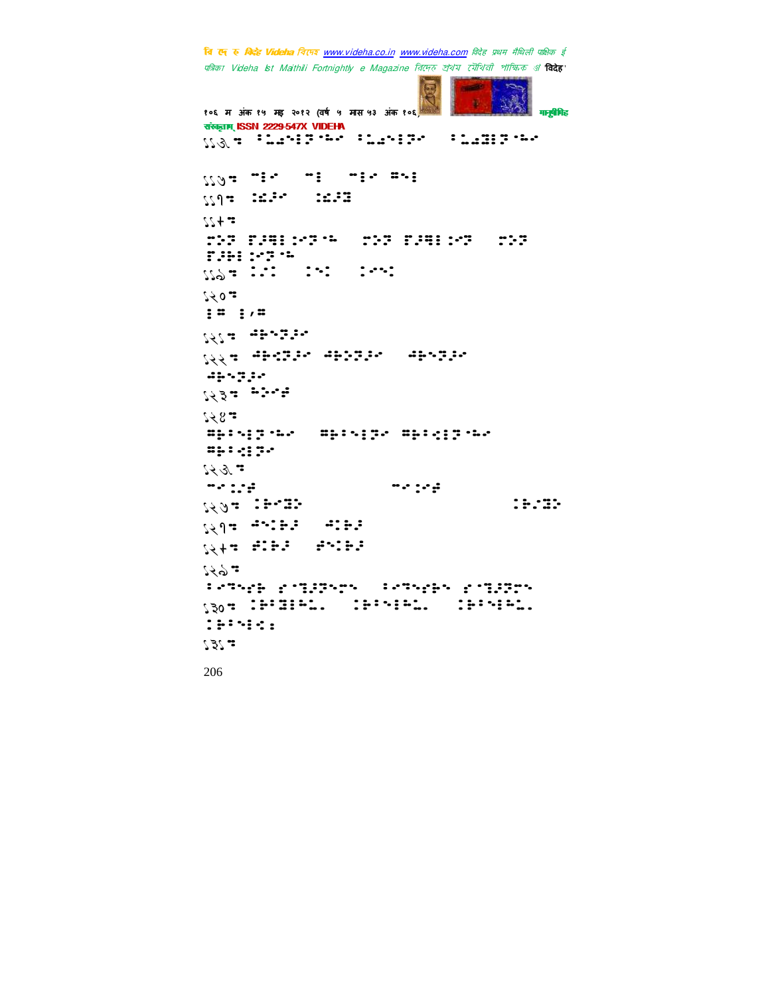**CONTRACTOR** 

१०६ म अंक १५ मइ २०१२ (वष ५ मास ५३ अंक १०६) मानुषीिमह संस्कृतम् ISSN 2229-547X VIDEHA  $\widetilde{M_{\odot}}$ e (Lindrate (Lindrate (Lindrate  $\widetilde{M_{\odot}}$  $M_{\odot}$  is the contract of  $\sim$  $M = 12$  $22 + 72$ ⢵⢽!/⢼⣛2⣈⢽⢳0!⢵⢽!/⢼⣛2⣈⢽0!⢵⢽! /⢼⢷2⣈⢽⢳!!  $M_{0}$  :  $\ldots$  :  $\ldots$  :  $\ldots$  :  $550 - 75$ 2⢻!2**'**⢻!!!  $\mathcal{W}$  :  $\mathcal{W}$  $\mathcal{W}$  , which is the state  $\mathcal{W}$ ⢺⢷⢽⢼!!  $\sqrt{27}$  $5,8,7$ ⢻⢷A2⢽⢳0!⢻⢷A2⢽!⢻⢷A⣊2⢽⢳0! ⢻⢷A⣊2⢽!!  $353.7$ but the state of the state of the state of the state of the state of the state of the state of the state of th<br>In the state of the state of the state of the state of the state of the state of the state of the state of the  $\mathcal{W}$  is the up to the up to the up to the up to the up to the up to the up to the up to the up to the up to the up to the up to the up to the up to the up to the up to the up to the up to the up to the up to the up to  $\frac{1}{2}$  $\sqrt{1 + 7}$  $35.5$ A⢹⢷!⣙⢼⢽0!A⢹⢷!⣙⢼⢽!! ¦<sub>≷0</sub>• :Þ∶∃!≈i. :Þ∶∼!≈i. :Þ∶∼!≈i.  $\begin{bmatrix} 1 & 0 & 0 & 0 \\ 0 & 0 & 0 & 0 \\ 0 & 0 & 0 & 0 \\ 0 & 0 & 0 & 0 \\ 0 & 0 & 0 & 0 \\ 0 & 0 & 0 & 0 \\ 0 & 0 & 0 & 0 \\ 0 & 0 & 0 & 0 \\ 0 & 0 & 0 & 0 & 0 \\ 0 & 0 & 0 & 0 & 0 \\ 0 & 0 & 0 & 0 & 0 \\ 0 & 0 & 0 & 0 & 0 \\ 0 & 0 & 0 & 0 & 0 & 0 \\ 0 & 0 & 0 & 0 & 0 & 0 \\ 0 & 0 & 0 & 0 & 0 & 0 \\ 0 & 0$  $252 - 2$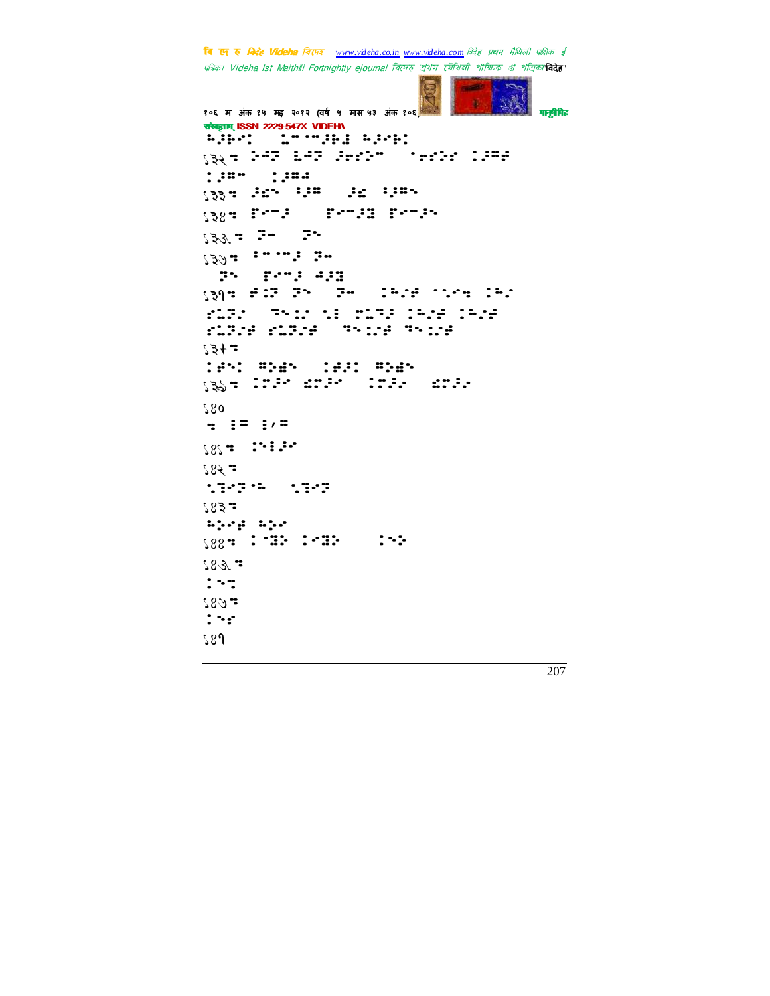१०६ म अंक १५ मइ २०१२ (वष ५ मास ५३ अंक १०६) मानुषीिमह संकृताम्ISSN 2229-547X VIDEHA ⢳⢼⢷!)⣅bb⢼⢷⣜!⢳⢼⢷\*!!  $\frac{1}{2}$  . The color of the color of the color of the color of the color of the color of the color of the color of the color of the color of the color of the color of the color of the color of the color of the color of th ⢼⢻b0!⢼⢻⢺!  $\frac{1}{2}$  ⣒!/b⢼!0!/b⢼⣝0/b⢼!!  $33 - 7 - 7$  $339$  :  $...$  :  $\vdots$ )⢽\*!/b⢼!⢺⢼⣝!! {ϡq\* #17 7\* 7\* 7\* 1101 112 ⣅⢽10!⢹⣈1!⣁2!⣅⢹⢼!⢳1⢾.⢳1⢾0! ⣅⢽1⢾.⣅⢽1⢾0!⢹⣈1⢾.⢹⣈1⢾!  $33 + 3$ ⢾!⢻⢵⣞0!⢾⢼!⢻⢵⣞!! Magne (D.Pro archore) in all archore 082 ⣒!2⢻!2**'**⢻!!  $78\zeta$  =  $\zeta$  ,  $\zeta$  =  $\zeta$  =  $\zeta$  ,  $\zeta$  $\frac{1}{285}$  = ⣁⣙⢽⢳0!⣁⣙⢽!!  $583$  = ⢳⢵⢾!⢳⢵!! ⣒!⣝⢵!⣝⢵!0!⢵!!  $=$  583  $: \cdot$  :  $\approx$   $0.82$  $\ddot{\phantom{0}}$  :  $289$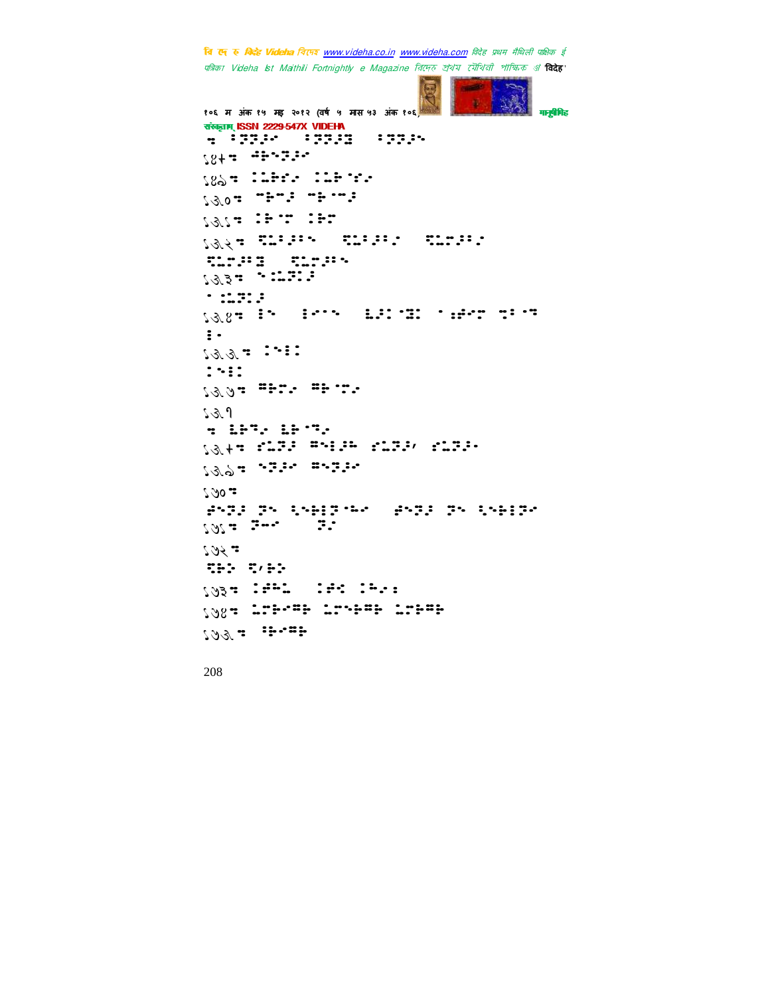१०६ म अंक १५ मइ २०१२ (वष ५ मास ५३ अंक १०६) मानुषीिमह संस्कृतम् ISSN 2229-547X VIDE<del>H</del>A  $\blacksquare$  $^{28+}$  . ...i. \0<mark>\: :lb:- :lb::-</mark>  $^{2/9}$ o= .p.; .p...;  $\frac{1}{3}$ Wantari ang matang ⣋⣅⢼A⣝0!⣋⣅⢼A!!  $\frac{1}{3}$   $\frac{3}{7}$   $\frac{1}{7}$   $\frac{1}{10}$   $\frac{1}{10}$   $\frac{1}{10}$  $\cdot$   $::::::$  ⣒!20!2!)⣇⢼⣝!⣐⢾!⣉A⢹\*.!  $\ddot{z}$  .  $333 : 211$  $: -:$  $\frac{1337}{12}$  $339$ ⣒!⣇⢷⢹⢴!⣇⢷⢹⢴!! ⣒!⣅⢽⢼!⢻2⢼⢳!⣅⢽⢼**'**0⣅⢽⢼c!!  $\sqrt{36}$ :  $\frac{1}{2}$ ...  $\frac{1}{2}$ ...  $\sim$  0 $\approx$  2 ₽NJ! JN 1920<br>Valst 2000 = 20  $\frac{1}{3}$   $\frac{1}{3}$   $\frac{1}{3}$   $\frac{1}{3}$   $\frac{1}{3}$   $\frac{1}{3}$   $\frac{1}{3}$   $\frac{1}{3}$   $\frac{1}{3}$   $\frac{1}{3}$   $\frac{1}{3}$   $\frac{1}{3}$   $\frac{1}{3}$   $\frac{1}{3}$   $\frac{1}{3}$   $\frac{1}{3}$   $\frac{1}{3}$   $\frac{1}{3}$   $\frac{1}{3}$   $\frac{1}{3}$   $\frac{1}{3}$   $\frac{1}{3}$   $5022$ ⣋⢷⢵!⣋**'**⢷⢵!!  $\frac{1}{3}$  $^{208}$ a 7.prafin 2.prafin 2.prafin 1  $593.7$  :  $1.41$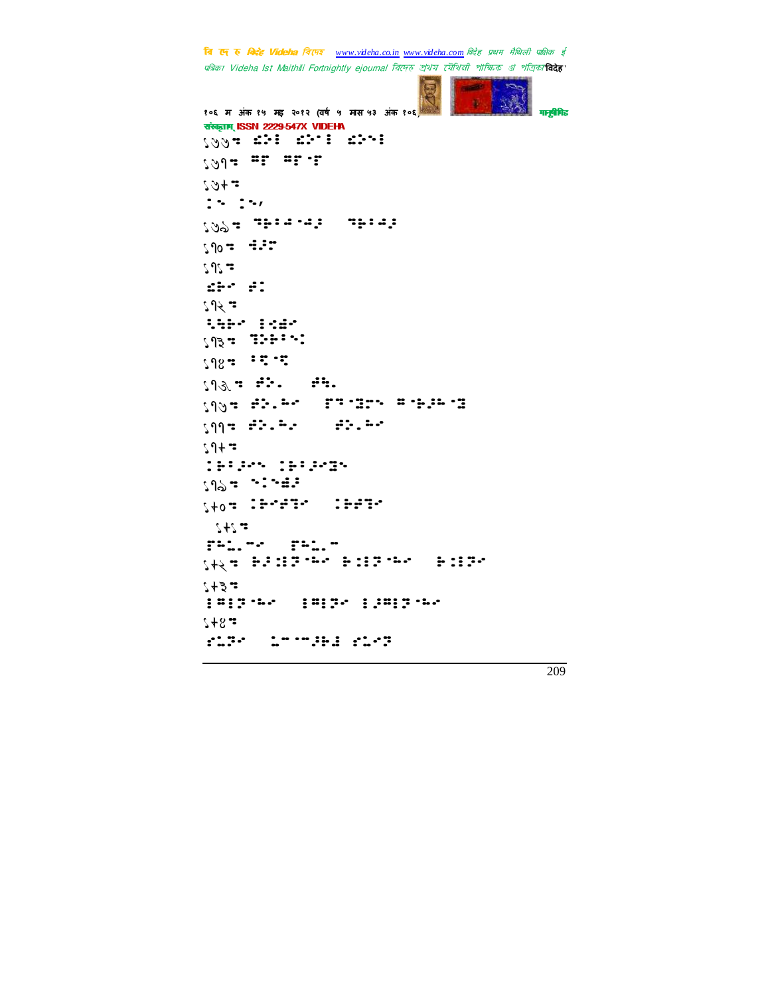```
१०६ म अंक १५ मइ २०१२ (वष ५ मास ५३ अंक १०६) मानुषीिमह 
संस्कृतम् ISSN 2229-547X VIDEHA
\sqrt{99} : \frac{2}{11} : \frac{2}{11} : \frac{2}{11}\frac{1}{3}59 + z!'!!
Ma einer ah
 ∖ໃ0፡ ፡፡፡*
2 \cdot 12 =⣎⢷!⢾!!
\mathcal{L} \mathcal{L} :
⣃⣓⢷!2⣊⣞!!
\sqrt{3} : \sqrt{3} : \sqrt{3}\mathcal{M}_{\mathrm{20}} : \mathcal{H}_{\mathrm{20}} : \mathcal{H}_{\mathrm{20}}\mathcal{M} \otimes \mathcal{F} : \mathcal{F}⣒!⢾⢵E⢳)!/⢹⣝!⢻⢷⢼⢳⣝*!!
\mathcal{L}\mathcal{L}\mathcal{L}\mathcal{L} \mathcal{L} \mathcal{L} \mathcal{L} \mathcal{L} \mathcal{L} \mathcal{L} \mathcal{L} \mathcal{L} \mathcal{L} \mathcal{L} \mathcal{L} \mathcal{L} \mathcal{L} \mathcal{L} \mathcal{L} \mathcal{L} \mathcal{L} \mathcal{L} \mathcal{L} \mathcal{L} \mathcal{L}29 + 7⢷A⢼!⢷A⢼⣝!!
\sqrt{3} : \div:\div\<sub>to</sub>≈ :⊨∽÷?• :⊨÷?•
  2 + 2 = 1/⢳⣅Eb0!/⢳⣅Eb!!
⣒!⢷⢼⣈2⢽⢳!⢷⣈2⢽⢳0!⢷⣈2⢽!!
2 + 3 = 12⢻2⢽⢳0!2⢻2⢽!2⢼⢻2⢽⢳!!
 2 + 8 =⣅⢽!)⣅bb⢼⢷⣜!⣅⢽*!!
```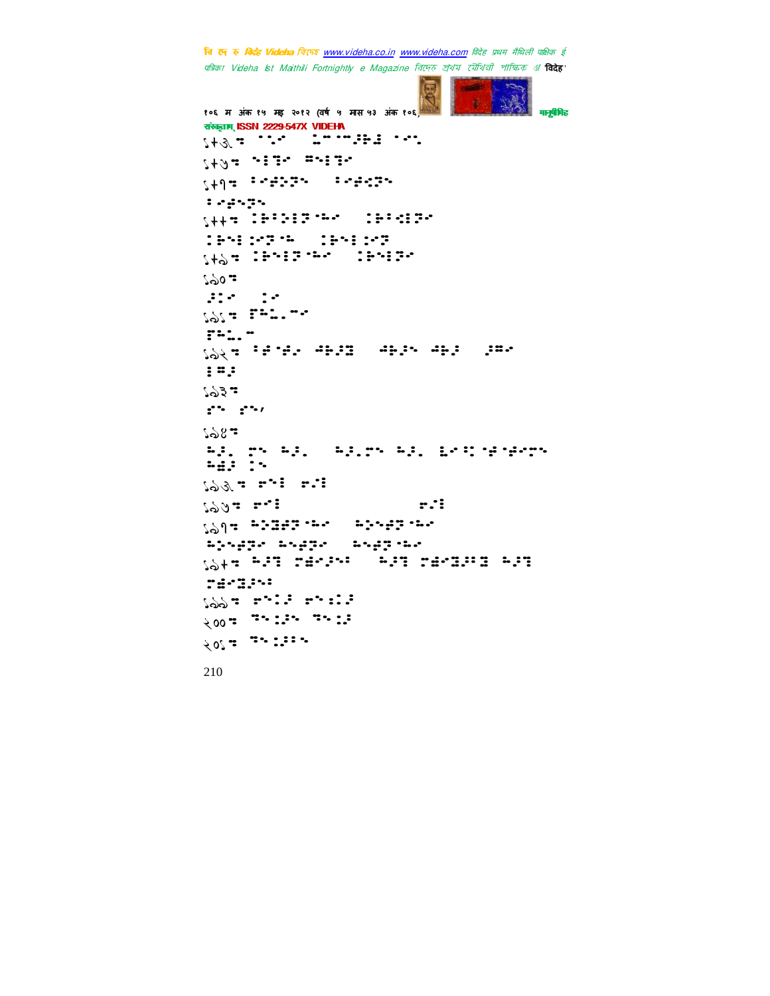```
१०६ म अंक १५ मइ २०१२ (वष ५ मास ५३ अंक १०६) मानुषीिमह 
संस्कृतम् ISSN 2229-547X VIDEHA
210
⣒!⣁!)⣅bb⢼⢷⣜!⣁*!!
\frac{1}{2}\mathcal{M}A⢾⢽!!
⣒!⢷A⢵2⢽⢳0!⢷A⣊2⢽0!
⢷2⣈⢽⢳0!⢷2⣈⢽!!
⣒!⢷2⢽⢳0!⢷2⢽!!
; నం.≃
Sir in
\omega: \cdots/⢳⣅Eb!!
िहरू हो से प्रसार प्राप्त स्थान स्थान स्थान स्थान स्थान स्थान स्थान स्थान स्थान स्थान स्थान स्थान स्थान स्थान स<br>प्राप्त स्थान स्थान स्थान स्थान स्थान स्थान स्थान स्थान स्थान स्थान स्थान स्थान स्थान स्थान स्थान स्थान स्था
: : :\frac{1}{2}\frac{3}{2} =
!'!!
5.8 \approx⢳⢼E!!⢳⢼E!)⢳⢼E!⢳⢼E!⣇⢸⢾⢾!
\frac{1}{2} \frac{1}{2} \frac{1}{2}\omega_{3} : \cdot : \cdot :
\sqrt{2}⣒!⢳⢵⣝⢾⢽⢳0!⢳⢵⢾⢽⢳0!
⢳⢵⢾⢽0⢳⢾⢽0!⢳⢾⢽⢳!!
Wate Pal Serari Pal Serari Pal
⣞⣝⢼A!!
\omega<sub>५००</sub> - पन्दान् पन्दान् ।
\frac{1}{2} os \frac{1}{2} . The set of \frac{1}{2}
```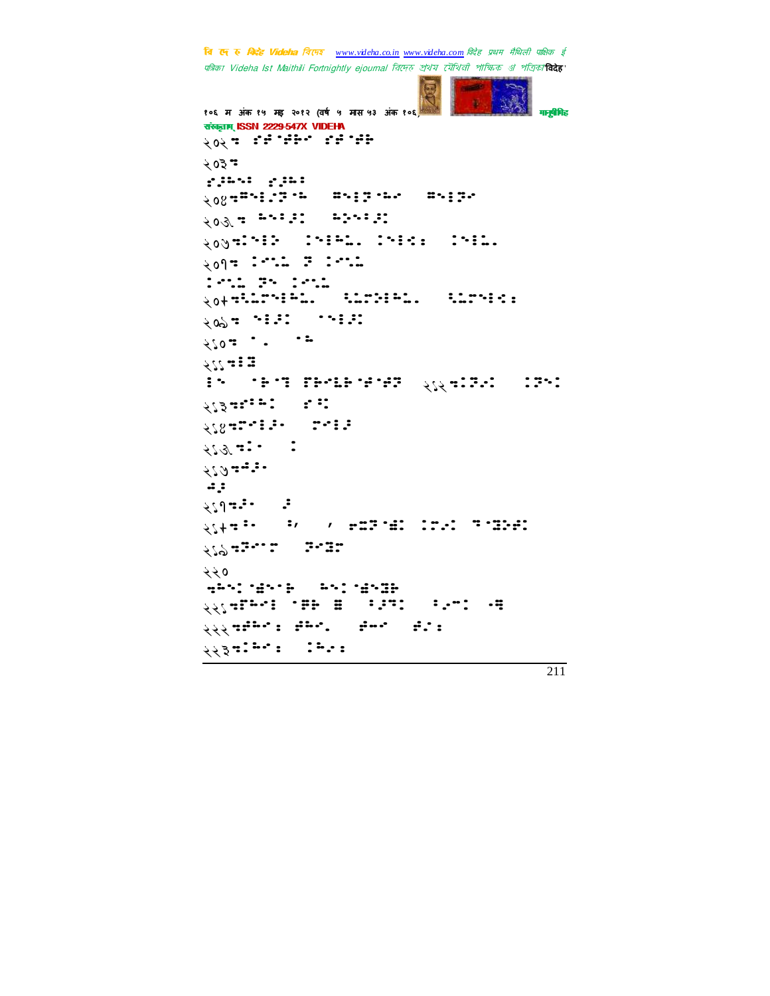```
१०६ म अंक १५ मइ २०१२ (वष ५ मास ५३ अंक १०६) मानुषीिमह 
संस्कृतम् ISSN 2229-547X VIDEHA
-
⣒!⢾⢾⢷!⢾⢾⢷!!
र ०३ =
f^{\text{LML}}-

⣒⢻21⢽⢳0!⢻2⢽⢳0!⢻2⢽!!
५०३: - में में मान मुख्य प्राप्त करने अर्था प्राप्त करने अर्थ करने अर्थ करने अर्थ<br>स्थिति करने अर्थ करने अर्थ करने अर्थ करने अर्थ करने अर्थ करने अर्थ करने अर्थ करने अर्थ करने अर्थ करने अर्थ करन
<sub>५०७</sub>≒:•:⊱ :•:≒1. :•:∹: :•:1..
خان : 1:00 ± 1:00 ± 1:00 ± 1:00 ± 1:00 ± 1:00 ± 1:00 ± 1:00 ± 1:00 ± 1:00 ± 1:00 ± 1:00 ± 1:00 ± 1:00 ± 1:00 ±<br>خوا
⣁⣅!⢽!⣁⣅!!
<sub>≷0†</sub>=:1:4:≒1.    :1:2:4:.      :1:2:4::
-
⣒!2⢼0!2⢼!!
\frac{1}{2} \frac{1}{2} \frac{1}{2} \frac{1}{2} \frac{1}{2} \frac{1}{2} \frac{1}{2} \frac{1}{2} \frac{1}{2} \frac{1}{2} \frac{1}{2} \frac{1}{2} \frac{1}{2} \frac{1}{2} \frac{1}{2} \frac{1}{2} \frac{1}{2} \frac{1}{2} \frac{1}{2} \frac{1}{2} \frac{1}{2} \frac{1}{2} 2/22 ) \sim 10.1 The control \mathcal{P}\frac{1}{2}
⣒2⢼c0!2⢼!!
\leftrightarrow\lambda\ddot{a} \ddot{b}\lambda\lambda\eta \alpha \beta \beta⣒⢸c!0⢸'!)'!⢶⣍⢽⣞!⢴!⢹⣝⢵⢾*!!
₹19. ::...<br>∕19. ::...
२२०
⣒⢳⣞⢷0!⢳⣞⣝⢷!!
⣒/⢳2!⢿⢷!⣟0!A⢼⢹0!A⢴b!B⣛!!
</u>
\frac{1}{2}
```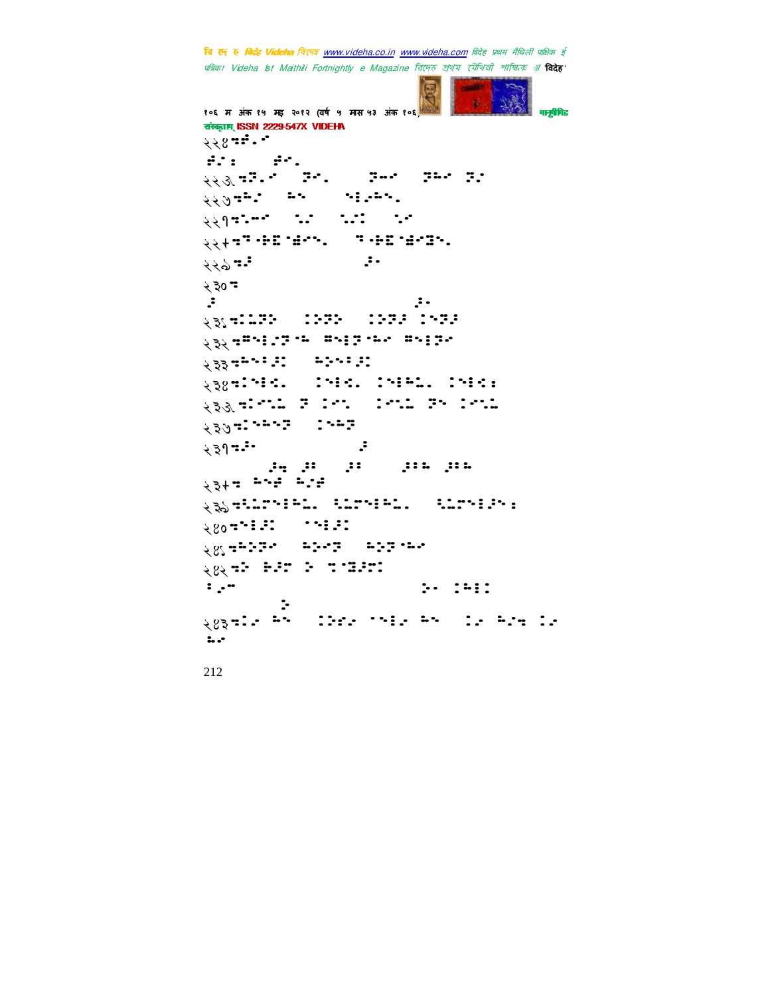१०६ म अंक १५ मइ २०१२ (वष ५ मास ५३ अंक १०६) मानुषीिमह संस्कृतम् ISSN 2229-547X VIDEHA  $\lambda$  $f$ :  $f$ . √√⊗EP. Pr. Per Per Pr  $\frac{1}{2}$  $\frac{1}{2}$ <sub>કફ∤'</sub>="HI'd', "HE'd'I'. ⣒⢼!)dpnf\*0!⢼c)dpokvodujpo\*!! **२ ३० =**  $\ddot{\theta}$ ⣒⣅⢽⢵0!⢵⢽⢵-!⢵⢽⢼0⢽⢼! ⣒⢻21⢽⢳.⢻2⢽⢳.⢻2⢽! ⣒⢳A⢼.!⢳⢵A⢼! <sub>५३४</sub>≈:भः. :भः. :भः∺. :भः: √g⊗sini Form (ni Form ⣒⢳⢽.!⢳⢽!  $\lambda$   $\lambda$  ) denote the contract  $\mathcal{L}$ boe\*0⢼⣒!⢼A(.⢼A(!0⢼A⢳.⢼A⢳!  $\frac{1}{2}$ ⣒⣃⣅2⢳⣅E.⣃⣅2⢳⣅E.!⣃⣅2⢼⣐! -⣒2⢼.!2⢼! </u>  $\frac{1}{2}$  .  $\frac{1}{2}$  .  $\frac{1}{2}$  .  $\frac{1}{2}$  .  $\frac{1}{2}$  .  $\frac{1}{2}$  .  $\frac{1}{2}$  .  $\frac{1}{2}$  .  $\frac{1}{2}$  .  $\frac{1}{2}$  .  $\frac{1}{2}$  .  $\frac{1}{2}$  .  $\frac{1}{2}$  .  $\frac{1}{2}$  .  $\frac{1}{2}$  .  $\frac{1}{2}$  .  $\frac{1}{2}$  .  $\frac{1}{2}$  .  $\frac{1$  $\frac{1}{2}$ tbjeve († 1920)<br>1900 - Johann Bernstein, filozof († 1920) ⣒⢴!⢳0!⢵⢴!2⢴!⢳0!⢴!⢳1⣒!⢴!  $2.2°$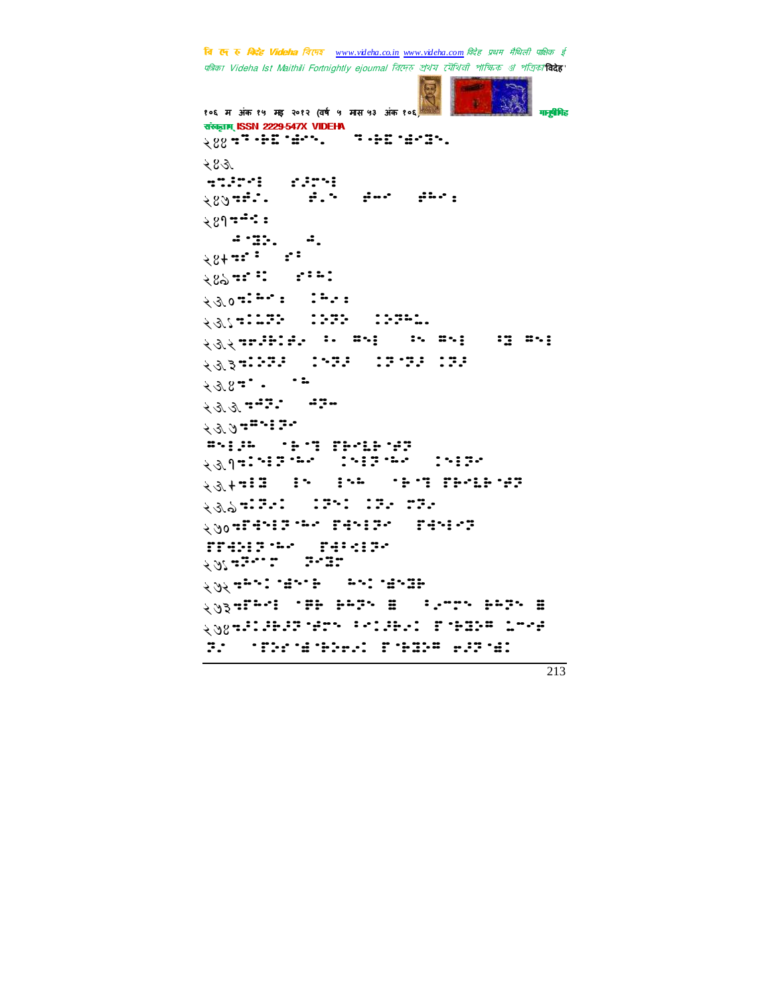१०६ म अंक १५ मइ २०१२ (वष ५ मास ५३ अंक १०६) मानुषीिमह संख्याम् I<mark>SSN 2229-547X VIDEHA</mark><br>ऽ 99 <mark>:: " - :- :: " ::: " - :- :: " - :-:: :: " :: :: :: : :</mark> <sub>ર 28</sub> gan ti Cartar.<br>Desember  $284$ ⣒⣉⢼20!⢼2!! २४७ =≓- -⣒⢾1E!0!⢾E0!⢾⢲0!⢾⢳⣐! ર્⊗૧≂∸ઃ :  $\frac{1}{2}$   $\frac{1}{2}$   $\frac{1}{2}$   $\frac{1}{2}$   $\frac{1}{2}$  ⣒⢸0!A! ર્%**ાઃઃં ઃઃઃ** -⣒⢳⣐0!⢳⢴⣐! ⣒⣅⢽⢵0!⢵⢽⢵0!⢵⢽⢳⣅E0! ⣒⢶⢼⢷⢾⢴!⢸c!⢻20!⢸!⢻20!⢸⣝!⢻2! ⣒⢵⢽⢼0!⢽⢼0!⢽⢽⢼0⢽⢼! ર્√ા કૈઃ હિં  $\frac{1}{2}$  $\frac{1}{2}$ ⢻2⢼⢳!)⢷⣙!/⢷⣇⢷⢾⢽\*!! √⊗¶=∑°∃∑'™° ∑°∃∑'™° ∑°∃∑°  $^{2/2+111}$  :. In the set  $^{2/2}$ ⣒⢽⢴0!⢽0⢽⢴.⢽⢴!  $\chi_{\mathcal{Y}0}$ o:PériJ·me PériJ·me PériJ //⣚⢵2⢽⢳0!/⣚A⣊2⢽0!  $\sqrt[3]{\text{m}^2 \cdot \text{m}^2}$ ⣒⢳⣞⢷0!⢳⣞⣝⢷!  $\frac{1}{2}$  and the state  $\frac{1}{2}$  in the state  $\frac{1}{2}$  ⣒⢼⢼⢷⢼⢽⢾!A⢼⢷⢴!/⢷⣝⢵⢻!⣅b⢾! ⢽10!/⢵⣞⢷⢵⢶⢴!/⢷⣝⢵⢻!⢶⢼⢽⣞!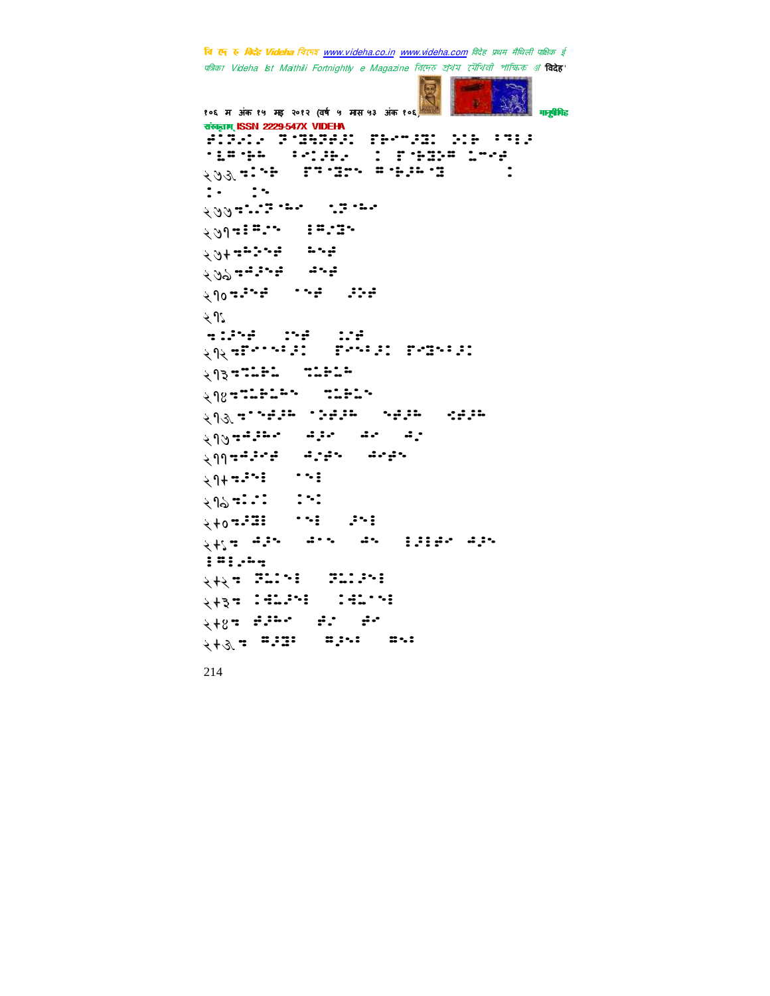**CONTRACTOR** १०६ म अंक १५ मइ २०१२ (वष ५ मास ५३ अंक १०६) मानुषीिमह संस्कृतम् ISSN 2229-547X VIDEHA ⢾⢽⢴⢴!⢽⣝⣓⢽⢾⢼!/⢷b⢼⣝!⢵⢷!A⢹2⢼! ⣇⢻⢷⢳!)A⢼⢷⢴\*!!/⢷⣝⢵⢻!⣅b⢾!  $\frac{1}{2}\sqrt{2}$  $\mathbb{R}^2$  :  $\frac{1}{2}$  $\frac{1}{2}$ ⣒⢳⢵⢾0!⢳⢾! ⣒⢺⢼⢾0!⢺⢾0! <sub>रे </sub>¶o क•ी° से परिन  $59$ ⣒⣈⢼⢾0!⣈⢾0!⣈1⢾!!  $\sqrt{N}$ -Prince Pina para ⣒⣉⣅⢷⣅0!⣉⣅⢷⣅⢳! ⣒⣉⣅⢷⣅⢳0!⣉⣅⢷⣅! ⣒⢾⢼⢳0⢵⢾⢼⢳0!⢾⢼⢳0!⣊⢾⢼⢳! ⣒⢺⢼⢳0!⢺⢼0!⢺0!⢺10! ⣒⢺⢼⢾0!⢺1⢾0!⢺⢾!  $\lambda$ <sup>0</sup> $+$   $\pm$   $\lambda$ <sup>2</sup>:  $\lambda$   $\pm$   $\lambda$  $\lambda$  10  $\approx$  :  $\sim$  :  $\sim$  : <sub>२ +0</sub>•:⊞: •ाः :-:  $^{6}$   $^{6}$   $^{10}$   $^{10}$   $^{10}$   $^{10}$   $^{10}$   $^{10}$   $^{10}$   $^{10}$   $^{10}$   $^{10}$   $^{10}$   $^{10}$   $^{10}$   $^{10}$   $^{10}$   $^{10}$   $^{10}$   $^{10}$ 2⢻2⢴⢳⣒\*!  $\frac{1}{2}$ ⣒!⣚⣅⢼20!⣚⣅2! <sub>રે</sub> ↓8**: ÷: ÷: → ÷:** → ÷:  $^{5}$   $^{4}$   $^{9}$  =  $^{13}$ :  $^{13}$ :  $^{13}$ :  $^{13}$ :  $^{13}$ :  $^{13}$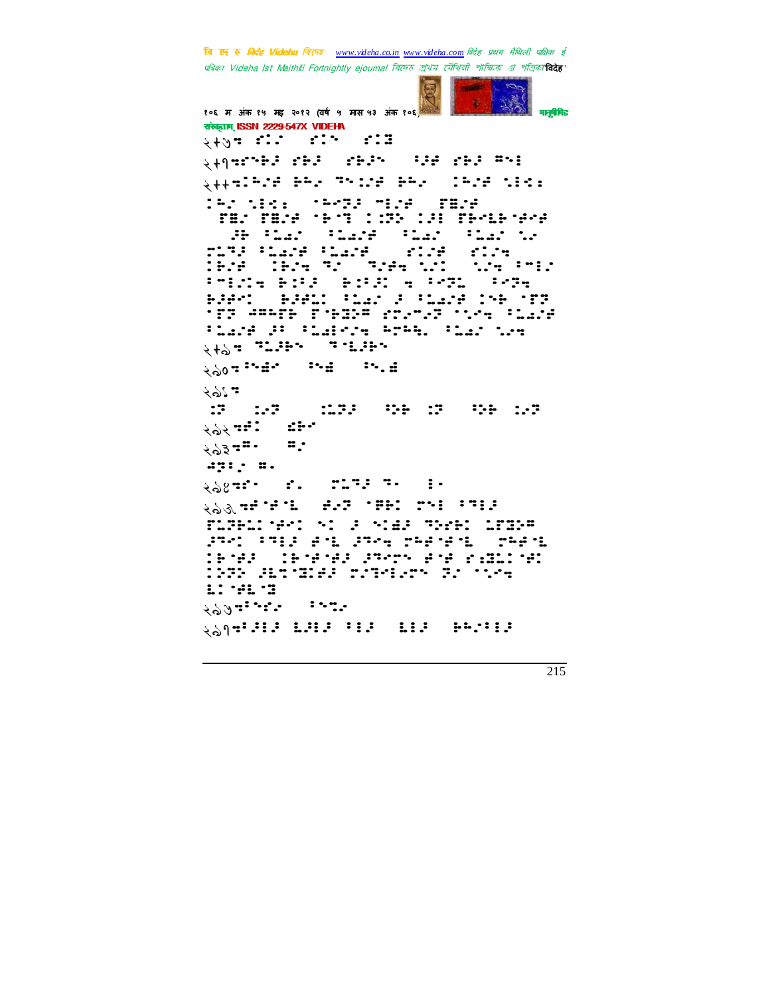१०६ म अंक १५ मइ २०१२ (वष ५ मास ५३ अंक १०६) मानुषीिमह संस्कृतम् ISSN 2229-547X VIDEHA  $2+9$  :  $2: 10$  :  $2: 10$ ⣒⢷⢼0⢷⢼0!⢷⢼!)⢸⢼⢾!⢷⢼!⢻2\*! ⣒⢳1⢾!⢷⢳⢴0⢹⣈1⢾!⢷⢳⢴0!⢳1⢾!⣁2⣊⣐0! ⢳1!⣁2⣊⣐.!⢳⢽⢼!b21⢾0!/⣟1⢾! TO TOP THAT IS NOT THAT THE .:B :Car :Car# :Car :Car :Car<br>TV:Car# :Car# : :Cr# :Cr# risk klare klare (stre stre<br>162e 162e sr Streedric drejkstr N, 19 1, 10 1, 10<br>1, 19 1, 10 1, 10 1, 10 1, 10 1, 10 1, 10 1, 10 1, 10 1, 10 1, 10 1, 10 1, 10 1, 10 1, 10 1, 10 1, 10 1, 10 1, Abizi, And O Distribution of the Abit of Angle State of the Abit of Abit of the Abit of Abit of the Abit of Th ⢷⢼⢾0!⢷⢼⢾⣅!A⣅⣔1!⢼!A⣅⣔1⢾!⢷!/⢽. /⢽!⢺⢻⢳/⢷!/⢷⣝⢵⢻!⢴b⢴⢽!⣁⣒!A⣅⣔1⢾. ALL: A P PLACE AND A PROPERTY AND TO √<sup>†</sup>∛'≈ ∴∷⊧∙ ∴∴o <sub></sub><sub>५</sub>ु⊙दः∸ई ः± ः.ई  $\frac{2}{365}$ ⣈⢽0!⣈⢴⢽0!!⣈⣅⢽⢼!)⢸⢵⢷!⣈⢽0!⢸⢵⢷!⣈⢴⢽\*!! √avi: ci.  $\langle \delta \rangle$   $\langle \cdot \rangle$ Anti- a. <sub>र्े∂</sub>8ुन्:° :. :. :.∓: २. :. ⣒⢾⢾⣇-)⢾⢴⢽!⢿⢷!2!A⢹2⢼! /⣅⢽⢷⣅⢾!!⢼!⣞⢼!⢹⢵⢷!⣅/⣝⢵⢻\*! ⢼⢹!A⢹2⢼!⢾⣇!⢼⢹⣒!⢳⢾⢾⣇0!⢳⢾⣇0! ⢷⢾⢼0!⢷⢾⢾⢼!⢼⢹!⢾⢾!⣐⣝⣅⢾! ⢵⢽⢵!⢼⣇⣉⣝⢾⢼!1⣙2⢴!⢽1!⣁⣒! ⣇⢾⣇⣝! ⣒A⢴0!A⣉⢴!  $\lambda$ ang 200 kali 200 kali 200 kali 200 kali 200 kali 200 kali 200 kali 200 kali 200 kali 200 kali 200 kali 200 ka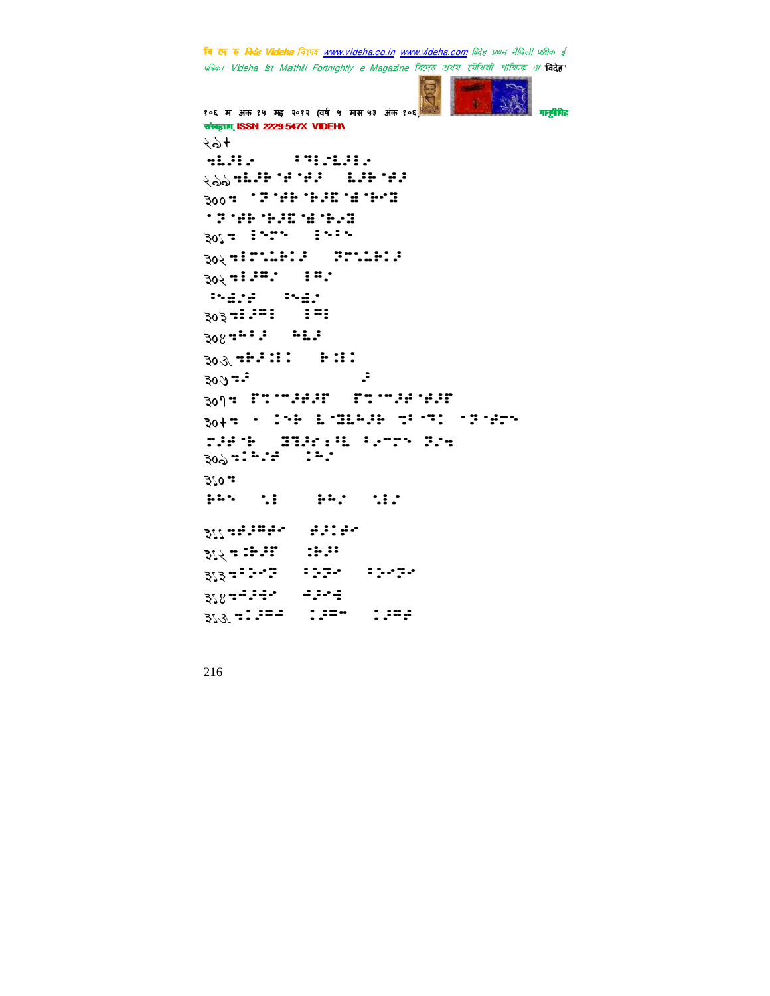$$
\mathbb{R}^m
$$

१०६ म अंक १५ मइ २०१२ (वष ५ मास ५३ अंक १०६) मानुषीिमह संस्कृतम् ISSN 2229-547X VIDEHA  $5.5 +$ ⣒⣇⢼2⢴0!)A⢹21⣇⢼2⢴\*!! ⣒⣇⢼⢷⢾⢾⢼0!⣇⢼⢷⢾⢼! --⣒!⢽⢾⢷⢷⢼⣏⣞⢷⣝0! ⢽⢾⢷⢷⢼⣏⣞⢷⢴⣝! -⣒!20!2A! -⣒2⣁⣅⢷⢼-!⢽⣁⣅⢷⢼! -⣒2⢼⢻10!2⢻1!)! Mangre Mangre ३०३**ः::ः: :=:** ₹.: - -i.;<br>₹⊙8 ३०<u>३</u>०३:::: ३०३  $\mathbb{R}^3 \times \mathbb{R}^5$  ) and  $\mathbb{R}^5$  (both  $\mathbb{R}^5$ ϡ<sub>0</sub>η• Fr∵r.÷.F Fr∵r.÷.÷.F  $^{504}$ = · :~} E'HAJ? \*\*\*. ·3.9:~ ⢼⢾⢷-!⣝⣙⢼⣐⢸⣇!A⢴b!⢽1⣒! ३०ঌ•::-:-: :-:  $320 -$ ⢷⢳!)⣁2\*0!⢷⢳1!)⣁21\*!)nfbojoh! </u>  $\mathbb{R}$  :  $\mathbb{R}$  $\frac{3}{3}$ </u>sie≡e: •iste ⣒⢼⢻⢺0!⢼⢻b0!⢼⢻⢾!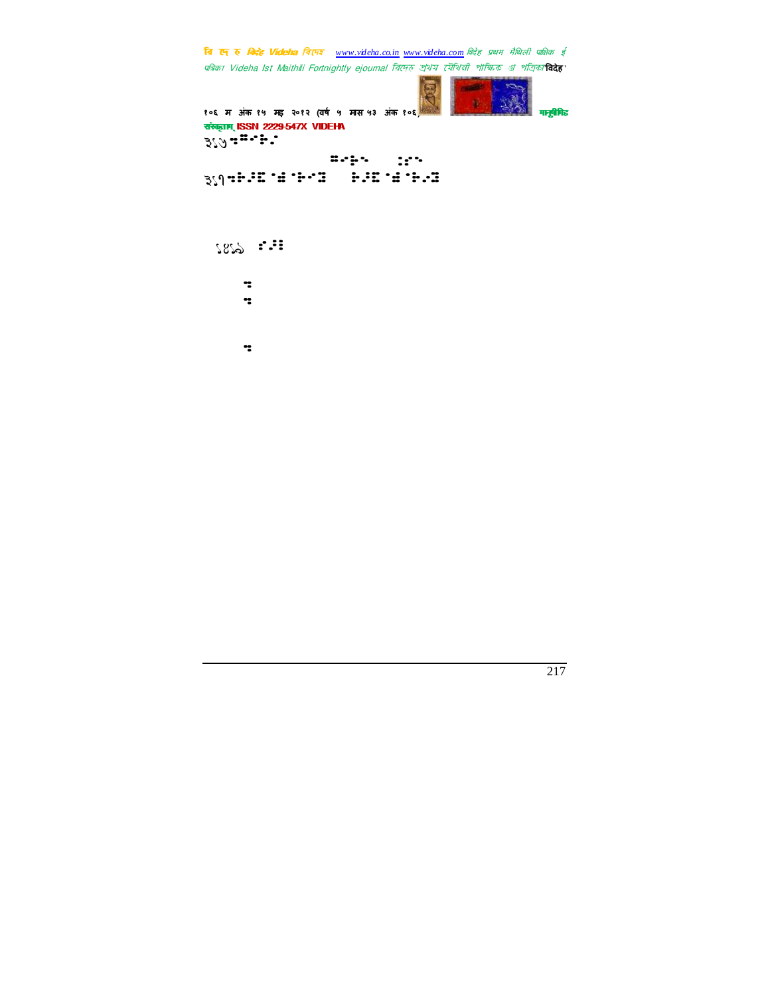

§্ৰ: অন্য কাম বিম্নাই প্

 $282^{\circ}$  : ::

- $\mathbf{S}$  $\begin{array}{c} \bullet \bullet \\ \bullet \end{array}$
- Gfc 3123.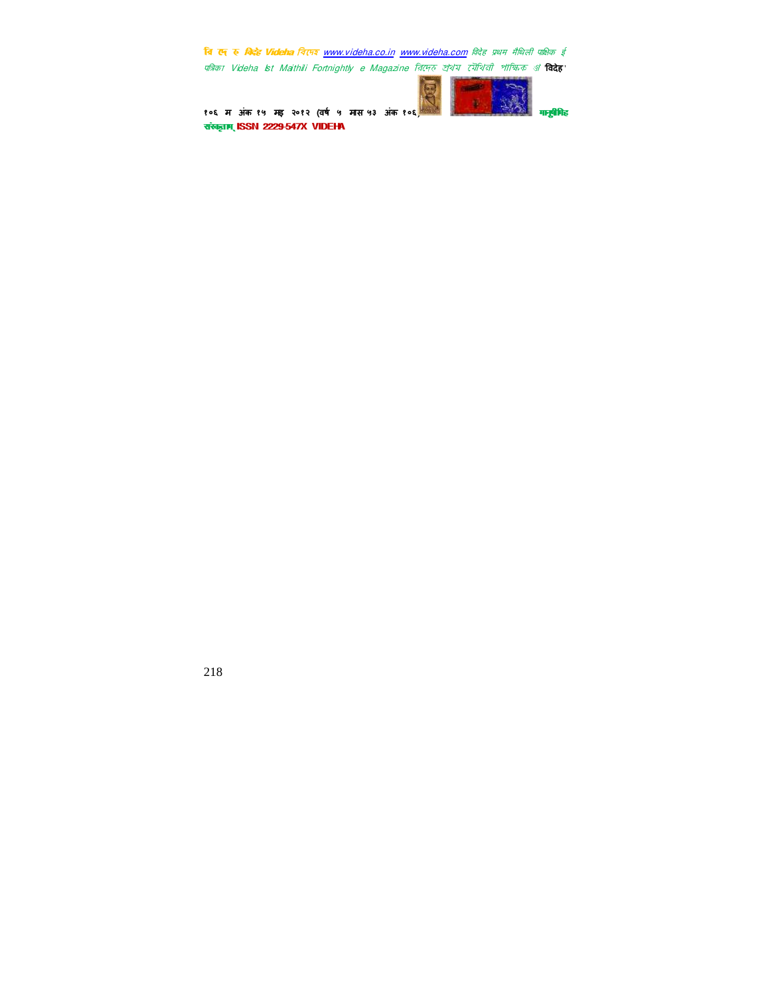चि एक रु मिन्हे Videha विएक www.videha.co.in www.videha.com विदेह प्रथम मैथिली पाक्षिक ई पत्रिका Videha Ist Maithili Fortnightly e Magazine রিদেহ প্রথম মৌথিনী পাক্ষিক রা **বিदेह**'



संस्कृतम् ISSN 2229-547X VIDEHA

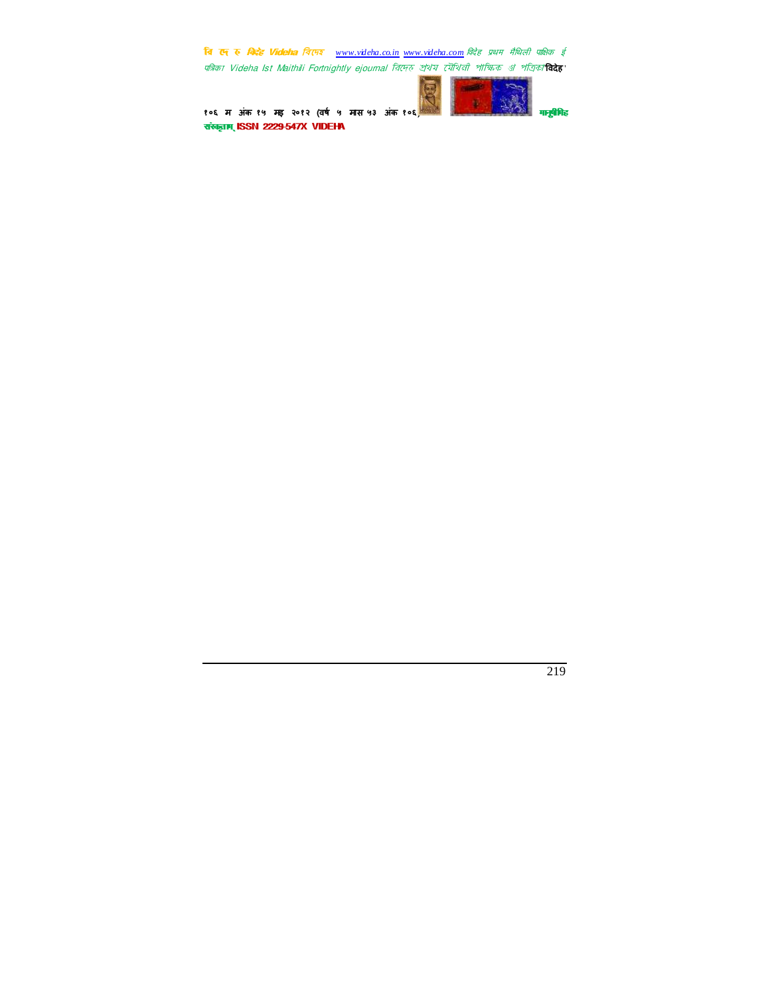

संस्कृतम् ISSN 2229-547X VIDEHA

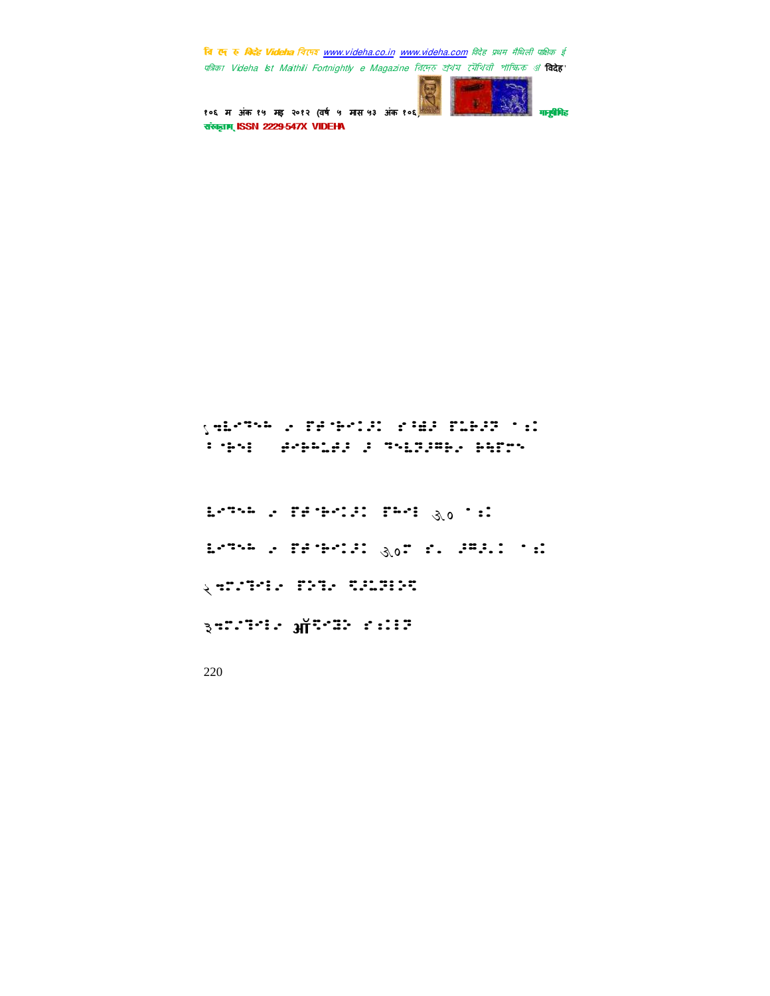चि एक रु मिन्हे Videha विएक www.videha.co.in www.videha.com विदेह प्रथम मैथिली पाक्षिक ई पत्रिका Videha Ist Maithili Fortnightly e Magazine রিদেহ প্রথম মৌথিনী পাক্ষিক রা **বিदेह**'

$$
\mathbb{R} \quad \blacksquare
$$

१०६ म अंक १५ मइ २०१२ (वष ५ मास ५३ अंक १०६) मानुषीिमह संस्कृतम् ISSN 2229-547X VIDEHA

## ⣒⣇⢹⢳!⢴./⢾⢷⢼!⢸⣞⢼!/⣅⢷⢼⢽!⣐! A⢷2-!⢾⢷⢳⣅⢾⢼!⢼!⢹⣇⢽⢼⢻⢷⢴!⢷⣓/!

is the set of  $\mathbb{R}^2$  . If  $\mathbb{R}^2$  is the set of  $\mathbb{R}^2$  and  $\mathbb{R}^2$ is the set of  $\mathbb{R}^n$  . The final set of  $\mathbb{R}^n$  ,  $\mathbb{R}^n$  ,  $\mathbb{R}^n$  $\sqrt{12}$ 10': The Sulfies SHING HILE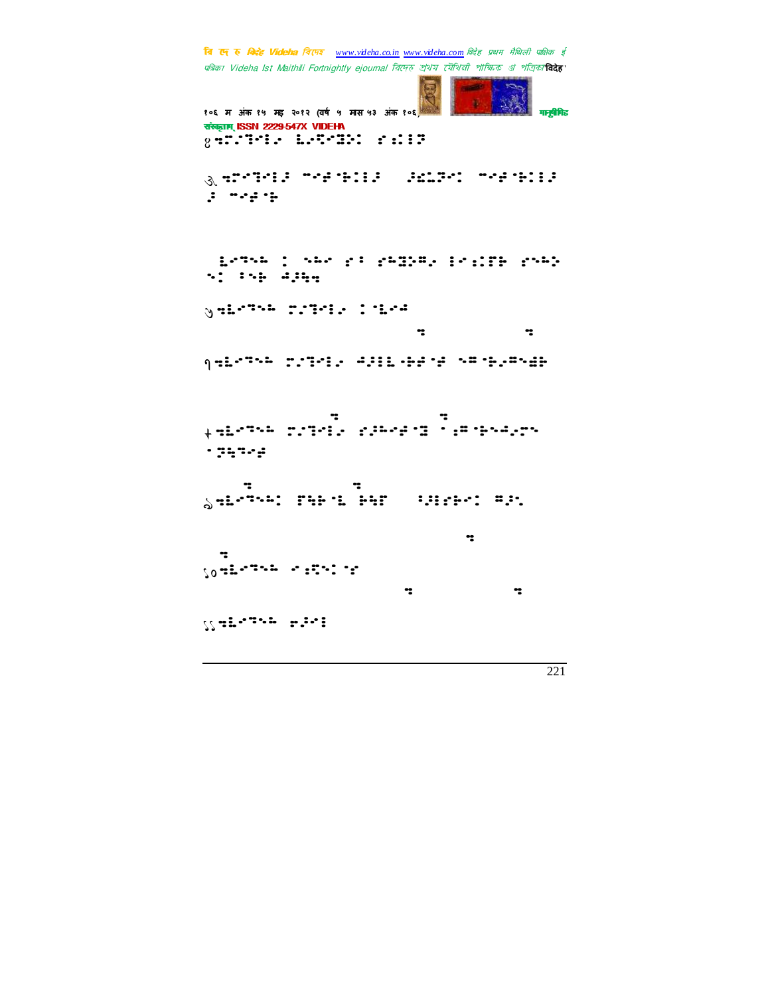१०६ म अंक १५ मइ २०१२ (वष ५ मास ५३ अंक १०६) मानुषीिमह संस्कृतम् ISSN 2229-547X VIDEHA ⣒1⣙2⢴!⣇⢴⣋⣝⢵!⣐2⢽!Nbjuijmj!  $\delta$  ::10  $\delta$  0.000  $\delta$ ⢼!b⢾⢷!Njuijmb!Qbjoujoh0! #⣇⢹⢳#!⢳!⢸!⢳⣝⢵⢻⢴!2⣐/⢷!⢳⢵!  $\mathcal{A}$  :  $\mathcal{A}$  :  $\mathcal{A}$  :  $\mathcal{A}$  :  $\mathcal{A}$  :  $\gamma$ diste rikk like ius (ook ah dhexaan in dhexaan in dhexaan in dhexaan in dhexaan in dhexaan in dhexaan in dhexaan in dhexaan in<br>Die verwystelig van de verwystelig van de verwystelig van de verwystelig van de verwystelig van de verwystelig  $\eta$ girti I.Bi, 480.400 trinti bhhsfhbups⣒cmphtqpu⣒dpn0!  $^+$ dring index the state  $^+$ ⢽⣓⢹⢾! bsure the control of the control of the control of the control of the control of the control of the control of the control of the control of the control of the control of the control of the control of the control of the co \**q!Profil PHP 100** 1000PHP1 #2 ius and the company of the company of the company of the company of the company of the company of the company of the company of the company of the company of the company of the company of the company of the company of the udproduced a series of the series of the series of the series of the series of the series of the series of the series of the series of the series of the series of the series of the series of the series of the series of the ∑o'=1''7'' '' ''1'''''' '' ius de la componentation de la componentation de la componentation de la componentation de la componentation d<br>En 1930, est de la componentation de la componentation de la componentation de la componentation de la compone  $\mathcal{U}$ ar.<sub>27</sub>., al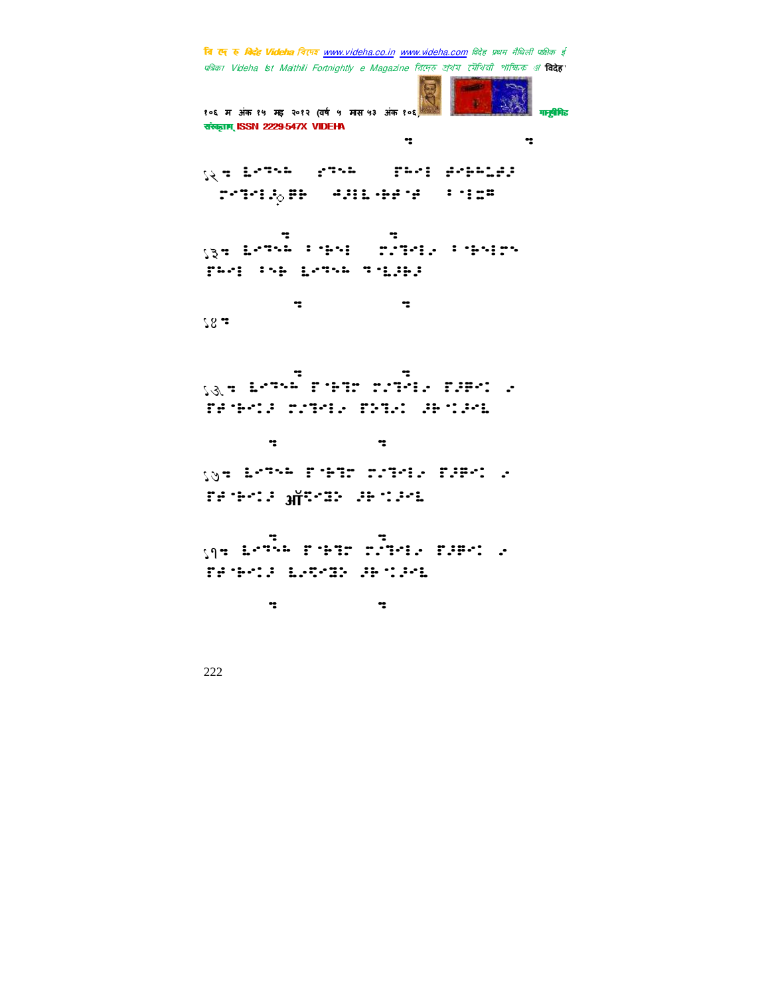चि एक रु मिन्हे Videha विएक www.videha.co.in www.videha.com विदेह प्रथम मैथिली पाक्षिक ई पत्रिका Videha Ist Maithili Fortnightly e Magazine রিদেহ প্রথম মৌথিনী পাক্ষিক রা **বিदेह**' १०६ म अंक १५ मइ २०१२ (वष ५ मास ५३ अंक १०६) मानुषीिमह संस्कृतम् ISSN 2229-547X VIDEHA ius;00wjefib234,00wjefib234,00wjefib234,00wjefib234  $\mathcal{M}$ a:1,1,2,2,2; (i.e.,2); (i.e.,2); (i.e.,2); (i.e.,2); (i.e.,2); (i.e.,2); (i.e.,2); (i.e.,2); (i.e.,2); (i.e.,2); (i.e.,2); (i.e.,2); (i.e.,2); (i.e.,2); (i.e.,2); (i.e.,2); (i.e.,2); (i.e.,2); (i.e.,2); (i.e.,2); )⣙2⢼◌़⢿⢷\*!⢺⢼2⣇B⢷⢾⢾!)A2⣍⢻\*!! tbefore the control of the control of the control of the control of the control of the control of the control of the control of the control of the control of the control of the control of the control of the control of the ¦<sub>⋛</sub>• 1°™1 : 10°1; 1;:10; 1 10°1; /⢳2!A⢷!⣇⢹⢳!⢹⣇⢼⢷⢼! csbjmm for the control of the control of the control of the control of the control of the control of the control of the control of the control of the control of the control of the control of the control of the control of t  $28 - 32$ **W**JEFIBE ISO NEWSFIBE ISO NEWSFIBE ISO NEWSFIBE ISO NEWSFIBE ISO NEWSFIBE ISO NEWSFIBE ISO NEWSFIBE ISO NEWSFI bsdijwana barat a barat a barat a barat a barat a barat a barat a barat a barat a barat a barat a barat a bara  $^{2/3}$  = 1,2.0 in 1,52 in 1,2.0 in 1,2.0 in 1,2.0 in 1,2.0 in 1,2.0 in 1,2.0 in 1,2.0 in 1,2.0 in 1,2.0 in 1,2.0 in 1, /⢾⢷⢼!1⣙2⢴!/⢵⣙⢴!⢼⢷⢼⣇! qpuijon and control of the control of the control of the control of the control of the control of the control of the control of the control of the control of the control of the control of the control of the control of the ⣒!⣇⢹⢳!/⢷⣙!1⣙2⢴!/⢼⢿!⢴! /⢾⢷⢼!ऑ⣋⣝⢵!⢼⢷⢼⣇! by the control of the control of the control of the control of the control of the control of the control of th \\# 122°\ 122°10' P.H. 122°10' P.H. /⢾⢷⢼!⣇⢴⣋⣝⢵!⢼⢷⢼⣇! where  $\frac{d\mathbf{q}}{d\mathbf{q}}$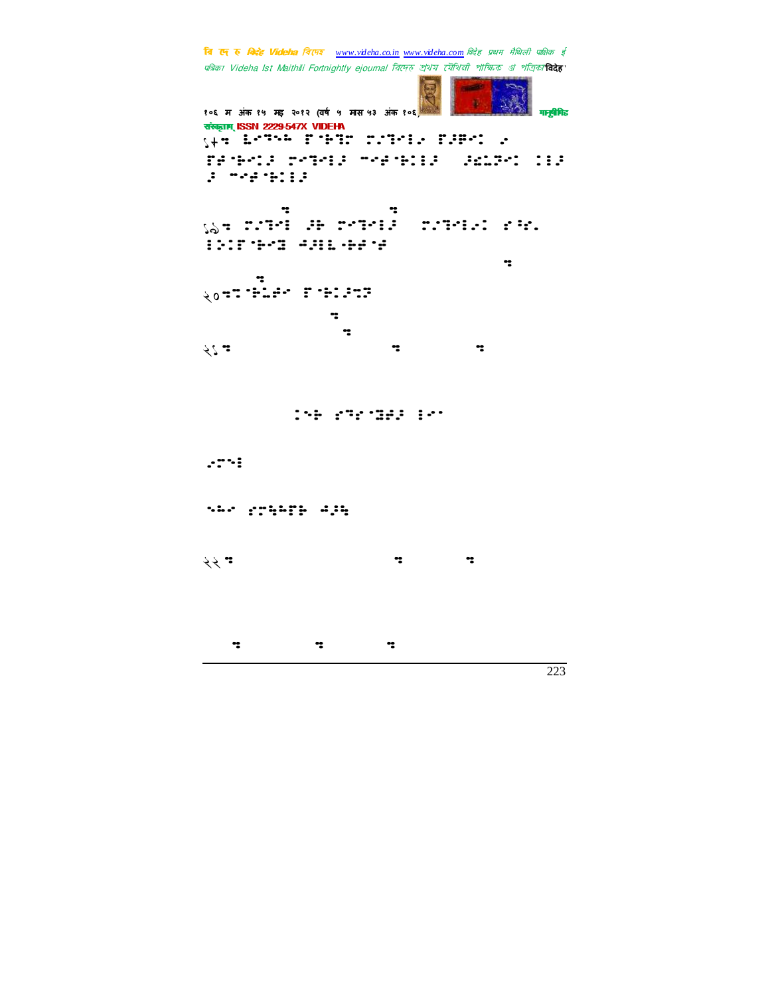१०६ म अंक १५ मइ २०१२ (वष ५ मास ५३ अंक १०६) मानुषीिमह संस्कृतम् ISSN 2229-547X VIDEHA 223  $\frac{1}{2}$  : 1000 : 1000 : 1000 : 1000 : 1000 : 1000 : 1000 : 1000 : 1000 : 1000 : 1000 : 1000 : 1000 : 1000 : 1000 : 1000 : 1000 : 1000 : 1000 : 1000 : 1000 : 1000 : 1000 : 1000 : 1000 : 1000 : 1000 : 1000 : 1000 : 1000 : /⢾⢷⢼!⣙2⢼!b⢾⢷2⢼-!⢼⣎⣅⢽!2⢼! ⢼!b⢾⢷2⢼!  $\bullet$   $\bullet$   $\bullet$   $\bullet$ ⣒!1⣙2!⢼⢷!⣙2⢼!)1⣙2⢴!⢸E! 2⢵/⢷⣝!⢺⢼2⣇B⢷⢾⢾\*! ius njegovina i postala na svoje postala na svoje na svoje postala na svoje na svoje na svoje na svoje na svoj<br>Dogodka  $\frac{1}{2}$  $_{\xi_0}$ go ible $\cdot$  i ibleo $_{\xi_1}$ ius de la construction de la construction de la construction de la construction de la construction de la const<br>1980 : la construction de la construction de la construction de la construction de la construction de la const qvcmjdbujpo<br>Departement of the second product of the second product of the second product of the second product of the second  $\mathcal{L}$ iuq;d $\mathcal{L}$ WHIPPERS  $.$ ⢳!⣓⢳/⢷!⢺⢼⣓!!  $\frac{1}{2}$ version of the control of the control of the control of the control of the control of the control of the control of the control of the control of the control of the control of the control of the control of the control of t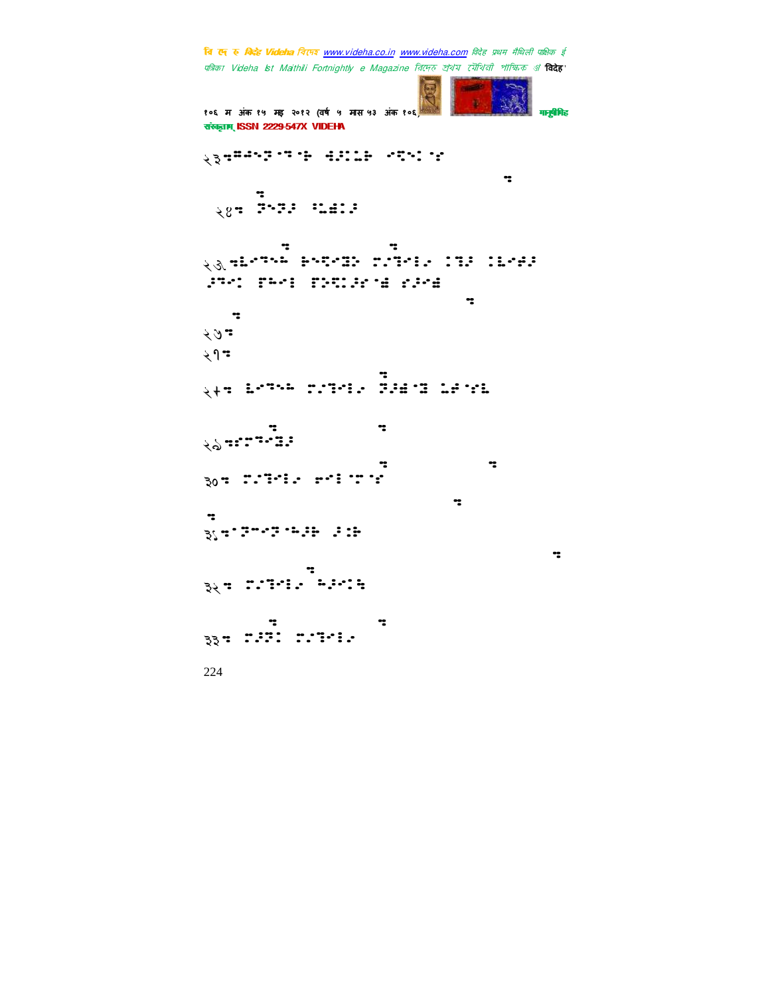```
चि एक रु मिन्हे Videha विएक www.videha.co.in www.videha.com विदेह प्रथम मैथिली पाक्षिक ई
पत्रिका Videha Ist Maithili Fortnightly e Magazine রিদেহ প্রথম মৌথিনী পাক্ষিক রা বিदेह'
१०६ म अंक १५ मइ २०१२ (वष ५ मास ५३ अंक १०६) मानुषीिमह 
संस्कृतम् ISSN 2229-547X VIDEHA
224
</u>
ius 234 decembris 234 decembris 234 decembris 234 decembris 234 decembris 234 decembris 234 decembris 234 dece<br>234 decembris 234 decembris 234 decembris 234 decembris 234 decembris 234 decembris 234 decembris 234 decembri
\frac{1}{2}مر29: 20<del>.</del><br>ما
libco de la contrada de la contrada de la contrada de la contrada de la contrada de la contrada de la contrada
⣒⣇⢹⢳!⢷⣋⣝⢵;1⣙2⢴!⣙⢼.⣇⢾⢼!
' . The second state state \overline{z}ius (1983)<br>1980 – Paris Carolina (1984)<br>1980 – Paris Carolina (1983)
tto de la provincia de la provincia del provincia de la provincia de la provincia de la provincia de la provincia de la provincia de la provincia de la provincia de la provincia de la provincia de la provincia de la provin
\ddot{\tilde{\xi}}\mathcal{L} \mathcal{L} points to be a set of \mathcal{L} parameter \mathcal{L}\mathbf{g}\frac{1}{2} . In the state \frac{1}{2}esbnb<mark>e</mark>sbnbeweg
⣒⢹⣝⢼!
ius de la componente de la componente de la componente de la componente de la componente de la componente de l<br>Desenvolvement de la componente de la componente de la componente de la componente de la componente de la comp
gos cliffic esticos
ius;00nbjuijmigigmnthopus;00nbjuijmigigmnthopus;00nbjuijmigigmnthopus;00nbjuijmigigmnthopus;00nbjuij
⣒dpn0!!
</u> al ⊒ie·gr•z·e.ie
ius die konstantinopele van die konstantinopele van die konstantinopele van die konstantinopele van die konsta<br>Die konstantinopele van die konstantinopele van die konstantinopele van die konstantinopele van die konstantin
cmphtqpu⣒dpn0!!
ą<sub>₹</sub>. r.trie +.p:
ibility is a set of the set of the set of the set of the set of the set of the set of the set of the set of th<br>In the set of the set of the set of the set of the set of the set of the set of the set of the set of the set
ąą• :37: :27:8.
```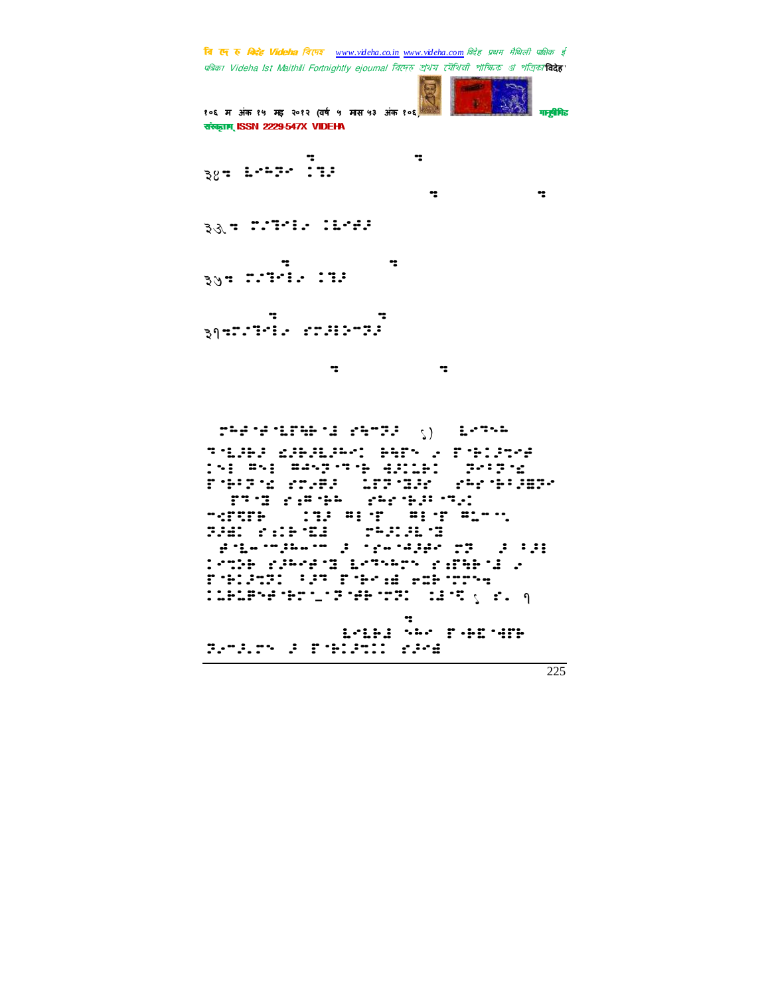

Dpncjofe!JTCO!Op⣒:89.92. :1883:.8.7!⣇⣇⢷⣜!⢳!/B⢷⣏⣚/⢷! ⢽⢴b⢼E!⢼!/⢷⢼⣉!⢼⣞!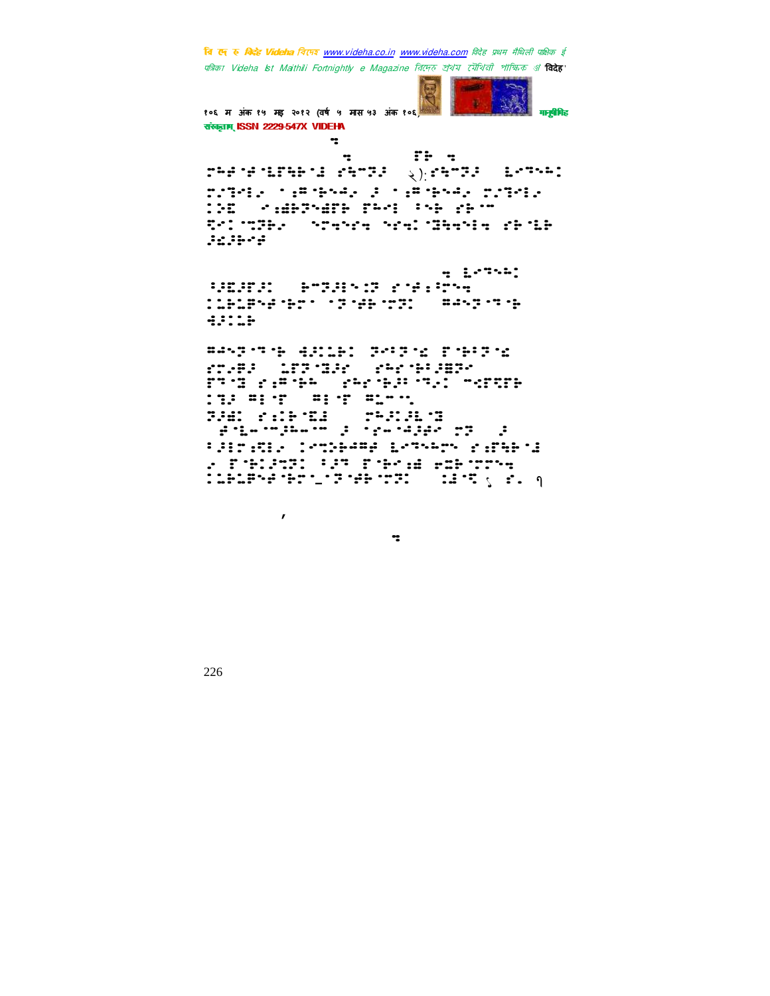चि एक रु मिन्हे Videha विएक www.videha.co.in www.videha.com विदेह प्रथम मैथिली पाक्षिक ई पत्रिका Videha Ist Maithili Fortnightly e Magazine রিদেহ প্রথম মৌথিনী পাক্ষিক রা **বিदेह**'



१०६ म अंक १५ मइ २०१२ (वष ५ मास ५३ अंक १०६) मानुषीिमह संस्कृतम् ISSN 2229-547X VIDEHA

ius in control de la control de la control de la control de la control de la control de la control de la contr<br>1908 : la control de la control de la control de la control de la control de la control de la control de la co qvcmjdbujpo⣒dpn0!/⢷!⣒!  $\mathcal{P}$  , where  $\mathcal{P}$  is the state  $\mathcal{P}$ 1⣙2⢴.⣐⢻⢷⢺⢴!⢼!⣐⢻⢷⢺⢴!1⣙2⢴! ⢵⣏!)⣐⣞⢷⢽⣞/⢷!/⢳2!A⢷!⢷b.  $\mathbb{R}$  : "I where the Theta fiel ⢼⣎⢼⢷⢾!.Cbtfe!po!nt.trm!tfswfs!

 $\mathbf{F}$  . Follows ⢸⢼⣏⢼/⢼.!⢷b⢽⢼2⣈⢽!⢾⣐⢸⣒! ⣅⢷⣅⢿⢾⢷!⢽⢾⢷⢽.!⢻⢺⢽⢹⢷! ⣚⢼⣅⢷!

⢻⢺⢽⢹⢷!⣚⢼⣅⢷!⢽A⢽⣎./⢷A⢽⣎. ⢴⢿⢼-!⣅/⢽⣝⢼!)⢳⢷A⢼⣟⢽\*!-! /⢹⣝.⣐⢻⢷⢳!)⢳⢷⢼A⢹⢴!b⣊/⣋/⢷\*-! ∷pēnir mir mir.<br>Decembre ⢽⢼⣞)⣐⢷⣏⣜\*-!⢳⢼⢼⣇⣝! )⢾⣇⢲b⢼⢳⢲b!⢼!⢲⢺⢼⢾!⢽\*!⢼! A⢼2⣐⣋2⢴.⣉⢵⢷⢺⢻⢾!⣇⢹⢳!⣐/⣓⢷⣜! ⢴./⢷⢼⣉⢽!A⢼⢹!/⢷⣐⣞!⢶⣍⢷⣒! ⣅⢷⣅⢿⢾⢷**–**⢽⢾⢷⢽-!⣈⣜⣋. E!

Uiblvs**'**t!LvsvLtifusbn.

Boutsname (1986)<br>December 1986<br>December 1986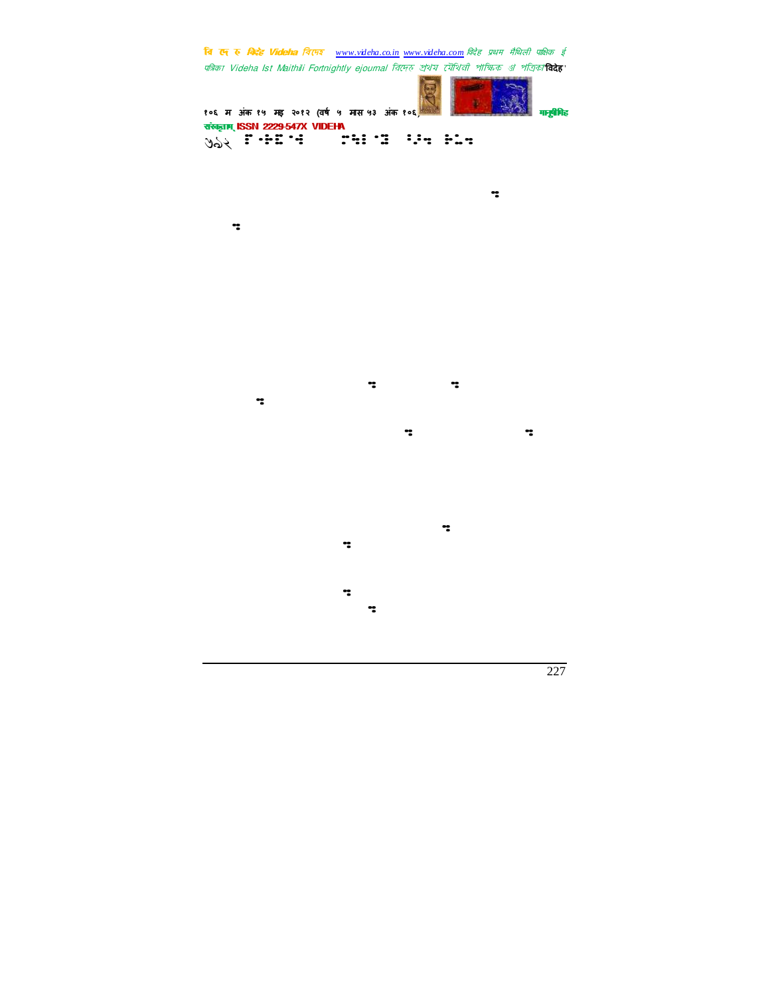१०६ म अंक १५ मइ २०१२ (वष ५ मास ५३ अंक १०६) मानुषीिमह सं<mark>कृतम् ISSN 2229-547X VIDEHA</mark><br>अञ्चल कार्यक्षा कार्यक्षा प्रकार कार्यक्षा प्रकार<br>प्रकार कार्यक्षा कार्यक्षा प्रकार कार्यक्षा प्रकार कार्यक्षा प्रकार प्रकार प्रकार कार्यक्षा कार्यक्षा कार्यक्ष /B⢷⣏⣚!;!⣓2⣝!⢸⢼⣒!⢷⣅⣒!2110.

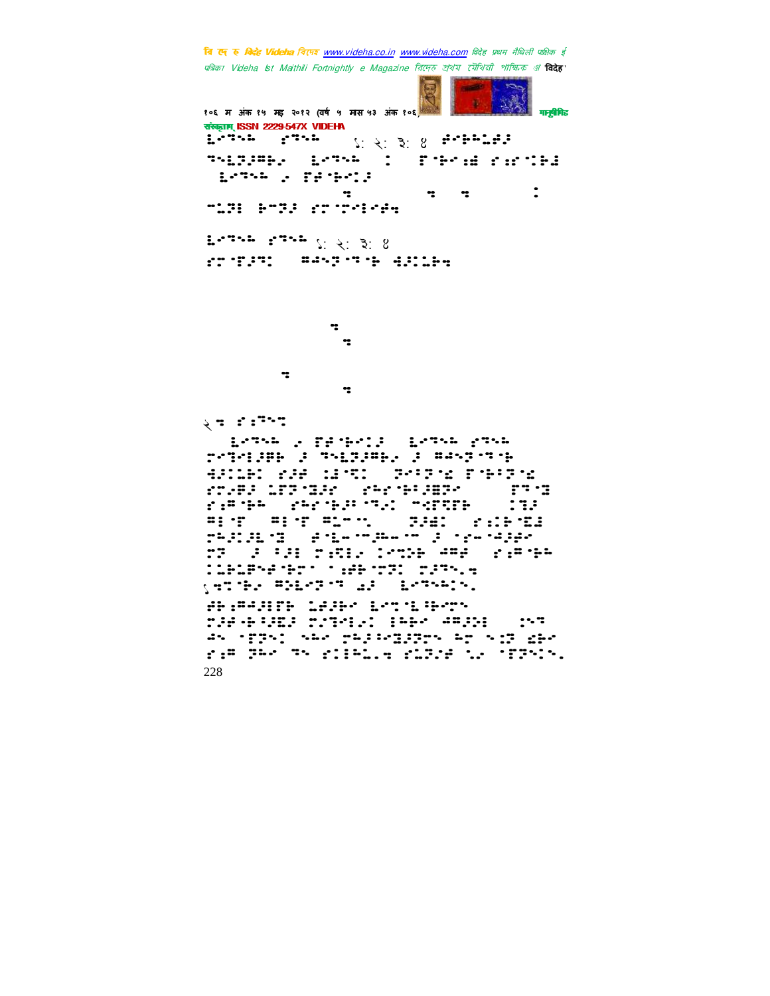चि एक रु मिन्हे Videha विएक www.videha.co.in www.videha.com विदेह प्रथम मैथिली पाक्षिक ई पत्रिका Videha Ist Maithili Fortnightly e Magazine রিদেহ প্রথম মৌথিনী পাক্ষিক রা **বিदेह**'

१०६ म अंक १५ मइ २०१२ (वष ५ मास ५३ अंक १०६) मानुषीिमह  $\frac{1}{2}$   $\frac{1}{2}$   $\frac{1}{2}$   $\frac{1}{2}$   $\frac{1}{2}$   $\frac{1}{2}$   $\frac{1}{2}$   $\frac{1}{2}$   $\frac{1}{2}$   $\frac{1}{2}$   $\frac{1}{2}$   $\frac{1}{2}$   $\frac{1}{2}$   $\frac{1}{2}$   $\frac{1}{2}$   $\frac{1}{2}$   $\frac{1}{2}$   $\frac{1}{2}$   $\frac{1}{2}$   $\frac{1}{2}$   $\frac{1}{2}$   $\frac{1}{2}$   $\mathbf{r}_{\mathbf{q}}$  ,  $\mathbf{r}_{\mathbf{q}}$  ,  $\mathbf{r}_{\mathbf{q}}$  ,  $\mathbf{r}_{\mathbf{q}}$  ,  $\mathbf{r}_{\mathbf{q}}$  ,  $\mathbf{r}_{\mathbf{q}}$  ,  $\mathbf{r}_{\mathbf{q}}$  ,  $\mathbf{r}_{\mathbf{q}}$  ,  $\mathbf{r}_{\mathbf{q}}$  ,  $\mathbf{r}_{\mathbf{q}}$  ,  $\mathbf{r}_{\mathbf{q}}$  ,  $\mathbf{r}_{\mathbf{q}}$  ,  $\mathbf{r}_{\mathbf{q}}$  , ⢹⣇⢽⢼⢻⢷⢴!#⣇⢹⢳#!-!/⢷⣐⣞!⣐⢷⣜! ;⣇⢹⢳.⢴./⢾⢷⢼! )iuuq;00xxx⣒wjefib⣒dp⣒jo0\*!! b⣅⢽2!⢷b⢽⢼!2⢾⣒!  $\mathbf{F}$  , i.e. i.e. i.e.  $\mathcal{E}$ ;  $\mathcal{E}$ ;  $\mathcal{E}$ /⢼⢹;!⢻⢺⢽⢹⢷!⣚⢼⣅⢷⣒!

ius de la construction de la construction de la construction de la construction de la construction de la const<br>1980 : la construction de la construction de la construction de la construction de la construction de la const  $\mathbf{q}$ tisvuje konstantine konstantine konstantine konstantine konstantine konstantine konstantine konstantine konstantine<br>Atisvuje konstantine konstantine konstantine konstantine konstantine konstantine konstantine konstantine k

qvcmjdbujpo⣒dpn!!

 $\frac{1}{2}$ 

228 \!⣇⢹⢳!⢴./⢾⢷⢼-!⣇⢹⢳;⢹⢳! ⣙2⢼⢿⢷!⢼!⢹⣇⢽⢼⢻⢷⢴!⢼!⢻⢺⢽⢹⢷! ₩. HE<br>HE<br>HE HE ANN HE ANN HE ANN HE ANN HE A ⢴⢿⢼-⣅/⢽⣝⢼!)⢳⢷A⢼⣟⢽\*!-!/⢹⣝.  $^{\circ}$  . The series  $^{\circ}$  and  $^{\circ}$ ⢻2/!)⢻2/!⢻⣅b⣁\*-!⢽⢼⣞!)⣐⢷⣏⣜\*-! ⢳⢼⢼⣇⣝!)⢾⣇⢲b⢼⢳⢲b!⢼!⢲⢺⢼⢾!  $\mathbb{R}^2$  : 2.0 . 2.0 . 2.0 . 2.0 . 2.0 . 2.0 . 2.0 . 2.0 . 2.0 . 2.0 . 2.0 . 2.0 . 2.0 . 2.0 . 2.0 . 2.0 . 2 ⣅⢷⣅⢿⢾⢷!⣐⢾⢷⢽!⢼⢹E⣒!^! ⣒⣉⢷⢴!⢻⢵⣇⢽⢹!⣔⢼.!⣇⢹⢳E! ⢾⢷⣐⢻⢺⢼2/⢷!⣅⢾⢼⢷!⣇⣉⣇⢸⢷! ⢼⢾B⢷⢸⢼⣏⢼!1⣙2⢴!2⢳⢷!⢺⢻⢼⢵2-!⣈⢹!  $\blacksquare$  $^{\circ}$   $^{\circ}$   $^{\circ}$   $^{\circ}$   $^{\circ}$   $^{\circ}$   $^{\circ}$   $^{\circ}$   $^{\circ}$   $^{\circ}$   $^{\circ}$   $^{\circ}$   $^{\circ}$   $^{\circ}$   $^{\circ}$   $^{\circ}$   $^{\circ}$   $^{\circ}$   $^{\circ}$   $^{\circ}$   $^{\circ}$   $^{\circ}$   $^{\circ}$   $^{\circ}$   $^{\circ}$   $^{\circ}$   $^{\circ}$   $^{\circ}$   $^{\circ}$   $^{\circ}$   $^{\circ}$   $^$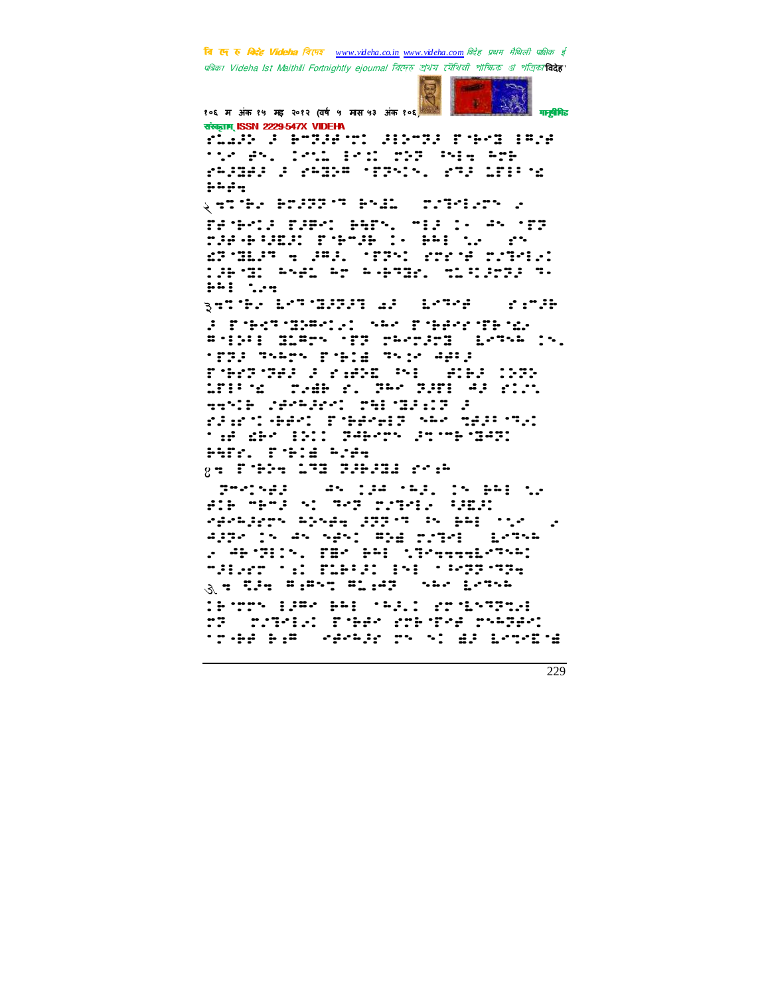

१०६ म अंक १५ मइ २०१२ (वर्ष ५ मास ५३ अंक १०६) संस्कृतम् ISSN 2229-547X VIDEHA

the Br. 1811 Brd TST PHA ATE **PASSES : PASSA (SSP), PSP 1999-12 Hidde** 

gente britto bell and and an interest of the set rando: rubo: dars, mill: ds spr marked from 1 parts of 87988 - PR 1972 2019 77082 **Pri : ...** 

**Setthe Let 12223 aft** a a margo and and any

FIRSTORIAL SE INFORMA **THE THIS PRIE TOO AND** 18:00 - 10:00 - 10:00 - 10:00 - 10:00 :Detail There? We the th ':P dbr !C: **TARES 2008-1822 BASE. S'BIG WIPH** 

ge F'BDe 171 73B311 : : B

**ARTIFICATES IN BAILING Description** rdragen also SIV a bailer APP IN AN NAME AND STOCK COMMA -B.C. : CONSI IN 1937-33 ge De Berg Bleg (se larg **TROOPS DOWN DAD PART CONSTRUCT** n niko papanan na nagan tree be ceekert side boscu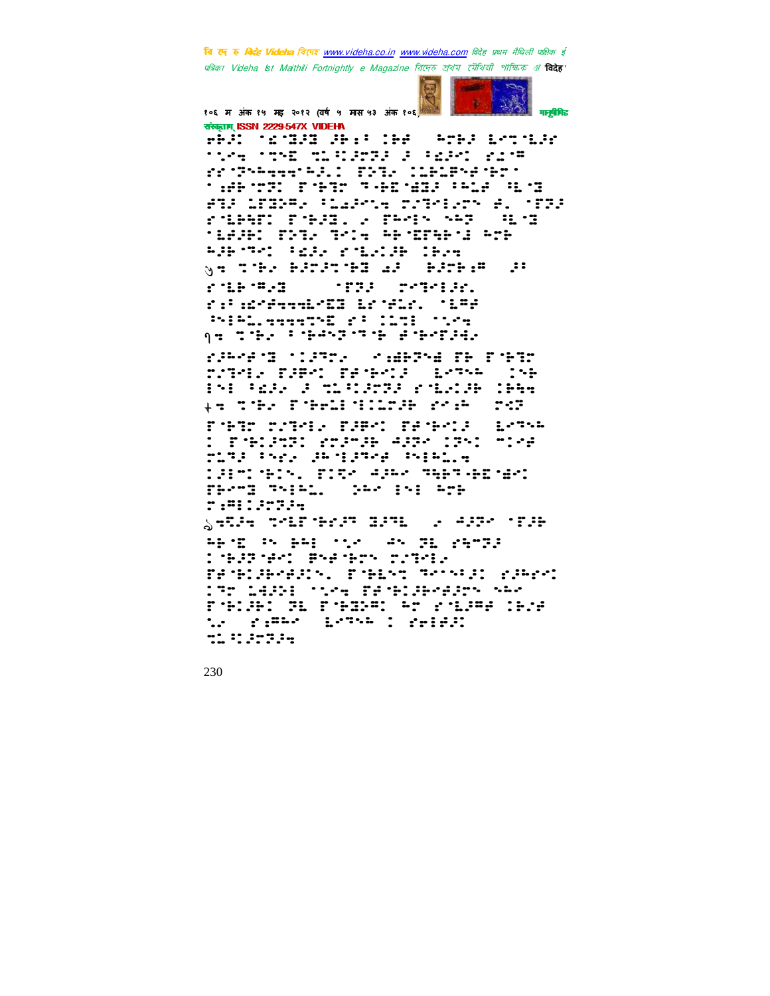बि एक रु क्विहे Videha विरफ्श www.videha.co.in www.videha.com बिरेह प्रथम मैथिली पाक्षिक ई पत्रिका Videha Ist Maithili Fortnightly e Magazine রিদেহ প্রথম মৌথিনী পাক্ষিক প্র' **বিदेह**'



१०६ म अंक १५ मइ २०१२ (वर्ष ५ मास ५३ अंक १०६) संस्कृतम् ISSN 2229-547X VIDEHA

**Arbi Lettik** nom not differe e gant gin <u>21: 19918, :1.100, 9.901.90 2. 1991</u> rimo radio per so ar **Address Case of School Change No the BSTSTPE as BSTB.E SE**  $\mathbf{f}$  ,  $\mathbf{f}$  ,  $\mathbf{f}$  ,  $\mathbf{f}$  ,  $\mathbf{f}$  ,  $\mathbf{f}$ **THE PERISH** rindresselling britan (18 **SALES AND REPORT OF STRAINING At the President Preside** 

**T.T.C. F.O. TENNIS LATA (16 INE REF. 2 MINUTES PRINTS INC.** 

ren med fæd Bred Bred ring be. Angene bikin **: :: -: -: -: :::: -::: -::: -::: :::: ::::** PROSE SAINTL jar (n) arb *r:"!!!!!!!* 

geth rifter in a grach West in paperne on the short? **THIRD BY BY THE STATE** RESURES PHY WHIP ARY st 1800 tie Binderger sk ta rama benda parang ti Caraa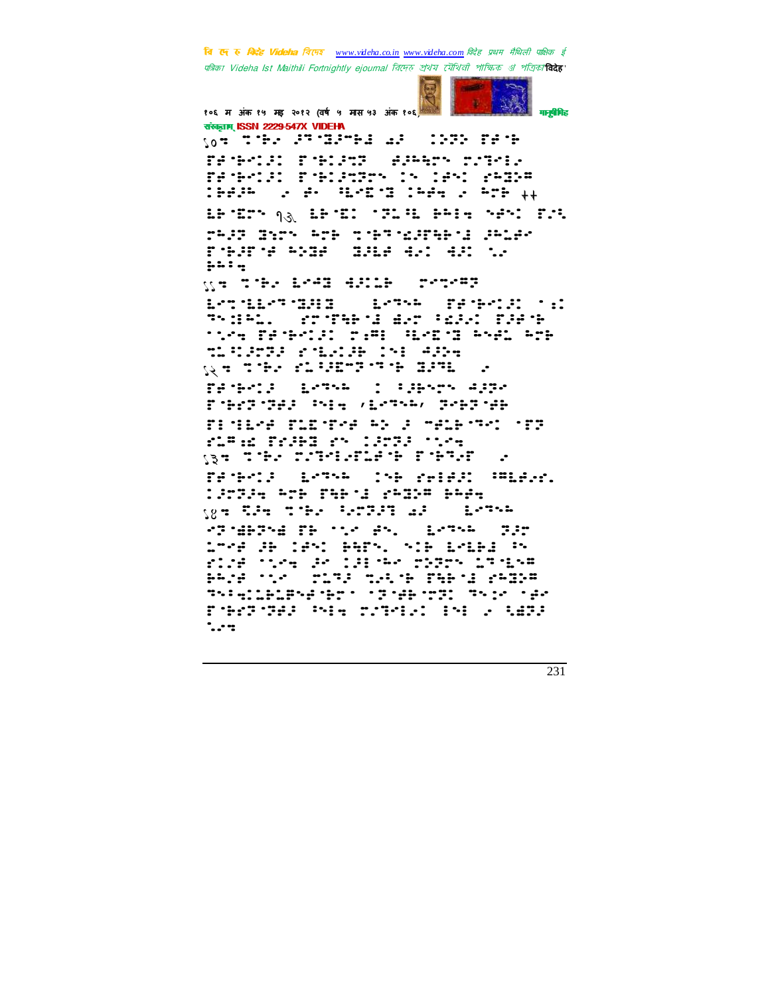

१०६ म अंक १५ मइ २०१२ (वर्ष ५ मास ५३ अंक १०६) संस्कृतम् ISSN 2229-547X VIDEHA is identified and  $\mathcal{L}_{0}$ 1030 FA.B **PARAGEMENT ADAPT POPUL** :A:A , A Q:B1 !A: , A:A + Where  $q_{\text{A}}$  West critical paid of the Con rage core are representation and  $\ddot{\phantom{a}}$  $1.1.4$ **TERRIT ENDING STATE 2007** <u> 1998: 1998 - 1998 - 1999: 1999: 1999: 1999: 1999: 1999: 1999: 1999: 1999: 1999: 1999: 1999: 1999: 1999: 1999</u> **Thing, refneiding conditions** the Benedict rust such a senter  $\mathcal{N}$  . The clustrale set  $\mathcal{N}$ probable banda ( ) (proposition renter al bis group renter SI SER CITY SA AN I MALE MAN IS fland frible of 10000 time (3\* TH: TIMEN PHIM : neden breakte he heldt wiele. **TIPSE APR PARTS PASSA RAPE**  $\Omega$  . In the both  $H$  , where **PINGERS IS THE STATE** 1.75% 7.5 <u> Lové de les angol sia brial de</u> rich the Spoiling Title South PROFINOR CONFIDENCIA ENFORMADA<br>NAPALIPIPAMENTO OPORTORI NADO CRA restau na stell be lat  $\ddot{\phantom{a}}$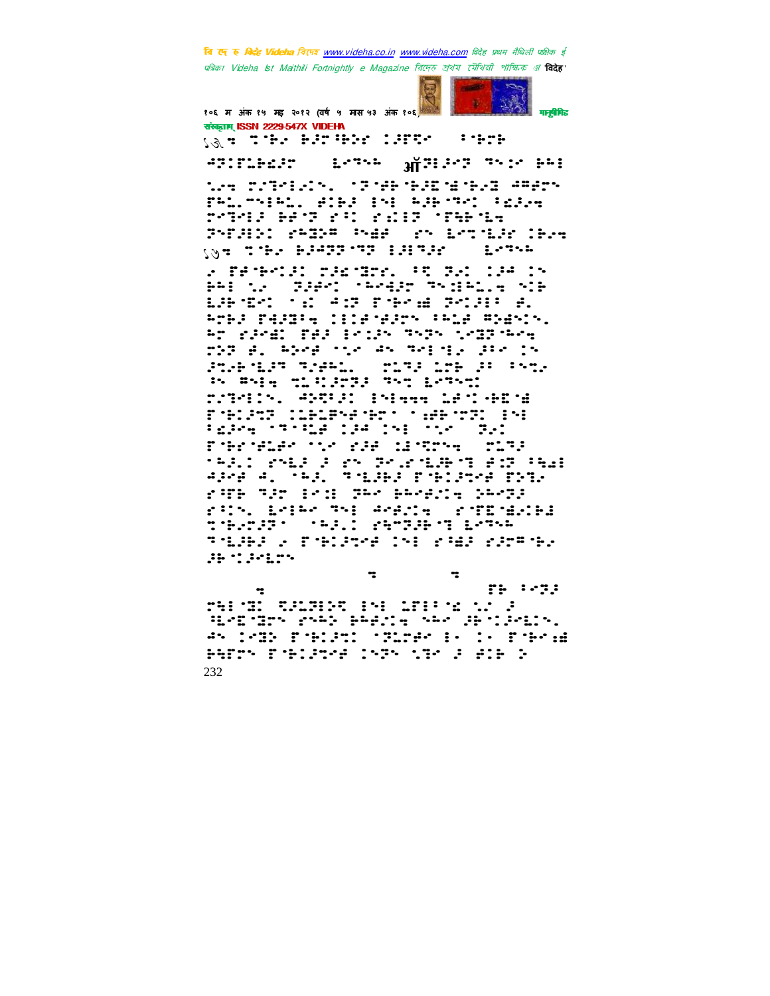बि एक रु क्विहे Videha विरफ्श www.videha.co.in www.videha.com बिरेह प्रथम मैथिली पाक्षिक ई पत्रिका Videha Ist Maithili Fortnightly e Magazine রিদেহ প্রথম মৌথিনী পাক্ষিক প্র' **বিदेह**'



१०६ म अंक १५ मइ २०१२ (वर्ष ५ मास ५३ अंक १०६) संस्कृतम् ISSN 2229-547X VIDEHA  $\mathcal{M}$  , which is the  $\mathcal{M}$  $\blacksquare$  : three

**APIPLE:17**  $L$ -the  $\mathcal{M}$  is set that each

the SMP Extra (STRP-PAD-2016) APPS **PARAGEMENT COMMISSION CONTROL** rend which did them Productions was an include the where  $\mathbf{r}$  is the set  $\mathbf{r}$  and  $\mathbf{r}_{\ell j}$ a gundha ba

2 Penbrigi paramer (S. 22002400)<br>BAD (2002) 2001 (Serbit Syddella Sib 1872 : 200 - 200 - 200 - 200 - 200 - 200 - 200 - 200 - 200 - 200 - 200 - 200 - 200 - 200 - 200 - 200 - 200 - 2 <u> 1912 - 1923 - 1928 - 1929 - 1928 - 1928 - 1928 - 1928 - 1928 - 1928 - 1928 - 1928 - 1928 - 1928 - 1928 - 192</u> ar side: Edi Brilly Typy (recover THE BOOK THAT AN INTERFERING **B. Bile SLINER: 755 LOYSE** rrent anns Maan 2014rd **FOR THE CONSTRUCTION OF THE SECOND RESIDENT** Pages of the 194 151 one (201 rende træde dyre fø **TAIL MALL BOY TELENT RUN PALL** and a same what for the fine rup mar bed mar bargrig darma rin bibeth and a rinta the control of the control of the control of the control of the control of the control of the control of the c time. Philippi in file critic. SENSIVEN.

re :eze BESTON PROGRAMMENT DESCRIPT st den reden trief body refer HIT THIRT INT IT JAN 2 232

 $\bullet$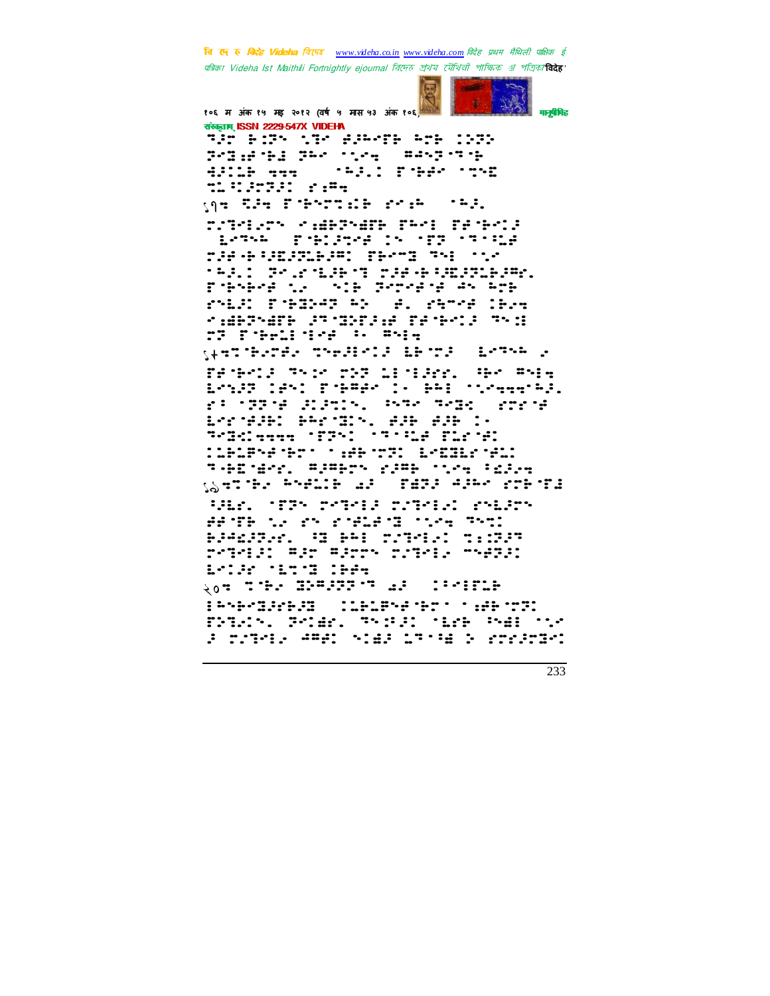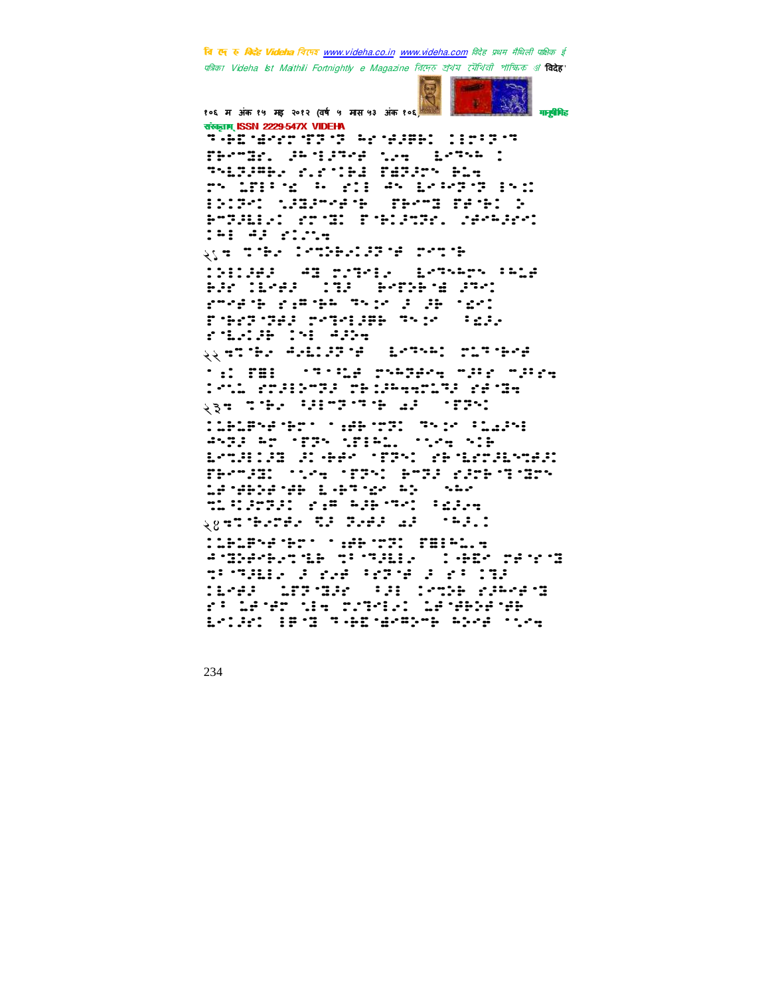बि एक रु क्विहे Videha विरफ्श www.videha.co.in www.videha.com बिरेह प्रथम मैथिली पाक्षिक ई पत्रिका Videha Ist Maithili Fortnightly e Magazine রিদেহ প্রথম মৌথিনী পাক্ষিক প্র' **বিदेह**'



१०६ म अंक १५ मइ २०१२ (वर्ष ५ मास ५३ अंक १०६) संस्कृतम् ISSN 2229-547X VIDEHA **THE SECTION SECTION CONTROL** nes administration SNERPRA KLENDE TERREN RIN r dh's A di A barr bu :A: 4: :1.7.4 **11:12: 22 ------ 2-752-5-1222** referent terms in the recreated and steam **FILLE IN 4824** ggerne der de skilde gange **TED THE STATE THREE THE THE** : ... ...::. .. ...:....... ..... <sub>yg</sub>e tike Worthing af Sophi **CONSERVATION CONSERVATION** and by the thing, the nie FRAME TO THE TEST ROOM OF THE STATE OF THE SALE OF THE SALE OF THE SALE OF THE SALE OF THE SALE OF THE SALE OF  $\sim$   $\sim$   $\sim$   $\sim$ WORLD : 00 AH 77 1200 .<br>1941 - La tant tf trainers **CHOMOS CARDS** THE PARTY PRODUCE 1642 OTTOB (AL 1816-2004) r: 1895 18 STORE **LA MARGA MAR** isin' indraman'i Charles and Son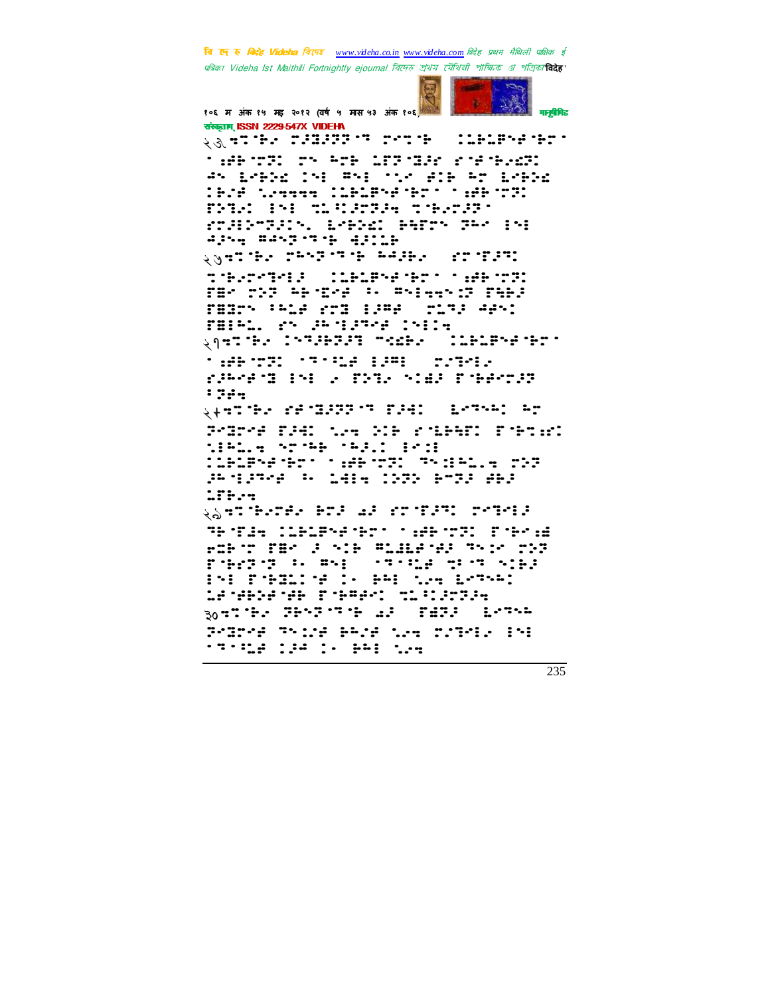

१०६ म अंक १५ मइ २०१२ (वर्ष ५ मास ५३ अंक १०६) संस्कृतम् ISSN 2229-547X VIDEHA

 $\frac{1}{2}$  , respectively to the  $\beta$ **:::::::::::** an bebig in: Wh: 'th' dib Ar bebig **TACA SURRY CONDITABLY 1998** agse masgere agger right to case of the adjourned and the source TOPL & PARTING INIS Samar Tithrit sites ( **SARATI STAR DIE STRD** :38t gerne rengaan pagu berep er Police Del tam XI roleer foetat **1:20.4 5792 5200 1011** uppern narro mapula particle is the took brook and  $\mathbf{r}$ ggendele bra aa kronan oedela men Morrer archiva regge a sy crew ger sie Bosting Christian and China Consta Books the Boy the colds in **TORONTO IN STRAIN STAR**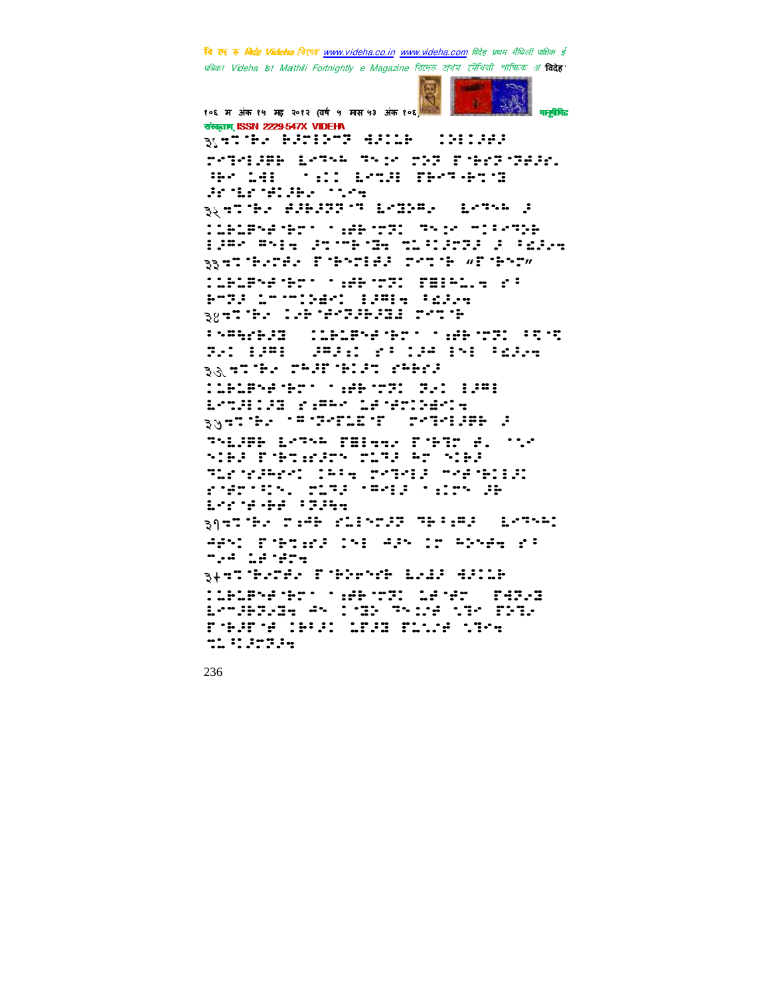बि एक रु क्रिके Videha विरफ्श www.videha.co.in www.videha.com बिरेह प्रथम मैथिली पाक्षिक ई पत्रिका Videha Ist Maithili Fortnightly e Magazine রিদেহ প্রথম মৌথিনী পাক্ষিক প্র' **বিदेह**'



१०६ म अंक १५ मइ २०१२ (वर्ष ५ मास ५३ अंक १०६) मानुबेमिह संस्कृतम् ISSN 2229-547X VIDEHA with the Falls of the street reten best ste men parties. **Bridge Constitution of the Constitution of the Constitution of the Constitution of the Constitution** Soloneles nom gyerne dibitr't broch (crys ) 1818490 Same Service State State **::=: =::: :: :: :: :: ::::: : : ::::** ggetjeltel Ejertiel prije wEjern **CONSERVATION CONSERVATION AND SERVICE STATE** PTP LTTDGAT (PRE PEPP ggetje: 1:BjB-7:B-311 t-tjB **CONSERVATION SANGERS** Bollower (Wald 23 124 151 1622)  $33.4$ : The shiff filer sheel **:18104407 · WB 271 0.1 0.00** t dette '"tritt" reter s **THIS LOW THE SERVICE OF THE SERVICE SOLO D'ESCRIP PERI AS SOLO** The place: (Alg. petell medicili) rents musically show a **Lord-Bas (2204** ggette rige fliezer gelege degeel APS PORTE IN APS IN APSA 2: nga lahata gyatjerek Ejédendé bill 42018 Lenderung as toma record the crip ti Carace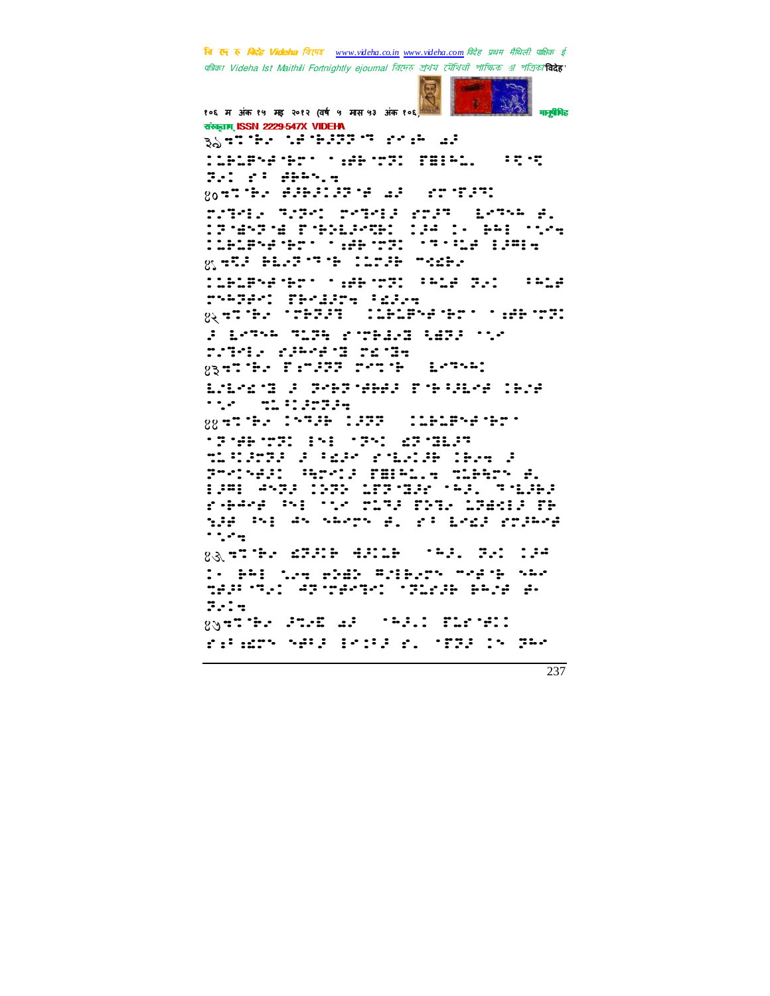१०६ म अंक १५ मइ २०१२ (वर्ष ५ मास ५३ अंक १०६) मनुषेभिह संस्कृतम् ISSN 2229-547X VIDEHA gget the shift for the al Tel et dinse **T.T.C. T.T. P.T.C. C.C. L.T.L.C.** STANTA ESPARANA (PAS) PAL MAR **CONDENSATION 100**  $\cdot$  ,  $\cdot$  ,  $\cdot$  ,  $\cdot$  ,  $\cdot$  ,  $\cdot$  ,  $\cdot$ gymt: Pill<sup>e</sup> (1918-1414) **TOORSPORT THE TOO BOOK TO BE**  $\mathbf{1}$   $\mathbf{2}$   $\mathbf{3}$   $\mathbf{5}$   $\mathbf{5}$ ryspe: Thellra Files  $g_{\xi}$  at the other in consideration of the text  $g_{\xi}$  at the text a berga ning pondici tina ote TATHE SPARE TO TO THE  $yz$  at the Ford FR retorm ( Letter) Lice's P Servent result int 88 \*\*\*\*: 15738 1377 1181858787 **TOBUS BOOKS** tinger a ben rollar dem a race bi tr' nor may bene so the stiller rache fort book crimed  $\gamma$  ,  $\gamma$  ,  $83.77 \pm 2.77 \pm 0.771 \pm 0.771$  ,  $24.7 \pm 0.77$ : por conduction and the state **TAR THE ATTORIES IN SERIES OF Pale** gyette Stelles (Asil Fires) reach was broaded that in me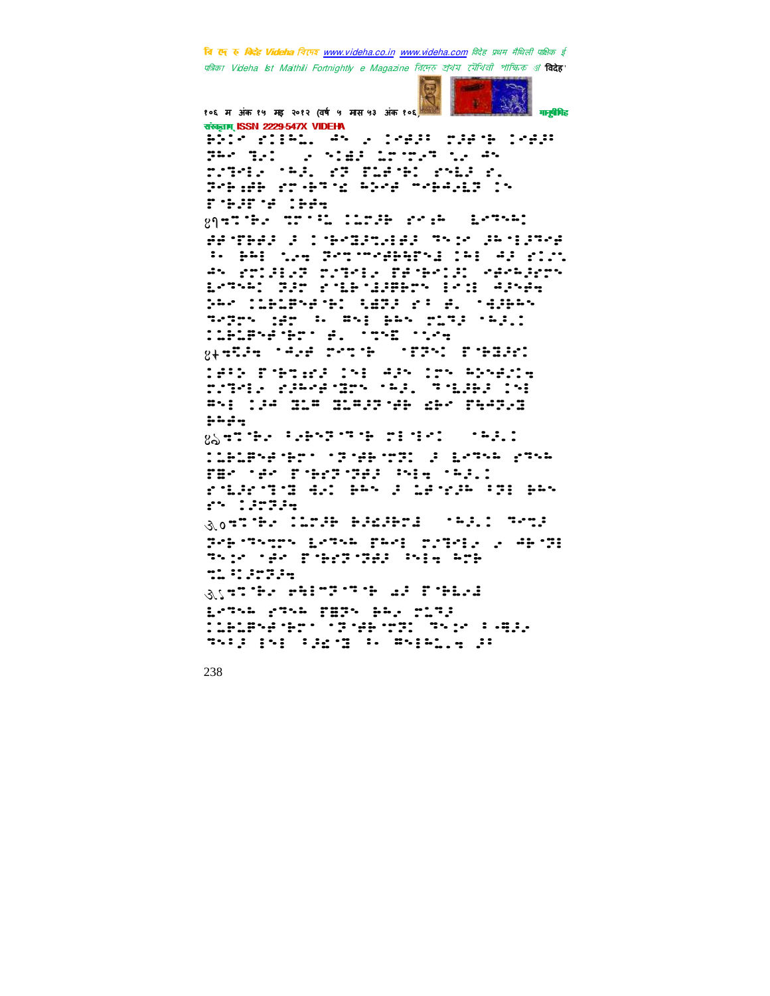बि एक रु क्रिके Videha विरफ्श www.videha.co.in www.videha.com बिरेह प्रथम मैथिली पाक्षिक ई पत्रिका Videha Ist Maithili Fortnightly e Magazine রিদেহ প্রথম মৌথিনী পাক্ষিক প্র' **বিदेह**'



१०६ म अंक १५ मइ २०१२ (वर्ष ५ मास ५३ अंक १०६) संस्कृतम् ISSN 2229-547X VIDEHA BO MAL A L'AR TAR DAR nd a chiadhrain an talen (1920) el flejbi esla e.<br>Jerner etgalist 1964 serantis (s rene de governed that we have considered and served **Be pay the Set Wednesday of all all state** as principal rende de seu desers teggs of a man pas gitt salo **CONSTRACTS: 2007-02-2008**  $84$  at  $24$  and  $24$  and  $24$  and  $24$  and  $24$  and  $24$  and  $24$  and  $24$  and  $24$  and  $24$  and  $24$ 185 First Di AB In Abeni rather reading the tag through **birde** gget the substance of the:  $\cdot$  :  $\cdot$  : **TANDARY CONTROL** 10000 200 no the children bill the thing ribrio di Britannia con Sa rt Caraa <sub>30</sub>:The Close Backers (19.1 Tens Sekstern Leter Pred ritels & White The se preside began no presenta  $\mathcal{A}$  , we have the set of the set  $\mathcal{A}$ 1000 000 000 000 000 <u> 11848 - THEFT BOOKSTON BOOKSTON</u> this industry in magazing in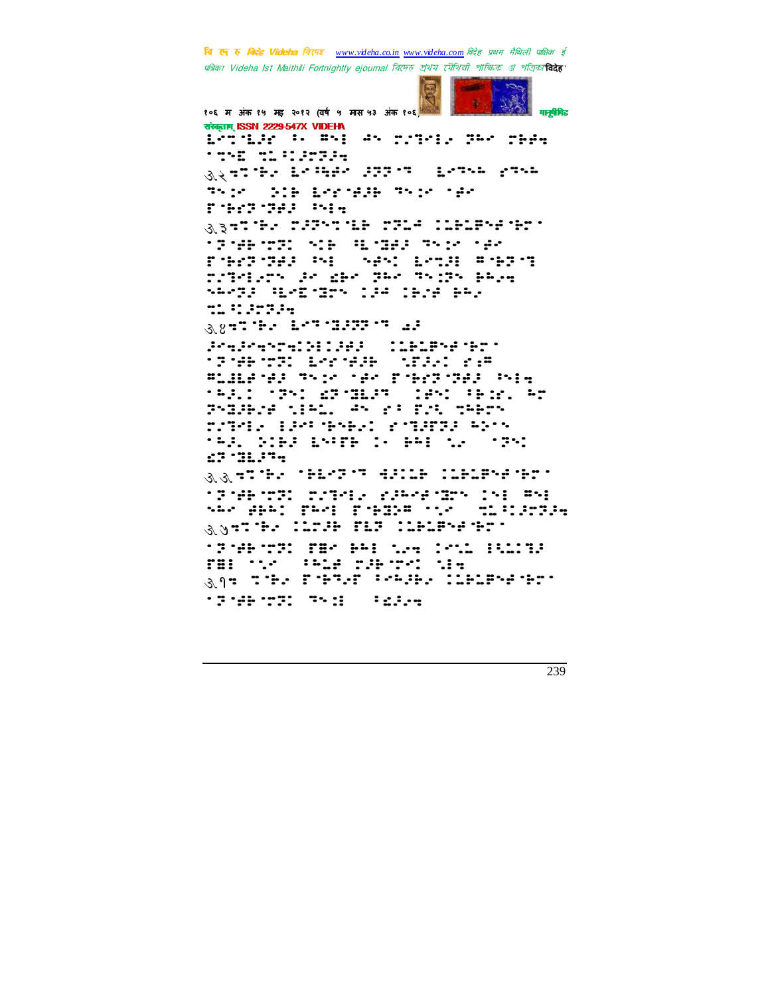

१०६ म अंक १५ मइ २०१२ (वर्ष ५ मास ५३ अंक १०६) संस्कृतम् ISSN 2229-547X VIDEHA isting a my avertice partner avenuel funde diblo funce fore Thir (216 Lerosia Thir Sar rurre: mg aarte rustik rus dibistrem 'T'HHTT YN R'HA TYP 'H' STRIP DI MARI LON STRIP ritrich in den dar skips bage **NAPPE RADIOS 134 1818 84.** ti Carra agencie international trektri betelk **Santa Career** made no de recono ma **TIME IN SALE CONDITI . W. SIM INTE I- WA (2001)** :31111374 aaste terts guib lielesens **The Third Constant Company of Company** sk get pad pjeze je julijen **Softer World Til Willess Stre**  $\ddot{\cdot}$  :  $\mathcal{S}_\text{eff}$  , the fibre coupe claiment. **. The Second School** 

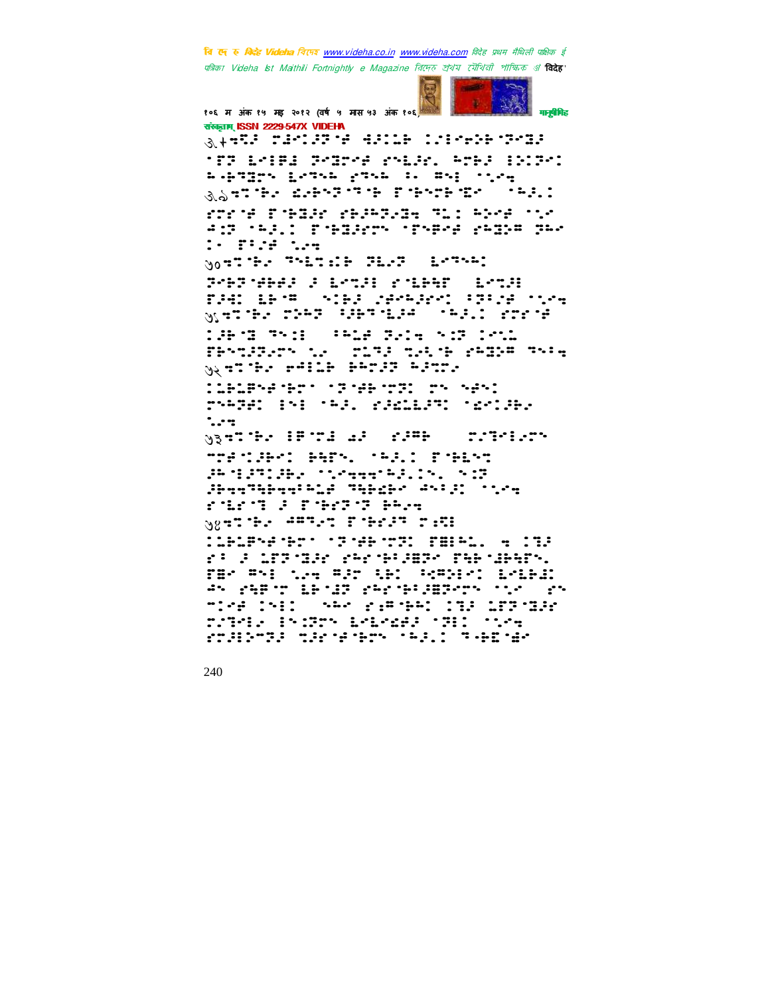बि एक रु क्रिके Videha विरफ्श www.videha.co.in www.videha.com बिरेह प्रथम मैथिली पाक्षिक ई पत्रिका Videha Ist Maithili Fortnightly e Magazine রিদেহ প্রথম মৌথিনী পাক্ষিক প্র' **বিदेह**'



१०६ म अंक १५ मइ २०१२ (वर्ष ५ मास ५३ अंक १०६) संस्कृतम् ISSN 2229-547X VIDEHA aven naver esta treveron 'TT LAIRD TAIRAR ANDRE AMBRE INSTR LASTER LATHL FTHL I. BHI SYAN aarte bestrie beschip (sul air (A), rightry (rugge fang rag  $\mathbb{R}^2$  . Then the  $\mathbb{R}^2$ gott: Thitsib PicP  $L$ -theory **CONSTRUCTS CONSTRUCTS ALANSI** na be ya gewen menye  $\mathcal{M}$  and the constant and the  $\mathcal{M}$ **TOP 2 THIS SALE TAGE TO STATE** Professor of the nach same the yetthe rille bat.P altr. **TIBLESHTED STREET IN SACT THREE IN THE SHOWS SECTION**  $\ddotsc$ det to iffining of the material and **THILLET HOW SELL CHIST** PERSONAL STRAIGHT PRINTS AND **SARA PROVISION** and tie compared the response ::::::::::::::::::::::::::::::::::: as guns de discussione de la "We had to the second the second second second second second second second second second second second second roth: Broth Lelezzo Til Mer roding: the fer sall sample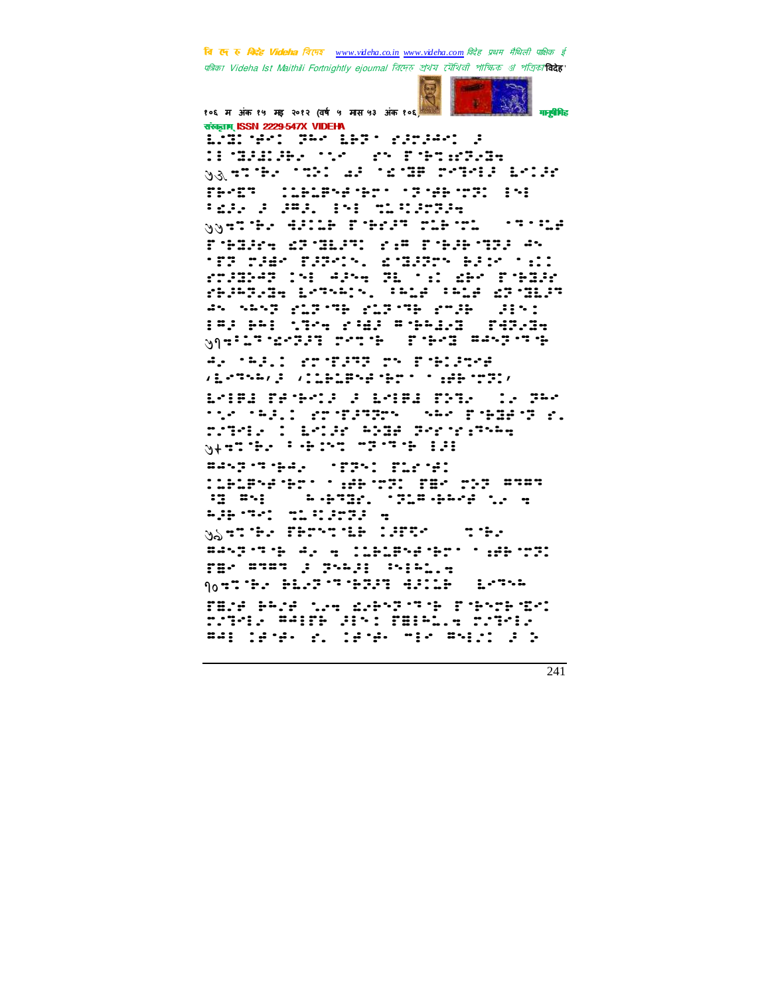

संस्कृतम् ISSN 2229-547X VIDEHA <u> 1999 - 1999 - 1999 - 1999 - 1999 - 1999 - 1999 - 1999 - 1999 - 1999 - 1999 - 1999 - 1999 - 1999 - 1999 - 199</u> THE CHINESE THREE IN MATTE SHILE FTERT TIET  $\cdots$  :  $\cdots$ rende chine, es redetto av <u> 1998 - 1999 - 1999 - 1999 - 1999 - 1999 - 1999 - 1999 - 1999 - 1999 - 1999 - 1999 - 1999 - 1999 - 1999 - 199</u> **PRIGHT IN APROVE THE SECTION** WHIPPER BRIDGE THE THIR WITHIT as sasp ripop ripop reda **SENS** rer.ne Matricker but Burn and a A. MA. STORING THEORY **VERTAGE VIDEDENEMENT PORTUGE** <u> 1981 - 1991 - 1992 - 1993 - 1994 - 1995 - 1996 - 1996 - 1997 - 1998 - 1999 - 1999 - 1999 - 1999 - 1999 - 199</u> **Second Strates Seconds**  $\gamma$  and the state of the state  $\gamma$  $22.7:7:2.2.$ **STIP: TLEST.**  $\mathbf{1}$   $\mathbf{2}$   $\mathbf{3}$   $\mathbf{4}$   $\mathbf{5}$ **LIL'S (1991) CONSTRUCTION** Matthe Phononia (SPR) - the sanger is as a consideration of the nostik Historikost Aflik HOW WAS TO CHARGED THAT TO rance With HS: MBBL.4 rance #4: jenek e. jenek mir #nici 2 %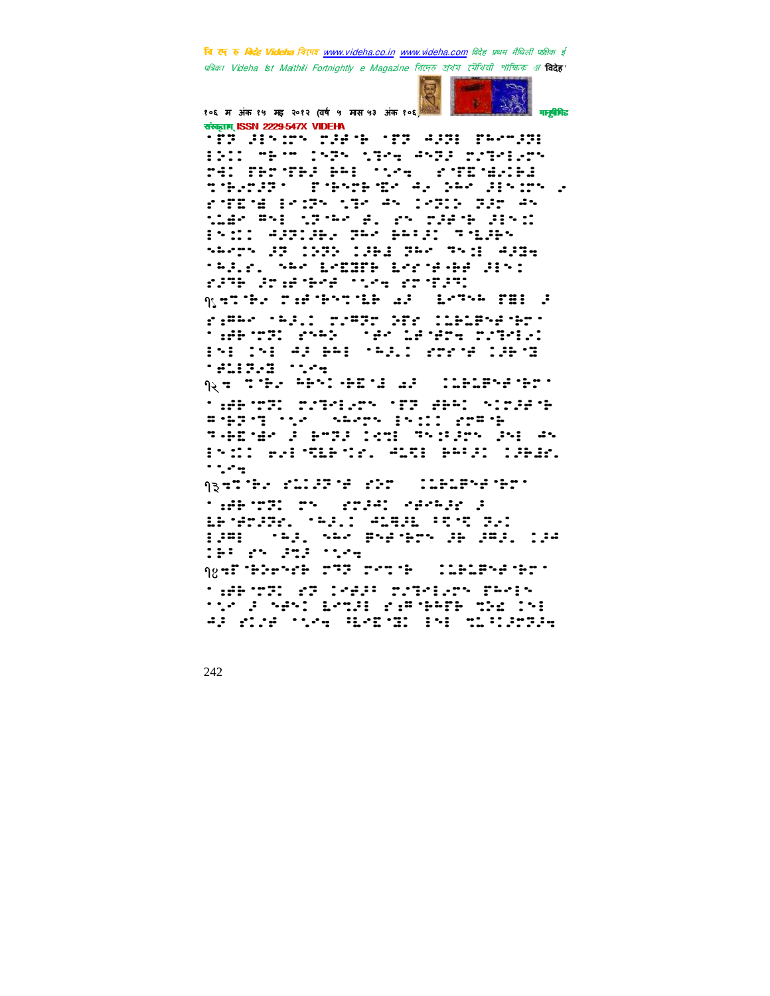बि एक रु क्रिके Videha विरफ्श www.videha.co.in www.videha.com बिरेह प्रथम मैथिली पाक्षिक ई पत्रिका Videha Ist Maithili Fortnightly e Magazine রিদেহ প্রথম মৌথিনী পাক্ষিক প্র' **বিदेह**'



संस्कृतम् ISSN 2229-547X VIDEHA BOI TECT DON NOR AND CORPOR the Control of Control of Control of Control of Control of Control of Control of Control of Control of Control ronne bron on an 1981 dir an tier maart van een de aangeword van de stad **SALE AND SEARCH AND START START AND START START START START START START START START START START START START ST SLAYS IN 1982 LINE THAT TO I 4124 TAILS, TAP LENNIE LES SINES** :PD Persons tractiff gette refertibus iste MH s ther may the atentified **SECOND STATE Not life what which are Allace Serve Serve** 'HRYS COMER 'S AR SCAR **ROSES OF SPENCE ENCLOSEDS** those particularly professed  $\ddotsc$ not the side of second dedness that **THE THE STATE SECTION OF STATE** :20: 14: 14: Prendri S.20: 12: THE STATES TOPS nger bleveb 233 2021b **CONSIDERATION** terroom of cease consider passe **TO PAY BOOK PATH TE IN** 43 STOR TORE HEROTI IN TIGGETER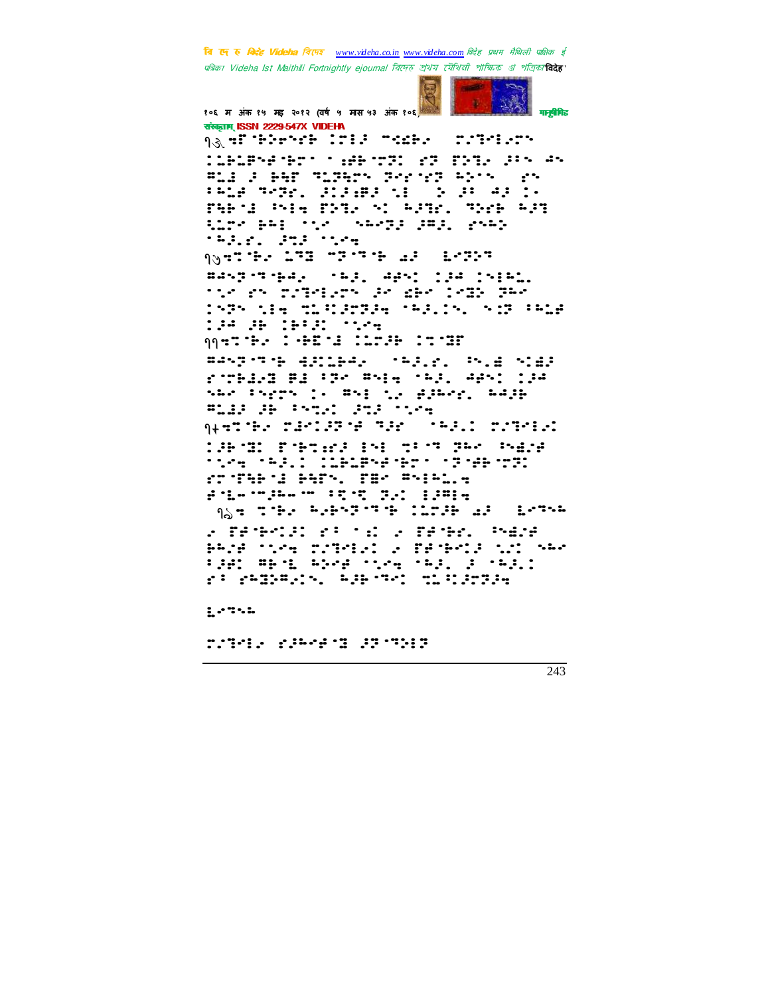

१०६ म अंक १५ मइ २०१२ (वर्ष ५ मास ५३ अंक १०६) संस्कृतम् ISSN 2229-547X VIDEHA na de decende constituera de constanta de la constanta de la constitución de la constitución de la constitució  $\cdot$ HLA ROM. SIGHE SE (200 42). ned marker of who may wa the BB: the SAPE: 282, 2566 tele and the **ANSILES LTD STORE 23 SACTOS BASTINA (AI APS)** (A ) (18) <u> 10 mars e de 100 de</u> **1979 MH MARZER (AFIN, 922-8122) 1900 - 1900 - 1900 - 1900 - 1900 - 1900 - 1900 - 1900 - 1900 - 1900 - 1900 - 1900 - 1900 - 1900 - 1900 - 1900** MATTER I FETE COMPE INTER sayere gripe, recon bud you rthing of the say and the control ske bers in mal til Siker kalk **ELL H : WI : 201 : 20** nummer tariste tar ("Asil titris: **CROITECT IN THE PRODUCT As the WESTER CONFORMER'S CONFIDENTIAL** *FRYDD BY CO PRYD. MEN* Base the product of people who say the med more than 10 that go gazhago, agarag misteria gars.

**TATH: PROFILE REPRESE**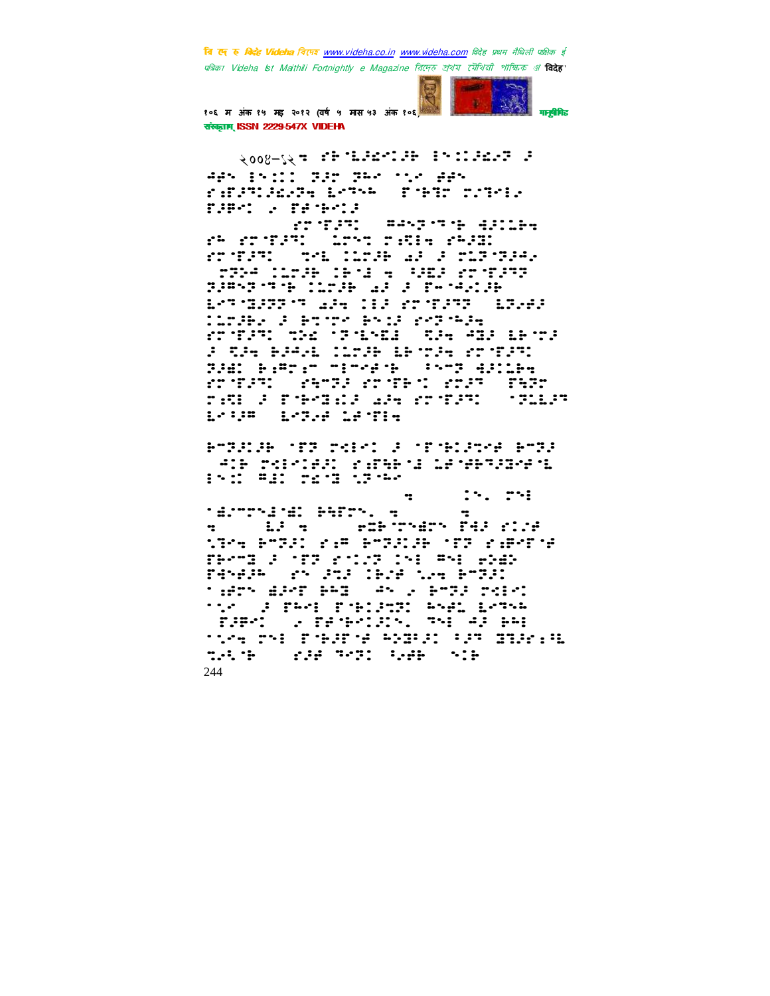बि ए रु क्रिटे Videha विएक www.videha.co.in www.videha.com बिरेह प्रथम मैथिली पाक्षिक ई पत्रिका Videha Ist Maithili Fortnightly e Magazine রিদেহ প্রথম মৌথিনী পাক্ষিক র্ণ **বিदेह**'



 $\ddot{\phantom{a}}$ 

१०६ म अंक १५ मइ २०१२ (वर्ष ५ मास ५३ अंक १०६) संस्कृतम् ISSN 2229-547X VIDEHA

**.d. . . . . . . . . . . . . .** 

{ till:-1 ft:cill:fi fy<sub>2</sub>-800/ aps is:1: 725 768 tie ges ratriare provinciente **PIP: : PPROFILE**  $\begin{picture}(20,20) \put(0,0){\vector(1,0){10}} \put(15,0){\vector(1,0){10}} \put(15,0){\vector(1,0){10}} \put(15,0){\vector(1,0){10}} \put(15,0){\vector(1,0){10}} \put(15,0){\vector(1,0){10}} \put(15,0){\vector(1,0){10}} \put(15,0){\vector(1,0){10}} \put(15,0){\vector(1,0){10}} \put(15,0){\vector(1,0){10}} \put(15,0){\vector(1,0){10}} \put(15,0){\vector(1$ advy se djilo rk roman ( **THE CONFIDENTIAL** er man: **.912 11-12 12:2 - 1222 20-01-000 TOPS: THE CONSTRUCTION** Close, a bonne byld reteam. : TP: 12 7121 TR 41 BT a ta kale lisa ikua estatu:<br>aan kase meren juha aanke rin : regil: il rrin (milh B-3000 17 - 100 100 100 100 100 100 100 , AIR MATAGAI VATARYA LAYARRARAYEN<br>Tri Ali meng nghay  $\mathbb{C}^n$ .  $\mathbb{C}^n$ :

a de la construcción de la construcción de la construcción de la construcción de la construcción de la constru<br>En la construcción de la construcción de la construcción de la construcción de la construcción de la construcc

PAPS: 17 2020 141 822 renda en hij land nemment. the difficult and by: the **TO STATISTICS** AND BOOK fact lefends, so a po the reference of mans

this we will we se

244

 $\mathbf{r}$